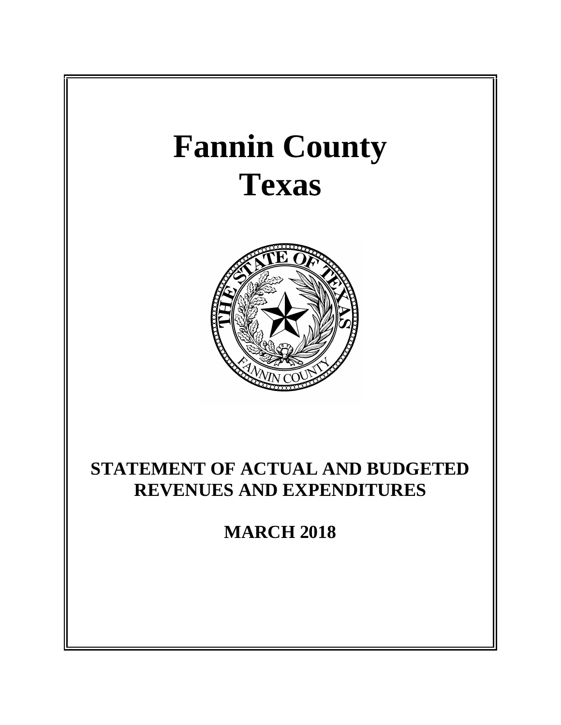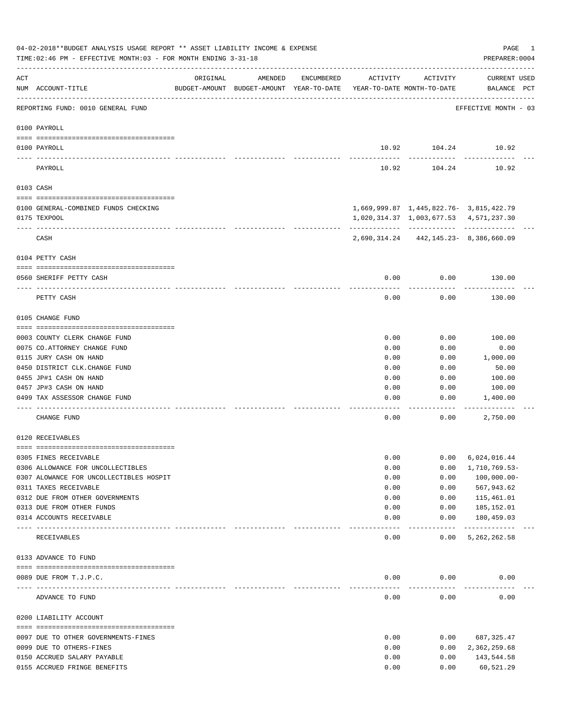|          | 04-02-2018**BUDGET ANALYSIS USAGE REPORT ** ASSET LIABILITY INCOME & EXPENSE<br>TIME: 02:46 PM - EFFECTIVE MONTH: 03 - FOR MONTH ENDING 3-31-18 |                                  |                                                                                |            |          |                                           | PAGE<br>1<br>PREPARER: 0004        |
|----------|-------------------------------------------------------------------------------------------------------------------------------------------------|----------------------------------|--------------------------------------------------------------------------------|------------|----------|-------------------------------------------|------------------------------------|
| ACT      | NUM ACCOUNT-TITLE                                                                                                                               | ORIGINAL                         | AMENDED<br>BUDGET-AMOUNT BUDGET-AMOUNT YEAR-TO-DATE YEAR-TO-DATE MONTH-TO-DATE | ENCUMBERED | ACTIVITY | ACTIVITY                                  | <b>CURRENT USED</b><br>BALANCE PCT |
|          | REPORTING FUND: 0010 GENERAL FUND                                                                                                               |                                  |                                                                                |            |          |                                           | EFFECTIVE MONTH - 03               |
|          | 0100 PAYROLL                                                                                                                                    |                                  |                                                                                |            |          |                                           |                                    |
|          | 0100 PAYROLL                                                                                                                                    |                                  |                                                                                |            |          | 10.92 104.24 10.92                        |                                    |
| ---- --- | PAYROLL                                                                                                                                         |                                  |                                                                                |            | 10.92    | 104.24                                    | 10.92                              |
|          | 0103 CASH                                                                                                                                       |                                  |                                                                                |            |          |                                           |                                    |
|          | 0100 GENERAL-COMBINED FUNDS CHECKING                                                                                                            |                                  |                                                                                |            |          | 1,669,999.87  1,445,822.76-  3,815,422.79 |                                    |
|          | 0175 TEXPOOL                                                                                                                                    |                                  |                                                                                |            |          | 1,020,314.37 1,003,677.53 4,571,237.30    |                                    |
|          | CASH                                                                                                                                            |                                  |                                                                                |            |          | 2,690,314.24 442,145.23-8,386,660.09      |                                    |
|          |                                                                                                                                                 |                                  |                                                                                |            |          |                                           |                                    |
|          | 0104 PETTY CASH                                                                                                                                 |                                  |                                                                                |            |          |                                           |                                    |
|          |                                                                                                                                                 |                                  |                                                                                |            |          |                                           |                                    |
|          | 0560 SHERIFF PETTY CASH                                                                                                                         |                                  |                                                                                |            | 0.00     | 0.00                                      | 130.00                             |
|          | PETTY CASH                                                                                                                                      |                                  |                                                                                |            | 0.00     | 0.00                                      | 130.00                             |
|          | 0105 CHANGE FUND                                                                                                                                |                                  |                                                                                |            |          |                                           |                                    |
|          | 0003 COUNTY CLERK CHANGE FUND                                                                                                                   |                                  |                                                                                |            | 0.00     | 0.00                                      | 100.00                             |
|          | 0075 CO.ATTORNEY CHANGE FUND                                                                                                                    |                                  |                                                                                |            | 0.00     | 0.00                                      | 0.00                               |
|          | 0115 JURY CASH ON HAND                                                                                                                          |                                  |                                                                                |            | 0.00     | 0.00                                      | 1,000.00                           |
|          | 0450 DISTRICT CLK. CHANGE FUND                                                                                                                  |                                  |                                                                                |            | 0.00     | 0.00                                      | 50.00                              |
|          | 0455 JP#1 CASH ON HAND                                                                                                                          |                                  |                                                                                |            | 0.00     | 0.00                                      | 100.00                             |
|          | 0457 JP#3 CASH ON HAND                                                                                                                          |                                  |                                                                                |            | 0.00     | 0.00                                      | 100.00                             |
|          | 0499 TAX ASSESSOR CHANGE FUND                                                                                                                   |                                  |                                                                                |            | 0.00     | 0.00                                      | 1,400.00                           |
|          | CHANGE FUND                                                                                                                                     |                                  |                                                                                |            | 0.00     | 0.00                                      | 2,750.00                           |
|          | 0120 RECEIVABLES                                                                                                                                |                                  |                                                                                |            |          |                                           |                                    |
|          | 0305 FINES RECEIVABLE                                                                                                                           |                                  |                                                                                |            | 0.00     | 0.00                                      | 6,024,016.44                       |
|          | 0306 ALLOWANCE FOR UNCOLLECTIBLES                                                                                                               |                                  |                                                                                |            | 0.00     | 0.00                                      | 1,710,769.53-                      |
|          | 0307 ALOWANCE FOR UNCOLLECTIBLES HOSPIT                                                                                                         |                                  |                                                                                |            | 0.00     | 0.00                                      | $100,000.00-$                      |
|          | 0311 TAXES RECEIVABLE                                                                                                                           |                                  |                                                                                |            | 0.00     | 0.00                                      | 567,943.62                         |
|          | 0312 DUE FROM OTHER GOVERNMENTS                                                                                                                 |                                  |                                                                                |            | 0.00     | 0.00                                      | 115,461.01                         |
|          | 0313 DUE FROM OTHER FUNDS                                                                                                                       |                                  |                                                                                |            | 0.00     | 0.00                                      | 185,152.01                         |
|          | 0314 ACCOUNTS RECEIVABLE                                                                                                                        | ________________________________ |                                                                                |            | 0.00     | 0.00<br>$- - - - -$                       | 180,459.03<br>-------------        |
|          | RECEIVABLES                                                                                                                                     |                                  |                                                                                |            | 0.00     | 0.00                                      | 5, 262, 262.58                     |
|          | 0133 ADVANCE TO FUND                                                                                                                            |                                  |                                                                                |            |          |                                           |                                    |
|          | 0089 DUE FROM T.J.P.C.                                                                                                                          |                                  |                                                                                |            | 0.00     | 0.00                                      | 0.00                               |
|          | --------------------- ------------                                                                                                              |                                  |                                                                                |            |          |                                           |                                    |
|          | ADVANCE TO FUND                                                                                                                                 |                                  |                                                                                |            | 0.00     | 0.00                                      | 0.00                               |
|          | 0200 LIABILITY ACCOUNT                                                                                                                          |                                  |                                                                                |            |          |                                           |                                    |
|          | 0097 DUE TO OTHER GOVERNMENTS-FINES                                                                                                             |                                  |                                                                                |            | 0.00     | 0.00                                      | 687,325.47                         |
|          | 0099 DUE TO OTHERS-FINES                                                                                                                        |                                  |                                                                                |            | 0.00     | 0.00                                      | 2,362,259.68                       |
|          | 0150 ACCRUED SALARY PAYABLE                                                                                                                     |                                  |                                                                                |            | 0.00     | 0.00                                      | 143,544.58                         |
|          | 0155 ACCRUED FRINGE BENEFITS                                                                                                                    |                                  |                                                                                |            | 0.00     | 0.00                                      | 60,521.29                          |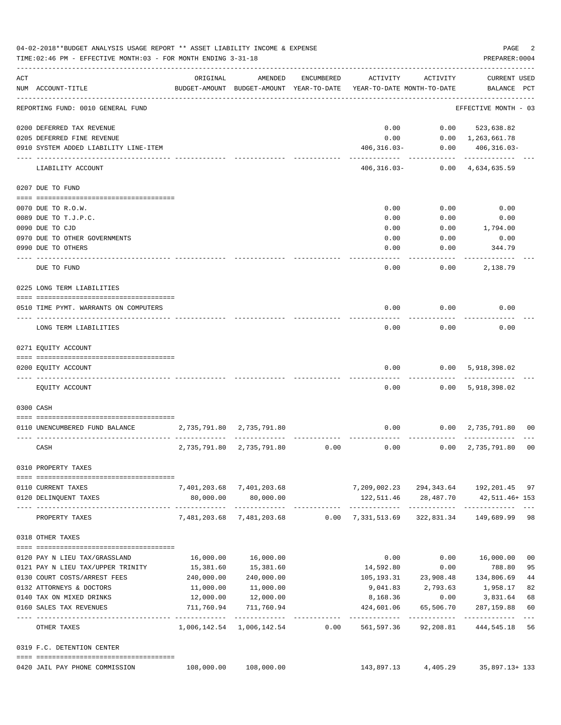|     | 04-02-2018**BUDGET ANALYSIS USAGE REPORT ** ASSET LIABILITY INCOME & EXPENSE<br>TIME: 02:46 PM - EFFECTIVE MONTH: 03 - FOR MONTH ENDING 3-31-18 |              |                                                     |            |                                                                   |              | PAGE<br>PREPARER: 0004                     | 2        |
|-----|-------------------------------------------------------------------------------------------------------------------------------------------------|--------------|-----------------------------------------------------|------------|-------------------------------------------------------------------|--------------|--------------------------------------------|----------|
| ACT | NUM ACCOUNT-TITLE                                                                                                                               | ORIGINAL     | AMENDED<br>BUDGET-AMOUNT BUDGET-AMOUNT YEAR-TO-DATE | ENCUMBERED | ACTIVITY<br>YEAR-TO-DATE MONTH-TO-DATE                            | ACTIVITY     | <b>CURRENT USED</b><br>BALANCE PCT         |          |
|     | REPORTING FUND: 0010 GENERAL FUND                                                                                                               |              |                                                     |            |                                                                   |              | EFFECTIVE MONTH - 03                       |          |
|     | 0200 DEFERRED TAX REVENUE                                                                                                                       |              |                                                     |            | 0.00                                                              | 0.00         | 523,638.82                                 |          |
|     | 0205 DEFERRED FINE REVENUE                                                                                                                      |              |                                                     |            | 0.00                                                              |              | $0.00 \quad 1,263,661.78$                  |          |
|     | 0910 SYSTEM ADDED LIABILITY LINE-ITEM                                                                                                           |              |                                                     |            | $406,316.03-$                                                     | 0.00         | $406, 316.03 -$                            |          |
|     | LIABILITY ACCOUNT                                                                                                                               |              |                                                     |            | $406,316.03-$                                                     | ------------ | -------------<br>$0.00 \quad 4,634,635.59$ |          |
|     | 0207 DUE TO FUND                                                                                                                                |              |                                                     |            |                                                                   |              |                                            |          |
|     | 0070 DUE TO R.O.W.                                                                                                                              |              |                                                     |            | 0.00                                                              | 0.00         | 0.00                                       |          |
|     | 0089 DUE TO T.J.P.C.                                                                                                                            |              |                                                     |            | 0.00                                                              | 0.00         | 0.00                                       |          |
|     | 0090 DUE TO CJD                                                                                                                                 |              |                                                     |            | 0.00                                                              | 0.00         | 1,794.00                                   |          |
|     | 0970 DUE TO OTHER GOVERNMENTS                                                                                                                   |              |                                                     |            | 0.00                                                              | 0.00         | 0.00                                       |          |
|     | 0990 DUE TO OTHERS                                                                                                                              |              |                                                     |            | 0.00                                                              | 0.00         | 344.79                                     |          |
|     |                                                                                                                                                 |              |                                                     |            |                                                                   |              |                                            |          |
|     | DUE TO FUND                                                                                                                                     |              |                                                     |            | 0.00                                                              | 0.00         | 2,138.79                                   |          |
|     | 0225 LONG TERM LIABILITIES                                                                                                                      |              |                                                     |            |                                                                   |              |                                            |          |
|     | 0510 TIME PYMT. WARRANTS ON COMPUTERS                                                                                                           |              |                                                     |            | 0.00                                                              | 0.00         | 0.00                                       |          |
|     |                                                                                                                                                 |              |                                                     |            |                                                                   |              |                                            |          |
|     | LONG TERM LIABILITIES                                                                                                                           |              |                                                     |            | 0.00                                                              | 0.00         | 0.00                                       |          |
|     | 0271 EQUITY ACCOUNT                                                                                                                             |              |                                                     |            |                                                                   |              |                                            |          |
|     |                                                                                                                                                 |              |                                                     |            |                                                                   |              |                                            |          |
|     | 0200 EQUITY ACCOUNT<br>-- -----------                                                                                                           |              |                                                     |            | 0.00                                                              | 0.00         | 5,918,398.02                               |          |
|     | EQUITY ACCOUNT                                                                                                                                  |              |                                                     |            | 0.00                                                              |              | 0.00 5,918,398.02                          |          |
|     | 0300 CASH                                                                                                                                       |              |                                                     |            |                                                                   |              |                                            |          |
|     |                                                                                                                                                 |              |                                                     |            |                                                                   |              |                                            |          |
|     | 0110 UNENCUMBERED FUND BALANCE                                                                                                                  | 2,735,791.80 | 2,735,791.80                                        |            | 0.00                                                              |              | $0.00 \quad 2,735,791.80$                  | 00       |
|     | CASH                                                                                                                                            | 2,735,791.80 | 2,735,791.80                                        | 0.00       | 0.00                                                              | 0.00         | 2,735,791.80                               | 00       |
|     | 0310 PROPERTY TAXES                                                                                                                             |              |                                                     |            |                                                                   |              |                                            |          |
|     | 0110 CURRENT TAXES                                                                                                                              |              | 7,401,203.68 7,401,203.68                           |            | 7,209,002.23 294,343.64 192,201.45 97                             |              |                                            |          |
|     | 0120 DELINQUENT TAXES                                                                                                                           | 80,000.00    | 80,000.00                                           |            | 122,511.46 28,487.70                                              |              | 42,511.46+153                              |          |
|     | PROPERTY TAXES                                                                                                                                  |              | -------------<br>7,481,203.68 7,481,203.68          |            | 0.00 7,331,513.69 322,831.34 149,689.99 98                        |              |                                            |          |
|     | 0318 OTHER TAXES                                                                                                                                |              |                                                     |            |                                                                   |              |                                            |          |
|     |                                                                                                                                                 |              |                                                     |            |                                                                   |              |                                            |          |
|     |                                                                                                                                                 |              |                                                     |            |                                                                   |              |                                            |          |
|     | 0120 PAY N LIEU TAX/GRASSLAND<br>0121 PAY N LIEU TAX/UPPER TRINITY                                                                              | 15,381.60    | 16,000.00   16,000.00<br>15,381.60                  |            | 0.00<br>14,592.80                                                 | 0.00         | $0.00$ 16,000.00<br>788.80                 | 00<br>95 |
|     | 0130 COURT COSTS/ARREST FEES                                                                                                                    |              | 240,000.00 240,000.00                               |            |                                                                   |              | 105, 193.31 23, 908.48 134, 806.69         | 44       |
|     | 0132 ATTORNEYS & DOCTORS                                                                                                                        | 11,000.00    | 11,000.00                                           |            |                                                                   |              | 9,041.83 2,793.63 1,958.17                 | 82       |
|     |                                                                                                                                                 |              |                                                     |            |                                                                   |              |                                            |          |
|     | 0140 TAX ON MIXED DRINKS                                                                                                                        |              | 12,000.00   12,000.00                               |            |                                                                   |              | 8,168.36 0.00 3,831.64                     | 68       |
|     | 0160 SALES TAX REVENUES                                                                                                                         | 711,760.94   | 711,760.94                                          |            | 424,601.06<br>.                                                   |              | 65,506.70 287,159.88                       | 60       |
|     | OTHER TAXES                                                                                                                                     |              |                                                     |            | 1,006,142.54 1,006,142.54 0.00 561,597.36 92,208.81 444,545.18 56 |              |                                            |          |
|     | 0319 F.C. DETENTION CENTER                                                                                                                      |              |                                                     |            |                                                                   |              |                                            |          |
|     | 0420 JAIL PAY PHONE COMMISSION                                                                                                                  |              | 108,000.00 108,000.00                               |            |                                                                   |              | 143,897.13 4,405.29 35,897.13+133          |          |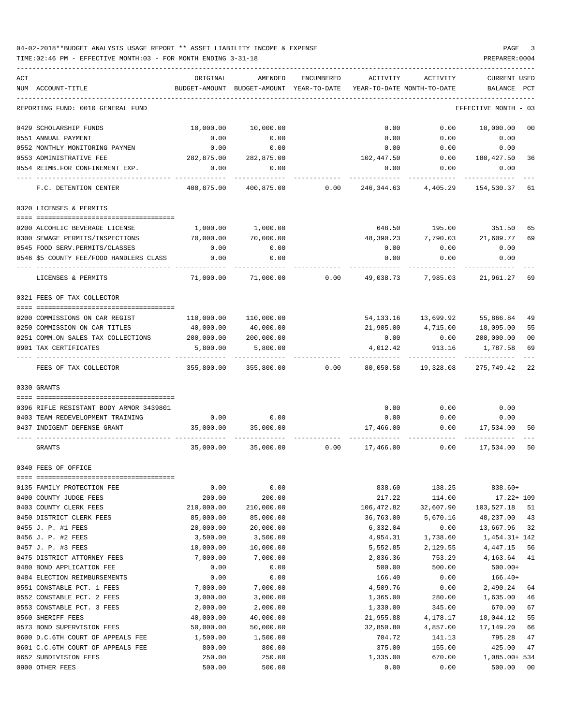| ACT | NUM ACCOUNT-TITLE                                                   | ORIGINAL<br>BUDGET-AMOUNT | AMENDED<br>BUDGET-AMOUNT YEAR-TO-DATE | ENCUMBERED | ACTIVITY               | ACTIVITY<br>YEAR-TO-DATE MONTH-TO-DATE | <b>CURRENT USED</b><br>BALANCE | PCT      |
|-----|---------------------------------------------------------------------|---------------------------|---------------------------------------|------------|------------------------|----------------------------------------|--------------------------------|----------|
|     | REPORTING FUND: 0010 GENERAL FUND                                   |                           |                                       |            |                        |                                        | EFFECTIVE MONTH                | - 03     |
|     | 0429 SCHOLARSHIP FUNDS                                              | 10,000.00                 | 10,000.00                             |            | 0.00                   | 0.00                                   | 10,000.00                      | 00       |
|     | 0551 ANNUAL PAYMENT                                                 | 0.00                      | 0.00                                  |            | 0.00                   | 0.00                                   | 0.00                           |          |
|     | 0552 MONTHLY MONITORING PAYMEN                                      | 0.00                      | 0.00                                  |            | 0.00                   | 0.00                                   | 0.00                           |          |
|     | 0553 ADMINISTRATIVE FEE                                             | 282,875.00                | 282,875.00                            |            | 102,447.50             | 0.00                                   | 180,427.50                     | -36      |
|     | 0554 REIMB.FOR CONFINEMENT EXP.                                     | 0.00                      | 0.00                                  |            | 0.00                   | 0.00                                   | 0.00                           |          |
|     | F.C. DETENTION CENTER                                               | 400,875.00                | 400,875.00                            | 0.00       | 246,344.63             | 4,405.29                               | 154,530.37                     | 61       |
|     | 0320 LICENSES & PERMITS                                             |                           |                                       |            |                        |                                        |                                |          |
|     | 0200 ALCOHLIC BEVERAGE LICENSE                                      | 1,000.00                  | 1,000.00                              |            | 648.50                 |                                        | 195.00 351.50                  | 65       |
|     | 0300 SEWAGE PERMITS/INSPECTIONS                                     | 70,000.00                 | 70,000.00                             |            | 48,390.23              | 7,790.03                               | 21,609.77                      | 69       |
|     | 0545 FOOD SERV.PERMITS/CLASSES                                      | 0.00                      | 0.00                                  |            | 0.00                   | 0.00                                   | 0.00                           |          |
|     | 0546 \$5 COUNTY FEE/FOOD HANDLERS CLASS                             | 0.00                      | 0.00                                  |            | 0.00                   | 0.00                                   | 0.00                           |          |
|     | LICENSES & PERMITS                                                  | 71,000.00                 | 71,000.00                             | 0.00       | 49,038.73              | 7,985.03                               | 21,961.27                      | 69       |
|     | 0321 FEES OF TAX COLLECTOR                                          |                           |                                       |            |                        |                                        |                                |          |
|     |                                                                     |                           |                                       |            |                        |                                        |                                |          |
|     | 0200 COMMISSIONS ON CAR REGIST                                      | 110,000.00<br>40,000.00   | 110,000.00                            |            | 54,133.16<br>21,905.00 | 13,699.92                              | 55,866.84                      | 49       |
|     | 0250 COMMISSION ON CAR TITLES<br>0251 COMM.ON SALES TAX COLLECTIONS | 200,000.00                | 40,000.00<br>200,000.00               |            | 0.00                   | 4,715.00<br>0.00                       | 18,095.00<br>200,000.00        | 55<br>00 |
|     | 0901 TAX CERTIFICATES                                               | 5,800.00                  | 5,800.00                              |            | 4,012.42               | 913.16                                 | 1,787.58                       | 69       |
|     |                                                                     |                           |                                       |            |                        |                                        |                                |          |
|     | FEES OF TAX COLLECTOR                                               | 355,800.00                | 355,800.00                            | 0.00       | 80,050.58              | 19,328.08                              | 275,749.42                     | 22       |
|     | 0330 GRANTS                                                         |                           |                                       |            |                        |                                        |                                |          |
|     |                                                                     |                           |                                       |            |                        |                                        |                                |          |
|     | 0396 RIFLE RESISTANT BODY ARMOR 3439801                             |                           |                                       |            | 0.00                   | 0.00                                   | 0.00                           |          |
|     | 0403 TEAM REDEVELOPMENT TRAINING                                    | 0.00                      | 0.00                                  |            | 0.00                   | 0.00                                   | 0.00                           |          |
|     | 0437 INDIGENT DEFENSE GRANT                                         | 35,000.00                 | 35,000.00                             |            | 17,466.00              | 0.00                                   | 17,534.00                      | 50       |
|     | GRANTS                                                              | 35,000.00                 | 35,000.00                             | 0.00       | 17,466.00              | 0.00                                   | 17,534.00                      | 50       |
|     | 0340 FEES OF OFFICE                                                 |                           |                                       |            |                        |                                        |                                |          |
|     | 0135 FAMILY PROTECTION FEE                                          | 0.00                      | 0.00                                  |            | 838.60                 | 138.25                                 | 838.60+                        |          |
|     | 0400 COUNTY JUDGE FEES                                              | 200.00                    | 200.00                                |            | 217.22                 | 114.00                                 | $17.22 + 109$                  |          |
|     | 0403 COUNTY CLERK FEES                                              | 210,000.00                | 210,000.00                            |            | 106,472.82             | 32,607.90                              | 103,527.18                     | 51       |
|     | 0450 DISTRICT CLERK FEES                                            | 85,000.00                 | 85,000.00                             |            | 36,763.00              | 5,670.16                               | 48,237.00                      | 43       |
|     | 0455 J. P. #1 FEES                                                  | 20,000.00                 | 20,000.00                             |            | 6,332.04               | 0.00                                   | 13,667.96                      | 32       |
|     | 0456 J. P. #2 FEES                                                  | 3,500.00                  | 3,500.00                              |            | 4,954.31               | 1,738.60                               | $1,454.31+142$                 |          |
|     | 0457 J. P. #3 FEES                                                  | 10,000.00                 | 10,000.00                             |            | 5,552.85               | 2,129.55                               | 4,447.15                       | 56       |
|     | 0475 DISTRICT ATTORNEY FEES                                         | 7,000.00                  | 7,000.00                              |            | 2,836.36               | 753.29                                 | 4,163.64                       | 41       |
|     | 0480 BOND APPLICATION FEE                                           | 0.00                      | 0.00                                  |            | 500.00                 | 500.00                                 | $500.00+$                      |          |
|     | 0484 ELECTION REIMBURSEMENTS                                        | 0.00                      | 0.00                                  |            | 166.40                 | 0.00                                   | $166.40+$                      |          |
|     | 0551 CONSTABLE PCT. 1 FEES                                          | 7,000.00                  | 7,000.00                              |            | 4,509.76               | 0.00                                   | 2,490.24                       | 64       |
|     | 0552 CONSTABLE PCT. 2 FEES                                          | 3,000.00                  | 3,000.00                              |            | 1,365.00               | 280.00                                 | 1,635.00                       | 46       |
|     | 0553 CONSTABLE PCT. 3 FEES                                          | 2,000.00                  | 2,000.00                              |            | 1,330.00               | 345.00                                 | 670.00                         | 67       |
|     | 0560 SHERIFF FEES                                                   | 40,000.00                 | 40,000.00                             |            | 21,955.88              | 4,178.17                               | 18,044.12                      | 55       |
|     | 0573 BOND SUPERVISION FEES                                          | 50,000.00                 | 50,000.00                             |            | 32,850.80              | 4,857.00                               | 17,149.20                      | 66       |
|     | 0600 D.C.6TH COURT OF APPEALS FEE                                   | 1,500.00                  | 1,500.00                              |            | 704.72                 | 141.13                                 | 795.28                         | 47       |
|     | 0601 C.C.6TH COURT OF APPEALS FEE                                   | 800.00                    | 800.00                                |            | 375.00                 | 155.00                                 | 425.00                         | 47       |
|     | 0652 SUBDIVISION FEES                                               | 250.00                    | 250.00                                |            | 1,335.00               | 670.00                                 | 1,085.00+ 534                  |          |
|     | 0900 OTHER FEES                                                     | 500.00                    | 500.00                                |            | 0.00                   | 0.00                                   | 500.00                         | $00\,$   |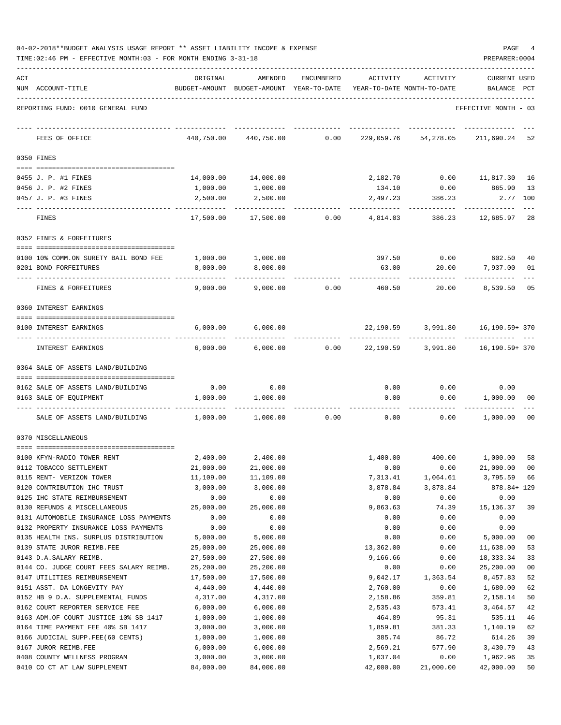| 04-02-2018**BUDGET ANALYSIS USAGE REPORT ** ASSET LIABILITY INCOME & EXPENSE |  |  |  |  | PAGE |  |
|------------------------------------------------------------------------------|--|--|--|--|------|--|
|                                                                              |  |  |  |  |      |  |

|     | TIME: 02:46 PM - EFFECTIVE MONTH: 03 - FOR MONTH ENDING 3-31-18          |                      |                                                     |            |                                        |                                  | PREPARER: 0004                 |          |
|-----|--------------------------------------------------------------------------|----------------------|-----------------------------------------------------|------------|----------------------------------------|----------------------------------|--------------------------------|----------|
| ACT | NUM ACCOUNT-TITLE                                                        | ORIGINAL             | AMENDED<br>BUDGET-AMOUNT BUDGET-AMOUNT YEAR-TO-DATE | ENCUMBERED | ACTIVITY<br>YEAR-TO-DATE MONTH-TO-DATE | ACTIVITY                         | <b>CURRENT USED</b><br>BALANCE | PCT      |
|     | REPORTING FUND: 0010 GENERAL FUND                                        |                      |                                                     |            |                                        |                                  | EFFECTIVE MONTH - 03           |          |
|     | FEES OF OFFICE                                                           | 440,750.00           | 440,750.00                                          | 0.00       | 229,059.76                             | 54,278.05                        | 211,690.24 52                  |          |
|     | 0350 FINES                                                               |                      |                                                     |            |                                        |                                  |                                |          |
|     | 0455 J. P. #1 FINES                                                      |                      | 14,000.00   14,000.00                               |            |                                        | 2,182.70   0.00   11,817.30   16 |                                |          |
|     | 0456 J. P. #2 FINES                                                      | 1,000.00             | 1,000.00                                            |            | 134.10                                 |                                  | $0.00$ 865.90                  | 13       |
|     | 0457 J. P. #3 FINES                                                      | 2,500.00             | 2,500.00                                            |            |                                        | 2,497.23 386.23                  | 2.77 100                       |          |
|     | FINES                                                                    | 17,500.00            | 17,500.00                                           | 0.00       | 4,814.03                               |                                  | 386.23 12,685.97               | -28      |
|     | 0352 FINES & FORFEITURES                                                 |                      |                                                     |            |                                        |                                  |                                |          |
|     | 0100 10% COMM.ON SURETY BAIL BOND FEE                                    |                      | 1,000.00 1,000.00                                   |            |                                        | 397.50 0.00 602.50               |                                | 40       |
|     | 0201 BOND FORFEITURES                                                    | 8,000.00             | 8,000.00                                            |            | 63.00                                  | 20.00                            | 7,937.00                       | 01       |
|     | FINES & FORFEITURES                                                      | 9,000.00             | 9,000.00                                            | 0.00       | 460.50                                 | 20.00                            | 8,539.50                       | 05       |
|     | 0360 INTEREST EARNINGS                                                   |                      |                                                     |            |                                        |                                  |                                |          |
|     |                                                                          |                      |                                                     |            |                                        |                                  |                                |          |
|     | 0100 INTEREST EARNINGS                                                   | 6,000.00             | 6,000.00                                            |            |                                        | 22,190.59 3,991.80 16,190.59+370 |                                |          |
|     | INTEREST EARNINGS                                                        | 6,000.00             | 6,000.00                                            | 0.00       |                                        | 22,190.59 3,991.80 16,190.59+370 |                                |          |
|     | 0364 SALE OF ASSETS LAND/BUILDING                                        |                      |                                                     |            |                                        |                                  |                                |          |
|     | 0162 SALE OF ASSETS LAND/BUILDING                                        | 0.00                 | 0.00                                                |            | 0.00                                   | 0.00                             | 0.00                           |          |
|     | 0163 SALE OF EQUIPMENT                                                   | 1,000.00             | 1,000.00                                            |            | 0.00                                   | 0.00                             | 1,000.00                       | 00       |
|     |                                                                          |                      |                                                     |            |                                        |                                  |                                |          |
|     | SALE OF ASSETS LAND/BUILDING                                             | 1,000.00             | 1,000.00                                            | 0.00       |                                        | 0.00<br>0.00                     | 1,000.00                       | 00       |
|     | 0370 MISCELLANEOUS                                                       |                      |                                                     |            |                                        |                                  |                                |          |
|     | 0100 KFYN-RADIO TOWER RENT                                               |                      | 2,400.00 2,400.00                                   |            |                                        | 1,400.00 400.00 1,000.00 58      |                                |          |
|     | 0112 TOBACCO SETTLEMENT                                                  | 21,000.00            | 21,000.00                                           |            | 0.00                                   | 0.00                             | 21,000.00                      | 00       |
|     | 0115 RENT- VERIZON TOWER                                                 | 11,109.00            | 11,109.00                                           |            | 7,313.41                               | 1,064.61                         | 3,795.59                       | 66       |
|     | 0120 CONTRIBUTION IHC TRUST                                              | 3,000.00             | 3,000.00                                            |            | 3,878.84                               | 3,878.84                         | 878.84+ 129                    |          |
|     | 0125 IHC STATE REIMBURSEMENT                                             | 0.00                 | 0.00                                                |            | 0.00                                   | 0.00                             | 0.00                           |          |
|     | 0130 REFUNDS & MISCELLANEOUS                                             | 25,000.00            | 25,000.00                                           |            | 9,863.63                               | 74.39                            | 15, 136.37                     | 39       |
|     | 0131 AUTOMOBILE INSURANCE LOSS PAYMENTS                                  | 0.00                 | 0.00                                                |            | 0.00                                   | 0.00                             | 0.00                           |          |
|     | 0132 PROPERTY INSURANCE LOSS PAYMENTS                                    | 0.00                 | 0.00                                                |            | 0.00                                   | 0.00                             | 0.00                           |          |
|     | 0135 HEALTH INS. SURPLUS DISTRIBUTION                                    | 5,000.00             | 5,000.00                                            |            | 0.00                                   | 0.00                             | 5,000.00                       | 00       |
|     | 0139 STATE JUROR REIMB.FEE                                               | 25,000.00            | 25,000.00                                           |            | 13,362.00                              | 0.00                             | 11,638.00                      | 53       |
|     | 0143 D.A.SALARY REIMB.                                                   | 27,500.00            | 27,500.00                                           |            | 9,166.66                               | 0.00                             | 18, 333. 34                    | 33       |
|     | 0144 CO. JUDGE COURT FEES SALARY REIMB.                                  | 25,200.00            | 25,200.00                                           |            | 0.00                                   | 0.00                             | 25,200.00                      | 00       |
|     | 0147 UTILITIES REIMBURSEMENT                                             | 17,500.00            | 17,500.00                                           |            | 9,042.17                               | 1,363.54                         | 8,457.83                       | 52       |
|     | 0151 ASST. DA LONGEVITY PAY                                              | 4,440.00             | 4,440.00                                            |            | 2,760.00                               | 0.00                             | 1,680.00                       | 62       |
|     | 0152 HB 9 D.A. SUPPLEMENTAL FUNDS                                        | 4,317.00             | 4,317.00                                            |            | 2,158.86                               | 359.81                           | 2,158.14                       | 50       |
|     | 0162 COURT REPORTER SERVICE FEE<br>0163 ADM.OF COURT JUSTICE 10% SB 1417 | 6,000.00             | 6,000.00<br>1,000.00                                |            | 2,535.43<br>464.89                     | 573.41                           | 3,464.57<br>535.11             | 42       |
|     | 0164 TIME PAYMENT FEE 40% SB 1417                                        | 1,000.00<br>3,000.00 | 3,000.00                                            |            | 1,859.81                               | 95.31<br>381.33                  | 1,140.19                       | 46<br>62 |
|     | 0166 JUDICIAL SUPP.FEE(60 CENTS)                                         | 1,000.00             | 1,000.00                                            |            | 385.74                                 | 86.72                            | 614.26                         | 39       |
|     | 0167 JUROR REIMB.FEE                                                     | 6,000.00             | 6,000.00                                            |            | 2,569.21                               | 577.90                           | 3,430.79                       | 43       |
|     | 0408 COUNTY WELLNESS PROGRAM                                             | 3,000.00             | 3,000.00                                            |            | 1,037.04                               | 0.00                             | 1,962.96                       | 35       |
|     | 0410 CO CT AT LAW SUPPLEMENT                                             | 84,000.00            | 84,000.00                                           |            | 42,000.00                              | 21,000.00                        | 42,000.00                      | 50       |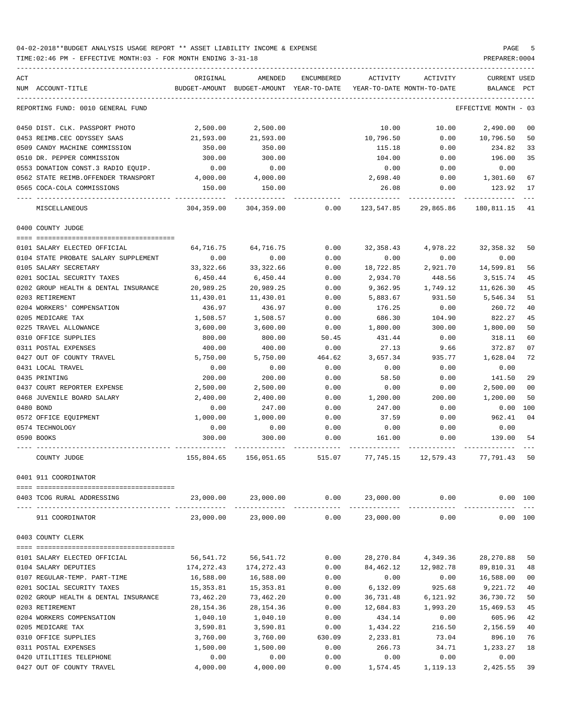TIME:02:46 PM - EFFECTIVE MONTH:03 - FOR MONTH ENDING 3-31-18

| ACT                                  | ORIGINAL   | AMENDED                                  | ENCUMBERED | ACTIVITY                   | ACTIVITY                                                                          | <b>CURRENT USED</b>  |                |
|--------------------------------------|------------|------------------------------------------|------------|----------------------------|-----------------------------------------------------------------------------------|----------------------|----------------|
| NUM ACCOUNT-TITLE                    |            | BUDGET-AMOUNT BUDGET-AMOUNT YEAR-TO-DATE |            | YEAR-TO-DATE MONTH-TO-DATE |                                                                                   | BALANCE              | PCT            |
| REPORTING FUND: 0010 GENERAL FUND    |            |                                          |            |                            |                                                                                   | EFFECTIVE MONTH - 03 |                |
| 0450 DIST. CLK. PASSPORT PHOTO       | 2,500.00   | 2,500.00                                 |            | 10.00                      | 10.00                                                                             | 2,490.00             | 0 <sup>0</sup> |
| 0453 REIMB.CEC ODYSSEY SAAS          | 21,593.00  | 21,593.00                                |            | 10,796.50                  | 0.00                                                                              | 10,796.50            | 50             |
| 0509 CANDY MACHINE COMMISSION        | 350.00     | 350.00                                   |            | 115.18                     | 0.00                                                                              | 234.82               | 33             |
| 0510 DR. PEPPER COMMISSION           | 300.00     | 300.00                                   |            | 104.00                     | 0.00                                                                              | 196.00               | 35             |
| 0553 DONATION CONST.3 RADIO EQUIP.   | 0.00       | 0.00                                     |            | 0.00                       | 0.00                                                                              | 0.00                 |                |
| 0562 STATE REIMB.OFFENDER TRANSPORT  | 4,000.00   | 4,000.00                                 |            | 2,698.40                   | 0.00                                                                              | 1,301.60             | 67             |
| 0565 COCA-COLA COMMISSIONS           | 150.00     | 150.00                                   |            | 26.08                      | 0.00                                                                              | 123.92               | 17             |
| MISCELLANEOUS                        | 304,359.00 | 304,359.00                               | 0.00       | 123,547.85                 | 29,865.86                                                                         | 180,811.15           | 41             |
| 0400 COUNTY JUDGE                    |            |                                          |            |                            |                                                                                   |                      |                |
| 0101 SALARY ELECTED OFFICIAL         | 64,716.75  | 64,716.75                                | 0.00       | 32,358.43                  | 4,978.22                                                                          | 32, 358.32           | 50             |
| 0104 STATE PROBATE SALARY SUPPLEMENT | 0.00       | 0.00                                     | 0.00       | 0.00                       | 0.00                                                                              | 0.00                 |                |
| 0105 SALARY SECRETARY                | 33, 322.66 | 33, 322.66                               | 0.00       | 18,722.85                  | 2,921.70                                                                          | 14,599.81            | 56             |
| 0201 SOCIAL SECURITY TAXES           | 6,450.44   | 6,450.44                                 | 0.00       | 2,934.70                   | 448.56                                                                            | 3,515.74             | 45             |
| 0202 GROUP HEALTH & DENTAL INSURANCE | 20,989.25  | 20,989.25                                | 0.00       | 9,362.95                   | 1,749.12                                                                          | 11,626.30            | 45             |
| 0203 RETIREMENT                      | 11,430.01  | 11,430.01                                | 0.00       | 5,883.67                   | 931.50                                                                            | 5,546.34             | 51             |
| 0204 WORKERS' COMPENSATION           | 436.97     | 436.97                                   | 0.00       | 176.25                     | 0.00                                                                              | 260.72               | 40             |
| 0205 MEDICARE TAX                    | 1,508.57   | 1,508.57                                 | 0.00       | 686.30                     | 104.90                                                                            | 822.27               | 45             |
| 0225 TRAVEL ALLOWANCE                | 3,600.00   | 3,600.00                                 | 0.00       | 1,800.00                   | 300.00                                                                            | 1,800.00             | 50             |
| 0310 OFFICE SUPPLIES                 | 800.00     | 800.00                                   | 50.45      | 431.44                     | 0.00                                                                              | 318.11               | 60             |
| 0311 POSTAL EXPENSES                 | 400.00     | 400.00                                   | 0.00       | 27.13                      | 9.66                                                                              | 372.87               | 07             |
| 0427 OUT OF COUNTY TRAVEL            | 5,750.00   | 5,750.00                                 | 464.62     | 3,657.34                   | 935.77                                                                            | 1,628.04             | 72             |
| 0431 LOCAL TRAVEL                    | 0.00       | 0.00                                     | 0.00       | 0.00                       | 0.00                                                                              | 0.00                 |                |
| 0435 PRINTING                        | 200.00     | 200.00                                   | 0.00       | 58.50                      | 0.00                                                                              | 141.50               | 29             |
| 0437 COURT REPORTER EXPENSE          | 2,500.00   | 2,500.00                                 | 0.00       | 0.00                       | 0.00                                                                              | 2,500.00             | 0 <sub>0</sub> |
| 0468 JUVENILE BOARD SALARY           | 2,400.00   | 2,400.00                                 | 0.00       | 1,200.00                   | 200.00                                                                            | 1,200.00             | 50             |
| 0480 BOND                            | 0.00       | 247.00                                   | 0.00       | 247.00                     | 0.00                                                                              | 0.00                 | 100            |
| 0572 OFFICE EQUIPMENT                | 1,000.00   | 1,000.00                                 | 0.00       | 37.59                      | 0.00                                                                              | 962.41               | 04             |
| 0574 TECHNOLOGY                      | 0.00       | 0.00                                     | 0.00       | 0.00                       | 0.00                                                                              | 0.00                 |                |
| 0590 BOOKS                           | 300.00     | 300.00                                   | 0.00       | 161.00                     | 0.00                                                                              | 139.00               | 54             |
| COUNTY JUDGE                         | 155,804.65 | 156,051.65                               | 515.07     |                            | 77,745.15 12,579.43 77,791.43                                                     |                      | 50             |
| 0401 911 COORDINATOR                 |            |                                          |            |                            |                                                                                   |                      |                |
| 0403 TCOG RURAL ADDRESSING           |            |                                          |            |                            | $23,000.00$ $23,000.00$ $0.00$ $23,000.00$ $0.00$<br>------------- -------------- | 0.00 100             |                |
| 911 COORDINATOR                      | 23,000.00  | 23,000.00                                | 0.00       | 23,000.00                  | 0.00                                                                              | 0.00 100             |                |
| 0403 COUNTY CLERK                    |            |                                          |            |                            |                                                                                   |                      |                |
| 0101 SALARY ELECTED OFFICIAL         | 56,541.72  | 56,541.72                                | 0.00       | 28,270.84                  | 4,349.36                                                                          | 28,270.88            | 50             |
| 0104 SALARY DEPUTIES                 | 174,272.43 | 174,272.43                               | 0.00       |                            | 84, 462. 12 12, 982. 78                                                           | 89,810.31            | 48             |
| 0107 REGULAR-TEMP. PART-TIME         | 16,588.00  | 16,588.00                                | 0.00       | 0.00                       | 0.00                                                                              | 16,588.00            | 0 <sub>0</sub> |
| 0201 SOCIAL SECURITY TAXES           | 15,353.81  | 15,353.81                                | 0.00       | 6,132.09                   | 925.68                                                                            | 9,221.72             | 40             |
| 0202 GROUP HEALTH & DENTAL INSURANCE | 73,462.20  | 73,462.20                                | 0.00       | 36,731.48                  | 6,121.92                                                                          | 36,730.72            | 50             |
| 0203 RETIREMENT                      | 28,154.36  | 28,154.36                                | 0.00       | 12,684.83                  | 1,993.20                                                                          | 15,469.53            | 45             |
| 0204 WORKERS COMPENSATION            | 1,040.10   | 1,040.10                                 | 0.00       | 434.14                     | 0.00                                                                              | 605.96               | 42             |
| 0205 MEDICARE TAX                    | 3,590.81   | 3,590.81                                 | 0.00       | 1,434.22                   | 216.50                                                                            | 2,156.59             | 40             |
| 0310 OFFICE SUPPLIES                 | 3,760.00   | 3,760.00                                 | 630.09     | 2,233.81                   | 73.04                                                                             | 896.10               | 76             |
| 0311 POSTAL EXPENSES                 | 1,500.00   | 1,500.00                                 | 0.00       | 266.73                     | 34.71                                                                             | 1,233.27             | 18             |
| 0420 UTILITIES TELEPHONE             | 0.00       | 0.00                                     | 0.00       | 0.00                       | 0.00                                                                              |                      |                |
|                                      |            |                                          |            |                            |                                                                                   | 0.00                 |                |

0427 OUT OF COUNTY TRAVEL  $4,000.00$   $4,000.00$   $4,000.00$   $0.00$   $1,574.45$   $1,119.13$   $2,425.55$  39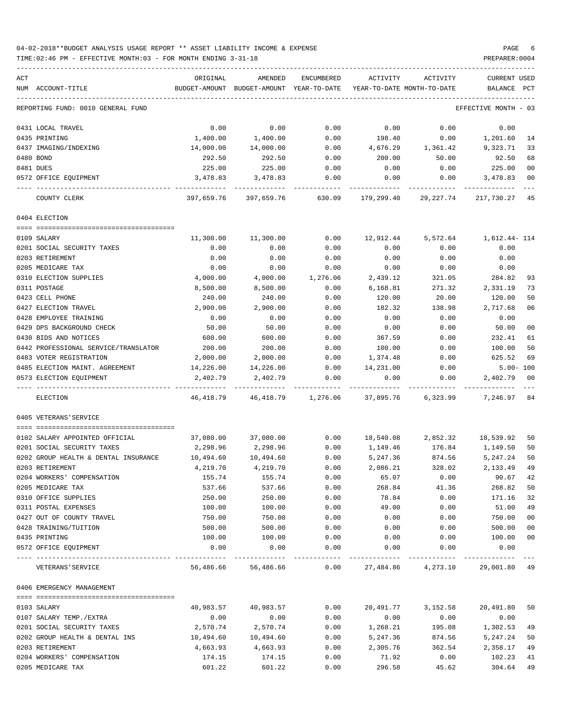### 04-02-2018\*\*BUDGET ANALYSIS USAGE REPORT \*\* ASSET LIABILITY INCOME & EXPENSE PAGE 6 TIME:02:46 PM - EFFECTIVE MONTH:03 - FOR MONTH ENDING 3-31-18 PREPARER:0004

-----------------------------------------------------------------------------------------------------------------------------------

| ACT |                                           | ORIGINAL         | AMENDED                    | <b>ENCUMBERED</b>    | ACTIVITY        | ACTIVITY                   | CURRENT USED         |          |
|-----|-------------------------------------------|------------------|----------------------------|----------------------|-----------------|----------------------------|----------------------|----------|
|     | NUM ACCOUNT-TITLE                         | BUDGET-AMOUNT    | BUDGET-AMOUNT YEAR-TO-DATE |                      |                 | YEAR-TO-DATE MONTH-TO-DATE | BALANCE              | PCT      |
|     | REPORTING FUND: 0010 GENERAL FUND         |                  |                            |                      |                 |                            | EFFECTIVE MONTH - 03 |          |
|     | 0431 LOCAL TRAVEL                         | 0.00             | 0.00                       | 0.00                 | 0.00            | 0.00                       | 0.00                 |          |
|     | 0435 PRINTING                             | 1,400.00         | 1,400.00                   | 0.00                 | 198.40          | 0.00                       | 1,201.60             | 14       |
|     | 0437 IMAGING/INDEXING                     | 14,000.00        | 14,000.00                  | 0.00                 | 4,676.29        | 1,361.42                   | 9,323.71             | 33       |
|     | 0480 BOND                                 | 292.50           | 292.50                     | 0.00                 | 200.00          | 50.00                      | 92.50                | 68       |
|     | 0481 DUES                                 | 225.00           | 225.00                     | 0.00                 | 0.00            | 0.00                       | 225.00               | 00       |
|     | 0572 OFFICE EQUIPMENT                     | 3,478.83         | 3,478.83                   | 0.00                 | 0.00            | 0.00                       | 3,478.83             | 00       |
|     | COUNTY CLERK                              | 397,659.76       | 397,659.76                 | 630.09               | 179,299.40      | 29,227.74                  | 217,730.27           | 45       |
|     | 0404 ELECTION                             |                  |                            |                      |                 |                            |                      |          |
|     | 0109 SALARY                               | 11,300.00        | 11,300.00                  | 0.00                 | 12,912.44       | 5,572.64                   | 1,612.44- 114        |          |
|     | 0201 SOCIAL SECURITY TAXES                | 0.00             | 0.00                       | 0.00                 | 0.00            | 0.00                       | 0.00                 |          |
|     | 0203 RETIREMENT                           | 0.00             | 0.00                       | 0.00                 | 0.00            | 0.00                       | 0.00                 |          |
|     | 0205 MEDICARE TAX                         | 0.00             | 0.00                       | 0.00                 | 0.00            | 0.00                       | 0.00                 |          |
|     | 0310 ELECTION SUPPLIES                    | 4,000.00         | 4,000.00                   | 1,276.06             | 2,439.12        | 321.05                     | 284.82               | 93       |
|     | 0311 POSTAGE                              | 8,500.00         | 8,500.00                   | 0.00                 | 6,168.81        | 271.32                     | 2,331.19             | 73       |
|     | 0423 CELL PHONE                           | 240.00           | 240.00                     | 0.00                 | 120.00          | 20.00                      | 120.00               | 50       |
|     | 0427 ELECTION TRAVEL                      | 2,900.00         | 2,900.00                   | 0.00                 | 182.32          | 138.98                     | 2,717.68             | 06       |
|     | 0428 EMPLOYEE TRAINING                    | 0.00             | 0.00                       | 0.00                 | 0.00            | 0.00                       | 0.00                 |          |
|     | 0429 DPS BACKGROUND CHECK                 | 50.00            | 50.00                      | 0.00                 | 0.00            | 0.00                       | 50.00                | 00       |
|     | 0430 BIDS AND NOTICES                     | 600.00           | 600.00                     | 0.00                 | 367.59          | 0.00                       | 232.41               | 61       |
|     | 0442 PROFESSIONAL SERVICE/TRANSLATOR      | 200.00           | 200.00                     | 0.00                 | 100.00          | 0.00                       | 100.00               | 50       |
|     | 0483 VOTER REGISTRATION                   | 2,000.00         | 2,000.00                   | 0.00                 | 1,374.48        | 0.00                       | 625.52               | 69       |
|     | 0485 ELECTION MAINT. AGREEMENT            | 14,226.00        | 14,226.00                  | 0.00                 | 14,231.00       | 0.00                       | $5.00 - 100$         |          |
|     | 0573 ELECTION EQUIPMENT                   | 2,402.79         | 2,402.79                   | 0.00                 | 0.00            | 0.00                       | 2,402.79             | 00       |
|     | <b>ELECTION</b>                           | 46,418.79        |                            | 46, 418.79 1, 276.06 | 37,895.76       | 6,323.99                   | 7,246.97             | 84       |
|     | 0405 VETERANS'SERVICE                     |                  |                            |                      |                 |                            |                      |          |
|     |                                           |                  |                            |                      |                 |                            |                      |          |
|     | 0102 SALARY APPOINTED OFFICIAL            | 37,080.00        | 37,080.00                  | 0.00                 | 18,540.08       | 2,852.32                   | 18,539.92            | 50       |
|     | 0201 SOCIAL SECURITY TAXES                | 2,298.96         | 2,298.96                   | 0.00                 | 1,149.46        | 176.84                     | 1,149.50             | 50       |
|     | 0202 GROUP HEALTH & DENTAL INSURANCE      | 10,494.60        | 10,494.60                  | 0.00                 | 5,247.36        | 874.56                     | 5,247.24             | 50       |
|     | 0203 RETIREMENT                           | 4,219.70         | 4,219.70                   | 0.00                 | 2,086.21        | 328.02                     | 2,133.49             | 49       |
|     | 0204 WORKERS' COMPENSATION                | 155.74<br>537.66 | 155.74<br>537.66           | 0.00                 | 65.07<br>268.84 | 0.00<br>41.36              | 90.67                | 42       |
|     | 0205 MEDICARE TAX<br>0310 OFFICE SUPPLIES | 250.00           | 250.00                     | 0.00<br>0.00         | 78.84           | 0.00                       | 268.82<br>171.16     | 50<br>32 |
|     | 0311 POSTAL EXPENSES                      | 100.00           | 100.00                     | 0.00                 | 49.00           | 0.00                       | 51.00                | 49       |
|     | 0427 OUT OF COUNTY TRAVEL                 | 750.00           | 750.00                     | 0.00                 | 0.00            | 0.00                       | 750.00               | 00       |
|     | 0428 TRAINING/TUITION                     | 500.00           | 500.00                     | 0.00                 | 0.00            | 0.00                       | 500.00               | 00       |
|     | 0435 PRINTING                             | 100.00           | 100.00                     | 0.00                 | 0.00            | 0.00                       | 100.00               | 00       |
|     | 0572 OFFICE EQUIPMENT                     | 0.00             | 0.00                       | 0.00                 | 0.00            | 0.00                       | 0.00                 |          |
|     | VETERANS ' SERVICE                        | 56,486.66        | 56,486.66                  | 0.00                 | 27,484.86       | 4,273.10                   | 29,001.80 49         |          |
|     | 0406 EMERGENCY MANAGEMENT                 |                  |                            |                      |                 |                            |                      |          |
|     |                                           |                  |                            |                      |                 |                            |                      |          |
|     | 0103 SALARY                               | 40,983.57        | 40,983.57                  | 0.00                 | 20,491.77       | 3,152.58                   | 20,491.80            | 50       |
|     | 0107 SALARY TEMP./EXTRA                   | 0.00             | 0.00                       | 0.00                 | 0.00            | 0.00                       | 0.00                 |          |
|     | 0201 SOCIAL SECURITY TAXES                | 2,570.74         | 2,570.74                   | 0.00                 | 1,268.21        | 195.08                     | 1,302.53             | 49       |
|     | 0202 GROUP HEALTH & DENTAL INS            | 10,494.60        | 10,494.60                  | 0.00                 | 5,247.36        | 874.56                     | 5,247.24             | 50       |
|     | 0203 RETIREMENT                           | 4,663.93         | 4,663.93                   | 0.00                 | 2,305.76        | 362.54                     | 2,358.17             | 49       |
|     | 0204 WORKERS' COMPENSATION                | 174.15           | 174.15                     | 0.00                 | 71.92           | 0.00                       | 102.23               | 41       |
|     | 0205 MEDICARE TAX                         | 601.22           | 601.22                     | 0.00                 | 296.58          | 45.62                      | 304.64               | 49       |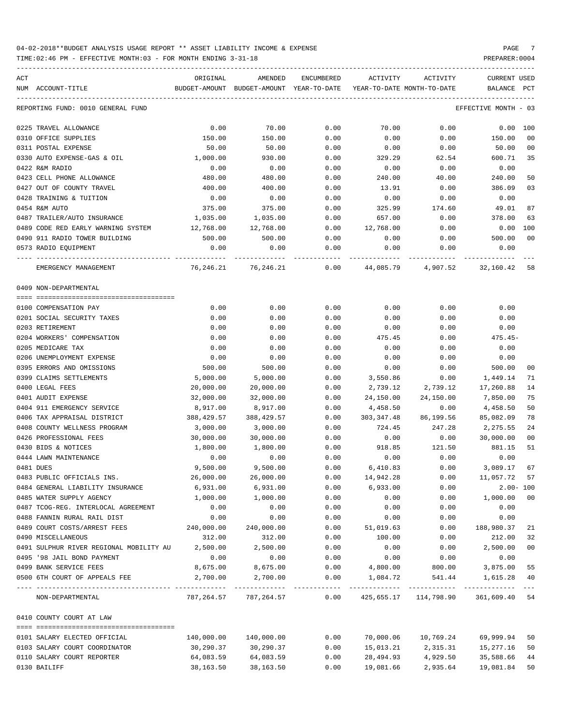| ACT                                              | ORIGINAL           | AMENDED                    | <b>ENCUMBERED</b>   | ACTIVITY    | ACTIVITY                               | <b>CURRENT USED</b>  |                |
|--------------------------------------------------|--------------------|----------------------------|---------------------|-------------|----------------------------------------|----------------------|----------------|
| NUM ACCOUNT-TITLE                                | BUDGET-AMOUNT      | BUDGET-AMOUNT YEAR-TO-DATE |                     |             | YEAR-TO-DATE MONTH-TO-DATE             | <b>BALANCE</b>       | PCT            |
|                                                  |                    |                            |                     |             |                                        |                      |                |
| REPORTING FUND: 0010 GENERAL FUND                |                    |                            |                     |             |                                        | EFFECTIVE MONTH - 03 |                |
| 0225 TRAVEL ALLOWANCE                            | 0.00               | 70.00                      | 0.00                | 70.00       | 0.00                                   | 0.00                 | 100            |
| 0310 OFFICE SUPPLIES                             | 150.00             | 150.00                     | 0.00                | 0.00        | 0.00                                   | 150.00               | 00             |
| 0311 POSTAL EXPENSE                              | 50.00              | 50.00                      | 0.00                | 0.00        | 0.00                                   | 50.00                | 00             |
| 0330 AUTO EXPENSE-GAS & OIL                      | 1,000.00           | 930.00                     | 0.00                | 329.29      | 62.54                                  | 600.71               | 35             |
| 0422 R&M RADIO                                   | 0.00               | 0.00                       | 0.00                | 0.00        | 0.00                                   | 0.00                 |                |
| 0423 CELL PHONE ALLOWANCE                        | 480.00             | 480.00                     | 0.00                | 240.00      | 40.00                                  | 240.00               | 50             |
| 0427 OUT OF COUNTY TRAVEL                        | 400.00             | 400.00                     | 0.00                | 13.91       | 0.00                                   | 386.09               | 03             |
| 0428 TRAINING & TUITION                          | 0.00               | 0.00                       | 0.00                | 0.00        | 0.00                                   | 0.00                 |                |
| 0454 R&M AUTO                                    | 375.00             | 375.00                     | 0.00                | 325.99      | 174.60                                 | 49.01                | 87             |
| 0487 TRAILER/AUTO INSURANCE                      | 1,035.00           | 1,035.00                   | 0.00                | 657.00      | 0.00                                   | 378.00               | 63             |
|                                                  |                    |                            |                     |             |                                        |                      | 100            |
| 0489 CODE RED EARLY WARNING SYSTEM               | 12,768.00          | 12,768.00                  | 0.00                | 12,768.00   | 0.00                                   | 0.00<br>500.00       | 0 <sup>0</sup> |
| 0490 911 RADIO TOWER BUILDING                    | 500.00             | 500.00                     | 0.00                | 0.00        | 0.00                                   |                      |                |
| 0573 RADIO EQUIPMENT                             | 0.00<br>---------- | 0.00                       | 0.00<br>$- - - - -$ | 0.00        | 0.00                                   | 0.00                 |                |
| EMERGENCY MANAGEMENT                             | 76,246.21          | 76, 246. 21                | 0.00                | 44,085.79   | 4,907.52                               | 32,160.42            | 58             |
| 0409 NON-DEPARTMENTAL                            |                    |                            |                     |             |                                        |                      |                |
|                                                  |                    |                            |                     |             |                                        |                      |                |
| 0100 COMPENSATION PAY                            | 0.00               | 0.00                       | 0.00                | 0.00        | 0.00                                   | 0.00                 |                |
| 0201 SOCIAL SECURITY TAXES                       | 0.00               | 0.00                       | 0.00                | 0.00        | 0.00                                   | 0.00                 |                |
| 0203 RETIREMENT                                  | 0.00               | 0.00                       | 0.00                | 0.00        | 0.00                                   | 0.00                 |                |
| 0204 WORKERS' COMPENSATION                       | 0.00               | 0.00                       | 0.00                | 475.45      | 0.00                                   | $475.45-$            |                |
| 0205 MEDICARE TAX                                | 0.00               | 0.00                       | 0.00                | 0.00        | 0.00                                   | 0.00                 |                |
| 0206 UNEMPLOYMENT EXPENSE                        | 0.00               | 0.00                       | 0.00                | 0.00        | 0.00                                   | 0.00                 |                |
| 0395 ERRORS AND OMISSIONS                        | 500.00             | 500.00                     | 0.00                | 0.00        | 0.00                                   | 500.00               | 00             |
| 0399 CLAIMS SETTLEMENTS                          | 5,000.00           | 5,000.00                   | 0.00                | 3,550.86    | 0.00                                   | 1,449.14             | 71             |
| 0400 LEGAL FEES                                  | 20,000.00          | 20,000.00                  | 0.00                | 2,739.12    | 2,739.12                               | 17,260.88            | 14             |
| 0401 AUDIT EXPENSE                               | 32,000.00          | 32,000.00                  | 0.00                | 24,150.00   | 24,150.00                              | 7,850.00             | 75             |
| 0404 911 EMERGENCY SERVICE                       | 8,917.00           | 8,917.00                   | 0.00                | 4,458.50    | 0.00                                   | 4,458.50             | 50             |
| 0406 TAX APPRAISAL DISTRICT                      | 388,429.57         | 388, 429.57                | 0.00                | 303, 347.48 | 86,199.56                              | 85,082.09            | 78             |
| 0408 COUNTY WELLNESS PROGRAM                     | 3,000.00           | 3,000.00                   | 0.00                | 724.45      | 247.28                                 | 2,275.55             | 24             |
| 0426 PROFESSIONAL FEES                           | 30,000.00          | 30,000.00                  | 0.00                | 0.00        | 0.00                                   | 30,000.00            | 00             |
| 0430 BIDS & NOTICES                              | 1,800.00           | 1,800.00                   | 0.00                | 918.85      | 121.50                                 | 881.15               | 51             |
| 0444 LAWN MAINTENANCE                            | 0.00               | 0.00                       | 0.00                | 0.00        | 0.00                                   | 0.00                 |                |
| 0481 DUES                                        | 9,500.00           | 9,500.00                   | 0.00                | 6,410.83    | 0.00                                   | 3,089.17             | 67             |
| 0483 PUBLIC OFFICIALS INS.                       | 26,000.00          | 26,000.00                  | 0.00                | 14,942.28   | 0.00                                   | 11,057.72 57         |                |
| 0484 GENERAL LIABILITY INSURANCE                 | 6,931.00           | 6,931.00                   | 0.00                | 6,933.00    | 0.00                                   | $2.00 - 100$         |                |
| 0485 WATER SUPPLY AGENCY                         | 1,000.00           | 1,000.00                   | 0.00                | 0.00        | 0.00                                   | 1,000.00             | 00             |
| 0487 TCOG-REG. INTERLOCAL AGREEMENT              | 0.00               | 0.00                       | 0.00                | 0.00        | 0.00                                   | 0.00                 |                |
| 0488 FANNIN RURAL RAIL DIST                      | 0.00               | 0.00                       | 0.00                | 0.00        | 0.00                                   | 0.00                 |                |
| 0489 COURT COSTS/ARREST FEES                     | 240,000.00         | 240,000.00                 | 0.00                | 51,019.63   | 0.00                                   | 188,980.37           | 21             |
| 0490 MISCELLANEOUS                               | 312.00             | 312.00                     | 0.00                | 100.00      | 0.00                                   | 212.00               | 32             |
| 0491 SULPHUR RIVER REGIONAL MOBILITY AU 2,500.00 |                    | 2,500.00                   | 0.00                | 0.00        | 0.00                                   | 2,500.00             | 00             |
| 0495 '98 JAIL BOND PAYMENT                       | 0.00               | 0.00                       | 0.00                | 0.00        | 0.00                                   | 0.00                 |                |
| 0499 BANK SERVICE FEES                           | 8,675.00           | 8,675.00                   | 0.00                | 4,800.00    | 800.00                                 | 3,875.00             | 55             |
| 0500 6TH COURT OF APPEALS FEE                    | 2,700.00           | 2,700.00                   | 0.00                | 1,084.72    | 541.44                                 | 1,615.28             | 40             |
| NON-DEPARTMENTAL                                 |                    | 787, 264.57 787, 264.57    | 0.00                |             | 425,655.17  114,798.90  361,609.40  54 |                      | $---$          |
|                                                  |                    |                            |                     |             |                                        |                      |                |
| 0410 COUNTY COURT AT LAW                         |                    |                            |                     |             |                                        |                      |                |
| 0101 SALARY ELECTED OFFICIAL                     | 140,000.00         | 140,000.00                 | 0.00                | 70,000.06   | 10,769.24                              | 69,999.94            | 50             |
| 0103 SALARY COURT COORDINATOR                    | 30,290.37          | 30,290.37                  | 0.00                | 15,013.21   | 2,315.31                               | 15,277.16            | 50             |
| 0110 SALARY COURT REPORTER                       | 64,083.59          | 64,083.59                  | 0.00                | 28,494.93   | 4,929.50                               | 35,588.66            | 44             |
| 0130 BAILIFF                                     | 38,163.50          | 38,163.50                  | 0.00                | 19,081.66   | 2,935.64                               | 19,081.84            | 50             |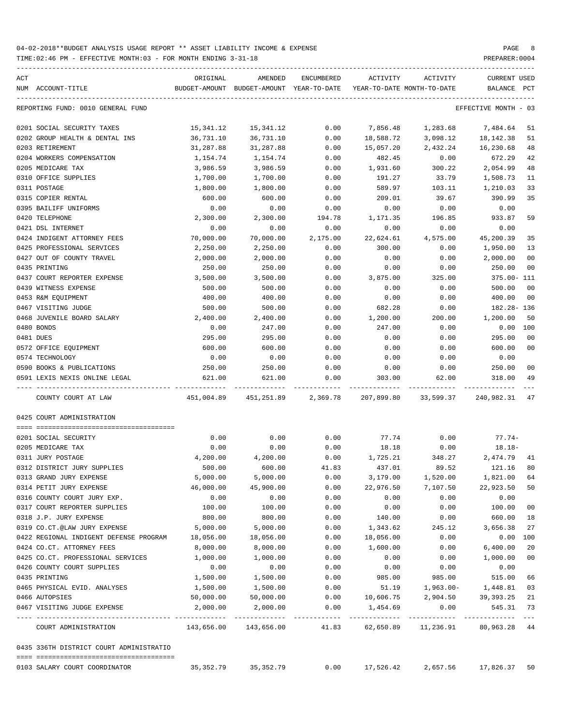| ACT |                                               | ORIGINAL                                    | AMENDED<br>BUDGET-AMOUNT BUDGET-AMOUNT YEAR-TO-DATE | ENCUMBERED   | ACTIVITY              | ACTIVITY                           | CURRENT USED<br>BALANCE       | $_{\rm PCT}$   |
|-----|-----------------------------------------------|---------------------------------------------|-----------------------------------------------------|--------------|-----------------------|------------------------------------|-------------------------------|----------------|
|     | NUM ACCOUNT-TITLE                             |                                             |                                                     |              |                       | YEAR-TO-DATE MONTH-TO-DATE         |                               |                |
|     | REPORTING FUND: 0010 GENERAL FUND             |                                             |                                                     |              |                       |                                    | EFFECTIVE MONTH - 03          |                |
|     | 0201 SOCIAL SECURITY TAXES                    | 15,341.12                                   | 15,341.12                                           | 0.00         | 7,856.48              |                                    | 1,283.68 7,484.64             | 51             |
|     | 0202 GROUP HEALTH & DENTAL INS                | 36,731.10                                   | 36,731.10                                           | 0.00         | 18,588.72             | 3,098.12                           | 18,142.38                     | 51             |
|     | 0203 RETIREMENT                               | 31,287.88                                   | 31,287.88                                           | 0.00         | 15,057.20             | 2,432.24                           | 16,230.68                     | 48             |
|     | 0204 WORKERS COMPENSATION                     | 1,154.74                                    | 1,154.74                                            | 0.00         | 482.45                | 0.00                               | 672.29                        | 42             |
|     | 0205 MEDICARE TAX                             | 3,986.59                                    | 3,986.59                                            | 0.00         | 1,931.60              | 300.22                             | 2,054.99                      | 48             |
|     | 0310 OFFICE SUPPLIES                          | 1,700.00                                    | 1,700.00                                            | 0.00         | 191.27                | 33.79                              | 1,508.73                      | 11             |
|     | 0311 POSTAGE                                  | 1,800.00                                    | 1,800.00                                            | 0.00         | 589.97                | 103.11                             | 1,210.03                      | 33             |
|     | 0315 COPIER RENTAL                            | 600.00                                      | 600.00                                              | 0.00         | 209.01                | 39.67                              | 390.99                        | 35             |
|     | 0395 BAILIFF UNIFORMS                         | 0.00                                        | 0.00                                                | 0.00         | 0.00                  | 0.00                               | 0.00                          |                |
|     | 0420 TELEPHONE                                | 2,300.00                                    | 2,300.00                                            | 194.78       | 1,171.35              | 196.85                             | 933.87                        | 59             |
|     | 0421 DSL INTERNET                             | 0.00                                        | 0.00                                                | 0.00         | 0.00                  | 0.00                               | 0.00                          |                |
|     | 0424 INDIGENT ATTORNEY FEES                   | 70,000.00                                   | 70,000.00                                           | 2,175.00     | 22,624.61             | 4,575.00                           | 45,200.39                     | 35             |
|     | 0425 PROFESSIONAL SERVICES                    | 2,250.00                                    | 2,250.00                                            | 0.00         | 300.00                | 0.00                               | 1,950.00                      | 13             |
|     | 0427 OUT OF COUNTY TRAVEL                     | 2,000.00                                    | 2,000.00                                            | 0.00         | 0.00                  | 0.00                               | 2,000.00                      | 00             |
|     | 0435 PRINTING                                 | 250.00                                      | 250.00                                              | 0.00         | 0.00                  | 0.00                               | 250.00                        | 00             |
|     | 0437 COURT REPORTER EXPENSE                   | 3,500.00                                    | 3,500.00                                            | 0.00         | 3,875.00              | 325.00                             | 375.00- 111                   |                |
|     | 0439 WITNESS EXPENSE                          | 500.00                                      | 500.00                                              | 0.00         | 0.00                  | 0.00                               | 500.00                        | 00             |
|     | 0453 R&M EQUIPMENT                            | 400.00                                      | 400.00                                              | 0.00         | 0.00                  | 0.00                               | 400.00                        | 00             |
|     | 0467 VISITING JUDGE                           | 500.00                                      | 500.00                                              | 0.00         | 682.28                | 0.00                               | 182.28- 136                   |                |
|     | 0468 JUVENILE BOARD SALARY                    | 2,400.00                                    | 2,400.00                                            | 0.00         | 1,200.00              | 200.00                             | 1,200.00                      | 50             |
|     | 0480 BONDS                                    | 0.00                                        | 247.00                                              | 0.00         | 247.00                | 0.00                               | $0.00$ 100                    |                |
|     | 0481 DUES                                     | 295.00                                      | 295.00                                              | 0.00         | 0.00                  | 0.00                               | 295.00                        | 00             |
|     | 0572 OFFICE EQUIPMENT                         | 600.00                                      | 600.00                                              | 0.00         | 0.00                  | 0.00                               | 600.00                        | 0 <sup>0</sup> |
|     | 0574 TECHNOLOGY                               | 0.00                                        | 0.00                                                | 0.00         | 0.00                  | 0.00                               | 0.00                          |                |
|     | 0590 BOOKS & PUBLICATIONS                     | 250.00                                      | 250.00                                              | 0.00         | 0.00                  | 0.00                               | 250.00                        | 00             |
|     | 0591 LEXIS NEXIS ONLINE LEGAL                 | 621.00                                      | 621.00                                              | 0.00         | 303.00                | 62.00                              | 318.00                        | 49             |
|     | COUNTY COURT AT LAW                           |                                             | 451,004.89  451,251.89  2,369.78                    |              |                       | 207,899.80 33,599.37 240,982.31 47 |                               |                |
|     | 0425 COURT ADMINISTRATION                     |                                             |                                                     |              |                       |                                    |                               |                |
|     |                                               |                                             |                                                     |              |                       |                                    |                               |                |
|     | 0201 SOCIAL SECURITY                          | 0.00                                        | 0.00                                                | 0.00         | 77.74                 | 0.00                               | $77.74-$                      |                |
|     | 0205 MEDICARE TAX                             | 0.00                                        | 0.00                                                | 0.00         | 18.18                 | 0.00                               | $18.18-$                      |                |
|     | 0311 JURY POSTAGE                             | 4,200.00                                    | 4,200.00                                            | 0.00         | 1,725.21              | 348.27                             | 2,474.79 41                   |                |
|     | 0312 DISTRICT JURY SUPPLIES                   | 500.00                                      | 600.00                                              | 41.83        | 437.01                | 89.52                              | 121.16                        | 80             |
|     | 0313 GRAND JURY EXPENSE                       | 5,000.00                                    | 5,000.00                                            | 0.00         | 3,179.00              | 1,520.00                           | 1,821.00 64                   |                |
|     | 0314 PETIT JURY EXPENSE                       | 46,000.00                                   | 45,900.00                                           | 0.00         | 22,976.50             | 7,107.50                           | 22,923.50 50                  |                |
|     | 0316 COUNTY COURT JURY EXP.                   | 0.00                                        | 0.00                                                | 0.00         | 0.00                  | 0.00                               | 0.00                          |                |
|     | 0317 COURT REPORTER SUPPLIES                  | 100.00                                      | 100.00                                              | 0.00         | 0.00                  | 0.00                               | 100.00                        | 00             |
|     | 0318 J.P. JURY EXPENSE                        | 800.00                                      | 800.00                                              | 0.00         | 140.00                | 0.00<br>245.12                     | 660.00<br>3,656.38            | 18             |
|     | 0319 CO.CT.@LAW JURY EXPENSE                  | 5,000.00                                    | 5,000.00                                            | 0.00         | 1,343.62              |                                    |                               | 27             |
|     | 0422 REGIONAL INDIGENT DEFENSE PROGRAM        | 18,056.00                                   | 18,056.00                                           | 0.00         | 18,056.00             | 0.00                               | 0.00 100                      |                |
|     | 0424 CO.CT. ATTORNEY FEES                     | 8,000.00                                    | 8,000.00                                            | 0.00         | 1,600.00              | 0.00                               | 6,400.00                      | 20             |
|     | 0425 CO.CT. PROFESSIONAL SERVICES             | 1,000.00                                    | 1,000.00                                            | 0.00         | 0.00                  | 0.00                               | 1,000.00                      | 00             |
|     | 0426 COUNTY COURT SUPPLIES                    | 0.00                                        | 0.00                                                | 0.00         | 0.00                  | 0.00                               | 0.00                          |                |
|     | 0435 PRINTING                                 | 1,500.00                                    | 1,500.00                                            | 0.00         | 985.00                | 985.00                             | 515.00                        | 66             |
|     | 0465 PHYSICAL EVID. ANALYSES                  | 1,500.00                                    | 1,500.00                                            | 0.00         | 51.19                 | 1,963.00-                          | 1,448.81                      | 03             |
|     | 0466 AUTOPSIES<br>0467 VISITING JUDGE EXPENSE | 50,000.00<br>2,000.00                       | 50,000.00<br>2,000.00                               | 0.00<br>0.00 | 10,606.75<br>1,454.69 | 2,904.50<br>0.00                   | 39,393.25<br>545.31 73        | 21             |
|     | COURT ADMINISTRATION                          | -------------- --------------<br>143,656.00 | ----------------------------<br>143,656.00          | 41.83        | 62,650.89             | ------------<br>11,236.91          | -------------<br>80,963.28 44 | $- -$          |
|     | 0435 336TH DISTRICT COURT ADMINISTRATIO       |                                             |                                                     |              |                       |                                    |                               |                |
|     |                                               |                                             |                                                     |              |                       |                                    |                               |                |
|     | 0103 SALARY COURT COORDINATOR                 | 35,352.79                                   | 35, 352.79                                          | 0.00         | 17,526.42             | 2,657.56                           | 17,826.37                     | 50             |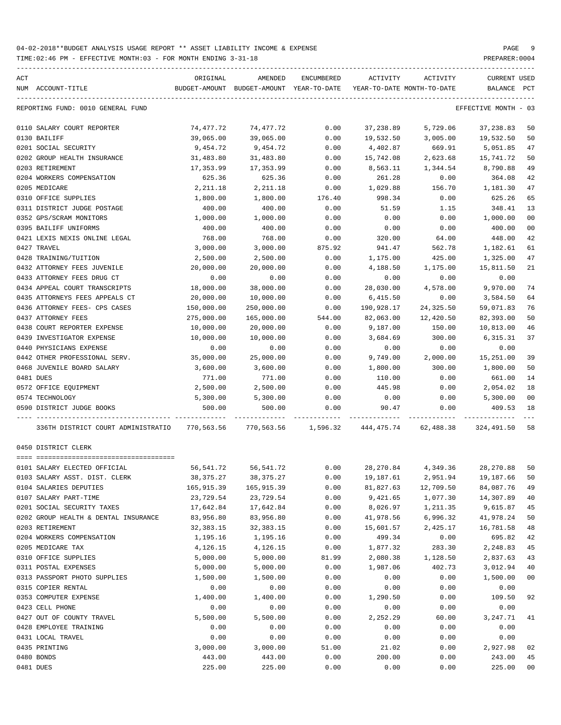TIME:02:46 PM - EFFECTIVE MONTH:03 - FOR MONTH ENDING 3-31-18 PREPARER:0004

| ACT<br>NUM ACCOUNT-TITLE             | ORIGINAL              | AMENDED<br>BUDGET-AMOUNT BUDGET-AMOUNT YEAR-TO-DATE YEAR-TO-DATE MONTH-TO-DATE | ENCUMBERED   | ACTIVITY                            | ACTIVITY           | <b>CURRENT USED</b><br>BALANCE PCT |                |
|--------------------------------------|-----------------------|--------------------------------------------------------------------------------|--------------|-------------------------------------|--------------------|------------------------------------|----------------|
| REPORTING FUND: 0010 GENERAL FUND    |                       |                                                                                |              |                                     |                    | EFFECTIVE MONTH - 03               |                |
|                                      |                       |                                                                                |              |                                     |                    |                                    |                |
| 0110 SALARY COURT REPORTER           | 74,477.72             | 74,477.72                                                                      | 0.00         | 37,238.89                           | 5,729.06           | 37,238.83                          | 50<br>50       |
| 0130 BAILIFF<br>0201 SOCIAL SECURITY | 39,065.00<br>9,454.72 | 39,065.00<br>9,454.72                                                          | 0.00<br>0.00 | 19,532.50<br>4,402.87               | 3,005.00<br>669.91 | 19,532.50<br>5,051.85              | 47             |
| 0202 GROUP HEALTH INSURANCE          | 31,483.80             | 31,483.80                                                                      | 0.00         | 15,742.08                           | 2,623.68           | 15,741.72                          | 50             |
| 0203 RETIREMENT                      | 17,353.99             | 17,353.99                                                                      | 0.00         | 8,563.11                            | 1,344.54           | 8,790.88                           | 49             |
| 0204 WORKERS COMPENSATION            | 625.36                | 625.36                                                                         | 0.00         | 261.28                              | 0.00               | 364.08                             | 42             |
| 0205 MEDICARE                        | 2,211.18              | 2, 211.18                                                                      | 0.00         | 1,029.88                            | 156.70             | 1,181.30                           | 47             |
| 0310 OFFICE SUPPLIES                 | 1,800.00              | 1,800.00                                                                       | 176.40       | 998.34                              | 0.00               | 625.26                             | 65             |
| 0311 DISTRICT JUDGE POSTAGE          | 400.00                | 400.00                                                                         | 0.00         | 51.59                               | 1.15               | 348.41                             | 13             |
| 0352 GPS/SCRAM MONITORS              | 1,000.00              | 1,000.00                                                                       | 0.00         | 0.00                                | 0.00               | 1,000.00                           | 0 <sub>0</sub> |
| 0395 BAILIFF UNIFORMS                | 400.00                | 400.00                                                                         | 0.00         | 0.00                                | 0.00               | 400.00                             | 0 <sub>0</sub> |
| 0421 LEXIS NEXIS ONLINE LEGAL        | 768.00                | 768.00                                                                         | 0.00         | 320.00                              | 64.00              | 448.00                             | 42             |
| 0427 TRAVEL                          | 3,000.00              | 3,000.00                                                                       | 875.92       | 941.47                              | 562.78             | 1,182.61                           | 61             |
| 0428 TRAINING/TUITION                | 2,500.00              | 2,500.00                                                                       | 0.00         | 1,175.00                            | 425.00             | 1,325.00                           | 47             |
| 0432 ATTORNEY FEES JUVENILE          | 20,000.00             | 20,000.00                                                                      | 0.00         | 4,188.50                            | 1,175.00           | 15,811.50                          | 21             |
| 0433 ATTORNEY FEES DRUG CT           | 0.00                  | 0.00                                                                           | 0.00         | 0.00                                | 0.00               | 0.00                               |                |
| 0434 APPEAL COURT TRANSCRIPTS        | 18,000.00             | 38,000.00                                                                      | 0.00         | 28,030.00                           | 4,578.00           | 9,970.00                           | 74             |
| 0435 ATTORNEYS FEES APPEALS CT       | 20,000.00             | 10,000.00                                                                      | 0.00         | 6,415.50                            | 0.00               | 3,584.50                           | 64             |
| 0436 ATTORNEY FEES- CPS CASES        | 150,000.00            | 250,000.00                                                                     | 0.00         | 190,928.17                          | 24,325.50          | 59,071.83                          | 76             |
| 0437 ATTORNEY FEES                   | 275,000.00            | 165,000.00                                                                     | 544.00       | 82,063.00                           | 12,420.50          | 82,393.00                          | 50             |
| 0438 COURT REPORTER EXPENSE          | 10,000.00             | 20,000.00                                                                      | 0.00         | 9,187.00                            | 150.00             | 10,813.00                          | 46             |
| 0439 INVESTIGATOR EXPENSE            | 10,000.00             | 10,000.00                                                                      | 0.00         | 3,684.69                            | 300.00             | 6,315.31                           | 37             |
| 0440 PHYSICIANS EXPENSE              | 0.00                  | 0.00                                                                           | 0.00         | 0.00                                | 0.00               | 0.00                               |                |
| 0442 OTHER PROFESSIONAL SERV.        | 35,000.00             | 25,000.00                                                                      | 0.00         | 9,749.00                            | 2,000.00           | 15,251.00                          | 39             |
| 0468 JUVENILE BOARD SALARY           | 3,600.00              | 3,600.00                                                                       | 0.00         | 1,800.00                            | 300.00             | 1,800.00                           | 50             |
| 0481 DUES                            | 771.00                | 771.00                                                                         | 0.00         | 110.00                              | 0.00               | 661.00                             | 14             |
| 0572 OFFICE EQUIPMENT                | 2,500.00              | 2,500.00                                                                       | 0.00         | 445.98                              | 0.00               | 2,054.02                           | 18             |
| 0574 TECHNOLOGY                      | 5,300.00              | 5,300.00                                                                       | 0.00         | 0.00                                | 0.00               | 5,300.00                           | 0 <sub>0</sub> |
| 0590 DISTRICT JUDGE BOOKS            | 500.00                | 500.00                                                                         | 0.00         | 90.47                               |                    | 409.53                             | 18             |
|                                      |                       |                                                                                |              |                                     | 0.00               |                                    |                |
| 336TH DISTRICT COURT ADMINISTRATIO   |                       | 770,563.56 770,563.56 1,596.32 444,475.74 62,488.38                            |              |                                     |                    | 324,491.50                         | 58             |
| 0450 DISTRICT CLERK                  |                       |                                                                                |              |                                     |                    |                                    |                |
| 0101 SALARY ELECTED OFFICIAL         |                       | 56, 541. 72 56, 541. 72                                                        |              | $0.00$ 28,270.84 4,349.36 28,270.88 |                    |                                    | 50             |
| 0103 SALARY ASST. DIST. CLERK        | 38, 375. 27           | 38, 375. 27                                                                    | 0.00         | 19,187.61                           | 2,951.94           | 19,187.66                          | 50             |
| 0104 SALARIES DEPUTIES               | 165,915.39            | 165,915.39                                                                     | 0.00         | 81,827.63                           | 12,709.50          | 84,087.76                          | 49             |
| 0107 SALARY PART-TIME                | 23,729.54             | 23,729.54                                                                      | 0.00         | 9,421.65                            | 1,077.30           | 14,307.89                          | 40             |
| 0201 SOCIAL SECURITY TAXES           | 17,642.84             | 17,642.84                                                                      | 0.00         | 8,026.97                            | 1,211.35           | 9,615.87                           | 45             |
| 0202 GROUP HEALTH & DENTAL INSURANCE | 83,956.80             | 83,956.80                                                                      | 0.00         | 41,978.56                           | 6,996.32           | 41,978.24                          | 50             |
| 0203 RETIREMENT                      | 32,383.15             | 32, 383. 15                                                                    | 0.00         | 15,601.57                           | 2,425.17           | 16,781.58                          | 48             |
| 0204 WORKERS COMPENSATION            | 1,195.16              | 1,195.16                                                                       | 0.00         | 499.34                              | 0.00               | 695.82                             | 42             |
| 0205 MEDICARE TAX                    | 4,126.15              | 4,126.15                                                                       | 0.00         | 1,877.32                            | 283.30             | 2,248.83                           | 45             |
| 0310 OFFICE SUPPLIES                 | 5,000.00              | 5,000.00                                                                       | 81.99        | 2,080.38                            | 1,128.50           | 2,837.63                           | 43             |
| 0311 POSTAL EXPENSES                 | 5,000.00              | 5,000.00                                                                       | 0.00         | 1,987.06                            | 402.73             | 3,012.94                           | 40             |
| 0313 PASSPORT PHOTO SUPPLIES         | 1,500.00              | 1,500.00                                                                       | 0.00         | 0.00                                | 0.00               | 1,500.00                           | 00             |
| 0315 COPIER RENTAL                   | 0.00                  | 0.00                                                                           | 0.00         | 0.00                                | 0.00               | 0.00                               |                |
| 0353 COMPUTER EXPENSE                | 1,400.00              | 1,400.00                                                                       | 0.00         | 1,290.50                            | 0.00               | 109.50                             | 92             |
| 0423 CELL PHONE                      | 0.00                  | 0.00                                                                           | 0.00         | 0.00                                | 0.00               | 0.00                               |                |
| 0427 OUT OF COUNTY TRAVEL            | 5,500.00              | 5,500.00                                                                       | 0.00         | 2,252.29                            | 60.00              | 3,247.71                           | 41             |
| 0428 EMPLOYEE TRAINING               | 0.00                  | 0.00                                                                           | 0.00         | 0.00                                | 0.00               | 0.00                               |                |
| 0431 LOCAL TRAVEL                    | 0.00                  | 0.00                                                                           | 0.00         | 0.00                                | 0.00               | 0.00                               |                |
| 0435 PRINTING                        | 3,000.00              | 3,000.00                                                                       | 51.00        | 21.02                               | 0.00               | 2,927.98                           | 02             |
| 0480 BONDS                           | 443.00                | 443.00                                                                         | 0.00         | 200.00                              | 0.00               | 243.00                             | 45             |

0481 DUES 225.00 225.00 0.00 0.00 0.00 225.00 00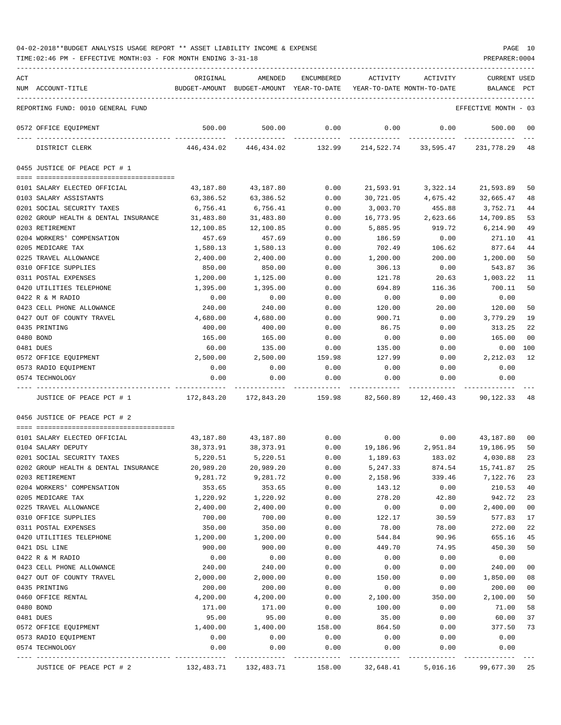| ACT |                                      | ORIGINAL                | AMENDED                                  | ENCUMBERED | ACTIVITY                   | ACTIVITY                             | <b>CURRENT USED</b>  |                |
|-----|--------------------------------------|-------------------------|------------------------------------------|------------|----------------------------|--------------------------------------|----------------------|----------------|
|     | NUM ACCOUNT-TITLE                    |                         | BUDGET-AMOUNT BUDGET-AMOUNT YEAR-TO-DATE |            | YEAR-TO-DATE MONTH-TO-DATE |                                      | BALANCE              | $_{\rm PCT}$   |
|     | REPORTING FUND: 0010 GENERAL FUND    |                         |                                          |            |                            |                                      | EFFECTIVE MONTH - 03 |                |
|     | 0572 OFFICE EQUIPMENT                | 500.00<br>------------- | 500.00                                   | 0.00       | 0.00                       | 0.00                                 | 500.00               | 00             |
|     | DISTRICT CLERK                       | 446,434.02              | -------------<br>446,434.02              | 132.99     | -----------                | ------------<br>214,522.74 33,595.47 | 231,778.29           | 48             |
|     | 0455 JUSTICE OF PEACE PCT # 1        |                         |                                          |            |                            |                                      |                      |                |
|     | 0101 SALARY ELECTED OFFICIAL         | 43,187.80               | 43,187.80                                | 0.00       | 21,593.91                  | 3,322.14                             | 21,593.89            | 50             |
|     | 0103 SALARY ASSISTANTS               | 63,386.52               | 63,386.52                                | 0.00       | 30,721.05                  | 4,675.42                             | 32,665.47            | 48             |
|     | 0201 SOCIAL SECURITY TAXES           | 6,756.41                | 6,756.41                                 | 0.00       | 3,003.70                   | 455.88                               | 3,752.71             | 44             |
|     | 0202 GROUP HEALTH & DENTAL INSURANCE | 31,483.80               | 31,483.80                                | 0.00       | 16,773.95                  | 2,623.66                             | 14,709.85            | 53             |
|     | 0203 RETIREMENT                      | 12,100.85               | 12,100.85                                | 0.00       | 5,885.95                   | 919.72                               | 6,214.90             | 49             |
|     | 0204 WORKERS' COMPENSATION           | 457.69                  | 457.69                                   | 0.00       | 186.59                     | 0.00                                 | 271.10               | 41             |
|     | 0205 MEDICARE TAX                    | 1,580.13                | 1,580.13                                 | 0.00       | 702.49                     | 106.62                               | 877.64               | 44             |
|     | 0225 TRAVEL ALLOWANCE                | 2,400.00                | 2,400.00                                 | 0.00       | 1,200.00                   | 200.00                               | 1,200.00             | 50             |
|     | 0310 OFFICE SUPPLIES                 | 850.00                  | 850.00                                   | 0.00       | 306.13                     | 0.00                                 | 543.87               | 36             |
|     | 0311 POSTAL EXPENSES                 | 1,200.00                | 1,125.00                                 | 0.00       | 121.78                     | 20.63                                | 1,003.22             | 11             |
|     | 0420 UTILITIES TELEPHONE             | 1,395.00                | 1,395.00                                 | 0.00       | 694.89                     | 116.36                               | 700.11               | 50             |
|     | 0422 R & M RADIO                     | 0.00                    | 0.00                                     | 0.00       | 0.00                       | 0.00                                 | 0.00                 |                |
|     | 0423 CELL PHONE ALLOWANCE            | 240.00                  | 240.00                                   | 0.00       | 120.00                     | 20.00                                | 120.00               | 50             |
|     | 0427 OUT OF COUNTY TRAVEL            | 4,680.00                | 4,680.00                                 | 0.00       | 900.71                     | 0.00                                 | 3,779.29             | 19             |
|     | 0435 PRINTING                        | 400.00                  | 400.00                                   | 0.00       | 86.75                      | 0.00                                 | 313.25               | 22             |
|     | 0480 BOND                            | 165.00                  | 165.00                                   | 0.00       | 0.00                       | 0.00                                 | 165.00               | 00             |
|     | 0481 DUES                            | 60.00                   | 135.00                                   | 0.00       | 135.00                     | 0.00                                 | 0.00                 | 100            |
|     | 0572 OFFICE EQUIPMENT                | 2,500.00                | 2,500.00                                 | 159.98     | 127.99                     | 0.00                                 | 2,212.03             | 12             |
|     | 0573 RADIO EQUIPMENT                 | 0.00                    | 0.00                                     | 0.00       | 0.00                       | 0.00                                 | 0.00                 |                |
|     | 0574 TECHNOLOGY                      | 0.00                    | 0.00                                     | 0.00       | 0.00                       | 0.00                                 | 0.00                 |                |
|     | JUSTICE OF PEACE PCT # 1             |                         | 172,843.20 172,843.20                    | 159.98     |                            | 82,560.89 12,460.43 90,122.33        |                      | 48             |
|     | 0456 JUSTICE OF PEACE PCT # 2        |                         |                                          |            |                            |                                      |                      |                |
|     | 0101 SALARY ELECTED OFFICIAL         | 43,187.80               | 43,187.80                                | 0.00       |                            | 0.00                                 | $0.00$ $43,187.80$   | 00             |
|     | 0104 SALARY DEPUTY                   | 38,373.91               | 38,373.91                                | 0.00       |                            | 19,186.96 2,951.84 19,186.95         |                      | 50             |
|     | 0201 SOCIAL SECURITY TAXES           | 5,220.51                | 5,220.51                                 | 0.00       | 1,189.63                   | 183.02                               | 4,030.88             | 23             |
|     | 0202 GROUP HEALTH & DENTAL INSURANCE | 20,989.20               | 20,989.20                                | 0.00       | 5,247.33                   | 874.54                               | 15,741.87            | 25             |
|     | 0203 RETIREMENT                      | 9,281.72                | 9,281.72                                 | 0.00       | 2,158.96                   | 339.46                               | 7,122.76             | 23             |
|     | 0204 WORKERS' COMPENSATION           | 353.65                  | 353.65                                   | 0.00       | 143.12                     | 0.00                                 | 210.53               | 40             |
|     | 0205 MEDICARE TAX                    | 1,220.92                | 1,220.92                                 | 0.00       | 278.20                     | 42.80                                | 942.72               | 23             |
|     | 0225 TRAVEL ALLOWANCE                | 2,400.00                | 2,400.00                                 | 0.00       | 0.00                       | 0.00                                 | 2,400.00             | 0 <sub>0</sub> |
|     | 0310 OFFICE SUPPLIES                 | 700.00                  | 700.00                                   | 0.00       | 122.17                     | 30.59                                | 577.83               | 17             |
|     | 0311 POSTAL EXPENSES                 | 350.00                  | 350.00                                   | 0.00       | 78.00                      | 78.00                                | 272.00               | 22             |
|     | 0420 UTILITIES TELEPHONE             | 1,200.00                | 1,200.00                                 | 0.00       | 544.84                     | 90.96                                | 655.16               | 45             |
|     | 0421 DSL LINE                        | 900.00                  | 900.00                                   | 0.00       | 449.70                     | 74.95                                | 450.30               | 50             |
|     | 0422 R & M RADIO                     | 0.00                    | 0.00                                     | 0.00       | 0.00                       | 0.00                                 | 0.00                 |                |
|     | 0423 CELL PHONE ALLOWANCE            | 240.00                  | 240.00                                   | 0.00       | 0.00                       | 0.00                                 | 240.00               | 00             |
|     | 0427 OUT OF COUNTY TRAVEL            | 2,000.00                | 2,000.00                                 | 0.00       | 150.00                     | 0.00                                 | 1,850.00             | 08             |
|     | 0435 PRINTING                        | 200.00                  | 200.00                                   | 0.00       | 0.00                       | 0.00                                 | 200.00               | $00\,$         |
|     | 0460 OFFICE RENTAL                   | 4,200.00                | 4,200.00                                 | 0.00       | 2,100.00                   | 350.00                               | 2,100.00             | 50             |
|     | 0480 BOND                            | 171.00                  | 171.00                                   | 0.00       | 100.00                     | 0.00                                 | 71.00                | 58             |
|     | 0481 DUES                            | 95.00                   | 95.00                                    | 0.00       | 35.00                      | 0.00                                 | 60.00                | 37             |
|     | 0572 OFFICE EQUIPMENT                | 1,400.00                | 1,400.00                                 | 158.00     | 864.50                     | 0.00                                 | 377.50               | 73             |
|     | 0573 RADIO EQUIPMENT                 | 0.00                    | 0.00                                     | 0.00       | 0.00                       | 0.00                                 | 0.00                 |                |
|     | 0574 TECHNOLOGY                      | 0.00                    | 0.00                                     | 0.00       | 0.00                       | 0.00                                 | 0.00                 |                |
|     | JUSTICE OF PEACE PCT # 2             | 132,483.71              | 132,483.71                               | 158.00     | 32,648.41                  | 5,016.16                             | 99,677.30            | 25             |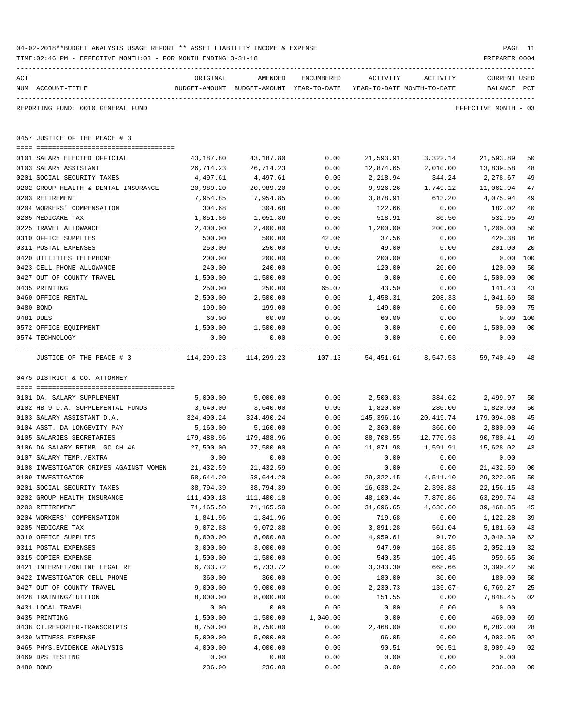|                | TIME: 02:46 PM - EFFECTIVE MONTH: 03 - FOR MONTH ENDING 3-31-18 |                                                                     |                              |              |             |                    | PREPARER: 0004        |                |
|----------------|-----------------------------------------------------------------|---------------------------------------------------------------------|------------------------------|--------------|-------------|--------------------|-----------------------|----------------|
| $\mathtt{ACT}$ |                                                                 | ORIGINAL                                                            | AMENDED                      | ENCUMBERED   | ACTIVITY    | ACTIVITY           | <b>CURRENT USED</b>   |                |
|                | NUM ACCOUNT-TITLE                                               | BUDGET-AMOUNT BUDGET-AMOUNT YEAR-TO-DATE YEAR-TO-DATE MONTH-TO-DATE |                              |              |             |                    | BALANCE PCT           |                |
|                | REPORTING FUND: 0010 GENERAL FUND                               |                                                                     |                              |              |             |                    | EFFECTIVE MONTH - 03  |                |
|                | 0457 JUSTICE OF THE PEACE # 3                                   |                                                                     |                              |              |             |                    |                       |                |
|                |                                                                 |                                                                     |                              |              |             | 21,593.91 3,322.14 |                       |                |
|                | 0101 SALARY ELECTED OFFICIAL<br>0103 SALARY ASSISTANT           | 43,187.80<br>26,714.23                                              | 43,187.80<br>26,714.23       | 0.00<br>0.00 | 12,874.65   |                    | 21,593.89             | 50<br>48       |
|                | 0201 SOCIAL SECURITY TAXES                                      | 4,497.61                                                            | 4,497.61                     | 0.00         | 2,218.94    | 2,010.00<br>344.24 | 13,839.58<br>2,278.67 | 49             |
|                | 0202 GROUP HEALTH & DENTAL INSURANCE                            | 20,989.20                                                           | 20,989.20                    | 0.00         | 9,926.26    | 1,749.12           | 11,062.94             | 47             |
|                | 0203 RETIREMENT                                                 | 7,954.85                                                            | 7,954.85                     | 0.00         | 3,878.91    | 613.20             | 4,075.94              | 49             |
|                | 0204 WORKERS' COMPENSATION                                      | 304.68                                                              | 304.68                       | 0.00         | 122.66      | 0.00               | 182.02                | 40             |
|                | 0205 MEDICARE TAX                                               | 1,051.86                                                            | 1,051.86                     | 0.00         | 518.91      | 80.50              | 532.95                | 49             |
|                | 0225 TRAVEL ALLOWANCE                                           | 2,400.00                                                            | 2,400.00                     | 0.00         | 1,200.00    | 200.00             | 1,200.00              | 50             |
|                | 0310 OFFICE SUPPLIES                                            | 500.00                                                              | 500.00                       | 42.06        | 37.56       | 0.00               | 420.38                | 16             |
|                | 0311 POSTAL EXPENSES                                            | 250.00                                                              | 250.00                       | 0.00         | 49.00       | 0.00               | 201.00                | 20             |
|                | 0420 UTILITIES TELEPHONE                                        | 200.00                                                              | 200.00                       | 0.00         | 200.00      | 0.00               | $0.00$ 100            |                |
|                | 0423 CELL PHONE ALLOWANCE                                       | 240.00                                                              | 240.00                       | 0.00         | 120.00      | 20.00              | 120.00                | 50             |
|                | 0427 OUT OF COUNTY TRAVEL                                       | 1,500.00                                                            | 1,500.00                     | 0.00         | 0.00        | 0.00               | 1,500.00              | 0 <sub>0</sub> |
|                | 0435 PRINTING                                                   | 250.00                                                              | 250.00                       | 65.07        | 43.50       | 0.00               | 141.43                | 43             |
|                | 0460 OFFICE RENTAL                                              | 2,500.00                                                            | 2,500.00                     | 0.00         | 1,458.31    | 208.33             | 1,041.69              | 58             |
|                | 0480 BOND                                                       | 199.00                                                              | 199.00                       | 0.00         | 149.00      | 0.00               | 50.00                 | 75             |
|                | 0481 DUES                                                       | 60.00                                                               | 60.00                        | 0.00         | 60.00       | 0.00               | $0.00$ 100            |                |
|                | 0572 OFFICE EQUIPMENT                                           | 1,500.00                                                            | 1,500.00                     | 0.00         | 0.00        | 0.00               | 1,500.00              | 00             |
|                | 0574 TECHNOLOGY                                                 | 0.00                                                                | 0.00                         | 0.00         | 0.00        | 0.00               | 0.00                  |                |
|                | JUSTICE OF THE PEACE # 3                                        |                                                                     | 114,299.23 114,299.23 107.13 |              |             | 54,451.61 8,547.53 | 59,740.49             | -48            |
|                | 0475 DISTRICT & CO. ATTORNEY                                    |                                                                     |                              |              |             |                    |                       |                |
|                |                                                                 |                                                                     |                              |              |             |                    |                       |                |
|                | 0101 DA. SALARY SUPPLEMENT                                      | 5,000.00                                                            | 5,000.00                     | 0.00         | 2,500.03    | 384.62             | 2,499.97              | 50             |
|                | 0102 HB 9 D.A. SUPPLEMENTAL FUNDS                               | 3,640.00                                                            | 3,640.00                     | 0.00         | 1,820.00    | 280.00             | 1,820.00              | 50             |
|                | 0103 SALARY ASSISTANT D.A.                                      | 324,490.24                                                          | 324,490.24                   | 0.00         | 145,396.16  | 20,419.74          | 179,094.08            | 45             |
|                | 0104 ASST. DA LONGEVITY PAY                                     | 5,160.00                                                            | 5,160.00                     | 0.00         | 2,360.00    | 360.00             | 2,800.00              | 46             |
|                | 0105 SALARIES SECRETARIES                                       | 179,488.96                                                          | 179,488.96                   | 0.00         | 88,708.55   | 12,770.93          | 90,780.41             | 49             |
|                | 0106 DA SALARY REIMB. GC CH 46                                  | 27,500.00                                                           | 27,500.00                    | 0.00         | 11,871.98   | 1,591.91           | 15,628.02             | 43             |
|                | 0107 SALARY TEMP./EXTRA                                         | 0.00                                                                | 0.00                         | 0.00         | 0.00        | 0.00               | 0.00                  |                |
|                | 0108 INVESTIGATOR CRIMES AGAINST WOMEN                          | 21,432.59                                                           | 21,432.59                    | 0.00         | 0.00        | 0.00               | 21,432.59             | 00             |
|                | 0109 INVESTIGATOR                                               | 58,644.20                                                           | 58,644.20                    | 0.00         | 29, 322. 15 | 4,511.10           | 29, 322.05            | 50             |
|                | 0201 SOCIAL SECURITY TAXES                                      | 38,794.39                                                           | 38,794.39                    | 0.00         | 16,638.24   | 2,398.88           | 22, 156. 15           | 43             |
|                | 0202 GROUP HEALTH INSURANCE                                     | 111,400.18                                                          | 111,400.18                   | 0.00         | 48,100.44   | 7,870.86           | 63,299.74             | 43             |
|                | 0203 RETIREMENT                                                 | 71,165.50                                                           | 71,165.50                    | 0.00         | 31,696.65   | 4,636.60           | 39,468.85             | 45             |
|                | 0204 WORKERS' COMPENSATION                                      | 1,841.96                                                            | 1,841.96                     | 0.00         | 719.68      | 0.00               | 1,122.28              | 39             |
|                | 0205 MEDICARE TAX                                               | 9,072.88                                                            | 9,072.88                     | 0.00         | 3,891.28    | 561.04             | 5,181.60              | 43             |
|                | 0310 OFFICE SUPPLIES                                            | 8,000.00                                                            | 8,000.00                     | 0.00         | 4,959.61    | 91.70              | 3,040.39              | 62             |
|                | 0311 POSTAL EXPENSES                                            | 3,000.00                                                            | 3,000.00                     | 0.00         | 947.90      | 168.85             | 2,052.10              | 32             |
|                | 0315 COPIER EXPENSE                                             | 1,500.00                                                            | 1,500.00                     | 0.00         | 540.35      | 109.45             | 959.65                | 36             |
|                | 0421 INTERNET/ONLINE LEGAL RE                                   | 6,733.72                                                            | 6,733.72                     | 0.00         | 3,343.30    | 668.66             | 3,390.42              | 50             |
|                | 0422 INVESTIGATOR CELL PHONE                                    | 360.00                                                              | 360.00                       | 0.00         | 180.00      | 30.00              | 180.00                | 50             |
|                | 0427 OUT OF COUNTY TRAVEL                                       | 9,000.00                                                            | 9,000.00                     | 0.00         | 2,230.73    | $135.67-$          | 6,769.27              | 25             |
|                | 0428 TRAINING/TUITION                                           | 8,000.00                                                            | 8,000.00                     | 0.00         | 151.55      | 0.00               | 7,848.45              | 02             |
|                | 0431 LOCAL TRAVEL                                               | 0.00                                                                | 0.00                         | 0.00         | 0.00        | 0.00               | 0.00                  |                |
|                | 0435 PRINTING                                                   | 1,500.00                                                            | 1,500.00                     | 1,040.00     | 0.00        | 0.00               | 460.00                | 69             |
|                | 0438 CT.REPORTER-TRANSCRIPTS                                    | 8,750.00                                                            | 8,750.00                     | 0.00         | 2,468.00    | 0.00               | 6,282.00              | 28             |
|                | 0439 WITNESS EXPENSE                                            | 5,000.00                                                            | 5,000.00                     | 0.00         | 96.05       | 0.00               | 4,903.95              | 02             |
|                | 0465 PHYS. EVIDENCE ANALYSIS                                    | 4,000.00                                                            | 4,000.00                     | 0.00         | 90.51       | 90.51              | 3,909.49              | 02             |
|                | 0469 DPS TESTING                                                | 0.00                                                                | 0.00                         | 0.00         | 0.00        | 0.00               | 0.00                  |                |
|                | 0480 BOND                                                       | 236.00                                                              | 236.00                       | 0.00         | 0.00        | 0.00               | 236.00                | 0 <sub>0</sub> |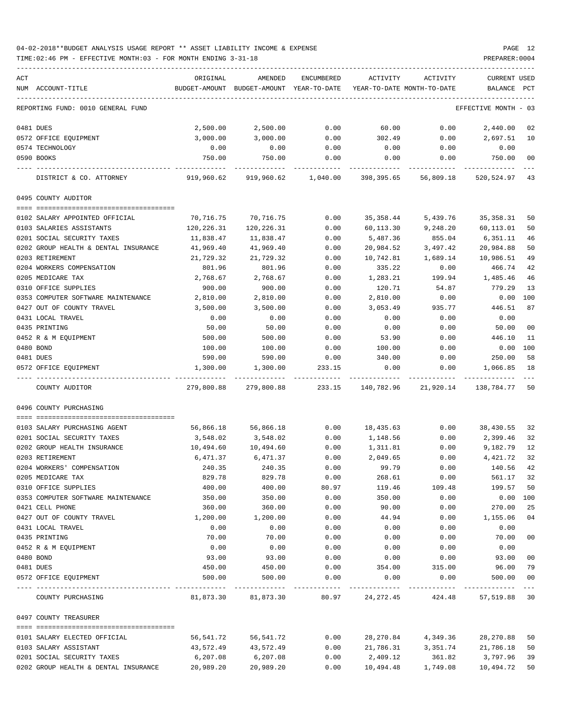| ACT |                                      | ORIGINAL      | AMENDED                    | ENCUMBERED | ACTIVITY    | ACTIVITY                   | <b>CURRENT USED</b>  |             |
|-----|--------------------------------------|---------------|----------------------------|------------|-------------|----------------------------|----------------------|-------------|
|     | NUM ACCOUNT-TITLE                    | BUDGET-AMOUNT | BUDGET-AMOUNT YEAR-TO-DATE |            |             | YEAR-TO-DATE MONTH-TO-DATE | BALANCE              | PCT         |
|     |                                      |               |                            |            |             |                            |                      |             |
|     | REPORTING FUND: 0010 GENERAL FUND    |               |                            |            |             |                            | EFFECTIVE MONTH - 03 |             |
|     | 0481 DUES                            | 2,500.00      | 2,500.00                   | 0.00       | 60.00       | 0.00                       | 2,440.00             | 02          |
|     | 0572 OFFICE EQUIPMENT                | 3,000.00      | 3,000.00                   | 0.00       | 302.49      | 0.00                       | 2,697.51             | 10          |
|     | 0574 TECHNOLOGY                      | 0.00          | 0.00                       | 0.00       | 0.00        | 0.00                       | 0.00                 |             |
|     | 0590 BOOKS                           | 750.00        | 750.00                     | 0.00       | 0.00        | 0.00                       | 750.00               | 00          |
|     | DISTRICT & CO. ATTORNEY              | 919,960.62    | 919,960.62                 | 1,040.00   | 398,395.65  | 56,809.18                  | 520,524.97           | 43          |
|     | 0495 COUNTY AUDITOR                  |               |                            |            |             |                            |                      |             |
|     |                                      |               |                            |            |             |                            |                      |             |
|     | 0102 SALARY APPOINTED OFFICIAL       | 70,716.75     | 70,716.75                  | 0.00       | 35, 358.44  | 5,439.76                   | 35, 358.31           | 50          |
|     | 0103 SALARIES ASSISTANTS             | 120,226.31    | 120,226.31                 | 0.00       | 60,113.30   | 9,248.20                   | 60,113.01            | 50          |
|     | 0201 SOCIAL SECURITY TAXES           | 11,838.47     | 11,838.47                  | 0.00       | 5,487.36    | 855.04                     | 6,351.11             | 46          |
|     | 0202 GROUP HEALTH & DENTAL INSURANCE | 41,969.40     | 41,969.40                  | 0.00       | 20,984.52   | 3,497.42                   | 20,984.88            | 50          |
|     | 0203 RETIREMENT                      | 21,729.32     | 21,729.32                  | 0.00       | 10,742.81   | 1,689.14                   | 10,986.51            | 49          |
|     | 0204 WORKERS COMPENSATION            | 801.96        | 801.96                     | 0.00       | 335.22      | 0.00                       | 466.74               | 42          |
|     | 0205 MEDICARE TAX                    | 2,768.67      | 2,768.67                   | 0.00       | 1,283.21    | 199.94                     | 1,485.46             | 46          |
|     | 0310 OFFICE SUPPLIES                 | 900.00        | 900.00                     | 0.00       | 120.71      | 54.87                      | 779.29               | 13          |
|     | 0353 COMPUTER SOFTWARE MAINTENANCE   | 2,810.00      | 2,810.00                   | 0.00       | 2,810.00    | 0.00                       | 0.00                 | 100         |
|     | 0427 OUT OF COUNTY TRAVEL            | 3,500.00      | 3,500.00                   | 0.00       | 3,053.49    | 935.77                     | 446.51               | 87          |
|     | 0431 LOCAL TRAVEL                    | 0.00          | 0.00                       | 0.00       | 0.00        | 0.00                       | 0.00                 |             |
|     | 0435 PRINTING                        | 50.00         | 50.00                      | 0.00       | 0.00        | 0.00                       | 50.00                | 00          |
|     | 0452 R & M EQUIPMENT                 | 500.00        | 500.00                     | 0.00       | 53.90       | 0.00                       | 446.10               | 11          |
|     | 0480 BOND                            | 100.00        | 100.00                     | 0.00       | 100.00      | 0.00                       | 0.00                 | 100         |
|     | 0481 DUES                            | 590.00        | 590.00                     | 0.00       | 340.00      | 0.00                       | 250.00               | 58          |
|     | 0572 OFFICE EQUIPMENT                | 1,300.00      | 1,300.00                   | 233.15     | 0.00        | 0.00                       | 1,066.85             | 18          |
|     | COUNTY AUDITOR                       | 279,800.88    | 279,800.88                 | 233.15     | 140,782.96  | 21,920.14                  | 138,784.77           | 50          |
|     | 0496 COUNTY PURCHASING               |               |                            |            |             |                            |                      |             |
|     |                                      |               |                            |            |             |                            |                      |             |
|     | 0103 SALARY PURCHASING AGENT         | 56,866.18     | 56,866.18                  | 0.00       | 18,435.63   | 0.00                       | 38,430.55            | 32          |
|     | 0201 SOCIAL SECURITY TAXES           | 3,548.02      | 3,548.02                   | 0.00       | 1,148.56    | 0.00                       | 2,399.46             | 32          |
|     | 0202 GROUP HEALTH INSURANCE          | 10,494.60     | 10,494.60                  | 0.00       | 1,311.81    | 0.00                       | 9,182.79             | 12          |
|     | 0203 RETIREMENT                      | 6,471.37      | 6,471.37                   | 0.00       | 2,049.65    | 0.00                       | 4,421.72             | 32          |
|     | 0204 WORKERS' COMPENSATION           | 240.35        | 240.35                     | 0.00       | 99.79       | 0.00                       | 140.56               | 42          |
|     | 0205 MEDICARE TAX                    | 829.78        | 829.78                     | 0.00       | 268.61      | 0.00                       | 561.17               | 32          |
|     | 0310 OFFICE SUPPLIES                 | 400.00        | 400.00                     | 80.97      | 119.46      | 109.48                     | 199.57               | 50          |
|     | 0353 COMPUTER SOFTWARE MAINTENANCE   | 350.00        | 350.00                     | 0.00       | 350.00      | 0.00                       | 0.00                 | 100         |
|     | 0421 CELL PHONE                      | 360.00        | 360.00                     | 0.00       | 90.00       | 0.00                       | 270.00               | 25          |
|     | 0427 OUT OF COUNTY TRAVEL            | 1,200.00      | 1,200.00                   | 0.00       | 44.94       | 0.00                       | 1,155.06             | 04          |
|     | 0431 LOCAL TRAVEL                    | 0.00          | 0.00                       | 0.00       | 0.00        | 0.00                       | 0.00                 |             |
|     | 0435 PRINTING                        | 70.00         | 70.00                      | 0.00       | 0.00        | 0.00                       | 70.00                | $00\,$      |
|     | 0452 R & M EQUIPMENT                 | 0.00          | 0.00                       | 0.00       | 0.00        | 0.00                       | 0.00                 |             |
|     | 0480 BOND                            | 93.00         | 93.00                      | 0.00       | 0.00        | 0.00                       | 93.00                | 00          |
|     | 0481 DUES                            | 450.00        | 450.00                     | 0.00       | 354.00      | 315.00                     | 96.00                | 79          |
|     | 0572 OFFICE EQUIPMENT                | 500.00        | 500.00                     | 0.00       | 0.00        | 0.00                       | 500.00               | 00<br>$---$ |
|     | COUNTY PURCHASING                    |               | 81,873.30 81,873.30        | 80.97      | 24, 272. 45 |                            | 424.48 57,519.88 30  |             |
|     | 0497 COUNTY TREASURER                |               |                            |            |             |                            |                      |             |
|     |                                      |               |                            |            |             |                            |                      |             |
|     | 0101 SALARY ELECTED OFFICIAL         | 56,541.72     | 56,541.72                  | 0.00       | 28,270.84   | 4,349.36                   | 28, 270.88           | 50          |
|     | 0103 SALARY ASSISTANT                | 43,572.49     | 43,572.49                  | 0.00       | 21,786.31   | 3,351.74                   | 21,786.18            | 50          |
|     | 0201 SOCIAL SECURITY TAXES           | 6,207.08      | 6,207.08                   | 0.00       | 2,409.12    | 361.82                     | 3,797.96             | 39          |
|     | 0202 GROUP HEALTH & DENTAL INSURANCE | 20,989.20     | 20,989.20                  | 0.00       | 10,494.48   | 1,749.08                   | 10,494.72            | 50          |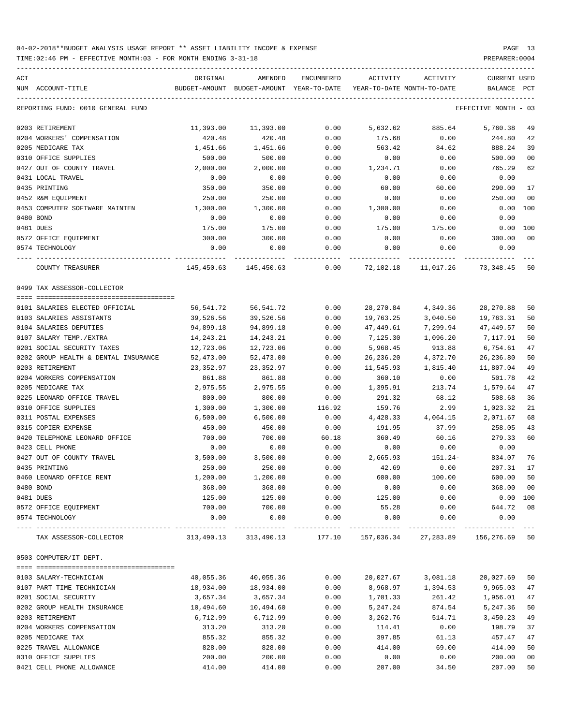TIME:02:46 PM - EFFECTIVE MONTH:03 - FOR MONTH ENDING 3-31-18 PREPARER:0004

| ACT<br>NUM ACCOUNT-TITLE                          | ORIGINAL           | AMENDED<br>BUDGET-AMOUNT BUDGET-AMOUNT YEAR-TO-DATE | ENCUMBERED           | ACTIVITY<br>YEAR-TO-DATE MONTH-TO-DATE | ACTIVITY                      | <b>CURRENT USED</b><br>BALANCE PCT |                      |
|---------------------------------------------------|--------------------|-----------------------------------------------------|----------------------|----------------------------------------|-------------------------------|------------------------------------|----------------------|
| REPORTING FUND: 0010 GENERAL FUND                 |                    |                                                     |                      |                                        |                               | EFFECTIVE MONTH - 03               |                      |
|                                                   |                    |                                                     |                      |                                        |                               |                                    |                      |
| 0203 RETIREMENT                                   | 11,393.00          | 11,393.00                                           | 0.00                 | 5,632.62                               | 885.64                        | 5,760.38                           | 49                   |
| 0204 WORKERS' COMPENSATION                        | 420.48             | 420.48                                              | 0.00                 | 175.68                                 | 0.00                          | 244.80                             | 42                   |
| 0205 MEDICARE TAX                                 | 1,451.66           | 1,451.66                                            | 0.00                 | 563.42                                 | 84.62                         | 888.24                             | 39                   |
| 0310 OFFICE SUPPLIES<br>0427 OUT OF COUNTY TRAVEL | 500.00<br>2,000.00 | 500.00<br>2,000.00                                  | 0.00<br>0.00         | 0.00                                   | 0.00                          | 500.00<br>765.29                   | 0 <sub>0</sub><br>62 |
| 0431 LOCAL TRAVEL                                 | 0.00               | 0.00                                                | 0.00                 | 1,234.71<br>0.00                       | 0.00<br>0.00                  | 0.00                               |                      |
| 0435 PRINTING                                     | 350.00             | 350.00                                              | 0.00                 | 60.00                                  | 60.00                         | 290.00                             | 17                   |
| 0452 R&M EQUIPMENT                                | 250.00             | 250.00                                              | 0.00                 | 0.00                                   | 0.00                          | 250.00                             | 0 <sub>0</sub>       |
| 0453 COMPUTER SOFTWARE MAINTEN                    | 1,300.00           | 1,300.00                                            | 0.00                 | 1,300.00                               | 0.00                          | 0.00 100                           |                      |
| 0480 BOND                                         | 0.00               | 0.00                                                | 0.00                 | 0.00                                   | 0.00                          | 0.00                               |                      |
| 0481 DUES                                         | 175.00             | 175.00                                              | 0.00                 | 175.00                                 | 175.00                        | 0.00 100                           |                      |
| 0572 OFFICE EQUIPMENT                             | 300.00             | 300.00                                              | 0.00                 | 0.00                                   | 0.00                          | 300.00                             | 0 <sub>0</sub>       |
| 0574 TECHNOLOGY                                   | 0.00               | 0.00                                                | 0.00                 | 0.00                                   | 0.00                          | 0.00                               |                      |
| COUNTY TREASURER                                  |                    | 145,450.63 145,450.63                               | -----<br>0.00        |                                        | 72,102.18 11,017.26 73,348.45 |                                    | 50                   |
| 0499 TAX ASSESSOR-COLLECTOR                       |                    |                                                     |                      |                                        |                               |                                    |                      |
| 0101 SALARIES ELECTED OFFICIAL                    | 56,541.72          | 56,541.72                                           | 0.00                 | 28,270.84                              | 4,349.36                      | 28, 270.88                         | 50                   |
| 0103 SALARIES ASSISTANTS                          | 39,526.56          | 39,526.56                                           | 0.00                 | 19,763.25                              | 3,040.50                      | 19,763.31                          | 50                   |
| 0104 SALARIES DEPUTIES                            | 94,899.18          | 94,899.18                                           | 0.00                 | 47,449.61                              | 7,299.94                      | 47,449.57                          | 50                   |
| 0107 SALARY TEMP./EXTRA                           | 14,243.21          | 14,243.21                                           | 0.00                 | 7,125.30                               | 1,096.20                      | 7,117.91                           | 50                   |
| 0201 SOCIAL SECURITY TAXES                        | 12,723.06          | 12,723.06                                           | 0.00                 | 5,968.45                               | 913.88                        | 6,754.61                           | 47                   |
| 0202 GROUP HEALTH & DENTAL INSURANCE              | 52,473.00          | 52,473.00                                           | 0.00                 | 26,236.20                              | 4,372.70                      | 26,236.80                          | 50                   |
| 0203 RETIREMENT                                   | 23,352.97          | 23,352.97                                           | 0.00                 | 11,545.93                              | 1,815.40                      | 11,807.04                          | 49                   |
| 0204 WORKERS COMPENSATION                         | 861.88             | 861.88                                              | 0.00                 | 360.10                                 | 0.00                          | 501.78                             | 42                   |
| 0205 MEDICARE TAX                                 | 2,975.55           | 2,975.55                                            | 0.00                 | 1,395.91                               | 213.74                        | 1,579.64                           | 47                   |
| 0225 LEONARD OFFICE TRAVEL                        | 800.00             | 800.00                                              | 0.00                 | 291.32                                 | 68.12                         | 508.68                             | 36                   |
| 0310 OFFICE SUPPLIES                              | 1,300.00           | 1,300.00                                            | 116.92               | 159.76                                 | 2.99                          | 1,023.32                           | 21                   |
| 0311 POSTAL EXPENSES                              | 6,500.00           | 6,500.00                                            | 0.00                 | 4,428.33                               | 4,064.15                      | 2,071.67                           | 68                   |
| 0315 COPIER EXPENSE                               | 450.00             | 450.00                                              | 0.00                 | 191.95                                 | 37.99                         | 258.05                             | 43                   |
| 0420 TELEPHONE LEONARD OFFICE                     | 700.00             | 700.00                                              | 60.18                | 360.49                                 | 60.16                         | 279.33                             | 60                   |
| 0423 CELL PHONE                                   | 0.00               | 0.00                                                | 0.00                 | 0.00                                   | 0.00                          | 0.00                               |                      |
| 0427 OUT OF COUNTY TRAVEL                         | 3,500.00           | 3,500.00                                            | 0.00                 | 2,665.93                               | 151.24-                       | 834.07                             | 76                   |
| 0435 PRINTING                                     | 250.00             | 250.00                                              | 0.00                 | 42.69                                  | 0.00                          | 207.31                             | 17                   |
| 0460 LEONARD OFFICE RENT                          | 1,200.00           | 1,200.00                                            | 0.00                 | 600.00                                 | 100.00                        | 600.00                             | 50                   |
| 0480 BOND                                         | 368.00             | 368.00                                              | 0.00                 | 0.00                                   | 0.00                          | 368.00                             | 0 <sub>0</sub>       |
| 0481 DUES                                         | 125.00             | 125.00                                              | 0.00                 | 125.00                                 | 0.00                          | $0.00$ 100                         |                      |
| 0572 OFFICE EQUIPMENT                             | 700.00             | 700.00                                              | 0.00                 | 55.28                                  | 0.00                          | 644.72                             | 08                   |
| 0574 TECHNOLOGY                                   | 0.00               | 0.00<br>------------                                | 0.00<br>------------ | 0.00<br>-------------                  | 0.00<br>------------          | 0.00<br>-----------                |                      |
| TAX ASSESSOR-COLLECTOR                            | 313,490.13         | 313,490.13                                          | 177.10               |                                        | 157,036.34 27,283.89          | 156,276.69                         | 50                   |
| 0503 COMPUTER/IT DEPT.                            |                    |                                                     |                      |                                        |                               |                                    |                      |
| 0103 SALARY-TECHNICIAN                            | 40,055.36          | 40,055.36                                           | 0.00                 | 20,027.67                              | 3,081.18                      | 20,027.69                          | 50                   |
| 0107 PART TIME TECHNICIAN                         | 18,934.00          | 18,934.00                                           | 0.00                 | 8,968.97                               | 1,394.53                      | 9,965.03                           | 47                   |
| 0201 SOCIAL SECURITY                              | 3,657.34           | 3,657.34                                            | 0.00                 | 1,701.33                               | 261.42                        | 1,956.01                           | 47                   |
| 0202 GROUP HEALTH INSURANCE                       | 10,494.60          | 10,494.60                                           | 0.00                 | 5,247.24                               | 874.54                        | 5,247.36                           | 50                   |
| 0203 RETIREMENT                                   | 6,712.99           | 6,712.99                                            | 0.00                 | 3,262.76                               | 514.71                        | 3,450.23                           | 49                   |
| 0204 WORKERS COMPENSATION                         | 313.20             | 313.20                                              | 0.00                 | 114.41                                 | 0.00                          | 198.79                             | 37                   |
| 0205 MEDICARE TAX                                 | 855.32             | 855.32                                              | 0.00                 | 397.85                                 | 61.13                         | 457.47                             | 47                   |
| 0225 TRAVEL ALLOWANCE                             | 828.00             | 828.00                                              | 0.00                 | 414.00                                 | 69.00                         | 414.00                             | 50                   |
| 0310 OFFICE SUPPLIES                              | 200.00             | 200.00                                              | 0.00                 | 0.00                                   | 0.00                          | 200.00                             | 0 <sub>0</sub>       |

0421 CELL PHONE ALLOWANCE 414.00 414.00 0.00 207.00 34.50 207.00 50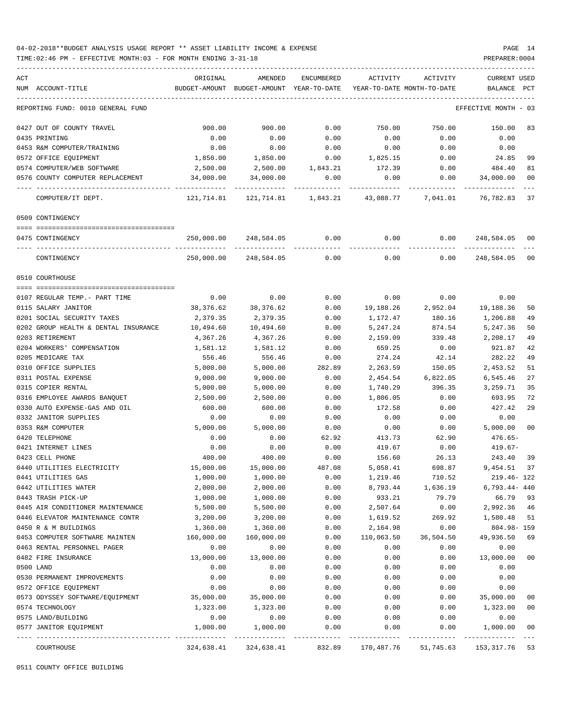TIME:02:46 PM - EFFECTIVE MONTH:03 - FOR MONTH ENDING 3-31-18 PREPARER:0004

ACT ORIGINAL AMENDED ENCUMBERED ACTIVITY ACTIVITY CURRENT USED NUM ACCOUNT-TITLE BUDGET-AMOUNT BUDGET-AMOUNT YEAR-TO-DATE YEAR-TO-DATE MONTH-TO-DATE BALANCE PCT ----------------------------------------------------------------------------------------------------------------------------------- REPORTING FUND: 0010 GENERAL FUND EFFECTIVE MONTH - 03 0427 OUT OF COUNTY TRAVEL 900.00 900.00 0.00 750.00 750.00 150.00 83 0435 PRINTING 0.00 0.00 0.00 0.00 0.00 0.00 0453 R&M COMPUTER/TRAINING 0.00 0.00 0.00 0.00 0.00 0.00 0572 OFFICE EQUIPMENT 1,850.00 1,850.00 0.00 1,825.15 0.00 24.85 99 0574 COMPUTER/WEB SOFTWARE 2,500.00 2,500.00 1,843.21 172.39 0.00 484.40 81 0576 COUNTY COMPUTER REPLACEMENT 34,000.00 34,000.00 0.00 0.00 0.00 34,000.00 00 ---- ---------------------------------- ------------- ------------- ------------ ------------- ------------ ------------- --- COMPUTER/IT DEPT. 121,714.81 121,714.81 1,843.21 43,088.77 7,041.01 76,782.83 37 0509 CONTINGENCY ==== =================================== 0475 CONTINGENCY 250,000.00 248,584.05 0.00 0.00 0.00 248,584.05 00 ---- ---------------------------------- ------------- ------------- ------------ ------------- ------------ ------------- --- CONTINGENCY 250,000.00 248,584.05 0.00 0.00 0.00 248,584.05 00 0510 COURTHOUSE ==== =================================== 0107 REGULAR TEMP.- PART TIME 0.00 0.00 0.00 0.00 0.00 0.00 0115 SALARY JANITOR 38,376.62 38,376.62 0.00 19,188.26 2,952.04 19,188.36 50 0201 SOCIAL SECURITY TAXES 2,379.35 2,379.35 0.00 1,172.47 180.16 1,206.88 49 0202 GROUP HEALTH & DENTAL INSURANCE  $10,494.60$   $10,494.60$   $0.00$   $5,247.24$   $874.54$   $5,247.36$  50 0203 RETIREMENT 4,367.26 4,367.26 0.00 2,159.09 339.48 2,208.17 49 0204 WORKERS' COMPENSATION 1,581.12 1,581.12 0.00 659.25 0.00 921.87 42 0205 MEDICARE TAX 556.46 556.46 0.00 274.24 42.14 282.22 49 0310 OFFICE SUPPLIES 5,000.00 5,000.00 282.89 2,263.59 150.05 2,453.52 51 0311 POSTAL EXPENSE 9,000.00 9,000.00 0.00 2,454.54 6,822.05 6,545.46 27 0315 COPIER RENTAL 5,000.00 5,000.00 0.00 1,740.29 396.35 3,259.71 35 0316 EMPLOYEE AWARDS BANQUET 2,500.00 2,500.00 0.00 1,806.05 0.00 693.95 72 0330 AUTO EXPENSE-GAS AND OIL 600.00 600.00 0.00 172.58 0.00 427.42 29 0332 JANITOR SUPPLIES 0.00 0.00 0.00 0.00 0.00 0.00 0353 R&M COMPUTER 5,000.00 5,000.00 0.00 0.00 0.00 5,000.00 00 0420 TELEPHONE 0.00 0.00 62.92 413.73 62.90 476.65- 0421 INTERNET LINES 67-10.00 0.00 0.00 0.00 0.00 419.67 0.00 419.67-10.00 419.67-10.00 0.00 419.67-10.00 0.00 419.67-10.00 419.67-10.00 419.67-10.00 419.67-10.00 419.67-10.00 419.67-10.00 419.67-10.00 419.67-10.00 419.67-1 0423 CELL PHONE 400.00 400.00 0.00 156.60 26.13 243.40 39 0440 UTILITIES ELECTRICITY 15,000.00 15,000.00 487.08 5,058.41 698.87 9,454.51 37 0441 UTILITIES GAS 1,000.00 1,000.00 0.00 1,219.46 710.52 219.46- 122 0442 UTILITIES WATER 2,000.00 2,000.00 0.00 8,793.44 1,636.19 6,793.44- 440 0443 TRASH PICK-UP 1,000.00 1,000.00 0.00 933.21 79.79 66.79 93 0445 AIR CONDITIONER MAINTENANCE 5,500.00 5,500.00 0.00 2,507.64 0.00 2,992.36 46 0446 ELEVATOR MAINTENANCE CONTR 3,200.00 3,200.00 0.00 1,619.52 269.92 1,580.48 51 0450 R & M BUILDINGS 1,360.00 1,360.00 0.00 2,164.98 0.00 804.98- 159 0453 COMPUTER SOFTWARE MAINTEN 160,000.00 160,000.00 0.00 110,063.50 36,504.50 49,936.50 69 0463 RENTAL PERSONNEL PAGER 0.00 0.00 0.00 0.00 0.00 0.00 0482 FIRE INSURANCE 13,000.00 13,000.00 0.00 0.00 0.00 13,000.00 00 0500 LAND 0.00 0.00 0.00 0.00 0.00 0.00 0530 PERMANENT IMPROVEMENTS 0.00 0.00 0.00 0.00 0.00 0.00 0572 OFFICE EQUIPMENT 0.00 0.00 0.00 0.00 0.00 0.00 0573 ODYSSEY SOFTWARE/EQUIPMENT 35,000.00 35,000.00 0.00 0.00 0.00 35,000.00 00 0574 TECHNOLOGY 1,323.00 1,323.00 0.00 0.00 0.00 1,323.00 00 0575 LAND/BUILDING 0.00 0.00 0.00 0.00 0.00 0.00 0577 JANITOR EQUIPMENT 1,000.00 1,000.00 0.00 0.00 0.00 1,000.00 00

---- ---------------------------------- ------------- ------------- ------------ ------------- ------------ ------------- --- COURTHOUSE 324,638.41 324,638.41 832.89 170,487.76 51,745.63 153,317.76 53

-----------------------------------------------------------------------------------------------------------------------------------

0511 COUNTY OFFICE BUILDING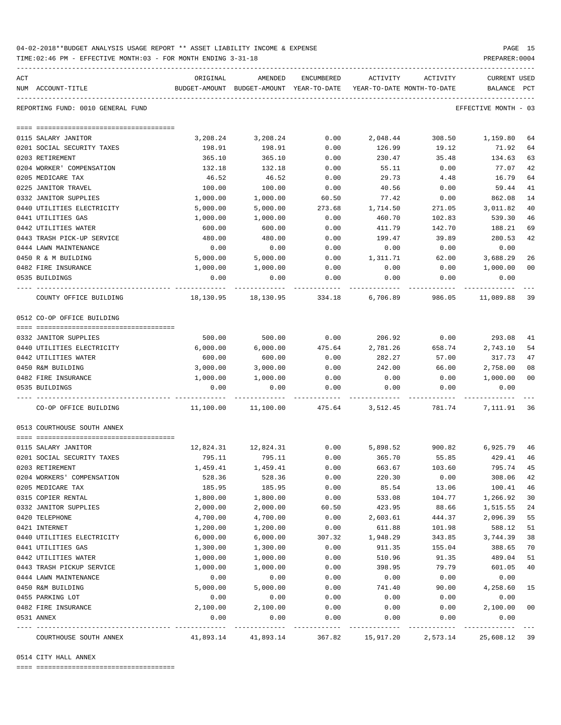| 04-02-2018**BUDGET ANALYSIS USAGE REPORT ** ASSET LIABILITY INCOME & EXPENSE |  |  |  | PAGE |  |
|------------------------------------------------------------------------------|--|--|--|------|--|
|                                                                              |  |  |  |      |  |

TIME:02:46 PM - EFFECTIVE MONTH:03 - FOR MONTH ENDING 3-31-18 PREPARER:0004

| ACT                               | ORIGINAL  | AMENDED                                                             | ENCUMBERED | ACTIVITY  | ACTIVITY | CURRENT USED         |    |
|-----------------------------------|-----------|---------------------------------------------------------------------|------------|-----------|----------|----------------------|----|
| NUM ACCOUNT-TITLE                 |           | BUDGET-AMOUNT BUDGET-AMOUNT YEAR-TO-DATE YEAR-TO-DATE MONTH-TO-DATE |            |           |          | BALANCE PCT          |    |
| REPORTING FUND: 0010 GENERAL FUND |           |                                                                     |            |           |          | EFFECTIVE MONTH - 03 |    |
|                                   |           |                                                                     |            |           |          |                      |    |
| 0115 SALARY JANITOR               | 3,208.24  | 3,208.24                                                            | 0.00       | 2,048.44  | 308.50   | 1,159.80             | 64 |
| 0201 SOCIAL SECURITY TAXES        | 198.91    | 198.91                                                              | 0.00       | 126.99    | 19.12    | 71.92                | 64 |
| 0203 RETIREMENT                   | 365.10    | 365.10                                                              | 0.00       | 230.47    | 35.48    | 134.63               | 63 |
| 0204 WORKER' COMPENSATION         | 132.18    | 132.18                                                              | 0.00       | 55.11     | 0.00     | 77.07                | 42 |
| 0205 MEDICARE TAX                 | 46.52     | 46.52                                                               | 0.00       | 29.73     | 4.48     | 16.79                | 64 |
| 0225 JANITOR TRAVEL               | 100.00    | 100.00                                                              | 0.00       | 40.56     | 0.00     | 59.44                | 41 |
| 0332 JANITOR SUPPLIES             | 1,000.00  | 1,000.00                                                            | 60.50      | 77.42     | 0.00     | 862.08               | 14 |
| 0440 UTILITIES ELECTRICITY        | 5,000.00  | 5,000.00                                                            | 273.68     | 1,714.50  | 271.05   | 3,011.82             | 40 |
| 0441 UTILITIES GAS                | 1,000.00  | 1,000.00                                                            | 0.00       | 460.70    | 102.83   | 539.30               | 46 |
| 0442 UTILITIES WATER              | 600.00    | 600.00                                                              | 0.00       | 411.79    | 142.70   | 188.21               | 69 |
| 0443 TRASH PICK-UP SERVICE        | 480.00    | 480.00                                                              | 0.00       | 199.47    | 39.89    | 280.53               | 42 |
| 0444 LAWN MAINTENANCE             | 0.00      | 0.00                                                                | 0.00       | 0.00      | 0.00     | 0.00                 |    |
| 0450 R & M BUILDING               | 5,000.00  | 5,000.00                                                            | 0.00       | 1,311.71  | 62.00    | 3,688.29             | 26 |
| 0482 FIRE INSURANCE               | 1,000.00  | 1,000.00                                                            | 0.00       | 0.00      | 0.00     | 1,000.00             | 00 |
| 0535 BUILDINGS                    | 0.00      | 0.00                                                                | 0.00       | 0.00      | 0.00     | 0.00                 |    |
| COUNTY OFFICE BUILDING            | 18,130.95 | 18,130.95                                                           | 334.18     | 6,706.89  | 986.05   | 11,089.88 39         |    |
| 0512 CO-OP OFFICE BUILDING        |           |                                                                     |            |           |          |                      |    |
| 0332 JANITOR SUPPLIES             | 500.00    | 500.00                                                              | 0.00       | 206.92    | 0.00     | 293.08               | 41 |
| 0440 UTILITIES ELECTRICITY        | 6,000.00  | 6,000.00                                                            | 475.64     | 2,781.26  | 658.74   | 2,743.10             | 54 |
| 0442 UTILITIES WATER              | 600.00    | 600.00                                                              | 0.00       | 282.27    | 57.00    | 317.73               | 47 |
| 0450 R&M BUILDING                 | 3,000.00  | 3,000.00                                                            | 0.00       | 242.00    | 66.00    | 2,758.00             | 08 |
| 0482 FIRE INSURANCE               | 1,000.00  | 1,000.00                                                            | 0.00       | 0.00      | 0.00     | 1,000.00             | 00 |
| 0535 BUILDINGS                    | 0.00      | 0.00                                                                | 0.00       | 0.00      | 0.00     | 0.00                 |    |
| CO-OP OFFICE BUILDING             | 11,100.00 | 11,100.00                                                           | 475.64     | 3,512.45  | 781.74   | 7,111.91             | 36 |
| 0513 COURTHOUSE SOUTH ANNEX       |           |                                                                     |            |           |          |                      |    |
|                                   |           |                                                                     |            |           |          |                      |    |
| 0115 SALARY JANITOR               |           | 12,824.31    12,824.31                                              | 0.00       | 5,898.52  | 900.82   | 6,925.79             | 46 |
| 0201 SOCIAL SECURITY TAXES        | 795.11    | 795.11                                                              | 0.00       | 365.70    | 55.85    | 429.41               | 46 |
| 0203 RETIREMENT                   | 1,459.41  | 1,459.41                                                            | 0.00       | 663.67    | 103.60   | 795.74               | 45 |
| 0204 WORKERS' COMPENSATION        | 528.36    | 528.36                                                              | 0.00       | 220.30    | 0.00     | 308.06               | 42 |
| 0205 MEDICARE TAX                 | 185.95    | 185.95                                                              | 0.00       | 85.54     | 13.06    | 100.41               | 46 |
| 0315 COPIER RENTAL                | 1,800.00  | 1,800.00                                                            | 0.00       | 533.08    | 104.77   | 1,266.92             | 30 |
| 0332 JANITOR SUPPLIES             | 2,000.00  | 2,000.00                                                            | 60.50      | 423.95    | 88.66    | 1,515.55             | 24 |
| 0420 TELEPHONE                    | 4,700.00  | 4,700.00                                                            | 0.00       | 2,603.61  | 444.37   | 2,096.39             | 55 |
| 0421 INTERNET                     | 1,200.00  | 1,200.00                                                            | 0.00       | 611.88    | 101.98   | 588.12               | 51 |
| 0440 UTILITIES ELECTRICITY        | 6,000.00  | 6,000.00                                                            | 307.32     | 1,948.29  | 343.85   | 3,744.39             | 38 |
| 0441 UTILITIES GAS                | 1,300.00  | 1,300.00                                                            | 0.00       | 911.35    | 155.04   | 388.65               | 70 |
| 0442 UTILITIES WATER              | 1,000.00  | 1,000.00                                                            | 0.00       | 510.96    | 91.35    | 489.04               | 51 |
| 0443 TRASH PICKUP SERVICE         | 1,000.00  | 1,000.00                                                            | 0.00       | 398.95    | 79.79    | 601.05               | 40 |
| 0444 LAWN MAINTENANCE             | 0.00      | 0.00                                                                | 0.00       | 0.00      | 0.00     | 0.00                 |    |
| 0450 R&M BUILDING                 | 5,000.00  | 5,000.00                                                            | 0.00       | 741.40    | 90.00    | 4,258.60             | 15 |
| 0455 PARKING LOT                  | 0.00      | 0.00                                                                | 0.00       | 0.00      | 0.00     | 0.00                 |    |
| 0482 FIRE INSURANCE               | 2,100.00  | 2,100.00                                                            | 0.00       | 0.00      | 0.00     | 2,100.00             | 00 |
| 0531 ANNEX                        | 0.00      | 0.00                                                                | 0.00       | 0.00      | 0.00     | 0.00                 |    |
| COURTHOUSE SOUTH ANNEX            | 41,893.14 | 41,893.14                                                           | 367.82     | 15,917.20 | 2,573.14 | 25,608.12 39         |    |

0514 CITY HALL ANNEX

==== ===================================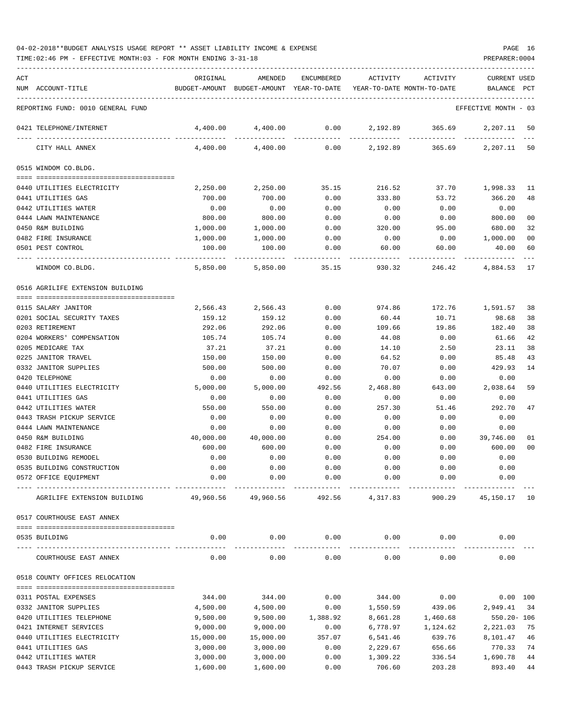| ACT |                                                  | ORIGINAL              | AMENDED                                                             | ENCUMBERED     | ACTIVITY             | ACTIVITY                           | CURRENT USED         |                      |
|-----|--------------------------------------------------|-----------------------|---------------------------------------------------------------------|----------------|----------------------|------------------------------------|----------------------|----------------------|
|     | NUM ACCOUNT-TITLE                                |                       | BUDGET-AMOUNT BUDGET-AMOUNT YEAR-TO-DATE YEAR-TO-DATE MONTH-TO-DATE |                |                      |                                    | BALANCE              | PCT                  |
|     |                                                  |                       |                                                                     |                |                      |                                    |                      |                      |
|     | REPORTING FUND: 0010 GENERAL FUND                |                       |                                                                     |                |                      |                                    | EFFECTIVE MONTH - 03 |                      |
|     | 0421 TELEPHONE/INTERNET                          | 4,400.00              | 4,400.00                                                            | 0.00           |                      | 2,192.89 365.69                    | 2,207.11 50          |                      |
|     | CITY HALL ANNEX                                  | 4,400.00              | 4,400.00                                                            |                |                      | $0.00$ 2,192.89 365.69 2,207.11 50 |                      |                      |
|     | 0515 WINDOM CO.BLDG.                             |                       |                                                                     |                |                      |                                    |                      |                      |
|     |                                                  |                       |                                                                     |                |                      |                                    |                      |                      |
|     | 0440 UTILITIES ELECTRICITY                       | 2,250.00              | 2,250.00                                                            | 35.15          | 216.52               | 37.70                              | 1,998.33 11          |                      |
|     | 0441 UTILITIES GAS                               | 700.00                | 700.00                                                              | 0.00           | 333.80<br>0.00       | 53.72                              | 366.20<br>0.00       | 48                   |
|     | 0442 UTILITIES WATER<br>0444 LAWN MAINTENANCE    | 0.00<br>800.00        | 0.00<br>800.00                                                      | 0.00<br>0.00   | 0.00                 | 0.00<br>0.00                       | 800.00               | 00                   |
|     | 0450 R&M BUILDING                                | 1,000.00              | 1,000.00                                                            | 0.00           | 320.00               | 95.00                              | 680.00               | 32                   |
|     | 0482 FIRE INSURANCE                              | 1,000.00              | 1,000.00                                                            | 0.00           | 0.00                 | 0.00                               | 1,000.00             | 00                   |
|     | 0501 PEST CONTROL                                | 100.00                | 100.00                                                              | 0.00           | 60.00                | 60.00                              | 40.00                | 60                   |
|     |                                                  |                       |                                                                     |                |                      |                                    |                      |                      |
|     | WINDOM CO.BLDG.                                  | 5,850.00              | 5,850.00                                                            | 35.15          | 930.32               | 246.42                             | 4,884.53             | 17                   |
|     | 0516 AGRILIFE EXTENSION BUILDING                 |                       |                                                                     |                |                      |                                    |                      |                      |
|     | 0115 SALARY JANITOR                              |                       |                                                                     | 0.00           |                      |                                    |                      |                      |
|     | 0201 SOCIAL SECURITY TAXES                       | 2,566.43<br>159.12    | 2,566.43<br>159.12                                                  | 0.00           | 974.86<br>60.44      | 172.76<br>10.71                    | 1,591.57 38<br>98.68 | 38                   |
|     | 0203 RETIREMENT                                  | 292.06                | 292.06                                                              | 0.00           | 109.66               | 19.86                              | 182.40               | 38                   |
|     | 0204 WORKERS' COMPENSATION                       | 105.74                | 105.74                                                              | 0.00           | 44.08                | 0.00                               | 61.66                | 42                   |
|     | 0205 MEDICARE TAX                                | 37.21                 | 37.21                                                               | 0.00           | 14.10                | 2.50                               | 23.11                | 38                   |
|     | 0225 JANITOR TRAVEL                              | 150.00                | 150.00                                                              | 0.00           | 64.52                | 0.00                               | 85.48                | 43                   |
|     | 0332 JANITOR SUPPLIES                            | 500.00                | 500.00                                                              | 0.00           | 70.07                | 0.00                               | 429.93               | 14                   |
|     | 0420 TELEPHONE                                   | 0.00                  | 0.00                                                                | 0.00           | 0.00                 | 0.00                               | 0.00                 |                      |
|     | 0440 UTILITIES ELECTRICITY                       | 5,000.00              | 5,000.00                                                            | 492.56         | 2,468.80             | 643.00                             | 2,038.64             | 59                   |
|     | 0441 UTILITIES GAS                               | 0.00                  | 0.00                                                                | 0.00           | 0.00                 | 0.00                               | 0.00                 |                      |
|     | 0442 UTILITIES WATER                             | 550.00                | 550.00                                                              | 0.00           | 257.30               | 51.46                              | 292.70               | 47                   |
|     | 0443 TRASH PICKUP SERVICE                        | 0.00                  | 0.00                                                                | 0.00           | 0.00                 | 0.00                               | 0.00                 |                      |
|     | 0444 LAWN MAINTENANCE                            | 0.00                  | 0.00                                                                | 0.00           | 0.00                 | 0.00                               | 0.00                 |                      |
|     | 0450 R&M BUILDING<br>0482 FIRE INSURANCE         | 40,000.00<br>600.00   | 40,000.00<br>600.00                                                 | 0.00           | 254.00               | 0.00<br>0.00                       | 39,746.00<br>600.00  | 01<br>0 <sup>0</sup> |
|     | 0530 BUILDING REMODEL                            | 0.00                  | 0.00                                                                | 0.00<br>0.00   | 0.00<br>0.00         | 0.00                               | 0.00                 |                      |
|     | 0535 BUILDING CONSTRUCTION                       | 0.00                  | 0.00                                                                | 0.00           | 0.00                 | 0.00                               | 0.00                 |                      |
|     | 0572 OFFICE EQUIPMENT                            | 0.00                  | 0.00                                                                | 0.00           | 0.00                 | 0.00                               | 0.00                 |                      |
|     | AGRILIFE EXTENSION BUILDING                      |                       | 49,960.56 49,960.56                                                 | 492.56         | 4,317.83             | 900.29                             | 45, 150. 17 10       |                      |
|     |                                                  |                       |                                                                     |                |                      |                                    |                      |                      |
|     | 0517 COURTHOUSE EAST ANNEX                       |                       |                                                                     |                |                      |                                    |                      |                      |
|     | 0535 BUILDING                                    | 0.00                  | 0.00                                                                | 0.00           | 0.00                 | 0.00                               | 0.00                 |                      |
|     | COURTHOUSE EAST ANNEX                            | 0.00                  | 0.00                                                                | 0.00           | 0.00                 | 0.00                               | 0.00                 |                      |
|     | 0518 COUNTY OFFICES RELOCATION                   |                       |                                                                     |                |                      |                                    |                      |                      |
|     |                                                  |                       |                                                                     |                |                      |                                    |                      |                      |
|     | 0311 POSTAL EXPENSES                             | 344.00                | 344.00                                                              | 0.00           | 344.00               | 0.00                               |                      | 0.00 100             |
|     | 0332 JANITOR SUPPLIES                            | 4,500.00              | 4,500.00                                                            | 0.00           | 1,550.59             | 439.06                             | 2,949.41 34          |                      |
|     | 0420 UTILITIES TELEPHONE                         | 9,500.00              | 9,500.00                                                            | 1,388.92       | 8,661.28             | 1,460.68                           | $550.20 - 106$       |                      |
|     | 0421 INTERNET SERVICES                           | 9,000.00              | 9,000.00                                                            | 0.00           | 6,778.97             | 1,124.62                           | 2,221.03             | 75                   |
|     | 0440 UTILITIES ELECTRICITY<br>0441 UTILITIES GAS | 15,000.00<br>3,000.00 | 15,000.00<br>3,000.00                                               | 357.07<br>0.00 | 6,541.46<br>2,229.67 | 639.76<br>656.66                   | 8,101.47<br>770.33   | 46<br>74             |
|     | 0442 UTILITIES WATER                             | 3,000.00              | 3,000.00                                                            | 0.00           | 1,309.22             | 336.54                             | 1,690.78             | 44                   |
|     | 0443 TRASH PICKUP SERVICE                        | 1,600.00              | 1,600.00                                                            | 0.00           | 706.60               | 203.28                             | 893.40               | 44                   |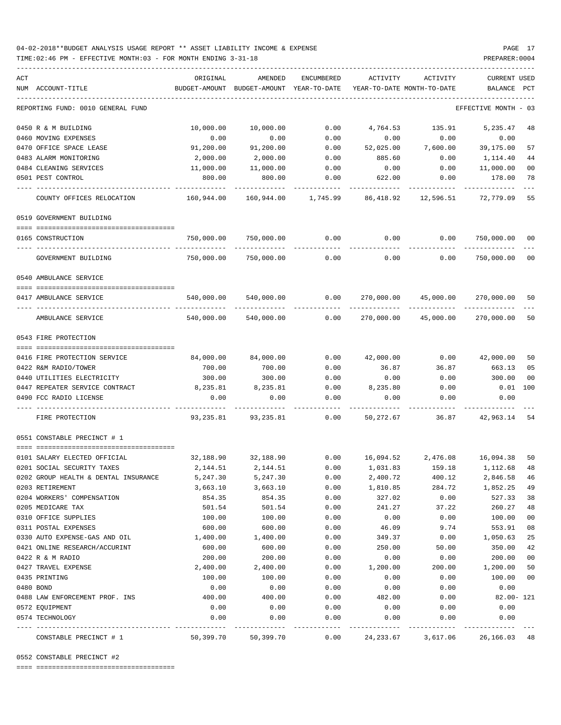### 04-02-2018\*\*BUDGET ANALYSIS USAGE REPORT \*\* ASSET LIABILITY INCOME & EXPENSE PAGE 17 TIME:02:46 PM - EFFECTIVE MONTH:03 - FOR MONTH ENDING 3-31-18 PREPARER:0004

| ACT | NUM ACCOUNT-TITLE                                         | ORIGINAL<br>BUDGET-AMOUNT                 | AMENDED<br>BUDGET-AMOUNT | ENCUMBERED<br>YEAR-TO-DATE | ACTIVITY<br>YEAR-TO-DATE MONTH-TO-DATE | ACTIVITY                                                 | CURRENT USED<br>BALANCE  | PCT |
|-----|-----------------------------------------------------------|-------------------------------------------|--------------------------|----------------------------|----------------------------------------|----------------------------------------------------------|--------------------------|-----|
|     |                                                           |                                           |                          |                            |                                        |                                                          |                          |     |
|     | REPORTING FUND: 0010 GENERAL FUND                         |                                           |                          |                            |                                        |                                                          | EFFECTIVE MONTH - 03     |     |
|     | 0450 R & M BUILDING                                       | 10,000.00                                 | 10,000.00                | 0.00                       | 4,764.53                               | 135.91                                                   | 5,235.47                 | 48  |
|     | 0460 MOVING EXPENSES                                      | 0.00                                      | 0.00                     | 0.00                       | 0.00                                   | 0.00                                                     | 0.00                     |     |
|     | 0470 OFFICE SPACE LEASE                                   | 91,200.00                                 | 91,200.00                | 0.00                       | 52,025.00                              | 7,600.00                                                 | 39,175.00                | 57  |
|     | 0483 ALARM MONITORING                                     | 2,000.00                                  | 2,000.00                 | 0.00                       | 885.60                                 | 0.00                                                     | 1,114.40                 | 44  |
|     | 0484 CLEANING SERVICES                                    | 11,000.00                                 | 11,000.00                | 0.00                       | 0.00                                   | 0.00                                                     | 11,000.00                | 00  |
|     | 0501 PEST CONTROL                                         | 800.00                                    | 800.00                   | 0.00                       | 622.00                                 | 0.00                                                     | 178.00                   | 78  |
|     | COUNTY OFFICES RELOCATION                                 | 160,944.00                                |                          |                            |                                        | 12,596.51                                                | 72,779.09                | 55  |
|     | 0519 GOVERNMENT BUILDING                                  |                                           |                          |                            |                                        |                                                          |                          |     |
|     |                                                           |                                           |                          |                            |                                        |                                                          |                          |     |
|     | 0165 CONSTRUCTION<br>---- ------------------------------- | 750,000.00<br>-----------                 | 750,000.00               | 0.00                       | $0.00$ 0.00                            |                                                          | 750,000.00<br>---------- | 00  |
|     | GOVERNMENT BUILDING                                       | 750,000.00                                | 750,000.00               | 0.00                       | 0.00                                   | 0.00                                                     | 750,000.00 00            |     |
|     | 0540 AMBULANCE SERVICE                                    |                                           |                          |                            |                                        |                                                          |                          |     |
|     |                                                           |                                           |                          |                            |                                        |                                                          |                          |     |
|     | 0417 AMBULANCE SERVICE                                    | 540,000.00                                | 540,000.00               | 0.00                       |                                        | 270,000.00 45,000.00                                     | 270,000.00               | 50  |
|     | AMBULANCE SERVICE                                         | 540,000.00                                |                          | 540,000.00 0.00            |                                        | 270,000.00 45,000.00 270,000.00                          |                          | 50  |
|     | 0543 FIRE PROTECTION                                      |                                           |                          |                            |                                        |                                                          |                          |     |
|     |                                                           |                                           |                          |                            |                                        |                                                          |                          |     |
|     | 0416 FIRE PROTECTION SERVICE                              | 84,000.00                                 | 84,000.00                | 0.00                       | 42,000.00                              |                                                          | 0.00 42,000.00           | 50  |
|     | 0422 R&M RADIO/TOWER                                      | 700.00                                    | 700.00                   | 0.00                       | 36.87                                  | 36.87                                                    | 663.13                   | 05  |
|     | 0440 UTILITIES ELECTRICITY                                | 300.00                                    | 300.00                   | 0.00                       | 0.00                                   | 0.00                                                     | 300.00                   | 00  |
|     | 0447 REPEATER SERVICE CONTRACT                            | 8,235.81                                  | 8,235.81                 | 0.00                       | 8,235.80                               | 0.00                                                     | $0.01$ 100               |     |
|     | 0490 FCC RADIO LICENSE                                    | 0.00                                      | 0.00                     | 0.00                       | 0.00                                   | 0.00                                                     | 0.00                     |     |
|     | FIRE PROTECTION                                           | 93,235.81                                 |                          | 93,235.81 0.00             | 50,272.67                              | 36.87                                                    | 42,963.14 54             |     |
|     | 0551 CONSTABLE PRECINCT # 1                               |                                           |                          |                            |                                        |                                                          |                          |     |
|     | 0101 SALARY ELECTED OFFICIAL                              |                                           |                          |                            |                                        | 32,188.90 32,188.90 0.00 16,094.52 2,476.08 16,094.38 50 |                          |     |
|     | 0201 SOCIAL SECURITY TAXES                                | 2,144.51                                  | 2,144.51                 | 0.00                       | 1,031.83                               | 159.18                                                   | 1,112.68                 | 48  |
|     | 0202 GROUP HEALTH & DENTAL INSURANCE                      | 5,247.30                                  | 5,247.30                 | 0.00                       | 2,400.72                               | 400.12                                                   | 2,846.58 46              |     |
|     | 0203 RETIREMENT                                           | 3,663.10                                  | 3,663.10                 | 0.00                       | 1,810.85                               | 284.72                                                   | 1,852.25                 | 49  |
|     | 0204 WORKERS' COMPENSATION                                | 854.35                                    | 854.35                   | 0.00                       | 327.02                                 | 0.00                                                     | 527.33                   | 38  |
|     | 0205 MEDICARE TAX                                         | 501.54                                    | 501.54                   | 0.00                       | 241.27                                 | 37.22                                                    | 260.27                   | 48  |
|     | 0310 OFFICE SUPPLIES                                      | 100.00                                    | 100.00                   | 0.00                       | 0.00                                   | 0.00                                                     | 100.00                   | 00  |
|     | 0311 POSTAL EXPENSES                                      | 600.00                                    | 600.00                   | 0.00                       | 46.09                                  | 9.74                                                     | 553.91                   | 08  |
|     | 0330 AUTO EXPENSE-GAS AND OIL                             | 1,400.00                                  | 1,400.00                 | 0.00                       | 349.37                                 | 0.00                                                     | 1,050.63                 | 25  |
|     | 0421 ONLINE RESEARCH/ACCURINT                             | 600.00                                    | 600.00                   | 0.00                       | 250.00                                 | 50.00                                                    | 350.00                   | 42  |
|     | 0422 R & M RADIO                                          | 200.00                                    | 200.00                   | 0.00                       | 0.00                                   | 0.00                                                     | 200.00                   | 00  |
|     | 0427 TRAVEL EXPENSE                                       | 2,400.00                                  | 2,400.00                 | 0.00                       | 1,200.00                               | 200.00                                                   | 1,200.00                 | 50  |
|     | 0435 PRINTING                                             | 100.00                                    | 100.00                   | 0.00                       | 0.00                                   | 0.00                                                     | 100.00                   | 00  |
|     | 0480 BOND                                                 | 0.00                                      | 0.00                     | 0.00                       | 0.00                                   | 0.00                                                     | 0.00                     |     |
|     | 0488 LAW ENFORCEMENT PROF. INS                            | 400.00                                    | 400.00                   | 0.00                       | 482.00                                 | 0.00                                                     | $82.00 - 121$            |     |
|     | 0572 EQUIPMENT                                            | 0.00                                      | 0.00                     | 0.00                       | 0.00                                   | 0.00                                                     | 0.00                     |     |
|     | 0574 TECHNOLOGY                                           | 0.00                                      | 0.00                     | 0.00                       | 0.00                                   | 0.00                                                     | 0.00                     |     |
|     | CONSTABLE PRECINCT # 1                                    | ----------------------------<br>50,399.70 | 50,399.70                | 0.00                       | 24, 233.67                             | 3,617.06                                                 | 26, 166.03 48            |     |

0552 CONSTABLE PRECINCT #2

==== ===================================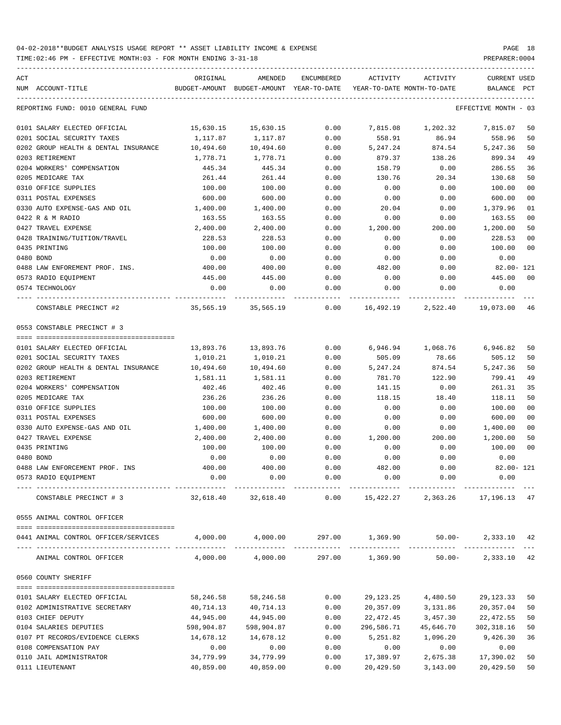TIME:02:46 PM - EFFECTIVE MONTH:03 - FOR MONTH ENDING 3-31-18 PREPARER:0004

| ACT<br>NUM ACCOUNT-TITLE                        | ORIGINAL<br>BUDGET-AMOUNT | AMENDED          | ENCUMBERED   | ACTIVITY<br>BUDGET-AMOUNT YEAR-TO-DATE YEAR-TO-DATE MONTH-TO-DATE | ACTIVITY                        | <b>CURRENT USED</b><br>BALANCE | PCT      |
|-------------------------------------------------|---------------------------|------------------|--------------|-------------------------------------------------------------------|---------------------------------|--------------------------------|----------|
| REPORTING FUND: 0010 GENERAL FUND               |                           |                  |              |                                                                   |                                 | EFFECTIVE MONTH - 03           |          |
| 0101 SALARY ELECTED OFFICIAL                    | 15,630.15                 | 15,630.15        | 0.00         | 7,815.08                                                          | 1,202.32                        | 7,815.07                       | 50       |
| 0201 SOCIAL SECURITY TAXES                      | 1,117.87                  | 1,117.87         | 0.00         | 558.91                                                            | 86.94                           | 558.96                         | 50       |
| 0202 GROUP HEALTH & DENTAL INSURANCE            | 10,494.60                 | 10,494.60        | 0.00         | 5,247.24                                                          | 874.54                          | 5,247.36                       | 50       |
| 0203 RETIREMENT                                 | 1,778.71                  | 1,778.71         | 0.00         | 879.37                                                            | 138.26                          | 899.34                         | 49       |
| 0204 WORKERS' COMPENSATION                      | 445.34                    | 445.34           | 0.00         | 158.79                                                            | 0.00                            | 286.55                         | 36       |
| 0205 MEDICARE TAX                               | 261.44                    | 261.44           | 0.00         | 130.76                                                            | 20.34                           | 130.68                         | 50       |
| 0310 OFFICE SUPPLIES                            | 100.00                    | 100.00           | 0.00         | 0.00                                                              | 0.00                            | 100.00                         | 00       |
| 0311 POSTAL EXPENSES                            | 600.00                    | 600.00           | 0.00         | 0.00                                                              | 0.00                            | 600.00                         | 00       |
| 0330 AUTO EXPENSE-GAS AND OIL                   | 1,400.00                  | 1,400.00         | 0.00         | 20.04                                                             | 0.00                            | 1,379.96                       | 01       |
| 0422 R & M RADIO                                | 163.55                    | 163.55           | 0.00         | 0.00                                                              | 0.00                            | 163.55                         | 00       |
| 0427 TRAVEL EXPENSE                             | 2,400.00                  | 2,400.00         | 0.00         | 1,200.00                                                          | 200.00                          | 1,200.00                       | 50       |
| 0428 TRAINING/TUITION/TRAVEL                    | 228.53                    | 228.53           | 0.00         | 0.00                                                              | 0.00                            | 228.53                         | 00       |
| 0435 PRINTING                                   | 100.00                    | 100.00           | 0.00         | 0.00                                                              | 0.00                            | 100.00                         | 00       |
| 0480 BOND                                       | 0.00                      | 0.00             | 0.00         | 0.00                                                              | 0.00                            | 0.00                           |          |
| 0488 LAW ENFOREMENT PROF. INS.                  | 400.00                    | 400.00           | 0.00         | 482.00                                                            | 0.00                            | 82.00- 121                     |          |
| 0573 RADIO EQUIPMENT                            | 445.00                    | 445.00           | 0.00         | 0.00                                                              | 0.00                            | 445.00                         | 00       |
| 0574 TECHNOLOGY                                 | 0.00                      | 0.00             | 0.00         | 0.00                                                              | 0.00                            | 0.00                           |          |
| CONSTABLE PRECINCT #2                           | 35,565.19 35,565.19       |                  |              | $0.00$ 16,492.19 2,522.40                                         |                                 | 19,073.00                      | 46       |
| 0553 CONSTABLE PRECINCT # 3                     |                           |                  |              |                                                                   |                                 |                                |          |
|                                                 |                           |                  |              |                                                                   |                                 |                                |          |
| 0101 SALARY ELECTED OFFICIAL                    | 13,893.76                 | 13,893.76        | 0.00         | 6,946.94                                                          | 1,068.76                        | 6,946.82                       | 50       |
| 0201 SOCIAL SECURITY TAXES                      | 1,010.21                  | 1,010.21         | 0.00         | 505.09                                                            | 78.66                           | 505.12                         | 50       |
| 0202 GROUP HEALTH & DENTAL INSURANCE            | 10,494.60                 | 10,494.60        | 0.00         | 5,247.24                                                          | 874.54                          | 5,247.36                       | 50       |
| 0203 RETIREMENT                                 | 1,581.11                  | 1,581.11         | 0.00         | 781.70                                                            | 122.90                          | 799.41                         | 49       |
| 0204 WORKERS' COMPENSATION<br>0205 MEDICARE TAX | 402.46                    | 402.46           | 0.00         | 141.15                                                            | 0.00                            | 261.31<br>118.11               | 35       |
| 0310 OFFICE SUPPLIES                            | 236.26<br>100.00          | 236.26<br>100.00 | 0.00<br>0.00 | 118.15<br>0.00                                                    | 18.40<br>0.00                   | 100.00                         | 50<br>00 |
| 0311 POSTAL EXPENSES                            | 600.00                    | 600.00           | 0.00         | 0.00                                                              | 0.00                            | 600.00                         | 00       |
| 0330 AUTO EXPENSE-GAS AND OIL                   | 1,400.00                  | 1,400.00         | 0.00         | 0.00                                                              | 0.00                            | 1,400.00                       | 00       |
| 0427 TRAVEL EXPENSE                             |                           | 2,400.00         | 0.00         | 1,200.00                                                          | 200.00                          | 1,200.00                       | 50       |
| 0435 PRINTING                                   | 2,400.00<br>100.00        | 100.00           | 0.00         | 0.00                                                              | 0.00                            | 100.00                         | 00       |
| 0480 BOND                                       | 0.00                      | 0.00             | 0.00         | 0.00                                                              | 0.00                            | 0.00                           |          |
| 0488 LAW ENFORCEMENT PROF. INS                  | 400.00                    | 400.00           | 0.00         | 482.00                                                            | 0.00                            | $82.00 - 121$                  |          |
| 0573 RADIO EQUIPMENT                            | 0.00                      | 0.00             | 0.00         | 0.00                                                              | 0.00                            | 0.00                           |          |
| CONSTABLE PRECINCT # 3                          | 32,618.40                 | 32,618.40        | 0.00         |                                                                   | 15,422.27 2,363.26 17,196.13 47 |                                |          |
| 0555 ANIMAL CONTROL OFFICER                     |                           |                  |              |                                                                   |                                 |                                |          |
| 0441 ANIMAL CONTROL OFFICER/SERVICES            |                           |                  |              | $4,000.00$ $4,000.00$ $297.00$ $1,369.90$ $50.00$ $2,333.10$ $42$ |                                 |                                |          |
| ANIMAL CONTROL OFFICER                          |                           |                  |              | $4,000.00$ $4,000.00$ $297.00$ $1,369.90$ $50.00-$                |                                 | 2,333.10 42                    |          |
| 0560 COUNTY SHERIFF                             |                           |                  |              |                                                                   |                                 |                                |          |
| 0101 SALARY ELECTED OFFICIAL                    | 58,246.58                 | 58,246.58        | 0.00         | 29,123.25                                                         | 4,480.50                        | 29,123.33                      | 50       |
| 0102 ADMINISTRATIVE SECRETARY                   | 40,714.13                 | 40,714.13        | 0.00         | 20,357.09                                                         | 3,131.86                        | 20,357.04                      | 50       |
| 0103 CHIEF DEPUTY                               | 44,945.00                 | 44,945.00        | 0.00         | 22,472.45                                                         | 3,457.30                        | 22,472.55                      | 50       |
| 0104 SALARIES DEPUTIES                          | 598,904.87                | 598,904.87       | 0.00         | 296,586.71                                                        | 45,646.70                       | 302,318.16                     | 50       |
| 0107 PT RECORDS/EVIDENCE CLERKS                 | 14,678.12                 | 14,678.12        | 0.00         | 5,251.82                                                          | 1,096.20                        | 9,426.30                       | 36       |
| 0108 COMPENSATION PAY                           | 0.00                      | 0.00             | 0.00         | 0.00                                                              | 0.00                            | 0.00                           |          |
| 0110 JAIL ADMINISTRATOR                         | 34,779.99                 | 34,779.99        | 0.00         | 17,389.97                                                         | 2,675.38                        | 17,390.02                      | 50       |

0111 LIEUTENANT 40,859.00 40,859.00 0.00 20,429.50 3,143.00 20,429.50 50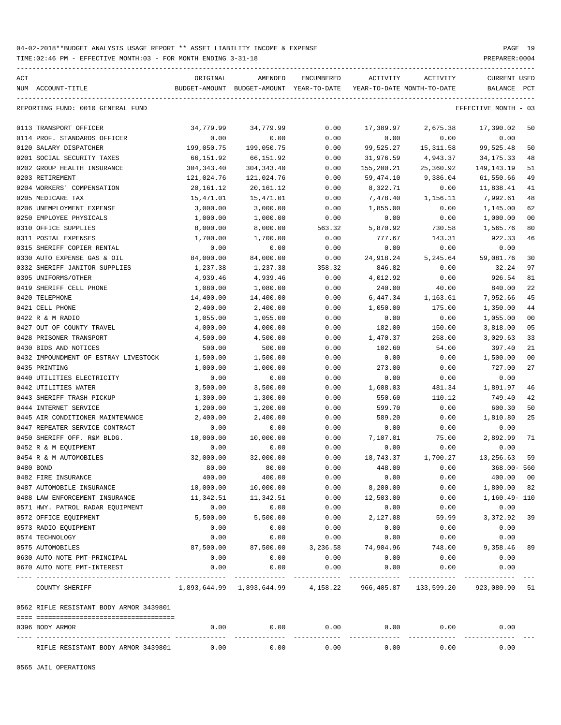| ACT |                                         | ORIGINAL         | AMENDED                                                  | ENCUMBERED         | ACTIVITY                   | ACTIVITY     | CURRENT USED         |                |
|-----|-----------------------------------------|------------------|----------------------------------------------------------|--------------------|----------------------------|--------------|----------------------|----------------|
|     | NUM ACCOUNT-TITLE                       |                  | BUDGET-AMOUNT BUDGET-AMOUNT YEAR-TO-DATE                 |                    | YEAR-TO-DATE MONTH-TO-DATE |              | BALANCE              | PCT            |
|     | REPORTING FUND: 0010 GENERAL FUND       |                  |                                                          |                    |                            |              | EFFECTIVE MONTH - 03 |                |
|     | 0113 TRANSPORT OFFICER                  | 34,779.99        | 34,779.99                                                | 0.00               | 17,389.97                  | 2,675.38     | 17,390.02            | 50             |
|     | 0114 PROF. STANDARDS OFFICER            | 0.00             | 0.00                                                     | 0.00               | 0.00                       | 0.00         | 0.00                 |                |
|     | 0120 SALARY DISPATCHER                  | 199,050.75       | 199,050.75                                               | 0.00               | 99,525.27                  | 15,311.58    | 99,525.48            | 50             |
|     | 0201 SOCIAL SECURITY TAXES              | 66,151.92        | 66,151.92                                                | 0.00               | 31,976.59                  | 4,943.37     | 34,175.33            | 48             |
|     | 0202 GROUP HEALTH INSURANCE             | 304,343.40       | 304, 343.40                                              | 0.00               | 155,200.21                 | 25,360.92    | 149,143.19           | 51             |
|     | 0203 RETIREMENT                         | 121,024.76       | 121,024.76                                               | 0.00               | 59,474.10                  | 9,386.04     | 61,550.66            | 49             |
|     | 0204 WORKERS' COMPENSATION              | 20,161.12        | 20,161.12                                                | 0.00               | 8,322.71                   | 0.00         | 11,838.41            | 41             |
|     | 0205 MEDICARE TAX                       | 15,471.01        | 15,471.01                                                | 0.00               | 7,478.40                   | 1,156.11     | 7,992.61             | 48             |
|     | 0206 UNEMPLOYMENT EXPENSE               | 3,000.00         | 3,000.00                                                 | 0.00               | 1,855.00                   | 0.00         | 1,145.00             | 62             |
|     | 0250 EMPLOYEE PHYSICALS                 | 1,000.00         | 1,000.00                                                 | 0.00               | 0.00                       | 0.00         | 1,000.00             | 0 <sub>0</sub> |
|     | 0310 OFFICE SUPPLIES                    | 8,000.00         | 8,000.00                                                 | 563.32             | 5,870.92                   | 730.58       | 1,565.76             | 80             |
|     | 0311 POSTAL EXPENSES                    | 1,700.00         | 1,700.00                                                 | 0.00               | 777.67                     | 143.31       | 922.33               | 46             |
|     | 0315 SHERIFF COPIER RENTAL              | 0.00             | 0.00                                                     | 0.00               | 0.00                       | 0.00         | 0.00                 |                |
|     | 0330 AUTO EXPENSE GAS & OIL             | 84,000.00        | 84,000.00                                                | 0.00               | 24,918.24                  | 5,245.64     | 59,081.76            | 30             |
|     | 0332 SHERIFF JANITOR SUPPLIES           | 1,237.38         | 1,237.38                                                 | 358.32             | 846.82                     | 0.00         | 32.24                | 97             |
|     | 0395 UNIFORMS/OTHER                     | 4,939.46         | 4,939.46                                                 | 0.00               | 4,012.92                   | 0.00         | 926.54               | 81             |
|     | 0419 SHERIFF CELL PHONE                 | 1,080.00         | 1,080.00                                                 | 0.00               | 240.00                     | 40.00        | 840.00               | 22             |
|     | 0420 TELEPHONE                          | 14,400.00        | 14,400.00                                                | 0.00               | 6,447.34                   | 1,163.61     | 7,952.66             | 45             |
|     | 0421 CELL PHONE                         | 2,400.00         | 2,400.00                                                 | 0.00               | 1,050.00                   | 175.00       | 1,350.00             | 44             |
|     | 0422 R & M RADIO                        | 1,055.00         | 1,055.00                                                 | 0.00               | 0.00                       | 0.00         | 1,055.00             | 0 <sub>0</sub> |
|     | 0427 OUT OF COUNTY TRAVEL               | 4,000.00         | 4,000.00                                                 | 0.00               | 182.00                     | 150.00       | 3,818.00             | 05             |
|     | 0428 PRISONER TRANSPORT                 | 4,500.00         | 4,500.00                                                 | 0.00               | 1,470.37                   | 258.00       | 3,029.63             | 33             |
|     | 0430 BIDS AND NOTICES                   | 500.00           | 500.00                                                   | 0.00               | 102.60                     | 54.00        | 397.40               | 21             |
|     | 0432 IMPOUNDMENT OF ESTRAY LIVESTOCK    | 1,500.00         | 1,500.00                                                 | 0.00               | 0.00                       | 0.00         | 1,500.00             | 0 <sub>0</sub> |
|     | 0435 PRINTING                           | 1,000.00         | 1,000.00                                                 | 0.00               | 273.00                     | 0.00         | 727.00               | 27             |
|     | 0440 UTILITIES ELECTRICITY              | 0.00             | 0.00                                                     | 0.00               | 0.00                       | 0.00         | 0.00                 |                |
|     | 0442 UTILITIES WATER                    | 3,500.00         | 3,500.00                                                 | 0.00               | 1,608.03                   | 481.34       | 1,891.97             | 46             |
|     | 0443 SHERIFF TRASH PICKUP               | 1,300.00         | 1,300.00                                                 | 0.00               | 550.60                     | 110.12       | 749.40               | 42             |
|     | 0444 INTERNET SERVICE                   | 1,200.00         | 1,200.00                                                 | 0.00               | 599.70                     | 0.00         | 600.30               | 50             |
|     | 0445 AIR CONDITIONER MAINTENANCE        | 2,400.00         | 2,400.00                                                 | 0.00               | 589.20                     | 0.00         | 1,810.80             | 25             |
|     | 0447 REPEATER SERVICE CONTRACT          | 0.00             | 0.00                                                     | 0.00               | 0.00                       | 0.00         | 0.00                 |                |
|     | 0450 SHERIFF OFF. R&M BLDG.             | 10,000.00        | 10,000.00                                                | 0.00               | 7,107.01                   | 75.00        | 2,892.99             | 71             |
|     | 0452 R & M EQUIPMENT                    | 0.00             | 0.00                                                     | 0.00               | 0.00                       | 0.00         | 0.00                 |                |
|     | 0454 R & M AUTOMOBILES                  | 32,000.00        | 32,000.00                                                |                    | 18,743.37                  |              | 13,256.63            | 59             |
|     | 0480 BOND                               | 80.00            | 80.00                                                    | 0.00<br>0.00       |                            | 1,700.27     | $368.00 - 560$       |                |
|     | 0482 FIRE INSURANCE                     | 400.00           | 400.00                                                   | 0.00               | 448.00<br>0.00             | 0.00<br>0.00 | 400.00 00            |                |
|     |                                         | 10,000.00        |                                                          |                    |                            |              | 1,800.00 82          |                |
|     | 0487 AUTOMOBILE INSURANCE               |                  | 10,000.00                                                | 0.00               | 8,200.00                   | 0.00         |                      |                |
|     | 0488 LAW ENFORCEMENT INSURANCE          | 11,342.51        | 11,342.51                                                | 0.00               | 12,503.00                  | 0.00         | 1,160.49- 110        |                |
|     | 0571 HWY. PATROL RADAR EQUIPMENT        | 0.00<br>5,500.00 | 0.00                                                     | 0.00               | 0.00                       | 0.00         | 0.00                 |                |
|     | 0572 OFFICE EQUIPMENT                   |                  | 5,500.00                                                 | 0.00               | 2,127.08                   | 59.99        | 3, 372.92 39         |                |
|     | 0573 RADIO EQUIPMENT                    | 0.00             | 0.00                                                     | 0.00               | 0.00                       | 0.00         | 0.00                 |                |
|     | 0574 TECHNOLOGY                         | 0.00             | 0.00                                                     | 0.00               | 0.00                       | 0.00         | 0.00                 |                |
|     | 0575 AUTOMOBILES                        | 87,500.00        | 87,500.00                                                | 3,236.58           | 74,904.96                  | 748.00       | 9,358.46             | 89             |
|     | 0630 AUTO NOTE PMT-PRINCIPAL            | 0.00             | 0.00                                                     | 0.00               | 0.00                       | 0.00         | 0.00                 |                |
|     | 0670 AUTO NOTE PMT-INTEREST             | 0.00             | 0.00                                                     | 0.00               | 0.00                       | 0.00         | 0.00                 |                |
|     | COUNTY SHERIFF                          |                  | 1,893,644.99 1,893,644.99 4,158.22 966,405.87 133,599.20 |                    |                            |              | 923,080.90 51        |                |
|     | 0562 RIFLE RESISTANT BODY ARMOR 3439801 |                  |                                                          |                    |                            |              |                      |                |
|     | 0396 BODY ARMOR                         | 0.00             | 0.00                                                     | 0.00               | 0.00                       | 0.00         | 0.00                 |                |
|     | RIFLE RESISTANT BODY ARMOR 3439801      | 0.00             | -------<br>0.00                                          | . <u>.</u><br>0.00 | 0.00                       | 0.00         | 0.00                 |                |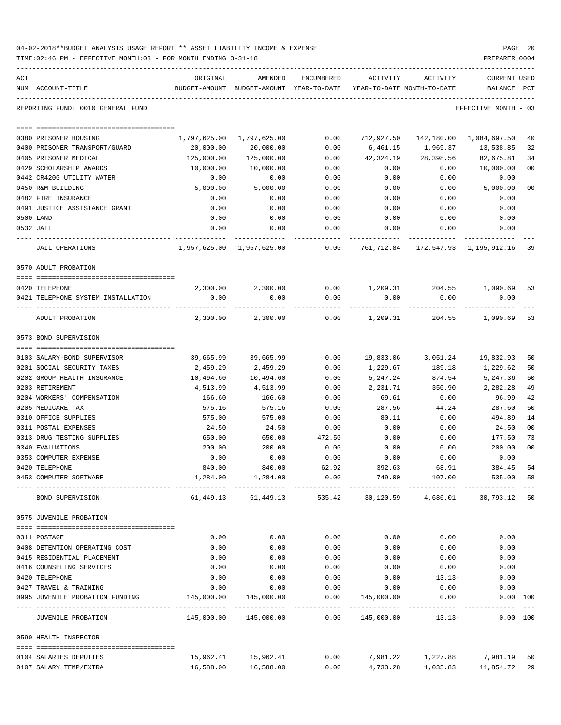| 04-02-2018**BUDGET ANALYSIS USAGE REPORT ** ASSET LIABILITY INCOME & EXPENSE | PAGE 20        |  |
|------------------------------------------------------------------------------|----------------|--|
| TIME:02:46 PM - EFFECTIVE MONTH:03 - FOR MONTH ENDING 3-31-18                | PREPARER: 0004 |  |

| ACT                                                  | ORIGINAL     | AMENDED                                                             | ENCUMBERED | ACTIVITY      | ACTIVITY                          | CURRENT USED                           |                |
|------------------------------------------------------|--------------|---------------------------------------------------------------------|------------|---------------|-----------------------------------|----------------------------------------|----------------|
| NUM ACCOUNT-TITLE                                    |              | BUDGET-AMOUNT BUDGET-AMOUNT YEAR-TO-DATE                            |            |               | YEAR-TO-DATE MONTH-TO-DATE        | BALANCE                                | PCT            |
| REPORTING FUND: 0010 GENERAL FUND                    |              |                                                                     |            |               |                                   | EFFECTIVE MONTH - 03                   |                |
| 0380 PRISONER HOUSING                                | 1,797,625.00 | 1,797,625.00                                                        | 0.00       | 712,927.50    |                                   | 142,180.00    1,084,697.50             | 40             |
| 0400 PRISONER TRANSPORT/GUARD                        | 20,000.00    | 20,000.00                                                           | 0.00       | 6,461.15      | 1,969.37                          | 13,538.85                              | 32             |
| 0405 PRISONER MEDICAL                                | 125,000.00   | 125,000.00                                                          | 0.00       | 42,324.19     | 28,398.56                         | 82,675.81                              | 34             |
| 0429 SCHOLARSHIP AWARDS                              | 10,000.00    | 10,000.00                                                           | 0.00       | 0.00          | 0.00                              | 10,000.00                              | 0 <sub>0</sub> |
| 0442 CR4200 UTILITY WATER                            | 0.00         | 0.00                                                                | 0.00       | 0.00          | 0.00                              | 0.00                                   |                |
| 0450 R&M BUILDING                                    | 5,000.00     | 5,000.00                                                            | 0.00       | 0.00          | 0.00                              | 5,000.00                               | 0 <sub>0</sub> |
| 0482 FIRE INSURANCE                                  | 0.00         | 0.00                                                                | 0.00       | 0.00          | 0.00                              | 0.00                                   |                |
| 0491 JUSTICE ASSISTANCE GRANT                        | 0.00         | 0.00                                                                | 0.00       | 0.00          | 0.00                              | 0.00                                   |                |
| 0500 LAND                                            | 0.00         | 0.00                                                                | 0.00       | 0.00          | 0.00                              | 0.00                                   |                |
| 0532 JAIL                                            | 0.00         | 0.00                                                                | 0.00       | 0.00          | 0.00                              | 0.00                                   |                |
| JAIL OPERATIONS                                      |              | 1,957,625.00    1,957,625.00                                        | 0.00       |               |                                   | 761,712.84 172,547.93 1,195,912.16     | 39             |
| 0570 ADULT PROBATION                                 |              |                                                                     |            |               |                                   |                                        |                |
|                                                      |              |                                                                     |            |               |                                   |                                        |                |
| 0420 TELEPHONE<br>0421 TELEPHONE SYSTEM INSTALLATION | 0.00         | $2,300.00$ $2,300.00$ $0.00$ $1,209.31$ $204.55$ $1,090.69$<br>0.00 | 0.00       | 0.00          | 0.00                              | 0.00                                   | 53             |
|                                                      |              |                                                                     |            |               |                                   |                                        |                |
| ADULT PROBATION                                      | 2,300.00     | 2,300.00                                                            | 0.00       |               | 1,209.31 204.55                   | 1,090.69                               | 53             |
| 0573 BOND SUPERVISION                                |              |                                                                     |            |               |                                   |                                        |                |
|                                                      |              |                                                                     |            |               |                                   |                                        |                |
| 0103 SALARY-BOND SUPERVISOR                          | 39,665.99    | 39,665.99                                                           | 0.00       | 19,833.06     |                                   | 3,051.24 19,832.93                     | 50             |
| 0201 SOCIAL SECURITY TAXES                           | 2,459.29     | 2,459.29                                                            | 0.00       | 1,229.67      | 189.18                            | 1,229.62                               | 50             |
| 0202 GROUP HEALTH INSURANCE                          | 10,494.60    | 10,494.60                                                           | 0.00       | 5,247.24      | 874.54                            | 5,247.36                               | 50             |
| 0203 RETIREMENT                                      | 4,513.99     | 4,513.99                                                            | 0.00       | 2,231.71      | 350.90                            | 2,282.28                               | 49             |
| 0204 WORKERS' COMPENSATION                           | 166.60       | 166.60                                                              | 0.00       | 69.61         | 0.00                              | 96.99                                  | 42             |
| 0205 MEDICARE TAX                                    | 575.16       | 575.16                                                              | 0.00       | 287.56        | 44.24                             | 287.60                                 | 50             |
| 0310 OFFICE SUPPLIES                                 | 575.00       | 575.00                                                              | 0.00       | 80.11         | 0.00                              | 494.89                                 | 14             |
| 0311 POSTAL EXPENSES                                 | 24.50        | 24.50                                                               | 0.00       | 0.00          | 0.00                              | 24.50                                  | 0 <sub>0</sub> |
| 0313 DRUG TESTING SUPPLIES                           | 650.00       | 650.00                                                              | 472.50     | 0.00          | 0.00                              | 177.50                                 | 73             |
| 0340 EVALUATIONS                                     | 200.00       | 200.00                                                              | 0.00       | 0.00          | 0.00                              | 200.00                                 | 0 <sub>0</sub> |
| 0353 COMPUTER EXPENSE                                | 0.00         | 0.00                                                                | 0.00       | 0.00          | 0.00                              | 0.00                                   |                |
| 0420 TELEPHONE                                       | 840.00       | 840.00                                                              | 62.92      | 392.63        | 68.91                             | 384.45                                 | 54             |
| 0453 COMPUTER SOFTWARE                               | 1,284.00     | 1,284.00                                                            | 0.00       | 749.00        | 107.00                            | 535.00 58                              |                |
| BOND SUPERVISION                                     |              | 61,449.13 61,449.13                                                 |            |               |                                   | 535.42 30,120.59 4,686.01 30,793.12 50 |                |
| 0575 JUVENILE PROBATION                              |              |                                                                     |            |               |                                   |                                        |                |
| 0311 POSTAGE                                         | 0.00         | 0.00                                                                | 0.00       | 0.00          | 0.00                              | 0.00                                   |                |
| 0408 DETENTION OPERATING COST                        | 0.00         | 0.00                                                                | 0.00       | 0.00          | 0.00                              | 0.00                                   |                |
| 0415 RESIDENTIAL PLACEMENT                           | 0.00         | 0.00                                                                | 0.00       | 0.00          | 0.00                              | 0.00                                   |                |
| 0416 COUNSELING SERVICES                             | 0.00         | 0.00                                                                | 0.00       | 0.00          | 0.00                              | 0.00                                   |                |
| 0420 TELEPHONE                                       | 0.00         | 0.00                                                                | 0.00       | 0.00          | $13.13-$                          | 0.00                                   |                |
| 0427 TRAVEL & TRAINING                               | 0.00         | 0.00                                                                | 0.00       | 0.00          | 0.00                              | 0.00                                   |                |
| 0995 JUVENILE PROBATION FUNDING                      | 145,000.00   | 145,000.00                                                          | 0.00       | 145,000.00    | 0.00                              | 0.00 100                               |                |
| JUVENILE PROBATION                                   |              |                                                                     | 0.00       | ------------- | ------------<br>145,000.00 13.13- | 0.00 100                               |                |
| 0590 HEALTH INSPECTOR                                |              |                                                                     |            |               |                                   |                                        |                |
| 0104 SALARIES DEPUTIES                               |              | 15,962.41 15,962.41                                                 |            |               | $0.00$ 7,981.22 1,227.88          | 7,981.19 50                            |                |
|                                                      |              |                                                                     |            |               |                                   |                                        |                |

0107 SALARY TEMP/EXTRA 16,588.00 16,588.00 0.00 4,733.28 1,035.83 11,854.72 29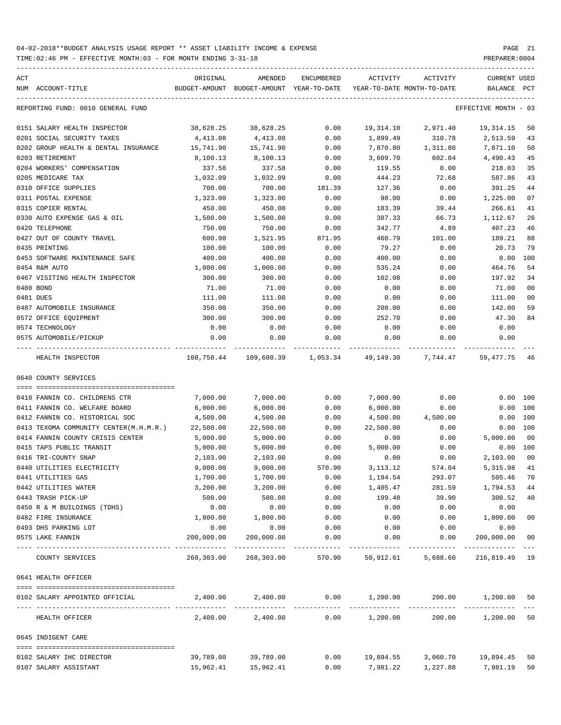| ACT | NUM ACCOUNT-TITLE                           | ORIGINAL           | AMENDED<br>BUDGET-AMOUNT BUDGET-AMOUNT YEAR-TO-DATE | ENCUMBERED   | ACTIVITY         | ACTIVITY<br>YEAR-TO-DATE MONTH-TO-DATE                                       | CURRENT USED<br>BALANCE           | PCT            |
|-----|---------------------------------------------|--------------------|-----------------------------------------------------|--------------|------------------|------------------------------------------------------------------------------|-----------------------------------|----------------|
|     | REPORTING FUND: 0010 GENERAL FUND           |                    |                                                     |              |                  |                                                                              | EFFECTIVE MONTH - 03              |                |
|     | 0151 SALARY HEALTH INSPECTOR                | 38,628.25          | 38,628.25                                           | 0.00         | 19,314.10        | 2,971.40                                                                     | 19, 314. 15                       | 50             |
|     | 0201 SOCIAL SECURITY TAXES                  | 4,413.08           | 4,413.08                                            | 0.00         | 1,899.49         | 310.78                                                                       | 2,513.59                          | 43             |
|     | 0202 GROUP HEALTH & DENTAL INSURANCE        | 15,741.90          | 15,741.90                                           | 0.00         | 7,870.80         | 1,311.80                                                                     | 7,871.10                          | 50             |
|     | 0203 RETIREMENT                             | 8,100.13           | 8,100.13                                            | 0.00         | 3,609.70         | 602.04                                                                       | 4,490.43                          | 45             |
|     | 0204 WORKERS' COMPENSATION                  | 337.58             | 337.58                                              | 0.00         | 119.55           | 0.00                                                                         | 218.03                            | 35             |
|     | 0205 MEDICARE TAX                           | 1,032.09           | 1,032.09                                            | 0.00         | 444.23           | 72.68                                                                        | 587.86                            | 43             |
|     | 0310 OFFICE SUPPLIES                        | 700.00             | 700.00                                              | 181.39       | 127.36           | 0.00                                                                         | 391.25                            | 44             |
|     | 0311 POSTAL EXPENSE                         | 1,323.00           | 1,323.00                                            | 0.00         | 98.00            | 0.00                                                                         | 1,225.00                          | 07             |
|     | 0315 COPIER RENTAL                          | 450.00             | 450.00                                              | 0.00         | 183.39           | 39.44                                                                        | 266.61                            | 41             |
|     | 0330 AUTO EXPENSE GAS & OIL                 | 1,500.00           | 1,500.00                                            | 0.00         | 387.33           | 66.73                                                                        | 1,112.67                          | 26             |
|     | 0420 TELEPHONE                              | 750.00             | 750.00                                              | 0.00         | 342.77           | 4.89                                                                         | 407.23                            | 46             |
|     | 0427 OUT OF COUNTY TRAVEL                   | 600.00             | 1,521.95                                            | 871.95       | 460.79           | 101.00                                                                       | 189.21                            | 88             |
|     | 0435 PRINTING                               | 100.00             | 100.00                                              | 0.00         | 79.27            | 0.00                                                                         | 20.73                             | 79             |
|     | 0453 SOFTWARE MAINTENANCE SAFE              | 400.00             | 400.00                                              | 0.00         | 400.00           | 0.00                                                                         | $0.00$ 100                        |                |
|     | 0454 R&M AUTO                               | 1,000.00           | 1,000.00                                            | 0.00         | 535.24           | 0.00                                                                         | 464.76                            | 54             |
|     | 0467 VISITING HEALTH INSPECTOR              | 300.00             | 300.00                                              | 0.00         | 102.08           | 0.00                                                                         | 197.92                            | 34             |
|     | 0480 BOND                                   | 71.00              | 71.00                                               | 0.00         | 0.00             | 0.00                                                                         | 71.00                             | 0 <sub>0</sub> |
|     | 0481 DUES                                   | 111.00             | 111.00                                              | 0.00         | 0.00             | 0.00                                                                         | 111.00                            | 0 <sub>0</sub> |
|     | 0487 AUTOMOBILE INSURANCE                   | 350.00             | 350.00                                              | 0.00         | 208.00           | 0.00                                                                         | 142.00                            | 59             |
|     | 0572 OFFICE EQUIPMENT                       | 300.00             | 300.00                                              | 0.00         | 252.70           | 0.00                                                                         | 47.30                             | 84             |
|     | 0574 TECHNOLOGY                             | 0.00               | 0.00                                                | 0.00         | 0.00             | 0.00                                                                         | 0.00                              |                |
|     | 0575 AUTOMOBILE/PICKUP                      | 0.00               | 0.00                                                | 0.00         | 0.00             | 0.00                                                                         | 0.00                              |                |
|     | HEALTH INSPECTOR                            |                    |                                                     |              |                  | $108,758.44$ $109,680.39$ $1,053.34$ $49,149.30$ $7,744.47$ $59,477.75$ $46$ |                                   |                |
|     | 0640 COUNTY SERVICES                        |                    |                                                     |              |                  |                                                                              |                                   |                |
|     |                                             |                    |                                                     |              |                  |                                                                              |                                   |                |
|     | 0410 FANNIN CO. CHILDRENS CTR               | 7,000.00           | 7,000.00                                            | 0.00         | 7,000.00         | 0.00                                                                         | 0.00 100                          |                |
|     | 0411 FANNIN CO. WELFARE BOARD               | 6,000.00           | 6,000.00                                            | 0.00         | 6,000.00         | 0.00                                                                         | 0.00 100                          |                |
|     | 0412 FANNIN CO. HISTORICAL SOC              | 4,500.00           | 4,500.00                                            | 0.00         | 4,500.00         | 4,500.00                                                                     | 0.00 100                          |                |
|     | 0413 TEXOMA COMMUNITY CENTER(M.H.M.R.)      | 22,500.00          | 22,500.00                                           | 0.00         | 22,500.00        | 0.00                                                                         | 0.00 100                          |                |
|     | 0414 FANNIN COUNTY CRISIS CENTER            | 5,000.00           | 5,000.00                                            | 0.00         | 0.00             | 0.00                                                                         | 5,000.00                          | 00             |
|     | 0415 TAPS PUBLIC TRANSIT                    | 5,000.00           | 5,000.00                                            | 0.00         | 5,000.00         | 0.00                                                                         | 0.00 100                          |                |
|     | 0416 TRI-COUNTY SNAP                        | 2,103.00           | 2,103.00                                            | 0.00         | 0.00             | 0.00                                                                         | 2,103.00                          | 00             |
|     | 0440 UTILITIES ELECTRICITY                  | 9,000.00           | 9,000.00                                            | 570.90       | 3, 113. 12       | 574.04                                                                       | 5,315.98                          | 41             |
|     | 0441 UTILITIES GAS                          | 1,700.00           | 1,700.00                                            | 0.00         | 1,194.54         | 293.07                                                                       | 505.46 70                         |                |
|     | 0442 UTILITIES WATER                        | 3,200.00<br>500.00 | 3,200.00                                            | 0.00         | 1,405.47         | 281.59                                                                       | 1,794.53                          | 44             |
|     | 0443 TRASH PICK-UP                          | 0.00               | 500.00<br>0.00                                      | 0.00         | 199.48           | 39.90                                                                        | 300.52                            | 40             |
|     | 0450 R & M BUILDINGS (TDHS)                 |                    |                                                     | 0.00         | 0.00             | 0.00                                                                         | 0.00                              |                |
|     | 0482 FIRE INSURANCE<br>0493 DHS PARKING LOT | 1,800.00<br>0.00   | 1,800.00<br>0.00                                    | 0.00         | 0.00             | 0.00                                                                         | 1,800.00                          | 0 <sub>0</sub> |
|     | 0575 LAKE FANNIN                            | 200,000.00         | 200,000.00                                          | 0.00<br>0.00 | 0.00<br>0.00     | 0.00<br>0.00                                                                 | 0.00<br>200,000.00                | 0 <sub>0</sub> |
|     | COUNTY SERVICES                             |                    | 268,303.00 268,303.00                               |              |                  | 570.90 50,912.61 5,688.60                                                    | ------------ ---<br>216,819.49 19 |                |
|     | 0641 HEALTH OFFICER                         |                    |                                                     |              |                  |                                                                              |                                   |                |
|     | 0102 SALARY APPOINTED OFFICIAL              |                    |                                                     |              |                  | $2,400.00$ $2,400.00$ $0.00$ $1,200.00$ $200.00$ $1,200.00$ $50$             |                                   |                |
|     |                                             |                    |                                                     |              |                  |                                                                              |                                   |                |
|     | HEALTH OFFICER                              |                    | 2,400.00 2,400.00                                   |              | $0.00$ 1,200.00  | 200.00                                                                       | 1,200.00 50                       |                |
|     | 0645 INDIGENT CARE                          |                    |                                                     |              |                  |                                                                              |                                   |                |
|     | 0102 SALARY IHC DIRECTOR                    |                    | 39,789.00 39,789.00                                 |              | $0.00$ 19,894.55 |                                                                              | 3,060.70    19,894.45             | 50             |
|     | 0107 SALARY ASSISTANT                       |                    | 15,962.41   15,962.41                               |              |                  | 0.00 7,981.22 1,227.88 7,981.19 50                                           |                                   |                |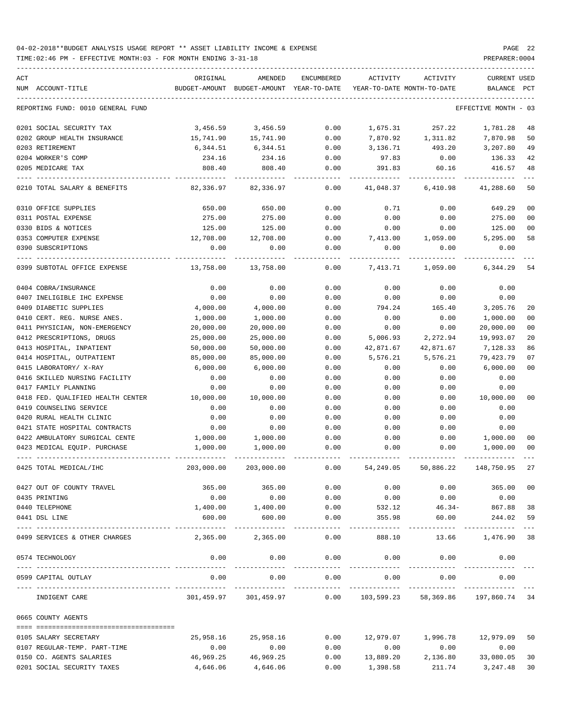| ACT<br>NUM ACCOUNT-TITLE          | ORIGINAL   | AMENDED<br>BUDGET-AMOUNT BUDGET-AMOUNT YEAR-TO-DATE | ENCUMBERED           | ACTIVITY  | ACTIVITY<br>YEAR-TO-DATE MONTH-TO-DATE | CURRENT USED<br>BALANCE                | PCT   |
|-----------------------------------|------------|-----------------------------------------------------|----------------------|-----------|----------------------------------------|----------------------------------------|-------|
| REPORTING FUND: 0010 GENERAL FUND |            |                                                     |                      |           |                                        | EFFECTIVE MONTH                        | $-03$ |
|                                   | 3,456.59   | 3,456.59                                            |                      |           | 257.22                                 |                                        |       |
| 0201 SOCIAL SECURITY TAX          |            |                                                     | 0.00                 | 1,675.31  |                                        | 1,781.28                               | 48    |
| 0202 GROUP HEALTH INSURANCE       | 15,741.90  | 15,741.90                                           | 0.00                 |           | 7,870.92 1,311.82                      | 7,870.98                               | 50    |
| 0203 RETIREMENT                   | 6,344.51   | 6,344.51                                            | 0.00                 | 3,136.71  | 493.20<br>0.00                         | 3,207.80                               | 49    |
| 0204 WORKER'S COMP                | 234.16     | 234.16                                              | 0.00                 | 97.83     |                                        | 136.33                                 | 42    |
| 0205 MEDICARE TAX                 | 808.40     | 808.40                                              | 0.00                 | 391.83    | 60.16                                  | 416.57                                 | 48    |
| 0210 TOTAL SALARY & BENEFITS      | 82,336.97  | 82,336.97                                           | 0.00                 | 41,048.37 | 6,410.98                               | 41,288.60                              | 50    |
| 0310 OFFICE SUPPLIES              | 650.00     | 650.00                                              | 0.00                 | 0.71      | 0.00                                   | 649.29                                 | 00    |
| 0311 POSTAL EXPENSE               | 275.00     | 275.00                                              | 0.00                 | 0.00      | 0.00                                   | 275.00                                 | 00    |
| 0330 BIDS & NOTICES               | 125.00     | 125.00                                              | 0.00                 | 0.00      | 0.00                                   | 125.00                                 | 00    |
| 0353 COMPUTER EXPENSE             | 12,708.00  | 12,708.00                                           | 0.00                 | 7,413.00  | 1,059.00                               | 5,295.00                               | 58    |
| 0390 SUBSCRIPTIONS                | 0.00       | 0.00                                                | 0.00                 | 0.00      | 0.00                                   | 0.00                                   |       |
| 0399 SUBTOTAL OFFICE EXPENSE      | 13,758.00  | 13,758.00                                           | 0.00                 | 7,413.71  | 1,059.00                               | 6,344.29                               |       |
|                                   |            |                                                     |                      |           |                                        |                                        | 54    |
| 0404 COBRA/INSURANCE              | 0.00       | 0.00                                                | 0.00                 | 0.00      | 0.00                                   | 0.00                                   |       |
| 0407 INELIGIBLE IHC EXPENSE       | 0.00       | 0.00                                                | 0.00                 | 0.00      | 0.00                                   | 0.00                                   |       |
| 0409 DIABETIC SUPPLIES            | 4,000.00   | 4,000.00                                            | 0.00                 | 794.24    | 165.40                                 | 3,205.76                               | 20    |
| 0410 CERT. REG. NURSE ANES.       | 1,000.00   | 1,000.00                                            | 0.00                 | 0.00      | 0.00                                   | 1,000.00                               | 00    |
| 0411 PHYSICIAN, NON-EMERGENCY     | 20,000.00  | 20,000.00                                           | 0.00                 | 0.00      | 0.00                                   | 20,000.00                              | 00    |
| 0412 PRESCRIPTIONS, DRUGS         | 25,000.00  | 25,000.00                                           | 0.00                 | 5,006.93  | 2,272.94                               | 19,993.07                              | 20    |
| 0413 HOSPITAL, INPATIENT          | 50,000.00  | 50,000.00                                           | 0.00                 | 42,871.67 | 42,871.67                              | 7,128.33                               | 86    |
| 0414 HOSPITAL, OUTPATIENT         | 85,000.00  | 85,000.00                                           | 0.00                 | 5,576.21  | 5,576.21                               | 79,423.79                              | 07    |
| 0415 LABORATORY/ X-RAY            | 6,000.00   | 6,000.00                                            | 0.00                 | 0.00      | 0.00                                   | 6,000.00                               | 00    |
| 0416 SKILLED NURSING FACILITY     | 0.00       | 0.00                                                | 0.00                 | 0.00      | 0.00                                   | 0.00                                   |       |
| 0417 FAMILY PLANNING              | 0.00       | 0.00                                                | 0.00                 | 0.00      | 0.00                                   | 0.00                                   |       |
| 0418 FED. QUALIFIED HEALTH CENTER | 10,000.00  | 10,000.00                                           | 0.00                 | 0.00      | 0.00                                   | 10,000.00                              | 00    |
| 0419 COUNSELING SERVICE           | 0.00       | 0.00                                                | 0.00                 | 0.00      | 0.00                                   | 0.00                                   |       |
| 0420 RURAL HEALTH CLINIC          | 0.00       | 0.00                                                | 0.00                 | 0.00      | 0.00                                   | 0.00                                   |       |
| 0421 STATE HOSPITAL CONTRACTS     | 0.00       | 0.00                                                | 0.00                 | 0.00      | 0.00                                   | 0.00                                   |       |
| 0422 AMBULATORY SURGICAL CENTE    | 1,000.00   | 1,000.00                                            | 0.00                 | 0.00      | 0.00                                   | 1,000.00                               | 00    |
| 0423 MEDICAL EQUIP. PURCHASE      | 1,000.00   | 1,000.00                                            | 0.00                 | 0.00      | 0.00                                   | 1,000.00                               | 00    |
| 0425 TOTAL MEDICAL/IHC            | 203,000.00 | 203,000.00                                          | 0.00                 | 54,249.05 | 50,886.22                              | 148,750.95                             | 27    |
| 0427 OUT OF COUNTY TRAVEL         | 365.00     | 365.00                                              | 0.00                 | 0.00      | 0.00                                   | 365.00                                 | 00    |
| 0435 PRINTING                     | 0.00       | 0.00                                                | 0.00                 | 0.00      | 0.00                                   | 0.00                                   |       |
| 0440 TELEPHONE                    | 1,400.00   | 1,400.00                                            | 0.00                 |           | 532.12 46.34- 867.88                   |                                        | 38    |
| 0441 DSL LINE                     | 600.00     | 600.00                                              | 0.00                 | 355.98    | 60.00                                  | 244.02                                 | 59    |
| 0499 SERVICES & OTHER CHARGES     |            | -------------<br>2,365.00 2,365.00                  | ------------<br>0.00 | 888.10    |                                        | -----------------<br>13.66 1.476.90 38 |       |
| 0574 TECHNOLOGY                   | 0.00       | 0.00                                                | 0.00                 | 0.00      | 0.00                                   | 0.00                                   |       |
| 0599 CAPITAL OUTLAY               | 0.00       | 0.00                                                | 0.00                 | 0.00      | 0.00                                   | 0.00                                   |       |
| INDIGENT CARE                     |            | 301,459.97 301,459.97                               | -------              |           | $0.00$ 103,599.23 58,369.86            | 197,860.74 34                          |       |
| 0665 COUNTY AGENTS                |            |                                                     |                      |           |                                        |                                        |       |
|                                   |            |                                                     |                      |           |                                        |                                        |       |
| 0105 SALARY SECRETARY             | 25,958.16  | 25,958.16                                           | 0.00                 | 12,979.07 | 1,996.78                               | 12,979.09                              | 50    |
| 0107 REGULAR-TEMP. PART-TIME      | 0.00       | 0.00                                                | 0.00                 | 0.00      | 0.00                                   | 0.00                                   |       |
| 0150 CO. AGENTS SALARIES          | 46,969.25  | 46,969.25                                           | 0.00                 | 13,889.20 | 2,136.80                               | 33,080.05                              | 30    |
| 0201 SOCIAL SECURITY TAXES        | 4,646.06   | 4,646.06                                            | 0.00                 | 1,398.58  | 211.74                                 | 3,247.48                               | 30    |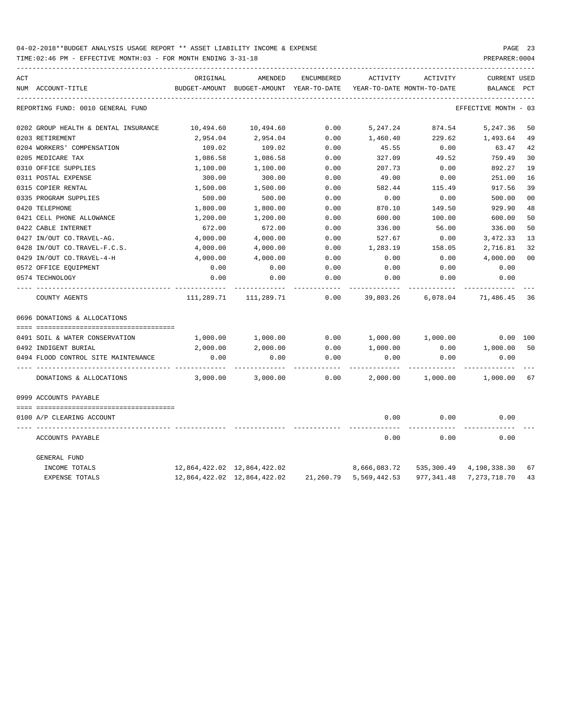| ACT |                                      | ORIGINAL                    | AMENDED                                  | <b>ENCUMBERED</b> | ACTIVITY                    | ACTIVITY                   | <b>CURRENT USED</b>        |          |
|-----|--------------------------------------|-----------------------------|------------------------------------------|-------------------|-----------------------------|----------------------------|----------------------------|----------|
|     | NUM ACCOUNT-TITLE                    |                             | BUDGET-AMOUNT BUDGET-AMOUNT YEAR-TO-DATE |                   |                             | YEAR-TO-DATE MONTH-TO-DATE | BALANCE                    | PCT      |
|     | REPORTING FUND: 0010 GENERAL FUND    |                             |                                          |                   |                             |                            | EFFECTIVE MONTH - 03       |          |
|     | 0202 GROUP HEALTH & DENTAL INSURANCE | 10,494.60                   | 10,494.60                                | 0.00              | 5,247.24                    | 874.54                     | 5,247.36                   | 50       |
|     | 0203 RETIREMENT                      | 2,954.04                    | 2,954.04                                 | 0.00              | 1,460.40                    | 229.62                     | 1,493.64                   | 49       |
|     | 0204 WORKERS' COMPENSATION           | 109.02                      | 109.02                                   | 0.00              | 45.55                       | 0.00                       | 63.47                      | 42       |
|     | 0205 MEDICARE TAX                    | 1,086.58                    | 1,086.58                                 | 0.00              | 327.09                      | 49.52                      | 759.49                     | 30       |
|     | 0310 OFFICE SUPPLIES                 | 1,100.00                    | 1,100.00                                 | 0.00              | 207.73                      | 0.00                       | 892.27                     | 19       |
|     | 0311 POSTAL EXPENSE                  | 300.00                      | 300.00                                   | 0.00              | 49.00                       | 0.00                       | 251.00                     | 16       |
|     | 0315 COPIER RENTAL                   | 1,500.00                    | 1,500.00                                 | 0.00              | 582.44                      | 115.49                     | 917.56                     | 39       |
|     | 0335 PROGRAM SUPPLIES                | 500.00                      | 500.00                                   | 0.00              | 0.00                        | 0.00                       | 500.00                     | 00       |
|     | 0420 TELEPHONE                       | 1,800.00                    | 1,800.00                                 | 0.00              | 870.10                      | 149.50                     | 929.90                     | 48       |
|     | 0421 CELL PHONE ALLOWANCE            | 1,200.00                    | 1,200.00                                 | 0.00              | 600.00                      | 100.00                     | 600.00                     | 50       |
|     | 0422 CABLE INTERNET                  | 672.00                      | 672.00                                   | 0.00              | 336.00                      | 56.00                      | 336.00                     | 50       |
|     | 0427 IN/OUT CO.TRAVEL-AG.            | 4,000.00                    | 4,000.00                                 | 0.00              | 527.67                      | 0.00                       | 3,472.33                   | 13       |
|     | 0428 IN/OUT CO.TRAVEL-F.C.S.         | 4,000.00                    | 4,000.00                                 | 0.00              | 1,283.19                    | 158.05                     | 2,716.81                   | 32       |
|     | 0429 IN/OUT CO.TRAVEL-4-H            | 4,000.00                    | 4,000.00                                 | 0.00              | 0.00                        | 0.00                       | 4,000.00                   | 00       |
|     | 0572 OFFICE EQUIPMENT                | 0.00                        | 0.00                                     | 0.00              | 0.00                        | 0.00                       | 0.00                       |          |
|     | 0574 TECHNOLOGY                      | 0.00                        | 0.00                                     | 0.00              | 0.00                        | 0.00                       | 0.00                       |          |
|     | COUNTY AGENTS                        | 111,289.71                  | 111,289.71                               | 0.00              | 39,803.26                   | 6,078.04                   | 71,486.45                  | 36       |
|     | 0696 DONATIONS & ALLOCATIONS         |                             |                                          |                   |                             |                            |                            |          |
|     |                                      |                             |                                          |                   |                             |                            |                            |          |
|     | 0491 SOIL & WATER CONSERVATION       | 1,000.00                    | 1,000.00                                 | 0.00              | 1,000.00                    | 1,000.00                   |                            | 0.00 100 |
|     | 0492 INDIGENT BURIAL                 | 2,000.00                    | 2,000.00                                 | 0.00              | 1,000.00                    | 0.00                       | 1,000.00                   | 50       |
|     | 0494 FLOOD CONTROL SITE MAINTENANCE  | 0.00                        | 0.00                                     | 0.00              | 0.00                        | 0.00                       | 0.00                       |          |
|     | DONATIONS & ALLOCATIONS              | 3,000.00                    | 3,000.00                                 | 0.00              | 2,000.00                    | 1,000.00                   | 1,000.00 67                |          |
|     | 0999 ACCOUNTS PAYABLE                |                             |                                          |                   |                             |                            |                            |          |
|     | 0100 A/P CLEARING ACCOUNT            |                             |                                          |                   | 0.00                        | 0.00                       | 0.00                       |          |
|     | ACCOUNTS PAYABLE                     |                             |                                          |                   | 0.00                        | 0.00                       | 0.00                       |          |
|     | GENERAL FUND                         |                             |                                          |                   |                             |                            |                            |          |
|     | INCOME TOTALS                        | 12,864,422.02 12,864,422.02 |                                          |                   | 8,666,083.72                |                            | 535,300.49 4,198,338.30    | 67       |
|     | EXPENSE TOTALS                       |                             | 12,864,422.02 12,864,422.02              |                   | 21, 260. 79 5, 569, 442. 53 |                            | 977, 341.48 7, 273, 718.70 | 43       |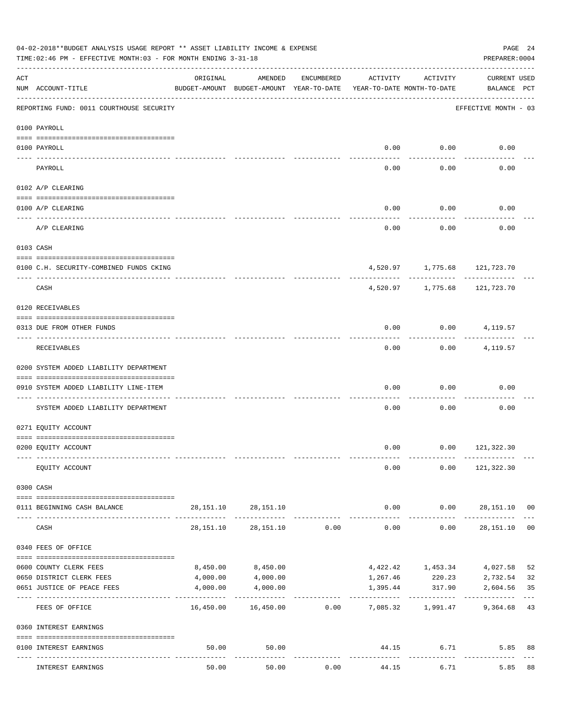| 04-02-2018**BUDGET ANALYSIS USAGE REPORT ** ASSET LIABILITY INCOME & EXPENSE<br>PAGE 24<br>TIME: 02:46 PM - EFFECTIVE MONTH: 03 - FOR MONTH ENDING 3-31-18<br>PREPARER: 0004 |                                          |           |                                                     |            |                                        |                                 |                                    |                |  |  |
|------------------------------------------------------------------------------------------------------------------------------------------------------------------------------|------------------------------------------|-----------|-----------------------------------------------------|------------|----------------------------------------|---------------------------------|------------------------------------|----------------|--|--|
| ACT                                                                                                                                                                          | NUM ACCOUNT-TITLE                        | ORIGINAL  | AMENDED<br>BUDGET-AMOUNT BUDGET-AMOUNT YEAR-TO-DATE | ENCUMBERED | ACTIVITY<br>YEAR-TO-DATE MONTH-TO-DATE | ACTIVITY                        | <b>CURRENT USED</b><br>BALANCE PCT |                |  |  |
|                                                                                                                                                                              | REPORTING FUND: 0011 COURTHOUSE SECURITY |           |                                                     |            |                                        |                                 | EFFECTIVE MONTH - 03               |                |  |  |
|                                                                                                                                                                              | 0100 PAYROLL                             |           |                                                     |            |                                        |                                 |                                    |                |  |  |
|                                                                                                                                                                              | 0100 PAYROLL                             |           |                                                     |            | 0.00                                   | 0.00                            | 0.00                               |                |  |  |
|                                                                                                                                                                              | ---- ----                                |           |                                                     |            |                                        | .                               |                                    |                |  |  |
|                                                                                                                                                                              | PAYROLL                                  |           |                                                     |            | 0.00                                   | 0.00                            | 0.00                               |                |  |  |
|                                                                                                                                                                              | 0102 A/P CLEARING                        |           |                                                     |            |                                        |                                 |                                    |                |  |  |
|                                                                                                                                                                              | 0100 A/P CLEARING                        |           |                                                     |            | 0.00                                   | 0.00                            | 0.00                               |                |  |  |
|                                                                                                                                                                              | A/P CLEARING                             |           |                                                     |            | 0.00                                   | 0.00                            | 0.00                               |                |  |  |
|                                                                                                                                                                              | 0103 CASH                                |           |                                                     |            |                                        |                                 |                                    |                |  |  |
|                                                                                                                                                                              | 0100 C.H. SECURITY-COMBINED FUNDS CKING  |           |                                                     |            |                                        | 4,520.97 1,775.68 121,723.70    |                                    |                |  |  |
|                                                                                                                                                                              | CASH                                     |           |                                                     |            |                                        | ----------<br>4,520.97 1,775.68 | ----------<br>121,723.70           |                |  |  |
|                                                                                                                                                                              | 0120 RECEIVABLES                         |           |                                                     |            |                                        |                                 |                                    |                |  |  |
|                                                                                                                                                                              | 0313 DUE FROM OTHER FUNDS                |           |                                                     |            | 0.00                                   |                                 | $0.00$ 4, 119.57                   |                |  |  |
|                                                                                                                                                                              | RECEIVABLES                              |           |                                                     |            | 0.00                                   | ---------<br>0.00               | 4,119.57                           |                |  |  |
|                                                                                                                                                                              | 0200 SYSTEM ADDED LIABILITY DEPARTMENT   |           |                                                     |            |                                        |                                 |                                    |                |  |  |
|                                                                                                                                                                              | 0910 SYSTEM ADDED LIABILITY LINE-ITEM    |           |                                                     |            | 0.00                                   | 0.00                            | 0.00                               |                |  |  |
|                                                                                                                                                                              | SYSTEM ADDED LIABILITY DEPARTMENT        |           |                                                     |            | 0.00                                   | 0.00                            | 0.00                               |                |  |  |
|                                                                                                                                                                              | 0271 EQUITY ACCOUNT                      |           |                                                     |            |                                        |                                 |                                    |                |  |  |
|                                                                                                                                                                              | 0200 EQUITY ACCOUNT                      |           |                                                     |            |                                        | $0.00$ $0.00$ $121,322.30$      |                                    |                |  |  |
|                                                                                                                                                                              | EQUITY ACCOUNT                           |           |                                                     |            | 0.00                                   |                                 | $0.00$ 121,322.30                  |                |  |  |
|                                                                                                                                                                              | 0300 CASH                                |           |                                                     |            |                                        |                                 |                                    |                |  |  |
|                                                                                                                                                                              | 0111 BEGINNING CASH BALANCE              |           | 28, 151. 10 28, 151. 10                             |            |                                        |                                 | $0.00$ $0.00$ $28,151.10$ 00       |                |  |  |
|                                                                                                                                                                              | CASH                                     | 28,151.10 | 28,151.10                                           | 0.00       | -------------<br>0.00                  | -----------<br>0.00             | -------------<br>28,151.10         | 0 <sub>0</sub> |  |  |
|                                                                                                                                                                              | 0340 FEES OF OFFICE                      |           |                                                     |            |                                        |                                 |                                    |                |  |  |
|                                                                                                                                                                              | 0600 COUNTY CLERK FEES                   | 8,450.00  | 8,450.00                                            |            |                                        | 4,422.42 1,453.34               | 4,027.58                           | 52             |  |  |
|                                                                                                                                                                              | 0650 DISTRICT CLERK FEES                 | 4,000.00  | 4,000.00                                            |            |                                        |                                 | 1, 267.46 220.23 2, 732.54         | 32             |  |  |
|                                                                                                                                                                              | 0651 JUSTICE OF PEACE FEES               | 4,000.00  | 4,000.00<br>-------------                           |            | 1,395.44                               | 317.90                          | 2,604.56                           | 35<br>$- - -$  |  |  |
|                                                                                                                                                                              | FEES OF OFFICE                           |           | 16,450.00 16,450.00 0.00 7,085.32 1,991.47          |            |                                        |                                 | 9,364.68 43                        |                |  |  |
|                                                                                                                                                                              | 0360 INTEREST EARNINGS                   |           |                                                     |            |                                        |                                 |                                    |                |  |  |
|                                                                                                                                                                              | 0100 INTEREST EARNINGS                   | 50.00     | 50.00                                               |            |                                        | 44.15                           | 6.71<br>5.85                       | 88             |  |  |
|                                                                                                                                                                              | INTEREST EARNINGS                        | 50.00     | 50.00                                               | 0.00       | 44.15                                  | ------------<br>6.71            | 5.85                               | 88             |  |  |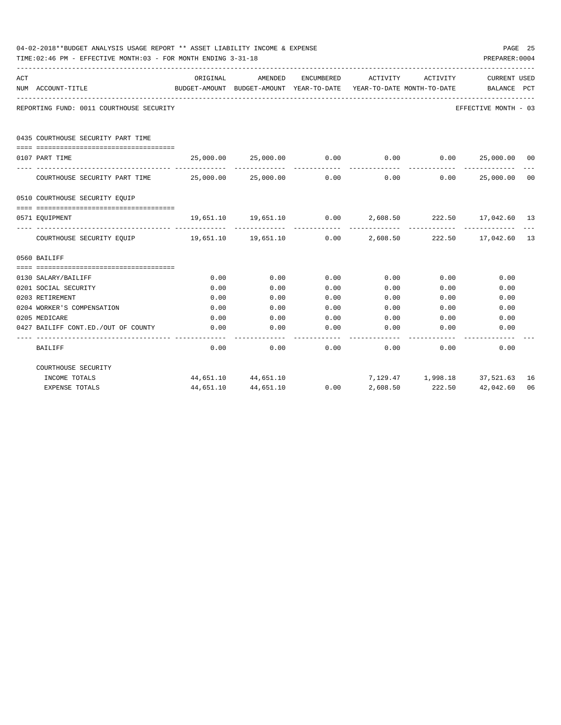|     | 04-02-2018**BUDGET ANALYSIS USAGE REPORT ** ASSET LIABILITY INCOME & EXPENSE<br>TIME:02:46 PM - EFFECTIVE MONTH:03 - FOR MONTH ENDING 3-31-18 |           |                                                                     |            |                                        |                                          |                             |                |  |  |
|-----|-----------------------------------------------------------------------------------------------------------------------------------------------|-----------|---------------------------------------------------------------------|------------|----------------------------------------|------------------------------------------|-----------------------------|----------------|--|--|
| ACT | NUM ACCOUNT-TITLE                                                                                                                             | ORIGINAL  | AMENDED<br>BUDGET-AMOUNT BUDGET-AMOUNT YEAR-TO-DATE                 | ENCUMBERED | ACTIVITY<br>YEAR-TO-DATE MONTH-TO-DATE | ACTIVITY                                 | CURRENT USED<br>BALANCE PCT |                |  |  |
|     | REPORTING FUND: 0011 COURTHOUSE SECURITY                                                                                                      |           |                                                                     |            |                                        |                                          | EFFECTIVE MONTH - 03        |                |  |  |
|     | 0435 COURTHOUSE SECURITY PART TIME                                                                                                            |           |                                                                     |            |                                        |                                          |                             |                |  |  |
|     | 0107 PART TIME                                                                                                                                |           | $25,000.00$ $25,000.00$ $0.00$ $0.00$ $0.00$ $25,000.00$ $00$       |            |                                        |                                          |                             |                |  |  |
|     | COURTHOUSE SECURITY PART TIME $25,000.00$ $25,000.00$ $0.00$                                                                                  |           |                                                                     |            |                                        | -----------<br>$0.00$ $0.00$ $25,000.00$ | --------------              | 0 <sup>0</sup> |  |  |
|     | 0510 COURTHOUSE SECURITY EQUIP                                                                                                                |           |                                                                     |            |                                        |                                          |                             |                |  |  |
|     | 0571 EOUIPMENT                                                                                                                                |           | $19,651.10$ $19,651.10$ $0.00$ $2,608.50$ $222.50$ $17,042.60$ $13$ |            |                                        |                                          |                             |                |  |  |
|     | COURTHOUSE SECURITY EQUIP 19,651.10 19,651.10 0.00 2,608.50 222.50 17,042.60 13                                                               |           |                                                                     |            |                                        | ------------                             |                             |                |  |  |
|     | 0560 BAILIFF                                                                                                                                  |           |                                                                     |            |                                        |                                          |                             |                |  |  |
|     |                                                                                                                                               |           |                                                                     |            |                                        |                                          |                             |                |  |  |
|     | 0130 SALARY/BAILIFF                                                                                                                           | 0.00      | 0.00                                                                | 0.00       | $0.00$ $0.00$                          |                                          | 0.00                        |                |  |  |
|     | 0201 SOCIAL SECURITY                                                                                                                          | 0.00      | 0.00                                                                | 0.00       | 0.00                                   | 0.00                                     | 0.00                        |                |  |  |
|     | 0203 RETIREMENT                                                                                                                               | 0.00      | 0.00                                                                | 0.00       | 0.00                                   | 0.00                                     | 0.00                        |                |  |  |
|     | 0204 WORKER'S COMPENSATION                                                                                                                    | 0.00      | 0.00                                                                | 0.00       | 0.00                                   | 0.00                                     | 0.00                        |                |  |  |
|     | 0205 MEDICARE                                                                                                                                 | 0.00      | 0.00                                                                | 0.00       | 0.00                                   | 0.00                                     | 0.00                        |                |  |  |
|     | 0427 BAILIFF CONT.ED./OUT OF COUNTY                                                                                                           | 0.00      | 0.00                                                                | 0.00       | 0.00                                   | 0.00                                     | 0.00                        |                |  |  |
|     | <b>BAILIFF</b>                                                                                                                                | 0.00      | 0.00                                                                | 0.00       |                                        | 0.00<br>0.00                             | 0.00                        |                |  |  |
|     | COURTHOUSE SECURITY                                                                                                                           |           |                                                                     |            |                                        |                                          |                             |                |  |  |
|     | INCOME TOTALS                                                                                                                                 |           | 44,651.10 44,651.10                                                 |            |                                        | 7,129.47    1,998.18    37,521.63    16  |                             |                |  |  |
|     | <b>EXPENSE TOTALS</b>                                                                                                                         | 44,651.10 | 44,651.10                                                           | 0.00       | 2,608.50                               | 222.50                                   | 42,042.60                   | 06             |  |  |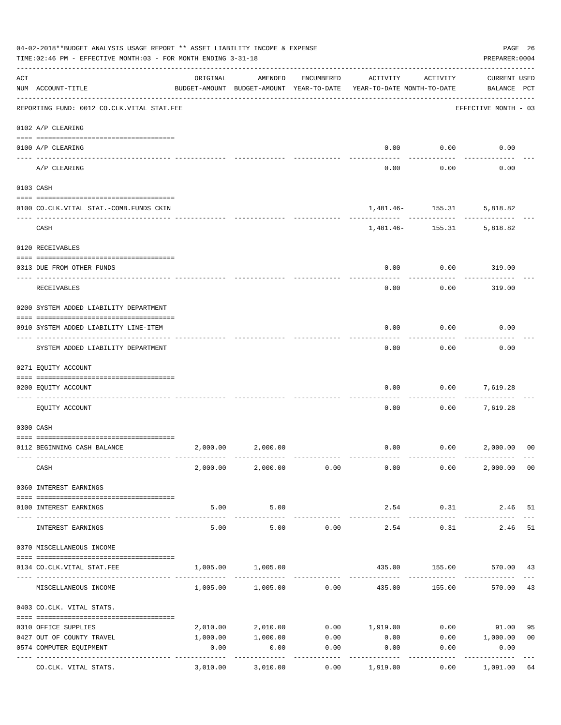| 04-02-2018**BUDGET ANALYSIS USAGE REPORT ** ASSET LIABILITY INCOME & EXPENSE<br>TIME:02:46 PM - EFFECTIVE MONTH:03 - FOR MONTH ENDING 3-31-18<br>PREPARER: 0004 |                                                                                      |                                                      |                            |                     |                                        |                                |                                    |                |  |
|-----------------------------------------------------------------------------------------------------------------------------------------------------------------|--------------------------------------------------------------------------------------|------------------------------------------------------|----------------------------|---------------------|----------------------------------------|--------------------------------|------------------------------------|----------------|--|
| ACT                                                                                                                                                             | NUM ACCOUNT-TITLE                                                                    | ORIGINAL<br>BUDGET-AMOUNT BUDGET-AMOUNT YEAR-TO-DATE | AMENDED                    | ENCUMBERED          | ACTIVITY<br>YEAR-TO-DATE MONTH-TO-DATE | ACTIVITY                       | <b>CURRENT USED</b><br>BALANCE PCT |                |  |
|                                                                                                                                                                 | --------------------------------------<br>REPORTING FUND: 0012 CO.CLK.VITAL STAT.FEE |                                                      |                            |                     |                                        |                                | EFFECTIVE MONTH - 03               |                |  |
|                                                                                                                                                                 | 0102 A/P CLEARING                                                                    |                                                      |                            |                     |                                        |                                |                                    |                |  |
|                                                                                                                                                                 | 0100 A/P CLEARING                                                                    |                                                      |                            |                     | 0.00                                   | 0.00                           | 0.00                               |                |  |
|                                                                                                                                                                 | A/P CLEARING                                                                         |                                                      |                            |                     | 0.00                                   | 0.00                           | 0.00                               |                |  |
|                                                                                                                                                                 | 0103 CASH                                                                            |                                                      |                            |                     |                                        |                                |                                    |                |  |
|                                                                                                                                                                 | 0100 CO.CLK.VITAL STAT.-COMB.FUNDS CKIN                                              |                                                      |                            |                     |                                        | 1,481.46 - 155.31              | 5,818.82                           |                |  |
|                                                                                                                                                                 | CASH                                                                                 |                                                      |                            |                     |                                        | . <u>.</u><br>1,481.46- 155.31 | 5,818.82                           |                |  |
|                                                                                                                                                                 | 0120 RECEIVABLES                                                                     |                                                      |                            |                     |                                        |                                |                                    |                |  |
|                                                                                                                                                                 | 0313 DUE FROM OTHER FUNDS                                                            |                                                      |                            |                     | 0.00                                   | 0.00                           | 319.00                             |                |  |
|                                                                                                                                                                 | RECEIVABLES                                                                          |                                                      |                            |                     | 0.00                                   | 0.00                           | 319.00                             |                |  |
|                                                                                                                                                                 | 0200 SYSTEM ADDED LIABILITY DEPARTMENT                                               |                                                      |                            |                     |                                        |                                |                                    |                |  |
|                                                                                                                                                                 | 0910 SYSTEM ADDED LIABILITY LINE-ITEM                                                |                                                      |                            |                     | 0.00                                   | 0.00                           | 0.00                               |                |  |
|                                                                                                                                                                 | SYSTEM ADDED LIABILITY DEPARTMENT                                                    |                                                      |                            |                     | 0.00                                   | 0.00                           | 0.00                               |                |  |
|                                                                                                                                                                 | 0271 EQUITY ACCOUNT                                                                  |                                                      |                            |                     |                                        |                                |                                    |                |  |
|                                                                                                                                                                 | 0200 EQUITY ACCOUNT                                                                  |                                                      |                            |                     | 0.00                                   | 0.00                           | 7,619.28                           |                |  |
|                                                                                                                                                                 | EQUITY ACCOUNT                                                                       |                                                      |                            |                     | 0.00                                   | 0.00                           | 7,619.28                           |                |  |
|                                                                                                                                                                 | 0300 CASH                                                                            |                                                      |                            |                     |                                        |                                |                                    |                |  |
|                                                                                                                                                                 | 0112 BEGINNING CASH BALANCE                                                          | 2,000.00                                             | 2,000.00                   |                     | 0.00                                   | 0.00 2,000.00                  |                                    | 0 <sup>0</sup> |  |
|                                                                                                                                                                 | CASH                                                                                 |                                                      | 2,000.00 2,000.00 0.00     |                     | 0.00                                   | 0.00                           | 2,000.00 00                        |                |  |
|                                                                                                                                                                 | 0360 INTEREST EARNINGS                                                               |                                                      |                            |                     |                                        |                                |                                    |                |  |
|                                                                                                                                                                 | 0100 INTEREST EARNINGS                                                               | 5.00                                                 | 5.00                       |                     | 2.54                                   | 0.31                           | 2.46 51                            |                |  |
|                                                                                                                                                                 | INTEREST EARNINGS                                                                    | ------------<br>5.00                                 | . <u>.</u> .<br>5.00       | 0.00                | 2.54                                   | ----------<br>0.31             | 2.46                               | 51             |  |
|                                                                                                                                                                 | 0370 MISCELLANEOUS INCOME                                                            |                                                      |                            |                     |                                        |                                |                                    |                |  |
|                                                                                                                                                                 | 0134 CO.CLK.VITAL STAT.FEE                                                           | 1,005.00                                             | 1,005.00                   |                     |                                        | 435.00 155.00 570.00 43        |                                    |                |  |
|                                                                                                                                                                 |                                                                                      |                                                      |                            |                     |                                        |                                |                                    |                |  |
|                                                                                                                                                                 | MISCELLANEOUS INCOME                                                                 |                                                      | $1,005.00$ $1,005.00$ 0.00 |                     | 435.00                                 | 155.00                         | 570.00                             | 43             |  |
|                                                                                                                                                                 | 0403 CO.CLK. VITAL STATS.                                                            |                                                      |                            |                     |                                        |                                |                                    |                |  |
|                                                                                                                                                                 | 0310 OFFICE SUPPLIES                                                                 |                                                      | 2,010.00 2,010.00          |                     | $0.00$ 1,919.00                        |                                | $0.00$ 91.00                       | 95             |  |
|                                                                                                                                                                 | 0427 OUT OF COUNTY TRAVEL                                                            | 1,000.00                                             |                            | 1,000.00 0.00       | 0.00                                   |                                | $0.00$ 1,000.00                    | 0 <sub>0</sub> |  |
|                                                                                                                                                                 | 0574 COMPUTER EQUIPMENT                                                              | 0.00                                                 | 0.00                       | 0.00                | 0.00                                   | 0.00                           | 0.00                               |                |  |
|                                                                                                                                                                 | ---- -----------------<br>---------------- --------------<br>CO.CLK. VITAL STATS.    | 3,010.00                                             | 3,010.00                   | -----------<br>0.00 | 1,919.00                               | 0.00                           | -----------<br>1,091.00            | 64             |  |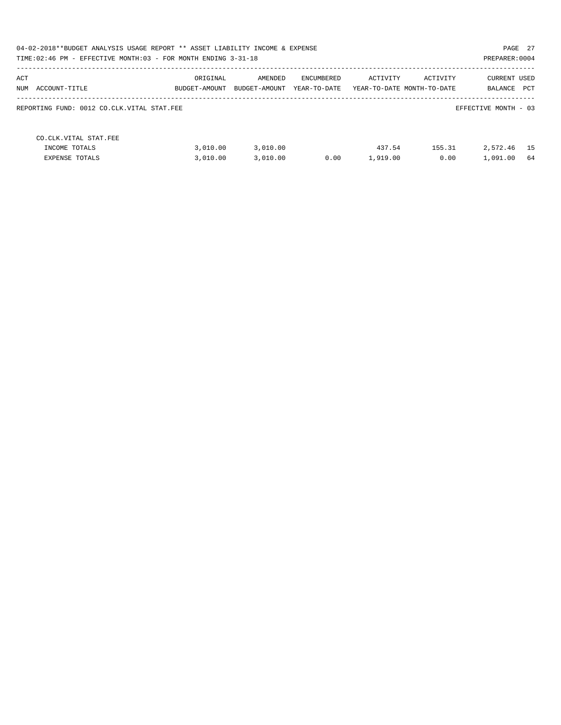| PAGE 27<br>04-02-2018**BUDGET ANALYSIS USAGE REPORT ** ASSET LIABILITY INCOME & EXPENSE<br>TIME: 02:46 PM - EFFECTIVE MONTH: 03 - FOR MONTH ENDING 3-31-18<br>PREPARER: 0004 |                           |                          |                            |                    |                                        |                                |             |
|------------------------------------------------------------------------------------------------------------------------------------------------------------------------------|---------------------------|--------------------------|----------------------------|--------------------|----------------------------------------|--------------------------------|-------------|
| ACT<br>NUM<br>ACCOUNT-TITLE                                                                                                                                                  | ORIGINAL<br>BUDGET-AMOUNT | AMENDED<br>BUDGET-AMOUNT | ENCUMBERED<br>YEAR-TO-DATE | ACTIVITY           | ACTIVITY<br>YEAR-TO-DATE MONTH-TO-DATE | <b>CURRENT USED</b><br>BALANCE | <b>PCT</b>  |
| REPORTING FUND: 0012 CO.CLK.VITAL STAT.FEE                                                                                                                                   |                           |                          |                            |                    |                                        | EFFECTIVE MONTH - 03           |             |
| CO. CLK. VITAL STAT. FEE<br>INCOME TOTALS<br>EXPENSE TOTALS                                                                                                                  | 3.010.00<br>3,010.00      | 3,010.00<br>3,010.00     | 0.00                       | 437.54<br>1,919.00 | 155.31<br>0.00                         | 2,572.46<br>1,091.00           | - 15<br>-64 |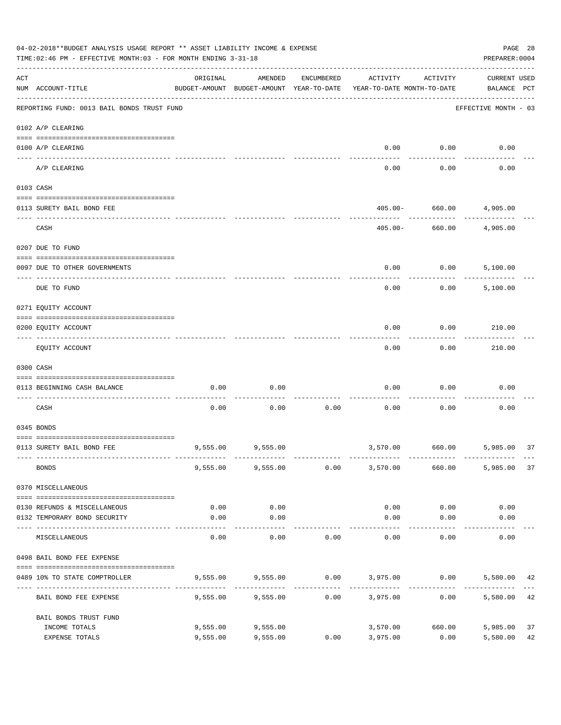| 04-02-2018**BUDGET ANALYSIS USAGE REPORT ** ASSET LIABILITY INCOME & EXPENSE<br>TIME: 02:46 PM - EFFECTIVE MONTH: 03 - FOR MONTH ENDING 3-31-18 |                                            |                       |                                                     |            |                                        |                   |                                    |  |  |
|-------------------------------------------------------------------------------------------------------------------------------------------------|--------------------------------------------|-----------------------|-----------------------------------------------------|------------|----------------------------------------|-------------------|------------------------------------|--|--|
| ACT                                                                                                                                             | NUM ACCOUNT-TITLE                          | ORIGINAL              | AMENDED<br>BUDGET-AMOUNT BUDGET-AMOUNT YEAR-TO-DATE | ENCUMBERED | ACTIVITY<br>YEAR-TO-DATE MONTH-TO-DATE | ACTIVITY          | <b>CURRENT USED</b><br>BALANCE PCT |  |  |
|                                                                                                                                                 | REPORTING FUND: 0013 BAIL BONDS TRUST FUND |                       |                                                     |            |                                        |                   | EFFECTIVE MONTH - 03               |  |  |
|                                                                                                                                                 | 0102 A/P CLEARING                          |                       |                                                     |            |                                        |                   |                                    |  |  |
|                                                                                                                                                 | 0100 A/P CLEARING                          |                       |                                                     |            | 0.00                                   | 0.00              | 0.00                               |  |  |
|                                                                                                                                                 | ---- ------<br>A/P CLEARING                |                       |                                                     |            | 0.00                                   | 0.00              | 0.00                               |  |  |
|                                                                                                                                                 | 0103 CASH                                  |                       |                                                     |            |                                        |                   |                                    |  |  |
|                                                                                                                                                 | 0113 SURETY BAIL BOND FEE                  |                       |                                                     |            | $405.00 -$                             | 660.00            | 4,905.00                           |  |  |
|                                                                                                                                                 | CASH                                       |                       |                                                     |            | $405.00 -$                             | 660.00            | 4,905.00                           |  |  |
|                                                                                                                                                 | 0207 DUE TO FUND                           |                       |                                                     |            |                                        |                   |                                    |  |  |
|                                                                                                                                                 | 0097 DUE TO OTHER GOVERNMENTS              |                       |                                                     |            | 0.00                                   | 0.00              | 5,100.00                           |  |  |
|                                                                                                                                                 | DUE TO FUND                                |                       |                                                     |            | 0.00                                   | 0.00              | 5,100.00                           |  |  |
|                                                                                                                                                 | 0271 EQUITY ACCOUNT                        |                       |                                                     |            |                                        |                   |                                    |  |  |
|                                                                                                                                                 | 0200 EQUITY ACCOUNT                        |                       |                                                     |            | 0.00                                   | 0.00              | 210.00                             |  |  |
|                                                                                                                                                 | EQUITY ACCOUNT                             |                       |                                                     |            | 0.00                                   | 0.00              | 210.00                             |  |  |
|                                                                                                                                                 | 0300 CASH                                  |                       |                                                     |            |                                        |                   |                                    |  |  |
|                                                                                                                                                 | 0113 BEGINNING CASH BALANCE                | 0.00                  | 0.00                                                |            | 0.00                                   | 0.00              | 0.00                               |  |  |
|                                                                                                                                                 | CASH                                       | 0.00                  | 0.00                                                | 0.00       | 0.00                                   | 0.00              | 0.00                               |  |  |
|                                                                                                                                                 | 0345 BONDS                                 |                       |                                                     |            |                                        |                   |                                    |  |  |
|                                                                                                                                                 | 0113 SURETY BAIL BOND FEE                  |                       | 9,555.00 9,555.00                                   |            |                                        | 3,570.00 660.00   | 5,985.00<br>37                     |  |  |
|                                                                                                                                                 | <b>BONDS</b>                               |                       | $9,555.00$ $9,555.00$ $0.00$ $3,570.00$             |            |                                        | 660.00            | 5,985.00<br>37                     |  |  |
|                                                                                                                                                 | 0370 MISCELLANEOUS                         |                       |                                                     |            |                                        |                   |                                    |  |  |
|                                                                                                                                                 | 0130 REFUNDS & MISCELLANEOUS               | 0.00                  | 0.00                                                |            | 0.00                                   | 0.00              | 0.00                               |  |  |
|                                                                                                                                                 | 0132 TEMPORARY BOND SECURITY               | 0.00                  | 0.00                                                |            | 0.00                                   | 0.00              | 0.00                               |  |  |
|                                                                                                                                                 | MISCELLANEOUS                              | -------------<br>0.00 | ----------<br>0.00                                  | 0.00       | 0.00                                   | ---------<br>0.00 | 0.00                               |  |  |
|                                                                                                                                                 | 0498 BAIL BOND FEE EXPENSE                 |                       |                                                     |            |                                        |                   |                                    |  |  |
|                                                                                                                                                 | 0489 10% TO STATE COMPTROLLER              |                       | $9,555.00$ $9,555.00$ $0.00$ $3,975.00$ $0.00$      |            |                                        |                   | 5,580.00<br>42                     |  |  |
|                                                                                                                                                 | BAIL BOND FEE EXPENSE                      | 9,555.00              | 9,555.00                                            | 0.00       | 3,975.00                               | 0.00              | 42<br>5,580.00                     |  |  |
|                                                                                                                                                 | BAIL BONDS TRUST FUND                      |                       |                                                     |            |                                        |                   |                                    |  |  |
|                                                                                                                                                 | INCOME TOTALS<br>EXPENSE TOTALS            | 9,555.00<br>9,555.00  | 9,555.00<br>9,555.00                                | 0.00       | 3,570.00<br>3,975.00                   | 660.00<br>0.00    | 5,985.00<br>37<br>42<br>5,580.00   |  |  |
|                                                                                                                                                 |                                            |                       |                                                     |            |                                        |                   |                                    |  |  |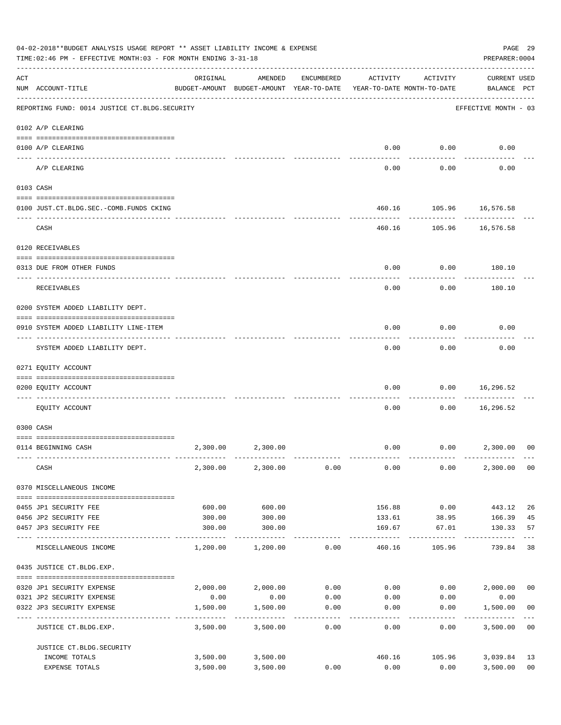| 04-02-2018**BUDGET ANALYSIS USAGE REPORT ** ASSET LIABILITY INCOME & EXPENSE<br>TIME: 02:46 PM - EFFECTIVE MONTH: 03 - FOR MONTH ENDING 3-31-18 |                                                 |          |                                                                                |                   |                   |                     |                                    |                      |  |
|-------------------------------------------------------------------------------------------------------------------------------------------------|-------------------------------------------------|----------|--------------------------------------------------------------------------------|-------------------|-------------------|---------------------|------------------------------------|----------------------|--|
| ACT                                                                                                                                             | NUM ACCOUNT-TITLE                               | ORIGINAL | AMENDED<br>BUDGET-AMOUNT BUDGET-AMOUNT YEAR-TO-DATE YEAR-TO-DATE MONTH-TO-DATE | ENCUMBERED        | ACTIVITY          | ACTIVITY            | <b>CURRENT USED</b><br>BALANCE PCT |                      |  |
|                                                                                                                                                 | REPORTING FUND: 0014 JUSTICE CT. BLDG. SECURITY |          |                                                                                |                   |                   |                     | EFFECTIVE MONTH - 03               |                      |  |
|                                                                                                                                                 | 0102 A/P CLEARING                               |          |                                                                                |                   |                   |                     |                                    |                      |  |
|                                                                                                                                                 | 0100 A/P CLEARING                               |          |                                                                                |                   | 0.00              | 0.00                | 0.00                               |                      |  |
|                                                                                                                                                 | A/P CLEARING                                    |          |                                                                                |                   | 0.00              | 0.00                | 0.00                               |                      |  |
|                                                                                                                                                 | 0103 CASH                                       |          |                                                                                |                   |                   |                     |                                    |                      |  |
|                                                                                                                                                 | 0100 JUST.CT.BLDG.SEC.-COMB.FUNDS CKING         |          |                                                                                |                   |                   |                     | 460.16 105.96 16,576.58            |                      |  |
|                                                                                                                                                 | ------------------------------<br>CASH          |          |                                                                                |                   |                   | ---------           | 460.16 105.96 16,576.58            |                      |  |
|                                                                                                                                                 | 0120 RECEIVABLES                                |          |                                                                                |                   |                   |                     |                                    |                      |  |
|                                                                                                                                                 |                                                 |          |                                                                                |                   |                   |                     | 180.10                             |                      |  |
|                                                                                                                                                 | 0313 DUE FROM OTHER FUNDS                       |          |                                                                                |                   | 0.00              | 0.00                |                                    |                      |  |
|                                                                                                                                                 | RECEIVABLES                                     |          |                                                                                |                   | 0.00              | 0.00                | 180.10                             |                      |  |
|                                                                                                                                                 | 0200 SYSTEM ADDED LIABILITY DEPT.               |          |                                                                                |                   |                   |                     |                                    |                      |  |
|                                                                                                                                                 | 0910 SYSTEM ADDED LIABILITY LINE-ITEM           |          |                                                                                |                   | 0.00              | 0.00                | 0.00                               |                      |  |
|                                                                                                                                                 | SYSTEM ADDED LIABILITY DEPT.                    |          |                                                                                |                   | 0.00              | 0.00                | 0.00                               |                      |  |
|                                                                                                                                                 | 0271 EQUITY ACCOUNT                             |          |                                                                                |                   |                   |                     |                                    |                      |  |
|                                                                                                                                                 | 0200 EQUITY ACCOUNT                             |          |                                                                                |                   | 0.00              | 0.00                | 16,296.52                          |                      |  |
|                                                                                                                                                 | EOUITY ACCOUNT                                  |          |                                                                                |                   | 0.00              | 0.00                | ---------<br>16,296.52             |                      |  |
|                                                                                                                                                 |                                                 |          |                                                                                |                   |                   |                     |                                    |                      |  |
|                                                                                                                                                 | 0300 CASH                                       |          |                                                                                |                   |                   |                     |                                    |                      |  |
|                                                                                                                                                 | 0114 BEGINNING CASH                             | 2,300.00 | 2,300.00                                                                       |                   | 0.00              |                     | $0.00$ 2,300.00                    | 00                   |  |
|                                                                                                                                                 | CASH                                            |          | 2,300.00 2,300.00                                                              | 0.00              | 0.00              | 0.00                | 2,300.00                           | 0 <sub>0</sub>       |  |
|                                                                                                                                                 | 0370 MISCELLANEOUS INCOME                       |          |                                                                                |                   |                   |                     |                                    |                      |  |
|                                                                                                                                                 | 0455 JP1 SECURITY FEE                           | 600.00   | 600.00                                                                         |                   | 156.88            | 0.00                | 443.12                             | 26                   |  |
|                                                                                                                                                 | 0456 JP2 SECURITY FEE                           | 300.00   | 300.00                                                                         |                   | 133.61            | 38.95               | 166.39                             | 45                   |  |
|                                                                                                                                                 | 0457 JP3 SECURITY FEE<br>---- ---------------   | 300.00   | 300.00                                                                         |                   | 169.67<br>------- | 67.01<br>---------- | 130.33<br>.                        | 57                   |  |
|                                                                                                                                                 | MISCELLANEOUS INCOME                            | 1,200.00 | 1,200.00                                                                       | 0.00              | 460.16            | 105.96              | 739.84                             | 38                   |  |
|                                                                                                                                                 | 0435 JUSTICE CT.BLDG.EXP.                       |          |                                                                                |                   |                   |                     |                                    |                      |  |
|                                                                                                                                                 | 0320 JP1 SECURITY EXPENSE                       |          | $2,000.00$ $2,000.00$ $0.00$ $0.00$ $0.00$                                     |                   |                   |                     | $0.00$ 2,000.00                    | 0 <sub>0</sub>       |  |
|                                                                                                                                                 | 0321 JP2 SECURITY EXPENSE                       | 0.00     | 0.00                                                                           | 0.00              | 0.00              | 0.00                | 0.00                               |                      |  |
|                                                                                                                                                 | 0322 JP3 SECURITY EXPENSE                       | 1,500.00 | 1,500.00<br>----------                                                         | 0.00<br>--------- | 0.00              | 0.00<br>--------    | 1,500.00                           | 0 <sub>0</sub>       |  |
|                                                                                                                                                 | JUSTICE CT.BLDG.EXP.                            | 3,500.00 | 3,500.00                                                                       | 0.00              | 0.00              | 0.00                | 3,500.00                           | 0 <sub>0</sub>       |  |
|                                                                                                                                                 | JUSTICE CT.BLDG.SECURITY                        |          |                                                                                |                   |                   |                     |                                    |                      |  |
|                                                                                                                                                 | INCOME TOTALS<br>EXPENSE TOTALS                 |          | 3,500.00 3,500.00                                                              | 0.00              | 460.16<br>0.00    | 105.96<br>0.00      | 3,039.84                           | 13<br>0 <sub>0</sub> |  |
|                                                                                                                                                 |                                                 | 3,500.00 | 3,500.00                                                                       |                   |                   |                     | 3,500.00                           |                      |  |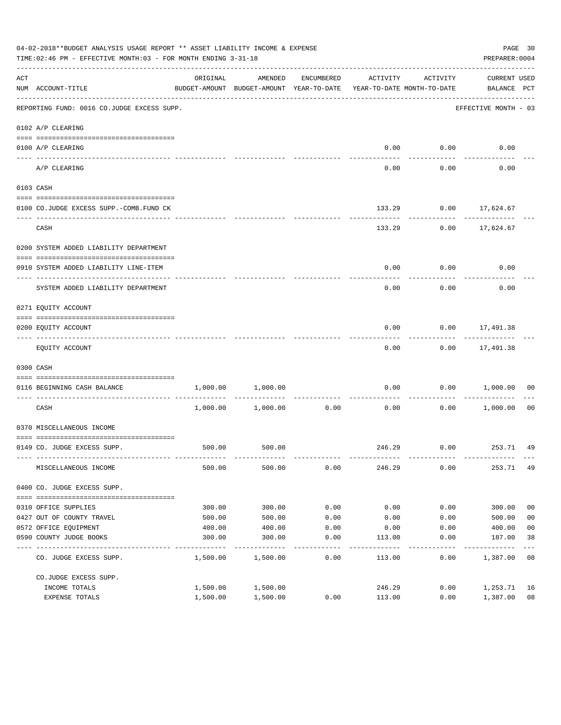|     | 04-02-2018**BUDGET ANALYSIS USAGE REPORT ** ASSET LIABILITY INCOME & EXPENSE<br>TIME:02:46 PM - EFFECTIVE MONTH:03 - FOR MONTH ENDING 3-31-18 |          |                                                     |            |                                        |          | PREPARER: 0004                     | PAGE 30        |
|-----|-----------------------------------------------------------------------------------------------------------------------------------------------|----------|-----------------------------------------------------|------------|----------------------------------------|----------|------------------------------------|----------------|
| ACT | NUM ACCOUNT-TITLE                                                                                                                             | ORIGINAL | AMENDED<br>BUDGET-AMOUNT BUDGET-AMOUNT YEAR-TO-DATE | ENCUMBERED | ACTIVITY<br>YEAR-TO-DATE MONTH-TO-DATE | ACTIVITY | <b>CURRENT USED</b><br>BALANCE PCT |                |
|     | --------------------------------------<br>REPORTING FUND: 0016 CO.JUDGE EXCESS SUPP.                                                          |          |                                                     |            |                                        |          | EFFECTIVE MONTH - 03               |                |
|     | 0102 A/P CLEARING                                                                                                                             |          |                                                     |            |                                        |          |                                    |                |
|     | 0100 A/P CLEARING                                                                                                                             |          |                                                     |            | 0.00                                   | 0.00     | 0.00                               |                |
|     | ---- -------------<br>A/P CLEARING                                                                                                            |          |                                                     |            | 0.00                                   | 0.00     | 0.00                               |                |
|     | 0103 CASH                                                                                                                                     |          |                                                     |            |                                        |          |                                    |                |
|     | 0100 CO.JUDGE EXCESS SUPP.-COMB.FUND CK                                                                                                       |          |                                                     |            |                                        |          | 133.29 0.00 17,624.67              |                |
|     | CASH                                                                                                                                          |          |                                                     |            | 133.29                                 |          | $0.00$ 17,624.67                   |                |
|     | 0200 SYSTEM ADDED LIABILITY DEPARTMENT                                                                                                        |          |                                                     |            |                                        |          |                                    |                |
|     | 0910 SYSTEM ADDED LIABILITY LINE-ITEM                                                                                                         |          |                                                     |            | 0.00                                   | 0.00     | 0.00                               |                |
|     | SYSTEM ADDED LIABILITY DEPARTMENT                                                                                                             |          |                                                     |            | 0.00                                   | 0.00     | 0.00                               |                |
|     | 0271 EQUITY ACCOUNT                                                                                                                           |          |                                                     |            |                                        |          |                                    |                |
|     | 0200 EQUITY ACCOUNT                                                                                                                           |          |                                                     |            | 0.00                                   |          | $0.00$ 17,491.38<br>-----------    |                |
|     | EQUITY ACCOUNT                                                                                                                                |          |                                                     |            | 0.00                                   |          | $0.00$ 17,491.38                   |                |
|     | 0300 CASH                                                                                                                                     |          |                                                     |            |                                        |          |                                    |                |
|     | 0116 BEGINNING CASH BALANCE<br>----------------------------- -----                                                                            | 1,000.00 | 1,000.00                                            |            | 0.00                                   |          | $0.00$ 1,000.00                    | 00             |
|     | CASH                                                                                                                                          |          | 1,000.00 1,000.00                                   | 0.00       | 0.00                                   | 0.00     | 1,000.00                           | 0 <sub>0</sub> |
|     | 0370 MISCELLANEOUS INCOME                                                                                                                     |          |                                                     |            |                                        |          |                                    |                |
|     | 0149 CO. JUDGE EXCESS SUPP.                                                                                                                   | 500.00   | 500.00                                              |            |                                        |          | 246.29 0.00 253.71 49              |                |
|     | MISCELLANEOUS INCOME                                                                                                                          | 500.00   | 500.00                                              | 0.00       | 246.29                                 | 0.00     | 253.71 49                          |                |
|     | 0400 CO. JUDGE EXCESS SUPP.                                                                                                                   |          |                                                     |            |                                        |          |                                    |                |
|     | 0310 OFFICE SUPPLIES                                                                                                                          | 300.00   | 300.00                                              | 0.00       | 0.00                                   | 0.00     | 300.00                             | 0 <sub>0</sub> |
|     | 0427 OUT OF COUNTY TRAVEL                                                                                                                     | 500.00   | 500.00                                              | 0.00       | 0.00                                   | 0.00     | 500.00                             | 0 <sub>0</sub> |
|     | 0572 OFFICE EQUIPMENT                                                                                                                         | 400.00   | 400.00                                              | 0.00       | 0.00                                   | 0.00     | 400.00                             | 0 <sub>0</sub> |
|     | 0590 COUNTY JUDGE BOOKS                                                                                                                       | 300.00   | 300.00                                              | 0.00       | 113.00                                 | 0.00     | 187.00                             | 38             |
|     | CO. JUDGE EXCESS SUPP.                                                                                                                        | 1,500.00 | 1,500.00                                            | 0.00       | 113.00                                 | 0.00     | 1,387.00                           | 08             |
|     | CO.JUDGE EXCESS SUPP.                                                                                                                         |          |                                                     |            |                                        |          |                                    |                |
|     | INCOME TOTALS                                                                                                                                 | 1,500.00 | 1,500.00                                            |            | 246.29                                 | 0.00     | 1,253.71                           | 16             |
|     | EXPENSE TOTALS                                                                                                                                | 1,500.00 | 1,500.00                                            | 0.00       | 113.00                                 | 0.00     | 1,387.00                           | 08             |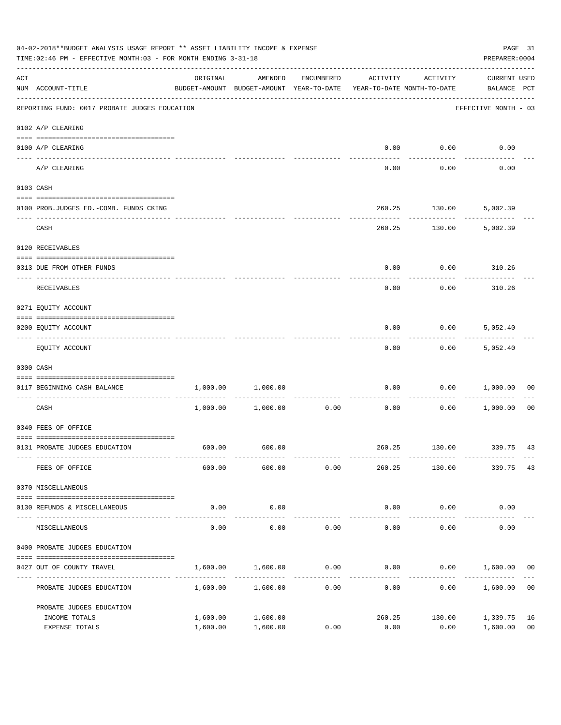| 04-02-2018**BUDGET ANALYSIS USAGE REPORT ** ASSET LIABILITY INCOME & EXPENSE<br>TIME:02:46 PM - EFFECTIVE MONTH:03 - FOR MONTH ENDING 3-31-18 | PREPARER: 0004                                | PAGE 31                                                                         |                       |            |                                     |                            |                                    |                      |
|-----------------------------------------------------------------------------------------------------------------------------------------------|-----------------------------------------------|---------------------------------------------------------------------------------|-----------------------|------------|-------------------------------------|----------------------------|------------------------------------|----------------------|
| ACT                                                                                                                                           | NUM ACCOUNT-TITLE                             | ORIGINAL<br>BUDGET-AMOUNT BUDGET-AMOUNT YEAR-TO-DATE YEAR-TO-DATE MONTH-TO-DATE | AMENDED               | ENCUMBERED | ACTIVITY                            | ACTIVITY                   | <b>CURRENT USED</b><br>BALANCE PCT |                      |
|                                                                                                                                               | REPORTING FUND: 0017 PROBATE JUDGES EDUCATION |                                                                                 |                       |            |                                     |                            | EFFECTIVE MONTH - 03               |                      |
|                                                                                                                                               | 0102 A/P CLEARING                             |                                                                                 |                       |            |                                     |                            |                                    |                      |
|                                                                                                                                               | 0100 A/P CLEARING                             |                                                                                 |                       |            | 0.00                                | 0.00                       | 0.00                               |                      |
|                                                                                                                                               | ---- --------<br>A/P CLEARING                 |                                                                                 |                       |            | 0.00                                | 0.00                       | 0.00                               |                      |
|                                                                                                                                               | 0103 CASH                                     |                                                                                 |                       |            |                                     |                            |                                    |                      |
|                                                                                                                                               | 0100 PROB.JUDGES ED.-COMB. FUNDS CKING        |                                                                                 |                       |            | 260.25                              | 130.00                     | 5,002.39                           |                      |
|                                                                                                                                               | CASH                                          |                                                                                 |                       |            |                                     | ---------<br>260.25 130.00 | 5,002.39                           |                      |
|                                                                                                                                               | 0120 RECEIVABLES                              |                                                                                 |                       |            |                                     |                            |                                    |                      |
|                                                                                                                                               | 0313 DUE FROM OTHER FUNDS                     |                                                                                 |                       |            | 0.00                                |                            | $0.00$ 310.26                      |                      |
|                                                                                                                                               | RECEIVABLES                                   |                                                                                 |                       |            | 0.00                                | 0.00                       | 310.26                             |                      |
|                                                                                                                                               | 0271 EQUITY ACCOUNT                           |                                                                                 |                       |            |                                     |                            |                                    |                      |
|                                                                                                                                               | 0200 EQUITY ACCOUNT                           |                                                                                 |                       |            | 0.00                                | 0.00                       | 5,052.40                           |                      |
|                                                                                                                                               | EQUITY ACCOUNT                                |                                                                                 |                       |            | 0.00                                | 0.00                       | 5,052.40                           |                      |
|                                                                                                                                               | 0300 CASH                                     |                                                                                 |                       |            |                                     |                            |                                    |                      |
|                                                                                                                                               | 0117 BEGINNING CASH BALANCE                   | 1,000.00                                                                        | 1,000.00              |            | 0.00                                | 0.00                       | 1,000.00                           | 00                   |
|                                                                                                                                               | CASH                                          |                                                                                 | $1,000.00$ $1,000.00$ | 0.00       | ---------------------------<br>0.00 | ----------<br>0.00         | 1,000.00                           | 00                   |
|                                                                                                                                               | 0340 FEES OF OFFICE                           |                                                                                 |                       |            |                                     |                            |                                    |                      |
|                                                                                                                                               | 0131 PROBATE JUDGES EDUCATION                 |                                                                                 | 600.00 600.00         |            |                                     |                            | 260.25 130.00 339.75 43            |                      |
|                                                                                                                                               | FEES OF OFFICE                                | 600.00                                                                          | 600.00                | 0.00       | 260.25                              | 130.00                     | 339.75                             | 43                   |
|                                                                                                                                               | 0370 MISCELLANEOUS                            |                                                                                 |                       |            |                                     |                            |                                    |                      |
|                                                                                                                                               | 0130 REFUNDS & MISCELLANEOUS                  | 0.00                                                                            | 0.00                  |            | 0.00                                | 0.00                       | 0.00                               |                      |
|                                                                                                                                               | MISCELLANEOUS                                 | 0.00                                                                            | -----------<br>0.00   | 0.00       | --------------<br>0.00              | -----------<br>0.00        | 0.00                               |                      |
|                                                                                                                                               | 0400 PROBATE JUDGES EDUCATION                 |                                                                                 |                       |            |                                     |                            |                                    |                      |
|                                                                                                                                               | 0427 OUT OF COUNTY TRAVEL                     | 1,600.00                                                                        | 1,600.00              | 0.00       |                                     |                            | $0.00$ $0.00$ $1,600.00$           | 0 <sub>0</sub>       |
|                                                                                                                                               | PROBATE JUDGES EDUCATION                      |                                                                                 | 1,600.00 1,600.00     | 0.00       | 0.00                                |                            | 0.00<br>1,600.00                   | 0 <sub>0</sub>       |
|                                                                                                                                               | PROBATE JUDGES EDUCATION                      |                                                                                 |                       |            |                                     |                            |                                    |                      |
|                                                                                                                                               | INCOME TOTALS<br>EXPENSE TOTALS               | 1,600.00<br>1,600.00                                                            | 1,600.00<br>1,600.00  | 0.00       | 260.25<br>0.00                      | 130.00<br>0.00             | 1,339.75<br>1,600.00               | 16<br>0 <sub>0</sub> |
|                                                                                                                                               |                                               |                                                                                 |                       |            |                                     |                            |                                    |                      |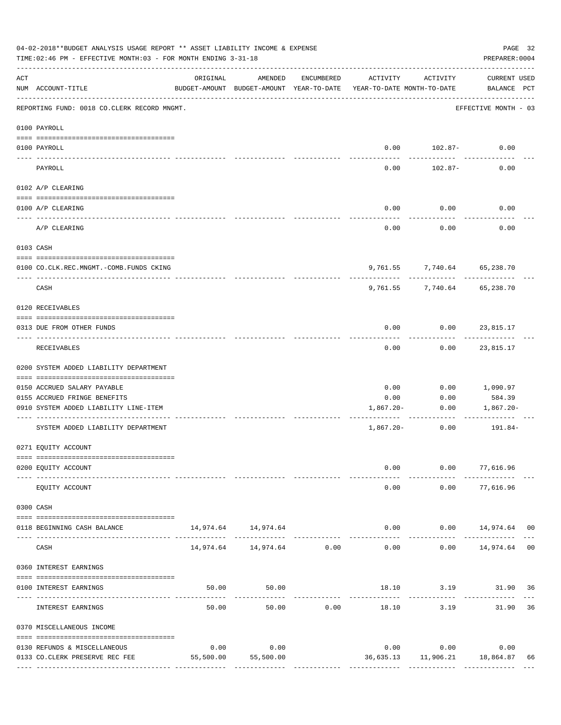| 04-02-2018**BUDGET ANALYSIS USAGE REPORT ** ASSET LIABILITY INCOME & EXPENSE<br>TIME: 02:46 PM - EFFECTIVE MONTH: 03 - FOR MONTH ENDING 3-31-18<br>PREPARER: 0004 |                                                          |           |                                                                                |            |               |                             |                                  |    |  |  |
|-------------------------------------------------------------------------------------------------------------------------------------------------------------------|----------------------------------------------------------|-----------|--------------------------------------------------------------------------------|------------|---------------|-----------------------------|----------------------------------|----|--|--|
| ACT                                                                                                                                                               | NUM ACCOUNT-TITLE                                        | ORIGINAL  | AMENDED<br>BUDGET-AMOUNT BUDGET-AMOUNT YEAR-TO-DATE YEAR-TO-DATE MONTH-TO-DATE | ENCUMBERED | ACTIVITY      | ACTIVITY                    | CURRENT USED<br>BALANCE PCT      |    |  |  |
|                                                                                                                                                                   | REPORTING FUND: 0018 CO.CLERK RECORD MNGMT.              |           |                                                                                |            |               |                             | EFFECTIVE MONTH - 03             |    |  |  |
|                                                                                                                                                                   | 0100 PAYROLL                                             |           |                                                                                |            |               |                             |                                  |    |  |  |
|                                                                                                                                                                   | 0100 PAYROLL                                             |           |                                                                                |            |               | $0.00$ 102.87-              | 0.00                             |    |  |  |
| ----- ----                                                                                                                                                        | ------------------------- --------<br>PAYROLL            |           |                                                                                |            | 0.00          | 102.87-                     | 0.00                             |    |  |  |
|                                                                                                                                                                   | 0102 A/P CLEARING                                        |           |                                                                                |            |               |                             |                                  |    |  |  |
|                                                                                                                                                                   | 0100 A/P CLEARING                                        |           |                                                                                |            | 0.00          | 0.00                        | 0.00                             |    |  |  |
|                                                                                                                                                                   | -----------------------------------<br>A/P CLEARING      |           |                                                                                |            | 0.00          | 0.00                        | 0.00                             |    |  |  |
|                                                                                                                                                                   | 0103 CASH                                                |           |                                                                                |            |               |                             |                                  |    |  |  |
|                                                                                                                                                                   | 0100 CO.CLK.REC.MNGMT.-COMB.FUNDS CKING                  |           |                                                                                |            |               | 9,761.55 7,740.64 65,238.70 |                                  |    |  |  |
|                                                                                                                                                                   | CASH                                                     |           |                                                                                |            | 9,761.55      | 7,740.64                    | 65,238.70                        |    |  |  |
|                                                                                                                                                                   | 0120 RECEIVABLES                                         |           |                                                                                |            |               |                             |                                  |    |  |  |
|                                                                                                                                                                   | 0313 DUE FROM OTHER FUNDS                                |           |                                                                                |            | 0.00          |                             | $0.00$ 23,815.17                 |    |  |  |
|                                                                                                                                                                   | RECEIVABLES                                              |           |                                                                                |            | 0.00          |                             | 0.00 23,815.17                   |    |  |  |
|                                                                                                                                                                   | 0200 SYSTEM ADDED LIABILITY DEPARTMENT                   |           |                                                                                |            |               |                             |                                  |    |  |  |
|                                                                                                                                                                   | 0150 ACCRUED SALARY PAYABLE                              |           |                                                                                |            | 0.00          | 0.00                        | 1,090.97                         |    |  |  |
|                                                                                                                                                                   | 0155 ACCRUED FRINGE BENEFITS                             |           |                                                                                |            | 0.00          | 0.00                        | 584.39                           |    |  |  |
|                                                                                                                                                                   | 0910 SYSTEM ADDED LIABILITY LINE-ITEM                    |           |                                                                                |            | 1,867.20-     | 0.00                        | 1,867.20-                        |    |  |  |
|                                                                                                                                                                   | SYSTEM ADDED LIABILITY DEPARTMENT                        |           |                                                                                |            |               | 0.00<br>$1,867.20-$         | 191.84-                          |    |  |  |
|                                                                                                                                                                   | 0271 EQUITY ACCOUNT                                      |           |                                                                                |            |               |                             |                                  |    |  |  |
|                                                                                                                                                                   | 0200 EQUITY ACCOUNT                                      |           |                                                                                |            | 0.00          |                             | $0.00$ 77,616.96                 |    |  |  |
|                                                                                                                                                                   | EQUITY ACCOUNT                                           |           |                                                                                |            | 0.00          | -----------                 | ------------<br>$0.00$ 77,616.96 |    |  |  |
|                                                                                                                                                                   | 0300 CASH                                                |           |                                                                                |            |               |                             |                                  |    |  |  |
|                                                                                                                                                                   | 0118 BEGINNING CASH BALANCE                              |           | 14,974.64 14,974.64                                                            |            |               |                             | $0.00$ $0.00$ $14,974.64$ 00     |    |  |  |
|                                                                                                                                                                   | CASH                                                     |           | 14,974.64    14,974.64    0.00                                                 |            | 0.00          | ------------                | $0.00$ 14,974.64 00              |    |  |  |
|                                                                                                                                                                   | 0360 INTEREST EARNINGS                                   |           |                                                                                |            |               |                             |                                  |    |  |  |
|                                                                                                                                                                   | 0100 INTEREST EARNINGS                                   | 50.00     | 50.00                                                                          |            |               |                             | 18.10 3.19 31.90 36              |    |  |  |
|                                                                                                                                                                   | ----------------------- -----------<br>INTEREST EARNINGS | 50.00     |                                                                                | 50.00 0.00 | ------------- | 18.10 3.19                  | 31.90 36                         |    |  |  |
|                                                                                                                                                                   | 0370 MISCELLANEOUS INCOME                                |           |                                                                                |            |               |                             |                                  |    |  |  |
|                                                                                                                                                                   | 0130 REFUNDS & MISCELLANEOUS                             | 0.00      | 0.00                                                                           |            |               | $0.00$ 0.00                 | 0.00                             |    |  |  |
|                                                                                                                                                                   | 0133 CO.CLERK PRESERVE REC FEE                           | 55,500.00 | 55,500.00                                                                      |            |               |                             | 36,635.13 11,906.21 18,864.87    | 66 |  |  |
|                                                                                                                                                                   |                                                          |           |                                                                                |            |               |                             |                                  |    |  |  |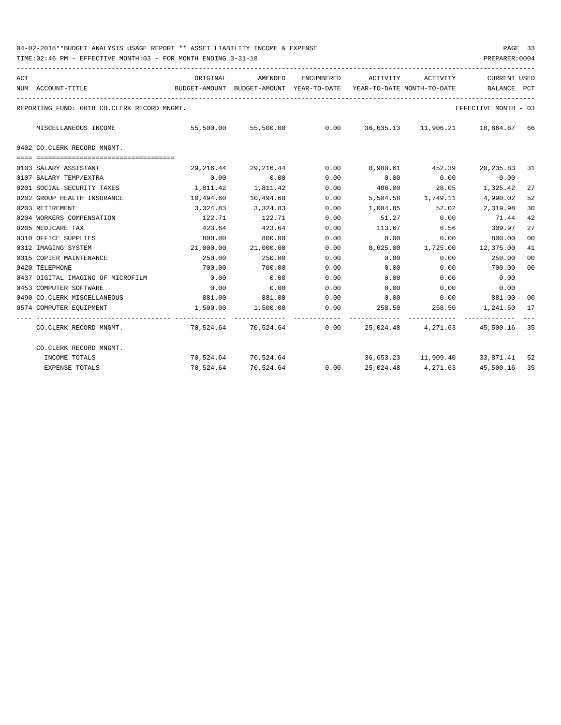| ACT |                                             | ORIGINAL                                                            | AMENDED                                                  |                      |        | ENCUMBERED ACTIVITY ACTIVITY | <b>CURRENT USED</b>                       |                |
|-----|---------------------------------------------|---------------------------------------------------------------------|----------------------------------------------------------|----------------------|--------|------------------------------|-------------------------------------------|----------------|
|     | NUM ACCOUNT-TITLE                           | BUDGET-AMOUNT BUDGET-AMOUNT YEAR-TO-DATE YEAR-TO-DATE MONTH-TO-DATE |                                                          |                      |        |                              | <b>BALANCE</b>                            | PCT            |
|     | REPORTING FUND: 0018 CO.CLERK RECORD MNGMT. |                                                                     |                                                          |                      |        |                              | EFFECTIVE MONTH - 03                      |                |
|     | MISCELLANEOUS INCOME                        | 55,500.00                                                           |                                                          |                      |        |                              |                                           | 66             |
|     | 0402 CO.CLERK RECORD MNGMT.                 |                                                                     |                                                          |                      |        |                              |                                           |                |
|     | 0103 SALARY ASSISTANT                       | 29,216.44                                                           | 29,216.44                                                | 0.00                 |        |                              | 8,980.61 452.39 20,235.83 31              |                |
|     | 0107 SALARY TEMP/EXTRA                      | 0.00                                                                | 0.00                                                     | 0.00                 | 0.00   | 0.00                         | 0.00                                      |                |
|     | 0201 SOCIAL SECURITY TAXES                  | 1,811.42                                                            | 1,811.42                                                 | 0.00                 | 486.00 |                              | 28.05 1,325.42                            | 27             |
|     | 0202 GROUP HEALTH INSURANCE                 | 10,494.60                                                           | 10,494.60                                                | 0.00                 |        |                              | 5,504.58 1,749.11 4,990.02                | 52             |
|     | 0203 RETIREMENT                             | 3,324.83                                                            | 3,324.83                                                 | 0.00                 |        | 1,004.85 52.02               | 2,319.98                                  | 30             |
|     | 0204 WORKERS COMPENSATION                   | 122.71                                                              | 122.71                                                   | 0.00                 | 51.27  | 0.00                         | 71.44                                     | 42             |
|     | 0205 MEDICARE TAX                           | 423.64                                                              | 423.64                                                   | 0.00                 | 113.67 | 6.56                         | 309.97                                    | 27             |
|     | 0310 OFFICE SUPPLIES                        | 800.00                                                              | 800.00                                                   | 0.00                 | 0.00   | 0.00                         | 800.00                                    | 00             |
|     | 0312 IMAGING SYSTEM                         | 21,000.00                                                           | 21,000.00                                                | 0.00                 |        |                              | 8,625.00 1,725.00 12,375.00               | 41             |
|     | 0315 COPIER MAINTENANCE                     | 250.00                                                              | 250.00                                                   | 0.00                 | 0.00   | 0.00                         | 250.00                                    | 0 <sup>0</sup> |
|     | 0420 TELEPHONE                              | 700.00                                                              | 700.00                                                   | 0.00                 | 0.00   | 0.00                         | 700.00                                    | 00             |
|     | 0437 DIGITAL IMAGING OF MICROFILM           | 0.00                                                                | 0.00                                                     | 0.00                 | 0.00   | 0.00                         | 0.00                                      |                |
|     | 0453 COMPUTER SOFTWARE                      | 0.00                                                                | 0.00                                                     | 0.00                 | 0.00   | 0.00                         | 0.00                                      |                |
|     | 0490 CO. CLERK MISCELLANEOUS                | 881.00                                                              | 881.00                                                   | 0.00                 |        |                              | $0.00$ $0.00$ $881.00$                    | 00             |
|     | 0574 COMPUTER EOUIPMENT                     | 1,500.00                                                            | 1,500.00                                                 | 0.00<br>------------ |        |                              | 258.50 258.50 1,241.50                    | 17             |
|     | CO.CLERK RECORD MNGMT.                      |                                                                     | 70,524.64 70,524.64 0.00 25,024.48 4,271.63 45,500.16 35 |                      |        |                              |                                           |                |
|     | CO.CLERK RECORD MNGMT.                      |                                                                     |                                                          |                      |        |                              |                                           |                |
|     | INCOME TOTALS                               |                                                                     | 70,524.64 70,524.64                                      |                      |        |                              | 36,653.23    11,909.40    33,871.41       | 52             |
|     | <b>EXPENSE TOTALS</b>                       | 70,524.64                                                           | 70,524.64                                                |                      |        |                              | $0.00$ $25,024.48$ $4,271.63$ $45,500.16$ | 35             |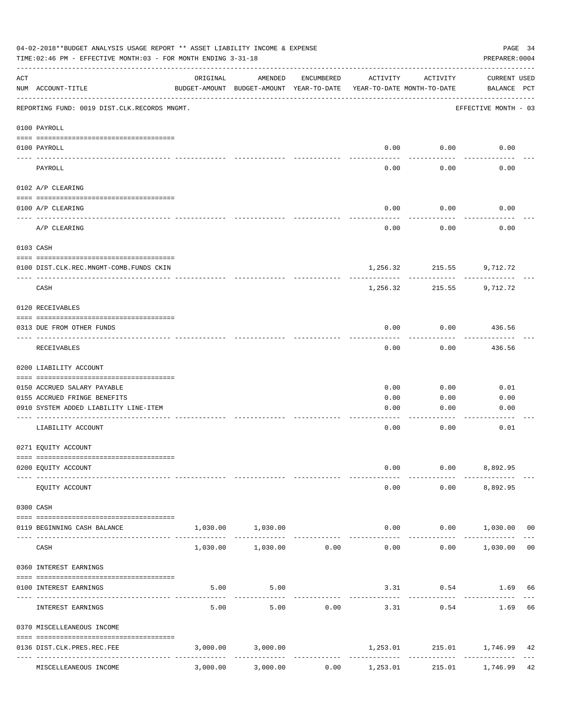| 04-02-2018**BUDGET ANALYSIS USAGE REPORT ** ASSET LIABILITY INCOME & EXPENSE<br>PAGE 34<br>TIME: 02:46 PM - EFFECTIVE MONTH: 03 - FOR MONTH ENDING 3-31-18<br>PREPARER: 0004 |                                                                                |          |                                                     |            |                                           |                        |                             |                |  |  |
|------------------------------------------------------------------------------------------------------------------------------------------------------------------------------|--------------------------------------------------------------------------------|----------|-----------------------------------------------------|------------|-------------------------------------------|------------------------|-----------------------------|----------------|--|--|
| ACT                                                                                                                                                                          | NUM ACCOUNT-TITLE                                                              | ORIGINAL | AMENDED<br>BUDGET-AMOUNT BUDGET-AMOUNT YEAR-TO-DATE | ENCUMBERED | ACTIVITY<br>YEAR-TO-DATE MONTH-TO-DATE    | ACTIVITY               | CURRENT USED<br>BALANCE PCT |                |  |  |
|                                                                                                                                                                              | REPORTING FUND: 0019 DIST.CLK.RECORDS MNGMT.                                   |          |                                                     |            |                                           |                        | EFFECTIVE MONTH - 03        |                |  |  |
|                                                                                                                                                                              | 0100 PAYROLL                                                                   |          |                                                     |            |                                           |                        |                             |                |  |  |
|                                                                                                                                                                              | 0100 PAYROLL                                                                   |          |                                                     |            | 0.00                                      | 0.00                   | 0.00                        |                |  |  |
|                                                                                                                                                                              | ---- -------<br>PAYROLL                                                        |          |                                                     |            | 0.00                                      | 0.00                   | 0.00                        |                |  |  |
|                                                                                                                                                                              | 0102 A/P CLEARING                                                              |          |                                                     |            |                                           |                        |                             |                |  |  |
|                                                                                                                                                                              | 0100 A/P CLEARING                                                              |          |                                                     |            | 0.00                                      | 0.00                   | 0.00                        |                |  |  |
|                                                                                                                                                                              | A/P CLEARING                                                                   |          |                                                     |            | 0.00                                      | 0.00                   | 0.00                        |                |  |  |
|                                                                                                                                                                              | 0103 CASH                                                                      |          |                                                     |            |                                           |                        |                             |                |  |  |
|                                                                                                                                                                              | 0100 DIST.CLK.REC.MNGMT-COMB.FUNDS CKIN                                        |          |                                                     |            |                                           | 1,256.32 215.55        | 9,712.72                    |                |  |  |
|                                                                                                                                                                              | CASH                                                                           |          |                                                     |            | 1,256.32                                  | ---------<br>215.55    | 9,712.72                    |                |  |  |
|                                                                                                                                                                              | 0120 RECEIVABLES                                                               |          |                                                     |            |                                           |                        |                             |                |  |  |
|                                                                                                                                                                              | 0313 DUE FROM OTHER FUNDS                                                      |          |                                                     |            | 0.00                                      | 0.00                   | 436.56                      |                |  |  |
|                                                                                                                                                                              | RECEIVABLES                                                                    |          |                                                     |            | 0.00                                      | 0.00                   | ---------<br>436.56         |                |  |  |
|                                                                                                                                                                              | 0200 LIABILITY ACCOUNT                                                         |          |                                                     |            |                                           |                        |                             |                |  |  |
|                                                                                                                                                                              | 0150 ACCRUED SALARY PAYABLE                                                    |          |                                                     |            | 0.00                                      | 0.00                   | 0.01                        |                |  |  |
|                                                                                                                                                                              | 0155 ACCRUED FRINGE BENEFITS                                                   |          |                                                     |            | 0.00                                      | 0.00                   | 0.00                        |                |  |  |
|                                                                                                                                                                              | 0910 SYSTEM ADDED LIABILITY LINE-ITEM                                          |          |                                                     |            | 0.00                                      | 0.00                   | 0.00                        |                |  |  |
|                                                                                                                                                                              | LIABILITY ACCOUNT                                                              |          |                                                     |            | 0.00                                      | 0.00                   | 0.01                        |                |  |  |
|                                                                                                                                                                              | 0271 EQUITY ACCOUNT                                                            |          |                                                     |            |                                           |                        |                             |                |  |  |
|                                                                                                                                                                              |                                                                                |          |                                                     |            |                                           |                        |                             |                |  |  |
|                                                                                                                                                                              | 0200 EQUITY ACCOUNT                                                            |          |                                                     |            | 0.00                                      |                        | $0.00$ 8,892.95             |                |  |  |
|                                                                                                                                                                              | EQUITY ACCOUNT                                                                 |          |                                                     |            | 0.00                                      |                        | $0.00$ 8,892.95             |                |  |  |
|                                                                                                                                                                              | 0300 CASH                                                                      |          |                                                     |            |                                           |                        |                             |                |  |  |
|                                                                                                                                                                              | 0119 BEGINNING CASH BALANCE                                                    |          | 1,030.00 1,030.00                                   |            |                                           |                        | $0.00$ $0.00$ $1,030.00$ 00 |                |  |  |
|                                                                                                                                                                              | CASH                                                                           |          | _____________<br>1,030.00 1,030.00 0.00             |            | 0.00                                      | ----------             | --------<br>$0.00$ 1,030.00 | 0 <sub>0</sub> |  |  |
|                                                                                                                                                                              | 0360 INTEREST EARNINGS                                                         |          |                                                     |            |                                           |                        |                             |                |  |  |
|                                                                                                                                                                              | 0100 INTEREST EARNINGS                                                         | 5.00     | 5.00                                                |            |                                           | 3.31 0.54              | 1.69                        | 66             |  |  |
|                                                                                                                                                                              | INTEREST EARNINGS                                                              | 5.00     | 5.00                                                | 0.00       | 3.31                                      | ---------<br>0.54      | 1.69                        | 66             |  |  |
|                                                                                                                                                                              | 0370 MISCELLEANEOUS INCOME                                                     |          |                                                     |            |                                           |                        |                             |                |  |  |
|                                                                                                                                                                              | 0136 DIST.CLK.PRES.REC.FEE                                                     |          | 3,000.00 3,000.00                                   |            |                                           |                        | 1,253.01 215.01 1,746.99    | 42             |  |  |
|                                                                                                                                                                              | ---------------- --------------<br>------------------<br>MISCELLEANEOUS INCOME | 3,000.00 | 3,000.00                                            | 0.00       | -----------------------------<br>1,253.01 | ------------<br>215.01 | --------------<br>1,746.99  | 42             |  |  |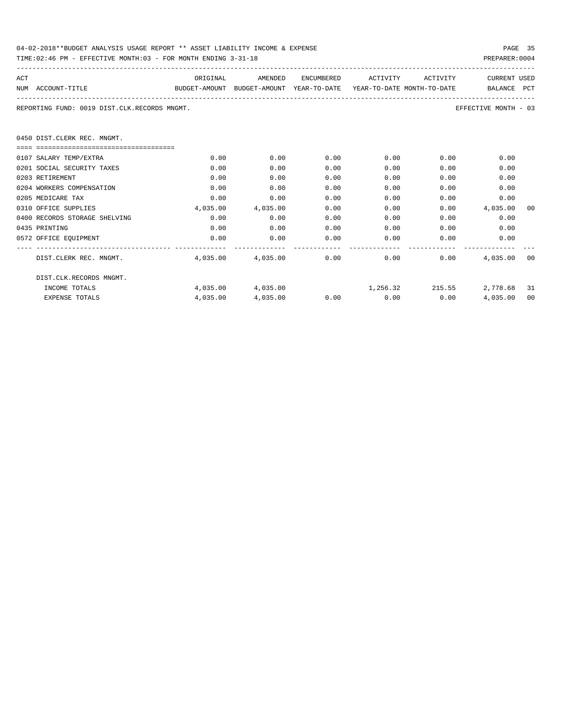| 04-02-2018**BUDGET ANALYSIS USAGE REPORT ** ASSET LIABILITY INCOME & EXPENSE | PAGE 35        |
|------------------------------------------------------------------------------|----------------|
| TIME:02:46 PM - EFFECTIVE MONTH:03 - FOR MONTH ENDING 3-31-18                | PREPARER: 0004 |

| ACT |                                                                                          | ORIGINAL | AMENDED                                           | ENCUMBERED | ACTIVITY ACTIVITY    |                                                                                                                                                                                                                             | <b>CURRENT USED</b>         |    |  |  |
|-----|------------------------------------------------------------------------------------------|----------|---------------------------------------------------|------------|----------------------|-----------------------------------------------------------------------------------------------------------------------------------------------------------------------------------------------------------------------------|-----------------------------|----|--|--|
|     | BUDGET-AMOUNT BUDGET-AMOUNT YEAR-TO-DATE YEAR-TO-DATE_MONTH-TO-DATE<br>NUM ACCOUNT-TITLE |          |                                                   |            |                      |                                                                                                                                                                                                                             | BALANCE PCT                 |    |  |  |
|     | REPORTING FUND: 0019 DIST.CLK.RECORDS MNGMT.<br>EFFECTIVE MONTH - 03                     |          |                                                   |            |                      |                                                                                                                                                                                                                             |                             |    |  |  |
|     | 0450 DIST.CLERK REC. MNGMT.                                                              |          |                                                   |            |                      |                                                                                                                                                                                                                             |                             |    |  |  |
|     |                                                                                          |          |                                                   |            |                      |                                                                                                                                                                                                                             |                             |    |  |  |
|     | 0107 SALARY TEMP/EXTRA                                                                   | 0.00     | 0.00                                              | 0.00       | 0.00                 |                                                                                                                                                                                                                             | 0.00<br>0.00                |    |  |  |
|     | 0201 SOCIAL SECURITY TAXES                                                               | 0.00     | 0.00                                              | 0.00       | 0.00                 | 0.00                                                                                                                                                                                                                        | 0.00                        |    |  |  |
|     | 0203 RETIREMENT                                                                          | 0.00     | 0.00                                              | 0.00       | 0.00                 | 0.00                                                                                                                                                                                                                        | 0.00                        |    |  |  |
|     | 0204 WORKERS COMPENSATION                                                                | 0.00     | 0.00                                              | 0.00       | 0.00                 | 0.00                                                                                                                                                                                                                        | 0.00                        |    |  |  |
|     | 0205 MEDICARE TAX                                                                        | 0.00     | 0.00                                              | 0.00       | 0.00                 | 0.00                                                                                                                                                                                                                        | 0.00                        |    |  |  |
|     | 0310 OFFICE SUPPLIES                                                                     | 4,035.00 | 4,035.00                                          | 0.00       | 0.00                 |                                                                                                                                                                                                                             | $0.00$ 4,035.00             | 00 |  |  |
|     | 0400 RECORDS STORAGE SHELVING                                                            | 0.00     | 0.00                                              | 0.00       | 0.00                 |                                                                                                                                                                                                                             | 0.00<br>$0.00$ and $0.00$   |    |  |  |
|     | 0435 PRINTING                                                                            | 0.00     | 0.00                                              | 0.00       |                      | 0.00                                                                                                                                                                                                                        | 0.00<br>0.00                |    |  |  |
|     | 0572 OFFICE EQUIPMENT                                                                    | 0.00     | 0.00                                              | 0.00       |                      | $0.00$ and $0.00$ and $0.00$ and $0.00$ and $0.00$ and $0.00$ and $0.00$ and $0.00$ and $0.00$ and $0.00$ and $0.00$ and $0.00$ and $0.00$ and $0.00$ and $0.00$ and $0.00$ and $0.00$ and $0.00$ and $0.00$ and $0.00$ and | 0.00<br>0.00                |    |  |  |
|     | DIST.CLERK REC. MNGMT.                                                                   |          | $4.035.00$ $4.035.00$ $0.00$ $0.00$ $0.00$ $0.00$ |            |                      |                                                                                                                                                                                                                             | 4,035.00                    | 00 |  |  |
|     | DIST.CLK.RECORDS MNGMT.                                                                  |          |                                                   |            |                      |                                                                                                                                                                                                                             |                             |    |  |  |
|     | INCOME TOTALS                                                                            |          | 4,035.00 4,035.00                                 |            |                      |                                                                                                                                                                                                                             | 1,256.32 215.55 2,778.68 31 |    |  |  |
|     | <b>EXPENSE TOTALS</b>                                                                    | 4,035.00 | 4,035.00                                          |            | $0.00$ $0.00$ $0.00$ |                                                                                                                                                                                                                             | 4,035.00                    | 00 |  |  |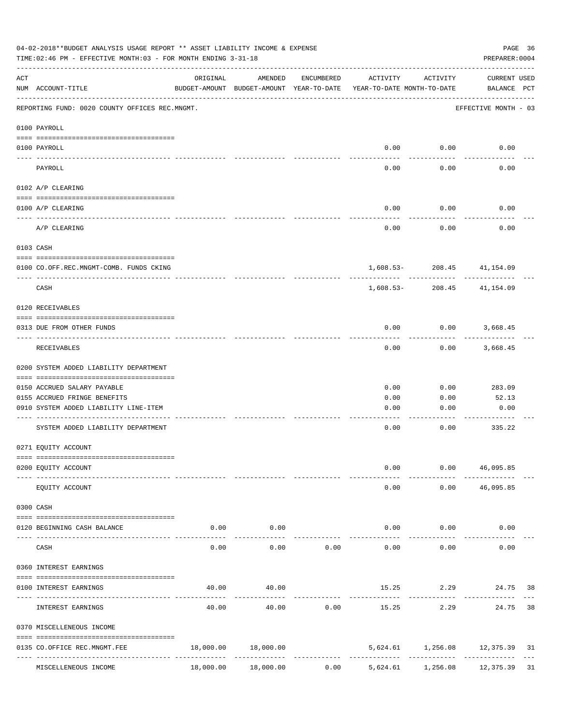|                    | 04-02-2018**BUDGET ANALYSIS USAGE REPORT ** ASSET LIABILITY INCOME & EXPENSE<br>TIME: 02:46 PM - EFFECTIVE MONTH: 03 - FOR MONTH ENDING 3-31-18 |           |                      |            |                                                                                 |                       | PAGE 36<br>PREPARER: 0004   |    |
|--------------------|-------------------------------------------------------------------------------------------------------------------------------------------------|-----------|----------------------|------------|---------------------------------------------------------------------------------|-----------------------|-----------------------------|----|
| $\mathop{\rm ACT}$ | NUM ACCOUNT-TITLE                                                                                                                               | ORIGINAL  | AMENDED              | ENCUMBERED | ACTIVITY<br>BUDGET-AMOUNT BUDGET-AMOUNT YEAR-TO-DATE YEAR-TO-DATE MONTH-TO-DATE | ACTIVITY              | CURRENT USED<br>BALANCE PCT |    |
|                    | REPORTING FUND: 0020 COUNTY OFFICES REC.MNGMT.                                                                                                  |           |                      |            |                                                                                 |                       | EFFECTIVE MONTH - 03        |    |
|                    | 0100 PAYROLL                                                                                                                                    |           |                      |            |                                                                                 |                       |                             |    |
|                    | 0100 PAYROLL                                                                                                                                    |           |                      |            |                                                                                 | $0.00$ $0.00$         | 0.00                        |    |
|                    | PAYROLL                                                                                                                                         |           |                      |            | 0.00                                                                            | 0.00                  | 0.00                        |    |
|                    | 0102 A/P CLEARING                                                                                                                               |           |                      |            |                                                                                 |                       |                             |    |
|                    | 0100 A/P CLEARING                                                                                                                               |           |                      |            | 0.00                                                                            | 0.00                  | 0.00                        |    |
|                    | A/P CLEARING                                                                                                                                    |           |                      |            | 0.00                                                                            | 0.00                  | 0.00                        |    |
|                    | 0103 CASH                                                                                                                                       |           |                      |            |                                                                                 |                       |                             |    |
|                    | 0100 CO.OFF.REC.MNGMT-COMB. FUNDS CKING                                                                                                         |           |                      |            |                                                                                 |                       | 1,608.53-208.45 41,154.09   |    |
|                    | _______________________________<br>CASH                                                                                                         |           |                      |            | 1,608.53-                                                                       | -----------<br>208.45 | 41,154.09                   |    |
|                    | 0120 RECEIVABLES                                                                                                                                |           |                      |            |                                                                                 |                       |                             |    |
|                    | 0313 DUE FROM OTHER FUNDS                                                                                                                       |           |                      |            | 0.00                                                                            |                       | $0.00$ 3,668.45             |    |
|                    | RECEIVABLES                                                                                                                                     |           |                      |            | 0.00                                                                            | 0.00                  | 3,668.45                    |    |
|                    | 0200 SYSTEM ADDED LIABILITY DEPARTMENT                                                                                                          |           |                      |            |                                                                                 |                       |                             |    |
|                    | 0150 ACCRUED SALARY PAYABLE                                                                                                                     |           |                      |            | 0.00                                                                            | 0.00                  | 283.09                      |    |
|                    | 0155 ACCRUED FRINGE BENEFITS                                                                                                                    |           |                      |            | 0.00                                                                            | 0.00                  | 52.13                       |    |
|                    | 0910 SYSTEM ADDED LIABILITY LINE-ITEM                                                                                                           |           |                      |            | 0.00                                                                            | 0.00                  | 0.00                        |    |
|                    | SYSTEM ADDED LIABILITY DEPARTMENT                                                                                                               |           |                      |            | 0.00                                                                            | 0.00                  | 335.22                      |    |
|                    | 0271 EQUITY ACCOUNT                                                                                                                             |           |                      |            |                                                                                 |                       |                             |    |
|                    | 0200 EQUITY ACCOUNT                                                                                                                             |           |                      |            | 0.00                                                                            |                       | 0.00 46,095.85              |    |
|                    | EQUITY ACCOUNT                                                                                                                                  |           |                      |            | 0.00                                                                            |                       | $0.00$ 46,095.85            |    |
|                    | 0300 CASH                                                                                                                                       |           |                      |            |                                                                                 |                       |                             |    |
|                    | 0120 BEGINNING CASH BALANCE                                                                                                                     | 0.00      | 0.00                 |            |                                                                                 | $0.00$ $0.00$         | 0.00                        |    |
|                    | CASH                                                                                                                                            | 0.00      | . <u>.</u> .<br>0.00 | 0.00       | $- - - - - -$<br>0.00                                                           | ----------<br>0.00    | 0.00                        |    |
|                    | 0360 INTEREST EARNINGS                                                                                                                          |           |                      |            |                                                                                 |                       |                             |    |
|                    | 0100 INTEREST EARNINGS                                                                                                                          | 40.00     | 40.00                |            |                                                                                 | 15.25 2.29            | 24.75 38                    |    |
|                    | INTEREST EARNINGS                                                                                                                               | 40.00     | 40.00                | 0.00       | 15.25                                                                           | ---------<br>2.29     | 24.75                       | 38 |
|                    | 0370 MISCELLENEOUS INCOME                                                                                                                       |           |                      |            |                                                                                 |                       |                             |    |
|                    | 0135 CO.OFFICE REC.MNGMT.FEE                                                                                                                    | 18,000.00 | 18,000.00            |            |                                                                                 |                       | 5,624.61 1,256.08 12,375.39 | 31 |
|                    | ---- --------------------<br>MISCELLENEOUS INCOME                                                                                               | 18,000.00 | 18,000.00            | 0.00       | 5,624.61                                                                        | 1,256.08              | 12,375.39 31                |    |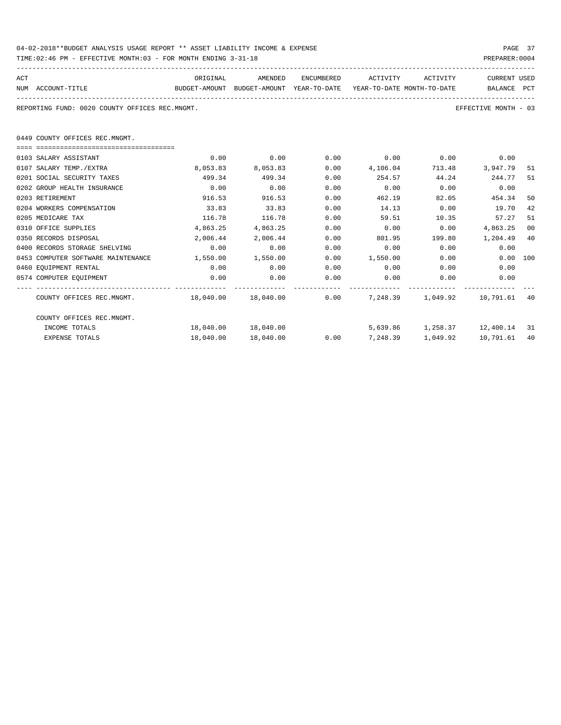| 04-02-2018**BUDGET ANALYSIS USAGE REPORT ** ASSET LIABILITY INCOME & EXPENSE |  |  |  |  | PAGE | 37 |
|------------------------------------------------------------------------------|--|--|--|--|------|----|
|                                                                              |  |  |  |  |      |    |

TIME:02:46 PM - EFFECTIVE MONTH:03 - FOR MONTH ENDING 3-31-18 PREPARER:0004

----------------------------------------------------------------------------------------------------------------------------------- ACT ORIGINAL AMENDED ENCUMBERED ACTIVITY ACTIVITY CURRENT USED NUM ACCOUNT-TITLE BUDGET-AMOUNT BUDGET-AMOUNT YEAR-TO-DATE YEAR-TO-DATE MONTH-TO-DATE BALANCE PCT ----------------------------------------------------------------------------------------------------------------------------------- REPORTING FUND: 0020 COUNTY OFFICES REC.MNGMT.

0449 COUNTY OFFICES REC.MNGMT.

| 0103 SALARY ASSISTANT              | 0.00      | 0.00                                                              | 0.00 | 0.00     | 0.00                        | 0.00      |      |
|------------------------------------|-----------|-------------------------------------------------------------------|------|----------|-----------------------------|-----------|------|
| 0107 SALARY TEMP./EXTRA            | 8,053.83  | 8,053.83                                                          | 0.00 | 4,106.04 | 713.48                      | 3,947.79  | 51   |
| 0201 SOCIAL SECURITY TAXES         | 499.34    | 499.34                                                            | 0.00 | 254.57   | 44.24                       | 244.77    | 51   |
| 0202 GROUP HEALTH INSURANCE        | 0.00      | 0.00                                                              | 0.00 | 0.00     | 0.00                        | 0.00      |      |
| 0203 RETIREMENT                    | 916.53    | 916.53                                                            | 0.00 | 462.19   | 82.05                       | 454.34    | 50   |
| 0204 WORKERS COMPENSATION          | 33.83     | 33.83                                                             | 0.00 | 14.13    | 0.00                        | 19.70     | 42   |
| 0205 MEDICARE TAX                  | 116.78    | 116.78                                                            | 0.00 | 59.51    | 10.35                       | 57.27     | 51   |
| 0310 OFFICE SUPPLIES               | 4,863.25  | 4,863.25                                                          | 0.00 | 0.00     | 0.00                        | 4,863.25  | 00   |
| 0350 RECORDS DISPOSAL              | 2,006.44  | 2,006.44                                                          | 0.00 | 801.95   | 199.80                      | 1,204.49  | 40   |
| 0400 RECORDS STORAGE SHELVING      | 0.00      | 0.00                                                              | 0.00 | 0.00     | 0.00                        | 0.00      |      |
| 0453 COMPUTER SOFTWARE MAINTENANCE | 1,550.00  | 1,550.00                                                          | 0.00 | 1,550.00 | 0.00                        | 0.00 100  |      |
| 0460 EQUIPMENT RENTAL              | 0.00      | 0.00                                                              | 0.00 | 0.00     | 0.00                        | 0.00      |      |
| 0574 COMPUTER EQUIPMENT            | 0.00      | 0.00                                                              | 0.00 | 0.00     | 0.00                        | 0.00      |      |
| COUNTY OFFICES REC.MNGMT.          |           | 18,040.00   18,040.00     0.00    7,248.39   1,049.92   10,791.61 |      |          |                             |           | -40  |
| COUNTY OFFICES REC.MNGMT.          |           |                                                                   |      |          |                             |           |      |
| INCOME TOTALS                      | 18,040.00 | 18,040.00                                                         |      |          | 5,639.86 1,258.37 12,400.14 |           | - 31 |
| <b>EXPENSE TOTALS</b>              | 18,040.00 | 18,040.00                                                         | 0.00 | 7,248.39 | 1,049.92                    | 10,791.61 | 40   |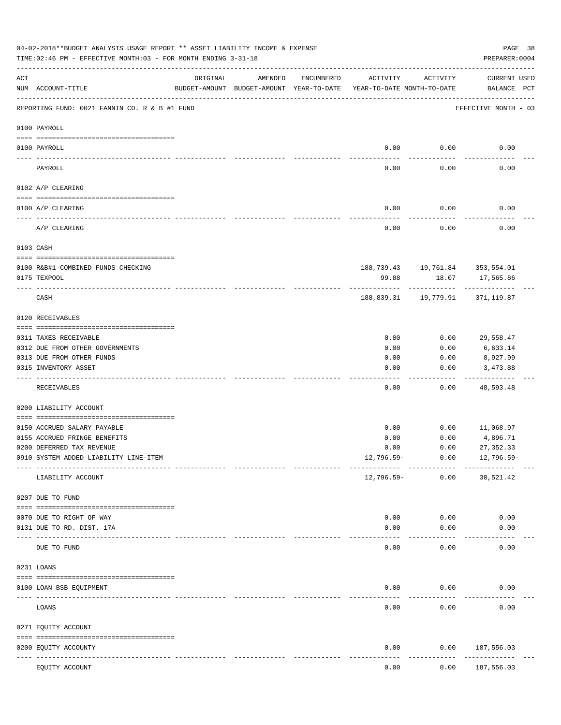|            | 04-02-2018**BUDGET ANALYSIS USAGE REPORT ** ASSET LIABILITY INCOME & EXPENSE<br>TIME:02:46 PM - EFFECTIVE MONTH:03 - FOR MONTH ENDING 3-31-18 |                            |                                                     |            |                                        |          | PREPARER: 0004                      | PAGE 38 |
|------------|-----------------------------------------------------------------------------------------------------------------------------------------------|----------------------------|-----------------------------------------------------|------------|----------------------------------------|----------|-------------------------------------|---------|
| ACT        | NUM ACCOUNT-TITLE                                                                                                                             | ORIGINAL                   | AMENDED<br>BUDGET-AMOUNT BUDGET-AMOUNT YEAR-TO-DATE | ENCUMBERED | ACTIVITY<br>YEAR-TO-DATE MONTH-TO-DATE | ACTIVITY | <b>CURRENT USED</b><br>BALANCE PCT  |         |
|            | REPORTING FUND: 0021 FANNIN CO. R & B #1 FUND                                                                                                 |                            |                                                     |            |                                        |          | EFFECTIVE MONTH - 03                |         |
|            | 0100 PAYROLL                                                                                                                                  |                            |                                                     |            |                                        |          |                                     |         |
|            | 0100 PAYROLL                                                                                                                                  |                            |                                                     |            | 0.00                                   | 0.00     | 0.00                                |         |
| ----- ---- | PAYROLL                                                                                                                                       |                            |                                                     |            | 0.00                                   | 0.00     | 0.00                                |         |
|            | 0102 A/P CLEARING                                                                                                                             |                            |                                                     |            |                                        |          |                                     |         |
|            | 0100 A/P CLEARING                                                                                                                             |                            |                                                     |            | 0.00                                   | 0.00     | 0.00                                |         |
|            | A/P CLEARING                                                                                                                                  |                            |                                                     |            | 0.00                                   | 0.00     | 0.00                                |         |
|            | 0103 CASH                                                                                                                                     |                            |                                                     |            |                                        |          |                                     |         |
|            | 0100 R&B#1-COMBINED FUNDS CHECKING                                                                                                            |                            |                                                     |            |                                        |          | 188,739.43   19,761.84   353,554.01 |         |
|            | 0175 TEXPOOL                                                                                                                                  |                            |                                                     |            | 99.88                                  | 18.07    | 17,565.86                           |         |
|            | CASH                                                                                                                                          |                            |                                                     |            |                                        |          | 188,839.31  19,779.91  371,119.87   |         |
|            | 0120 RECEIVABLES                                                                                                                              |                            |                                                     |            |                                        |          |                                     |         |
|            | 0311 TAXES RECEIVABLE                                                                                                                         |                            |                                                     |            | 0.00                                   | 0.00     | 29,558.47                           |         |
|            | 0312 DUE FROM OTHER GOVERNMENTS                                                                                                               |                            |                                                     |            | 0.00                                   | 0.00     | 6,633.14                            |         |
|            | 0313 DUE FROM OTHER FUNDS                                                                                                                     |                            |                                                     |            | 0.00                                   | 0.00     | 8,927.99                            |         |
|            | 0315 INVENTORY ASSET                                                                                                                          |                            |                                                     |            | 0.00                                   | 0.00     | 3,473.88<br>----------              |         |
|            | RECEIVABLES                                                                                                                                   |                            |                                                     |            | 0.00                                   | 0.00     | 48,593.48                           |         |
|            | 0200 LIABILITY ACCOUNT                                                                                                                        |                            |                                                     |            |                                        |          |                                     |         |
|            | 0150 ACCRUED SALARY PAYABLE                                                                                                                   |                            |                                                     |            | 0.00                                   | 0.00     | 11,068.97                           |         |
|            | 0155 ACCRUED FRINGE BENEFITS                                                                                                                  |                            |                                                     |            | 0.00                                   | 0.00     | 4,896.71                            |         |
|            | 0200 DEFERRED TAX REVENUE                                                                                                                     |                            |                                                     |            | 0.00                                   | 0.00     | 27, 352.33                          |         |
|            | 0910 SYSTEM ADDED LIABILITY LINE-ITEM                                                                                                         |                            |                                                     |            | 12,796.59-                             | 0.00     | $12,796.59-$                        |         |
|            | LIABILITY ACCOUNT                                                                                                                             |                            |                                                     |            | 12,796.59-                             | 0.00     | 30,521.42                           |         |
|            | 0207 DUE TO FUND                                                                                                                              |                            |                                                     |            |                                        |          |                                     |         |
|            | 0070 DUE TO RIGHT OF WAY                                                                                                                      |                            |                                                     |            | 0.00                                   | 0.00     | 0.00                                |         |
|            | 0131 DUE TO RD. DIST. 17A                                                                                                                     |                            |                                                     |            | 0.00                                   | 0.00     | 0.00                                |         |
|            | DUE TO FUND                                                                                                                                   | ------------ ------------- |                                                     |            | 0.00                                   | 0.00     | 0.00                                |         |
|            | 0231 LOANS                                                                                                                                    |                            |                                                     |            |                                        |          |                                     |         |
|            |                                                                                                                                               |                            |                                                     |            |                                        |          |                                     |         |
|            | 0100 LOAN BSB EQUIPMENT                                                                                                                       |                            |                                                     |            | 0.00                                   | 0.00     | 0.00                                |         |
|            | LOANS                                                                                                                                         |                            |                                                     |            | 0.00                                   | 0.00     | 0.00                                |         |
|            | 0271 EQUITY ACCOUNT                                                                                                                           |                            |                                                     |            |                                        |          |                                     |         |
|            | 0200 EQUITY ACCOUNTY                                                                                                                          | ----- -------------        |                                                     |            | 0.00                                   | 0.00     | 187,556.03<br>---------             |         |
|            | EQUITY ACCOUNT                                                                                                                                |                            |                                                     |            | 0.00                                   | 0.00     | 187,556.03                          |         |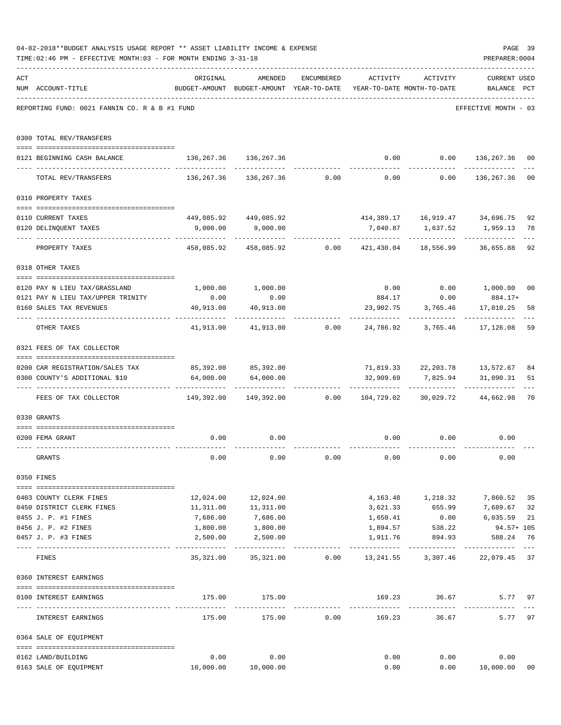|     | 04-02-2018**BUDGET ANALYSIS USAGE REPORT ** ASSET LIABILITY INCOME & EXPENSE<br>TIME: 02:46 PM - EFFECTIVE MONTH: 03 - FOR MONTH ENDING 3-31-18 |                                                                                 |                                                                |            |              |                                                         | PAGE 39<br>PREPARER: 0004   |             |
|-----|-------------------------------------------------------------------------------------------------------------------------------------------------|---------------------------------------------------------------------------------|----------------------------------------------------------------|------------|--------------|---------------------------------------------------------|-----------------------------|-------------|
|     |                                                                                                                                                 |                                                                                 |                                                                |            |              |                                                         |                             |             |
| ACT | NUM ACCOUNT-TITLE                                                                                                                               | ORIGINAL<br>BUDGET-AMOUNT BUDGET-AMOUNT YEAR-TO-DATE YEAR-TO-DATE MONTH-TO-DATE | AMENDED                                                        | ENCUMBERED |              | ACTIVITY ACTIVITY                                       | CURRENT USED<br>BALANCE PCT |             |
|     | REPORTING FUND: 0021 FANNIN CO. R & B #1 FUND                                                                                                   |                                                                                 |                                                                |            |              |                                                         | EFFECTIVE MONTH - 03        |             |
|     | 0300 TOTAL REV/TRANSFERS                                                                                                                        |                                                                                 |                                                                |            |              |                                                         |                             |             |
|     | 0121 BEGINNING CASH BALANCE                                                                                                                     | 136, 267.36 136, 267.36                                                         |                                                                |            |              | $0.00$ $0.00$ $136,267.36$                              |                             | 00          |
|     | TOTAL REV/TRANSFERS                                                                                                                             |                                                                                 | $136, 267.36$ $136, 267.36$ 0.00 0.00 0.00 136,267.36          |            |              |                                                         |                             | 00          |
|     | 0310 PROPERTY TAXES                                                                                                                             |                                                                                 |                                                                |            |              |                                                         |                             |             |
|     |                                                                                                                                                 |                                                                                 | 449,085.92 449,085.92                                          |            |              | 414, 389.17   16, 919.47   34, 696.75                   |                             | 92          |
|     | 0110 CURRENT TAXES<br>0120 DELINQUENT TAXES                                                                                                     |                                                                                 | 9,000.00 9,000.00                                              |            |              |                                                         |                             | 78          |
|     | PROPERTY TAXES                                                                                                                                  |                                                                                 | 458,085.92  458,085.92  0.00  421,430.04  18,556.99  36,655.88 |            |              |                                                         | _____________               | 92          |
|     | 0318 OTHER TAXES                                                                                                                                |                                                                                 |                                                                |            |              |                                                         |                             |             |
|     | 0120 PAY N LIEU TAX/GRASSLAND                                                                                                                   |                                                                                 | $1,000.00$ $1,000.00$                                          |            |              | $0.00$ $0.00$ $1,000.00$ $00$                           |                             |             |
|     | 0121 PAY N LIEU TAX/UPPER TRINITY                                                                                                               | 0.00                                                                            | 0.00                                                           |            | 884.17       | 0.00                                                    | $884.17+$                   |             |
|     | 0160 SALES TAX REVENUES                                                                                                                         | 40,913.00<br>. <u>.</u>                                                         | 40,913.00                                                      |            | . <u>.</u>   | 23,902.75 3,765.46                                      | 17,010.25<br>. <u>.</u>     | 58          |
|     | OTHER TAXES                                                                                                                                     |                                                                                 | 41,913.00 41,913.00 0.00 24,786.92 3,765.46 17,126.08          |            |              |                                                         |                             | 59          |
|     | 0321 FEES OF TAX COLLECTOR                                                                                                                      |                                                                                 |                                                                |            |              |                                                         |                             |             |
|     | 0200 CAR REGISTRATION/SALES TAX                                                                                                                 | 85,392.00 85,392.00                                                             |                                                                |            |              | 71,819.33 22,203.78 13,572.67                           |                             | 84          |
|     | 0300 COUNTY'S ADDITIONAL \$10                                                                                                                   | . <u>.</u> .                                                                    | 64,000.00 64,000.00                                            |            |              | 32,909.69 7,825.94 31,090.31                            |                             | 51          |
|     | FEES OF TAX COLLECTOR 662.98 (199,392.00 149,392.00 0.00 104,729.02 30,029.72 44,662.98                                                         |                                                                                 |                                                                |            |              |                                                         |                             | 70          |
|     | 0330 GRANTS                                                                                                                                     |                                                                                 |                                                                |            |              |                                                         |                             |             |
|     | 0200 FEMA GRANT                                                                                                                                 | 0.00                                                                            | 0.00                                                           |            |              | $0.00$ $0.00$                                           | 0.00                        |             |
|     | GRANTS                                                                                                                                          | 0.00                                                                            | 0.00                                                           | 0.00       | 0.00         | 0.00                                                    | 0.00                        |             |
|     | 0350 FINES                                                                                                                                      |                                                                                 |                                                                |            |              |                                                         |                             |             |
|     | 0403 COUNTY CLERK FINES                                                                                                                         |                                                                                 | 12,024.00   12,024.00                                          |            |              | 4, 163. 48   1, 218. 32   7, 860. 52                    |                             | 35          |
|     | 0450 DISTRICT CLERK FINES                                                                                                                       |                                                                                 | 11,311.00   11,311.00                                          |            |              | 3,621.33 655.99                                         | 7,689.67                    | 32          |
|     | 0455 J. P. #1 FINES                                                                                                                             | 7,686.00                                                                        | 7,686.00<br>1,800.00                                           |            | 1,650.41     | 0.00                                                    | 6,035.59                    | 21          |
|     | 0456 J. P. #2 FINES                                                                                                                             | 1,800.00                                                                        |                                                                |            | 1,894.57     | 538.22                                                  | $94.57 + 105$               |             |
|     | 0457 J. P. #3 FINES                                                                                                                             | 2,500.00                                                                        | 2,500.00<br>. <u>.</u> .                                       |            |              | 1,911.76 894.93 588.24<br>------------                  | -------------               | 76<br>$---$ |
|     | FINES                                                                                                                                           | 35,321.00                                                                       |                                                                |            |              | 35, 321.00   0.00   13, 241.55   3, 307.46   22, 079.45 |                             | 37          |
|     | 0360 INTEREST EARNINGS                                                                                                                          |                                                                                 |                                                                |            |              |                                                         |                             |             |
|     | 0100 INTEREST EARNINGS                                                                                                                          |                                                                                 | 175.00 175.00                                                  |            | ------------ | 169.23 36.67<br>-----------                             | 5.77                        | 97          |
|     | INTEREST EARNINGS                                                                                                                               | 175.00                                                                          | 175.00                                                         | 0.00       |              | 169.23 36.67                                            | 5.77                        | 97          |
|     | 0364 SALE OF EQUIPMENT                                                                                                                          |                                                                                 |                                                                |            |              |                                                         |                             |             |
|     | 0162 LAND/BUILDING                                                                                                                              | 0.00                                                                            | 0.00                                                           |            | 0.00         |                                                         | 0.00<br>0.00                |             |
|     | 0163 SALE OF EQUIPMENT                                                                                                                          |                                                                                 | 10,000.00    10,000.00                                         |            | 0.00         |                                                         | 0.00 10,000.00              | 00          |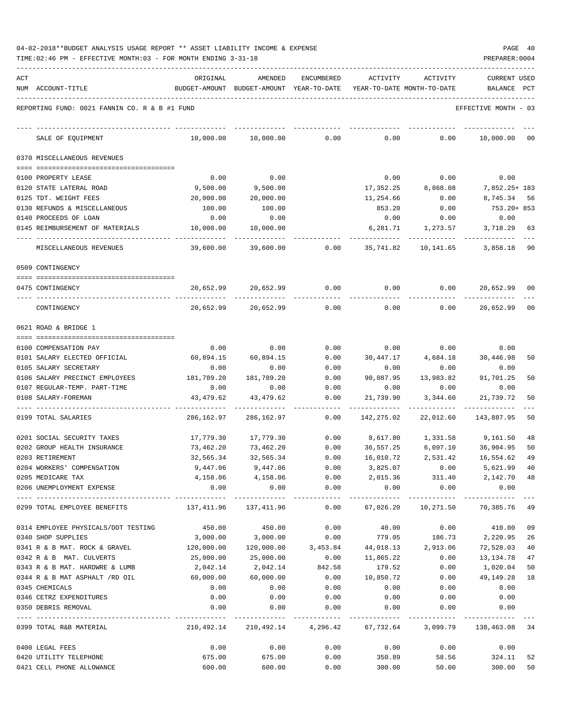| 04-02-2018**BUDGET ANALYSIS USAGE REPORT ** ASSET LIABILITY INCOME & EXPENSE |  |  |  |  | PAGE | 40 |
|------------------------------------------------------------------------------|--|--|--|--|------|----|
|                                                                              |  |  |  |  |      |    |

TIME:02:46 PM - EFFECTIVE MONTH:03 - FOR MONTH ENDING 3-31-18 PREPARER:0004

| ACT | NUM ACCOUNT-TITLE                              | ORIGINAL                                                       | AMENDED<br>BUDGET-AMOUNT BUDGET-AMOUNT YEAR-TO-DATE             | ENCUMBERED                                     | ACTIVITY               | ACTIVITY<br>YEAR-TO-DATE MONTH-TO-DATE | <b>CURRENT USED</b><br>BALANCE PCT       |                |
|-----|------------------------------------------------|----------------------------------------------------------------|-----------------------------------------------------------------|------------------------------------------------|------------------------|----------------------------------------|------------------------------------------|----------------|
|     | REPORTING FUND: 0021 FANNIN CO. R & B #1 FUND  |                                                                |                                                                 |                                                |                        |                                        | EFFECTIVE MONTH - 03                     |                |
|     |                                                |                                                                |                                                                 |                                                |                        |                                        |                                          |                |
|     | SALE OF EQUIPMENT                              | 10,000.00                                                      | 10,000.00                                                       | 0.00                                           | 0.00                   | 0.00                                   | 10,000.00                                | 00             |
|     | 0370 MISCELLANEOUS REVENUES                    |                                                                |                                                                 |                                                |                        |                                        |                                          |                |
|     | 0100 PROPERTY LEASE                            | 0.00                                                           | 0.00                                                            |                                                | 0.00                   | 0.00                                   | 0.00                                     |                |
|     | 0120 STATE LATERAL ROAD                        | 9,500.00                                                       | 9,500.00                                                        |                                                | 17,352.25              | 8,868.08                               | 7,852.25+ 183                            |                |
|     | 0125 TDT. WEIGHT FEES                          | 20,000.00                                                      | 20,000.00                                                       |                                                | 11,254.66              | 0.00                                   | 8,745.34                                 | 56             |
|     | 0130 REFUNDS & MISCELLANEOUS                   | 100.00                                                         | 100.00                                                          |                                                | 853.20                 | 0.00                                   | 753.20+ 853                              |                |
|     | 0140 PROCEEDS OF LOAN                          | 0.00                                                           | 0.00                                                            |                                                | 0.00                   | 0.00                                   | 0.00                                     |                |
|     | 0145 REIMBURSEMENT OF MATERIALS                | 10,000.00                                                      | 10,000.00                                                       |                                                | 6,281.71               | 1,273.57                               | 3,718.29                                 | 63             |
|     | MISCELLANEOUS REVENUES                         | 39,600.00                                                      | 39,600.00                                                       | 0.00                                           | 35,741.82              | 10,141.65                              | 3,858.18                                 | 90             |
|     | 0509 CONTINGENCY                               |                                                                |                                                                 |                                                |                        |                                        |                                          |                |
|     | 0475 CONTINGENCY                               | 20,652.99                                                      | 20,652.99                                                       | 0.00                                           | 0.00                   |                                        | 0.00<br>20,652.99                        | 00             |
|     | CONTINGENCY                                    | 20,652.99                                                      | 20,652.99                                                       | 0.00                                           | 0.00                   | 0.00                                   | 20,652.99                                | 0 <sup>0</sup> |
|     | 0621 ROAD & BRIDGE 1                           |                                                                |                                                                 |                                                |                        |                                        |                                          |                |
|     | 0100 COMPENSATION PAY                          | 0.00                                                           | 0.00                                                            | 0.00                                           |                        | $0.00$ 0.00                            | 0.00                                     |                |
|     | 0101 SALARY ELECTED OFFICIAL                   | 60,894.15                                                      | 60,894.15                                                       | 0.00                                           | 30,447.17              | 4,684.18                               | 30,446.98                                | 50             |
|     | 0105 SALARY SECRETARY                          | 0.00                                                           | 0.00                                                            | 0.00                                           | 0.00                   | 0.00                                   | 0.00                                     |                |
|     | 0106 SALARY PRECINCT EMPLOYEES                 | 181,789.20                                                     | 181,789.20                                                      | 0.00                                           | 90,087.95              | 13,983.82                              | 91,701.25                                | 50             |
|     | 0107 REGULAR-TEMP. PART-TIME                   | 0.00                                                           | 0.00                                                            | 0.00                                           | 0.00                   | 0.00                                   | 0.00                                     |                |
|     | 0108 SALARY-FOREMAN                            | 43,479.62                                                      | 43,479.62                                                       | 0.00                                           | 21,739.90              | 3,344.60                               | 21,739.72                                | 50             |
|     | 0199 TOTAL SALARIES                            | 286,162.97                                                     | 286,162.97                                                      | 0.00                                           | 142,275.02             | 22,012.60                              | 143,887.95                               | 50             |
|     | 0201 SOCIAL SECURITY TAXES                     | 17,779.30                                                      | 17,779.30 0.00                                                  |                                                |                        |                                        | 8,617.80  1,331.58  9,161.50             | 48             |
|     | 0202 GROUP HEALTH INSURANCE                    | 73,462.20                                                      |                                                                 |                                                |                        |                                        |                                          | 50             |
|     | 0203 RETIREMENT                                | 32,565.34                                                      | 32,565.34                                                       | 0.00                                           | 16,010.72              |                                        | 2,531.42 16,554.62                       | 49             |
|     | 0204 WORKERS' COMPENSATION                     | 9,447.06                                                       | 9,447.06                                                        | 0.00                                           | 3,825.07               | 0.00                                   | 5,621.99                                 | 40             |
|     | 0205 MEDICARE TAX                              |                                                                | 4, 158.06 4, 158.06                                             |                                                |                        |                                        | $0.00$ $2,015.36$ $311.40$ $2,142.70$ 48 |                |
|     | 0206 UNEMPLOYMENT EXPENSE                      | 0.00                                                           | 0.00<br>-------------                                           | 0.00<br>------------                           | 0.00<br>-------------- | 0.00<br>-------------                  | 0.00<br>-------------                    |                |
|     | 0299 TOTAL EMPLOYEE BENEFITS                   | 137,411.96  137,411.96   0.00  67,026.20  10,271.50  70,385.76 |                                                                 |                                                |                        |                                        |                                          | 49             |
|     | 0314 EMPLOYEE PHYSICALS/DOT TESTING            | 450.00                                                         | 450.00                                                          | 0.00                                           | 40.00                  | 0.00                                   | 410.00                                   | 09             |
|     | 0340 SHOP SUPPLIES                             | 3,000.00                                                       | 3,000.00                                                        | 0.00                                           | 779.05                 | 186.73                                 | 2,220.95                                 | 26             |
|     | 0341 R & B MAT. ROCK & GRAVEL                  | 120,000.00                                                     |                                                                 | $120,000.00$ $3,453.84$ $44,018.13$ $2,913.06$ |                        |                                        | 72,528.03                                | 40             |
|     | 0342 R & B MAT. CULVERTS                       | 25,000.00                                                      |                                                                 | 25,000.00 0.00                                 | 11,865.22              | 0.00                                   | 13,134.78                                | 47             |
|     | 0343 R & B MAT. HARDWRE & LUMB                 | 2,042.14                                                       |                                                                 | 2,042.14 842.58                                | 179.52                 | 0.00                                   | 1,020.04                                 | 50             |
|     | 0344 R & B MAT ASPHALT /RD OIL                 | 60,000.00                                                      | 60,000.00                                                       |                                                | $0.00$ 10,850.72       | 0.00                                   | 49,149.28                                | 18             |
|     | 0345 CHEMICALS                                 | 0.00                                                           | 0.00                                                            | 0.00                                           | 0.00                   | 0.00<br>0.00                           | 0.00                                     |                |
|     | 0346 CETRZ EXPENDITURES<br>0350 DEBRIS REMOVAL | 0.00<br>0.00                                                   | 0.00<br>0.00                                                    | 0.00<br>0.00                                   | 0.00<br>0.00           | 0.00                                   | 0.00<br>0.00                             |                |
|     |                                                |                                                                |                                                                 |                                                |                        | ------------                           |                                          |                |
|     | 0399 TOTAL R&B MATERIAL                        |                                                                | 210,492.14 210,492.14 4,296.42 67,732.64 3,099.79 138,463.08 34 |                                                |                        |                                        |                                          |                |
|     | 0400 LEGAL FEES                                | 0.00                                                           | 0.00                                                            | 0.00                                           | 0.00                   | 0.00                                   | 0.00                                     |                |
|     | 0420 UTILITY TELEPHONE                         | 675.00                                                         | 675.00                                                          | 0.00                                           | 350.89                 |                                        | 58.56 324.11                             | 52             |

0421 CELL PHONE ALLOWANCE 600.00 600.00 0.00 300.00 50.00 300.00 50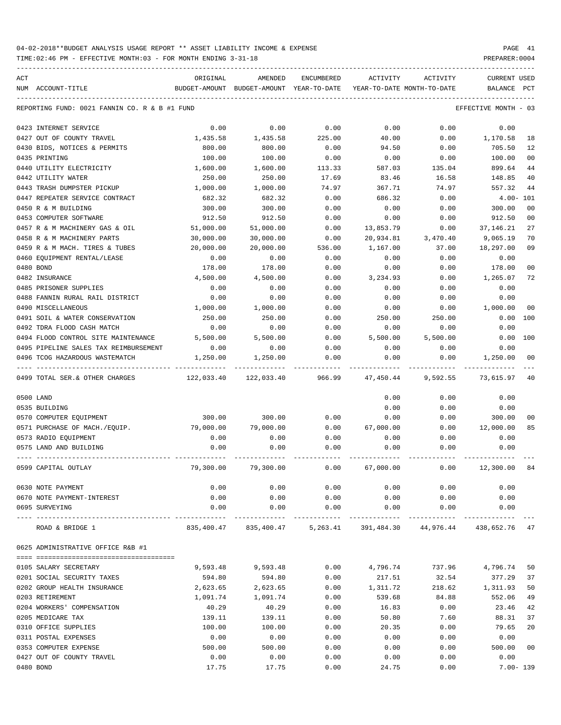TIME:02:46 PM - EFFECTIVE MONTH:03 - FOR MONTH ENDING 3-31-18 PREPARER:0004

| ACT | NUM ACCOUNT-TITLE                             | ORIGINAL<br>BUDGET-AMOUNT | AMENDED<br>BUDGET-AMOUNT YEAR-TO-DATE | ENCUMBERED | ACTIVITY  | ACTIVITY<br>YEAR-TO-DATE MONTH-TO-DATE                         | CURRENT USED<br><b>BALANCE</b> | PCT            |
|-----|-----------------------------------------------|---------------------------|---------------------------------------|------------|-----------|----------------------------------------------------------------|--------------------------------|----------------|
|     |                                               |                           |                                       |            |           |                                                                |                                |                |
|     | REPORTING FUND: 0021 FANNIN CO. R & B #1 FUND |                           |                                       |            |           |                                                                | EFFECTIVE MONTH - 03           |                |
|     | 0423 INTERNET SERVICE                         | 0.00                      | 0.00                                  | 0.00       | 0.00      | 0.00                                                           | 0.00                           |                |
|     | 0427 OUT OF COUNTY TRAVEL                     | 1,435.58                  | 1,435.58                              | 225.00     | 40.00     | 0.00                                                           | 1,170.58                       | 18             |
|     | 0430 BIDS, NOTICES & PERMITS                  | 800.00                    | 800.00                                | 0.00       | 94.50     | 0.00                                                           | 705.50                         | 12             |
|     | 0435 PRINTING                                 | 100.00                    | 100.00                                | 0.00       | 0.00      | 0.00                                                           | 100.00                         | 0 <sub>0</sub> |
|     | 0440 UTILITY ELECTRICITY                      | 1,600.00                  | 1,600.00                              | 113.33     | 587.03    | 135.04                                                         | 899.64                         | 44             |
|     | 0442 UTILITY WATER                            | 250.00                    | 250.00                                | 17.69      | 83.46     | 16.58                                                          | 148.85                         | 40             |
|     | 0443 TRASH DUMPSTER PICKUP                    | 1,000.00                  | 1,000.00                              | 74.97      | 367.71    | 74.97                                                          | 557.32                         | 44             |
|     | 0447 REPEATER SERVICE CONTRACT                | 682.32                    | 682.32                                | 0.00       | 686.32    | 0.00                                                           | $4.00 - 101$                   |                |
|     | 0450 R & M BUILDING                           | 300.00                    | 300.00                                | 0.00       | 0.00      | 0.00                                                           | 300.00                         | 0 <sub>0</sub> |
|     | 0453 COMPUTER SOFTWARE                        | 912.50                    | 912.50                                | 0.00       | 0.00      | 0.00                                                           | 912.50                         | 0 <sub>0</sub> |
|     | 0457 R & M MACHINERY GAS & OIL                | 51,000.00                 | 51,000.00                             | 0.00       | 13,853.79 | 0.00                                                           | 37, 146. 21                    | 27             |
|     | 0458 R & M MACHINERY PARTS                    | 30,000.00                 | 30,000.00                             | 0.00       | 20,934.81 | 3,470.40                                                       | 9,065.19                       | 70             |
|     | 0459 R & M MACH. TIRES & TUBES                | 20,000.00                 | 20,000.00                             | 536.00     | 1,167.00  | 37.00                                                          | 18,297.00                      | 09             |
|     | 0460 EQUIPMENT RENTAL/LEASE                   | 0.00                      | 0.00                                  | 0.00       | 0.00      | 0.00                                                           | 0.00                           |                |
|     | 0480 BOND                                     | 178.00                    | 178.00                                | 0.00       | 0.00      | 0.00                                                           | 178.00                         | 0 <sub>0</sub> |
|     | 0482 INSURANCE                                | 4,500.00                  | 4,500.00                              | 0.00       | 3,234.93  | 0.00                                                           | 1,265.07                       | 72             |
|     | 0485 PRISONER SUPPLIES                        | 0.00                      | 0.00                                  | 0.00       | 0.00      | 0.00                                                           | 0.00                           |                |
|     | 0488 FANNIN RURAL RAIL DISTRICT               | 0.00                      | 0.00                                  | 0.00       | 0.00      | 0.00                                                           | 0.00                           |                |
|     | 0490 MISCELLANEOUS                            | 1,000.00                  | 1,000.00                              | 0.00       | 0.00      | 0.00                                                           | 1,000.00                       | 00             |
|     | 0491 SOIL & WATER CONSERVATION                | 250.00                    | 250.00                                | 0.00       | 250.00    | 250.00                                                         | 0.00                           | 100            |
|     | 0492 TDRA FLOOD CASH MATCH                    | 0.00                      | 0.00                                  | 0.00       | 0.00      | 0.00                                                           | 0.00                           |                |
|     | 0494 FLOOD CONTROL SITE MAINTENANCE           | 5,500.00                  | 5,500.00                              | 0.00       | 5,500.00  | 5,500.00                                                       | 0.00                           | 100            |
|     | 0495 PIPELINE SALES TAX REIMBURSEMENT         | 0.00                      | 0.00                                  | 0.00       | 0.00      | 0.00                                                           | 0.00                           |                |
|     | 0496 TCOG HAZARDOUS WASTEMATCH                | 1,250.00                  | 1,250.00                              | 0.00       | 0.00      | 0.00                                                           | 1,250.00                       | 00             |
|     | 0499 TOTAL SER.& OTHER CHARGES                | 122,033.40                | 122,033.40                            | 966.99     | 47,450.44 | 9,592.55                                                       | 73,615.97                      | 40             |
|     | 0500 LAND                                     |                           |                                       |            | 0.00      | 0.00                                                           | 0.00                           |                |
|     | 0535 BUILDING                                 |                           |                                       |            | 0.00      | 0.00                                                           | 0.00                           |                |
|     | 0570 COMPUTER EQUIPMENT                       | 300.00                    | 300.00                                | 0.00       | 0.00      | 0.00                                                           | 300.00                         | 00             |
|     | 0571 PURCHASE OF MACH./EQUIP.                 | 79,000.00                 | 79,000.00                             | 0.00       | 67,000.00 | 0.00                                                           | 12,000.00                      | 85             |
|     | 0573 RADIO EQUIPMENT                          | 0.00                      | 0.00                                  | 0.00       | 0.00      | 0.00                                                           | 0.00                           |                |
|     | 0575 LAND AND BUILDING                        | 0.00                      | 0.00                                  | 0.00       | 0.00      | 0.00                                                           | 0.00                           |                |
|     | 0599 CAPITAL OUTLAY                           | 79,300.00                 | 79,300.00                             | 0.00       | 67,000.00 | 0.00                                                           | 12,300.00                      | 84             |
|     | 0630 NOTE PAYMENT                             | 0.00                      | 0.00                                  | 0.00       | 0.00      | 0.00                                                           | 0.00                           |                |
|     | 0670 NOTE PAYMENT-INTEREST                    | 0.00                      | 0.00                                  | 0.00       | 0.00      | 0.00                                                           | 0.00                           |                |
|     | 0695 SURVEYING                                | 0.00                      | 0.00                                  | 0.00       | 0.00      | 0.00                                                           | 0.00                           |                |
|     | ROAD & BRIDGE 1                               |                           |                                       |            |           | 835,400.47 835,400.47 5,263.41 391,484.30 44,976.44 438,652.76 |                                | 47             |
|     | 0625 ADMINISTRATIVE OFFICE R&B #1             |                           |                                       |            |           |                                                                |                                |                |
|     | 0105 SALARY SECRETARY                         | 9,593.48                  | 9,593.48                              | 0.00       |           | 4,796.74 737.96 4,796.74                                       |                                | 50             |
|     | 0201 SOCIAL SECURITY TAXES                    | 594.80                    | 594.80                                | 0.00       | 217.51    | 32.54                                                          | 377.29                         | 37             |
|     | 0202 GROUP HEALTH INSURANCE                   | 2,623.65                  | 2,623.65                              | 0.00       | 1,311.72  | 218.62                                                         | 1,311.93                       | 50             |
|     | 0203 RETIREMENT                               | 1,091.74                  | 1,091.74                              | 0.00       | 539.68    | 84.88                                                          | 552.06                         | 49             |
|     | 0204 WORKERS' COMPENSATION                    | 40.29                     | 40.29                                 | 0.00       | 16.83     | 0.00                                                           | 23.46                          | 42             |
|     | 0205 MEDICARE TAX                             | 139.11                    | 139.11                                | 0.00       | 50.80     | 7.60                                                           | 88.31                          | 37             |
|     | 0310 OFFICE SUPPLIES                          | 100.00                    | 100.00                                | 0.00       | 20.35     | 0.00                                                           | 79.65                          | 20             |
|     | 0311 POSTAL EXPENSES                          | 0.00                      | 0.00                                  | 0.00       | 0.00      | 0.00                                                           | 0.00                           |                |
|     | 0353 COMPUTER EXPENSE                         | 500.00                    | 500.00                                | 0.00       | 0.00      | 0.00                                                           | 500.00                         | 0 <sub>0</sub> |
|     | 0427 OUT OF COUNTY TRAVEL                     | 0.00                      | 0.00                                  | 0.00       | 0.00      | 0.00                                                           | 0.00                           |                |
|     |                                               |                           |                                       |            |           |                                                                |                                |                |

0480 BOND 17.75 17.75 0.00 24.75 0.00 7.00- 139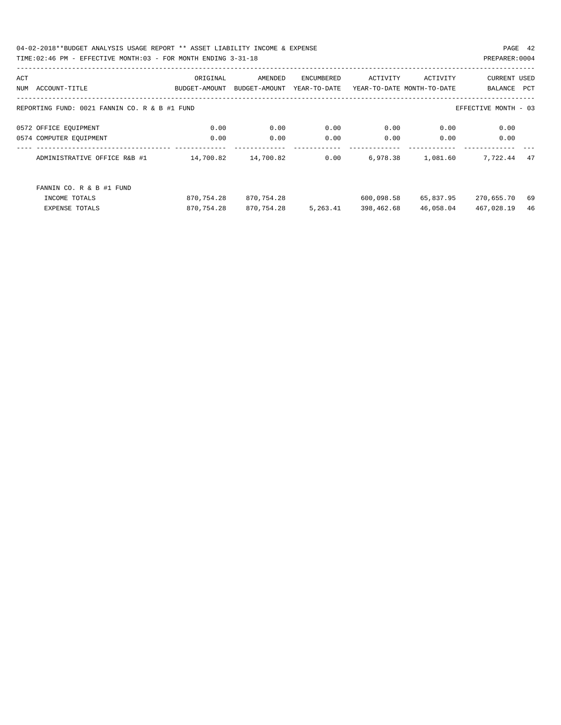04-02-2018\*\*BUDGET ANALYSIS USAGE REPORT \*\* ASSET LIABILITY INCOME & EXPENSE PAGE 42 TIME:02:46 PM - EFFECTIVE MONTH:03 - FOR MONTH ENDING 3-31-18 PREPARER:0004

| ACT |                                               | ORIGINAL      | AMENDED       | ENCUMBERED   | ACTIVITY                   | ACTIVITY  | <b>CURRENT USED</b>  |     |
|-----|-----------------------------------------------|---------------|---------------|--------------|----------------------------|-----------|----------------------|-----|
| NUM | ACCOUNT-TITLE                                 | BUDGET-AMOUNT | BUDGET-AMOUNT | YEAR-TO-DATE | YEAR-TO-DATE MONTH-TO-DATE |           | BALANCE              | PCT |
|     | REPORTING FUND: 0021 FANNIN CO. R & B #1 FUND |               |               |              |                            |           | EFFECTIVE MONTH - 03 |     |
|     | 0572 OFFICE EQUIPMENT                         | 0.00          | 0.00          | 0.00         | 0.00                       | 0.00      | 0.00                 |     |
|     | 0574 COMPUTER EQUIPMENT                       | 0.00          | 0.00          | 0.00         | 0.00                       | 0.00      | 0.00                 |     |
|     | ADMINISTRATIVE OFFICE R&B #1                  | 14,700.82     | 14,700.82     | 0.00         | 6,978.38                   | 1,081.60  | 7,722.44             | 47  |
|     | FANNIN CO. R & B #1 FUND                      |               |               |              |                            |           |                      |     |
|     | INCOME TOTALS                                 | 870,754.28    | 870,754.28    |              | 600,098.58                 | 65,837.95 | 270,655.70           | 69  |
|     | <b>EXPENSE TOTALS</b>                         | 870,754.28    | 870,754.28    | 5,263.41     | 398,462.68                 | 46,058.04 | 467,028.19           | 46  |
|     |                                               |               |               |              |                            |           |                      |     |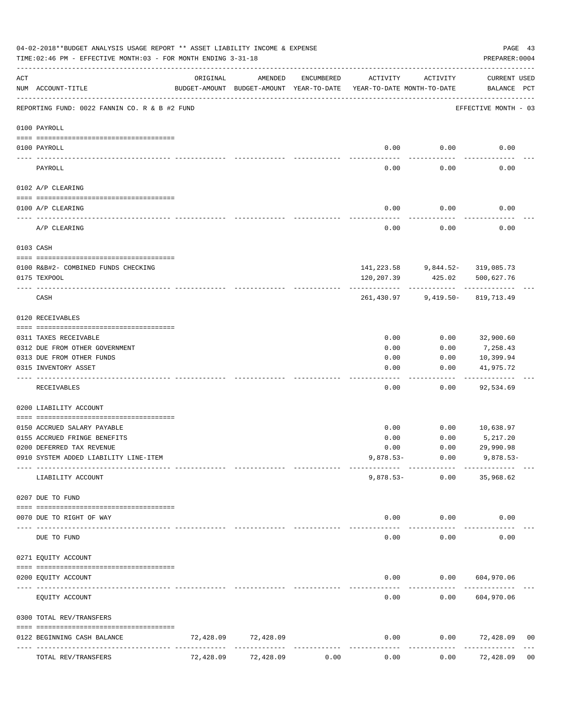|     | 04-02-2018**BUDGET ANALYSIS USAGE REPORT ** ASSET LIABILITY INCOME & EXPENSE<br>TIME: 02:46 PM - EFFECTIVE MONTH: 03 - FOR MONTH ENDING 3-31-18 |           |           |            |                                                                                 |                                    |                                      |                |  |  |  |
|-----|-------------------------------------------------------------------------------------------------------------------------------------------------|-----------|-----------|------------|---------------------------------------------------------------------------------|------------------------------------|--------------------------------------|----------------|--|--|--|
| ACT | NUM ACCOUNT-TITLE                                                                                                                               | ORIGINAL  | AMENDED   | ENCUMBERED | ACTIVITY<br>BUDGET-AMOUNT BUDGET-AMOUNT YEAR-TO-DATE YEAR-TO-DATE MONTH-TO-DATE | ACTIVITY                           | CURRENT USED<br>BALANCE PCT          |                |  |  |  |
|     | REPORTING FUND: 0022 FANNIN CO. R & B #2 FUND                                                                                                   |           |           |            |                                                                                 |                                    | EFFECTIVE MONTH - 03                 |                |  |  |  |
|     | 0100 PAYROLL                                                                                                                                    |           |           |            |                                                                                 |                                    |                                      |                |  |  |  |
|     | 0100 PAYROLL                                                                                                                                    |           |           |            | 0.00                                                                            | 0.00                               | 0.00                                 |                |  |  |  |
|     | ----- --------<br>PAYROLL                                                                                                                       |           |           |            | -----<br>0.00                                                                   | ---------<br>0.00                  | 0.00                                 |                |  |  |  |
|     | 0102 A/P CLEARING                                                                                                                               |           |           |            |                                                                                 |                                    |                                      |                |  |  |  |
|     | 0100 A/P CLEARING                                                                                                                               |           |           |            | 0.00                                                                            | 0.00                               | 0.00                                 |                |  |  |  |
|     | A/P CLEARING                                                                                                                                    |           |           |            | ---------<br>0.00                                                               | ---------<br>0.00                  | 0.00                                 |                |  |  |  |
|     | 0103 CASH                                                                                                                                       |           |           |            |                                                                                 |                                    |                                      |                |  |  |  |
|     | 0100 R&B#2- COMBINED FUNDS CHECKING                                                                                                             |           |           |            |                                                                                 | $141, 223.58$ 9,844.52- 319,085.73 |                                      |                |  |  |  |
|     | 0175 TEXPOOL                                                                                                                                    |           |           |            | 120,207.39                                                                      |                                    | 425.02 500,627.76                    |                |  |  |  |
|     | CASH                                                                                                                                            |           |           |            | 261,430.97                                                                      |                                    | ------------<br>9,419.50- 819,713.49 |                |  |  |  |
|     | 0120 RECEIVABLES                                                                                                                                |           |           |            |                                                                                 |                                    |                                      |                |  |  |  |
|     |                                                                                                                                                 |           |           |            |                                                                                 |                                    |                                      |                |  |  |  |
|     | 0311 TAXES RECEIVABLE<br>0312 DUE FROM OTHER GOVERNMENT                                                                                         |           |           |            | 0.00<br>0.00                                                                    | 0.00<br>0.00                       | 32,900.60<br>7,258.43                |                |  |  |  |
|     | 0313 DUE FROM OTHER FUNDS                                                                                                                       |           |           |            | 0.00                                                                            | 0.00                               | 10,399.94                            |                |  |  |  |
|     | 0315 INVENTORY ASSET                                                                                                                            |           |           |            | 0.00<br>$---$                                                                   | 0.00<br>$- - - - - -$              | 41,975.72<br>----------              |                |  |  |  |
|     | RECEIVABLES                                                                                                                                     |           |           |            | 0.00                                                                            | 0.00                               | 92,534.69                            |                |  |  |  |
|     | 0200 LIABILITY ACCOUNT                                                                                                                          |           |           |            |                                                                                 |                                    |                                      |                |  |  |  |
|     | 0150 ACCRUED SALARY PAYABLE                                                                                                                     |           |           |            | 0.00                                                                            | 0.00                               | 10,638.97                            |                |  |  |  |
|     | 0155 ACCRUED FRINGE BENEFITS                                                                                                                    |           |           |            | 0.00                                                                            | 0.00                               | 5,217.20                             |                |  |  |  |
|     | 0200 DEFERRED TAX REVENUE                                                                                                                       |           |           |            | 0.00                                                                            | 0.00                               | 29,990.98                            |                |  |  |  |
|     | 0910 SYSTEM ADDED LIABILITY LINE-ITEM                                                                                                           |           |           |            | $9,878.53-$                                                                     | 0.00                               | $9,878.53-$                          |                |  |  |  |
|     | LIABILITY ACCOUNT                                                                                                                               |           |           |            | $9,878.53-$                                                                     | 0.00                               | 35,968.62                            |                |  |  |  |
|     | 0207 DUE TO FUND                                                                                                                                |           |           |            |                                                                                 |                                    |                                      |                |  |  |  |
|     | 0070 DUE TO RIGHT OF WAY                                                                                                                        |           |           |            | 0.00                                                                            | 0.00                               | 0.00                                 |                |  |  |  |
|     | DUE TO FUND                                                                                                                                     |           |           |            | 0.00                                                                            | 0.00                               | 0.00                                 |                |  |  |  |
|     | 0271 EQUITY ACCOUNT                                                                                                                             |           |           |            |                                                                                 |                                    |                                      |                |  |  |  |
|     | 0200 EQUITY ACCOUNT                                                                                                                             |           |           |            | 0.00                                                                            | 0.00                               | 604,970.06                           |                |  |  |  |
|     | EQUITY ACCOUNT                                                                                                                                  |           |           |            | 0.00                                                                            | 0.00                               | 604,970.06                           |                |  |  |  |
|     | 0300 TOTAL REV/TRANSFERS                                                                                                                        |           |           |            |                                                                                 |                                    |                                      |                |  |  |  |
|     | 0122 BEGINNING CASH BALANCE                                                                                                                     | 72,428.09 | 72,428.09 |            | 0.00                                                                            | 0.00                               | 72,428.09                            | 00             |  |  |  |
|     | TOTAL REV/TRANSFERS                                                                                                                             | 72,428.09 | 72,428.09 | 0.00       | 0.00                                                                            | 0.00                               | 72,428.09                            | 0 <sub>0</sub> |  |  |  |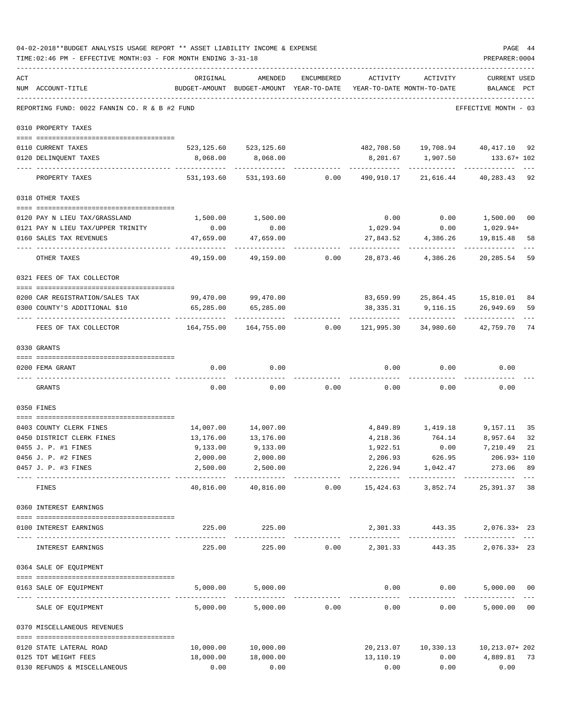| ACT |                                                      |                                                                                 |                         |                 |                                                                   |                                           |                                    |    |
|-----|------------------------------------------------------|---------------------------------------------------------------------------------|-------------------------|-----------------|-------------------------------------------------------------------|-------------------------------------------|------------------------------------|----|
|     | NUM ACCOUNT-TITLE                                    | ORIGINAL<br>BUDGET-AMOUNT BUDGET-AMOUNT YEAR-TO-DATE YEAR-TO-DATE MONTH-TO-DATE | AMENDED                 | ENCUMBERED      | ACTIVITY                                                          | ACTIVITY                                  | <b>CURRENT USED</b><br>BALANCE PCT |    |
|     | REPORTING FUND: 0022 FANNIN CO. R & B #2 FUND        |                                                                                 |                         |                 |                                                                   |                                           | EFFECTIVE MONTH - 03               |    |
|     | 0310 PROPERTY TAXES                                  |                                                                                 |                         |                 |                                                                   |                                           |                                    |    |
|     | 0110 CURRENT TAXES                                   |                                                                                 | 523, 125.60 523, 125.60 |                 |                                                                   | 482,708.50  19,708.94  40,417.10  92      |                                    |    |
|     | 0120 DELINQUENT TAXES                                | 8,068.00                                                                        | 8,068.00                |                 |                                                                   | 8,201.67    1,907.50                      | 133.67+ 102                        |    |
|     | PROPERTY TAXES                                       | ------------------- -------------                                               | 531, 193.60 531, 193.60 |                 | ----------<br>$0.00$ $490,910.17$ $21,616.44$ $40,283.43$ 92      | ----------                                |                                    |    |
|     | 0318 OTHER TAXES                                     |                                                                                 |                         |                 |                                                                   |                                           |                                    |    |
|     | 0120 PAY N LIEU TAX/GRASSLAND                        | 1,500.00                                                                        | 1,500.00                |                 | 0.00                                                              | 0.00                                      | 1,500.00 00                        |    |
|     | 0121 PAY N LIEU TAX/UPPER TRINITY                    | 0.00                                                                            | 0.00                    |                 | 1,029.94                                                          | 0.00                                      | 1,029.94+                          |    |
|     | 0160 SALES TAX REVENUES                              | 47,659.00                                                                       | 47,659.00               |                 | 27,843.52                                                         | 4,386.26                                  | 19,815.48 58                       |    |
|     | OTHER TAXES                                          | -----------<br>49,159.00                                                        | 49,159.00               | 0.00            | 28,873.46                                                         | 4,386.26                                  | 20,285.54                          | 59 |
|     | 0321 FEES OF TAX COLLECTOR                           |                                                                                 |                         |                 |                                                                   |                                           |                                    |    |
|     | 0200 CAR REGISTRATION/SALES TAX                      |                                                                                 | 99,470.00 99,470.00     |                 |                                                                   | 83,659.99 25,864.45 15,810.01 84          |                                    |    |
|     | 0300 COUNTY'S ADDITIONAL \$10                        | 65,285.00                                                                       | 65,285.00               |                 |                                                                   | 38, 335. 31 9, 116. 15 26, 949. 69 59     |                                    |    |
|     | FEES OF TAX COLLECTOR                                | -------------                                                                   |                         |                 | $164,755.00$ $164,755.00$ 0.00 $121,995.30$ 34,980.60 $42,759.70$ |                                           |                                    | 74 |
|     | 0330 GRANTS                                          |                                                                                 |                         |                 |                                                                   |                                           |                                    |    |
|     | 0200 FEMA GRANT                                      | 0.00                                                                            | 0.00                    |                 | 0.00                                                              | 0.00                                      | 0.00                               |    |
|     | GRANTS                                               | 0.00                                                                            | 0.00                    | 0.00            | 0.00                                                              | 0.00                                      | 0.00                               |    |
|     | 0350 FINES                                           |                                                                                 |                         |                 |                                                                   |                                           |                                    |    |
|     |                                                      |                                                                                 |                         |                 |                                                                   |                                           |                                    |    |
|     | 0403 COUNTY CLERK FINES                              |                                                                                 | 14,007.00 14,007.00     |                 |                                                                   | 4,849.89    1,419.18    9,157.11          |                                    | 35 |
|     | 0450 DISTRICT CLERK FINES                            | 13,176.00                                                                       | 13,176.00               |                 |                                                                   | 4, 218.36 764.14 8, 957.64                |                                    | 32 |
|     | 0455 J. P. #1 FINES                                  | 9,133.00                                                                        | 9.133.00                |                 | 1,922.51                                                          | 0.00                                      | 7,210.49                           | 21 |
|     | 0456 J. P. #2 FINES                                  |                                                                                 | $2,000.00$ $2,000.00$   |                 |                                                                   | 2,206.93 626.95                           | 206.93+ 110                        |    |
|     | 0457 J. P. #3 FINES                                  |                                                                                 | 2,500.00 2,500.00       |                 |                                                                   | 2, 226.94 1, 042.47                       | 273.06 89                          |    |
|     | --------------------------------<br>FINES            | 40,816.00                                                                       | -------------           |                 |                                                                   |                                           |                                    |    |
|     | 0360 INTEREST EARNINGS                               |                                                                                 |                         |                 |                                                                   |                                           |                                    |    |
|     | 0100 INTEREST EARNINGS                               |                                                                                 | 225.00 225.00           |                 | 2,301.33 443.35 2,076.33+ 23                                      |                                           |                                    |    |
|     | INTEREST EARNINGS                                    | 225.00                                                                          | 225.00                  |                 | $0.00$ 2,301.33 443.35                                            |                                           | $2,076.33+23$                      |    |
|     | 0364 SALE OF EQUIPMENT                               |                                                                                 |                         |                 |                                                                   |                                           |                                    |    |
|     | 0163 SALE OF EQUIPMENT                               |                                                                                 | 5,000.00 5,000.00       |                 |                                                                   | $0.00$ $0.00$ $5,000.00$ $00$             |                                    |    |
|     | SALE OF EQUIPMENT                                    | 5,000.00                                                                        |                         | $5,000.00$ 0.00 | 0.00                                                              | 0.00                                      | 5,000.00 00                        |    |
|     | 0370 MISCELLANEOUS REVENUES                          |                                                                                 |                         |                 |                                                                   |                                           |                                    |    |
|     |                                                      |                                                                                 |                         |                 |                                                                   |                                           |                                    |    |
|     | 0120 STATE LATERAL ROAD                              | 10,000.00                                                                       | 10,000.00<br>18,000.00  |                 |                                                                   | 20, 213.07   10, 330.13   10, 213.07+ 202 | $0.00$ $4,889.81$ 73               |    |
|     | 0125 TDT WEIGHT FEES<br>0130 REFUNDS & MISCELLANEOUS | 18,000.00<br>0.00                                                               | 0.00                    |                 | 13,110.19<br>0.00                                                 | 0.00                                      | 0.00                               |    |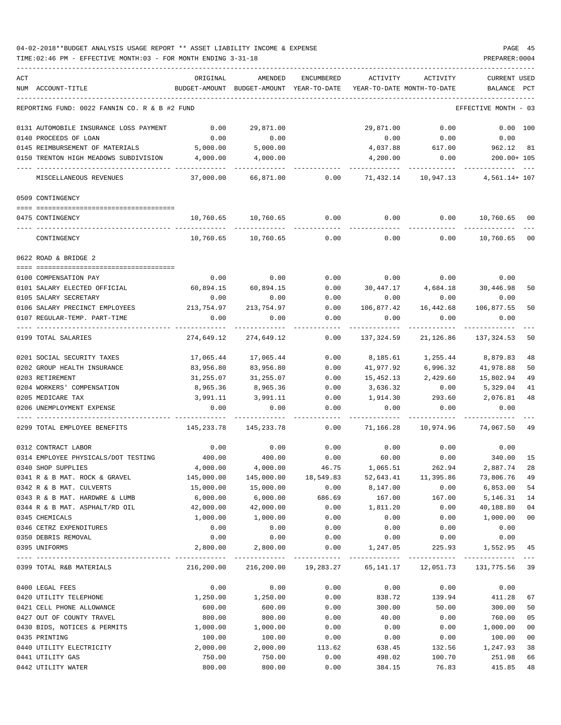| ACT |                                                           | ORIGINAL                | AMENDED                                                             | ENCUMBERED        | ACTIVITY                             | ACTIVITY               | <b>CURRENT USED</b>  |                |
|-----|-----------------------------------------------------------|-------------------------|---------------------------------------------------------------------|-------------------|--------------------------------------|------------------------|----------------------|----------------|
|     | NUM ACCOUNT-TITLE                                         |                         | BUDGET-AMOUNT BUDGET-AMOUNT YEAR-TO-DATE YEAR-TO-DATE MONTH-TO-DATE |                   |                                      |                        | BALANCE PCT          |                |
|     | REPORTING FUND: 0022 FANNIN CO. R & B #2 FUND             |                         |                                                                     |                   |                                      |                        | EFFECTIVE MONTH - 03 |                |
|     |                                                           |                         |                                                                     |                   |                                      |                        |                      |                |
|     | 0131 AUTOMOBILE INSURANCE LOSS PAYMENT                    | 0.00                    | 29,871.00                                                           |                   | 29,871.00                            | 0.00                   | 0.00 100             |                |
|     | 0140 PROCEEDS OF LOAN                                     | 0.00                    | 0.00                                                                |                   | 0.00                                 | 0.00                   | 0.00                 |                |
|     | 0145 REIMBURSEMENT OF MATERIALS                           | 5,000.00                | 5,000.00                                                            |                   | 4,037.88                             | 617.00                 | 962.12               | 81             |
|     | 0150 TRENTON HIGH MEADOWS SUBDIVISION 4,000.00            |                         | 4,000.00                                                            |                   | 4,200.00                             | 0.00                   | $200.00 + 105$       |                |
|     | MISCELLANEOUS REVENUES                                    | 37,000.00               | 66,871.00                                                           | 0.00              |                                      | 71,432.14 10,947.13    | 4,561.14+ 107        |                |
|     | 0509 CONTINGENCY                                          |                         |                                                                     |                   |                                      |                        |                      |                |
|     |                                                           |                         |                                                                     |                   |                                      |                        |                      |                |
|     | 0475 CONTINGENCY                                          |                         | 10,760.65 10,760.65 0.00                                            |                   | 0.00                                 | 0.00                   | 10,760.65            | 00             |
|     | CONTINGENCY                                               |                         | 10,760.65 10,760.65                                                 | 0.00              | 0.00                                 | 0.00                   | 10,760.65            | 0 <sub>0</sub> |
|     | 0622 ROAD & BRIDGE 2                                      |                         |                                                                     |                   |                                      |                        |                      |                |
|     | 0100 COMPENSATION PAY                                     | 0.00                    | 0.00                                                                | 0.00              | $0.00$ 0.00                          |                        | 0.00                 |                |
|     | 0101 SALARY ELECTED OFFICIAL                              | 60,894.15               | 60,894.15                                                           | 0.00              |                                      |                        |                      | 50             |
|     | 0105 SALARY SECRETARY                                     | 0.00                    | 0.00                                                                | 0.00              | 30,447.17 4,684.18 30,446.98<br>0.00 | 0.00                   | 0.00                 |                |
|     | 0106 SALARY PRECINCT EMPLOYEES                            | 213,754.97              | 213,754.97                                                          | 0.00              | 106,877.42                           | 16,442.68              | 106,877.55           | 50             |
|     |                                                           |                         |                                                                     |                   |                                      |                        |                      |                |
|     | 0107 REGULAR-TEMP. PART-TIME                              | 0.00                    | 0.00                                                                | 0.00              | 0.00                                 | 0.00                   | 0.00                 |                |
|     | 0199 TOTAL SALARIES                                       | 274,649.12              | 274,649.12                                                          | 0.00              | 137,324.59                           | 21,126.86              | 137,324.53           | 50             |
|     | 0201 SOCIAL SECURITY TAXES                                | 17,065.44               | 17,065.44                                                           | 0.00              | 8,185.61                             | 1,255.44               | 8,879.83             | 48             |
|     | 0202 GROUP HEALTH INSURANCE                               | 83,956.80               | 83,956.80                                                           | 0.00              | 41,977.92                            | 6,996.32               | 41,978.88            | 50             |
|     | 0203 RETIREMENT                                           | 31,255.07               | 31,255.07                                                           | 0.00              | 15,452.13                            | 2,429.60               | 15,802.94            | 49             |
|     | 0204 WORKERS' COMPENSATION                                | 8,965.36                | 8,965.36                                                            | 0.00              | 3,636.32                             | 0.00                   | 5,329.04             | 41             |
|     | 0205 MEDICARE TAX                                         | 3,991.11                | 3,991.11                                                            | 0.00              | 1,914.30                             | 293.60                 | 2,076.81             | 48             |
|     | 0206 UNEMPLOYMENT EXPENSE                                 | 0.00                    | 0.00                                                                | 0.00              | 0.00                                 | 0.00                   | 0.00                 |                |
|     | 0299 TOTAL EMPLOYEE BENEFITS                              | 145,233.78              | 145,233.78                                                          | 0.00              | 71,166.28                            | 10,974.96              | 74,067.50            | 49             |
|     |                                                           |                         |                                                                     |                   |                                      |                        |                      |                |
|     | 0312 CONTRACT LABOR                                       | 0.00                    | 0.00                                                                | 0.00<br>0.00      | 0.00<br>60.00                        | 0.00                   | 0.00<br>340.00       | 15             |
|     | 0314 EMPLOYEE PHYSICALS/DOT TESTING<br>0340 SHOP SUPPLIES | 400.00                  | 400.00                                                              | 46.75             | 1,065.51                             | 0.00<br>262.94         |                      | 28             |
|     |                                                           | 4,000.00                | 4,000.00                                                            |                   | 52,643.41                            |                        | 2,887.74             |                |
|     | 0341 R & B MAT. ROCK & GRAVEL<br>0342 R & B MAT. CULVERTS | 145,000.00<br>15,000.00 | 145,000.00<br>15,000.00                                             | 18,549.83<br>0.00 | 8,147.00                             | 11,395.86<br>0.00      | 73,806.76            | 49<br>54       |
|     | 0343 R & B MAT. HARDWRE & LUMB                            |                         |                                                                     | 686.69            |                                      |                        | 6,853.00<br>5,146.31 | 14             |
|     | 0344 R & B MAT. ASPHALT/RD OIL                            | 6,000.00<br>42,000.00   | 6,000.00                                                            | 0.00              | 167.00                               | 167.00                 |                      | 04             |
|     |                                                           |                         | 42,000.00                                                           |                   | 1,811.20                             | 0.00                   | 40,188.80            | 0 <sub>0</sub> |
|     | 0345 CHEMICALS                                            | 1,000.00                | 1,000.00                                                            | 0.00              | 0.00                                 | 0.00                   | 1,000.00             |                |
|     | 0346 CETRZ EXPENDITURES                                   | 0.00                    | 0.00                                                                | 0.00              | 0.00                                 | 0.00                   | 0.00                 |                |
|     | 0350 DEBRIS REMOVAL                                       | 0.00                    | 0.00                                                                | 0.00              | 0.00                                 | 0.00                   | 0.00<br>1,552.95     |                |
|     | 0395 UNIFORMS                                             | 2,800.00                | 2,800.00<br>-------------                                           | 0.00              | 1,247.05<br>-------------            | 225.93<br>------------ |                      | 45             |
|     | 0399 TOTAL R&B MATERIALS                                  | 216,200.00              | 216,200.00                                                          | 19,283.27         | 65,141.17                            | 12,051.73              | 131,775.56           | 39             |
|     | 0400 LEGAL FEES                                           | 0.00                    | 0.00                                                                | 0.00              | 0.00                                 | 0.00                   | 0.00                 |                |
|     | 0420 UTILITY TELEPHONE                                    | 1,250.00                | 1,250.00                                                            | 0.00              | 838.72                               | 139.94                 | 411.28               | 67             |
|     | 0421 CELL PHONE ALLOWANCE                                 | 600.00                  | 600.00                                                              | 0.00              | 300.00                               | 50.00                  | 300.00               | 50             |
|     | 0427 OUT OF COUNTY TRAVEL                                 | 800.00                  | 800.00                                                              | 0.00              | 40.00                                | 0.00                   | 760.00               | 05             |
|     | 0430 BIDS, NOTICES & PERMITS                              | 1,000.00                | 1,000.00                                                            | 0.00              | 0.00                                 | 0.00                   | 1,000.00             | 0 <sub>0</sub> |
|     | 0435 PRINTING                                             | 100.00                  | 100.00                                                              | 0.00              | 0.00                                 | 0.00                   | 100.00               | 0 <sub>0</sub> |
|     | 0440 UTILITY ELECTRICITY                                  | 2,000.00                | 2,000.00                                                            | 113.62            | 638.45                               | 132.56                 | 1,247.93             | 38             |
|     | 0441 UTILITY GAS                                          | 750.00                  | 750.00                                                              | 0.00              | 498.02                               | 100.70                 | 251.98               | 66             |
|     | 0442 UTILITY WATER                                        | 800.00                  | 800.00                                                              | 0.00              | 384.15                               | 76.83                  | 415.85               | 48             |
|     |                                                           |                         |                                                                     |                   |                                      |                        |                      |                |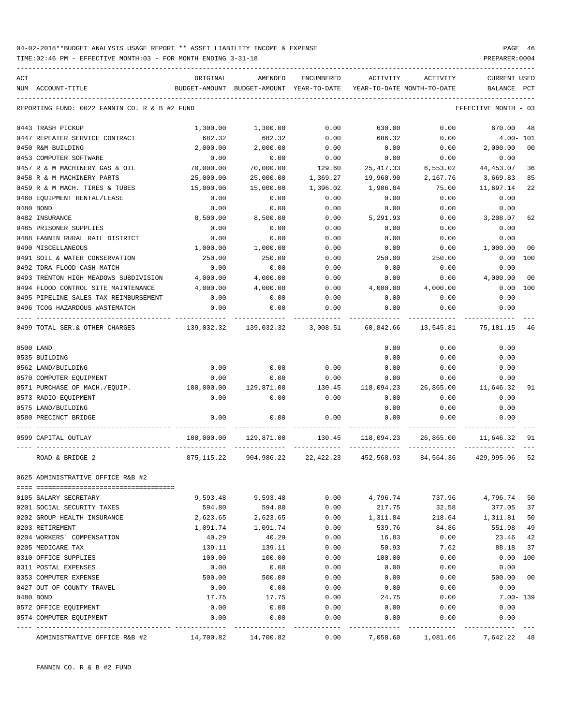TIME:02:46 PM - EFFECTIVE MONTH:03 - FOR MONTH ENDING 3-31-18 PREPARER:0004

| ACT |                                               | ORIGINAL   | AMENDED                                  | ENCUMBERED | ACTIVITY                   | ACTIVITY        | <b>CURRENT USED</b>  |                |
|-----|-----------------------------------------------|------------|------------------------------------------|------------|----------------------------|-----------------|----------------------|----------------|
| NUM | ACCOUNT-TITLE                                 |            | BUDGET-AMOUNT BUDGET-AMOUNT YEAR-TO-DATE |            | YEAR-TO-DATE MONTH-TO-DATE |                 | BALANCE              | PCT            |
|     | REPORTING FUND: 0022 FANNIN CO. R & B #2 FUND |            |                                          |            |                            |                 | EFFECTIVE MONTH - 03 |                |
|     | 0443 TRASH PICKUP                             | 1,300.00   | 1,300.00                                 | 0.00       | 630.00                     | 0.00            | 670.00               | 48             |
|     | 0447 REPEATER SERVICE CONTRACT                | 682.32     | 682.32                                   | 0.00       | 686.32                     | 0.00            | $4.00 - 101$         |                |
|     | 0450 R&M BUILDING                             | 2,000.00   | 2,000.00                                 | 0.00       | 0.00                       | 0.00            | 2,000.00             | 0 <sup>0</sup> |
|     | 0453 COMPUTER SOFTWARE                        | 0.00       | 0.00                                     | 0.00       | 0.00                       | 0.00            | 0.00                 |                |
|     | 0457 R & M MACHINERY GAS & OIL                | 70,000.00  | 70,000.00                                | 129.60     | 25, 417.33                 | 6,553.02        | 44,453.07            | 36             |
|     | 0458 R & M MACHINERY PARTS                    | 25,000.00  | 25,000.00                                | 1,369.27   | 19,960.90                  | 2,167.76        | 3,669.83             | 85             |
|     | 0459 R & M MACH. TIRES & TUBES                | 15,000.00  | 15,000.00                                | 1,396.02   | 1,906.84                   | 75.00           | 11,697.14            | 22             |
|     | 0460 EQUIPMENT RENTAL/LEASE                   | 0.00       | 0.00                                     | 0.00       | 0.00                       | 0.00            | 0.00                 |                |
|     | 0480 BOND                                     | 0.00       | 0.00                                     | 0.00       | 0.00                       | 0.00            | 0.00                 |                |
|     | 0482 INSURANCE                                | 8,500.00   | 8,500.00                                 | 0.00       | 5,291.93                   | 0.00            | 3,208.07             | 62             |
|     | 0485 PRISONER SUPPLIES                        | 0.00       | 0.00                                     | 0.00       | 0.00                       | 0.00            | 0.00                 |                |
|     | 0488 FANNIN RURAL RAIL DISTRICT               | 0.00       | 0.00                                     | 0.00       | 0.00                       | 0.00            | 0.00                 |                |
|     | 0490 MISCELLANEOUS                            | 1,000.00   | 1,000.00                                 | 0.00       | 0.00                       | 0.00            | 1,000.00             | 00             |
|     | 0491 SOIL & WATER CONSERVATION                | 250.00     | 250.00                                   | 0.00       | 250.00                     | 250.00          | 0.00                 | 100            |
|     | 0492 TDRA FLOOD CASH MATCH                    | 0.00       | 0.00                                     | 0.00       | 0.00                       | 0.00            | 0.00                 |                |
|     | 0493 TRENTON HIGH MEADOWS SUBDIVISION         | 4,000.00   | 4,000.00                                 | 0.00       | 0.00                       | 0.00            | 4,000.00             | 00             |
|     | 0494 FLOOD CONTROL SITE MAINTENANCE           | 4,000.00   | 4,000.00                                 | 0.00       | 4,000.00                   | 4,000.00        | 0.00                 | 100            |
|     | 0495 PIPELINE SALES TAX REIMBURSEMENT         | 0.00       | 0.00                                     | 0.00       | 0.00                       | 0.00            | 0.00                 |                |
|     | 0496 TCOG HAZARDOUS WASTEMATCH                | 0.00       | 0.00                                     | 0.00       | 0.00                       | 0.00            | 0.00                 |                |
|     | 0499 TOTAL SER.& OTHER CHARGES                | 139,032.32 | 139,032.32 3,008.51                      |            | 60,842.66                  | 13,545.81       | 75,181.15            | 46             |
|     | 0500 LAND                                     |            |                                          |            | 0.00                       | 0.00            | 0.00                 |                |
|     | 0535 BUILDING                                 |            |                                          |            | 0.00                       | 0.00            | 0.00                 |                |
|     | 0562 LAND/BUILDING                            | 0.00       | 0.00                                     | 0.00       | 0.00                       | 0.00            | 0.00                 |                |
|     | 0570 COMPUTER EQUIPMENT                       | 0.00       | 0.00                                     | 0.00       | 0.00                       | 0.00            | 0.00                 |                |
|     | 0571 PURCHASE OF MACH./EQUIP.                 | 100,000.00 | 129,871.00                               | 130.45     | 118,094.23                 | 26,865.00       | 11,646.32            | 91             |
|     | 0573 RADIO EQUIPMENT                          | 0.00       | 0.00                                     | 0.00       | 0.00                       | 0.00            | 0.00                 |                |
|     | 0575 LAND/BUILDING                            |            |                                          |            | 0.00                       | 0.00            | 0.00                 |                |
|     | 0580 PRECINCT BRIDGE                          | 0.00       | 0.00                                     | 0.00       | 0.00                       | 0.00            | 0.00                 |                |
|     | 0599 CAPITAL OUTLAY                           | 100,000.00 | 129,871.00                               | 130.45     | 118,094.23                 | 26,865.00       | 11,646.32            | -91            |
|     | ROAD & BRIDGE 2                               | 875,115.22 | 904,986.22                               |            | 22,422.23 452,568.93       | 84,564.36       | 429,995.06           | 52             |
|     | 0625 ADMINISTRATIVE OFFICE R&B #2             |            |                                          |            |                            |                 |                      |                |
|     |                                               |            |                                          |            |                            |                 |                      |                |
|     | 0105 SALARY SECRETARY                         | 9,593.48   | 9,593.48                                 | 0.00       | 4,796.74                   | 737.96          | 4,796.74             | 50             |
|     | 0201 SOCIAL SECURITY TAXES                    | 594.80     | 594.80                                   | 0.00       | 217.75                     | 32.58           | 377.05               | 37             |
|     | 0202 GROUP HEALTH INSURANCE                   | 2,623.65   | 2,623.65                                 | 0.00       | 1,311.84                   | 218.64          | 1,311.81             | 50             |
|     | 0203 RETIREMENT                               | 1,091.74   | 1,091.74                                 | 0.00       | 539.76                     | 84.86           | 551.98               | 49             |
|     | 0204 WORKERS' COMPENSATION                    | 40.29      | 40.29                                    | 0.00       | 16.83                      | 0.00            | 23.46                | 42             |
|     | 0205 MEDICARE TAX                             | 139.11     | 139.11                                   | 0.00       | 50.93                      | 7.62            | 88.18                | 37             |
|     | 0310 OFFICE SUPPLIES                          | 100.00     | 100.00                                   | 0.00       | 100.00                     | 0.00            | 0.00                 | 100            |
|     | 0311 POSTAL EXPENSES                          | 0.00       | 0.00                                     | 0.00       | 0.00                       | 0.00            | 0.00                 |                |
|     | 0353 COMPUTER EXPENSE                         | 500.00     | 500.00                                   | 0.00       | 0.00                       | 0.00            | 500.00               | 0 <sub>0</sub> |
|     | 0427 OUT OF COUNTY TRAVEL                     | 0.00       | 0.00                                     | 0.00       | 0.00                       | 0.00            | 0.00                 |                |
|     | 0480 BOND                                     | 17.75      | 17.75                                    | 0.00       | 24.75                      | 0.00            | $7.00 - 139$         |                |
|     | 0572 OFFICE EQUIPMENT                         | 0.00       | 0.00                                     | 0.00       | 0.00                       | 0.00            | 0.00                 |                |
|     | 0574 COMPUTER EQUIPMENT                       | 0.00       | 0.00                                     | 0.00       | 0.00                       | 0.00            | 0.00                 |                |
|     |                                               | ---------- | --------                                 | -------    | --------                   | $- - - - - - -$ | ---------            |                |

ADMINISTRATIVE OFFICE R&B #2 14,700.82 14,700.82 0.00 7,058.60 1,081.66 7,642.22 48

FANNIN CO. R & B #2 FUND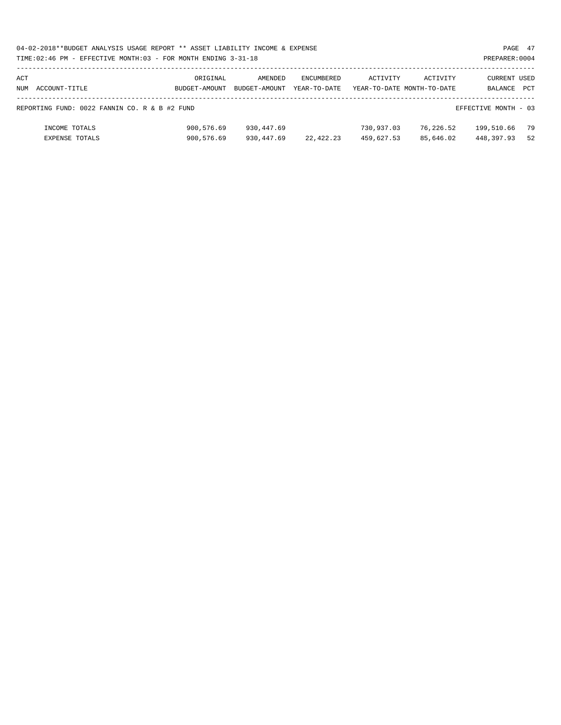|     | 04-02-2018**BUDGET ANALYSIS USAGE REPORT ** ASSET LIABILITY INCOME & EXPENSE<br>PAGE 47 |               |               |              |                            |           |                      |     |  |  |  |  |
|-----|-----------------------------------------------------------------------------------------|---------------|---------------|--------------|----------------------------|-----------|----------------------|-----|--|--|--|--|
|     | TIME: 02:46 PM - EFFECTIVE MONTH: 03 - FOR MONTH ENDING 3-31-18                         |               |               |              |                            |           | PREPARER: 0004       |     |  |  |  |  |
|     |                                                                                         |               |               |              |                            |           |                      |     |  |  |  |  |
| ACT |                                                                                         | ORIGINAL      | AMENDED       | ENCUMBERED   | ACTIVITY                   | ACTIVITY  | CURRENT USED         |     |  |  |  |  |
|     | NUM ACCOUNT-TITLE                                                                       | BUDGET-AMOUNT | BUDGET-AMOUNT | YEAR-TO-DATE | YEAR-TO-DATE MONTH-TO-DATE |           | BALANCE              | PCT |  |  |  |  |
|     | REPORTING FUND: 0022 FANNIN CO. R & B #2 FUND                                           |               |               |              |                            |           | EFFECTIVE MONTH - 03 |     |  |  |  |  |
|     | INCOME TOTALS                                                                           | 900,576.69    | 930,447.69    |              | 730,937.03                 | 76,226.52 | 199,510.66           | 79  |  |  |  |  |
|     | <b>EXPENSE TOTALS</b>                                                                   | 900,576.69    | 930,447.69    | 22,422.23    | 459,627.53                 | 85,646.02 | 448,397.93           | 52  |  |  |  |  |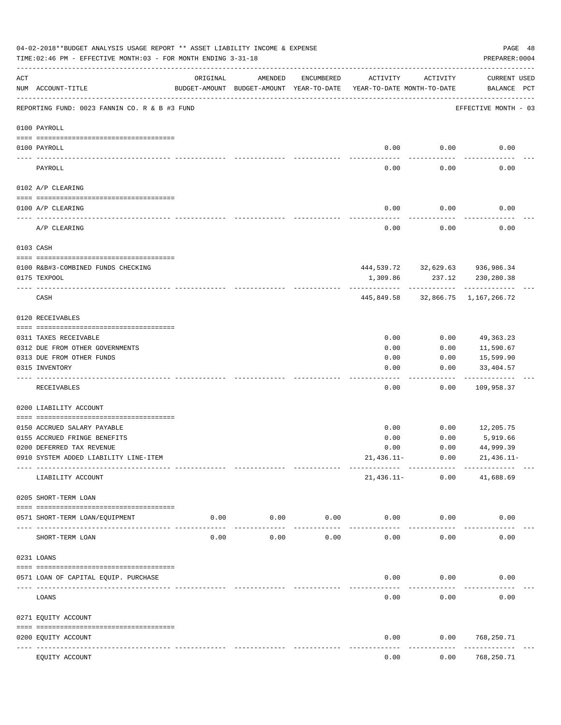|     | 04-02-2018**BUDGET ANALYSIS USAGE REPORT ** ASSET LIABILITY INCOME & EXPENSE<br>TIME:02:46 PM - EFFECTIVE MONTH:03 - FOR MONTH ENDING 3-31-18 |                                |                                                                                |            |              |                                                   | PAGE 48<br>PREPARER: 0004          |
|-----|-----------------------------------------------------------------------------------------------------------------------------------------------|--------------------------------|--------------------------------------------------------------------------------|------------|--------------|---------------------------------------------------|------------------------------------|
| ACT | NUM ACCOUNT-TITLE                                                                                                                             | ORIGINAL                       | AMENDED<br>BUDGET-AMOUNT BUDGET-AMOUNT YEAR-TO-DATE YEAR-TO-DATE MONTH-TO-DATE | ENCUMBERED | ACTIVITY     | ACTIVITY                                          | <b>CURRENT USED</b><br>BALANCE PCT |
|     | REPORTING FUND: 0023 FANNIN CO. R & B #3 FUND                                                                                                 |                                |                                                                                |            |              |                                                   | EFFECTIVE MONTH - 03               |
|     | 0100 PAYROLL                                                                                                                                  |                                |                                                                                |            |              |                                                   |                                    |
|     | 0100 PAYROLL                                                                                                                                  |                                |                                                                                |            | 0.00         | 0.00                                              | 0.00                               |
|     | PAYROLL                                                                                                                                       |                                |                                                                                |            | 0.00         | 0.00                                              | 0.00                               |
|     | 0102 A/P CLEARING                                                                                                                             |                                |                                                                                |            |              |                                                   |                                    |
|     | 0100 A/P CLEARING                                                                                                                             |                                |                                                                                |            | 0.00         | 0.00                                              | 0.00                               |
|     | A/P CLEARING                                                                                                                                  |                                |                                                                                |            | 0.00         | 0.00                                              | 0.00                               |
|     | 0103 CASH                                                                                                                                     |                                |                                                                                |            |              |                                                   |                                    |
|     | 0100 R&B#3-COMBINED FUNDS CHECKING<br>0175 TEXPOOL                                                                                            |                                |                                                                                |            | 1,309.86     | 444,539.72 32,629.63 936,986.34<br>237.12         | 230,280.38                         |
|     | CASH                                                                                                                                          |                                |                                                                                |            |              | ------------<br>445,849.58 32,866.75 1,167,266.72 |                                    |
|     | 0120 RECEIVABLES                                                                                                                              |                                |                                                                                |            |              |                                                   |                                    |
|     |                                                                                                                                               |                                |                                                                                |            |              |                                                   |                                    |
|     | 0311 TAXES RECEIVABLE                                                                                                                         |                                |                                                                                |            | 0.00         | 0.00                                              | 49,363.23                          |
|     | 0312 DUE FROM OTHER GOVERNMENTS<br>0313 DUE FROM OTHER FUNDS                                                                                  |                                |                                                                                |            | 0.00<br>0.00 | 0.00<br>0.00                                      | 11,590.67<br>15,599.90             |
|     | 0315 INVENTORY                                                                                                                                |                                |                                                                                |            | 0.00         | 0.00                                              | 33,404.57                          |
|     | RECEIVABLES                                                                                                                                   |                                |                                                                                |            | 0.00         | 0.00                                              | .<br>109,958.37                    |
|     | 0200 LIABILITY ACCOUNT                                                                                                                        |                                |                                                                                |            |              |                                                   |                                    |
|     | 0150 ACCRUED SALARY PAYABLE                                                                                                                   |                                |                                                                                |            | 0.00         | 0.00                                              | 12,205.75                          |
|     | 0155 ACCRUED FRINGE BENEFITS                                                                                                                  |                                |                                                                                |            | 0.00         | 0.00                                              | 5,919.66                           |
|     | 0200 DEFERRED TAX REVENUE                                                                                                                     |                                |                                                                                |            | 0.00         | 0.00                                              | 44,999.39                          |
|     | 0910 SYSTEM ADDED LIABILITY LINE-ITEM                                                                                                         |                                |                                                                                |            | $21,436.11-$ | 0.00                                              | $21,436.11-$                       |
|     | LIABILITY ACCOUNT                                                                                                                             |                                |                                                                                |            | 21,436.11-   | 0.00                                              | 41,688.69                          |
|     | 0205 SHORT-TERM LOAN                                                                                                                          |                                |                                                                                |            |              |                                                   |                                    |
|     | 0571 SHORT-TERM LOAN/EQUIPMENT                                                                                                                | 0.00                           | 0.00                                                                           | 0.00       | 0.00         | 0.00                                              | 0.00                               |
|     | SHORT-TERM LOAN                                                                                                                               | 0.00                           | 0.00                                                                           | 0.00       | 0.00         | 0.00                                              | 0.00                               |
|     | 0231 LOANS                                                                                                                                    |                                |                                                                                |            |              |                                                   |                                    |
|     | 0571 LOAN OF CAPITAL EQUIP. PURCHASE                                                                                                          |                                |                                                                                |            | 0.00         | 0.00                                              | 0.00                               |
|     | LOANS                                                                                                                                         |                                |                                                                                |            | 0.00         | 0.00                                              | 0.00                               |
|     | 0271 EQUITY ACCOUNT                                                                                                                           |                                |                                                                                |            |              |                                                   |                                    |
|     | 0200 EQUITY ACCOUNT                                                                                                                           |                                |                                                                                |            | 0.00         | 0.00                                              | 768,250.71                         |
|     | ---- ------------<br>EQUITY ACCOUNT                                                                                                           | ---------------- ------------- |                                                                                |            | 0.00         | 0.00                                              | ----------<br>768,250.71           |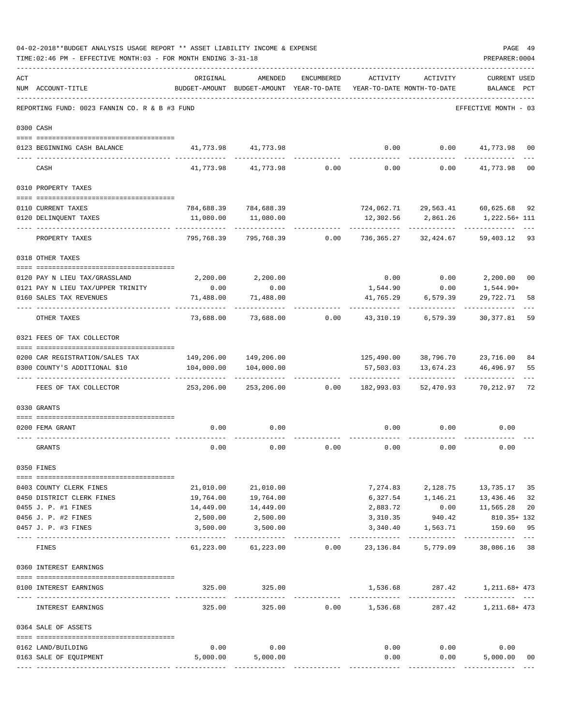| ACT | NUM ACCOUNT-TITLE                             | ORIGINAL                               | AMENDED<br>BUDGET-AMOUNT BUDGET-AMOUNT YEAR-TO-DATE YEAR-TO-DATE MONTH-TO-DATE | ENCUMBERED      | ACTIVITY        | ACTIVITY                        | <b>CURRENT USED</b><br>BALANCE PCT |                |
|-----|-----------------------------------------------|----------------------------------------|--------------------------------------------------------------------------------|-----------------|-----------------|---------------------------------|------------------------------------|----------------|
|     | REPORTING FUND: 0023 FANNIN CO. R & B #3 FUND |                                        |                                                                                |                 |                 |                                 | EFFECTIVE MONTH - 03               |                |
|     | 0300 CASH                                     |                                        |                                                                                |                 |                 |                                 |                                    |                |
|     | 0123 BEGINNING CASH BALANCE                   |                                        | 41,773.98 41,773.98                                                            |                 | 0.00            |                                 | $0.00$ $41,773.98$                 | 00             |
|     | CASH                                          | 41,773.98                              | 41,773.98                                                                      | 0.00            | 0.00            | 0.00                            | 41,773.98                          | 0 <sub>0</sub> |
|     | 0310 PROPERTY TAXES                           |                                        |                                                                                |                 |                 |                                 |                                    |                |
|     | 0110 CURRENT TAXES                            |                                        | 784,688.39 784,688.39                                                          |                 |                 |                                 | 724,062.71 29,563.41 60,625.68 92  |                |
|     | 0120 DELINQUENT TAXES                         | 11,080.00                              | 11,080.00                                                                      |                 |                 | 12,302.56 2,861.26<br>--------- | 1,222.56+ 111                      |                |
|     | PROPERTY TAXES                                | 795,768.39                             | 795,768.39                                                                     | 0.00            | 736,365.27      | 32,424.67                       | 59,403.12 93                       |                |
|     | 0318 OTHER TAXES                              |                                        |                                                                                |                 |                 |                                 |                                    |                |
|     | 0120 PAY N LIEU TAX/GRASSLAND                 | 2,200.00                               | 2,200.00                                                                       |                 | 0.00            |                                 | $0.00$ 2,200.00                    | 00             |
|     | 0121 PAY N LIEU TAX/UPPER TRINITY             | 0.00                                   | 0.00                                                                           |                 | 1,544.90        | 0.00                            | 1,544.90+                          |                |
|     | 0160 SALES TAX REVENUES                       | 71,488.00                              | 71,488.00                                                                      |                 | 41,765.29       | 6,579.39                        | 29,722.71                          | 58             |
|     | OTHER TAXES                                   | 73,688.00                              |                                                                                | 73,688.00 0.00  | 43,310.19       | 6,579.39                        | 30,377.81                          | 59             |
|     | 0321 FEES OF TAX COLLECTOR                    |                                        |                                                                                |                 |                 |                                 |                                    |                |
|     | 0200 CAR REGISTRATION/SALES TAX               |                                        | 149,206.00 149,206.00                                                          |                 |                 |                                 | 125,490.00 38,796.70 23,716.00     | 84             |
|     | 0300 COUNTY'S ADDITIONAL \$10                 | 104,000.00                             | 104,000.00                                                                     |                 |                 |                                 | 57,503.03  13,674.23  46,496.97    | 55             |
|     | FEES OF TAX COLLECTOR                         | 253,206.00                             |                                                                                | 253,206.00 0.00 | 182,993.03      | ------------<br>52,470.93       | -----------<br>70,212.97           | 72             |
|     | 0330 GRANTS                                   |                                        |                                                                                |                 |                 |                                 |                                    |                |
|     | 0200 FEMA GRANT                               | 0.00                                   | 0.00                                                                           |                 | 0.00            | 0.00                            | 0.00                               |                |
|     |                                               |                                        |                                                                                |                 |                 |                                 |                                    |                |
|     | GRANTS                                        | 0.00                                   | 0.00                                                                           | 0.00            | 0.00            | 0.00                            | 0.00                               |                |
|     | 0350 FINES                                    |                                        |                                                                                |                 |                 |                                 |                                    |                |
|     | 0403 COUNTY CLERK FINES                       | 21,010.00                              | 21,010.00                                                                      |                 |                 |                                 | 7,274.83 2,128.75 13,735.17        | 35             |
|     | 0450 DISTRICT CLERK FINES                     | 19,764.00                              | 19,764.00                                                                      |                 |                 |                                 | 6,327.54 1,146.21 13,436.46        | 32             |
|     | 0455 J. P. #1 FINES                           | 14,449.00                              | 14,449.00                                                                      |                 | 2,883.72        |                                 | $0.00$ 11,565.28                   | 20             |
|     | 0456 J. P. #2 FINES                           | 2,500.00                               | 2,500.00                                                                       |                 | 3,310.35        | 940.42                          | 810.35+ 132                        |                |
|     | 0457 J. P. #3 FINES                           | 3,500.00                               | 3,500.00                                                                       |                 | 3,340.40        | 1,563.71                        | 159.60<br>-----------              | 95             |
|     | <b>FINES</b>                                  | 61,223.00                              | 61,223.00                                                                      | 0.00            | 23,136.84       | 5,779.09                        | 38,086.16                          | 38             |
|     | 0360 INTEREST EARNINGS                        |                                        |                                                                                |                 |                 |                                 |                                    |                |
|     | 0100 INTEREST EARNINGS                        | 325.00<br>------------- -------------- | 325.00                                                                         |                 | -------------   | . _ _ _ _ _ _ _ _ _ _ _         | 1,536.68 287.42 1,211.68+473       |                |
|     | INTEREST EARNINGS                             | 325.00                                 | 325.00                                                                         |                 | $0.00$ 1,536.68 |                                 | 287.42 1,211.68+473                |                |
|     | 0364 SALE OF ASSETS                           |                                        |                                                                                |                 |                 |                                 |                                    |                |
|     | 0162 LAND/BUILDING                            | 0.00                                   | 0.00                                                                           |                 |                 | $0.00$ $0.00$                   | 0.00                               |                |
|     | 0163 SALE OF EQUIPMENT                        | 5,000.00                               | 5,000.00                                                                       |                 | 0.00            |                                 | 0.00<br>5,000.00                   | 00             |
|     |                                               |                                        |                                                                                |                 |                 |                                 |                                    |                |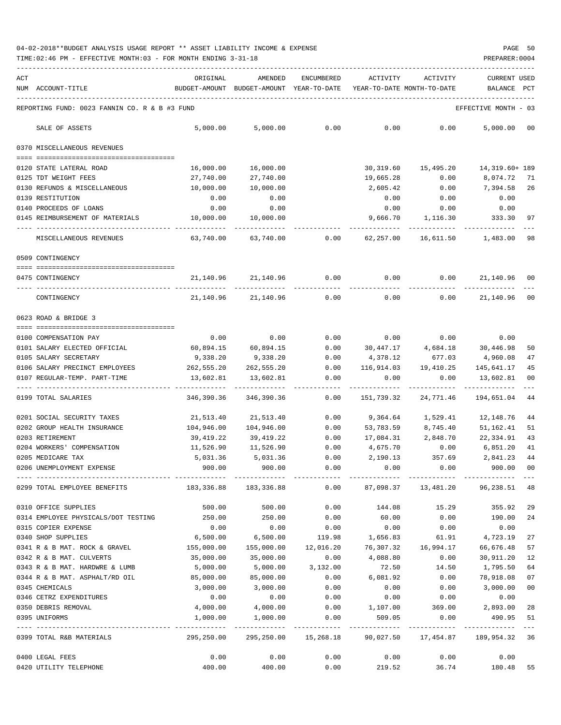| ACT                                                                                                     | ORIGINAL   | AMENDED                                                             | ENCUMBERED             | ACTIVITY                 | ACTIVITY                    | <b>CURRENT USED</b>       |                |
|---------------------------------------------------------------------------------------------------------|------------|---------------------------------------------------------------------|------------------------|--------------------------|-----------------------------|---------------------------|----------------|
| NUM ACCOUNT-TITLE                                                                                       |            | BUDGET-AMOUNT BUDGET-AMOUNT YEAR-TO-DATE YEAR-TO-DATE MONTH-TO-DATE |                        |                          |                             | BALANCE PCT               |                |
| REPORTING FUND: 0023 FANNIN CO. R & B #3 FUND                                                           |            |                                                                     |                        |                          |                             | EFFECTIVE MONTH - 03      |                |
| SALE OF ASSETS                                                                                          | 5,000.00   | 5,000.00                                                            | 0.00                   | 0.00                     | 0.00                        | 5,000.00                  | 00             |
| 0370 MISCELLANEOUS REVENUES                                                                             |            |                                                                     |                        |                          |                             |                           |                |
| 0120 STATE LATERAL ROAD                                                                                 | 16,000.00  | 16,000.00                                                           |                        |                          |                             |                           |                |
| 0125 TDT WEIGHT FEES                                                                                    | 27,740.00  | 27,740.00                                                           |                        | 19,665.28                | 0.00                        | 8,074.72                  | 71             |
| 0130 REFUNDS & MISCELLANEOUS                                                                            | 10,000.00  | 10,000.00                                                           |                        | 2,605.42                 | 0.00                        | 7,394.58                  | 26             |
| 0139 RESTITUTION                                                                                        | 0.00       | 0.00                                                                |                        | 0.00                     | 0.00                        | 0.00                      |                |
| 0140 PROCEEDS OF LOANS                                                                                  | 0.00       | 0.00                                                                |                        |                          | $0.00$ 0.00                 | 0.00                      |                |
| 0145 REIMBURSEMENT OF MATERIALS                                                                         | 10,000.00  | 10,000.00                                                           |                        | 9,666.70                 | 1,116.30                    | 333.30                    | 97             |
|                                                                                                         | 63,740.00  | 63,740.00                                                           |                        | $0.00$ 62,257.00         | 16,611.50 1,483.00          |                           | 98             |
| MISCELLANEOUS REVENUES                                                                                  |            |                                                                     |                        |                          |                             |                           |                |
| 0509 CONTINGENCY                                                                                        |            |                                                                     |                        |                          |                             |                           |                |
| 0475 CONTINGENCY                                                                                        |            | 21, 140.96 21, 140.96                                               | 0.00                   | 0.00                     |                             | 0.00001,140.96            | 00             |
|                                                                                                         |            |                                                                     |                        |                          |                             |                           |                |
| CONTINGENCY                                                                                             | 21,140.96  | 21,140.96                                                           | 0.00                   | 0.00                     | 0.00                        | 21,140.96                 | 0 <sub>0</sub> |
| 0623 ROAD & BRIDGE 3                                                                                    |            |                                                                     |                        |                          |                             |                           |                |
| 0100 COMPENSATION PAY                                                                                   | 0.00       | 0.00                                                                | 0.00                   |                          | $0.00$ $0.00$               | 0.00                      |                |
| 0101 SALARY ELECTED OFFICIAL                                                                            | 60,894.15  | 60,894.15                                                           | 0.00                   | 30,447.17                | 4,684.18                    | 30,446.98                 | 50             |
| 0105 SALARY SECRETARY                                                                                   | 9,338.20   | 9,338.20                                                            | 0.00                   | 4,378.12                 | 677.03                      | 4,960.08                  | 47             |
| 0106 SALARY PRECINCT EMPLOYEES                                                                          | 262,555.20 | 262,555.20                                                          | 0.00                   | 116,914.03               |                             | 19,410.25 145,641.17      | 45             |
| 0107 REGULAR-TEMP. PART-TIME                                                                            | 13,602.81  | 13,602.81                                                           | 0.00                   | 0.00                     | 0.00                        | 13,602.81                 | 00             |
| 0199 TOTAL SALARIES                                                                                     | 346,390.36 | 346,390.36                                                          | 0.00                   | 151,739.32               | 24,771.46                   | -----------<br>194,651.04 | 44             |
|                                                                                                         |            |                                                                     |                        |                          |                             |                           |                |
| 0201 SOCIAL SECURITY TAXES                                                                              | 21,513.40  | 21,513.40                                                           | 0.00                   |                          | 9,364.64 1,529.41 12,148.76 |                           | 44             |
| 0202 GROUP HEALTH INSURANCE                                                                             | 104,946.00 | 104,946.00                                                          | 0.00                   |                          | 53,783.59 8,745.40          | 51,162.41                 | 51             |
| 0203 RETIREMENT                                                                                         | 39,419.22  | 39,419.22                                                           | 0.00                   | 17,084.31 2,848.70       |                             | 22,334.91                 | 43             |
| 0204 WORKERS' COMPENSATION                                                                              | 11,526.90  | 11,526.90                                                           | 0.00                   | 4,675.70                 | 0.00                        | 6,851.20                  | 41             |
| 0205 MEDICARE TAX                                                                                       | 5,031.36   | 5,031.36                                                            | 0.00                   | 2,190.13                 | 357.69                      | 2,841.23                  | 44             |
| 0206 UNEMPLOYMENT EXPENSE                                                                               | 900.00     | 900.00                                                              | 0.00                   | 0.00                     | 0.00                        | 900.00                    | 0 <sub>0</sub> |
| 0299 TOTAL EMPLOYEE BENEFITS 48.51 (183,336.88 183,336.88 183,336.88 0.00 87,098.37 13,481.20 96,238.51 |            |                                                                     |                        |                          |                             |                           | 48             |
| 0310 OFFICE SUPPLIES                                                                                    | 500.00     | 500.00                                                              | 0.00                   | 144.08                   | 15.29                       | 355.92                    | 29             |
| 0314 EMPLOYEE PHYSICALS/DOT TESTING                                                                     | 250.00     | 250.00                                                              | 0.00                   | 60.00                    | 0.00                        | 190.00                    | 24             |
| 0315 COPIER EXPENSE                                                                                     | 0.00       | 0.00                                                                | 0.00                   | 0.00                     | 0.00                        | 0.00                      |                |
| 0340 SHOP SUPPLIES                                                                                      | 6,500.00   |                                                                     |                        | 6,500.00 119.98 1,656.83 | 61.91                       | 4,723.19                  | 27             |
| 0341 R & B MAT. ROCK & GRAVEL                                                                           | 155,000.00 | 155,000.00                                                          |                        | 12,016.20 76,307.32      | 16,994.17                   | 66,676.48                 | 57             |
| 0342 R & B MAT. CULVERTS                                                                                | 35,000.00  | 35,000.00                                                           | 0.00                   | 4,088.80                 | 0.00                        | 30,911.20                 | 12             |
| 0343 R & B MAT. HARDWRE & LUMB                                                                          | 5,000.00   |                                                                     | 5,000.00 3,132.00      | 72.50                    | 14.50                       | 1,795.50                  | 64             |
| 0344 R & B MAT. ASPHALT/RD OIL                                                                          | 85,000.00  | 85,000.00                                                           | 0.00                   | 6,081.92                 | 0.00                        | 78,918.08                 | 07             |
| 0345 CHEMICALS                                                                                          | 3,000.00   | 3,000.00                                                            | 0.00                   | 0.00                     | 0.00                        | 3,000.00                  | 0 <sub>0</sub> |
| 0346 CETRZ EXPENDITURES                                                                                 | 0.00       | 0.00                                                                | 0.00                   | 0.00                     | 0.00                        | 0.00                      |                |
| 0350 DEBRIS REMOVAL                                                                                     | 4,000.00   | 4,000.00                                                            | 0.00                   |                          | 1,107.00 369.00             | 2,893.00                  | 28             |
| 0395 UNIFORMS                                                                                           | 1,000.00   | 1,000.00                                                            | 0.00                   | 509.05                   | 0.00                        | 490.95                    | 51             |
|                                                                                                         |            |                                                                     |                        |                          |                             |                           | $- - -$        |
| 0399 TOTAL R&B MATERIALS                                                                                | 295,250.00 |                                                                     | 295, 250.00 15, 268.18 | 90,027.50                | 17,454.87                   | 189,954.32 36             |                |
| 0400 LEGAL FEES                                                                                         | 0.00       | 0.00                                                                | 0.00                   | 0.00                     | 0.00                        | 0.00                      |                |
| 0420 UTILITY TELEPHONE                                                                                  | 400.00     | 400.00                                                              | 0.00                   | 219.52                   |                             | 36.74 180.48              | 55             |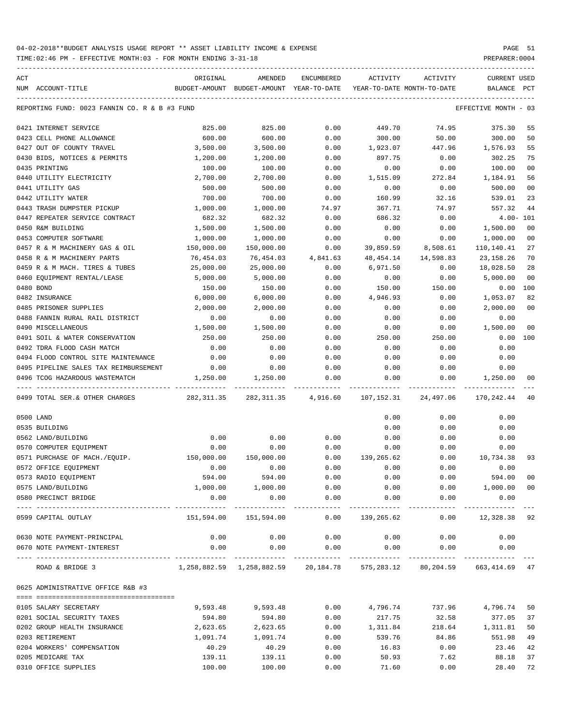TIME:02:46 PM - EFFECTIVE MONTH:03 - FOR MONTH ENDING 3-31-18 PREPARER:0004

| ACT |                                                          | ORIGINAL      | AMENDED                                                                              | <b>ENCUMBERED</b>    | <b>ACTIVITY</b>       | ACTIVITY                   | <b>CURRENT USED</b>  |                |
|-----|----------------------------------------------------------|---------------|--------------------------------------------------------------------------------------|----------------------|-----------------------|----------------------------|----------------------|----------------|
|     | NUM ACCOUNT-TITLE                                        | BUDGET-AMOUNT | BUDGET-AMOUNT YEAR-TO-DATE                                                           |                      |                       | YEAR-TO-DATE MONTH-TO-DATE | <b>BALANCE</b>       | PCT            |
|     | REPORTING FUND: 0023 FANNIN CO. R & B #3 FUND            |               |                                                                                      |                      |                       |                            | EFFECTIVE MONTH - 03 |                |
|     | 0421 INTERNET SERVICE                                    | 825.00        | 825.00                                                                               | 0.00                 | 449.70                | 74.95                      | 375.30               | 55             |
|     | 0423 CELL PHONE ALLOWANCE                                | 600.00        | 600.00                                                                               | 0.00                 | 300.00                | 50.00                      | 300.00               | 50             |
|     | 0427 OUT OF COUNTY TRAVEL                                | 3,500.00      | 3,500.00                                                                             | 0.00                 | 1,923.07              | 447.96                     | 1,576.93             | 55             |
|     | 0430 BIDS, NOTICES & PERMITS                             | 1,200.00      | 1,200.00                                                                             | 0.00                 | 897.75                | 0.00                       | 302.25               | 75             |
|     | 0435 PRINTING                                            | 100.00        | 100.00                                                                               | 0.00                 | 0.00                  | 0.00                       | 100.00               | 0 <sub>0</sub> |
|     | 0440 UTILITY ELECTRICITY                                 | 2,700.00      | 2,700.00                                                                             | 0.00                 | 1,515.09              | 272.84                     | 1,184.91             | 56             |
|     | 0441 UTILITY GAS                                         | 500.00        | 500.00                                                                               | 0.00                 | 0.00                  | 0.00                       | 500.00               | 0 <sub>0</sub> |
|     | 0442 UTILITY WATER                                       | 700.00        | 700.00                                                                               | 0.00                 | 160.99                | 32.16                      | 539.01               | 23             |
|     | 0443 TRASH DUMPSTER PICKUP                               | 1,000.00      | 1,000.00                                                                             | 74.97                | 367.71                | 74.97                      | 557.32               | 44             |
|     | 0447 REPEATER SERVICE CONTRACT                           | 682.32        | 682.32                                                                               | 0.00                 | 686.32                | 0.00                       |                      | $4.00 - 101$   |
|     | 0450 R&M BUILDING                                        | 1,500.00      | 1,500.00                                                                             | 0.00                 | 0.00                  | 0.00                       | 1,500.00             | 0 <sub>0</sub> |
|     | 0453 COMPUTER SOFTWARE                                   | 1,000.00      | 1,000.00                                                                             | 0.00                 | 0.00                  | 0.00                       | 1,000.00             | 0 <sub>0</sub> |
|     | 0457 R & M MACHINERY GAS & OIL                           | 150,000.00    | 150,000.00                                                                           | 0.00                 | 39,859.59             | 8,508.61                   | 110,140.41           | 27             |
|     | 0458 R & M MACHINERY PARTS                               | 76,454.03     | 76,454.03                                                                            | 4,841.63             | 48,454.14             | 14,598.83                  | 23, 158. 26          | 70             |
|     | 0459 R & M MACH. TIRES & TUBES                           | 25,000.00     | 25,000.00                                                                            | 0.00                 | 6,971.50              | 0.00                       | 18,028.50            | 28             |
|     | 0460 EQUIPMENT RENTAL/LEASE                              | 5,000.00      | 5,000.00                                                                             | 0.00                 | 0.00                  | 0.00                       | 5,000.00             | 0 <sub>0</sub> |
|     | 0480 BOND                                                | 150.00        | 150.00                                                                               | 0.00                 | 150.00                | 150.00                     |                      | 0.00 100       |
|     | 0482 INSURANCE                                           | 6,000.00      | 6,000.00                                                                             | 0.00                 | 4,946.93              | 0.00                       | 1,053.07             | 82             |
|     | 0485 PRISONER SUPPLIES                                   |               |                                                                                      | 0.00                 |                       |                            |                      | 0 <sub>0</sub> |
|     | 0488 FANNIN RURAL RAIL DISTRICT                          | 2,000.00      | 2,000.00                                                                             |                      | 0.00                  | 0.00                       | 2,000.00             |                |
|     |                                                          | 0.00          | 0.00                                                                                 | 0.00                 | 0.00                  | 0.00                       | 0.00                 |                |
|     | 0490 MISCELLANEOUS                                       | 1,500.00      | 1,500.00                                                                             | 0.00                 | 0.00                  | 0.00                       | 1,500.00             | 0 <sub>0</sub> |
|     | 0491 SOIL & WATER CONSERVATION                           | 250.00        | 250.00                                                                               | 0.00                 | 250.00                | 250.00                     | 0.00                 | 100            |
|     | 0492 TDRA FLOOD CASH MATCH                               | 0.00          | 0.00                                                                                 | 0.00                 | 0.00                  | 0.00                       | 0.00                 |                |
|     | 0494 FLOOD CONTROL SITE MAINTENANCE                      | 0.00          | 0.00                                                                                 | 0.00                 | 0.00                  | 0.00                       | 0.00                 |                |
|     | 0495 PIPELINE SALES TAX REIMBURSEMENT                    | 0.00          | 0.00                                                                                 | 0.00                 | 0.00                  | 0.00                       | 0.00                 |                |
|     | 0496 TCOG HAZARDOUS WASTEMATCH                           | 1,250.00      | 1,250.00                                                                             | 0.00                 | 0.00                  | 0.00                       | 1,250.00             | 00             |
|     | 0499 TOTAL SER. & OTHER CHARGES                          | 282,311.35    | 282, 311.35                                                                          | 4,916.60             | 107,152.31            | 24,497.06                  | 170,242.44           | 40             |
|     | 0500 LAND                                                |               |                                                                                      |                      | 0.00                  | 0.00                       | 0.00                 |                |
|     | 0535 BUILDING                                            |               |                                                                                      |                      | 0.00                  | 0.00                       | 0.00                 |                |
|     | 0562 LAND/BUILDING                                       | 0.00          | 0.00                                                                                 | 0.00                 | 0.00                  | 0.00                       | 0.00                 |                |
|     | 0570 COMPUTER EQUIPMENT                                  | 0.00          | 0.00                                                                                 | 0.00                 | 0.00                  | 0.00                       | 0.00                 |                |
|     | 0571 PURCHASE OF MACH./EQUIP.                            | 150,000.00    | 150,000.00                                                                           | 0.00                 | 139,265.62            | 0.00                       | 10,734.38            | 93             |
|     | 0572 OFFICE EQUIPMENT                                    | 0.00          | 0.00                                                                                 | 0.00                 | 0.00                  | 0.00                       | 0.00                 |                |
|     | 0573 RADIO EQUIPMENT                                     | 594.00        | 594.00                                                                               | 0.00                 | 0.00                  | 0.00                       | 594.00               | 00             |
|     | 0575 LAND/BUILDING                                       | 1,000.00      | 1,000.00                                                                             | 0.00                 | 0.00                  |                            | 0.00 1,000.00        | 0 <sub>0</sub> |
|     | 0580 PRECINCT BRIDGE                                     | 0.00<br>.     | 0.00<br>------------                                                                 | 0.00                 | 0.00<br>------------- | 0.00                       | 0.00<br>-----------  |                |
|     | 0599 CAPITAL OUTLAY                                      | 151,594.00    | 151,594.00                                                                           | ------------<br>0.00 | 139,265.62            | ------------<br>0.00       | 12,328.38 92         |                |
|     | 0630 NOTE PAYMENT-PRINCIPAL                              | 0.00          | 0.00                                                                                 | 0.00                 | 0.00                  | 0.00                       | 0.00                 |                |
|     | 0670 NOTE PAYMENT-INTEREST                               | 0.00          | 0.00                                                                                 | 0.00                 | 0.00                  | 0.00                       | 0.00                 |                |
|     | ---------------------- --------------<br>ROAD & BRIDGE 3 |               | $1,258,882.59$ $1,258,882.59$ $20,184.78$ $575,283.12$ $80,204.59$ $663,414.69$ $47$ | -----------          |                       |                            |                      |                |
|     | 0625 ADMINISTRATIVE OFFICE R&B #3                        |               |                                                                                      |                      |                       |                            |                      |                |
|     | 0105 SALARY SECRETARY                                    | 9,593.48      | 9,593.48                                                                             | 0.00                 | 4,796.74              | 737.96                     | 4,796.74             | 50             |
|     | 0201 SOCIAL SECURITY TAXES                               | 594.80        | 594.80                                                                               | 0.00                 | 217.75                | 32.58                      | 377.05               | 37             |
|     | 0202 GROUP HEALTH INSURANCE                              | 2,623.65      | 2,623.65                                                                             | 0.00                 | 1,311.84              | 218.64                     | 1,311.81             | 50             |
|     | 0203 RETIREMENT                                          | 1,091.74      | 1,091.74                                                                             | 0.00                 | 539.76                | 84.86                      | 551.98               | 49             |
|     | 0204 WORKERS' COMPENSATION                               | 40.29         | 40.29                                                                                | 0.00                 | 16.83                 | 0.00                       | 23.46                | 42             |
|     | 0205 MEDICARE TAX                                        | 139.11        | 139.11                                                                               | 0.00                 | 50.93                 | 7.62                       | 88.18                | 37             |
|     |                                                          |               |                                                                                      |                      |                       |                            |                      |                |

0310 OFFICE SUPPLIES 100.00 100.00 0.00 71.60 0.00 28.40 72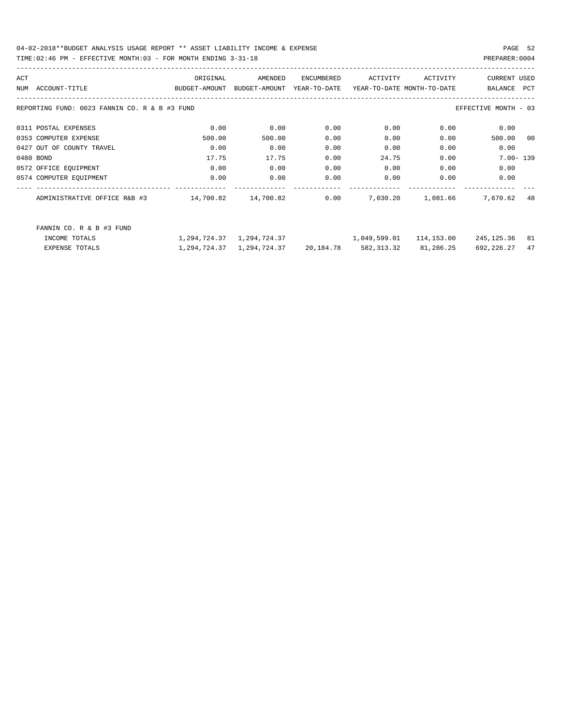04-02-2018\*\*BUDGET ANALYSIS USAGE REPORT \*\* ASSET LIABILITY INCOME & EXPENSE PAGE 52 TIME:02:46 PM - EFFECTIVE MONTH:03 - FOR MONTH ENDING 3-31-18 PREPARER:0004

| ACT |                                               | ORIGINAL      | AMENDED       | ENCUMBERED             | ACTIVITY                   | ACTIVITY   | <b>CURRENT USED</b>  |            |
|-----|-----------------------------------------------|---------------|---------------|------------------------|----------------------------|------------|----------------------|------------|
|     | NUM ACCOUNT-TITLE                             | BUDGET-AMOUNT | BUDGET-AMOUNT | YEAR-TO-DATE           | YEAR-TO-DATE MONTH-TO-DATE |            | BALANCE              | <b>PCT</b> |
|     | REPORTING FUND: 0023 FANNIN CO. R & B #3 FUND |               |               |                        |                            |            | EFFECTIVE MONTH - 03 |            |
|     | 0311 POSTAL EXPENSES                          | 0.00          | 0.00          | 0.00                   | 0.00                       | 0.00       | 0.00                 |            |
|     | 0353 COMPUTER EXPENSE                         | 500.00        | 500.00        | 0.00                   | 0.00                       | 0.00       | 500.00               | 00         |
|     | 0427 OUT OF COUNTY TRAVEL                     | 0.00          | 0.00          | 0.00                   | 0.00                       | 0.00       | 0.00                 |            |
|     | 0480 BOND                                     | 17.75         | 17.75         | 0.00                   | 24.75                      | 0.00       | $7.00 - 139$         |            |
|     | 0572 OFFICE EQUIPMENT                         | 0.00          | 0.00          | 0.00                   | 0.00                       | 0.00       | 0.00                 |            |
|     | 0574 COMPUTER EQUIPMENT                       | 0.00          | 0.00          | 0.00                   | 0.00                       | 0.00       | 0.00                 |            |
|     | ADMINISTRATIVE OFFICE R&B #3                  | 14,700.82     | 14,700.82     | 0.00                   | 7,030.20                   | 1,081.66   | 7,670.62             | 48         |
|     | FANNIN CO. R & B #3 FUND                      |               |               |                        |                            |            |                      |            |
|     | INCOME TOTALS                                 | 1,294,724.37  | 1,294,724.37  |                        | 1,049,599.01               | 114,153.00 | 245,125.36           | 81         |
|     | <b>EXPENSE TOTALS</b>                         | 1,294,724.37  |               | 1,294,724.37 20,184.78 | 582,313.32                 | 81,286.25  | 692, 226.27          | 47         |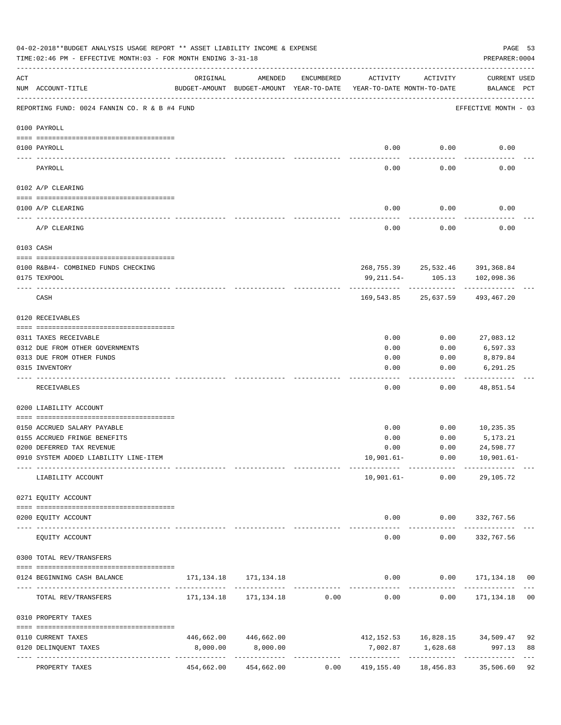|     | 04-02-2018**BUDGET ANALYSIS USAGE REPORT ** ASSET LIABILITY INCOME & EXPENSE<br>TIME: 02:46 PM - EFFECTIVE MONTH: 03 - FOR MONTH ENDING 3-31-18 |                                                                                 |                                   |            |                       |                     | PREPARER: 0004                                           | PAGE 53  |
|-----|-------------------------------------------------------------------------------------------------------------------------------------------------|---------------------------------------------------------------------------------|-----------------------------------|------------|-----------------------|---------------------|----------------------------------------------------------|----------|
| ACT | NUM ACCOUNT-TITLE                                                                                                                               | ORIGINAL<br>BUDGET-AMOUNT BUDGET-AMOUNT YEAR-TO-DATE YEAR-TO-DATE MONTH-TO-DATE | AMENDED                           | ENCUMBERED | ACTIVITY              | ACTIVITY            | CURRENT USED<br>BALANCE PCT                              |          |
|     | REPORTING FUND: 0024 FANNIN CO. R & B #4 FUND                                                                                                   |                                                                                 |                                   |            |                       |                     | EFFECTIVE MONTH - 03                                     |          |
|     | 0100 PAYROLL                                                                                                                                    |                                                                                 |                                   |            |                       |                     |                                                          |          |
|     |                                                                                                                                                 |                                                                                 |                                   |            |                       |                     |                                                          |          |
|     | 0100 PAYROLL                                                                                                                                    |                                                                                 |                                   |            | 0.00                  | 0.00                | 0.00                                                     |          |
|     | PAYROLL                                                                                                                                         |                                                                                 |                                   |            | 0.00                  | 0.00                | 0.00                                                     |          |
|     | 0102 A/P CLEARING                                                                                                                               |                                                                                 |                                   |            |                       |                     |                                                          |          |
|     | 0100 A/P CLEARING                                                                                                                               |                                                                                 |                                   |            | 0.00                  | 0.00                | 0.00                                                     |          |
|     |                                                                                                                                                 |                                                                                 |                                   |            |                       |                     |                                                          |          |
|     | A/P CLEARING                                                                                                                                    |                                                                                 |                                   |            | 0.00                  | 0.00                | 0.00                                                     |          |
|     | 0103 CASH                                                                                                                                       |                                                                                 |                                   |            |                       |                     |                                                          |          |
|     |                                                                                                                                                 |                                                                                 |                                   |            |                       |                     |                                                          |          |
|     | 0100 R&B#4- COMBINED FUNDS CHECKING<br>0175 TEXPOOL                                                                                             |                                                                                 |                                   |            | 99,211.54-            | 105.13              | 268,755.39 25,532.46 391,368.84<br>102,098.36            |          |
|     |                                                                                                                                                 |                                                                                 |                                   |            |                       |                     |                                                          |          |
|     | CASH                                                                                                                                            |                                                                                 |                                   |            | 169,543.85            | 25,637.59           | 493,467.20                                               |          |
|     | 0120 RECEIVABLES                                                                                                                                |                                                                                 |                                   |            |                       |                     |                                                          |          |
|     | 0311 TAXES RECEIVABLE                                                                                                                           |                                                                                 |                                   |            | 0.00                  | 0.00                | 27,083.12                                                |          |
|     | 0312 DUE FROM OTHER GOVERNMENTS                                                                                                                 |                                                                                 |                                   |            | 0.00                  | 0.00                | 6,597.33                                                 |          |
|     | 0313 DUE FROM OTHER FUNDS                                                                                                                       |                                                                                 |                                   |            | 0.00                  | 0.00                | 8,879.84                                                 |          |
|     | 0315 INVENTORY                                                                                                                                  |                                                                                 |                                   |            | 0.00                  | 0.00                | 6,291.25                                                 |          |
|     | RECEIVABLES                                                                                                                                     |                                                                                 |                                   |            | 0.00                  | 0.00                | 48,851.54                                                |          |
|     | 0200 LIABILITY ACCOUNT                                                                                                                          |                                                                                 |                                   |            |                       |                     |                                                          |          |
|     |                                                                                                                                                 |                                                                                 |                                   |            |                       |                     |                                                          |          |
|     | 0150 ACCRUED SALARY PAYABLE                                                                                                                     |                                                                                 |                                   |            | 0.00                  | 0.00                | 10,235.35                                                |          |
|     | 0155 ACCRUED FRINGE BENEFITS                                                                                                                    |                                                                                 |                                   |            | 0.00                  | 0.00                | 5,173.21                                                 |          |
|     | 0200 DEFERRED TAX REVENUE                                                                                                                       |                                                                                 |                                   |            | 0.00                  | 0.00                | 24,598.77                                                |          |
|     | 0910 SYSTEM ADDED LIABILITY LINE-ITEM                                                                                                           | --------- --------------                                                        |                                   |            |                       |                     | $10,901.61 - 0.00$ $10,901.61 -$<br>-------------        |          |
|     | LIABILITY ACCOUNT                                                                                                                               |                                                                                 |                                   |            |                       | $10,901.61 - 0.00$  | 29,105.72                                                |          |
|     | 0271 EQUITY ACCOUNT                                                                                                                             |                                                                                 |                                   |            |                       |                     |                                                          |          |
|     | 0200 EQUITY ACCOUNT                                                                                                                             |                                                                                 |                                   |            |                       |                     | $0.00$ $0.00$ $332,767.56$                               |          |
|     | EQUITY ACCOUNT                                                                                                                                  |                                                                                 |                                   |            | -------------<br>0.00 | -----------<br>0.00 | _____________<br>332,767.56                              |          |
|     |                                                                                                                                                 |                                                                                 |                                   |            |                       |                     |                                                          |          |
|     | 0300 TOTAL REV/TRANSFERS                                                                                                                        |                                                                                 |                                   |            |                       |                     |                                                          |          |
|     | 0124 BEGINNING CASH BALANCE                                                                                                                     |                                                                                 |                                   |            |                       |                     | $0.00$ $0.00$ $171,134.18$ 00                            |          |
|     | TOTAL REV/TRANSFERS                                                                                                                             |                                                                                 |                                   |            |                       |                     | $171, 134.18$ $171, 134.18$ 0.00 0.00 0.00 171,134.18 00 |          |
|     | 0310 PROPERTY TAXES                                                                                                                             |                                                                                 |                                   |            |                       |                     |                                                          |          |
|     |                                                                                                                                                 |                                                                                 |                                   |            |                       |                     |                                                          |          |
|     | 0110 CURRENT TAXES<br>0120 DELINQUENT TAXES                                                                                                     | 8,000.00                                                                        | 446,662.00 446,662.00<br>8,000.00 |            |                       |                     | 412, 152.53   16, 828.15   34, 509.47                    | 92<br>88 |
|     |                                                                                                                                                 |                                                                                 |                                   |            |                       |                     |                                                          | $--$     |
|     | PROPERTY TAXES                                                                                                                                  |                                                                                 | 454,662.00 454,662.00             |            |                       |                     | 0.00  419,155.40  18,456.83  35,506.60  92               |          |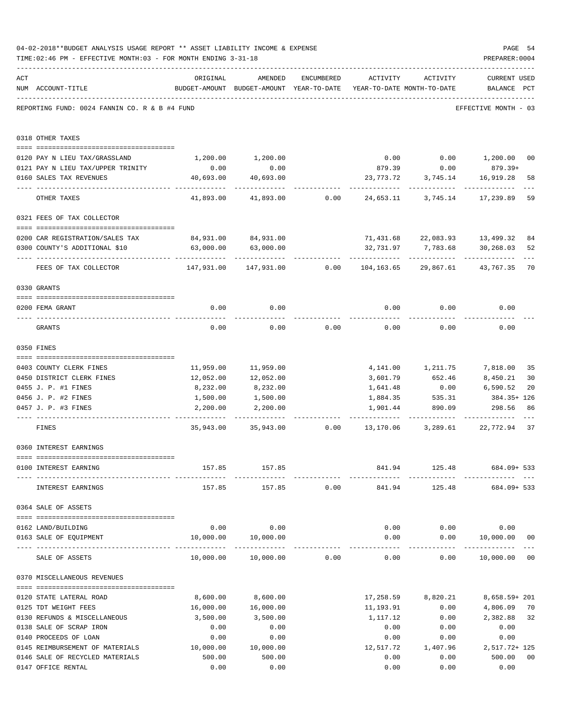|     | 04-02-2018**BUDGET ANALYSIS USAGE REPORT ** ASSET LIABILITY INCOME & EXPENSE<br>TIME: 02:46 PM - EFFECTIVE MONTH: 03 - FOR MONTH ENDING 3-31-18 |                                                                       |                                                                                |            |           |                      | PAGE 54<br>PREPARER: 0004          |                |
|-----|-------------------------------------------------------------------------------------------------------------------------------------------------|-----------------------------------------------------------------------|--------------------------------------------------------------------------------|------------|-----------|----------------------|------------------------------------|----------------|
| ACT | NUM ACCOUNT-TITLE                                                                                                                               | ORIGINAL                                                              | AMENDED<br>BUDGET-AMOUNT BUDGET-AMOUNT YEAR-TO-DATE YEAR-TO-DATE MONTH-TO-DATE | ENCUMBERED | ACTIVITY  | ACTIVITY             | <b>CURRENT USED</b><br>BALANCE PCT |                |
|     | REPORTING FUND: 0024 FANNIN CO. R & B #4 FUND                                                                                                   |                                                                       |                                                                                |            |           |                      | EFFECTIVE MONTH - 03               |                |
|     | 0318 OTHER TAXES                                                                                                                                |                                                                       |                                                                                |            |           |                      |                                    |                |
|     |                                                                                                                                                 |                                                                       |                                                                                |            |           |                      | $0.00$ $0.00$ $1,200.00$           |                |
|     | 0120 PAY N LIEU TAX/GRASSLAND<br>0121 PAY N LIEU TAX/UPPER TRINITY                                                                              | 0.00                                                                  | 1,200.00 1,200.00<br>0.00                                                      |            |           | 879.39 0.00          | 879.39+                            | 00             |
|     | 0160 SALES TAX REVENUES                                                                                                                         | 40,693.00                                                             | 40,693.00                                                                      |            | 23,773.72 | 3,745.14             | 16,919.28                          | 58             |
|     |                                                                                                                                                 | ------------                                                          |                                                                                |            |           |                      |                                    |                |
|     | OTHER TAXES                                                                                                                                     | 41,893.00                                                             | 41,893.00                                                                      | 0.00       |           |                      | 24,653.11 3,745.14 17,239.89       | 59             |
|     | 0321 FEES OF TAX COLLECTOR                                                                                                                      |                                                                       |                                                                                |            |           |                      |                                    |                |
|     | 0200 CAR REGISTRATION/SALES TAX                                                                                                                 |                                                                       | 84,931.00 84,931.00                                                            |            |           |                      | 71,431.68 22,083.93 13,499.32      | 84             |
|     | 0300 COUNTY'S ADDITIONAL \$10                                                                                                                   | 63,000.00                                                             | 63,000.00                                                                      |            | 32,731.97 | 7,783.68             | 30,268.03                          | 52             |
|     |                                                                                                                                                 |                                                                       |                                                                                |            |           |                      |                                    |                |
|     | FEES OF TAX COLLECTOR                                                                                                                           | $147,931.00$ $147,931.00$ $0.00$ $104,163.65$ $29,867.61$ $43,767.35$ |                                                                                |            |           |                      |                                    | 70             |
|     | 0330 GRANTS                                                                                                                                     |                                                                       |                                                                                |            |           |                      |                                    |                |
|     |                                                                                                                                                 |                                                                       |                                                                                |            |           |                      |                                    |                |
|     | 0200 FEMA GRANT                                                                                                                                 | 0.00                                                                  | 0.00                                                                           |            | 0.00      | 0.00                 | 0.00                               |                |
|     | GRANTS                                                                                                                                          | 0.00                                                                  | 0.00                                                                           | 0.00       | 0.00      | 0.00                 | 0.00                               |                |
|     | 0350 FINES                                                                                                                                      |                                                                       |                                                                                |            |           |                      |                                    |                |
|     | 0403 COUNTY CLERK FINES                                                                                                                         |                                                                       | 11,959.00 11,959.00                                                            |            |           | 4, 141.00 1, 211.75  | 7,818.00                           | 35             |
|     | 0450 DISTRICT CLERK FINES                                                                                                                       | 12,052.00                                                             | 12,052.00                                                                      |            |           | 3,601.79 652.46      | 8,450.21                           | 30             |
|     | 0455 J. P. #1 FINES                                                                                                                             | 8,232.00                                                              | 8,232.00                                                                       |            | 1,641.48  | 0.00                 | 6,590.52                           | 20             |
|     | 0456 J. P. #2 FINES                                                                                                                             | 1,500.00                                                              | 1,500.00                                                                       |            | 1,884.35  | 535.31               | 384.35+ 126                        |                |
|     | 0457 J. P. #3 FINES                                                                                                                             | 2,200.00                                                              | 2,200.00                                                                       |            | 1,901.44  | 890.09               | 298.56                             | 86             |
|     | FINES                                                                                                                                           |                                                                       | 35,943.00 35,943.00 0.00 13,170.06 3,289.61 22,772.94                          |            |           |                      |                                    | 37             |
|     | 0360 INTEREST EARNINGS                                                                                                                          |                                                                       |                                                                                |            |           |                      |                                    |                |
|     |                                                                                                                                                 |                                                                       |                                                                                |            |           |                      |                                    |                |
|     | 0100 INTEREST EARNING                                                                                                                           |                                                                       | 157.85 157.85                                                                  |            |           |                      | 841.94 125.48 684.09+533           |                |
|     | INTEREST EARNINGS                                                                                                                               |                                                                       | 157.85 157.85 0.00                                                             |            | 841.94    |                      | 125.48 684.09+ 533                 |                |
|     | 0364 SALE OF ASSETS                                                                                                                             |                                                                       |                                                                                |            |           |                      |                                    |                |
|     | 0162 LAND/BUILDING                                                                                                                              |                                                                       | $0.00$ 0.00                                                                    |            |           |                      | $0.00$ $0.00$ $0.00$               |                |
|     | 0163 SALE OF EQUIPMENT                                                                                                                          |                                                                       | 10,000.00  10,000.00                                                           |            |           |                      | $0.00$ $0.00$ $10,000.00$          | 0 <sub>0</sub> |
|     | SALE OF ASSETS                                                                                                                                  |                                                                       | 10,000.00    10,000.00    0.00                                                 |            |           | ------------<br>0.00 | $0.00$ 10,000.00 00                |                |
|     | 0370 MISCELLANEOUS REVENUES                                                                                                                     |                                                                       |                                                                                |            |           |                      |                                    |                |
|     |                                                                                                                                                 |                                                                       |                                                                                |            |           |                      |                                    |                |
|     | 0120 STATE LATERAL ROAD                                                                                                                         | 8,600.00                                                              | 8,600.00                                                                       |            |           | 17,258.59 8,820.21   | 8,658.59+ 201                      |                |
|     | 0125 TDT WEIGHT FEES                                                                                                                            | 16,000.00                                                             | 16,000.00                                                                      |            | 11,193.91 | 0.00                 | 4,806.09                           | 70             |
|     | 0130 REFUNDS & MISCELLANEOUS                                                                                                                    | 3,500.00                                                              | 3,500.00                                                                       |            | 1,117.12  | 0.00                 | 2,382.88                           | 32             |
|     | 0138 SALE OF SCRAP IRON                                                                                                                         | 0.00                                                                  | 0.00                                                                           |            | 0.00      | 0.00                 | 0.00                               |                |
|     | 0140 PROCEEDS OF LOAN                                                                                                                           | 0.00                                                                  | 0.00<br>10,000.00                                                              |            | 0.00      | 0.00<br>1,407.96     | 0.00                               |                |
|     | 0145 REIMBURSEMENT OF MATERIALS 10,000.00                                                                                                       |                                                                       |                                                                                |            | 12,517.72 |                      | 2,517.72+ 125                      |                |
|     | 0146 SALE OF RECYCLED MATERIALS                                                                                                                 | 500.00<br>0.00                                                        | 500.00<br>0.00                                                                 |            | 0.00      | 0.00                 | 500.00                             | 0 <sub>0</sub> |
|     | 0147 OFFICE RENTAL                                                                                                                              |                                                                       |                                                                                |            | 0.00      | 0.00                 | 0.00                               |                |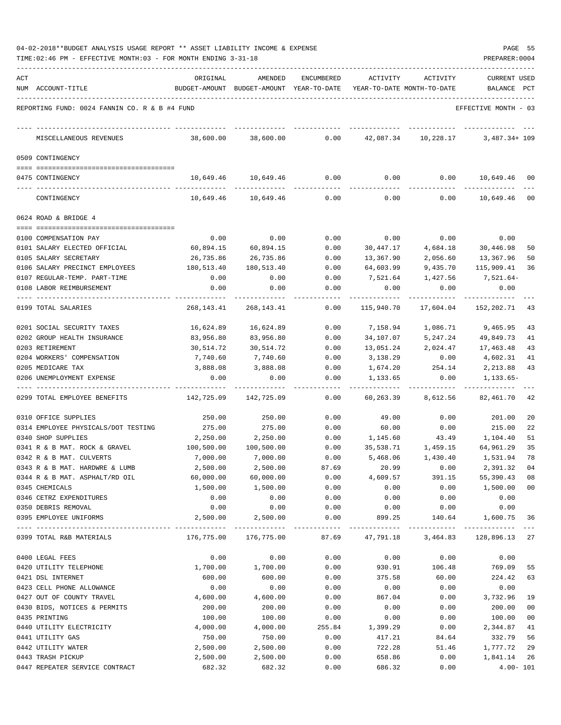| 04-02-2018**BUDGET ANALYSIS USAGE REPORT ** ASSET LIABILITY INCOME & EXPENSE |  |  |  | PAGE |  |
|------------------------------------------------------------------------------|--|--|--|------|--|
|                                                                              |  |  |  |      |  |

| ACT |                                               | ORIGINAL      | AMENDED                    | <b>ENCUMBERED</b> | ACTIVITY   | ACTIVITY                   | <b>CURRENT USED</b>    |              |
|-----|-----------------------------------------------|---------------|----------------------------|-------------------|------------|----------------------------|------------------------|--------------|
|     | NUM ACCOUNT-TITLE                             | BUDGET-AMOUNT | BUDGET-AMOUNT YEAR-TO-DATE |                   |            | YEAR-TO-DATE MONTH-TO-DATE | BALANCE                | PCT          |
|     | REPORTING FUND: 0024 FANNIN CO. R & B #4 FUND |               |                            |                   |            |                            | EFFECTIVE MONTH - 03   |              |
|     | MISCELLANEOUS REVENUES                        | 38,600.00     | 38,600.00                  | 0.00              | 42,087.34  | 10,228.17                  | $3,487.34 + 109$       |              |
|     | 0509 CONTINGENCY                              |               |                            |                   |            |                            |                        |              |
|     |                                               |               |                            |                   |            |                            |                        |              |
|     | 0475 CONTINGENCY                              | 10,649.46     | 10,649.46                  | 0.00              | 0.00       | 0.00                       | 10,649.46              | 00           |
|     | CONTINGENCY                                   | 10,649.46     | 10,649.46                  | 0.00              | 0.00       | 0.00                       | 10,649.46              | $_{00}$      |
|     | 0624 ROAD & BRIDGE 4                          |               |                            |                   |            |                            |                        |              |
|     |                                               |               |                            |                   |            |                            |                        |              |
|     | 0100 COMPENSATION PAY                         | 0.00          | 0.00                       | 0.00              | 0.00       | 0.00                       | 0.00                   |              |
|     | 0101 SALARY ELECTED OFFICIAL                  | 60,894.15     | 60,894.15                  | 0.00              | 30,447.17  | 4,684.18                   | 30,446.98              | 50           |
|     | 0105 SALARY SECRETARY                         | 26,735.86     | 26,735.86                  | 0.00              | 13,367.90  | 2,056.60                   | 13,367.96              | 50           |
|     | 0106 SALARY PRECINCT EMPLOYEES                | 180,513.40    | 180,513.40                 | 0.00              | 64,603.99  | 9,435.70                   | 115,909.41             | 36           |
|     | 0107 REGULAR-TEMP. PART-TIME                  | 0.00          | 0.00                       | 0.00              | 7,521.64   | 1,427.56                   | 7,521.64-              |              |
|     | 0108 LABOR REIMBURSEMENT                      | 0.00          | 0.00                       | 0.00              | 0.00       | 0.00                       | 0.00                   |              |
|     | 0199 TOTAL SALARIES                           | 268,143.41    | 268, 143. 41               | 0.00              | 115,940.70 | 17,604.04                  | 152,202.71             | 43           |
|     | 0201 SOCIAL SECURITY TAXES                    | 16,624.89     | 16,624.89                  | 0.00              | 7,158.94   | 1,086.71                   | 9,465.95               | 43           |
|     | 0202 GROUP HEALTH INSURANCE                   | 83,956.80     | 83,956.80                  | 0.00              | 34,107.07  | 5,247.24                   | 49,849.73              | 41           |
|     | 0203 RETIREMENT                               | 30,514.72     | 30,514.72                  | 0.00              | 13,051.24  | 2,024.47                   | 17,463.48              | 43           |
|     | 0204 WORKERS' COMPENSATION                    | 7,740.60      | 7,740.60                   | 0.00              | 3,138.29   | 0.00                       | 4,602.31               | 41           |
|     | 0205 MEDICARE TAX                             | 3,888.08      | 3,888.08                   | 0.00              | 1,674.20   | 254.14                     | 2,213.88               | 43           |
|     | 0206 UNEMPLOYMENT EXPENSE                     | 0.00          | 0.00                       | 0.00              | 1,133.65   | 0.00                       | $1,133.65-$            |              |
|     | 0299 TOTAL EMPLOYEE BENEFITS                  | 142,725.09    | 142,725.09                 | 0.00              | 60,263.39  | 8,612.56                   | 82,461.70              | 42           |
|     | 0310 OFFICE SUPPLIES                          | 250.00        | 250.00                     | 0.00              | 49.00      | 0.00                       | 201.00                 | 20           |
|     | 0314 EMPLOYEE PHYSICALS/DOT TESTING           | 275.00        | 275.00                     | 0.00              | 60.00      | 0.00                       | 215.00                 | 22           |
|     | 0340 SHOP SUPPLIES                            | 2,250.00      | 2,250.00                   | 0.00              | 1,145.60   | 43.49                      | 1,104.40               | 51           |
|     | 0341 R & B MAT. ROCK & GRAVEL                 | 100,500.00    | 100,500.00                 | 0.00              | 35,538.71  | 1,459.15                   | 64,961.29              | 35           |
|     | 0342 R & B MAT. CULVERTS                      | 7,000.00      | 7,000.00                   | 0.00              | 5,468.06   | 1,430.40                   | 1,531.94               | 78           |
|     | 0343 R & B MAT. HARDWRE & LUMB                | 2,500.00      | 2,500.00                   | 87.69             | 20.99      | 0.00                       | 2,391.32               | 04           |
|     | 0344 R & B MAT. ASPHALT/RD OIL                | 60,000.00     | 60,000.00                  | 0.00              | 4,609.57   | 391.15                     | 55,390.43 08           |              |
|     | 0345 CHEMICALS                                | 1,500.00      | 1,500.00                   | 0.00              | 0.00       | 0.00                       | 1,500.00 00            |              |
|     | 0346 CETRZ EXPENDITURES                       | 0.00          | 0.00                       | 0.00              | 0.00       | 0.00                       | 0.00                   |              |
|     | 0350 DEBRIS REMOVAL                           | 0.00          | 0.00                       | 0.00              | 0.00       | 0.00                       | 0.00                   |              |
|     | 0395 EMPLOYEE UNIFORMS                        | 2,500.00      | 2,500.00                   | 0.00              | 899.25     | 140.64                     | 1,600.75               | 36           |
|     | 0399 TOTAL R&B MATERIALS                      | 176,775.00    | 176,775.00                 | 87.69             | 47,791.18  |                            | 3,464.83 128,896.13 27 |              |
|     | 0400 LEGAL FEES                               | 0.00          | 0.00                       | 0.00              | 0.00       | 0.00                       | 0.00                   |              |
|     | 0420 UTILITY TELEPHONE                        | 1,700.00      | 1,700.00                   | 0.00              | 930.91     | 106.48                     | 769.09                 | 55           |
|     | 0421 DSL INTERNET                             | 600.00        | 600.00                     | 0.00              | 375.58     | 60.00                      | 224.42                 | 63           |
|     | 0423 CELL PHONE ALLOWANCE                     | 0.00          | 0.00                       | 0.00              | 0.00       | 0.00                       | 0.00                   |              |
|     | 0427 OUT OF COUNTY TRAVEL                     | 4,600.00      | 4,600.00                   | 0.00              | 867.04     | 0.00                       | 3,732.96               | 19           |
|     | 0430 BIDS, NOTICES & PERMITS                  | 200.00        | 200.00                     | 0.00              | 0.00       | 0.00                       | 200.00                 | 00           |
|     | 0435 PRINTING                                 | 100.00        | 100.00                     | 0.00              | 0.00       | 0.00                       | 100.00                 | 00           |
|     | 0440 UTILITY ELECTRICITY                      | 4,000.00      | 4,000.00                   | 255.84            | 1,399.29   | 0.00                       | 2,344.87               | 41           |
|     | 0441 UTILITY GAS                              | 750.00        | 750.00                     | 0.00              | 417.21     | 84.64                      | 332.79                 | 56           |
|     | 0442 UTILITY WATER                            | 2,500.00      | 2,500.00                   | 0.00              | 722.28     | 51.46                      | 1,777.72               | 29           |
|     | 0443 TRASH PICKUP                             | 2,500.00      | 2,500.00                   | 0.00              | 658.86     | 0.00                       | 1,841.14               | 26           |
|     | 0447 REPEATER SERVICE CONTRACT                | 682.32        | 682.32                     | 0.00              | 686.32     | 0.00                       |                        | $4.00 - 101$ |
|     |                                               |               |                            |                   |            |                            |                        |              |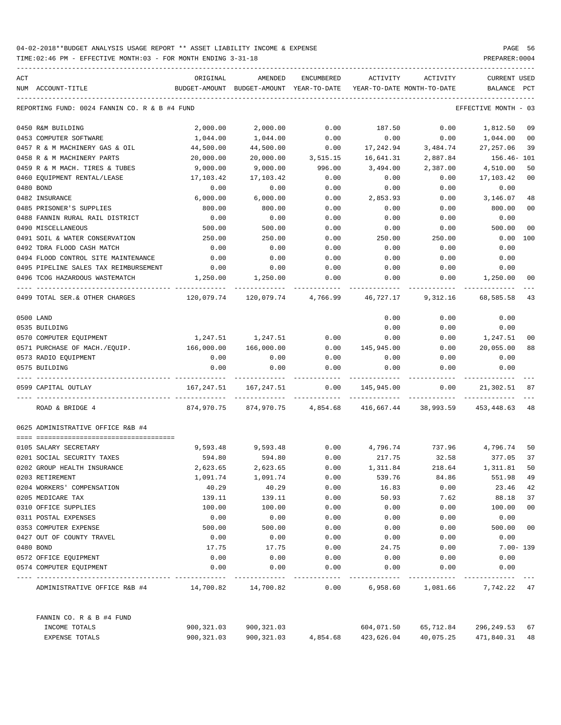| ACT |                                                  | ORIGINAL     | AMENDED                                  | <b>ENCUMBERED</b>   | ACTIVITY                   | ACTIVITY                      | <b>CURRENT USED</b> |        |
|-----|--------------------------------------------------|--------------|------------------------------------------|---------------------|----------------------------|-------------------------------|---------------------|--------|
|     | NUM ACCOUNT-TITLE                                |              | BUDGET-AMOUNT BUDGET-AMOUNT YEAR-TO-DATE |                     | YEAR-TO-DATE MONTH-TO-DATE |                               | BALANCE             | PCT    |
|     | REPORTING FUND: 0024 FANNIN CO. R & B #4 FUND    |              |                                          |                     |                            |                               | EFFECTIVE MONTH     | - 03   |
|     | 0450 R&M BUILDING                                | 2,000.00     | 2,000.00                                 | 0.00                | 187.50                     | 0.00                          | 1,812.50            | 09     |
|     | 0453 COMPUTER SOFTWARE                           | 1,044.00     | 1,044.00                                 | 0.00                | 0.00                       | 0.00                          | 1,044.00            | 00     |
|     | 0457 R & M MACHINERY GAS & OIL                   | 44,500.00    | 44,500.00                                | 0.00                | 17,242.94                  | 3,484.74                      | 27, 257.06          | 39     |
|     | 0458 R & M MACHINERY PARTS                       | 20,000.00    | 20,000.00                                | 3,515.15            | 16,641.31                  | 2,887.84                      | 156.46- 101         |        |
|     | 0459 R & M MACH. TIRES & TUBES                   | 9,000.00     | 9,000.00                                 | 996.00              | 3,494.00                   | 2,387.00                      | 4,510.00            | 50     |
|     | 0460 EQUIPMENT RENTAL/LEASE                      | 17,103.42    | 17,103.42                                | 0.00                | 0.00                       | 0.00                          | 17,103.42           | 00     |
|     | 0480 BOND                                        | 0.00         | 0.00                                     | 0.00                | 0.00                       | 0.00                          | 0.00                |        |
|     | 0482 INSURANCE                                   | 6,000.00     | 6,000.00                                 | 0.00                | 2,853.93                   | 0.00                          | 3,146.07            | 48     |
|     | 0485 PRISONER'S SUPPLIES                         | 800.00       | 800.00                                   | 0.00                | 0.00                       | 0.00                          | 800.00              | 00     |
|     | 0488 FANNIN RURAL RAIL DISTRICT                  | 0.00         | 0.00                                     | 0.00                | 0.00                       | 0.00                          | 0.00                |        |
|     | 0490 MISCELLANEOUS                               | 500.00       | 500.00                                   | 0.00                | 0.00                       | 0.00                          | 500.00              | 00     |
|     | 0491 SOIL & WATER CONSERVATION                   | 250.00       | 250.00                                   | 0.00                | 250.00                     | 250.00                        | 0.00                | 100    |
|     | 0492 TDRA FLOOD CASH MATCH                       | 0.00         | 0.00                                     | 0.00                | 0.00                       | 0.00                          | 0.00                |        |
|     | 0494 FLOOD CONTROL SITE MAINTENANCE              | 0.00         | 0.00                                     | 0.00                | 0.00                       | 0.00                          | 0.00                |        |
|     |                                                  |              |                                          |                     |                            |                               |                     |        |
|     | 0495 PIPELINE SALES TAX REIMBURSEMENT            | 0.00         | 0.00                                     | 0.00                | 0.00                       | 0.00                          | 0.00                |        |
|     | 0496 TCOG HAZARDOUS WASTEMATCH                   | 1,250.00     | 1,250.00                                 | 0.00                | 0.00                       | 0.00                          | 1,250.00            | 00     |
|     | 0499 TOTAL SER. & OTHER CHARGES                  | 120,079.74   |                                          | 120,079.74 4,766.99 | 46,727.17                  | 9,312.16                      | 68,585.58           | 43     |
|     | 0500 LAND                                        |              |                                          |                     | 0.00                       | 0.00                          | 0.00                |        |
|     | 0535 BUILDING                                    |              |                                          |                     | 0.00                       | 0.00                          | 0.00                |        |
|     | 0570 COMPUTER EQUIPMENT                          | 1,247.51     | 1,247.51                                 | 0.00                | 0.00                       | 0.00                          | 1,247.51            | 00     |
|     | 0571 PURCHASE OF MACH./EQUIP.                    | 166,000.00   | 166,000.00                               | 0.00                | 145,945.00                 | 0.00                          | 20,055.00           | 88     |
|     | 0573 RADIO EQUIPMENT                             | 0.00         | 0.00                                     | 0.00                | 0.00                       | 0.00                          | 0.00                |        |
|     | 0575 BUILDING                                    | 0.00         | 0.00                                     | 0.00                | 0.00                       | 0.00                          | 0.00                |        |
|     | 0599 CAPITAL OUTLAY                              | 167,247.51   | 167,247.51                               | 0.00                | 145,945.00                 | 0.00                          | 21,302.51           | 87     |
|     | ROAD & BRIDGE 4                                  | 874,970.75   | 874,970.75                               | 4,854.68            | 416,667.44                 | 38,993.59                     | 453,448.63          | 48     |
|     | 0625 ADMINISTRATIVE OFFICE R&B #4                |              |                                          |                     |                            |                               |                     |        |
|     | 0105 SALARY SECRETARY                            | 9,593.48     | 9,593.48                                 | 0.00                | 4,796.74                   | 737.96                        | 4,796.74            | 50     |
|     | 0201 SOCIAL SECURITY TAXES                       | 594.80       | 594.80                                   | 0.00                | 217.75                     | 32.58                         | 377.05              | 37     |
|     | 0202 GROUP HEALTH INSURANCE                      | 2,623.65     | 2,623.65                                 | 0.00                | 1,311.84                   | 218.64                        | 1,311.81            | 50     |
|     | 0203 RETIREMENT                                  | 1,091.74     | 1,091.74                                 | 0.00                | 539.76                     | 84.86                         | 551.98              | 49     |
|     | 0204 WORKERS' COMPENSATION                       | 40.29        | 40.29                                    | 0.00                | 16.83                      | 0.00                          | 23.46               | 42     |
|     | 0205 MEDICARE TAX                                | 139.11       | 139.11                                   | 0.00                | 50.93                      | 7.62                          | 88.18               | 37     |
|     | 0310 OFFICE SUPPLIES                             | 100.00       | 100.00                                   | 0.00                | 0.00                       | 0.00                          | 100.00              | 00     |
|     | 0311 POSTAL EXPENSES                             | 0.00         | 0.00                                     | 0.00                | 0.00                       | 0.00                          | 0.00                |        |
|     | 0353 COMPUTER EXPENSE                            | 500.00       | 500.00                                   | 0.00                | 0.00                       | 0.00                          | 500.00              | $00\,$ |
|     | 0427 OUT OF COUNTY TRAVEL                        | 0.00         | 0.00                                     | 0.00                | 0.00                       | 0.00                          | 0.00                |        |
|     | 0480 BOND                                        |              |                                          |                     |                            |                               |                     |        |
|     |                                                  | 17.75        | 17.75                                    | 0.00                | 24.75                      | 0.00                          | $7.00 - 139$        |        |
|     | 0572 OFFICE EQUIPMENT<br>0574 COMPUTER EQUIPMENT | 0.00<br>0.00 | 0.00<br>0.00                             | 0.00<br>0.00        | 0.00<br>0.00               | 0.00<br>0.00                  | 0.00<br>0.00        |        |
|     |                                                  |              |                                          |                     |                            |                               |                     |        |
|     | ADMINISTRATIVE OFFICE R&B #4 14,700.82 14,700.82 |              |                                          | 0.00                |                            | 6,958.60 1,081.66 7,742.22 47 |                     |        |
|     | FANNIN CO. R & B #4 FUND                         |              |                                          |                     |                            |                               |                     |        |
|     | INCOME TOTALS                                    | 900,321.03   | 900,321.03                               |                     | 604,071.50                 | 65,712.84                     | 296,249.53          | 67     |
|     | EXPENSE TOTALS                                   | 900,321.03   | 900,321.03                               | 4,854.68            | 423,626.04                 | 40,075.25                     | 471,840.31          | 48     |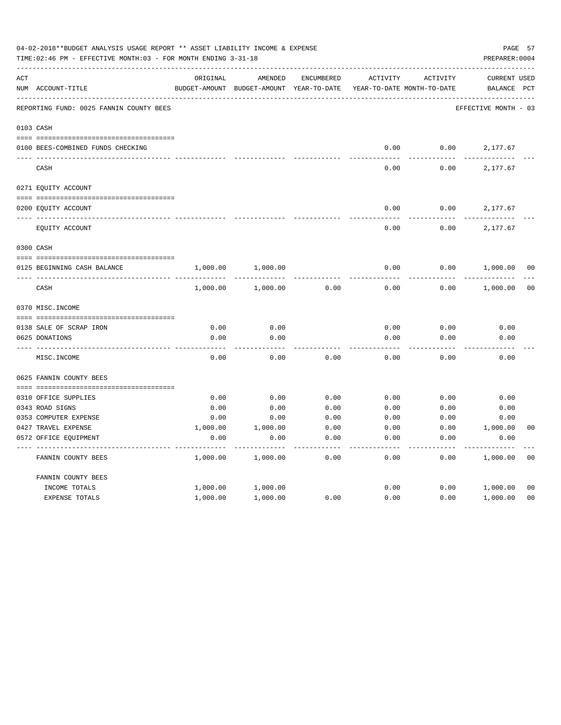|     | 04-02-2018**BUDGET ANALYSIS USAGE REPORT ** ASSET LIABILITY INCOME & EXPENSE<br>TIME: 02:46 PM - EFFECTIVE MONTH: 03 - FOR MONTH ENDING 3-31-18 |               |               |                   |                            |          | PREPARER: 0004       | PAGE 57        |
|-----|-------------------------------------------------------------------------------------------------------------------------------------------------|---------------|---------------|-------------------|----------------------------|----------|----------------------|----------------|
| ACT |                                                                                                                                                 | ORIGINAL      | AMENDED       | <b>ENCUMBERED</b> | ACTIVITY                   | ACTIVITY | <b>CURRENT USED</b>  |                |
|     | NUM ACCOUNT-TITLE                                                                                                                               | BUDGET-AMOUNT | BUDGET-AMOUNT | YEAR-TO-DATE      | YEAR-TO-DATE MONTH-TO-DATE |          | BALANCE              | PCT            |
|     | REPORTING FUND: 0025 FANNIN COUNTY BEES                                                                                                         |               |               |                   |                            |          | EFFECTIVE MONTH - 03 |                |
|     | 0103 CASH                                                                                                                                       |               |               |                   |                            |          |                      |                |
|     | 0100 BEES-COMBINED FUNDS CHECKING                                                                                                               |               |               |                   | 0.00                       | 0.00     | 2,177.67             |                |
|     | CASH                                                                                                                                            |               |               |                   | 0.00                       | 0.00     | 2,177.67             |                |
|     | 0271 EQUITY ACCOUNT                                                                                                                             |               |               |                   |                            |          |                      |                |
|     |                                                                                                                                                 |               |               |                   |                            |          |                      |                |
|     | 0200 EQUITY ACCOUNT                                                                                                                             |               |               |                   | 0.00                       | 0.00     | 2,177.67             |                |
|     | EQUITY ACCOUNT                                                                                                                                  |               |               |                   | 0.00                       | 0.00     | 2,177.67             |                |
|     | 0300 CASH                                                                                                                                       |               |               |                   |                            |          |                      |                |
|     | 0125 BEGINNING CASH BALANCE                                                                                                                     | 1,000.00      | 1,000.00      |                   | 0.00                       | 0.00     | 1,000.00             | 00             |
|     | $\mbox{CASH}$                                                                                                                                   | 1,000.00      | 1,000.00      | 0.00              | 0.00                       | 0.00     | 1,000.00             | 0 <sub>0</sub> |
|     | 0370 MISC. INCOME                                                                                                                               |               |               |                   |                            |          |                      |                |
|     | 0138 SALE OF SCRAP IRON                                                                                                                         | 0.00          | 0.00          |                   | 0.00                       | 0.00     | 0.00                 |                |
|     | 0625 DONATIONS                                                                                                                                  | 0.00          | 0.00          |                   | 0.00                       | 0.00     | 0.00                 |                |
|     | MISC. INCOME                                                                                                                                    | 0.00          | 0.00          | 0.00              | 0.00                       | 0.00     | 0.00                 |                |
|     | 0625 FANNIN COUNTY BEES                                                                                                                         |               |               |                   |                            |          |                      |                |
|     | 0310 OFFICE SUPPLIES                                                                                                                            | 0.00          | 0.00          | 0.00              | 0.00                       | 0.00     | 0.00                 |                |
|     | 0343 ROAD SIGNS                                                                                                                                 | 0.00          | 0.00          | 0.00              | 0.00                       | 0.00     | 0.00                 |                |
|     | 0353 COMPUTER EXPENSE                                                                                                                           | 0.00          | 0.00          | 0.00              | 0.00                       | 0.00     | 0.00                 |                |
|     | 0427 TRAVEL EXPENSE                                                                                                                             | 1,000.00      | 1,000.00      | 0.00              | 0.00                       | 0.00     | 1,000.00             | 0 <sub>0</sub> |
|     | 0572 OFFICE EQUIPMENT                                                                                                                           | 0.00          | 0.00          | 0.00              | 0.00                       | 0.00     | 0.00                 |                |
|     | FANNIN COUNTY BEES                                                                                                                              | 1,000.00      | 1,000.00      | 0.00              | 0.00                       | 0.00     | 1,000.00             | 0 <sub>0</sub> |
|     | FANNIN COUNTY BEES                                                                                                                              |               |               |                   |                            |          |                      |                |
|     | INCOME TOTALS                                                                                                                                   | 1,000.00      | 1,000.00      |                   | 0.00                       | 0.00     | 1,000.00             | 00             |
|     | <b>EXPENSE TOTALS</b>                                                                                                                           | 1,000.00      | 1,000.00      | 0.00              | 0.00                       | 0.00     | 1,000.00             | 0 <sub>0</sub> |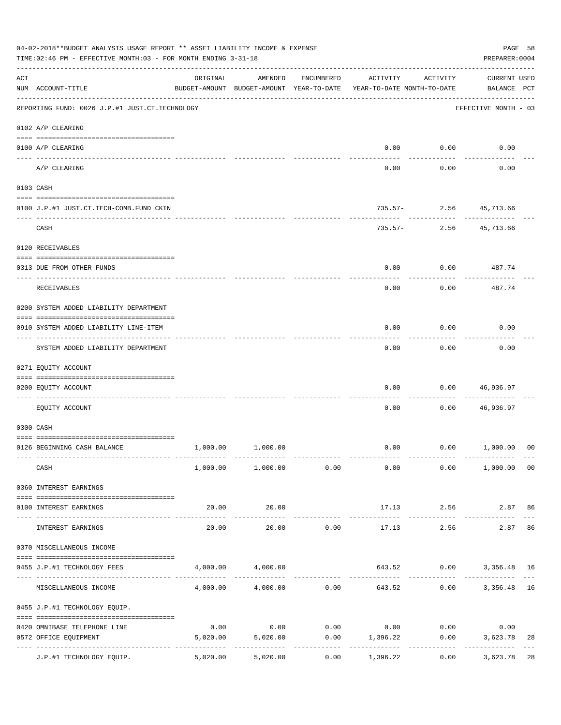|                    | 04-02-2018**BUDGET ANALYSIS USAGE REPORT ** ASSET LIABILITY INCOME & EXPENSE<br>TIME: 02:46 PM - EFFECTIVE MONTH: 03 - FOR MONTH ENDING 3-31-18 |                                                      |                                  |                       |                                                         |                          | PAGE 58<br>PREPARER: 0004          |                |
|--------------------|-------------------------------------------------------------------------------------------------------------------------------------------------|------------------------------------------------------|----------------------------------|-----------------------|---------------------------------------------------------|--------------------------|------------------------------------|----------------|
| $\mathop{\rm ACT}$ | NUM ACCOUNT-TITLE                                                                                                                               | ORIGINAL<br>BUDGET-AMOUNT BUDGET-AMOUNT YEAR-TO-DATE | AMENDED                          | ENCUMBERED            | ACTIVITY<br>YEAR-TO-DATE MONTH-TO-DATE                  | ACTIVITY                 | <b>CURRENT USED</b><br>BALANCE PCT |                |
|                    | REPORTING FUND: 0026 J.P.#1 JUST.CT.TECHNOLOGY                                                                                                  |                                                      |                                  |                       |                                                         |                          | EFFECTIVE MONTH - 03               |                |
|                    | 0102 A/P CLEARING                                                                                                                               |                                                      |                                  |                       |                                                         |                          |                                    |                |
|                    | 0100 A/P CLEARING                                                                                                                               |                                                      |                                  |                       | 0.00                                                    | 0.00                     | 0.00                               |                |
|                    | ---- --------<br>A/P CLEARING                                                                                                                   |                                                      |                                  |                       | 0.00                                                    | 0.00                     | 0.00                               |                |
|                    | 0103 CASH                                                                                                                                       |                                                      |                                  |                       |                                                         |                          |                                    |                |
|                    | 0100 J.P.#1 JUST.CT.TECH-COMB.FUND CKIN                                                                                                         |                                                      |                                  |                       |                                                         | 735.57- 2.56 45,713.66   |                                    |                |
|                    | CASH                                                                                                                                            |                                                      |                                  |                       | 735.57-                                                 | -----------              | 2.56 45,713.66                     |                |
|                    | 0120 RECEIVABLES                                                                                                                                |                                                      |                                  |                       |                                                         |                          |                                    |                |
|                    | 0313 DUE FROM OTHER FUNDS                                                                                                                       |                                                      |                                  |                       | 0.00                                                    |                          | $0.00$ 487.74                      |                |
|                    | RECEIVABLES                                                                                                                                     |                                                      |                                  |                       | 0.00                                                    | 0.00                     | ----------<br>487.74               |                |
|                    | 0200 SYSTEM ADDED LIABILITY DEPARTMENT                                                                                                          |                                                      |                                  |                       |                                                         |                          |                                    |                |
|                    | 0910 SYSTEM ADDED LIABILITY LINE-ITEM                                                                                                           |                                                      |                                  |                       | 0.00                                                    | 0.00                     | 0.00                               |                |
|                    | SYSTEM ADDED LIABILITY DEPARTMENT                                                                                                               |                                                      |                                  |                       | 0.00                                                    | 0.00                     | 0.00                               |                |
|                    | 0271 EQUITY ACCOUNT                                                                                                                             |                                                      |                                  |                       |                                                         |                          |                                    |                |
|                    | 0200 EQUITY ACCOUNT                                                                                                                             |                                                      |                                  |                       | 0.00                                                    | 0.00                     | 46,936.97                          |                |
|                    | EQUITY ACCOUNT                                                                                                                                  |                                                      |                                  |                       | 0.00                                                    | 0.00                     | 46,936.97                          |                |
|                    | 0300 CASH                                                                                                                                       |                                                      |                                  |                       |                                                         |                          |                                    |                |
|                    | 0126 BEGINNING CASH BALANCE                                                                                                                     |                                                      | 1,000.00 1,000.00                |                       |                                                         | $0.00$ $0.00$ $1,000.00$ |                                    | 0 <sup>0</sup> |
|                    | CASH                                                                                                                                            |                                                      | $1,000.00$ $1,000.00$ $0.00$     |                       | 0.00                                                    |                          | $0.00$ 1,000.00 00                 |                |
|                    | 0360 INTEREST EARNINGS                                                                                                                          |                                                      |                                  |                       |                                                         |                          |                                    |                |
|                    | 0100 INTEREST EARNINGS                                                                                                                          | 20.00                                                | 20.00                            |                       |                                                         | 17.13 2.56               | 2.87 86                            |                |
|                    | INTEREST EARNINGS                                                                                                                               | ------------------- --------------<br>20.00          | -------------<br>20.00           | 0.00                  | 17.13                                                   | 2.56                     | 2.87                               | 86             |
|                    | 0370 MISCELLANEOUS INCOME                                                                                                                       |                                                      |                                  |                       |                                                         |                          |                                    |                |
|                    | 0455 J.P.#1 TECHNOLOGY FEES                                                                                                                     |                                                      | 4,000.00 4,000.00                |                       |                                                         | 643.52 0.00 3,356.48 16  |                                    |                |
|                    | MISCELLANEOUS INCOME                                                                                                                            | -------------- -------------                         |                                  | ------------          | $4,000.00$ $4,000.00$ $0.00$ $643.52$ $0.00$ $3,356.48$ |                          |                                    | 16             |
|                    | 0455 J.P.#1 TECHNOLOGY EQUIP.                                                                                                                   |                                                      |                                  |                       |                                                         |                          |                                    |                |
|                    | 0420 OMNIBASE TELEPHONE LINE                                                                                                                    | 0.00                                                 |                                  |                       | $0.00$ $0.00$ $0.00$ $0.00$ $0.00$                      |                          | 0.00                               |                |
|                    | 0572 OFFICE EQUIPMENT                                                                                                                           |                                                      | 5,020.00 5,020.00<br>----------- | . _ _ _ _ _ _ _ _ _ _ | $0.00$ 1,396.22<br>-----------                          | 0.00<br>------------     | 3,623.78<br>------------           | 28             |
|                    | J.P.#1 TECHNOLOGY EQUIP.                                                                                                                        | 5,020.00                                             | 5,020.00                         | 0.00                  | 1,396.22                                                | 0.00                     | 3,623.78                           | 28             |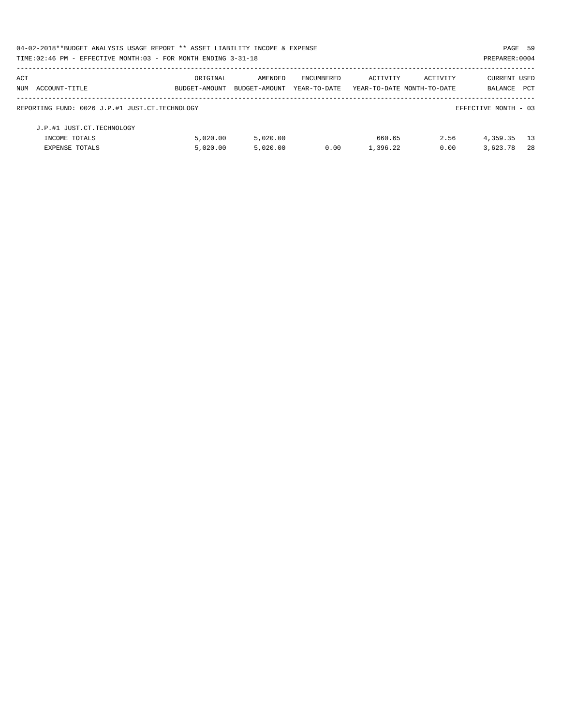|     | 04-02-2018**BUDGET ANALYSIS USAGE REPORT ** ASSET LIABILITY INCOME & EXPENSE |               |               |              |                            |          | PAGE 59              |            |
|-----|------------------------------------------------------------------------------|---------------|---------------|--------------|----------------------------|----------|----------------------|------------|
|     | TIME: 02:46 PM - EFFECTIVE MONTH: 03 - FOR MONTH ENDING 3-31-18              |               |               |              |                            |          | PREPARER: 0004       |            |
| ACT |                                                                              | ORIGINAL      | AMENDED       | ENCUMBERED   | ACTIVITY                   | ACTIVITY | <b>CURRENT USED</b>  |            |
|     | NUM ACCOUNT-TITLE                                                            | BUDGET-AMOUNT | BUDGET-AMOUNT | YEAR-TO-DATE | YEAR-TO-DATE MONTH-TO-DATE |          | BALANCE              | <b>PCT</b> |
|     | REPORTING FUND: 0026 J.P.#1 JUST.CT.TECHNOLOGY                               |               |               |              |                            |          | EFFECTIVE MONTH - 03 |            |
|     | J.P.#1 JUST.CT.TECHNOLOGY                                                    |               |               |              |                            |          |                      |            |
|     | INCOME TOTALS                                                                | 5.020.00      | 5.020.00      |              | 660.65                     | 2.56     | 4,359.35             | - 13       |
|     | <b>EXPENSE TOTALS</b>                                                        | 5,020.00      | 5.020.00      | 0.00         | 1,396.22                   | 0.00     | 3,623.78             | 28         |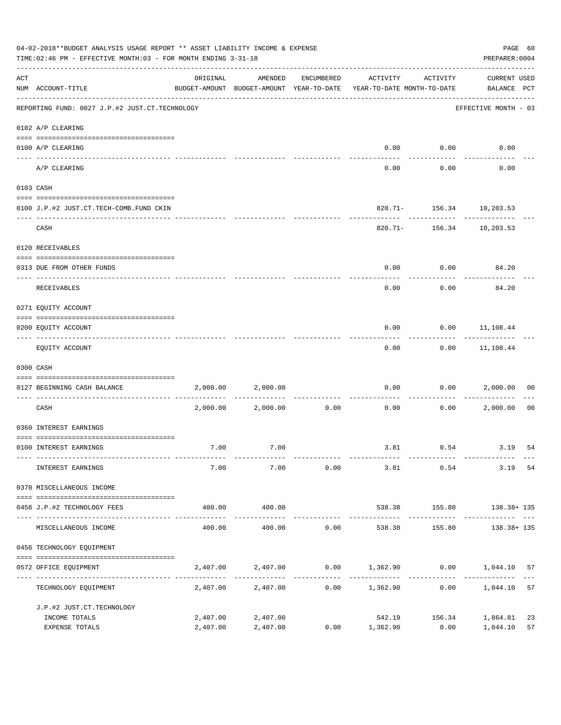|     | 04-02-2018**BUDGET ANALYSIS USAGE REPORT ** ASSET LIABILITY INCOME & EXPENSE<br>TIME: 02:46 PM - EFFECTIVE MONTH: 03 - FOR MONTH ENDING 3-31-18 |                      |                                                     |              |                                                           |                                       |                                    |                |  |  |
|-----|-------------------------------------------------------------------------------------------------------------------------------------------------|----------------------|-----------------------------------------------------|--------------|-----------------------------------------------------------|---------------------------------------|------------------------------------|----------------|--|--|
| ACT | NUM ACCOUNT-TITLE                                                                                                                               | ORIGINAL             | AMENDED<br>BUDGET-AMOUNT BUDGET-AMOUNT YEAR-TO-DATE | ENCUMBERED   | ACTIVITY<br>YEAR-TO-DATE MONTH-TO-DATE                    | ACTIVITY                              | <b>CURRENT USED</b><br>BALANCE PCT |                |  |  |
|     | REPORTING FUND: 0027 J.P.#2 JUST.CT.TECHNOLOGY                                                                                                  |                      |                                                     |              |                                                           |                                       | EFFECTIVE MONTH - 03               |                |  |  |
|     | 0102 A/P CLEARING                                                                                                                               |                      |                                                     |              |                                                           |                                       |                                    |                |  |  |
|     | 0100 A/P CLEARING<br>---- ---------                                                                                                             |                      |                                                     |              | 0.00                                                      | 0.00                                  | 0.00                               |                |  |  |
|     | A/P CLEARING                                                                                                                                    |                      |                                                     |              | 0.00                                                      | 0.00                                  | 0.00                               |                |  |  |
|     | 0103 CASH                                                                                                                                       |                      |                                                     |              |                                                           |                                       |                                    |                |  |  |
|     | 0100 J.P.#2 JUST.CT.TECH-COMB.FUND CKIN                                                                                                         |                      |                                                     |              |                                                           | 820.71- 156.34 10,203.53              |                                    |                |  |  |
|     | CASH                                                                                                                                            |                      |                                                     |              |                                                           | ---------<br>820.71- 156.34 10,203.53 |                                    |                |  |  |
|     | 0120 RECEIVABLES                                                                                                                                |                      |                                                     |              |                                                           |                                       |                                    |                |  |  |
|     | 0313 DUE FROM OTHER FUNDS                                                                                                                       |                      |                                                     |              | 0.00                                                      | 0.00                                  | 84.20                              |                |  |  |
|     | RECEIVABLES                                                                                                                                     |                      |                                                     |              | 0.00                                                      | 0.00                                  | 84.20                              |                |  |  |
|     | 0271 EQUITY ACCOUNT                                                                                                                             |                      |                                                     |              |                                                           |                                       |                                    |                |  |  |
|     | 0200 EQUITY ACCOUNT                                                                                                                             |                      |                                                     |              | 0.00                                                      |                                       | $0.00$ 11,108.44                   |                |  |  |
|     | EQUITY ACCOUNT                                                                                                                                  |                      |                                                     |              | 0.00                                                      |                                       | $0.00$ 11,108.44                   |                |  |  |
|     | 0300 CASH                                                                                                                                       |                      |                                                     |              |                                                           |                                       |                                    |                |  |  |
|     | 0127 BEGINNING CASH BALANCE                                                                                                                     | 2,000.00             | 2,000.00                                            |              | 0.00                                                      | 0.00                                  | 2,000.00                           | 00             |  |  |
|     | CASH                                                                                                                                            | 2,000.00             | 2,000.00                                            | 0.00         | 0.00                                                      | 0.00                                  | 2,000.00                           | 0 <sub>0</sub> |  |  |
|     | 0360 INTEREST EARNINGS                                                                                                                          |                      |                                                     |              |                                                           |                                       |                                    |                |  |  |
|     | 0100 INTEREST EARNINGS                                                                                                                          | 7.00                 | 7.00                                                |              |                                                           |                                       | 3.81 0.54 3.19                     | 54             |  |  |
|     | INTEREST EARNINGS                                                                                                                               | 7.00                 | 7.00                                                | 0.00         |                                                           | 3.81 0.54                             | 3.19                               | 54             |  |  |
|     | 0370 MISCELLANEOUS INCOME                                                                                                                       |                      |                                                     |              |                                                           |                                       |                                    |                |  |  |
|     | 0456 J.P.#2 TECHNOLOGY FEES                                                                                                                     | 400.00               | 400.00                                              |              |                                                           |                                       | 538.38 155.80 138.38+135           |                |  |  |
|     | MISCELLANEOUS INCOME                                                                                                                            | 400.00               | 400.00                                              | 0.00         | 538.38                                                    |                                       | 155.80 138.38+135                  |                |  |  |
|     | 0456 TECHNOLOGY EQUIPMENT                                                                                                                       |                      |                                                     |              |                                                           |                                       |                                    |                |  |  |
|     | 0572 OFFICE EQUIPMENT                                                                                                                           |                      |                                                     |              | $2,407.00$ $2,407.00$ $0.00$ $1,362.90$ $0.00$ $1,044.10$ |                                       |                                    | 57             |  |  |
|     | --------------------- ----<br>TECHNOLOGY EQUIPMENT                                                                                              |                      | --------------                                      | ------------ | $2,407.00$ $2,407.00$ $0.00$ $1,362.90$ $0.00$            |                                       | 1,044.10                           | 57             |  |  |
|     | J.P.#2 JUST.CT.TECHNOLOGY                                                                                                                       |                      |                                                     |              |                                                           |                                       |                                    |                |  |  |
|     | INCOME TOTALS<br>EXPENSE TOTALS                                                                                                                 | 2,407.00<br>2,407.00 | 2,407.00<br>2,407.00                                |              | 542.19<br>$0.00$ 1,362.90                                 | 156.34<br>0.00                        | 1,864.81<br>1,044.10               | 23<br>57       |  |  |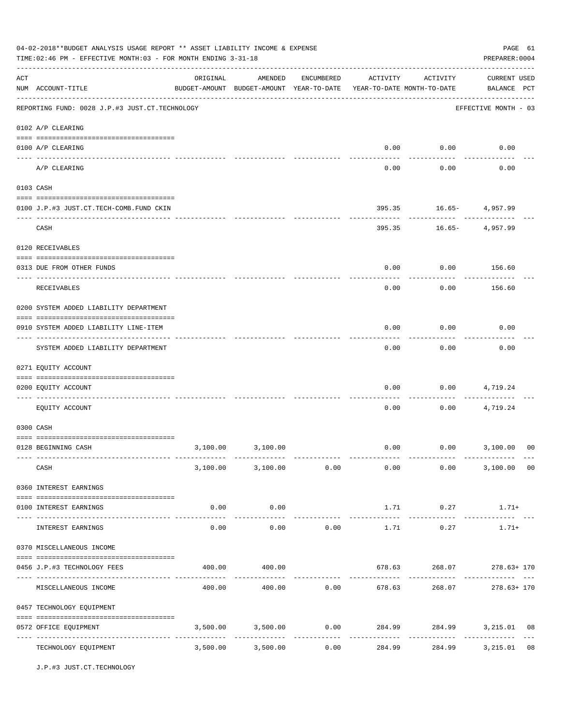|                    | 04-02-2018**BUDGET ANALYSIS USAGE REPORT ** ASSET LIABILITY INCOME & EXPENSE<br>TIME: 02:46 PM - EFFECTIVE MONTH: 03 - FOR MONTH ENDING 3-31-18<br>PREPARER: 0004 |          |                                                     |            |                         |                                        |                                                             |    |  |  |
|--------------------|-------------------------------------------------------------------------------------------------------------------------------------------------------------------|----------|-----------------------------------------------------|------------|-------------------------|----------------------------------------|-------------------------------------------------------------|----|--|--|
| $\mathop{\rm ACT}$ | NUM ACCOUNT-TITLE                                                                                                                                                 | ORIGINAL | AMENDED<br>BUDGET-AMOUNT BUDGET-AMOUNT YEAR-TO-DATE | ENCUMBERED | ACTIVITY                | ACTIVITY<br>YEAR-TO-DATE MONTH-TO-DATE | <b>CURRENT USED</b><br>BALANCE PCT                          |    |  |  |
|                    | ------------------------------------<br>REPORTING FUND: 0028 J.P.#3 JUST.CT.TECHNOLOGY                                                                            |          |                                                     |            |                         |                                        | EFFECTIVE MONTH - 03                                        |    |  |  |
|                    | 0102 A/P CLEARING                                                                                                                                                 |          |                                                     |            |                         |                                        |                                                             |    |  |  |
|                    | 0100 A/P CLEARING                                                                                                                                                 |          |                                                     |            | 0.00                    | 0.00                                   | 0.00                                                        |    |  |  |
|                    | ---- --------<br>A/P CLEARING                                                                                                                                     |          |                                                     |            | 0.00                    | 0.00                                   | 0.00                                                        |    |  |  |
|                    | 0103 CASH                                                                                                                                                         |          |                                                     |            |                         |                                        |                                                             |    |  |  |
|                    | 0100 J.P.#3 JUST.CT.TECH-COMB.FUND CKIN                                                                                                                           |          |                                                     |            | 395.35                  |                                        | $16.65 - 4,957.99$                                          |    |  |  |
|                    | CASH                                                                                                                                                              |          |                                                     |            | 395.35                  | . <u>.</u><br>$16.65-$                 | 4,957.99                                                    |    |  |  |
|                    | 0120 RECEIVABLES                                                                                                                                                  |          |                                                     |            |                         |                                        |                                                             |    |  |  |
|                    | 0313 DUE FROM OTHER FUNDS                                                                                                                                         |          |                                                     |            | 0.00                    | 0.00                                   | 156.60                                                      |    |  |  |
|                    | RECEIVABLES                                                                                                                                                       |          |                                                     |            | 0.00                    | 0.00                                   | 156.60                                                      |    |  |  |
|                    | 0200 SYSTEM ADDED LIABILITY DEPARTMENT                                                                                                                            |          |                                                     |            |                         |                                        |                                                             |    |  |  |
|                    | 0910 SYSTEM ADDED LIABILITY LINE-ITEM                                                                                                                             |          |                                                     |            | 0.00                    | 0.00                                   | 0.00                                                        |    |  |  |
|                    | SYSTEM ADDED LIABILITY DEPARTMENT                                                                                                                                 |          |                                                     |            | 0.00                    | 0.00                                   | 0.00                                                        |    |  |  |
|                    | 0271 EQUITY ACCOUNT                                                                                                                                               |          |                                                     |            |                         |                                        |                                                             |    |  |  |
|                    | 0200 EQUITY ACCOUNT                                                                                                                                               |          |                                                     |            | 0.00                    | 0.00                                   | 4,719.24                                                    |    |  |  |
|                    | EQUITY ACCOUNT                                                                                                                                                    |          |                                                     |            | 0.00                    | 0.00                                   | 4,719.24                                                    |    |  |  |
|                    | 0300 CASH                                                                                                                                                         |          |                                                     |            |                         |                                        |                                                             |    |  |  |
|                    | 0128 BEGINNING CASH                                                                                                                                               |          | 3,100.00 3,100.00                                   |            |                         |                                        | $0.00$ $0.00$ $3,100.00$                                    | 00 |  |  |
|                    | CASH                                                                                                                                                              |          |                                                     |            |                         |                                        | $3,100.00$ $3,100.00$ $0.00$ $0.00$ $0.00$ $3,100.00$ $0.0$ |    |  |  |
|                    | 0360 INTEREST EARNINGS                                                                                                                                            |          |                                                     |            |                         |                                        |                                                             |    |  |  |
|                    | 0100 INTEREST EARNINGS                                                                                                                                            | 0.00     | 0.00                                                |            |                         | 1.71 0.27                              | $1.71+$                                                     |    |  |  |
|                    | INTEREST EARNINGS                                                                                                                                                 |          | $0.00$ $0.00$ $0.00$ $1.71$ $0.27$                  |            |                         |                                        | $1.71+$                                                     |    |  |  |
|                    | 0370 MISCELLANEOUS INCOME                                                                                                                                         |          |                                                     |            |                         |                                        |                                                             |    |  |  |
|                    | 0456 J.P.#3 TECHNOLOGY FEES                                                                                                                                       |          | 400.00 400.00                                       |            |                         |                                        | 678.63 268.07 278.63+170                                    |    |  |  |
|                    | MISCELLANEOUS INCOME                                                                                                                                              |          |                                                     |            |                         | ------------                           | $400.00$ $400.00$ $0.00$ $678.63$ $268.07$ $278.63 + 170$   |    |  |  |
|                    | 0457 TECHNOLOGY EQUIPMENT                                                                                                                                         |          |                                                     |            |                         |                                        |                                                             |    |  |  |
|                    | 0572 OFFICE EQUIPMENT                                                                                                                                             |          |                                                     |            |                         |                                        | 3,500.00 3,500.00 0.00 284.99 284.99 3,215.01 08            |    |  |  |
|                    | TECHNOLOGY EQUIPMENT                                                                                                                                              |          | 3,500.00 3,500.00 0.00                              |            | -------------<br>284.99 |                                        | 284.99 3,215.01                                             | 08 |  |  |

J.P.#3 JUST.CT.TECHNOLOGY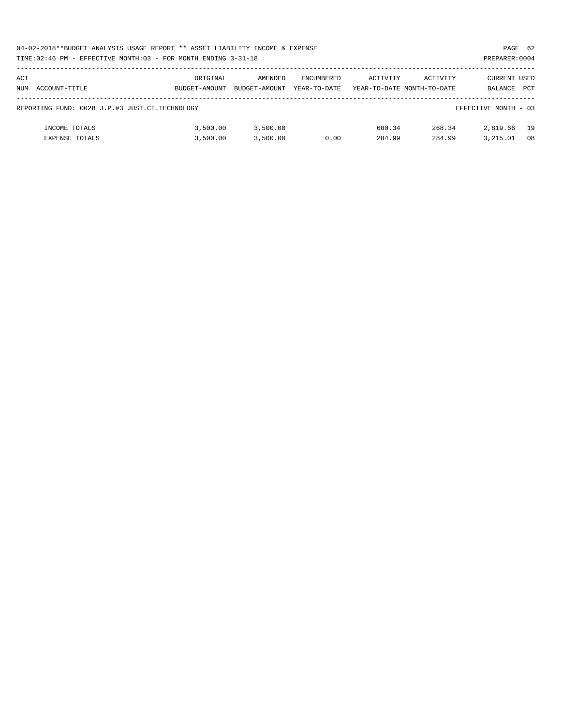|     | 04-02-2018**BUDGET ANALYSIS USAGE REPORT ** ASSET LIABILITY INCOME & EXPENSE<br>PAGE 62 |               |               |              |          |                            |                      |    |  |  |  |
|-----|-----------------------------------------------------------------------------------------|---------------|---------------|--------------|----------|----------------------------|----------------------|----|--|--|--|
|     | TIME:02:46 PM - EFFECTIVE MONTH:03 - FOR MONTH ENDING 3-31-18<br>PREPARER: 0004         |               |               |              |          |                            |                      |    |  |  |  |
| ACT |                                                                                         | ORIGINAL      | AMENDED       | ENCUMBERED   | ACTIVITY | ACTIVITY                   | CURRENT USED         |    |  |  |  |
|     | NUM ACCOUNT-TITLE                                                                       | BUDGET-AMOUNT | BUDGET-AMOUNT | YEAR-TO-DATE |          | YEAR-TO-DATE MONTH-TO-DATE | BALANCE PCT          |    |  |  |  |
|     | REPORTING FUND: 0028 J.P.#3 JUST.CT.TECHNOLOGY                                          |               |               |              |          |                            | EFFECTIVE MONTH - 03 |    |  |  |  |
|     | INCOME TOTALS                                                                           | 3,500.00      | 3,500.00      |              | 680.34   | 268.34                     | 2,819.66             | 19 |  |  |  |
|     | <b>EXPENSE TOTALS</b>                                                                   | 3,500.00      | 3,500.00      | 0.00         | 284.99   | 284.99                     | 3.215.01             | 08 |  |  |  |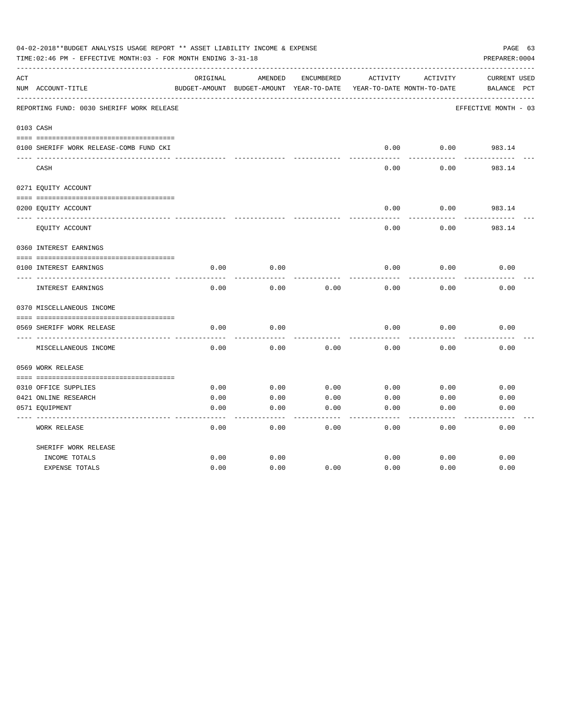|     | 04-02-2018**BUDGET ANALYSIS USAGE REPORT ** ASSET LIABILITY INCOME & EXPENSE<br>TIME:02:46 PM - EFFECTIVE MONTH:03 - FOR MONTH ENDING 3-31-18 |               |                            |            |          |                            | PAGE 63<br>PREPARER: 0004 |
|-----|-----------------------------------------------------------------------------------------------------------------------------------------------|---------------|----------------------------|------------|----------|----------------------------|---------------------------|
| ACT |                                                                                                                                               | ORIGINAL      | AMENDED                    | ENCUMBERED | ACTIVITY | ACTIVITY                   | <b>CURRENT USED</b>       |
|     | NUM ACCOUNT-TITLE                                                                                                                             | BUDGET-AMOUNT | BUDGET-AMOUNT YEAR-TO-DATE |            |          | YEAR-TO-DATE MONTH-TO-DATE | PCT<br>BALANCE            |
|     | REPORTING FUND: 0030 SHERIFF WORK RELEASE                                                                                                     |               |                            |            |          |                            | EFFECTIVE MONTH - 03      |
|     | 0103 CASH                                                                                                                                     |               |                            |            |          |                            |                           |
|     |                                                                                                                                               |               |                            |            |          |                            |                           |
|     | 0100 SHERIFF WORK RELEASE-COMB FUND CKI                                                                                                       |               |                            |            | 0.00     | 0.00                       | 983.14                    |
|     | CASH                                                                                                                                          |               |                            |            | 0.00     | 0.00                       | 983.14                    |
|     | 0271 EQUITY ACCOUNT                                                                                                                           |               |                            |            |          |                            |                           |
|     | 0200 EQUITY ACCOUNT                                                                                                                           |               |                            |            | 0.00     | 0.00                       | 983.14                    |
|     | EQUITY ACCOUNT                                                                                                                                |               |                            |            | 0.00     | 0.00                       | 983.14                    |
|     | 0360 INTEREST EARNINGS                                                                                                                        |               |                            |            |          |                            |                           |
|     | 0100 INTEREST EARNINGS                                                                                                                        | 0.00          | 0.00                       |            | 0.00     | 0.00                       | 0.00                      |
|     | <b>INTEREST EARNINGS</b>                                                                                                                      | 0.00          | 0.00                       | 0.00       | 0.00     | 0.00                       | 0.00                      |
|     | 0370 MISCELLANEOUS INCOME                                                                                                                     |               |                            |            |          |                            |                           |
|     |                                                                                                                                               |               |                            |            |          |                            |                           |
|     | 0569 SHERIFF WORK RELEASE<br>--------------                                                                                                   | 0.00          | 0.00                       |            | 0.00     | 0.00                       | 0.00                      |
|     | MISCELLANEOUS INCOME                                                                                                                          | 0.00          | 0.00                       | 0.00       | 0.00     | 0.00                       | 0.00                      |
|     | 0569 WORK RELEASE                                                                                                                             |               |                            |            |          |                            |                           |
|     |                                                                                                                                               |               |                            |            |          |                            |                           |
|     | 0310 OFFICE SUPPLIES                                                                                                                          | 0.00          | 0.00                       | 0.00       | 0.00     | 0.00                       | 0.00                      |
|     | 0421 ONLINE RESEARCH                                                                                                                          | 0.00          | 0.00                       | 0.00       | 0.00     | 0.00                       | 0.00                      |
|     | 0571 EQUIPMENT                                                                                                                                | 0.00          | 0.00                       | 0.00       | 0.00     | 0.00                       | 0.00                      |
|     | WORK RELEASE                                                                                                                                  | 0.00          | 0.00                       | 0.00       | 0.00     | 0.00                       | 0.00                      |
|     | SHERIFF WORK RELEASE                                                                                                                          |               |                            |            |          |                            |                           |
|     | INCOME TOTALS                                                                                                                                 | 0.00          | 0.00                       |            | 0.00     | 0.00                       | 0.00                      |
|     | <b>EXPENSE TOTALS</b>                                                                                                                         | 0.00          | 0.00                       | 0.00       | 0.00     | 0.00                       | 0.00                      |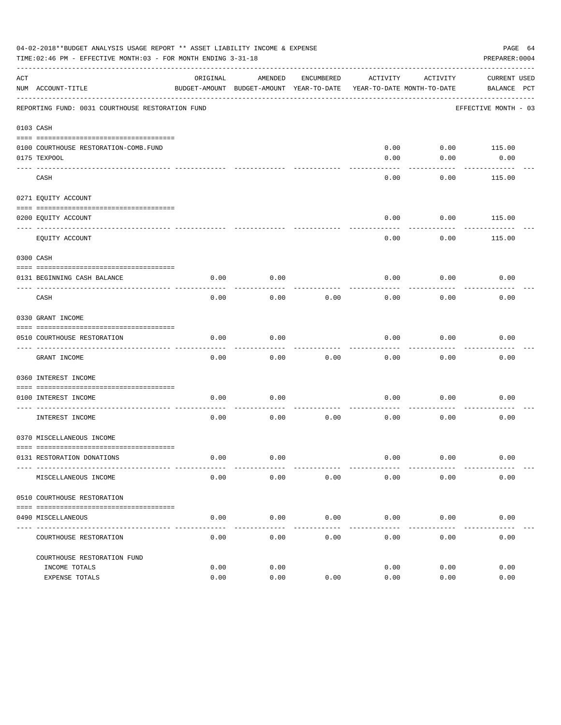|     | 04-02-2018**BUDGET ANALYSIS USAGE REPORT ** ASSET LIABILITY INCOME & EXPENSE<br>TIME: 02:46 PM - EFFECTIVE MONTH: 03 - FOR MONTH ENDING 3-31-18 |          |                                                     |               |              |                                        | PAGE 64<br>PREPARER: 0004          |  |
|-----|-------------------------------------------------------------------------------------------------------------------------------------------------|----------|-----------------------------------------------------|---------------|--------------|----------------------------------------|------------------------------------|--|
| ACT | NUM ACCOUNT-TITLE                                                                                                                               | ORIGINAL | AMENDED<br>BUDGET-AMOUNT BUDGET-AMOUNT YEAR-TO-DATE | ENCUMBERED    | ACTIVITY     | ACTIVITY<br>YEAR-TO-DATE MONTH-TO-DATE | <b>CURRENT USED</b><br>BALANCE PCT |  |
|     | REPORTING FUND: 0031 COURTHOUSE RESTORATION FUND                                                                                                |          |                                                     |               |              |                                        | EFFECTIVE MONTH - 03               |  |
|     | 0103 CASH                                                                                                                                       |          |                                                     |               |              |                                        |                                    |  |
|     | 0100 COURTHOUSE RESTORATION-COMB.FUND<br>0175 TEXPOOL                                                                                           |          |                                                     |               | 0.00<br>0.00 | 0.00                                   | $0.00$ 115.00<br>0.00              |  |
|     | CASH                                                                                                                                            |          |                                                     |               | 0.00         | 0.00                                   | 115.00                             |  |
|     | 0271 EQUITY ACCOUNT                                                                                                                             |          |                                                     |               |              |                                        |                                    |  |
|     | 0200 EQUITY ACCOUNT                                                                                                                             |          |                                                     |               | 0.00         | 0.00                                   | 115.00                             |  |
|     | EQUITY ACCOUNT                                                                                                                                  |          |                                                     |               | 0.00         | 0.00                                   | 115.00                             |  |
|     | 0300 CASH                                                                                                                                       |          |                                                     |               |              |                                        |                                    |  |
|     | 0131 BEGINNING CASH BALANCE                                                                                                                     | 0.00     | 0.00                                                |               | 0.00         | 0.00                                   | 0.00                               |  |
|     | CASH                                                                                                                                            | 0.00     | 0.00                                                | 0.00          | 0.00         | 0.00                                   | 0.00                               |  |
|     | 0330 GRANT INCOME                                                                                                                               |          |                                                     |               |              |                                        |                                    |  |
|     | 0510 COURTHOUSE RESTORATION                                                                                                                     | 0.00     | 0.00                                                |               | 0.00         | 0.00                                   | 0.00                               |  |
|     |                                                                                                                                                 |          |                                                     |               |              |                                        |                                    |  |
|     | GRANT INCOME                                                                                                                                    | 0.00     | 0.00                                                | 0.00          | 0.00         | 0.00                                   | 0.00                               |  |
|     | 0360 INTEREST INCOME                                                                                                                            |          |                                                     |               |              |                                        |                                    |  |
|     | 0100 INTEREST INCOME                                                                                                                            | 0.00     | 0.00                                                |               | 0.00         | 0.00                                   | 0.00                               |  |
|     | INTEREST INCOME                                                                                                                                 | 0.00     | 0.00                                                | 0.00          | 0.00         | 0.00                                   | 0.00                               |  |
|     | 0370 MISCELLANEOUS INCOME                                                                                                                       |          |                                                     |               |              |                                        |                                    |  |
|     | 0131 RESTORATION DONATIONS                                                                                                                      | 0.00     | 0.00                                                |               | 0.00         | 0.00                                   | 0.00                               |  |
|     | MISCELLANEOUS INCOME                                                                                                                            | 0.00     | 0.00                                                | 0.00          | 0.00         | 0.00                                   | 0.00                               |  |
|     | 0510 COURTHOUSE RESTORATION                                                                                                                     |          |                                                     |               |              |                                        |                                    |  |
|     | 0490 MISCELLANEOUS                                                                                                                              | 0.00     | 0.00                                                | 0.00          | 0.00         | 0.00                                   | 0.00                               |  |
|     | ---------------<br>COURTHOUSE RESTORATION                                                                                                       | 0.00     | $---$<br>0.00                                       | $---$<br>0.00 | 0.00         | 0.00                                   | 0.00                               |  |
|     | COURTHOUSE RESTORATION FUND                                                                                                                     |          |                                                     |               |              |                                        |                                    |  |
|     | INCOME TOTALS                                                                                                                                   | 0.00     | 0.00                                                |               | 0.00         | 0.00                                   | 0.00                               |  |
|     | EXPENSE TOTALS                                                                                                                                  | 0.00     | 0.00                                                | 0.00          | 0.00         | 0.00                                   | 0.00                               |  |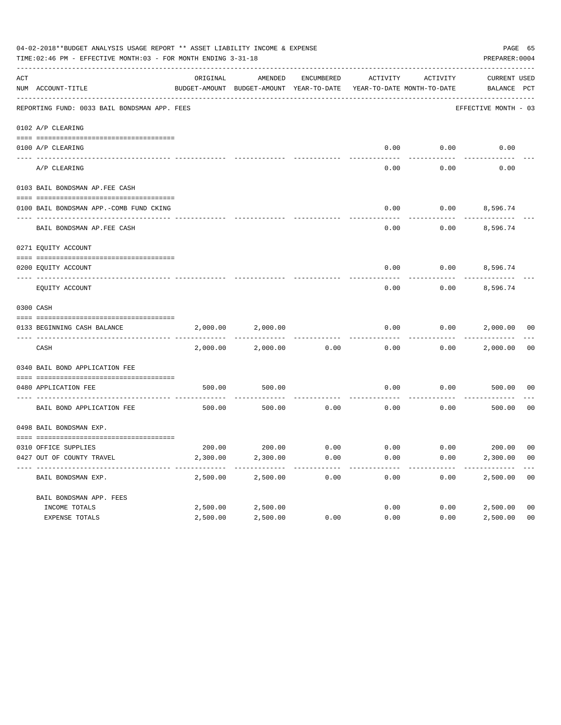| 04-02-2018**BUDGET ANALYSIS USAGE REPORT ** ASSET LIABILITY INCOME & EXPENSE<br>PAGE 65<br>TIME: 02:46 PM - EFFECTIVE MONTH: 03 - FOR MONTH ENDING 3-31-18<br>PREPARER: 0004 |                                              |          |                                                     |            |                                        |          |                             |                |  |
|------------------------------------------------------------------------------------------------------------------------------------------------------------------------------|----------------------------------------------|----------|-----------------------------------------------------|------------|----------------------------------------|----------|-----------------------------|----------------|--|
| ACT                                                                                                                                                                          | NUM ACCOUNT-TITLE                            | ORIGINAL | AMENDED<br>BUDGET-AMOUNT BUDGET-AMOUNT YEAR-TO-DATE | ENCUMBERED | ACTIVITY<br>YEAR-TO-DATE MONTH-TO-DATE | ACTIVITY | CURRENT USED<br>BALANCE PCT |                |  |
|                                                                                                                                                                              | REPORTING FUND: 0033 BAIL BONDSMAN APP. FEES |          |                                                     |            |                                        |          | EFFECTIVE MONTH - 03        |                |  |
|                                                                                                                                                                              | 0102 A/P CLEARING                            |          |                                                     |            |                                        |          |                             |                |  |
|                                                                                                                                                                              | 0100 A/P CLEARING                            |          |                                                     |            | 0.00                                   | 0.00     | 0.00                        |                |  |
|                                                                                                                                                                              | ---- --------<br>A/P CLEARING                |          |                                                     |            | 0.00                                   | 0.00     | 0.00                        |                |  |
|                                                                                                                                                                              | 0103 BAIL BONDSMAN AP.FEE CASH               |          |                                                     |            |                                        |          |                             |                |  |
|                                                                                                                                                                              | 0100 BAIL BONDSMAN APP.-COMB FUND CKING      |          |                                                     |            | 0.00                                   | 0.00     | 8,596.74                    |                |  |
|                                                                                                                                                                              | BAIL BONDSMAN AP.FEE CASH                    |          |                                                     |            | 0.00                                   | 0.00     | 8,596.74                    |                |  |
|                                                                                                                                                                              | 0271 EQUITY ACCOUNT                          |          |                                                     |            |                                        |          |                             |                |  |
|                                                                                                                                                                              | 0200 EQUITY ACCOUNT                          |          |                                                     |            | 0.00                                   |          | $0.00$ 8,596.74             |                |  |
|                                                                                                                                                                              | EQUITY ACCOUNT                               |          |                                                     |            | 0.00                                   | 0.00     | 8,596.74                    |                |  |
|                                                                                                                                                                              | 0300 CASH                                    |          |                                                     |            |                                        |          |                             |                |  |
|                                                                                                                                                                              | 0133 BEGINNING CASH BALANCE                  | 2,000.00 | 2,000.00                                            |            | 0.00                                   | 0.00     | 2,000.00 00                 |                |  |
|                                                                                                                                                                              | CASH                                         | 2,000.00 | 2,000.00                                            | 0.00       | 0.00                                   | 0.00     | 2,000.00                    | 00             |  |
|                                                                                                                                                                              | 0340 BAIL BOND APPLICATION FEE               |          |                                                     |            |                                        |          |                             |                |  |
|                                                                                                                                                                              | 0480 APPLICATION FEE                         | 500.00   | 500.00                                              |            | 0.00                                   | 0.00     | 500.00                      | 00             |  |
|                                                                                                                                                                              | BAIL BOND APPLICATION FEE                    | 500.00   | 500.00                                              | 0.00       | 0.00                                   | 0.00     | 500.00                      | 0 <sub>0</sub> |  |
|                                                                                                                                                                              | 0498 BAIL BONDSMAN EXP.                      |          |                                                     |            |                                        |          |                             |                |  |
|                                                                                                                                                                              | 0310 OFFICE SUPPLIES                         |          | 200.00 200.00 0.00                                  |            | $0.00$ $0.00$ $200.00$ $00$            |          |                             |                |  |
|                                                                                                                                                                              | 0427 OUT OF COUNTY TRAVEL                    | 2,300.00 | 2,300.00                                            | 0.00       | 0.00                                   | 0.00     | 2,300.00 00                 |                |  |
|                                                                                                                                                                              | BAIL BONDSMAN EXP.                           | 2,500.00 | 2,500.00                                            | 0.00       | 0.00                                   | 0.00     | 2,500.00                    | 0 <sub>0</sub> |  |
|                                                                                                                                                                              | BAIL BONDSMAN APP. FEES                      |          |                                                     |            |                                        |          |                             |                |  |
|                                                                                                                                                                              | INCOME TOTALS                                | 2,500.00 | 2,500.00                                            |            | 0.00                                   | 0.00     | 2,500.00                    | 0 <sub>0</sub> |  |
|                                                                                                                                                                              | EXPENSE TOTALS                               | 2,500.00 | 2,500.00                                            | 0.00       | 0.00                                   | 0.00     | 2,500.00                    | 0 <sub>0</sub> |  |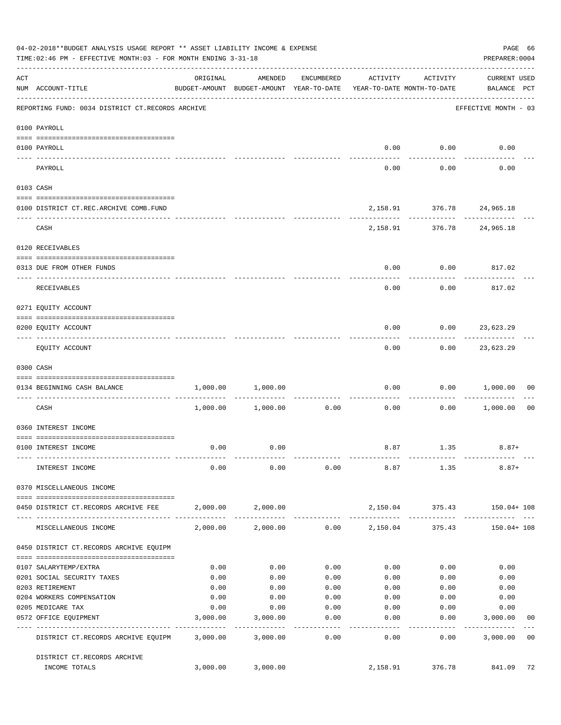|     | 04-02-2018**BUDGET ANALYSIS USAGE REPORT ** ASSET LIABILITY INCOME & EXPENSE<br>TIME: 02:46 PM - EFFECTIVE MONTH: 03 - FOR MONTH ENDING 3-31-18 |          |                                                                                |                  |                 |                             | PREPARER: 0004                     | PAGE 66        |
|-----|-------------------------------------------------------------------------------------------------------------------------------------------------|----------|--------------------------------------------------------------------------------|------------------|-----------------|-----------------------------|------------------------------------|----------------|
| ACT | NUM ACCOUNT-TITLE                                                                                                                               | ORIGINAL | AMENDED<br>BUDGET-AMOUNT BUDGET-AMOUNT YEAR-TO-DATE YEAR-TO-DATE MONTH-TO-DATE | ENCUMBERED       | ACTIVITY        | ACTIVITY                    | <b>CURRENT USED</b><br>BALANCE PCT |                |
|     | REPORTING FUND: 0034 DISTRICT CT.RECORDS ARCHIVE                                                                                                |          |                                                                                |                  |                 |                             | EFFECTIVE MONTH - 03               |                |
|     | 0100 PAYROLL                                                                                                                                    |          |                                                                                |                  |                 |                             |                                    |                |
|     | 0100 PAYROLL                                                                                                                                    |          |                                                                                |                  | 0.00            | 0.00                        | 0.00                               |                |
|     | ---- -------<br>PAYROLL                                                                                                                         |          |                                                                                |                  | 0.00            | .<br>0.00                   | 0.00                               |                |
|     | 0103 CASH                                                                                                                                       |          |                                                                                |                  |                 |                             |                                    |                |
|     | 0100 DISTRICT CT.REC.ARCHIVE COMB.FUND                                                                                                          |          |                                                                                |                  |                 | 2,158.91 376.78 24,965.18   |                                    |                |
|     | CASH                                                                                                                                            |          |                                                                                |                  |                 | 2, 158.91 376.78 24, 965.18 |                                    |                |
|     | 0120 RECEIVABLES                                                                                                                                |          |                                                                                |                  |                 |                             |                                    |                |
|     |                                                                                                                                                 |          |                                                                                |                  |                 |                             |                                    |                |
|     | 0313 DUE FROM OTHER FUNDS                                                                                                                       |          |                                                                                |                  | 0.00            | 0.00                        | 817.02                             |                |
|     | RECEIVABLES                                                                                                                                     |          |                                                                                |                  | 0.00            | 0.00                        | 817.02                             |                |
|     | 0271 EQUITY ACCOUNT                                                                                                                             |          |                                                                                |                  |                 |                             |                                    |                |
|     | 0200 EQUITY ACCOUNT                                                                                                                             |          |                                                                                |                  | 0.00            | 0.00                        | 23,623.29                          |                |
|     | EQUITY ACCOUNT                                                                                                                                  |          |                                                                                |                  | 0.00            |                             | $0.00$ 23,623.29                   |                |
|     | 0300 CASH                                                                                                                                       |          |                                                                                |                  |                 |                             |                                    |                |
|     | 0134 BEGINNING CASH BALANCE                                                                                                                     | 1,000.00 | 1,000.00                                                                       |                  | 0.00            | 0.00                        | 1,000.00                           | 00             |
|     | ------------------------------ ----                                                                                                             |          |                                                                                |                  |                 |                             |                                    |                |
|     | CASH                                                                                                                                            | 1,000.00 | 1,000.00                                                                       | 0.00             | 0.00            | 0.00                        | 1,000.00                           | 0 <sub>0</sub> |
|     | 0360 INTEREST INCOME                                                                                                                            |          |                                                                                |                  |                 |                             |                                    |                |
|     | 0100 INTEREST INCOME                                                                                                                            | 0.00     | 0.00                                                                           |                  |                 | 8.87 1.35                   | $8.87+$                            |                |
|     | INTEREST INCOME                                                                                                                                 | 0.00     | 0.00                                                                           | 0.00             | 8.87            | 1.35                        | $8.87+$                            |                |
|     | 0370 MISCELLANEOUS INCOME                                                                                                                       |          |                                                                                |                  |                 |                             |                                    |                |
|     | 0450 DISTRICT CT.RECORDS ARCHIVE FEE                                                                                                            |          | 2,000.00 2,000.00                                                              |                  |                 | 2,150.04 375.43             | 150.04+ 108                        |                |
|     | MISCELLANEOUS INCOME                                                                                                                            | 2,000.00 | 2,000.00                                                                       |                  | $0.00$ 2,150.04 | 375.43                      | 150.04+ 108                        |                |
|     | 0450 DISTRICT CT.RECORDS ARCHIVE EQUIPM                                                                                                         |          |                                                                                |                  |                 |                             |                                    |                |
|     | 0107 SALARYTEMP/EXTRA                                                                                                                           | 0.00     | 0.00                                                                           | 0.00             | 0.00            | 0.00                        | 0.00                               |                |
|     | 0201 SOCIAL SECURITY TAXES                                                                                                                      | 0.00     | 0.00                                                                           | 0.00             | 0.00            | 0.00                        | 0.00                               |                |
|     | 0203 RETIREMENT                                                                                                                                 | 0.00     | 0.00                                                                           | 0.00             | 0.00            | 0.00                        | 0.00                               |                |
|     | 0204 WORKERS COMPENSATION                                                                                                                       | 0.00     | 0.00                                                                           | 0.00             | 0.00            | 0.00                        | 0.00                               |                |
|     | 0205 MEDICARE TAX                                                                                                                               | 0.00     | 0.00                                                                           | 0.00             | 0.00            | 0.00                        | 0.00                               |                |
|     | 0572 OFFICE EQUIPMENT<br>-------------------- -----------                                                                                       | 3,000.00 | 3,000.00<br>-----------                                                        | 0.00<br>-------- | 0.00<br>------- | 0.00<br>----------          | 3,000.00<br>------------           | 00             |
|     | DISTRICT CT.RECORDS ARCHIVE EQUIPM 3,000.00                                                                                                     |          | 3,000.00                                                                       | 0.00             | 0.00            | 0.00                        | 3,000.00                           | 0 <sub>0</sub> |
|     | DISTRICT CT.RECORDS ARCHIVE                                                                                                                     |          |                                                                                |                  |                 |                             |                                    |                |
|     | INCOME TOTALS                                                                                                                                   | 3,000.00 | 3,000.00                                                                       |                  | 2,158.91        | 376.78                      | 841.09                             | 72             |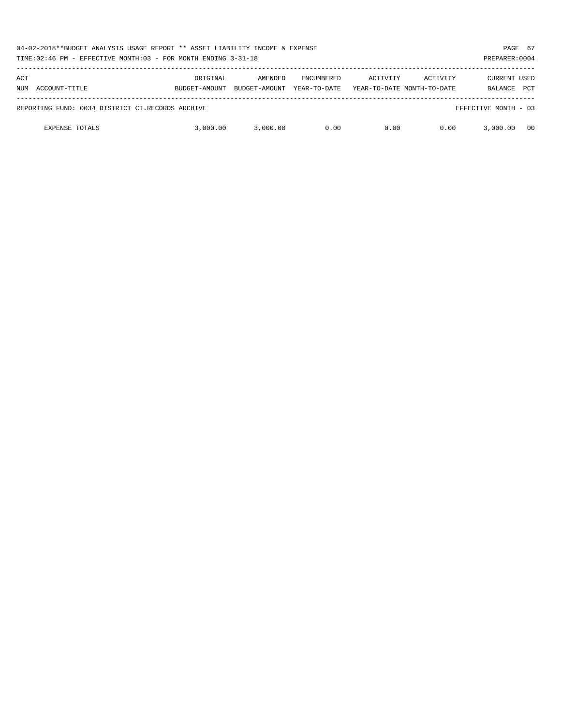|            | 04-02-2018**BUDGET ANALYSIS USAGE REPORT ** ASSET LIABILITY INCOME & EXPENSE<br>TIME:02:46 PM - EFFECTIVE MONTH:03 - FOR MONTH ENDING 3-31-18 |                           |                          |                                   |          |                                        |                                       |            |
|------------|-----------------------------------------------------------------------------------------------------------------------------------------------|---------------------------|--------------------------|-----------------------------------|----------|----------------------------------------|---------------------------------------|------------|
| ACT<br>NUM | ACCOUNT-TITLE                                                                                                                                 | ORIGINAL<br>BUDGET-AMOUNT | AMENDED<br>BUDGET-AMOUNT | <b>ENCUMBERED</b><br>YEAR-TO-DATE | ACTIVITY | ACTIVITY<br>YEAR-TO-DATE MONTH-TO-DATE | <b>CURRENT USED</b><br><b>BALANCE</b> | <b>PCT</b> |
|            | REPORTING FUND: 0034 DISTRICT CT.RECORDS ARCHIVE                                                                                              |                           |                          |                                   |          |                                        | EFFECTIVE MONTH - 03                  |            |
|            | <b>EXPENSE TOTALS</b>                                                                                                                         | 3,000.00                  | 3.000.00                 | 0.00                              | 0.00     | 0.00                                   | 3,000.00                              | - 00       |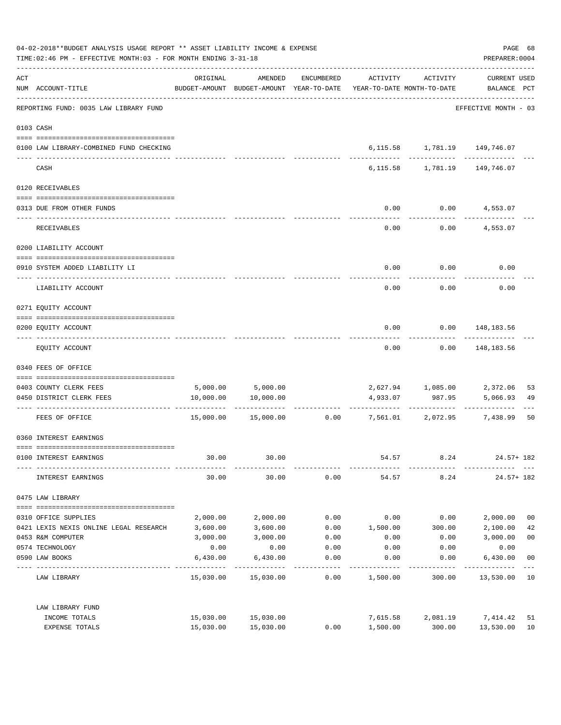|     | 04-02-2018**BUDGET ANALYSIS USAGE REPORT ** ASSET LIABILITY INCOME & EXPENSE<br>TIME: 02:46 PM - EFFECTIVE MONTH: 03 - FOR MONTH ENDING 3-31-18 |           |                                                                                |            |          |                                 | PREPARER: 0004                     | PAGE 68        |
|-----|-------------------------------------------------------------------------------------------------------------------------------------------------|-----------|--------------------------------------------------------------------------------|------------|----------|---------------------------------|------------------------------------|----------------|
| ACT | NUM ACCOUNT-TITLE<br>---------------------------------                                                                                          | ORIGINAL  | AMENDED<br>BUDGET-AMOUNT BUDGET-AMOUNT YEAR-TO-DATE YEAR-TO-DATE MONTH-TO-DATE | ENCUMBERED | ACTIVITY | ACTIVITY                        | <b>CURRENT USED</b><br>BALANCE PCT |                |
|     | REPORTING FUND: 0035 LAW LIBRARY FUND                                                                                                           |           |                                                                                |            |          |                                 | EFFECTIVE MONTH - 03               |                |
|     | 0103 CASH                                                                                                                                       |           |                                                                                |            |          |                                 |                                    |                |
|     | 0100 LAW LIBRARY-COMBINED FUND CHECKING                                                                                                         |           |                                                                                |            |          | 6, 115.58 1, 781.19 149, 746.07 |                                    |                |
|     | CASH                                                                                                                                            |           |                                                                                |            |          | 6, 115.58 1, 781.19             | 149,746.07                         |                |
|     | 0120 RECEIVABLES                                                                                                                                |           |                                                                                |            |          |                                 |                                    |                |
|     | 0313 DUE FROM OTHER FUNDS                                                                                                                       |           |                                                                                |            | 0.00     |                                 | $0.00$ 4,553.07                    |                |
|     | RECEIVABLES                                                                                                                                     |           |                                                                                |            | 0.00     | 0.00                            | 4,553.07                           |                |
|     | 0200 LIABILITY ACCOUNT                                                                                                                          |           |                                                                                |            |          |                                 |                                    |                |
|     | 0910 SYSTEM ADDED LIABILITY LI                                                                                                                  |           |                                                                                |            | 0.00     | 0.00                            | 0.00                               |                |
|     | LIABILITY ACCOUNT                                                                                                                               |           |                                                                                |            | 0.00     | 0.00                            | 0.00                               |                |
|     | 0271 EQUITY ACCOUNT                                                                                                                             |           |                                                                                |            |          |                                 |                                    |                |
|     | 0200 EQUITY ACCOUNT                                                                                                                             |           |                                                                                |            | 0.00     |                                 | $0.00$ 148,183.56                  |                |
|     | EQUITY ACCOUNT                                                                                                                                  |           |                                                                                |            | 0.00     | 0.00                            | 148,183.56                         |                |
|     | 0340 FEES OF OFFICE                                                                                                                             |           |                                                                                |            |          |                                 |                                    |                |
|     | 0403 COUNTY CLERK FEES                                                                                                                          |           | 5,000.00 5,000.00                                                              |            |          | 2,627.94 1,085.00 2,372.06      |                                    | 53             |
|     | 0450 DISTRICT CLERK FEES                                                                                                                        | 10,000.00 | 10,000.00                                                                      |            | 4,933.07 | 987.95<br>-----------           | 5,066.93                           | 49             |
|     | FEES OF OFFICE                                                                                                                                  |           | 15,000.00  15,000.00                                                           |            |          | $0.00$ $7,561.01$ $2,072.95$    | 7,438.99                           | 50             |
|     | 0360 INTEREST EARNINGS                                                                                                                          |           |                                                                                |            |          |                                 |                                    |                |
|     | 0100 INTEREST EARNINGS                                                                                                                          | 30.00     | 30.00                                                                          |            | 54.57    | 8.24                            | $24.57 + 182$                      |                |
|     | INTEREST EARNINGS                                                                                                                               | 30.00     | 30.00                                                                          | 0.00       | 54.57    | 8.24                            | $24.57 + 182$                      |                |
|     | 0475 LAW LIBRARY                                                                                                                                |           |                                                                                |            |          |                                 |                                    |                |
|     | 0310 OFFICE SUPPLIES                                                                                                                            | 2,000.00  | 2,000.00                                                                       | 0.00       | 0.00     | 0.00                            | 2,000.00                           | 0 <sub>0</sub> |
|     | 0421 LEXIS NEXIS ONLINE LEGAL RESEARCH                                                                                                          | 3,600.00  | 3,600.00                                                                       | 0.00       | 1,500.00 | 300.00                          | 2,100.00                           | 42             |
|     | 0453 R&M COMPUTER                                                                                                                               | 3,000.00  | 3,000.00                                                                       | 0.00       | 0.00     | 0.00                            | 3,000.00                           | 0 <sub>0</sub> |
|     | 0574 TECHNOLOGY                                                                                                                                 | 0.00      | 0.00                                                                           | 0.00       | 0.00     | 0.00                            | 0.00                               |                |
|     | 0590 LAW BOOKS                                                                                                                                  | 6,430.00  | 6,430.00                                                                       | 0.00       | 0.00     | 0.00                            | 6,430.00                           | 0 <sub>0</sub> |
|     | LAW LIBRARY                                                                                                                                     |           | 15,030.00 15,030.00                                                            | 0.00       | 1,500.00 | 300.00                          | 13,530.00 10                       |                |
|     | LAW LIBRARY FUND                                                                                                                                |           |                                                                                |            |          |                                 |                                    |                |
|     | INCOME TOTALS                                                                                                                                   |           | 15,030.00 15,030.00                                                            |            | 7,615.58 | 2,081.19                        | 7,414.42                           | 51             |
|     | EXPENSE TOTALS                                                                                                                                  | 15,030.00 | 15,030.00                                                                      | 0.00       | 1,500.00 | 300.00                          | 13,530.00                          | 10             |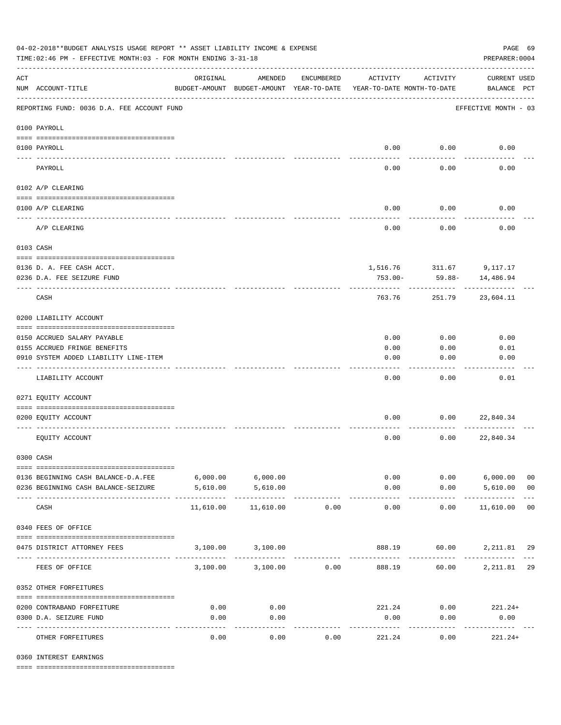| 04-02-2018**BUDGET ANALYSIS USAGE REPORT ** ASSET LIABILITY INCOME & EXPENSE<br>PAGE 69<br>TIME: 02:46 PM - EFFECTIVE MONTH: 03 - FOR MONTH ENDING 3-31-18<br>PREPARER: 0004 |                                            |                                                      |                           |            |                       |                                        |                                    |                |
|------------------------------------------------------------------------------------------------------------------------------------------------------------------------------|--------------------------------------------|------------------------------------------------------|---------------------------|------------|-----------------------|----------------------------------------|------------------------------------|----------------|
| $\mathop{\rm ACT}$                                                                                                                                                           | NUM ACCOUNT-TITLE                          | ORIGINAL<br>BUDGET-AMOUNT BUDGET-AMOUNT YEAR-TO-DATE | AMENDED                   | ENCUMBERED | ACTIVITY              | ACTIVITY<br>YEAR-TO-DATE MONTH-TO-DATE | <b>CURRENT USED</b><br>BALANCE PCT |                |
|                                                                                                                                                                              | REPORTING FUND: 0036 D.A. FEE ACCOUNT FUND |                                                      |                           |            |                       |                                        | EFFECTIVE MONTH - 03               |                |
|                                                                                                                                                                              | 0100 PAYROLL                               |                                                      |                           |            |                       |                                        |                                    |                |
|                                                                                                                                                                              | 0100 PAYROLL                               |                                                      |                           |            |                       | $0.00$ 0.00                            | 0.00                               |                |
| ---- ---                                                                                                                                                                     | PAYROLL                                    |                                                      |                           |            | 0.00                  | 0.00                                   | 0.00                               |                |
|                                                                                                                                                                              | 0102 A/P CLEARING                          |                                                      |                           |            |                       |                                        |                                    |                |
|                                                                                                                                                                              | 0100 A/P CLEARING                          |                                                      |                           |            | 0.00                  | 0.00                                   | 0.00                               |                |
|                                                                                                                                                                              | A/P CLEARING                               |                                                      |                           |            | 0.00                  | 0.00                                   | 0.00                               |                |
|                                                                                                                                                                              | 0103 CASH                                  |                                                      |                           |            |                       |                                        |                                    |                |
|                                                                                                                                                                              | 0136 D. A. FEE CASH ACCT.                  |                                                      |                           |            |                       |                                        | 1,516.76 311.67 9,117.17           |                |
|                                                                                                                                                                              | 0236 D.A. FEE SEIZURE FUND                 |                                                      |                           |            | 753.00-               | 59.88-                                 | 14,486.94                          |                |
|                                                                                                                                                                              | CASH                                       |                                                      |                           |            | 763.76                | 251.79                                 | 23,604.11                          |                |
|                                                                                                                                                                              | 0200 LIABILITY ACCOUNT                     |                                                      |                           |            |                       |                                        |                                    |                |
|                                                                                                                                                                              | 0150 ACCRUED SALARY PAYABLE                |                                                      |                           |            | 0.00                  | 0.00                                   | 0.00                               |                |
|                                                                                                                                                                              | 0155 ACCRUED FRINGE BENEFITS               |                                                      |                           |            | 0.00                  | 0.00                                   | 0.01                               |                |
|                                                                                                                                                                              | 0910 SYSTEM ADDED LIABILITY LINE-ITEM      |                                                      |                           |            | 0.00                  | 0.00                                   | 0.00                               |                |
|                                                                                                                                                                              | LIABILITY ACCOUNT                          |                                                      |                           |            | 0.00                  | 0.00                                   | 0.01                               |                |
|                                                                                                                                                                              | 0271 EQUITY ACCOUNT                        |                                                      |                           |            |                       |                                        |                                    |                |
|                                                                                                                                                                              | 0200 EQUITY ACCOUNT                        |                                                      |                           |            | 0.00                  | 0.00                                   | 22,840.34                          |                |
|                                                                                                                                                                              | EQUITY ACCOUNT                             |                                                      |                           |            | 0.00                  | 0.00                                   | 22,840.34                          |                |
|                                                                                                                                                                              | 0300 CASH                                  |                                                      |                           |            |                       |                                        |                                    |                |
|                                                                                                                                                                              | 0136 BEGINNING CASH BALANCE-D.A.FEE        | $6,000.00$ $6,000.00$                                |                           |            |                       | 0.00                                   | $0.00$ 6,000.00                    | 0 <sub>0</sub> |
|                                                                                                                                                                              | 0236 BEGINNING CASH BALANCE-SEIZURE        | 5,610.00                                             | 5,610.00<br>------------- |            | 0.00<br>------------- | ----------                             | $0.00$ 5,610.00<br>.               | 0 <sub>0</sub> |
|                                                                                                                                                                              | CASH                                       | 11,610.00                                            | 11,610.00                 | 0.00       | 0.00                  | 0.00                                   | 11,610.00                          | 0 <sub>0</sub> |
|                                                                                                                                                                              | 0340 FEES OF OFFICE                        |                                                      |                           |            |                       |                                        |                                    |                |
|                                                                                                                                                                              | 0475 DISTRICT ATTORNEY FEES                |                                                      | 3,100.00 3,100.00         |            |                       |                                        | 888.19 60.00 2,211.81 29           |                |
|                                                                                                                                                                              | FEES OF OFFICE                             |                                                      | 3,100.00 3,100.00         | 0.00       | 888.19                |                                        | 60.00 2,211.81 29                  |                |
|                                                                                                                                                                              | 0352 OTHER FORFEITURES                     |                                                      |                           |            |                       |                                        |                                    |                |
|                                                                                                                                                                              | 0200 CONTRABAND FORFEITURE                 | 0.00                                                 | 0.00                      |            | 221.24                |                                        | $0.00$ 221.24+                     |                |
|                                                                                                                                                                              | 0300 D.A. SEIZURE FUND                     | 0.00                                                 | 0.00                      |            | 0.00                  | 0.00                                   | 0.00                               |                |
|                                                                                                                                                                              | OTHER FORFEITURES                          | 0.00                                                 | ----------<br>0.00        | 0.00       | 221.24                | 0.00                                   | -----------<br>$221.24+$           |                |

0360 INTEREST EARNINGS

==== ===================================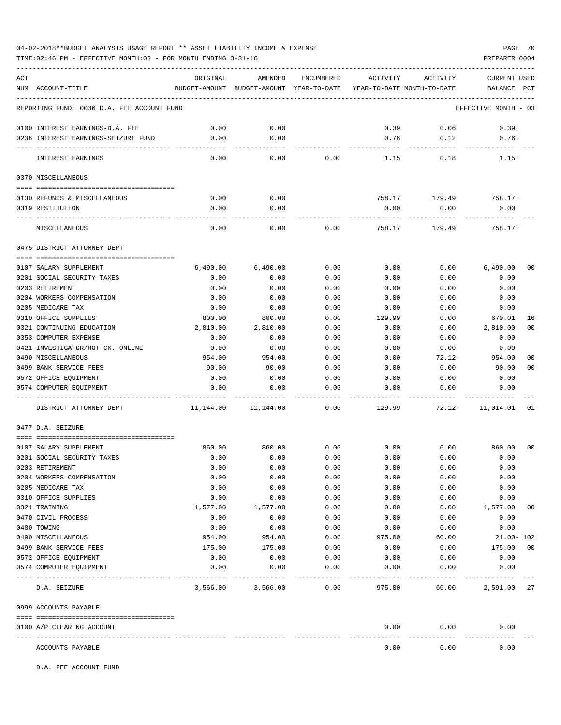TIME:02:46 PM - EFFECTIVE MONTH:03 - FOR MONTH ENDING 3-31-18 PREPARER:0004

| ACT |                                            | ORIGINAL    | AMENDED                                  | ENCUMBERED | ACTIVITY                   | ACTIVITY      | <b>CURRENT USED</b>  |                |
|-----|--------------------------------------------|-------------|------------------------------------------|------------|----------------------------|---------------|----------------------|----------------|
|     | NUM ACCOUNT-TITLE                          |             | BUDGET-AMOUNT BUDGET-AMOUNT YEAR-TO-DATE |            | YEAR-TO-DATE MONTH-TO-DATE |               | BALANCE              | PCT            |
|     | REPORTING FUND: 0036 D.A. FEE ACCOUNT FUND |             |                                          |            |                            |               | EFFECTIVE MONTH - 03 |                |
|     | 0100 INTEREST EARNINGS-D.A. FEE            | 0.00        | 0.00                                     |            | 0.39                       | 0.06          | $0.39+$              |                |
|     | 0236 INTEREST EARNINGS-SEIZURE FUND        | 0.00        | 0.00                                     |            | 0.76                       | 0.12          | $0.76+$              |                |
|     |                                            | $- - - - -$ | $- - - -$                                |            |                            | $- - - - -$   |                      |                |
|     | INTEREST EARNINGS                          | 0.00        | 0.00                                     | 0.00       | 1.15                       | 0.18          | $1.15+$              |                |
|     | 0370 MISCELLANEOUS                         |             |                                          |            |                            |               |                      |                |
|     |                                            |             |                                          |            |                            |               |                      |                |
|     | 0130 REFUNDS & MISCELLANEOUS               | 0.00        | 0.00                                     |            |                            | 758.17 179.49 | 758.17+              |                |
|     | 0319 RESTITUTION                           | 0.00        | 0.00                                     |            | 0.00                       | 0.00          | 0.00                 |                |
|     | MISCELLANEOUS                              | 0.00        | 0.00                                     | 0.00       | 758.17                     | 179.49        | $758.17+$            |                |
|     | 0475 DISTRICT ATTORNEY DEPT                |             |                                          |            |                            |               |                      |                |
|     |                                            |             |                                          |            |                            |               |                      |                |
|     | 0107 SALARY SUPPLEMENT                     | 6,490.00    | 6,490.00                                 | 0.00       | 0.00                       | 0.00          | 6,490.00             | 0 <sub>0</sub> |
|     | 0201 SOCIAL SECURITY TAXES                 | 0.00        | 0.00                                     | 0.00       | 0.00                       | 0.00          | 0.00                 |                |
|     | 0203 RETIREMENT                            | 0.00        | 0.00                                     | 0.00       | 0.00                       | 0.00          | 0.00                 |                |
|     | 0204 WORKERS COMPENSATION                  | 0.00        | 0.00                                     | 0.00       | 0.00                       | 0.00          | 0.00                 |                |
|     | 0205 MEDICARE TAX                          | 0.00        | 0.00                                     | 0.00       | 0.00                       | 0.00          | 0.00                 |                |
|     | 0310 OFFICE SUPPLIES                       | 800.00      | 800.00                                   | 0.00       | 129.99                     | 0.00          | 670.01               | 16             |
|     | 0321 CONTINUING EDUCATION                  | 2,810.00    | 2,810.00                                 | 0.00       | 0.00                       | 0.00          | 2,810.00             | 0 <sub>0</sub> |
|     | 0353 COMPUTER EXPENSE                      | 0.00        | 0.00                                     | 0.00       | 0.00                       | 0.00          | 0.00                 |                |
|     | 0421 INVESTIGATOR/HOT CK. ONLINE           | 0.00        | 0.00                                     | 0.00       | 0.00                       | 0.00          | 0.00                 |                |
|     | 0490 MISCELLANEOUS                         | 954.00      | 954.00                                   | 0.00       | 0.00                       | $72.12-$      | 954.00               | 00             |
|     | 0499 BANK SERVICE FEES                     | 90.00       | 90.00                                    | 0.00       | 0.00                       | 0.00          | 90.00                | 0 <sub>0</sub> |
|     | 0572 OFFICE EQUIPMENT                      | 0.00        | 0.00                                     | 0.00       | 0.00                       | 0.00          | 0.00                 |                |
|     | 0574 COMPUTER EOUIPMENT                    | 0.00        | 0.00                                     | 0.00       | 0.00                       | 0.00          | 0.00                 |                |
|     | DISTRICT ATTORNEY DEPT                     | 11,144.00   | 11,144.00                                | 0.00       | 129.99                     | $72.12 -$     | 11,014.01            | 01             |
|     | 0477 D.A. SEIZURE                          |             |                                          |            |                            |               |                      |                |
|     |                                            |             |                                          |            |                            |               |                      |                |
|     | 0107 SALARY SUPPLEMENT                     | 860.00      | 860.00                                   | 0.00       | 0.00                       | 0.00          | 860.00               | 00             |
|     | 0201 SOCIAL SECURITY TAXES                 | 0.00        | 0.00                                     | 0.00       | 0.00                       | 0.00          | 0.00                 |                |
|     | 0203 RETIREMENT                            | 0.00        | 0.00                                     | 0.00       | 0.00                       | 0.00          | 0.00                 |                |
|     | 0204 WORKERS COMPENSATION                  | 0.00        | 0.00                                     | 0.00       | 0.00                       | 0.00          | 0.00                 |                |
|     | 0205 MEDICARE TAX                          | 0.00        | 0.00                                     | 0.00       | 0.00                       | 0.00          | 0.00                 |                |
|     | 0310 OFFICE SUPPLIES                       | 0.00        | 0.00                                     | 0.00       | 0.00                       | 0.00          | 0.00                 |                |
|     | 0321 TRAINING                              | 1,577.00    | 1,577.00                                 | 0.00       | 0.00                       | 0.00          | 1,577.00             | 00             |
|     | 0470 CIVIL PROCESS                         | 0.00        | 0.00                                     | 0.00       | 0.00                       | 0.00          | 0.00                 |                |
|     | 0480 TOWING                                | 0.00        | 0.00                                     | 0.00       | 0.00                       | 0.00          | 0.00                 |                |
|     | 0490 MISCELLANEOUS                         | 954.00      | 954.00                                   | 0.00       | 975.00                     | 60.00         | $21.00 - 102$        |                |
|     | 0499 BANK SERVICE FEES                     | 175.00      | 175.00                                   | 0.00       | 0.00                       | 0.00          | 175.00               | 0 <sub>0</sub> |
|     | 0572 OFFICE EQUIPMENT                      | 0.00        | 0.00                                     | 0.00       | 0.00                       | 0.00          | 0.00                 |                |
|     | 0574 COMPUTER EQUIPMENT                    | 0.00        | 0.00                                     | 0.00       | 0.00                       | 0.00          | 0.00                 |                |
|     | D.A. SEIZURE                               | 3,566.00    | 3,566.00                                 | 0.00       | 975.00                     | 60.00         | 2,591.00             | 27             |
|     |                                            |             |                                          |            |                            |               |                      |                |
|     | 0999 ACCOUNTS PAYABLE                      |             |                                          |            |                            |               |                      |                |
|     | 0100 A/P CLEARING ACCOUNT                  |             |                                          |            | 0.00                       | 0.00          | 0.00                 |                |
|     | ACCOUNTS PAYABLE                           |             |                                          |            | 0.00                       | 0.00          | 0.00                 |                |

D.A. FEE ACCOUNT FUND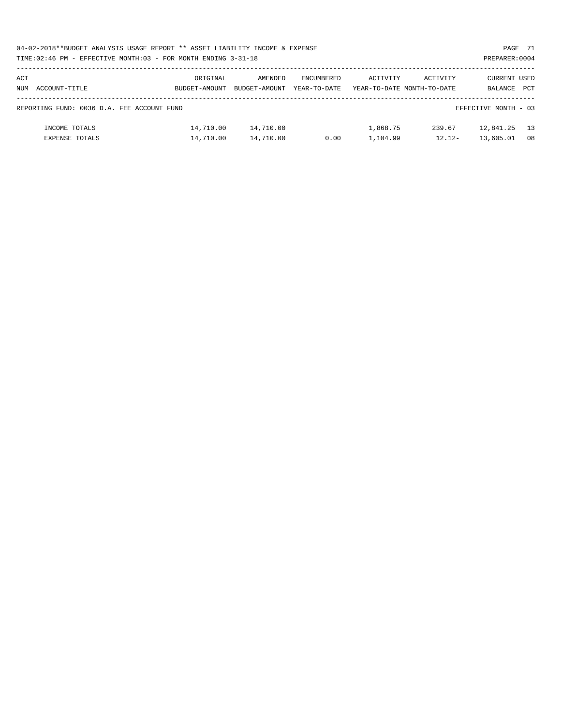| 04-02-2018**BUDGET ANALYSIS USAGE REPORT ** ASSET LIABILITY INCOME & EXPENSE | PAGE 71        |
|------------------------------------------------------------------------------|----------------|
| TIME: 02:46 PM - EFFECTIVE MONTH: 03 - FOR MONTH ENDING 3-31-18              | PREPARER: 0004 |

| ACT<br>NUM | ACCOUNT-TITLE                              | ORIGINAL<br>BUDGET-AMOUNT | AMENDED<br>BUDGET-AMOUNT | ENCUMBERED<br>YEAR-TO-DATE | ACTIVITY | ACTIVITY<br>YEAR-TO-DATE MONTH-TO-DATE | CURRENT USED<br>BALANCE | <b>PCT</b> |
|------------|--------------------------------------------|---------------------------|--------------------------|----------------------------|----------|----------------------------------------|-------------------------|------------|
|            |                                            |                           |                          |                            |          |                                        |                         |            |
|            |                                            |                           |                          |                            |          |                                        |                         |            |
|            | REPORTING FUND: 0036 D.A. FEE ACCOUNT FUND |                           |                          |                            |          |                                        | EFFECTIVE MONTH - 03    |            |
|            |                                            |                           |                          |                            |          |                                        |                         |            |
|            | INCOME TOTALS                              | 14,710.00                 | 14,710.00                |                            | 1,868.75 | 239.67                                 | 12,841.25               | 13         |
|            | <b>EXPENSE TOTALS</b>                      | 14,710.00                 | 14,710.00                | 0.00                       | 1,104.99 | $12.12-$                               | 13,605.01               | 08         |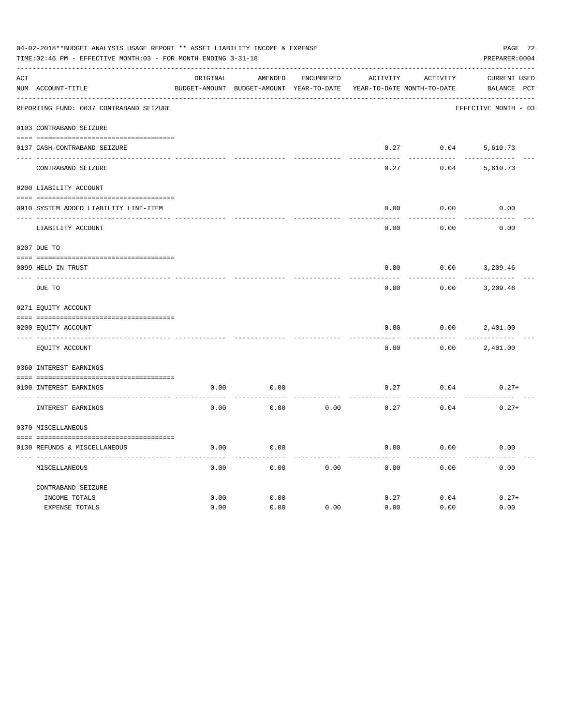|               | 04-02-2018**BUDGET ANALYSIS USAGE REPORT ** ASSET LIABILITY INCOME & EXPENSE<br>TIME: 02:46 PM - EFFECTIVE MONTH: 03 - FOR MONTH ENDING 3-31-18<br>----------------------------------- |          |                                                     |                   |                                               |                 |                                    |  |  |  |  |
|---------------|----------------------------------------------------------------------------------------------------------------------------------------------------------------------------------------|----------|-----------------------------------------------------|-------------------|-----------------------------------------------|-----------------|------------------------------------|--|--|--|--|
| ACT           | NUM ACCOUNT-TITLE                                                                                                                                                                      | ORIGINAL | AMENDED<br>BUDGET-AMOUNT BUDGET-AMOUNT YEAR-TO-DATE | <b>ENCUMBERED</b> | <b>ACTIVITY</b><br>YEAR-TO-DATE MONTH-TO-DATE | <b>ACTIVITY</b> | <b>CURRENT USED</b><br>BALANCE PCT |  |  |  |  |
|               | REPORTING FUND: 0037 CONTRABAND SEIZURE                                                                                                                                                |          |                                                     |                   |                                               |                 | EFFECTIVE MONTH - 03               |  |  |  |  |
|               | 0103 CONTRABAND SEIZURE                                                                                                                                                                |          |                                                     |                   |                                               |                 |                                    |  |  |  |  |
|               | 0137 CASH-CONTRABAND SEIZURE                                                                                                                                                           |          |                                                     |                   | 0.27                                          | 0.04            | 5,610.73                           |  |  |  |  |
|               | CONTRABAND SEIZURE                                                                                                                                                                     |          |                                                     |                   | 0.27                                          | 0.04            | 5,610.73                           |  |  |  |  |
|               | 0200 LIABILITY ACCOUNT                                                                                                                                                                 |          |                                                     |                   |                                               |                 |                                    |  |  |  |  |
|               | 0910 SYSTEM ADDED LIABILITY LINE-ITEM                                                                                                                                                  |          |                                                     |                   | 0.00                                          | 0.00            | 0.00                               |  |  |  |  |
|               | LIABILITY ACCOUNT                                                                                                                                                                      |          |                                                     |                   | 0.00                                          | 0.00            | 0.00                               |  |  |  |  |
|               | 0207 DUE TO                                                                                                                                                                            |          |                                                     |                   |                                               |                 |                                    |  |  |  |  |
|               | 0099 HELD IN TRUST                                                                                                                                                                     |          |                                                     |                   | 0.00                                          | 0.00            | 3,209.46                           |  |  |  |  |
| $\frac{1}{2}$ | DUE TO                                                                                                                                                                                 |          |                                                     |                   | 0.00                                          | 0.00            | 3,209.46                           |  |  |  |  |
|               | 0271 EQUITY ACCOUNT                                                                                                                                                                    |          |                                                     |                   |                                               |                 |                                    |  |  |  |  |
|               | 0200 EQUITY ACCOUNT                                                                                                                                                                    |          |                                                     |                   | 0.00                                          | 0.00            | 2,401.00                           |  |  |  |  |
|               | EOUITY ACCOUNT                                                                                                                                                                         |          |                                                     |                   | 0.00                                          | 0.00            | 2,401.00                           |  |  |  |  |
|               | 0360 INTEREST EARNINGS                                                                                                                                                                 |          |                                                     |                   |                                               |                 |                                    |  |  |  |  |
|               | 0100 INTEREST EARNINGS                                                                                                                                                                 | 0.00     | 0.00                                                |                   | 0.27                                          | 0.04            | $0.27+$                            |  |  |  |  |
|               | INTEREST EARNINGS                                                                                                                                                                      | 0.00     | 0.00                                                | 0.00              | 0.27                                          | 0.04            | $0.27+$                            |  |  |  |  |
|               | 0370 MISCELLANEOUS                                                                                                                                                                     |          |                                                     |                   |                                               |                 |                                    |  |  |  |  |
|               | 0130 REFUNDS & MISCELLANEOUS                                                                                                                                                           | 0.00     | 0.00                                                |                   | 0.00                                          | 0.00            | 0.00                               |  |  |  |  |
|               | MISCELLANEOUS                                                                                                                                                                          | 0.00     | 0.00                                                | 0.00              | 0.00                                          | 0.00            | 0.00                               |  |  |  |  |
|               | CONTRABAND SEIZURE                                                                                                                                                                     |          |                                                     |                   |                                               |                 |                                    |  |  |  |  |
|               | INCOME TOTALS                                                                                                                                                                          | 0.00     | 0.00                                                |                   | 0.27                                          | 0.04            | $0.27+$                            |  |  |  |  |
|               | <b>EXPENSE TOTALS</b>                                                                                                                                                                  | 0.00     | 0.00                                                | 0.00              | 0.00                                          | 0.00            | 0.00                               |  |  |  |  |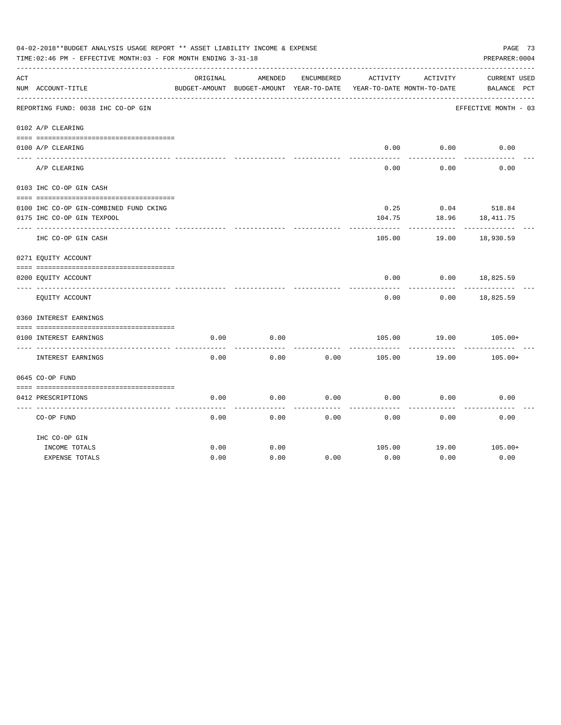|     | 04-02-2018**BUDGET ANALYSIS USAGE REPORT ** ASSET LIABILITY INCOME & EXPENSE<br>TIME: 02:46 PM - EFFECTIVE MONTH: 03 - FOR MONTH ENDING 3-31-18 |          |                                          |            |          |                            | PAGE 73<br>PREPARER: 0004 |  |
|-----|-------------------------------------------------------------------------------------------------------------------------------------------------|----------|------------------------------------------|------------|----------|----------------------------|---------------------------|--|
| ACT |                                                                                                                                                 | ORIGINAL | AMENDED                                  | ENCUMBERED | ACTIVITY | ACTIVITY                   | <b>CURRENT USED</b>       |  |
|     | NUM ACCOUNT-TITLE                                                                                                                               |          | BUDGET-AMOUNT BUDGET-AMOUNT YEAR-TO-DATE |            |          | YEAR-TO-DATE MONTH-TO-DATE | BALANCE PCT               |  |
|     | REPORTING FUND: 0038 IHC CO-OP GIN                                                                                                              |          |                                          |            |          |                            | EFFECTIVE MONTH - 03      |  |
|     | 0102 A/P CLEARING                                                                                                                               |          |                                          |            |          |                            |                           |  |
|     | 0100 A/P CLEARING                                                                                                                               |          |                                          |            | 0.00     | 0.00                       | 0.00                      |  |
|     |                                                                                                                                                 |          |                                          |            |          |                            |                           |  |
|     | A/P CLEARING                                                                                                                                    |          |                                          |            | 0.00     | 0.00                       | 0.00                      |  |
|     | 0103 IHC CO-OP GIN CASH                                                                                                                         |          |                                          |            |          |                            |                           |  |
|     |                                                                                                                                                 |          |                                          |            |          |                            |                           |  |
|     | 0100 IHC CO-OP GIN-COMBINED FUND CKING                                                                                                          |          |                                          |            | 0.25     |                            | $0.04$ 518.84             |  |
|     | 0175 IHC CO-OP GIN TEXPOOL                                                                                                                      |          |                                          |            | 104.75   | 18.96                      | 18, 411.75                |  |
|     | IHC CO-OP GIN CASH                                                                                                                              |          |                                          |            | 105.00   | 19.00                      | 18,930.59                 |  |
|     | 0271 EQUITY ACCOUNT                                                                                                                             |          |                                          |            |          |                            |                           |  |
|     | 0200 EQUITY ACCOUNT                                                                                                                             |          |                                          |            | 0.00     | 0.00                       | 18,825.59                 |  |
|     | EQUITY ACCOUNT                                                                                                                                  |          |                                          |            | 0.00     | 0.00                       | 18,825.59                 |  |
|     | 0360 INTEREST EARNINGS                                                                                                                          |          |                                          |            |          |                            |                           |  |
|     |                                                                                                                                                 |          |                                          |            |          |                            |                           |  |
|     | 0100 INTEREST EARNINGS                                                                                                                          | 0.00     | 0.00                                     |            | 105.00   | 19.00                      | $105.00+$                 |  |
|     | INTEREST EARNINGS                                                                                                                               | 0.00     | 0.00                                     | 0.00       | 105.00   | 19.00                      | $105.00+$                 |  |
|     | 0645 CO-OP FUND                                                                                                                                 |          |                                          |            |          |                            |                           |  |
|     |                                                                                                                                                 |          |                                          |            |          |                            |                           |  |
|     | 0412 PRESCRIPTIONS                                                                                                                              | 0.00     | 0.00                                     | 0.00       | 0.00     | 0.00                       | 0.00                      |  |
|     | CO-OP FUND                                                                                                                                      | 0.00     | 0.00                                     | 0.00       | 0.00     | 0.00                       | 0.00                      |  |
|     | IHC CO-OP GIN                                                                                                                                   |          |                                          |            |          |                            |                           |  |
|     | INCOME TOTALS                                                                                                                                   | 0.00     | 0.00                                     |            | 105.00   | 19.00                      | 105.00+                   |  |
|     | <b>EXPENSE TOTALS</b>                                                                                                                           | 0.00     | 0.00                                     | 0.00       | 0.00     | 0.00                       | 0.00                      |  |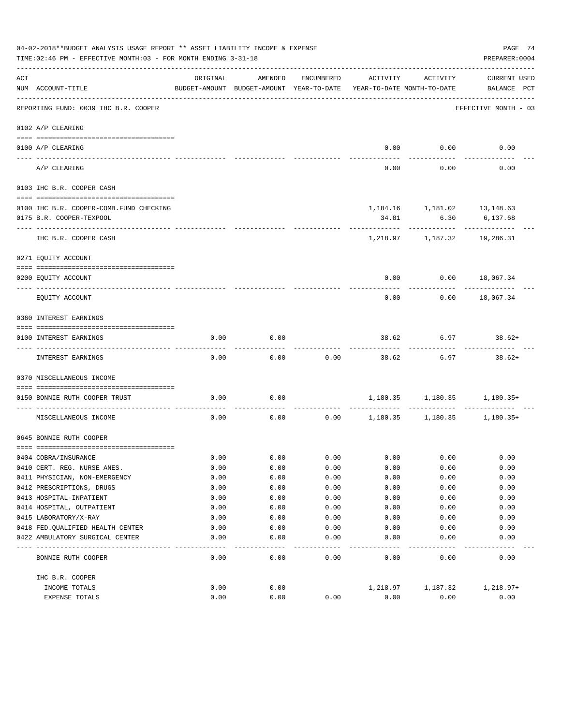|     | 04-02-2018**BUDGET ANALYSIS USAGE REPORT ** ASSET LIABILITY INCOME & EXPENSE<br>PAGE 74<br>TIME: 02:46 PM - EFFECTIVE MONTH: 03 - FOR MONTH ENDING 3-31-18<br>PREPARER: 0004 |              |                                                     |              |              |                                        |                                    |  |  |  |  |  |
|-----|------------------------------------------------------------------------------------------------------------------------------------------------------------------------------|--------------|-----------------------------------------------------|--------------|--------------|----------------------------------------|------------------------------------|--|--|--|--|--|
| ACT | NUM ACCOUNT-TITLE                                                                                                                                                            | ORIGINAL     | AMENDED<br>BUDGET-AMOUNT BUDGET-AMOUNT YEAR-TO-DATE | ENCUMBERED   | ACTIVITY     | ACTIVITY<br>YEAR-TO-DATE MONTH-TO-DATE | <b>CURRENT USED</b><br>BALANCE PCT |  |  |  |  |  |
|     | REPORTING FUND: 0039 IHC B.R. COOPER                                                                                                                                         |              |                                                     |              |              |                                        | EFFECTIVE MONTH - 03               |  |  |  |  |  |
|     | 0102 A/P CLEARING                                                                                                                                                            |              |                                                     |              |              |                                        |                                    |  |  |  |  |  |
|     |                                                                                                                                                                              |              |                                                     |              |              | $0.00$ $0.00$                          | 0.00                               |  |  |  |  |  |
|     | 0100 A/P CLEARING<br>---- ---------                                                                                                                                          |              |                                                     |              |              |                                        |                                    |  |  |  |  |  |
|     | A/P CLEARING                                                                                                                                                                 |              |                                                     |              | 0.00         | 0.00                                   | 0.00                               |  |  |  |  |  |
|     | 0103 IHC B.R. COOPER CASH                                                                                                                                                    |              |                                                     |              |              |                                        |                                    |  |  |  |  |  |
|     | 0100 IHC B.R. COOPER-COMB.FUND CHECKING                                                                                                                                      |              |                                                     |              |              | 1,184.16 1,181.02 13,148.63            |                                    |  |  |  |  |  |
|     | 0175 B.R. COOPER-TEXPOOL                                                                                                                                                     |              |                                                     |              | 34.81        | 6.30                                   | 6,137.68                           |  |  |  |  |  |
|     | IHC B.R. COOPER CASH                                                                                                                                                         |              |                                                     |              |              | ---------<br>1,218.97 1,187.32         | 19,286.31                          |  |  |  |  |  |
|     | 0271 EQUITY ACCOUNT                                                                                                                                                          |              |                                                     |              |              |                                        |                                    |  |  |  |  |  |
|     | 0200 EQUITY ACCOUNT                                                                                                                                                          |              |                                                     |              | 0.00         |                                        | $0.00$ 18,067.34                   |  |  |  |  |  |
|     | EQUITY ACCOUNT                                                                                                                                                               |              |                                                     |              | 0.00         | 0.00                                   | 18,067.34                          |  |  |  |  |  |
|     | 0360 INTEREST EARNINGS                                                                                                                                                       |              |                                                     |              |              |                                        |                                    |  |  |  |  |  |
|     |                                                                                                                                                                              |              |                                                     |              |              |                                        |                                    |  |  |  |  |  |
|     | 0100 INTEREST EARNINGS                                                                                                                                                       | 0.00         | 0.00                                                |              | 38.62        | 6.97                                   | 38.62+                             |  |  |  |  |  |
|     | INTEREST EARNINGS                                                                                                                                                            | 0.00         | 0.00                                                | 0.00         | 38.62        | 6.97                                   | $38.62+$                           |  |  |  |  |  |
|     | 0370 MISCELLANEOUS INCOME                                                                                                                                                    |              |                                                     |              |              |                                        |                                    |  |  |  |  |  |
|     | 0150 BONNIE RUTH COOPER TRUST                                                                                                                                                | 0.00         | 0.00                                                |              |              | 1,180.35 1,180.35 1,180.35+            |                                    |  |  |  |  |  |
|     | MISCELLANEOUS INCOME                                                                                                                                                         | 0.00         |                                                     | 0.00         |              | $0.00$ 1,180.35 1,180.35 1,180.35+     |                                    |  |  |  |  |  |
|     | 0645 BONNIE RUTH COOPER                                                                                                                                                      |              |                                                     |              |              |                                        |                                    |  |  |  |  |  |
|     |                                                                                                                                                                              |              |                                                     |              |              |                                        |                                    |  |  |  |  |  |
|     | 0404 COBRA/INSURANCE<br>0410 CERT. REG. NURSE ANES.                                                                                                                          | 0.00<br>0.00 | 0.00<br>0.00                                        | 0.00<br>0.00 | 0.00<br>0.00 | 0.00<br>0.00                           | 0.00<br>0.00                       |  |  |  |  |  |
|     | 0411 PHYSICIAN, NON-EMERGENCY                                                                                                                                                | 0.00         | 0.00                                                | 0.00         | 0.00         | 0.00                                   | 0.00                               |  |  |  |  |  |
|     | 0412 PRESCRIPTIONS, DRUGS                                                                                                                                                    | 0.00         | 0.00                                                | 0.00         | 0.00         | 0.00                                   | 0.00                               |  |  |  |  |  |
|     | 0413 HOSPITAL-INPATIENT                                                                                                                                                      | 0.00         | 0.00                                                | 0.00         | 0.00         | 0.00                                   | 0.00                               |  |  |  |  |  |
|     | 0414 HOSPITAL, OUTPATIENT                                                                                                                                                    | 0.00         | 0.00                                                | 0.00         | 0.00         | 0.00                                   | 0.00                               |  |  |  |  |  |
|     | 0415 LABORATORY/X-RAY                                                                                                                                                        | 0.00         | 0.00                                                | 0.00         | 0.00         | 0.00                                   | 0.00                               |  |  |  |  |  |
|     | 0418 FED. QUALIFIED HEALTH CENTER                                                                                                                                            | 0.00         | 0.00                                                | 0.00         | 0.00         | 0.00                                   | 0.00                               |  |  |  |  |  |
|     | 0422 AMBULATORY SURGICAL CENTER                                                                                                                                              | 0.00         | 0.00                                                | 0.00         | 0.00         | 0.00                                   | 0.00                               |  |  |  |  |  |
|     |                                                                                                                                                                              |              |                                                     | ----         |              |                                        |                                    |  |  |  |  |  |
|     | BONNIE RUTH COOPER                                                                                                                                                           | 0.00         | 0.00                                                | 0.00         | 0.00         | 0.00                                   | 0.00                               |  |  |  |  |  |
|     | IHC B.R. COOPER                                                                                                                                                              |              |                                                     |              |              |                                        |                                    |  |  |  |  |  |
|     | INCOME TOTALS                                                                                                                                                                | 0.00         | 0.00                                                |              | 1,218.97     | 1,187.32                               | 1,218.97+                          |  |  |  |  |  |
|     | EXPENSE TOTALS                                                                                                                                                               | 0.00         | 0.00                                                | 0.00         | 0.00         | 0.00                                   | 0.00                               |  |  |  |  |  |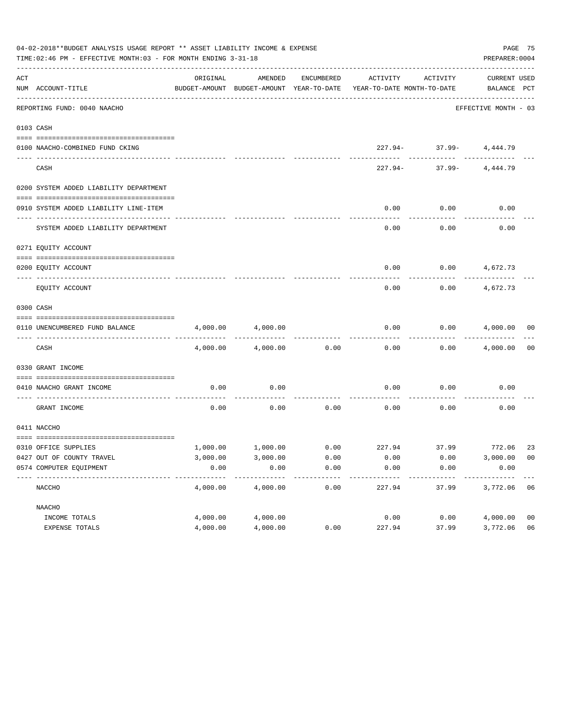|     | 04-02-2018**BUDGET ANALYSIS USAGE REPORT ** ASSET LIABILITY INCOME & EXPENSE<br>TIME:02:46 PM - EFFECTIVE MONTH:03 - FOR MONTH ENDING 3-31-18 |          |          |            |                                                                                 |                                                     |                             |                |  |  |  |
|-----|-----------------------------------------------------------------------------------------------------------------------------------------------|----------|----------|------------|---------------------------------------------------------------------------------|-----------------------------------------------------|-----------------------------|----------------|--|--|--|
| ACT | NUM ACCOUNT-TITLE                                                                                                                             | ORIGINAL | AMENDED  | ENCUMBERED | ACTIVITY<br>BUDGET-AMOUNT BUDGET-AMOUNT YEAR-TO-DATE YEAR-TO-DATE MONTH-TO-DATE | ACTIVITY                                            | CURRENT USED<br>BALANCE PCT |                |  |  |  |
|     | ----------------------------------<br>REPORTING FUND: 0040 NAACHO                                                                             |          |          |            |                                                                                 |                                                     | EFFECTIVE MONTH - 03        |                |  |  |  |
|     | 0103 CASH                                                                                                                                     |          |          |            |                                                                                 |                                                     |                             |                |  |  |  |
|     | 0100 NAACHO-COMBINED FUND CKING                                                                                                               |          |          |            |                                                                                 | $227.94 - 37.99 - 4,444.79$                         |                             |                |  |  |  |
|     | CASH                                                                                                                                          |          |          |            |                                                                                 | ---------- ---------<br>$227.94 - 37.99 - 4,444.79$ |                             |                |  |  |  |
|     | 0200 SYSTEM ADDED LIABILITY DEPARTMENT                                                                                                        |          |          |            |                                                                                 |                                                     |                             |                |  |  |  |
|     | 0910 SYSTEM ADDED LIABILITY LINE-ITEM                                                                                                         |          |          |            | 0.00                                                                            | 0.00                                                | 0.00                        |                |  |  |  |
|     | SYSTEM ADDED LIABILITY DEPARTMENT                                                                                                             |          |          |            | 0.00                                                                            | 0.00                                                | 0.00                        |                |  |  |  |
|     | 0271 EQUITY ACCOUNT                                                                                                                           |          |          |            |                                                                                 |                                                     |                             |                |  |  |  |
|     | 0200 EQUITY ACCOUNT                                                                                                                           |          |          |            | 0.00                                                                            | $0.00$ 4,672.73                                     |                             |                |  |  |  |
|     | EQUITY ACCOUNT                                                                                                                                |          |          |            | 0.00                                                                            | 0.00                                                | 4,672.73                    |                |  |  |  |
|     | 0300 CASH                                                                                                                                     |          |          |            |                                                                                 |                                                     |                             |                |  |  |  |
|     | 0110 UNENCUMBERED FUND BALANCE                                                                                                                | 4,000.00 | 4,000.00 |            | 0.00                                                                            |                                                     | $0.00$ $4,000.00$ 00        |                |  |  |  |
|     | CASH                                                                                                                                          | 4,000.00 | 4,000.00 | 0.00       | 0.00                                                                            |                                                     | $0.00$ $4,000.00$ 00        |                |  |  |  |
|     | 0330 GRANT INCOME                                                                                                                             |          |          |            |                                                                                 |                                                     |                             |                |  |  |  |
|     | 0410 NAACHO GRANT INCOME                                                                                                                      | 0.00     | 0.00     |            | 0.00                                                                            | 0.00                                                | 0.00                        |                |  |  |  |
|     | ---------------- ---<br>GRANT INCOME                                                                                                          | 0.00     | 0.00     | 0.00       | 0.00                                                                            | 0.00                                                | 0.00                        |                |  |  |  |
|     | 0411 NACCHO                                                                                                                                   |          |          |            |                                                                                 |                                                     |                             |                |  |  |  |
|     | 0310 OFFICE SUPPLIES                                                                                                                          |          |          |            | $1,000.00$ $1,000.00$ $0.00$ $227.94$ $37.99$ $772.06$                          |                                                     |                             | 23             |  |  |  |
|     | 0427 OUT OF COUNTY TRAVEL                                                                                                                     | 3,000.00 | 3,000.00 | 0.00       | 0.00                                                                            | 0.00                                                | 3,000.00 00                 |                |  |  |  |
|     | 0574 COMPUTER EQUIPMENT                                                                                                                       | 0.00     | 0.00     | 0.00       | 0.00                                                                            | 0.00                                                | 0.00                        |                |  |  |  |
|     | NACCHO                                                                                                                                        | 4,000.00 | 4,000.00 | 0.00       | 227.94                                                                          | 37.99                                               | 3,772.06                    | - 06           |  |  |  |
|     | NAACHO                                                                                                                                        |          |          |            |                                                                                 |                                                     |                             |                |  |  |  |
|     | INCOME TOTALS                                                                                                                                 | 4,000.00 | 4,000.00 |            | 0.00                                                                            | 0.00                                                | 4,000.00                    | 0 <sub>0</sub> |  |  |  |
|     | EXPENSE TOTALS                                                                                                                                | 4,000.00 | 4,000.00 | 0.00       | 227.94                                                                          | 37.99                                               | 3,772.06                    | 06             |  |  |  |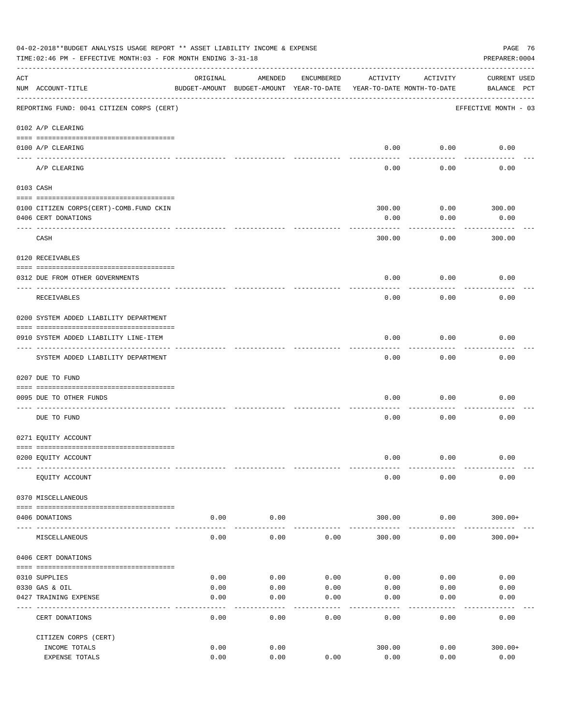| 04-02-2018**BUDGET ANALYSIS USAGE REPORT ** ASSET LIABILITY INCOME & EXPENSE<br>PAGE 76<br>PREPARER: 0004<br>TIME:02:46 PM - EFFECTIVE MONTH:03 - FOR MONTH ENDING 3-31-18 |                                             |          |                                                     |            |                                        |                 |                                    |  |  |  |  |
|----------------------------------------------------------------------------------------------------------------------------------------------------------------------------|---------------------------------------------|----------|-----------------------------------------------------|------------|----------------------------------------|-----------------|------------------------------------|--|--|--|--|
| ACT                                                                                                                                                                        | NUM ACCOUNT-TITLE                           | ORIGINAL | AMENDED<br>BUDGET-AMOUNT BUDGET-AMOUNT YEAR-TO-DATE | ENCUMBERED | ACTIVITY<br>YEAR-TO-DATE MONTH-TO-DATE | ACTIVITY        | <b>CURRENT USED</b><br>BALANCE PCT |  |  |  |  |
|                                                                                                                                                                            | REPORTING FUND: 0041 CITIZEN CORPS (CERT)   |          |                                                     |            |                                        |                 | EFFECTIVE MONTH - 03               |  |  |  |  |
|                                                                                                                                                                            | 0102 A/P CLEARING                           |          |                                                     |            |                                        |                 |                                    |  |  |  |  |
|                                                                                                                                                                            | 0100 A/P CLEARING<br>---- ---------         |          |                                                     |            | 0.00                                   | 0.00            | 0.00                               |  |  |  |  |
|                                                                                                                                                                            | A/P CLEARING                                |          |                                                     |            | 0.00                                   | 0.00            | 0.00                               |  |  |  |  |
|                                                                                                                                                                            | 0103 CASH                                   |          |                                                     |            |                                        |                 |                                    |  |  |  |  |
|                                                                                                                                                                            |                                             |          |                                                     |            |                                        |                 |                                    |  |  |  |  |
|                                                                                                                                                                            | 0100 CITIZEN CORPS (CERT) - COMB. FUND CKIN |          |                                                     |            | 300.00                                 | 0.00            | 300.00                             |  |  |  |  |
|                                                                                                                                                                            | 0406 CERT DONATIONS                         |          |                                                     |            | 0.00                                   | 0.00            | 0.00<br>------                     |  |  |  |  |
|                                                                                                                                                                            | CASH                                        |          |                                                     |            | 300.00                                 | 0.00            | 300.00                             |  |  |  |  |
|                                                                                                                                                                            | 0120 RECEIVABLES                            |          |                                                     |            |                                        |                 |                                    |  |  |  |  |
|                                                                                                                                                                            | 0312 DUE FROM OTHER GOVERNMENTS             |          |                                                     |            | 0.00                                   | 0.00            | 0.00                               |  |  |  |  |
|                                                                                                                                                                            | RECEIVABLES                                 |          |                                                     |            | 0.00                                   | 0.00            | 0.00                               |  |  |  |  |
|                                                                                                                                                                            | 0200 SYSTEM ADDED LIABILITY DEPARTMENT      |          |                                                     |            |                                        |                 |                                    |  |  |  |  |
|                                                                                                                                                                            |                                             |          |                                                     |            |                                        |                 |                                    |  |  |  |  |
|                                                                                                                                                                            | 0910 SYSTEM ADDED LIABILITY LINE-ITEM       |          |                                                     |            | 0.00                                   | 0.00            | 0.00                               |  |  |  |  |
|                                                                                                                                                                            | SYSTEM ADDED LIABILITY DEPARTMENT           |          |                                                     |            | 0.00                                   | -------<br>0.00 | 0.00                               |  |  |  |  |
|                                                                                                                                                                            | 0207 DUE TO FUND                            |          |                                                     |            |                                        |                 |                                    |  |  |  |  |
|                                                                                                                                                                            | 0095 DUE TO OTHER FUNDS                     |          |                                                     |            | 0.00                                   | 0.00            | 0.00                               |  |  |  |  |
|                                                                                                                                                                            | DUE TO FUND                                 |          |                                                     |            | 0.00                                   | 0.00            | 0.00                               |  |  |  |  |
|                                                                                                                                                                            | 0271 EQUITY ACCOUNT                         |          |                                                     |            |                                        |                 |                                    |  |  |  |  |
|                                                                                                                                                                            |                                             |          |                                                     |            |                                        |                 |                                    |  |  |  |  |
|                                                                                                                                                                            | 0200 EQUITY ACCOUNT                         |          |                                                     |            | 0.00                                   | 0.00            | 0.00                               |  |  |  |  |
|                                                                                                                                                                            | EQUITY ACCOUNT                              |          |                                                     |            | 0.00                                   | 0.00            | 0.00                               |  |  |  |  |
|                                                                                                                                                                            | 0370 MISCELLANEOUS                          |          |                                                     |            |                                        |                 |                                    |  |  |  |  |
|                                                                                                                                                                            | 0406 DONATIONS                              | 0.00     | 0.00                                                |            | 300.00                                 | 0.00            | $300.00+$                          |  |  |  |  |
|                                                                                                                                                                            | MISCELLANEOUS                               | 0.00     | 0.00                                                | 0.00       | 300.00                                 | 0.00            | $300.00+$                          |  |  |  |  |
|                                                                                                                                                                            | 0406 CERT DONATIONS                         |          |                                                     |            |                                        |                 |                                    |  |  |  |  |
|                                                                                                                                                                            | 0310 SUPPLIES                               | 0.00     | 0.00                                                | 0.00       | 0.00                                   | 0.00            | 0.00                               |  |  |  |  |
|                                                                                                                                                                            | 0330 GAS & OIL                              | 0.00     | 0.00                                                | 0.00       | 0.00                                   | 0.00            | 0.00                               |  |  |  |  |
|                                                                                                                                                                            | 0427 TRAINING EXPENSE                       | 0.00     | 0.00                                                | 0.00       | 0.00                                   | 0.00            | 0.00                               |  |  |  |  |
|                                                                                                                                                                            | CERT DONATIONS                              | 0.00     | 0.00                                                | 0.00       | 0.00                                   | 0.00            | 0.00                               |  |  |  |  |
|                                                                                                                                                                            | CITIZEN CORPS (CERT)                        |          |                                                     |            |                                        |                 |                                    |  |  |  |  |
|                                                                                                                                                                            | INCOME TOTALS                               | 0.00     | 0.00                                                |            | 300.00                                 | 0.00            | $300.00+$                          |  |  |  |  |
|                                                                                                                                                                            | EXPENSE TOTALS                              | 0.00     | 0.00                                                | 0.00       | 0.00                                   | 0.00            | 0.00                               |  |  |  |  |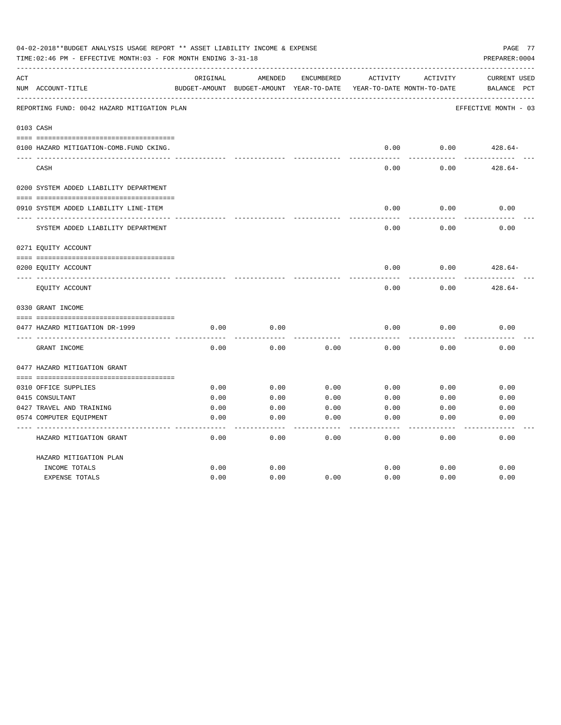|     | 04-02-2018**BUDGET ANALYSIS USAGE REPORT ** ASSET LIABILITY INCOME & EXPENSE<br>PAGE 77<br>TIME: 02:46 PM - EFFECTIVE MONTH: 03 - FOR MONTH ENDING 3-31-18<br>PREPARER: 0004 |          |                                                     |            |          |                                        |                                    |  |  |  |  |  |
|-----|------------------------------------------------------------------------------------------------------------------------------------------------------------------------------|----------|-----------------------------------------------------|------------|----------|----------------------------------------|------------------------------------|--|--|--|--|--|
| ACT | NUM ACCOUNT-TITLE                                                                                                                                                            | ORIGINAL | AMENDED<br>BUDGET-AMOUNT BUDGET-AMOUNT YEAR-TO-DATE | ENCUMBERED | ACTIVITY | ACTIVITY<br>YEAR-TO-DATE MONTH-TO-DATE | <b>CURRENT USED</b><br>BALANCE PCT |  |  |  |  |  |
|     | REPORTING FUND: 0042 HAZARD MITIGATION PLAN                                                                                                                                  |          |                                                     |            |          |                                        | EFFECTIVE MONTH - 03               |  |  |  |  |  |
|     | 0103 CASH                                                                                                                                                                    |          |                                                     |            |          |                                        |                                    |  |  |  |  |  |
|     | 0100 HAZARD MITIGATION-COMB.FUND CKING.                                                                                                                                      |          |                                                     |            | 0.00     | 0.00                                   | $428.64-$                          |  |  |  |  |  |
|     | CASH                                                                                                                                                                         |          |                                                     |            | 0.00     | 0.00                                   | $428.64-$                          |  |  |  |  |  |
|     | 0200 SYSTEM ADDED LIABILITY DEPARTMENT                                                                                                                                       |          |                                                     |            |          |                                        |                                    |  |  |  |  |  |
|     | 0910 SYSTEM ADDED LIABILITY LINE-ITEM                                                                                                                                        |          |                                                     |            | 0.00     | 0.00                                   | 0.00                               |  |  |  |  |  |
|     | SYSTEM ADDED LIABILITY DEPARTMENT                                                                                                                                            |          |                                                     |            | 0.00     | 0.00                                   | 0.00                               |  |  |  |  |  |
|     | 0271 EQUITY ACCOUNT                                                                                                                                                          |          |                                                     |            |          |                                        |                                    |  |  |  |  |  |
|     | 0200 EQUITY ACCOUNT                                                                                                                                                          |          |                                                     |            | 0.00     | 0.00                                   | $428.64-$                          |  |  |  |  |  |
|     | EQUITY ACCOUNT                                                                                                                                                               |          |                                                     |            | 0.00     | 0.00                                   | $428.64-$                          |  |  |  |  |  |
|     | 0330 GRANT INCOME                                                                                                                                                            |          |                                                     |            |          |                                        |                                    |  |  |  |  |  |
|     | 0477 HAZARD MITIGATION DR-1999                                                                                                                                               | 0.00     | 0.00                                                |            | 0.00     | 0.00                                   | 0.00                               |  |  |  |  |  |
|     | GRANT INCOME                                                                                                                                                                 | 0.00     | 0.00                                                | 0.00       | 0.00     | 0.00                                   | 0.00                               |  |  |  |  |  |
|     | 0477 HAZARD MITIGATION GRANT                                                                                                                                                 |          |                                                     |            |          |                                        |                                    |  |  |  |  |  |
|     |                                                                                                                                                                              |          |                                                     |            |          |                                        |                                    |  |  |  |  |  |
|     | 0310 OFFICE SUPPLIES                                                                                                                                                         | 0.00     | 0.00                                                | 0.00       | 0.00     | 0.00                                   | 0.00                               |  |  |  |  |  |
|     | 0415 CONSULTANT                                                                                                                                                              | 0.00     | 0.00                                                | 0.00       | 0.00     | 0.00                                   | 0.00                               |  |  |  |  |  |
|     | 0427 TRAVEL AND TRAINING                                                                                                                                                     | 0.00     | 0.00                                                | 0.00       | 0.00     | 0.00                                   | 0.00                               |  |  |  |  |  |
|     | 0574 COMPUTER EQUIPMENT                                                                                                                                                      | 0.00     | 0.00                                                | 0.00       | 0.00     | 0.00                                   | 0.00                               |  |  |  |  |  |
|     | HAZARD MITIGATION GRANT                                                                                                                                                      | 0.00     | 0.00                                                | 0.00       | 0.00     | 0.00                                   | 0.00                               |  |  |  |  |  |
|     | HAZARD MITIGATION PLAN                                                                                                                                                       |          |                                                     |            |          |                                        |                                    |  |  |  |  |  |
|     | INCOME TOTALS                                                                                                                                                                | 0.00     | 0.00                                                |            | 0.00     | 0.00                                   | 0.00                               |  |  |  |  |  |
|     | <b>EXPENSE TOTALS</b>                                                                                                                                                        | 0.00     | 0.00                                                | 0.00       | 0.00     | 0.00                                   | 0.00                               |  |  |  |  |  |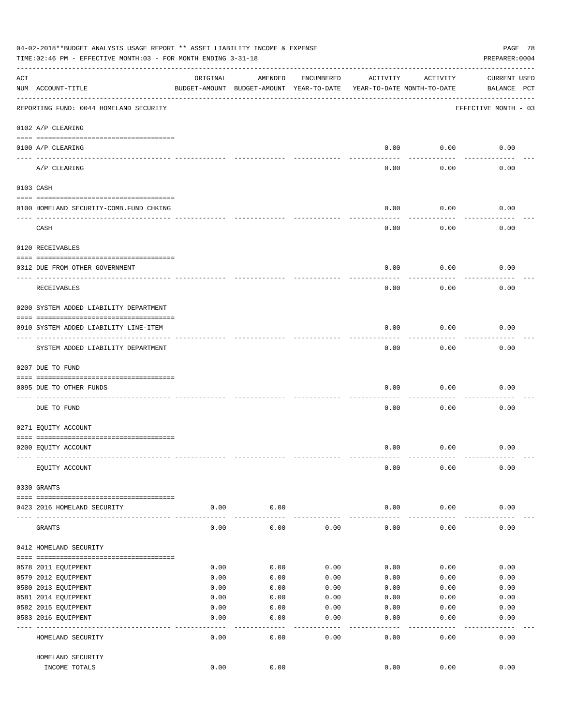|                    | 04-02-2018**BUDGET ANALYSIS USAGE REPORT ** ASSET LIABILITY INCOME & EXPENSE<br>TIME:02:46 PM - EFFECTIVE MONTH:03 - FOR MONTH ENDING 3-31-18 |          |                                                     |              |                                        |                   | PAGE 78<br>PREPARER: 0004          |
|--------------------|-----------------------------------------------------------------------------------------------------------------------------------------------|----------|-----------------------------------------------------|--------------|----------------------------------------|-------------------|------------------------------------|
| $\mathop{\rm ACT}$ | NUM ACCOUNT-TITLE                                                                                                                             | ORIGINAL | AMENDED<br>BUDGET-AMOUNT BUDGET-AMOUNT YEAR-TO-DATE | ENCUMBERED   | ACTIVITY<br>YEAR-TO-DATE MONTH-TO-DATE | ACTIVITY          | <b>CURRENT USED</b><br>BALANCE PCT |
|                    | REPORTING FUND: 0044 HOMELAND SECURITY                                                                                                        |          |                                                     |              |                                        |                   | EFFECTIVE MONTH - 03               |
|                    | 0102 A/P CLEARING                                                                                                                             |          |                                                     |              |                                        |                   |                                    |
|                    | 0100 A/P CLEARING                                                                                                                             |          |                                                     |              | 0.00                                   | 0.00              | 0.00                               |
|                    | ---- ---------<br>A/P CLEARING                                                                                                                |          |                                                     |              | 0.00                                   | 0.00              | 0.00                               |
|                    | 0103 CASH                                                                                                                                     |          |                                                     |              |                                        |                   |                                    |
|                    | 0100 HOMELAND SECURITY-COMB.FUND CHKING                                                                                                       |          |                                                     |              | 0.00                                   | 0.00              | 0.00                               |
|                    | CASH                                                                                                                                          |          |                                                     |              | 0.00                                   | 0.00              | 0.00                               |
|                    | 0120 RECEIVABLES                                                                                                                              |          |                                                     |              |                                        |                   |                                    |
|                    | 0312 DUE FROM OTHER GOVERNMENT                                                                                                                |          |                                                     |              | 0.00                                   | 0.00              | 0.00                               |
|                    | RECEIVABLES                                                                                                                                   |          |                                                     |              | 0.00                                   | 0.00              | 0.00                               |
|                    | 0200 SYSTEM ADDED LIABILITY DEPARTMENT                                                                                                        |          |                                                     |              |                                        |                   |                                    |
|                    | 0910 SYSTEM ADDED LIABILITY LINE-ITEM                                                                                                         |          |                                                     |              | 0.00                                   | 0.00              | 0.00                               |
|                    | SYSTEM ADDED LIABILITY DEPARTMENT                                                                                                             |          |                                                     |              | 0.00                                   | 0.00              | 0.00                               |
|                    | 0207 DUE TO FUND                                                                                                                              |          |                                                     |              |                                        |                   |                                    |
|                    | 0095 DUE TO OTHER FUNDS                                                                                                                       |          |                                                     |              | 0.00                                   | 0.00              | 0.00                               |
|                    | DUE TO FUND                                                                                                                                   |          |                                                     |              | 0.00                                   | 0.00              | 0.00                               |
|                    | 0271 EQUITY ACCOUNT                                                                                                                           |          |                                                     |              |                                        |                   |                                    |
|                    | 0200 EQUITY ACCOUNT                                                                                                                           |          |                                                     |              | 0.00                                   | 0.00              | 0.00                               |
|                    |                                                                                                                                               |          |                                                     |              | 0.00                                   | 0.00              | 0.00                               |
|                    | EQUITY ACCOUNT                                                                                                                                |          |                                                     |              |                                        |                   |                                    |
|                    | 0330 GRANTS                                                                                                                                   |          |                                                     |              |                                        |                   |                                    |
|                    | 0423 2016 HOMELAND SECURITY                                                                                                                   | 0.00     | 0.00                                                |              | 0.00                                   | 0.00              | 0.00                               |
|                    | GRANTS                                                                                                                                        | 0.00     | 0.00                                                | 0.00         | 0.00                                   | 0.00              | 0.00                               |
|                    | 0412 HOMELAND SECURITY                                                                                                                        |          |                                                     |              |                                        |                   |                                    |
|                    | 0578 2011 EQUIPMENT                                                                                                                           | 0.00     | 0.00                                                | 0.00         | 0.00                                   | 0.00              | 0.00                               |
|                    | 0579 2012 EQUIPMENT                                                                                                                           | 0.00     | 0.00                                                | 0.00         | 0.00                                   | 0.00              | 0.00                               |
|                    | 0580 2013 EQUIPMENT                                                                                                                           | 0.00     | 0.00                                                | 0.00         | 0.00                                   | 0.00              | 0.00                               |
|                    | 0581 2014 EQUIPMENT                                                                                                                           | 0.00     | 0.00                                                | 0.00         | 0.00                                   | 0.00              | 0.00                               |
|                    | 0582 2015 EQUIPMENT                                                                                                                           | 0.00     | 0.00                                                | 0.00         | 0.00                                   | 0.00              | 0.00                               |
|                    | 0583 2016 EQUIPMENT                                                                                                                           | 0.00     | 0.00                                                | 0.00         | 0.00                                   | 0.00              | 0.00                               |
|                    | HOMELAND SECURITY                                                                                                                             | 0.00     | ----<br>0.00                                        | ----<br>0.00 | $- - - -$<br>0.00                      | $- - - -$<br>0.00 | 0.00                               |
|                    | HOMELAND SECURITY                                                                                                                             |          |                                                     |              |                                        |                   |                                    |
|                    | INCOME TOTALS                                                                                                                                 | 0.00     | 0.00                                                |              | 0.00                                   | 0.00              | 0.00                               |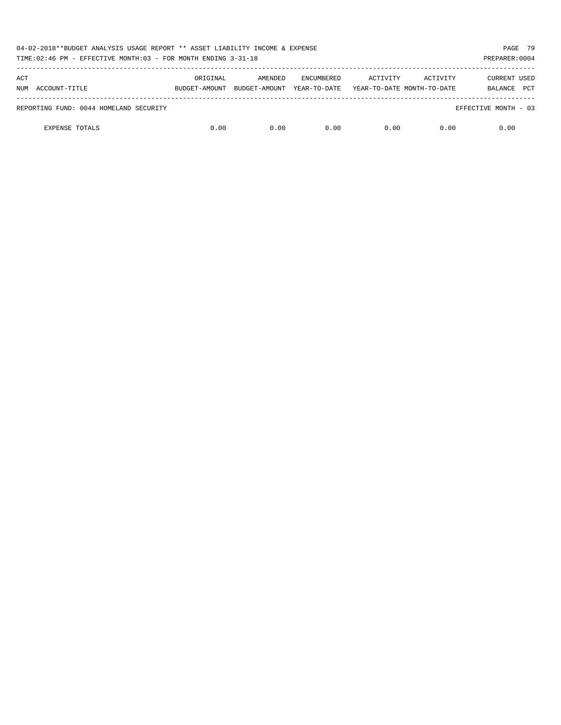| 04-02-2018**BUDGET ANALYSIS USAGE REPORT ** ASSET LIABILITY INCOME & EXPENSE<br>TIME: 02:46 PM - EFFECTIVE MONTH: 03 - FOR MONTH ENDING 3-31-18 |               |               |                   |          |                            |                       |  |  |  |  |
|-------------------------------------------------------------------------------------------------------------------------------------------------|---------------|---------------|-------------------|----------|----------------------------|-----------------------|--|--|--|--|
| ACT                                                                                                                                             | ORIGINAL      | AMENDED       | <b>ENCUMBERED</b> | ACTIVITY | ACTIVITY                   | <b>CURRENT USED</b>   |  |  |  |  |
| ACCOUNT-TITLE<br>NUM                                                                                                                            | BUDGET-AMOUNT | BUDGET-AMOUNT | YEAR-TO-DATE      |          | YEAR-TO-DATE MONTH-TO-DATE | <b>PCT</b><br>BALANCE |  |  |  |  |
| REPORTING FUND: 0044 HOMELAND SECURITY                                                                                                          |               |               |                   |          |                            | EFFECTIVE MONTH - 03  |  |  |  |  |
| <b>EXPENSE TOTALS</b>                                                                                                                           | 0.00          | 0.00          | 0.00              | 0.00     | 0.00                       | 0.00                  |  |  |  |  |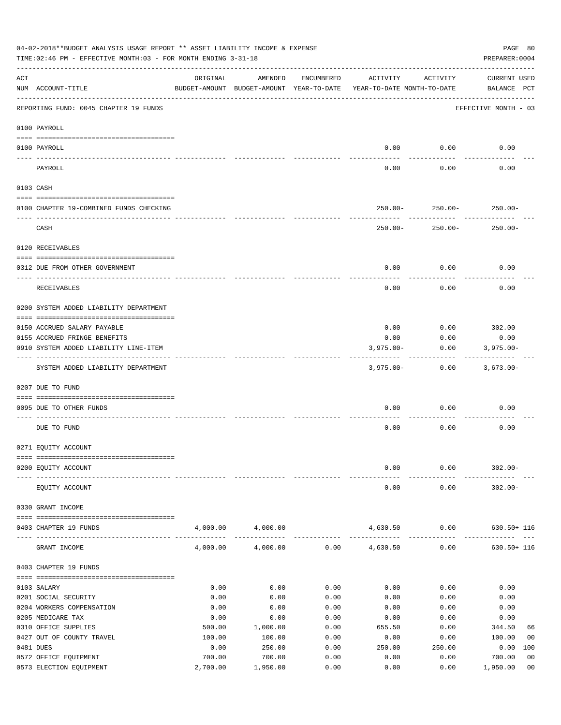|     | 04-02-2018**BUDGET ANALYSIS USAGE REPORT ** ASSET LIABILITY INCOME & EXPENSE<br>PAGE 80<br>TIME: 02:46 PM - EFFECTIVE MONTH: 03 - FOR MONTH ENDING 3-31-18<br>PREPARER: 0004 |                |                                                     |              |                                        |                              |                                    |                |  |  |  |  |
|-----|------------------------------------------------------------------------------------------------------------------------------------------------------------------------------|----------------|-----------------------------------------------------|--------------|----------------------------------------|------------------------------|------------------------------------|----------------|--|--|--|--|
| ACT | NUM ACCOUNT-TITLE                                                                                                                                                            | ORIGINAL       | AMENDED<br>BUDGET-AMOUNT BUDGET-AMOUNT YEAR-TO-DATE | ENCUMBERED   | ACTIVITY<br>YEAR-TO-DATE MONTH-TO-DATE | ACTIVITY                     | <b>CURRENT USED</b><br>BALANCE PCT |                |  |  |  |  |
|     | REPORTING FUND: 0045 CHAPTER 19 FUNDS                                                                                                                                        |                |                                                     |              |                                        |                              | EFFECTIVE MONTH - 03               |                |  |  |  |  |
|     | 0100 PAYROLL                                                                                                                                                                 |                |                                                     |              |                                        |                              |                                    |                |  |  |  |  |
|     | 0100 PAYROLL                                                                                                                                                                 |                |                                                     |              | 0.00                                   | 0.00                         | 0.00                               |                |  |  |  |  |
|     | PAYROLL                                                                                                                                                                      |                |                                                     |              | 0.00                                   | 0.00                         | 0.00                               |                |  |  |  |  |
|     | 0103 CASH                                                                                                                                                                    |                |                                                     |              |                                        |                              |                                    |                |  |  |  |  |
|     | 0100 CHAPTER 19-COMBINED FUNDS CHECKING                                                                                                                                      |                |                                                     |              |                                        | $250.00 - 250.00 - 250.00 -$ |                                    |                |  |  |  |  |
|     | CASH                                                                                                                                                                         |                |                                                     |              | $250.00 -$                             | 250.00-                      | $250.00 -$                         |                |  |  |  |  |
|     | 0120 RECEIVABLES                                                                                                                                                             |                |                                                     |              |                                        |                              |                                    |                |  |  |  |  |
|     | 0312 DUE FROM OTHER GOVERNMENT                                                                                                                                               |                |                                                     |              |                                        |                              |                                    |                |  |  |  |  |
|     |                                                                                                                                                                              |                |                                                     |              | 0.00                                   | 0.00                         | 0.00                               |                |  |  |  |  |
|     | RECEIVABLES                                                                                                                                                                  |                |                                                     |              | 0.00                                   | 0.00                         | 0.00                               |                |  |  |  |  |
|     | 0200 SYSTEM ADDED LIABILITY DEPARTMENT                                                                                                                                       |                |                                                     |              |                                        |                              |                                    |                |  |  |  |  |
|     | 0150 ACCRUED SALARY PAYABLE                                                                                                                                                  |                |                                                     |              | 0.00                                   |                              | $0.00$ 302.00                      |                |  |  |  |  |
|     | 0155 ACCRUED FRINGE BENEFITS                                                                                                                                                 |                |                                                     |              | 0.00                                   | 0.00                         | 0.00                               |                |  |  |  |  |
|     | 0910 SYSTEM ADDED LIABILITY LINE-ITEM                                                                                                                                        |                |                                                     |              | $3,975.00 -$                           | 0.00                         | $3,975.00 -$                       |                |  |  |  |  |
|     | SYSTEM ADDED LIABILITY DEPARTMENT                                                                                                                                            |                |                                                     |              | 3,975.00-                              | 0.00                         | 3,673.00-                          |                |  |  |  |  |
|     | 0207 DUE TO FUND                                                                                                                                                             |                |                                                     |              |                                        |                              |                                    |                |  |  |  |  |
|     | 0095 DUE TO OTHER FUNDS                                                                                                                                                      |                |                                                     |              | 0.00                                   | 0.00                         | 0.00                               |                |  |  |  |  |
|     | DUE TO FUND                                                                                                                                                                  |                |                                                     |              | 0.00                                   | 0.00                         | 0.00                               |                |  |  |  |  |
|     | 0271 EQUITY ACCOUNT                                                                                                                                                          |                |                                                     |              |                                        |                              |                                    |                |  |  |  |  |
|     | 0200 EQUITY ACCOUNT                                                                                                                                                          |                |                                                     |              | 0.00                                   | 0.00                         | $302.00 -$                         |                |  |  |  |  |
|     |                                                                                                                                                                              |                |                                                     |              |                                        |                              |                                    |                |  |  |  |  |
|     | EQUITY ACCOUNT                                                                                                                                                               |                |                                                     |              | 0.00                                   | 0.00                         | $302.00 -$                         |                |  |  |  |  |
|     | 0330 GRANT INCOME                                                                                                                                                            |                |                                                     |              |                                        |                              |                                    |                |  |  |  |  |
|     | 0403 CHAPTER 19 FUNDS                                                                                                                                                        |                | 4,000.00 4,000.00                                   |              | 4,630.50                               | 0.00                         | $630.50 + 116$                     |                |  |  |  |  |
|     | GRANT INCOME                                                                                                                                                                 | 4,000.00       | 4,000.00                                            |              | $0.00$ 4,630.50                        | 0.00                         | $630.50 + 116$                     |                |  |  |  |  |
|     | 0403 CHAPTER 19 FUNDS                                                                                                                                                        |                |                                                     |              |                                        |                              |                                    |                |  |  |  |  |
|     | 0103 SALARY                                                                                                                                                                  | 0.00           | 0.00                                                | 0.00         | 0.00                                   | 0.00                         | 0.00                               |                |  |  |  |  |
|     | 0201 SOCIAL SECURITY                                                                                                                                                         | 0.00           | 0.00                                                | 0.00         | 0.00                                   | 0.00                         | 0.00                               |                |  |  |  |  |
|     | 0204 WORKERS COMPENSATION                                                                                                                                                    | 0.00           | 0.00                                                | 0.00         | 0.00                                   | 0.00                         | 0.00                               |                |  |  |  |  |
|     | 0205 MEDICARE TAX                                                                                                                                                            | 0.00           | 0.00                                                | 0.00         | 0.00                                   | 0.00                         | 0.00                               |                |  |  |  |  |
|     | 0310 OFFICE SUPPLIES                                                                                                                                                         | 500.00         | 1,000.00                                            | 0.00         | 655.50                                 | 0.00                         | 344.50                             | 66             |  |  |  |  |
|     | 0427 OUT OF COUNTY TRAVEL<br>0481 DUES                                                                                                                                       | 100.00<br>0.00 | 100.00<br>250.00                                    | 0.00<br>0.00 | 0.00<br>250.00                         | 0.00<br>250.00               | 100.00<br>100<br>0.00              | 00             |  |  |  |  |
|     | 0572 OFFICE EQUIPMENT                                                                                                                                                        | 700.00         | 700.00                                              | 0.00         | 0.00                                   | 0.00                         | 700.00                             | 0 <sub>0</sub> |  |  |  |  |
|     | 0573 ELECTION EQUIPMENT                                                                                                                                                      | 2,700.00       | 1,950.00                                            | 0.00         | 0.00                                   | 0.00                         | 1,950.00                           | 0 <sub>0</sub> |  |  |  |  |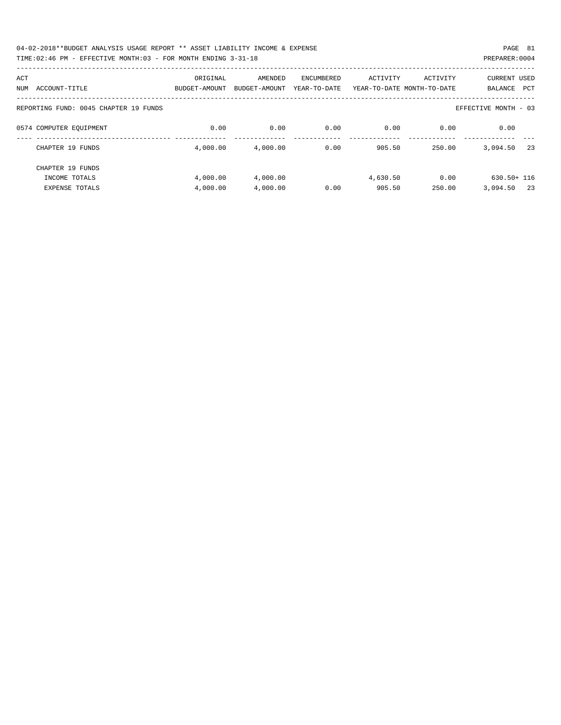| 04-02-2018**BUDGET ANALYSIS USAGE REPORT ** ASSET LIABILITY INCOME & EXPENSE | PAGE 81        |  |
|------------------------------------------------------------------------------|----------------|--|
| TIME:02:46 PM - EFFECTIVE MONTH:03 - FOR MONTH ENDING 3-31-18                | PREPARER: 0004 |  |

| ACT                                   | ORIGINAL      | AMENDED       | ENCUMBERED   | ACTIVITY | ACTIVITY                   | CURRENT USED          |
|---------------------------------------|---------------|---------------|--------------|----------|----------------------------|-----------------------|
| ACCOUNT-TITLE<br>NUM                  | BUDGET-AMOUNT | BUDGET-AMOUNT | YEAR-TO-DATE |          | YEAR-TO-DATE MONTH-TO-DATE | BALANCE<br><b>PCT</b> |
|                                       |               |               |              |          |                            |                       |
| REPORTING FUND: 0045 CHAPTER 19 FUNDS |               |               |              |          |                            | EFFECTIVE MONTH - 03  |
|                                       |               |               |              |          |                            |                       |
| 0574 COMPUTER EOUIPMENT               | 0.00          | 0.00          | 0.00         | 0.00     | 0.00                       | 0.00                  |
|                                       |               |               |              |          |                            |                       |
| CHAPTER 19 FUNDS                      | 4,000.00      | 4,000.00      | 0.00         | 905.50   | 250.00                     | 3,094.50<br>-23       |
|                                       |               |               |              |          |                            |                       |
| CHAPTER 19 FUNDS                      |               |               |              |          |                            |                       |
| INCOME TOTALS                         | 4,000.00      | 4,000.00      |              | 4,630.50 | 0.00                       | $630.50 + 116$        |
| <b>EXPENSE TOTALS</b>                 | 4,000.00      | 4,000.00      | 0.00         | 905.50   | 250.00                     | 3,094.50<br>- 23      |
|                                       |               |               |              |          |                            |                       |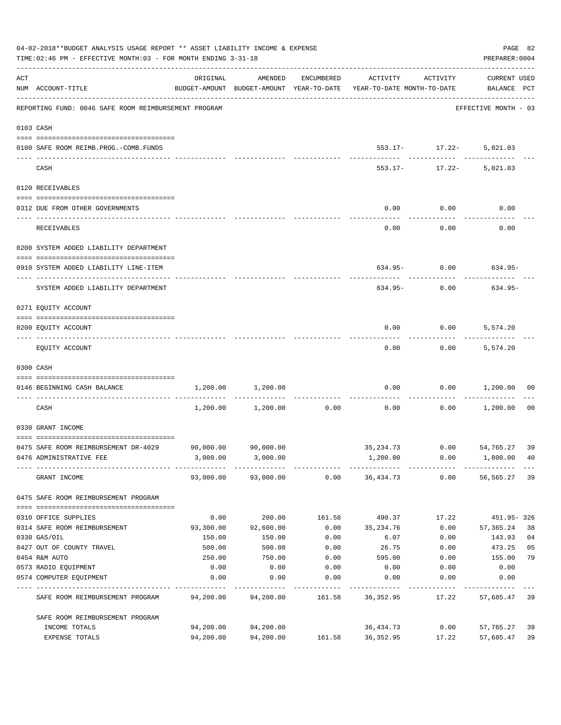| 04-02-2018**BUDGET ANALYSIS USAGE REPORT ** ASSET LIABILITY INCOME & EXPENSE<br>TIME: 02:46 PM - EFFECTIVE MONTH: 03 - FOR MONTH ENDING 3-31-18 |                                                                   |           |                     |            |                                                                                 |                              |                             |    |  |  |
|-------------------------------------------------------------------------------------------------------------------------------------------------|-------------------------------------------------------------------|-----------|---------------------|------------|---------------------------------------------------------------------------------|------------------------------|-----------------------------|----|--|--|
| ACT                                                                                                                                             | NUM ACCOUNT-TITLE                                                 | ORIGINAL  | AMENDED             | ENCUMBERED | ACTIVITY<br>BUDGET-AMOUNT BUDGET-AMOUNT YEAR-TO-DATE YEAR-TO-DATE MONTH-TO-DATE | ACTIVITY                     | CURRENT USED<br>BALANCE PCT |    |  |  |
|                                                                                                                                                 | REPORTING FUND: 0046 SAFE ROOM REIMBURSEMENT PROGRAM              |           |                     |            |                                                                                 |                              | EFFECTIVE MONTH - 03        |    |  |  |
|                                                                                                                                                 | 0103 CASH                                                         |           |                     |            |                                                                                 |                              |                             |    |  |  |
|                                                                                                                                                 | 0100 SAFE ROOM REIMB.PROG.-COMB.FUNDS                             |           |                     |            |                                                                                 | 553.17- 17.22- 5,021.03      |                             |    |  |  |
|                                                                                                                                                 | CASH                                                              |           |                     |            |                                                                                 | 553.17- 17.22- 5,021.03      |                             |    |  |  |
|                                                                                                                                                 | 0120 RECEIVABLES                                                  |           |                     |            |                                                                                 |                              |                             |    |  |  |
|                                                                                                                                                 | 0312 DUE FROM OTHER GOVERNMENTS                                   |           |                     |            | 0.00                                                                            | 0.00                         | 0.00                        |    |  |  |
|                                                                                                                                                 | RECEIVABLES                                                       |           |                     |            | 0.00                                                                            | . <u>.</u><br>0.00           | 0.00                        |    |  |  |
|                                                                                                                                                 | 0200 SYSTEM ADDED LIABILITY DEPARTMENT                            |           |                     |            |                                                                                 |                              |                             |    |  |  |
|                                                                                                                                                 | 0910 SYSTEM ADDED LIABILITY LINE-ITEM                             |           |                     |            |                                                                                 |                              | 634.95- 0.00 634.95-        |    |  |  |
|                                                                                                                                                 | SYSTEM ADDED LIABILITY DEPARTMENT                                 |           |                     |            | 634.95-                                                                         | 0.00                         | 634.95-                     |    |  |  |
|                                                                                                                                                 | 0271 EQUITY ACCOUNT                                               |           |                     |            |                                                                                 |                              |                             |    |  |  |
|                                                                                                                                                 | 0200 EQUITY ACCOUNT                                               |           |                     |            | 0.00                                                                            | $0.00$ 5,574.20<br>--------- |                             |    |  |  |
|                                                                                                                                                 | EQUITY ACCOUNT                                                    |           |                     |            | 0.00                                                                            |                              | $0.00$ 5,574.20             |    |  |  |
|                                                                                                                                                 | 0300 CASH                                                         |           |                     |            |                                                                                 |                              |                             |    |  |  |
|                                                                                                                                                 | 0146 BEGINNING CASH BALANCE<br>---------------------------- ----- |           | 1,200.00 1,200.00   |            | 0.00                                                                            |                              | $0.00$ 1,200.00             | 00 |  |  |
|                                                                                                                                                 | CASH                                                              |           | 1,200.00 1,200.00   | 0.00       | 0.00                                                                            |                              | $0.00$ 1,200.00 00          |    |  |  |
|                                                                                                                                                 | 0330 GRANT INCOME                                                 |           |                     |            |                                                                                 |                              |                             |    |  |  |
|                                                                                                                                                 | 0475 SAFE ROOM REIMBURSEMENT DR-4029                              |           | 90,000.00 90,000.00 |            | 35, 234.73 0.00 54, 765.27 39                                                   |                              |                             |    |  |  |
|                                                                                                                                                 | 0476 ADMINISTRATIVE FEE                                           |           | 3,000.00 3,000.00   |            | 1,200.00                                                                        | 0.00                         | 1,800.00 40                 |    |  |  |
|                                                                                                                                                 | GRANT INCOME                                                      |           | 93,000.00 93,000.00 |            | 0.000036,434.73                                                                 |                              | $0.00$ 56,565.27            | 39 |  |  |
|                                                                                                                                                 | 0475 SAFE ROOM REIMBURSEMENT PROGRAM                              |           |                     |            |                                                                                 |                              |                             |    |  |  |
|                                                                                                                                                 | 0310 OFFICE SUPPLIES                                              | 0.00      | 200.00              | 161.58     | 490.37                                                                          | 17.22                        | 451.95-326                  |    |  |  |
|                                                                                                                                                 | 0314 SAFE ROOM REIMBURSEMENT                                      | 93,300.00 | 92,600.00           | 0.00       | 35,234.76                                                                       | 0.00                         | 57,365.24                   | 38 |  |  |
|                                                                                                                                                 | 0330 GAS/OIL                                                      | 150.00    | 150.00              | 0.00       | 6.07                                                                            | 0.00                         | 143.93                      | 04 |  |  |
|                                                                                                                                                 | 0427 OUT OF COUNTY TRAVEL                                         | 500.00    | 500.00              | 0.00       | 26.75                                                                           | 0.00                         | 473.25                      | 05 |  |  |
|                                                                                                                                                 | 0454 R&M AUTO                                                     | 250.00    | 750.00              | 0.00       | 595.00                                                                          | 0.00                         | 155.00                      | 79 |  |  |
|                                                                                                                                                 | 0573 RADIO EQUIPMENT                                              | 0.00      | 0.00                | 0.00       | 0.00                                                                            | 0.00                         | 0.00                        |    |  |  |
|                                                                                                                                                 | 0574 COMPUTER EQUIPMENT                                           | 0.00      | 0.00                | 0.00       | 0.00                                                                            | 0.00                         | 0.00                        |    |  |  |
|                                                                                                                                                 | SAFE ROOM REIMBURSEMENT PROGRAM                                   | 94,200.00 | 94,200.00           | 161.58     | 36,352.95                                                                       | 17.22                        | 57,685.47                   | 39 |  |  |
|                                                                                                                                                 | SAFE ROOM REIMBURSEMENT PROGRAM                                   |           |                     |            |                                                                                 |                              |                             |    |  |  |
|                                                                                                                                                 | INCOME TOTALS                                                     | 94,200.00 | 94,200.00           |            | 36,434.73                                                                       | 0.00                         | 57,765.27                   | 39 |  |  |
|                                                                                                                                                 | EXPENSE TOTALS                                                    | 94,200.00 | 94,200.00           | 161.58     | 36,352.95                                                                       | 17.22                        | 57,685.47                   | 39 |  |  |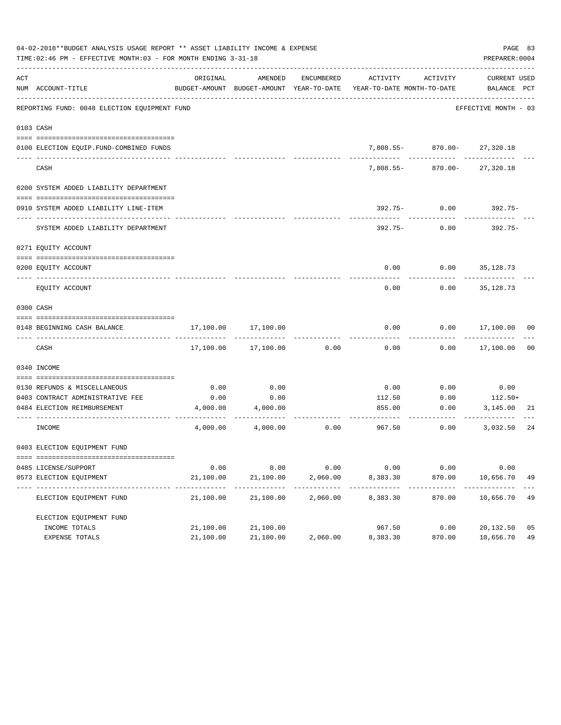| 04-02-2018**BUDGET ANALYSIS USAGE REPORT ** ASSET LIABILITY INCOME & EXPENSE<br>TIME: 02:46 PM - EFFECTIVE MONTH: 03 - FOR MONTH ENDING 3-31-18 |                                              |                         |                          |            |                                                                                 |                                              |                         |                |  |
|-------------------------------------------------------------------------------------------------------------------------------------------------|----------------------------------------------|-------------------------|--------------------------|------------|---------------------------------------------------------------------------------|----------------------------------------------|-------------------------|----------------|--|
| ACT                                                                                                                                             | NUM ACCOUNT-TITLE                            | ORIGINAL                | AMENDED                  | ENCUMBERED | BUDGET-AMOUNT BUDGET-AMOUNT YEAR-TO-DATE YEAR-TO-DATE MONTH-TO-DATE BALANCE PCT | ACTIVITY ACTIVITY                            | CURRENT USED            |                |  |
|                                                                                                                                                 | REPORTING FUND: 0048 ELECTION EQUIPMENT FUND |                         |                          |            |                                                                                 |                                              | EFFECTIVE MONTH - 03    |                |  |
|                                                                                                                                                 | 0103 CASH                                    |                         |                          |            |                                                                                 |                                              |                         |                |  |
|                                                                                                                                                 | 0100 ELECTION EQUIP.FUND-COMBINED FUNDS      |                         |                          |            |                                                                                 | 7,808.55- 870.00- 27,320.18                  |                         |                |  |
|                                                                                                                                                 | ---------------------------<br>CASH          |                         |                          |            |                                                                                 | -------------<br>7,808.55- 870.00- 27,320.18 | . _ _ _ _ _ _ _ _ _ _   |                |  |
|                                                                                                                                                 | 0200 SYSTEM ADDED LIABILITY DEPARTMENT       |                         |                          |            |                                                                                 |                                              |                         |                |  |
|                                                                                                                                                 | 0910 SYSTEM ADDED LIABILITY LINE-ITEM        |                         |                          |            |                                                                                 | 392.75- 0.00                                 | 392.75-                 |                |  |
|                                                                                                                                                 | SYSTEM ADDED LIABILITY DEPARTMENT            |                         |                          |            | 392.75-                                                                         | 0.00                                         | 392.75-                 |                |  |
|                                                                                                                                                 | 0271 EQUITY ACCOUNT                          |                         |                          |            |                                                                                 |                                              |                         |                |  |
|                                                                                                                                                 | 0200 EQUITY ACCOUNT                          |                         |                          |            |                                                                                 | $0.00$ $0.00$ $35,128.73$                    |                         |                |  |
|                                                                                                                                                 | EQUITY ACCOUNT                               |                         |                          |            | 0.00                                                                            | 0.00                                         | 35,128.73               |                |  |
|                                                                                                                                                 | 0300 CASH                                    |                         |                          |            |                                                                                 |                                              |                         |                |  |
|                                                                                                                                                 | 0148 BEGINNING CASH BALANCE                  | 17,100.00               | 17,100.00                |            | 0.00                                                                            |                                              | $0.00$ 17,100.00 00     |                |  |
|                                                                                                                                                 | CASH                                         | 17,100.00               | 17,100.00                | 0.00       | 0.00                                                                            |                                              | $0.00$ 17,100.00        | 0 <sub>0</sub> |  |
|                                                                                                                                                 | 0340 INCOME                                  |                         |                          |            |                                                                                 |                                              |                         |                |  |
|                                                                                                                                                 | 0130 REFUNDS & MISCELLANEOUS                 | 0.00                    | 0.00                     |            | 0.00                                                                            | 0.00                                         | 0.00                    |                |  |
|                                                                                                                                                 | 0403 CONTRACT ADMINISTRATIVE FEE             | 0.00                    | 0.00                     |            | 112.50                                                                          | 0.00                                         | $112.50+$               |                |  |
|                                                                                                                                                 | 0484 ELECTION REIMBURSEMENT                  |                         | 4,000.00 4,000.00        |            | 855.00                                                                          | 0.00                                         | 3,145.00                | 21             |  |
|                                                                                                                                                 | INCOME                                       |                         | 4,000.00 4,000.00        | 0.00       | 967.50                                                                          | 0.00                                         | 3,032.50                | 24             |  |
|                                                                                                                                                 | 0403 ELECTION EQUIPMENT FUND                 |                         |                          |            |                                                                                 |                                              |                         |                |  |
|                                                                                                                                                 | 0485 LICENSE/SUPPORT                         | 0.00                    | 0.00                     | 0.00       | 0.00                                                                            | 0.00                                         | 0.00                    |                |  |
|                                                                                                                                                 | 0573 ELECTION EQUIPMENT                      | 21,100.00               | 21,100.00                | 2,060.00   | 8,383.30                                                                        | 870.00                                       | 10,656.70               | 49             |  |
|                                                                                                                                                 | ELECTION EQUIPMENT FUND                      | ----------<br>21,100.00 | -----------<br>21,100.00 | 2,060.00   | ----------<br>8,383.30                                                          | ---------<br>870.00                          | ----------<br>10,656.70 | 49             |  |
|                                                                                                                                                 | ELECTION EQUIPMENT FUND                      |                         |                          |            |                                                                                 |                                              |                         |                |  |
|                                                                                                                                                 | INCOME TOTALS                                | 21,100.00               | 21,100.00                |            | 967.50                                                                          | 0.00                                         | 20,132.50               | 05             |  |
|                                                                                                                                                 | EXPENSE TOTALS                               | 21,100.00               | 21,100.00                | 2,060.00   | 8,383.30                                                                        | 870.00                                       | 10,656.70               | 49             |  |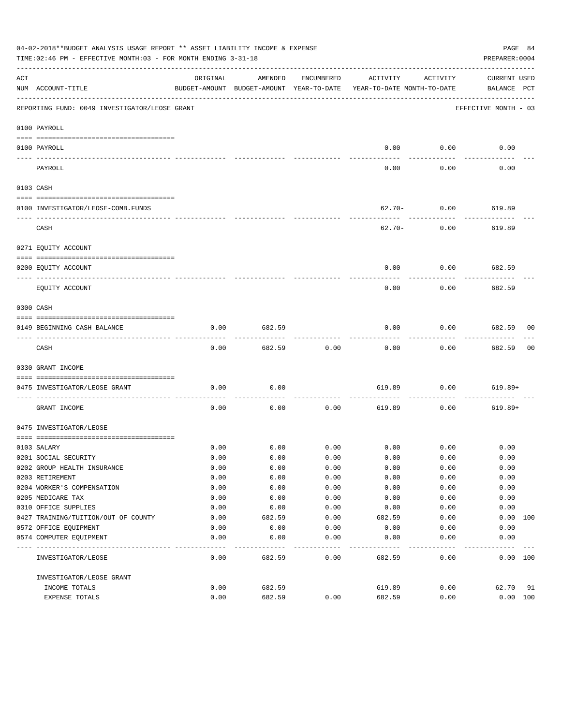|     | 04-02-2018**BUDGET ANALYSIS USAGE REPORT ** ASSET LIABILITY INCOME & EXPENSE<br>TIME:02:46 PM - EFFECTIVE MONTH:03 - FOR MONTH ENDING 3-31-18 |          |                                                     |            |                                        |             | PAGE 84<br>PREPARER: 0004   |     |
|-----|-----------------------------------------------------------------------------------------------------------------------------------------------|----------|-----------------------------------------------------|------------|----------------------------------------|-------------|-----------------------------|-----|
| ACT | NUM ACCOUNT-TITLE                                                                                                                             | ORIGINAL | AMENDED<br>BUDGET-AMOUNT BUDGET-AMOUNT YEAR-TO-DATE | ENCUMBERED | ACTIVITY<br>YEAR-TO-DATE MONTH-TO-DATE | ACTIVITY    | CURRENT USED<br>BALANCE PCT |     |
|     | REPORTING FUND: 0049 INVESTIGATOR/LEOSE GRANT                                                                                                 |          |                                                     |            |                                        |             | EFFECTIVE MONTH - 03        |     |
|     | 0100 PAYROLL                                                                                                                                  |          |                                                     |            |                                        |             |                             |     |
|     | 0100 PAYROLL                                                                                                                                  |          |                                                     |            | 0.00                                   | 0.00        | 0.00                        |     |
|     | PAYROLL                                                                                                                                       |          |                                                     |            | 0.00                                   | 0.00        | 0.00                        |     |
|     | 0103 CASH                                                                                                                                     |          |                                                     |            |                                        |             |                             |     |
|     | 0100 INVESTIGATOR/LEOSE-COMB.FUNDS                                                                                                            |          |                                                     |            | $62.70 -$                              | 0.00        | 619.89                      |     |
|     | CASH                                                                                                                                          |          |                                                     |            | 62.70-                                 | 0.00        | 619.89                      |     |
|     | 0271 EQUITY ACCOUNT                                                                                                                           |          |                                                     |            |                                        |             |                             |     |
|     | 0200 EQUITY ACCOUNT                                                                                                                           |          |                                                     |            | 0.00                                   | 0.00        | 682.59                      |     |
|     | EQUITY ACCOUNT                                                                                                                                |          |                                                     |            | 0.00                                   | 0.00        | 682.59                      |     |
|     | 0300 CASH                                                                                                                                     |          |                                                     |            |                                        |             |                             |     |
|     | 0149 BEGINNING CASH BALANCE                                                                                                                   | 0.00     | 682.59                                              |            | 0.00                                   | 0.00        | 682.59 00                   |     |
|     | CASH                                                                                                                                          | 0.00     | 682.59                                              | 0.00       | 0.00                                   | 0.00        | 682.59                      | 00  |
|     | 0330 GRANT INCOME                                                                                                                             |          |                                                     |            |                                        |             |                             |     |
|     | 0475 INVESTIGATOR/LEOSE GRANT                                                                                                                 | 0.00     | 0.00                                                |            | 619.89                                 | 0.00        | $619.89+$                   |     |
|     | GRANT INCOME                                                                                                                                  | 0.00     | 0.00                                                | 0.00       | 619.89                                 | 0.00        | $619.89+$                   |     |
|     | 0475 INVESTIGATOR/LEOSE                                                                                                                       |          |                                                     |            |                                        |             |                             |     |
|     |                                                                                                                                               |          |                                                     |            |                                        |             |                             |     |
|     | 0103 SALARY                                                                                                                                   | 0.00     | 0.00                                                | 0.00       |                                        | $0.00$ 0.00 | 0.00                        |     |
|     | 0201 SOCIAL SECURITY                                                                                                                          | 0.00     | 0.00                                                | 0.00       | 0.00                                   | 0.00        | 0.00                        |     |
|     | 0202 GROUP HEALTH INSURANCE                                                                                                                   | 0.00     | 0.00                                                | 0.00       | 0.00                                   | 0.00        | 0.00                        |     |
|     | 0203 RETIREMENT                                                                                                                               | 0.00     | 0.00                                                | 0.00       | 0.00                                   | 0.00        | 0.00                        |     |
|     | 0204 WORKER'S COMPENSATION                                                                                                                    | 0.00     | 0.00                                                | 0.00       | 0.00                                   | 0.00        | 0.00                        |     |
|     | 0205 MEDICARE TAX                                                                                                                             | 0.00     | 0.00                                                | 0.00       | 0.00                                   | 0.00        | 0.00                        |     |
|     | 0310 OFFICE SUPPLIES                                                                                                                          | 0.00     | 0.00                                                | 0.00       | 0.00                                   | 0.00        | 0.00                        |     |
|     | 0427 TRAINING/TUITION/OUT OF COUNTY                                                                                                           | 0.00     | 682.59                                              | 0.00       | 682.59                                 | 0.00        | 0.00                        | 100 |
|     | 0572 OFFICE EQUIPMENT                                                                                                                         | 0.00     | 0.00                                                | 0.00       | 0.00                                   | 0.00        | 0.00                        |     |
|     | 0574 COMPUTER EQUIPMENT                                                                                                                       | 0.00     | 0.00                                                | 0.00       | 0.00                                   | 0.00        | 0.00                        |     |
|     | INVESTIGATOR/LEOSE                                                                                                                            | 0.00     | 682.59                                              | 0.00       | 682.59                                 | 0.00        | 0.00 100                    |     |
|     | INVESTIGATOR/LEOSE GRANT                                                                                                                      |          |                                                     |            |                                        |             |                             |     |
|     | INCOME TOTALS                                                                                                                                 | 0.00     | 682.59                                              |            | 619.89                                 | 0.00        | 62.70                       | 91  |
|     | EXPENSE TOTALS                                                                                                                                | 0.00     | 682.59                                              | 0.00       | 682.59                                 | 0.00        | 0.00 100                    |     |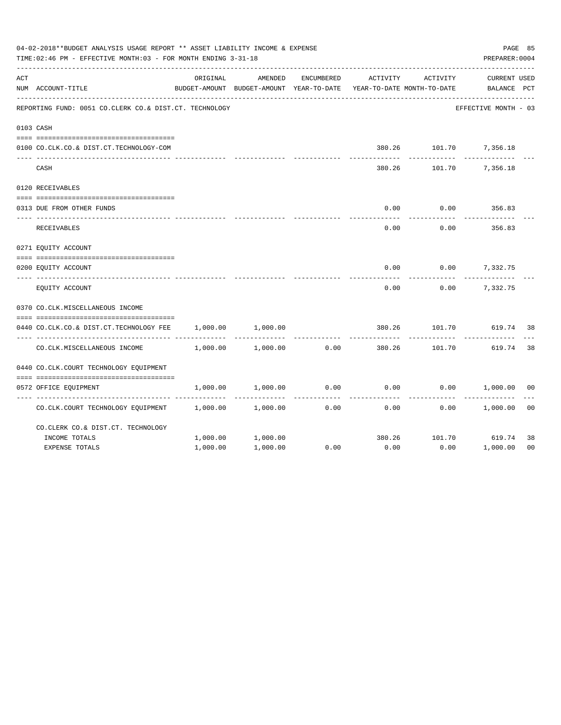| 04-02-2018**BUDGET ANALYSIS USAGE REPORT ** ASSET LIABILITY INCOME & EXPENSE<br>TIME: 02:46 PM - EFFECTIVE MONTH: 03 - FOR MONTH ENDING 3-31-18 |                                                        |          |                                                     |            |                                        |          |                                    |                |  |  |
|-------------------------------------------------------------------------------------------------------------------------------------------------|--------------------------------------------------------|----------|-----------------------------------------------------|------------|----------------------------------------|----------|------------------------------------|----------------|--|--|
| ACT                                                                                                                                             | NUM ACCOUNT-TITLE                                      | ORIGINAL | AMENDED<br>BUDGET-AMOUNT BUDGET-AMOUNT YEAR-TO-DATE | ENCUMBERED | ACTIVITY<br>YEAR-TO-DATE MONTH-TO-DATE | ACTIVITY | <b>CURRENT USED</b><br>BALANCE PCT |                |  |  |
|                                                                                                                                                 | REPORTING FUND: 0051 CO.CLERK CO.& DIST.CT. TECHNOLOGY |          |                                                     |            |                                        |          | EFFECTIVE MONTH - 03               |                |  |  |
|                                                                                                                                                 | 0103 CASH                                              |          |                                                     |            |                                        |          |                                    |                |  |  |
|                                                                                                                                                 |                                                        |          |                                                     |            |                                        |          |                                    |                |  |  |
|                                                                                                                                                 | 0100 CO.CLK.CO.& DIST.CT.TECHNOLOGY-COM                |          |                                                     |            |                                        |          | 380.26 101.70 7,356.18             |                |  |  |
|                                                                                                                                                 | CASH                                                   |          |                                                     |            | 380.26                                 | 101.70   | 7,356.18                           |                |  |  |
|                                                                                                                                                 | 0120 RECEIVABLES                                       |          |                                                     |            |                                        |          |                                    |                |  |  |
|                                                                                                                                                 | 0313 DUE FROM OTHER FUNDS                              |          |                                                     |            | 0.00                                   | 0.00     | 356.83                             |                |  |  |
|                                                                                                                                                 | RECEIVABLES                                            |          |                                                     |            | 0.00                                   | 0.00     | 356.83                             |                |  |  |
|                                                                                                                                                 | 0271 EQUITY ACCOUNT                                    |          |                                                     |            |                                        |          |                                    |                |  |  |
|                                                                                                                                                 |                                                        |          |                                                     |            |                                        |          |                                    |                |  |  |
|                                                                                                                                                 | 0200 EQUITY ACCOUNT                                    |          |                                                     |            | 0.00                                   |          | $0.00$ 7,332.75                    |                |  |  |
|                                                                                                                                                 | EQUITY ACCOUNT                                         |          |                                                     |            | 0.00                                   | 0.00     | 7,332.75                           |                |  |  |
|                                                                                                                                                 | 0370 CO.CLK.MISCELLANEOUS INCOME                       |          |                                                     |            |                                        |          |                                    |                |  |  |
|                                                                                                                                                 | 0440 CO.CLK.CO.& DIST.CT.TECHNOLOGY FEE                | 1,000.00 | 1,000.00                                            |            | 380.26                                 | 101.70   | 619.74                             | 38             |  |  |
|                                                                                                                                                 | CO. CLK. MISCELLANEOUS INCOME                          | 1,000.00 | 1,000.00                                            | 0.00       | 380.26                                 | 101.70   | 619.74                             | 38             |  |  |
|                                                                                                                                                 | 0440 CO.CLK.COURT TECHNOLOGY EQUIPMENT                 |          |                                                     |            |                                        |          |                                    |                |  |  |
|                                                                                                                                                 |                                                        |          |                                                     |            |                                        |          |                                    |                |  |  |
|                                                                                                                                                 | 0572 OFFICE EQUIPMENT                                  | 1,000.00 | 1,000.00                                            | 0.00       | 0.00                                   |          | $0.00$ 1,000.00                    | 0 <sup>0</sup> |  |  |
|                                                                                                                                                 | CO.CLK.COURT TECHNOLOGY EQUIPMENT 1,000.00             |          | 1,000.00                                            | 0.00       | 0.00                                   | 0.00     | 1,000.00                           | 0 <sub>0</sub> |  |  |
|                                                                                                                                                 | CO. CLERK CO. & DIST. CT. TECHNOLOGY                   |          |                                                     |            |                                        |          |                                    |                |  |  |
|                                                                                                                                                 | INCOME TOTALS                                          | 1,000.00 | 1,000.00                                            |            | 380.26                                 |          | 101.70 619.74                      | 38             |  |  |
|                                                                                                                                                 | <b>EXPENSE TOTALS</b>                                  | 1,000.00 | 1,000.00                                            | 0.00       | 0.00                                   | 0.00     | 1,000.00                           | 0 <sub>0</sub> |  |  |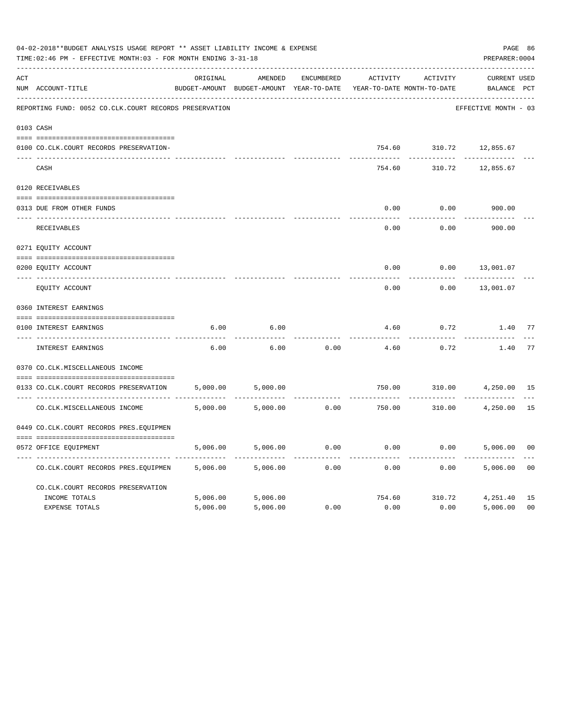| 04-02-2018**BUDGET ANALYSIS USAGE REPORT ** ASSET LIABILITY INCOME & EXPENSE<br>TIME: 02:46 PM - EFFECTIVE MONTH: 03 - FOR MONTH ENDING 3-31-18 |                                                        |          |                                                     |            |          |                                        |                             |                |  |
|-------------------------------------------------------------------------------------------------------------------------------------------------|--------------------------------------------------------|----------|-----------------------------------------------------|------------|----------|----------------------------------------|-----------------------------|----------------|--|
| ACT                                                                                                                                             | NUM ACCOUNT-TITLE                                      | ORIGINAL | AMENDED<br>BUDGET-AMOUNT BUDGET-AMOUNT YEAR-TO-DATE | ENCUMBERED | ACTIVITY | ACTIVITY<br>YEAR-TO-DATE MONTH-TO-DATE | CURRENT USED<br>BALANCE PCT |                |  |
|                                                                                                                                                 | REPORTING FUND: 0052 CO.CLK.COURT RECORDS PRESERVATION |          |                                                     |            |          |                                        | EFFECTIVE MONTH - 03        |                |  |
|                                                                                                                                                 | 0103 CASH                                              |          |                                                     |            |          |                                        |                             |                |  |
|                                                                                                                                                 | 0100 CO.CLK.COURT RECORDS PRESERVATION-                |          |                                                     |            | 754.60   |                                        | 310.72 12,855.67            |                |  |
|                                                                                                                                                 | CASH                                                   |          |                                                     |            | 754.60   | 310.72                                 | 12,855.67                   |                |  |
|                                                                                                                                                 | 0120 RECEIVABLES                                       |          |                                                     |            |          |                                        |                             |                |  |
|                                                                                                                                                 | 0313 DUE FROM OTHER FUNDS                              |          |                                                     |            | 0.00     | 0.00                                   | 900.00                      |                |  |
|                                                                                                                                                 | RECEIVABLES                                            |          |                                                     |            | 0.00     | 0.00                                   | 900.00                      |                |  |
|                                                                                                                                                 | 0271 EQUITY ACCOUNT                                    |          |                                                     |            |          |                                        |                             |                |  |
|                                                                                                                                                 | 0200 EQUITY ACCOUNT                                    |          |                                                     |            | 0.00     | 0.00                                   | 13,001.07                   |                |  |
|                                                                                                                                                 | ---- -------------<br>EQUITY ACCOUNT                   |          |                                                     |            | 0.00     | 0.00                                   | 13,001.07                   |                |  |
|                                                                                                                                                 | 0360 INTEREST EARNINGS                                 |          |                                                     |            |          |                                        |                             |                |  |
|                                                                                                                                                 | 0100 INTEREST EARNINGS                                 | 6.00     | 6.00                                                |            | 4.60     | 0.72                                   | 1.40                        | 77             |  |
|                                                                                                                                                 | ---- --------------<br>INTEREST EARNINGS               | 6.00     | 6.00                                                | 0.00       | 4.60     | 0.72                                   | 1.40                        | 77             |  |
|                                                                                                                                                 | 0370 CO.CLK.MISCELLANEOUS INCOME                       |          |                                                     |            |          |                                        |                             |                |  |
|                                                                                                                                                 | 0133 CO.CLK.COURT RECORDS PRESERVATION                 | 5,000.00 | 5,000.00                                            |            | 750.00   | 310.00                                 | 4,250.00                    | 15             |  |
|                                                                                                                                                 | CO. CLK. MISCELLANEOUS INCOME                          | 5,000.00 | 5,000.00                                            | 0.00       | 750.00   |                                        | 310.00 4,250.00             | 15             |  |
|                                                                                                                                                 | 0449 CO.CLK.COURT RECORDS PRES.EQUIPMEN                |          |                                                     |            |          |                                        |                             |                |  |
|                                                                                                                                                 | 0572 OFFICE EQUIPMENT                                  | 5,006.00 | 5,006.00                                            | 0.00       | 0.00     |                                        | 0.00<br>5,006.00            | 0 <sub>0</sub> |  |
|                                                                                                                                                 | CO.CLK.COURT RECORDS PRES.EQUIPMEN                     | 5,006.00 | 5,006.00                                            | 0.00       | 0.00     | 0.00                                   | 5,006.00                    | 0 <sub>0</sub> |  |
|                                                                                                                                                 | CO.CLK.COURT RECORDS PRESERVATION                      |          |                                                     |            |          |                                        |                             |                |  |
|                                                                                                                                                 | INCOME TOTALS                                          | 5,006.00 | 5,006.00                                            |            |          | 754.60 310.72                          | 4,251.40                    | 15             |  |
|                                                                                                                                                 | <b>EXPENSE TOTALS</b>                                  | 5,006.00 | 5,006.00                                            | 0.00       | 0.00     | 0.00                                   | 5,006.00                    | 0 <sup>0</sup> |  |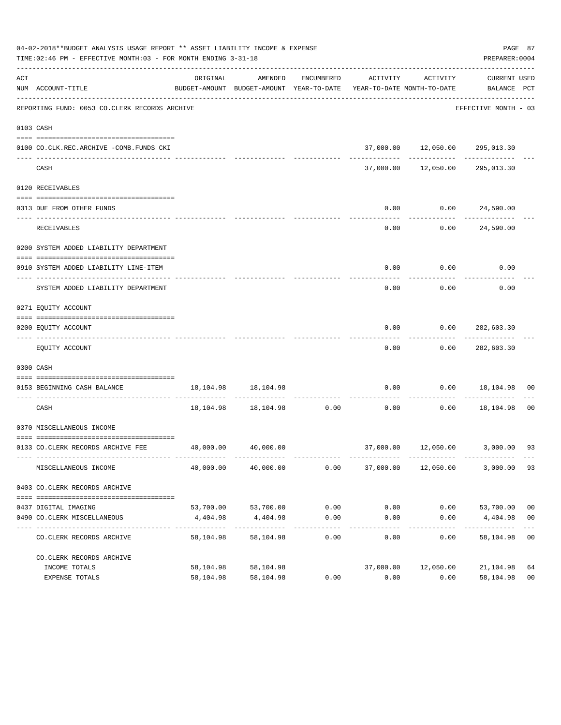|     | 04-02-2018**BUDGET ANALYSIS USAGE REPORT ** ASSET LIABILITY INCOME & EXPENSE<br>TIME:02:46 PM - EFFECTIVE MONTH:03 - FOR MONTH ENDING 3-31-18 |                           |                                                                                |                    |           |                                                   | PREPARER: 0004                | PAGE 87        |
|-----|-----------------------------------------------------------------------------------------------------------------------------------------------|---------------------------|--------------------------------------------------------------------------------|--------------------|-----------|---------------------------------------------------|-------------------------------|----------------|
| ACT | NUM ACCOUNT-TITLE                                                                                                                             | ORIGINAL                  | AMENDED<br>BUDGET-AMOUNT BUDGET-AMOUNT YEAR-TO-DATE YEAR-TO-DATE MONTH-TO-DATE | ENCUMBERED         | ACTIVITY  | ACTIVITY                                          | CURRENT USED<br>BALANCE PCT   |                |
|     | REPORTING FUND: 0053 CO.CLERK RECORDS ARCHIVE                                                                                                 |                           |                                                                                |                    |           |                                                   | EFFECTIVE MONTH - 03          |                |
|     | 0103 CASH                                                                                                                                     |                           |                                                                                |                    |           |                                                   |                               |                |
|     | 0100 CO.CLK.REC.ARCHIVE -COMB.FUNDS CKI                                                                                                       |                           |                                                                                |                    |           | 37,000.00  12,050.00  295,013.30                  |                               |                |
|     | CASH                                                                                                                                          |                           |                                                                                |                    |           | -------------<br>37,000.00  12,050.00  295,013.30 | -----------                   |                |
|     | 0120 RECEIVABLES                                                                                                                              |                           |                                                                                |                    |           |                                                   |                               |                |
|     | 0313 DUE FROM OTHER FUNDS                                                                                                                     |                           |                                                                                |                    | 0.00      | 0.00 24,590.00                                    |                               |                |
|     | <b>RECEIVABLES</b>                                                                                                                            |                           |                                                                                |                    | 0.00      |                                                   | -----------<br>0.00 24,590.00 |                |
|     | 0200 SYSTEM ADDED LIABILITY DEPARTMENT                                                                                                        |                           |                                                                                |                    |           |                                                   |                               |                |
|     | 0910 SYSTEM ADDED LIABILITY LINE-ITEM                                                                                                         |                           |                                                                                |                    | 0.00      | 0.00                                              | 0.00                          |                |
|     | SYSTEM ADDED LIABILITY DEPARTMENT                                                                                                             |                           |                                                                                |                    | 0.00      | 0.00                                              | 0.00                          |                |
|     | 0271 EQUITY ACCOUNT                                                                                                                           |                           |                                                                                |                    |           |                                                   |                               |                |
|     | 0200 EQUITY ACCOUNT                                                                                                                           |                           |                                                                                |                    | 0.00      | 0.00                                              | 282,603.30                    |                |
|     | EQUITY ACCOUNT                                                                                                                                |                           |                                                                                |                    | 0.00      |                                                   | $0.00$ 282,603.30             |                |
|     | 0300 CASH                                                                                                                                     |                           |                                                                                |                    |           |                                                   |                               |                |
|     | 0153 BEGINNING CASH BALANCE                                                                                                                   |                           | 18, 104. 98   18, 104. 98                                                      |                    | 0.00      |                                                   | $0.00$ 18,104.98              | 00             |
|     | CASH                                                                                                                                          |                           | 18,104.98 18,104.98 0.00                                                       |                    | 0.00      |                                                   | $0.00$ 18,104.98              | 00             |
|     | 0370 MISCELLANEOUS INCOME                                                                                                                     |                           |                                                                                |                    |           |                                                   |                               |                |
|     |                                                                                                                                               |                           |                                                                                |                    |           |                                                   |                               |                |
|     | 0133 CO.CLERK RECORDS ARCHIVE FEE 40,000.00 40,000.00                                                                                         |                           |                                                                                |                    |           | 37,000.00  12,050.00  3,000.00  93                |                               |                |
|     | MISCELLANEOUS INCOME                                                                                                                          | 40,000.00                 | 40,000.00                                                                      | 0.00               | 37,000.00 | 12,050.00                                         | 3,000.00                      | 93             |
|     | 0403 CO. CLERK RECORDS ARCHIVE                                                                                                                |                           |                                                                                |                    |           |                                                   |                               |                |
|     |                                                                                                                                               |                           |                                                                                |                    |           |                                                   |                               |                |
|     | 0437 DIGITAL IMAGING                                                                                                                          |                           | 53,700.00 53,700.00                                                            | 0.00               | 0.00      |                                                   | $0.00$ 53,700.00              | 0 <sub>0</sub> |
|     | 0490 CO. CLERK MISCELLANEOUS                                                                                                                  | 4,404.98<br>_____________ | 4,404.98<br>-------------                                                      | 0.00<br>---------- | 0.00      | 0.00                                              | 4,404.98                      | 0 <sub>0</sub> |
|     | CO. CLERK RECORDS ARCHIVE                                                                                                                     | 58,104.98                 | 58,104.98                                                                      | 0.00               | 0.00      | 0.00                                              | 58,104.98                     | 0 <sub>0</sub> |
|     | CO. CLERK RECORDS ARCHIVE                                                                                                                     |                           |                                                                                |                    |           |                                                   |                               |                |
|     | INCOME TOTALS                                                                                                                                 | 58,104.98                 | 58,104.98                                                                      |                    | 37,000.00 | 12,050.00                                         | 21,104.98                     | 64             |
|     | EXPENSE TOTALS                                                                                                                                | 58,104.98                 | 58,104.98                                                                      | 0.00               | 0.00      | 0.00                                              | 58,104.98                     | 0 <sub>0</sub> |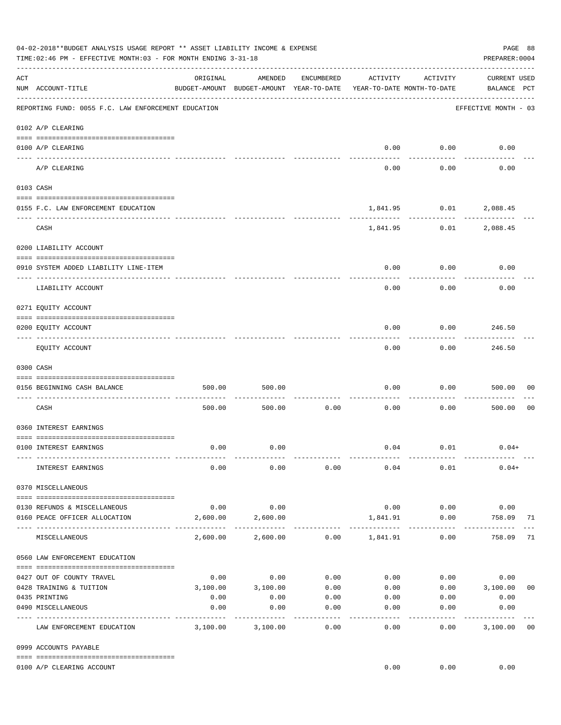|     | 04-02-2018**BUDGET ANALYSIS USAGE REPORT ** ASSET LIABILITY INCOME & EXPENSE<br>TIME:02:46 PM - EFFECTIVE MONTH:03 - FOR MONTH ENDING 3-31-18 |                    |                                                     |                       |                                        |                      | PAGE 88<br>PREPARER: 0004          |                |
|-----|-----------------------------------------------------------------------------------------------------------------------------------------------|--------------------|-----------------------------------------------------|-----------------------|----------------------------------------|----------------------|------------------------------------|----------------|
| ACT | NUM ACCOUNT-TITLE                                                                                                                             | ORIGINAL           | AMENDED<br>BUDGET-AMOUNT BUDGET-AMOUNT YEAR-TO-DATE | ENCUMBERED            | ACTIVITY<br>YEAR-TO-DATE MONTH-TO-DATE | ACTIVITY             | <b>CURRENT USED</b><br>BALANCE PCT |                |
|     | REPORTING FUND: 0055 F.C. LAW ENFORCEMENT EDUCATION                                                                                           |                    |                                                     |                       |                                        |                      | EFFECTIVE MONTH - 03               |                |
|     | 0102 A/P CLEARING                                                                                                                             |                    |                                                     |                       |                                        |                      |                                    |                |
|     | 0100 A/P CLEARING<br>---- ---------                                                                                                           |                    |                                                     |                       | 0.00                                   | 0.00                 | 0.00                               |                |
|     | A/P CLEARING                                                                                                                                  |                    |                                                     |                       | 0.00                                   | 0.00                 | 0.00                               |                |
|     | 0103 CASH                                                                                                                                     |                    |                                                     |                       |                                        |                      |                                    |                |
|     | 0155 F.C. LAW ENFORCEMENT EDUCATION                                                                                                           |                    |                                                     |                       |                                        | 1,841.95 0.01        | 2,088.45                           |                |
|     | CASH                                                                                                                                          |                    |                                                     |                       | 1,841.95                               | 0.01                 | 2,088.45                           |                |
|     | 0200 LIABILITY ACCOUNT                                                                                                                        |                    |                                                     |                       |                                        |                      |                                    |                |
|     | 0910 SYSTEM ADDED LIABILITY LINE-ITEM                                                                                                         |                    |                                                     |                       | 0.00                                   | 0.00                 | 0.00                               |                |
|     | ---- --------------                                                                                                                           |                    |                                                     |                       |                                        |                      |                                    |                |
|     | LIABILITY ACCOUNT                                                                                                                             |                    |                                                     |                       | 0.00                                   | 0.00                 | 0.00                               |                |
|     | 0271 EQUITY ACCOUNT                                                                                                                           |                    |                                                     |                       |                                        |                      |                                    |                |
|     | 0200 EQUITY ACCOUNT                                                                                                                           |                    |                                                     |                       | 0.00                                   | 0.00                 | 246.50                             |                |
|     | EQUITY ACCOUNT                                                                                                                                |                    |                                                     |                       | 0.00                                   | 0.00                 | ---------<br>246.50                |                |
|     | 0300 CASH                                                                                                                                     |                    |                                                     |                       |                                        |                      |                                    |                |
|     |                                                                                                                                               |                    |                                                     |                       |                                        |                      |                                    |                |
|     | 0156 BEGINNING CASH BALANCE                                                                                                                   | 500.00             | 500.00                                              |                       | 0.00                                   | 0.00                 | 500.00                             | 00             |
|     | CASH                                                                                                                                          | 500.00             | 500.00                                              | 0.00                  | 0.00                                   | 0.00                 | 500.00                             | 0 <sub>0</sub> |
|     | 0360 INTEREST EARNINGS                                                                                                                        |                    |                                                     |                       |                                        |                      |                                    |                |
|     | 0100 INTEREST EARNINGS                                                                                                                        | 0.00               | 0.00                                                |                       |                                        | $0.04$ $0.01$        | $0.04+$                            |                |
|     |                                                                                                                                               |                    |                                                     |                       |                                        |                      |                                    |                |
|     | INTEREST EARNINGS                                                                                                                             | 0.00               | 0.00                                                | 0.00                  | 0.04                                   | 0.01                 | $0.04+$                            |                |
|     | 0370 MISCELLANEOUS                                                                                                                            |                    |                                                     |                       |                                        |                      |                                    |                |
|     | 0130 REFUNDS & MISCELLANEOUS                                                                                                                  | 0.00               | 0.00                                                |                       | 0.00                                   | 0.00                 | 0.00                               |                |
|     | 0160 PEACE OFFICER ALLOCATION                                                                                                                 | 2,600.00           | 2,600.00                                            |                       | 1,841.91                               | 0.00<br>------------ | 758.09<br>. <u>.</u> .             | 71             |
|     | MISCELLANEOUS                                                                                                                                 | 2,600.00           | 2,600.00                                            |                       | $0.00$ 1,841.91                        | 0.00                 | 758.09                             | 71             |
|     | 0560 LAW ENFORCEMENT EDUCATION                                                                                                                |                    |                                                     |                       |                                        |                      |                                    |                |
|     | 0427 OUT OF COUNTY TRAVEL                                                                                                                     | 0.00               | 0.00                                                | 0.00                  |                                        | 0.00                 | 0.00<br>0.00                       |                |
|     | 0428 TRAINING & TUITION                                                                                                                       |                    | 3,100.00 3,100.00                                   | 0.00                  | 0.00                                   |                      | $0.00$ 3,100.00                    | 0 <sub>0</sub> |
|     | 0435 PRINTING                                                                                                                                 | 0.00               | 0.00                                                | 0.00                  | 0.00                                   | 0.00                 | 0.00                               |                |
|     | 0490 MISCELLANEOUS                                                                                                                            | 0.00<br>---------- | 0.00                                                | 0.00<br>$- - - - - -$ | 0.00<br>$- - - - - -$                  | 0.00<br>-------      | 0.00<br>----------                 |                |
|     | LAW ENFORCEMENT EDUCATION                                                                                                                     | 3,100.00           | 3,100.00                                            | 0.00                  | 0.00                                   | 0.00                 | 3,100.00                           | 0 <sub>0</sub> |
|     | 0999 ACCOUNTS PAYABLE                                                                                                                         |                    |                                                     |                       |                                        |                      |                                    |                |
|     | 0100 A/P CLEARING ACCOUNT                                                                                                                     |                    |                                                     |                       | 0.00                                   | 0.00                 | 0.00                               |                |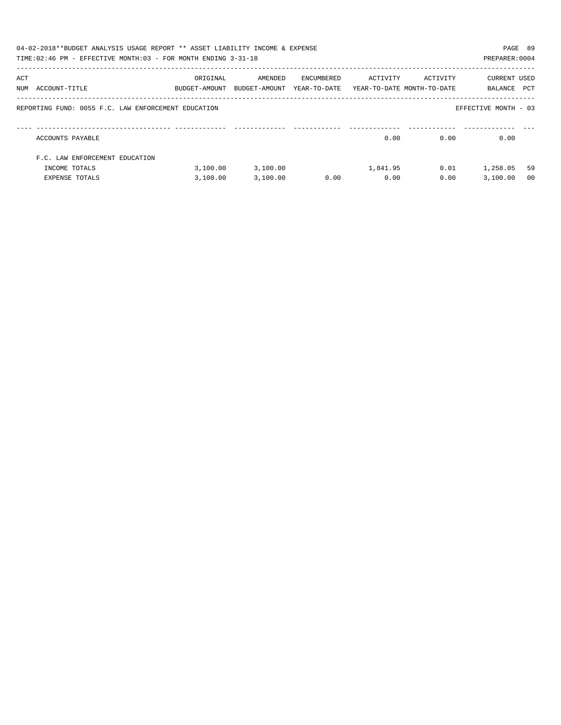|     | 04-02-2018**BUDGET ANALYSIS USAGE REPORT ** ASSET LIABILITY INCOME & EXPENSE<br>TIME:02:46 PM - EFFECTIVE MONTH:03 - FOR MONTH ENDING 3-31-18 |                           |                          |            |          |                                                     | PAGE 89<br>PREPARER: 0004 |                |
|-----|-----------------------------------------------------------------------------------------------------------------------------------------------|---------------------------|--------------------------|------------|----------|-----------------------------------------------------|---------------------------|----------------|
| ACT | NUM ACCOUNT-TITLE                                                                                                                             | ORIGINAL<br>BUDGET-AMOUNT | AMENDED<br>BUDGET-AMOUNT | ENCUMBERED | ACTIVITY | ACTIVITY<br>YEAR-TO-DATE YEAR-TO-DATE MONTH-TO-DATE | CURRENT USED<br>BALANCE   | PCT            |
|     | REPORTING FUND: 0055 F.C. LAW ENFORCEMENT EDUCATION                                                                                           |                           |                          |            |          |                                                     | EFFECTIVE MONTH - 03      |                |
|     | ACCOUNTS PAYABLE                                                                                                                              |                           |                          |            | 0.00     | 0.00                                                | 0.00                      |                |
|     | F.C. LAW ENFORCEMENT EDUCATION                                                                                                                |                           |                          |            |          |                                                     |                           |                |
|     | INCOME TOTALS                                                                                                                                 | 3.100.00                  | 3,100.00                 |            | 1,841.95 | 0.01                                                | 1,258.05                  | 59             |
|     | <b>EXPENSE TOTALS</b>                                                                                                                         | 3,100.00                  | 3,100.00                 | 0.00       | 0.00     | 0.00                                                | 3.100.00                  | 0 <sub>0</sub> |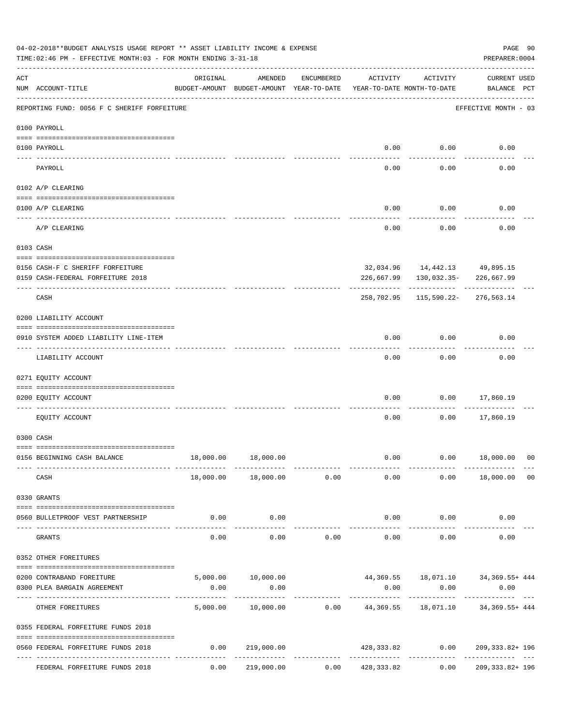|           | 04-02-2018**BUDGET ANALYSIS USAGE REPORT ** ASSET LIABILITY INCOME & EXPENSE<br>TIME: 02:46 PM - EFFECTIVE MONTH: 03 - FOR MONTH ENDING 3-31-18                                                                                                                                                                                                                                                                                                            |                                  |                                                     |              |                                        |                    | PREPARER: 0004                                                    | PAGE 90        |
|-----------|------------------------------------------------------------------------------------------------------------------------------------------------------------------------------------------------------------------------------------------------------------------------------------------------------------------------------------------------------------------------------------------------------------------------------------------------------------|----------------------------------|-----------------------------------------------------|--------------|----------------------------------------|--------------------|-------------------------------------------------------------------|----------------|
| ACT       | NUM ACCOUNT-TITLE                                                                                                                                                                                                                                                                                                                                                                                                                                          | ORIGINAL                         | AMENDED<br>BUDGET-AMOUNT BUDGET-AMOUNT YEAR-TO-DATE | ENCUMBERED   | ACTIVITY<br>YEAR-TO-DATE MONTH-TO-DATE | ACTIVITY           | <b>CURRENT USED</b><br>BALANCE PCT                                |                |
|           | REPORTING FUND: 0056 F C SHERIFF FORFEITURE                                                                                                                                                                                                                                                                                                                                                                                                                |                                  |                                                     |              |                                        |                    | EFFECTIVE MONTH - 03                                              |                |
|           | 0100 PAYROLL                                                                                                                                                                                                                                                                                                                                                                                                                                               |                                  |                                                     |              |                                        |                    |                                                                   |                |
|           | 0100 PAYROLL                                                                                                                                                                                                                                                                                                                                                                                                                                               |                                  |                                                     |              | 0.00                                   | 0.00               | 0.00                                                              |                |
| ---- ---  | PAYROLL                                                                                                                                                                                                                                                                                                                                                                                                                                                    |                                  |                                                     |              | 0.00                                   | 0.00               | 0.00                                                              |                |
|           | 0102 A/P CLEARING                                                                                                                                                                                                                                                                                                                                                                                                                                          |                                  |                                                     |              |                                        |                    |                                                                   |                |
|           | 0100 A/P CLEARING                                                                                                                                                                                                                                                                                                                                                                                                                                          |                                  |                                                     |              | 0.00                                   | 0.00               | 0.00                                                              |                |
|           | A/P CLEARING                                                                                                                                                                                                                                                                                                                                                                                                                                               |                                  |                                                     |              | 0.00                                   | 0.00               | 0.00                                                              |                |
|           | 0103 CASH                                                                                                                                                                                                                                                                                                                                                                                                                                                  |                                  |                                                     |              |                                        |                    |                                                                   |                |
|           |                                                                                                                                                                                                                                                                                                                                                                                                                                                            |                                  |                                                     |              |                                        |                    |                                                                   |                |
|           | 0156 CASH-F C SHERIFF FORFEITURE<br>0159 CASH-FEDERAL FORFEITURE 2018                                                                                                                                                                                                                                                                                                                                                                                      |                                  |                                                     |              | 226,667.99                             | 130,032.35-        | 32,034.96  14,442.13  49,895.15<br>226,667.99                     |                |
|           | CASH                                                                                                                                                                                                                                                                                                                                                                                                                                                       |                                  |                                                     |              | 258,702.95                             |                    | 115,590.22-276,563.14                                             |                |
|           | 0200 LIABILITY ACCOUNT                                                                                                                                                                                                                                                                                                                                                                                                                                     |                                  |                                                     |              |                                        |                    |                                                                   |                |
|           | 0910 SYSTEM ADDED LIABILITY LINE-ITEM                                                                                                                                                                                                                                                                                                                                                                                                                      |                                  |                                                     |              | 0.00                                   | 0.00               | 0.00                                                              |                |
|           | LIABILITY ACCOUNT                                                                                                                                                                                                                                                                                                                                                                                                                                          |                                  |                                                     |              | 0.00                                   | 0.00               | 0.00                                                              |                |
|           | 0271 EQUITY ACCOUNT                                                                                                                                                                                                                                                                                                                                                                                                                                        |                                  |                                                     |              |                                        |                    |                                                                   |                |
|           | 0200 EQUITY ACCOUNT                                                                                                                                                                                                                                                                                                                                                                                                                                        |                                  |                                                     |              | 0.00                                   | 0.00               | 17,860.19                                                         |                |
|           | EQUITY ACCOUNT                                                                                                                                                                                                                                                                                                                                                                                                                                             |                                  |                                                     |              | 0.00                                   | 0.00               | 17,860.19                                                         |                |
|           | 0300 CASH                                                                                                                                                                                                                                                                                                                                                                                                                                                  |                                  |                                                     |              |                                        |                    |                                                                   |                |
|           | 0156 BEGINNING CASH BALANCE                                                                                                                                                                                                                                                                                                                                                                                                                                |                                  | 18,000.00  18,000.00                                |              | 0.00                                   |                    | $0.00$ 18,000.00 00                                               |                |
|           | ------------- --------<br>CASH                                                                                                                                                                                                                                                                                                                                                                                                                             |                                  | -------------<br>$18,000.00$ $18,000.00$ 0.00       | ------------ | 0.00                                   |                    | .<br>$0.00$ 18,000.00                                             | 0 <sub>0</sub> |
|           | 0330 GRANTS                                                                                                                                                                                                                                                                                                                                                                                                                                                |                                  |                                                     |              |                                        |                    |                                                                   |                |
|           | $\verb c  = \verb c  = \verb c  = \verb c  = \verb c  = \verb c  = \verb c  = \verb c  = \verb c  = \verb c  = \verb c  = \verb c  = \verb c  = \verb c  = \verb c  = \verb c  = \verb c  = \verb c  = \verb c  = \verb c  = \verb c  = \verb c  = \verb c  = \verb c  = \verb c  = \verb c  = \verb c  = \verb c  = \verb c  = \verb c  = \verb c  = \verb c  = \verb c  = \verb c  = \verb c  = \verb c  = \verb c$<br>0560 BULLETPROOF VEST PARTNERSHIP | 0.00                             | 0.00                                                |              |                                        | $0.00$ 0.00        | 0.00                                                              |                |
| $- - - -$ | GRANTS                                                                                                                                                                                                                                                                                                                                                                                                                                                     | 0.00                             | -----------<br>0.00                                 | 0.00         | -------------<br>0.00                  | ----------<br>0.00 | 0.00                                                              |                |
|           | 0352 OTHER FOREITURES                                                                                                                                                                                                                                                                                                                                                                                                                                      |                                  |                                                     |              |                                        |                    |                                                                   |                |
|           |                                                                                                                                                                                                                                                                                                                                                                                                                                                            |                                  |                                                     |              |                                        |                    |                                                                   |                |
|           | 0200 CONTRABAND FOREITURE<br>0300 PLEA BARGAIN AGREEMENT                                                                                                                                                                                                                                                                                                                                                                                                   | 0.00                             | 0.00                                                |              | 0.00                                   | 0.00               | 5,000.00  10,000.00  44,369.55  18,071.10  34,369.55  444<br>0.00 |                |
|           | OTHER FOREITURES                                                                                                                                                                                                                                                                                                                                                                                                                                           |                                  | -----------                                         |              |                                        |                    | 5,000.00  10,000.00  0.00  44,369.55  18,071.10  34,369.55+  444  |                |
|           | 0355 FEDERAL FORFEITURE FUNDS 2018                                                                                                                                                                                                                                                                                                                                                                                                                         |                                  |                                                     |              |                                        |                    |                                                                   |                |
|           | 0560 FEDERAL FORFEITURE FUNDS 2018                                                                                                                                                                                                                                                                                                                                                                                                                         | 0.00                             | 219,000.00                                          |              |                                        |                    | $428,333.82$ $0.00$ $209,333.82+196$                              |                |
|           | FEDERAL FORFEITURE FUNDS 2018                                                                                                                                                                                                                                                                                                                                                                                                                              | ------ ------------- ----------- | 0.00 219,000.00                                     |              | $0.00$ $428,333.82$                    | 0.00               | 209, 333.82+ 196                                                  |                |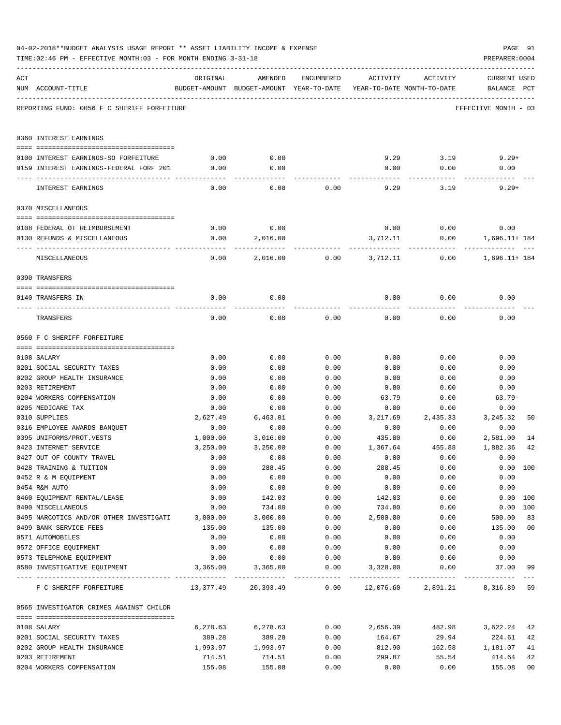|     | TIME:02:46 PM - EFFECTIVE MONTH:03 - FOR MONTH ENDING 3-31-18 |                  |                                                                                |              |                               |                | PREPARER: 0004                     |                |
|-----|---------------------------------------------------------------|------------------|--------------------------------------------------------------------------------|--------------|-------------------------------|----------------|------------------------------------|----------------|
| ACT | NUM ACCOUNT-TITLE                                             | ORIGINAL         | AMENDED<br>BUDGET-AMOUNT BUDGET-AMOUNT YEAR-TO-DATE YEAR-TO-DATE MONTH-TO-DATE | ENCUMBERED   | ACTIVITY                      | ACTIVITY       | <b>CURRENT USED</b><br>BALANCE PCT |                |
|     | REPORTING FUND: 0056 F C SHERIFF FORFEITURE                   |                  |                                                                                |              |                               |                | EFFECTIVE MONTH - 03               |                |
|     | 0360 INTEREST EARNINGS                                        |                  |                                                                                |              |                               |                |                                    |                |
|     | 0100 INTEREST EARNINGS-SO FORFEITURE                          | 0.00             | 0.00                                                                           |              |                               | $9.29$ $3.19$  | $9.29+$                            |                |
|     | 0159 INTEREST EARNINGS-FEDERAL FORF 201                       | 0.00             | 0.00                                                                           |              | 0.00                          | 0.00           | 0.00                               |                |
|     |                                                               |                  |                                                                                |              |                               |                |                                    |                |
|     | INTEREST EARNINGS                                             | 0.00             | 0.00                                                                           | 0.00         | 9.29                          | 3.19           | $9.29+$                            |                |
|     | 0370 MISCELLANEOUS                                            |                  |                                                                                |              |                               |                |                                    |                |
|     |                                                               |                  |                                                                                |              |                               |                |                                    |                |
|     | 0108 FEDERAL OT REIMBURSEMENT                                 | 0.00             | 0.00                                                                           |              | 0.00                          | 0.00           | 0.00                               |                |
|     | 0130 REFUNDS & MISCELLANEOUS                                  | 0.00             | 2,016.00                                                                       |              | 3,712.11                      | 0.00           | 1,696.11+ 184                      |                |
|     | MISCELLANEOUS                                                 | 0.00             | 2,016.00                                                                       | 0.00         | 3,712.11                      | 0.00           | 1,696.11+ 184                      |                |
|     | 0390 TRANSFERS                                                |                  |                                                                                |              |                               |                |                                    |                |
|     |                                                               |                  |                                                                                |              |                               |                |                                    |                |
|     | 0140 TRANSFERS IN                                             | 0.00             | 0.00                                                                           |              | 0.00                          | 0.00           | 0.00                               |                |
|     | TRANSFERS                                                     | 0.00             | 0.00                                                                           | 0.00         | 0.00                          | 0.00           | 0.00                               |                |
|     | 0560 F C SHERIFF FORFEITURE                                   |                  |                                                                                |              |                               |                |                                    |                |
|     |                                                               |                  |                                                                                |              |                               |                |                                    |                |
|     | 0108 SALARY                                                   | 0.00             | 0.00                                                                           | 0.00         | 0.00                          | 0.00           | 0.00                               |                |
|     | 0201 SOCIAL SECURITY TAXES                                    | 0.00             | 0.00                                                                           | 0.00         | 0.00                          | 0.00           | 0.00                               |                |
|     | 0202 GROUP HEALTH INSURANCE                                   | 0.00             | 0.00                                                                           | 0.00         | 0.00                          | 0.00           | 0.00                               |                |
|     | 0203 RETIREMENT                                               | 0.00             | 0.00                                                                           | 0.00         | 0.00                          | 0.00           | 0.00                               |                |
|     | 0204 WORKERS COMPENSATION                                     | 0.00             | 0.00                                                                           | 0.00         | 63.79                         | 0.00           | $63.79-$                           |                |
|     | 0205 MEDICARE TAX                                             | 0.00             | 0.00                                                                           | 0.00         | 0.00                          | 0.00           | 0.00                               |                |
|     | 0310 SUPPLIES                                                 | 2,627.49         | 6,463.01                                                                       | 0.00         | 3,217.69                      | 2,435.33       | 3, 245.32                          | 50             |
|     | 0316 EMPLOYEE AWARDS BANQUET                                  | 0.00             | 0.00                                                                           | 0.00         | 0.00                          | 0.00           | 0.00                               |                |
|     | 0395 UNIFORMS/PROT.VESTS<br>0423 INTERNET SERVICE             | 1,000.00         | 3,016.00                                                                       | 0.00<br>0.00 | 435.00                        | 0.00<br>455.88 | 2,581.00                           | 14<br>42       |
|     | 0427 OUT OF COUNTY TRAVEL                                     | 3,250.00<br>0.00 | 3,250.00<br>0.00                                                               | 0.00         | 1,367.64<br>0.00              | 0.00           | 1,882.36<br>0.00                   |                |
|     | 0428 TRAINING & TUITION                                       | 0.00             | 288.45                                                                         | 0.00         | 288.45                        | 0.00           |                                    | 0.00 100       |
|     | 0452 R & M EQUIPMENT                                          | 0.00             | 0.00                                                                           | 0.00         | 0.00                          | 0.00           | 0.00                               |                |
|     | 0454 R&M AUTO                                                 | 0.00             | 0.00                                                                           | 0.00         | 0.00                          | 0.00           | 0.00                               |                |
|     | 0460 EQUIPMENT RENTAL/LEASE                                   | 0.00             | 142.03                                                                         | 0.00         | 142.03                        | 0.00           |                                    | 0.00 100       |
|     | 0490 MISCELLANEOUS                                            | 0.00             | 734.00                                                                         | 0.00         | 734.00                        | 0.00           |                                    | 0.00 100       |
|     | 0495 NARCOTICS AND/OR OTHER INVESTIGATI                       | 3,000.00         | 3,000.00                                                                       | 0.00         | 2,500.00                      | 0.00           | 500.00                             | 83             |
|     | 0499 BANK SERVICE FEES                                        | 135.00           | 135.00                                                                         | 0.00         | 0.00                          | 0.00           | 135.00                             | 0 <sub>0</sub> |
|     | 0571 AUTOMOBILES                                              | 0.00             | 0.00                                                                           | 0.00         | 0.00                          | 0.00           | 0.00                               |                |
|     | 0572 OFFICE EQUIPMENT                                         | 0.00             | 0.00                                                                           | 0.00         | 0.00                          | 0.00           | 0.00                               |                |
|     | 0573 TELEPHONE EQUIPMENT                                      | 0.00             | 0.00                                                                           | 0.00         | 0.00                          | 0.00           | 0.00                               |                |
|     | 0580 INVESTIGATIVE EQUIPMENT                                  | 3,365.00         | 3,365.00                                                                       | 0.00         | 3,328.00                      | 0.00           | 37.00                              | 99             |
|     | F C SHERIFF FORFEITURE                                        |                  | 13,377.49 20,393.49                                                            |              | $0.00$ $12,076.60$ $2,891.21$ |                | 8,316.89 59                        |                |
|     | 0565 INVESTIGATOR CRIMES AGAINST CHILDR                       |                  |                                                                                |              |                               |                |                                    |                |
|     | 0108 SALARY                                                   | 6,278.63         | 6,278.63                                                                       | 0.00         | 2,656.39                      | 482.98         | 3,622.24                           | 42             |
|     | 0201 SOCIAL SECURITY TAXES                                    | 389.28           | 389.28                                                                         | 0.00         | 164.67                        | 29.94          | 224.61                             | 42             |
|     | 0202 GROUP HEALTH INSURANCE                                   | 1,993.97         | 1,993.97                                                                       | 0.00         | 812.90                        | 162.58         | 1,181.07                           | 41             |
|     | 0203 RETIREMENT                                               | 714.51           | 714.51                                                                         | 0.00         | 299.87                        | 55.54          | 414.64                             | 42             |
|     | 0204 WORKERS COMPENSATION                                     | 155.08           | 155.08                                                                         | 0.00         | 0.00                          | 0.00           | 155.08                             | 0 <sub>0</sub> |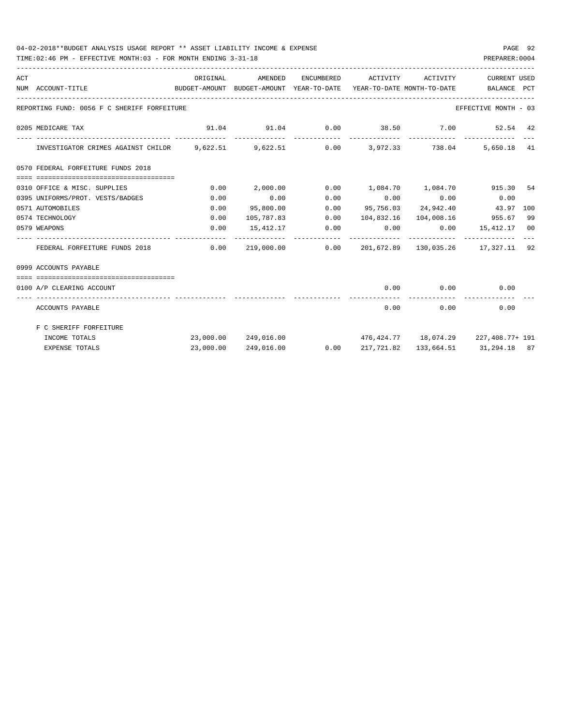## 04-02-2018\*\*BUDGET ANALYSIS USAGE REPORT \*\* ASSET LIABILITY INCOME & EXPENSE PAGE 92

TIME:02:46 PM - EFFECTIVE MONTH:03 - FOR MONTH ENDING 3-31-18 PREPARER:0004

| ACT |                                                                                       | ORIGINAL    | AMENDED                                            | ENCUMBERED      | ACTIVITY                   | ACTIVITY | <b>CURRENT USED</b>                          |    |
|-----|---------------------------------------------------------------------------------------|-------------|----------------------------------------------------|-----------------|----------------------------|----------|----------------------------------------------|----|
|     | NUM ACCOUNT-TITLE                                                                     |             | BUDGET-AMOUNT BUDGET-AMOUNT YEAR-TO-DATE           |                 | YEAR-TO-DATE MONTH-TO-DATE |          | BALANCE PCT                                  |    |
|     | REPORTING FUND: 0056 F C SHERIFF FORFEITURE                                           |             |                                                    |                 |                            |          | EFFECTIVE MONTH - 03                         |    |
|     | 0205 MEDICARE TAX                                                                     |             | $91.04$ $91.04$ $0.00$ $38.50$ $7.00$ $52.54$ $42$ |                 |                            |          |                                              |    |
|     | INVESTIGATOR CRIMES AGAINST CHILDR 9,622.51 9,622.51 0.00 3,972.33 738.04 5,650.18 41 |             |                                                    |                 |                            |          |                                              |    |
|     | 0570 FEDERAL FORFEITURE FUNDS 2018                                                    |             |                                                    |                 |                            |          |                                              |    |
|     | 0310 OFFICE & MISC. SUPPLIES                                                          | 0.00        | 2,000.00                                           |                 |                            |          | 0.00 1,084.70 1,084.70 915.30 54             |    |
|     | 0395 UNIFORMS/PROT. VESTS/BADGES                                                      | 0.00        | 0.00                                               | 0.00            | $0.00$ 0.00                |          | 0.00                                         |    |
|     | 0571 AUTOMOBILES                                                                      | 0.00        | 95,800.00                                          | 0.00            |                            |          | 95,756.03 24,942.40 43.97 100                |    |
|     | 0574 TECHNOLOGY                                                                       | 0.00        | 105,787.83                                         | 0.00            |                            |          | 104,832.16 104,008.16 955.67                 | 99 |
|     | 0579 WEAPONS                                                                          | 0.00        |                                                    | 15,412.17 0.00  | --------------             |          | $0.00$ $0.00$ $15,412.17$ 00                 |    |
|     | FEDERAL FORFEITURE FUNDS 2018                                                         | $\sim$ 0.00 |                                                    | 219,000.00 0.00 |                            |          | 201,672.89 130,035.26 17,327.11 92           |    |
|     | 0999 ACCOUNTS PAYABLE                                                                 |             |                                                    |                 |                            |          |                                              |    |
|     | -2000000000000000000000000000000000000<br>0100 A/P CLEARING ACCOUNT                   |             |                                                    |                 | 0.00                       |          | $0.00$ 0.00                                  |    |
|     | ACCOUNTS PAYABLE                                                                      |             |                                                    |                 |                            | 0.00     | ----------------------------<br>0.00<br>0.00 |    |
|     | F C SHERIFF FORFEITURE                                                                |             |                                                    |                 |                            |          |                                              |    |
|     | INCOME TOTALS                                                                         |             | 23,000.00 249,016.00                               |                 |                            |          | $476,424.77$ 18,074.29 227,408.77+ 191       |    |
|     | <b>EXPENSE TOTALS</b>                                                                 | 23,000.00   | 249,016.00                                         | 0.00            | 217,721.82                 |          | 133,664.51 31,294.18 87                      |    |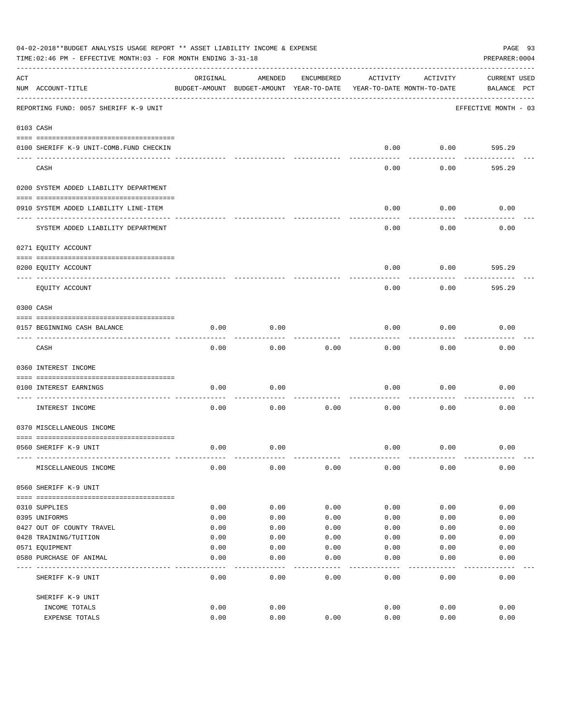|     | 04-02-2018**BUDGET ANALYSIS USAGE REPORT ** ASSET LIABILITY INCOME & EXPENSE<br>TIME:02:46 PM - EFFECTIVE MONTH:03 - FOR MONTH ENDING 3-31-18 |          |                                                     |            |          |                                        | PAGE 93<br>PREPARER: 0004          |
|-----|-----------------------------------------------------------------------------------------------------------------------------------------------|----------|-----------------------------------------------------|------------|----------|----------------------------------------|------------------------------------|
| ACT | NUM ACCOUNT-TITLE                                                                                                                             | ORIGINAL | AMENDED<br>BUDGET-AMOUNT BUDGET-AMOUNT YEAR-TO-DATE | ENCUMBERED | ACTIVITY | ACTIVITY<br>YEAR-TO-DATE MONTH-TO-DATE | <b>CURRENT USED</b><br>BALANCE PCT |
|     | REPORTING FUND: 0057 SHERIFF K-9 UNIT                                                                                                         |          |                                                     |            |          |                                        | EFFECTIVE MONTH - 03               |
|     | 0103 CASH                                                                                                                                     |          |                                                     |            |          |                                        |                                    |
|     | 0100 SHERIFF K-9 UNIT-COMB. FUND CHECKIN                                                                                                      |          |                                                     |            | 0.00     | 0.00                                   | 595.29                             |
|     | CASH                                                                                                                                          |          |                                                     |            | 0.00     | 0.00                                   | 595.29                             |
|     | 0200 SYSTEM ADDED LIABILITY DEPARTMENT                                                                                                        |          |                                                     |            |          |                                        |                                    |
|     | 0910 SYSTEM ADDED LIABILITY LINE-ITEM                                                                                                         |          |                                                     |            | 0.00     | 0.00                                   | 0.00                               |
|     | SYSTEM ADDED LIABILITY DEPARTMENT                                                                                                             |          |                                                     |            | 0.00     | 0.00                                   | 0.00                               |
|     | 0271 EQUITY ACCOUNT                                                                                                                           |          |                                                     |            |          |                                        |                                    |
|     | 0200 EQUITY ACCOUNT<br>---- -----------                                                                                                       |          |                                                     |            | 0.00     | 0.00                                   | 595.29                             |
|     | EQUITY ACCOUNT                                                                                                                                |          |                                                     |            | 0.00     | 0.00                                   | 595.29                             |
|     | 0300 CASH                                                                                                                                     |          |                                                     |            |          |                                        |                                    |
|     | 0157 BEGINNING CASH BALANCE                                                                                                                   | 0.00     | 0.00                                                |            | 0.00     | 0.00                                   | 0.00                               |
|     | CASH                                                                                                                                          | 0.00     | 0.00                                                | 0.00       | 0.00     | 0.00                                   | 0.00                               |
|     | 0360 INTEREST INCOME                                                                                                                          |          |                                                     |            |          |                                        |                                    |
|     | 0100 INTEREST EARNINGS                                                                                                                        | 0.00     | 0.00                                                |            | 0.00     | 0.00                                   | 0.00                               |
|     | INTEREST INCOME                                                                                                                               | 0.00     | 0.00                                                | 0.00       | 0.00     | 0.00                                   | 0.00                               |
|     | 0370 MISCELLANEOUS INCOME                                                                                                                     |          |                                                     |            |          |                                        |                                    |
|     | 0560 SHERIFF K-9 UNIT                                                                                                                         | 0.00     | 0.00                                                |            | 0.00     | 0.00                                   | 0.00                               |
|     | MISCELLANEOUS INCOME                                                                                                                          | 0.00     | 0.00                                                | 0.00       | 0.00     | 0.00                                   | 0.00                               |
|     | 0560 SHERIFF K-9 UNIT                                                                                                                         |          |                                                     |            |          |                                        |                                    |
|     | 0310 SUPPLIES                                                                                                                                 | 0.00     | 0.00                                                | 0.00       | 0.00     | 0.00                                   | 0.00                               |
|     | 0395 UNIFORMS                                                                                                                                 | 0.00     | 0.00                                                | 0.00       | 0.00     | 0.00                                   | 0.00                               |
|     | 0427 OUT OF COUNTY TRAVEL                                                                                                                     | 0.00     | 0.00                                                | 0.00       | 0.00     | 0.00                                   | 0.00                               |
|     | 0428 TRAINING/TUITION                                                                                                                         | 0.00     | 0.00                                                | 0.00       | 0.00     | 0.00                                   | 0.00                               |
|     | 0571 EQUIPMENT                                                                                                                                | 0.00     | 0.00                                                | 0.00       | 0.00     | 0.00                                   | 0.00                               |
|     | 0580 PURCHASE OF ANIMAL                                                                                                                       | 0.00     | 0.00                                                | 0.00       | 0.00     | 0.00                                   | 0.00                               |
|     | SHERIFF K-9 UNIT                                                                                                                              | 0.00     | 0.00                                                | 0.00       | 0.00     | 0.00                                   | 0.00                               |
|     | SHERIFF K-9 UNIT                                                                                                                              |          |                                                     |            |          |                                        |                                    |
|     | INCOME TOTALS                                                                                                                                 | 0.00     | 0.00                                                |            | 0.00     | 0.00                                   | 0.00                               |
|     | EXPENSE TOTALS                                                                                                                                | 0.00     | 0.00                                                | 0.00       | 0.00     | 0.00                                   | 0.00                               |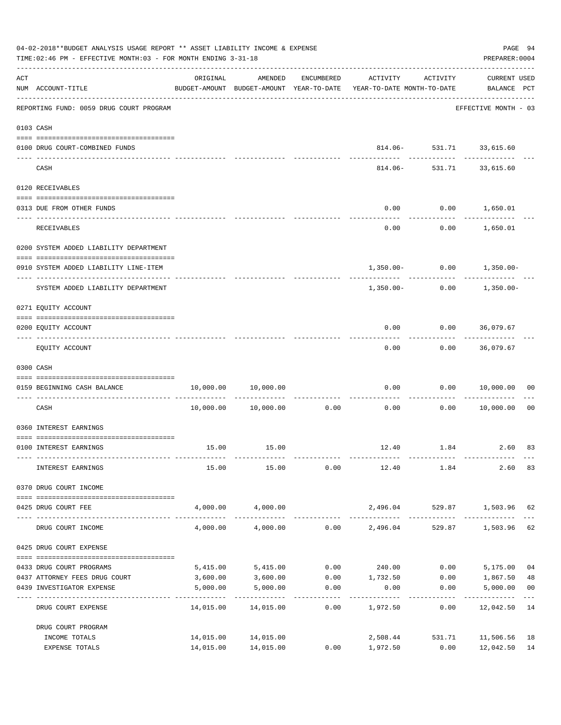| 04-02-2018**BUDGET ANALYSIS USAGE REPORT ** ASSET LIABILITY INCOME & EXPENSE<br>TIME: 02:46 PM - EFFECTIVE MONTH: 03 - FOR MONTH ENDING 3-31-18 |                                                           |                      |                            |                       |                                                                                 |                          |                                    |                |
|-------------------------------------------------------------------------------------------------------------------------------------------------|-----------------------------------------------------------|----------------------|----------------------------|-----------------------|---------------------------------------------------------------------------------|--------------------------|------------------------------------|----------------|
| ACT                                                                                                                                             | NUM ACCOUNT-TITLE                                         | ORIGINAL             | AMENDED                    | ENCUMBERED            | ACTIVITY<br>BUDGET-AMOUNT BUDGET-AMOUNT YEAR-TO-DATE YEAR-TO-DATE MONTH-TO-DATE | ACTIVITY                 | <b>CURRENT USED</b><br>BALANCE PCT |                |
|                                                                                                                                                 | REPORTING FUND: 0059 DRUG COURT PROGRAM                   |                      |                            |                       |                                                                                 |                          | EFFECTIVE MONTH - 03               |                |
|                                                                                                                                                 | 0103 CASH                                                 |                      |                            |                       |                                                                                 |                          |                                    |                |
|                                                                                                                                                 | 0100 DRUG COURT-COMBINED FUNDS                            |                      |                            |                       |                                                                                 | 814.06- 531.71 33,615.60 |                                    |                |
|                                                                                                                                                 | CASH                                                      |                      |                            |                       | 814.06-                                                                         | ------------             | --------<br>531.71 33,615.60       |                |
|                                                                                                                                                 | 0120 RECEIVABLES                                          |                      |                            |                       |                                                                                 |                          |                                    |                |
|                                                                                                                                                 | 0313 DUE FROM OTHER FUNDS                                 |                      |                            |                       | 0.00                                                                            | $0.00$ 1,650.01          | ____________                       |                |
|                                                                                                                                                 | RECEIVABLES                                               |                      |                            |                       | 0.00                                                                            |                          | $0.00$ 1,650.01                    |                |
|                                                                                                                                                 | 0200 SYSTEM ADDED LIABILITY DEPARTMENT                    |                      |                            |                       |                                                                                 |                          |                                    |                |
|                                                                                                                                                 | 0910 SYSTEM ADDED LIABILITY LINE-ITEM                     |                      |                            |                       |                                                                                 |                          | $1,350.00 - 0.00 - 1,350.00 -$     |                |
|                                                                                                                                                 | SYSTEM ADDED LIABILITY DEPARTMENT                         |                      |                            |                       | 1,350.00-                                                                       | 0.00                     | 1,350.00-                          |                |
|                                                                                                                                                 | 0271 EQUITY ACCOUNT                                       |                      |                            |                       |                                                                                 |                          |                                    |                |
|                                                                                                                                                 | 0200 EQUITY ACCOUNT                                       |                      |                            |                       | 0.00                                                                            | $0.00$ 36,079.67         |                                    |                |
|                                                                                                                                                 | EQUITY ACCOUNT                                            |                      |                            |                       | 0.00                                                                            |                          | $0.00$ 36,079.67                   |                |
|                                                                                                                                                 | 0300 CASH                                                 |                      |                            |                       |                                                                                 |                          |                                    |                |
|                                                                                                                                                 | 0159 BEGINNING CASH BALANCE                               |                      | 10,000.00 10,000.00        |                       | 0.00<br>------------- -------------                                             | ----------               | 0.00 10,000.00                     | 00             |
|                                                                                                                                                 | CASH                                                      |                      | 10,000.00    10,000.00     | 0.00                  | 0.00                                                                            | 0.00                     | 10,000.00                          | 0 <sub>0</sub> |
|                                                                                                                                                 | 0360 INTEREST EARNINGS                                    |                      |                            |                       |                                                                                 |                          |                                    |                |
|                                                                                                                                                 | 0100 INTEREST EARNINGS                                    |                      | 15.00 15.00                |                       |                                                                                 | 12.40 1.84               | 2.60                               | 83             |
|                                                                                                                                                 | INTEREST EARNINGS                                         | 15.00                | 15.00                      | 0.00                  | 12.40 1.84                                                                      |                          | 2.60                               | 83             |
|                                                                                                                                                 | 0370 DRUG COURT INCOME                                    |                      |                            |                       |                                                                                 |                          |                                    |                |
|                                                                                                                                                 | 0425 DRUG COURT FEE                                       |                      | 4,000.00 4,000.00          |                       | 2,496.04                                                                        |                          | 529.87 1,503.96 62                 |                |
|                                                                                                                                                 | DRUG COURT INCOME                                         | 4,000.00             |                            |                       | $4,000.00$ $0.00$ $2,496.04$                                                    |                          | 529.87 1,503.96                    | 62             |
|                                                                                                                                                 | 0425 DRUG COURT EXPENSE                                   |                      |                            |                       |                                                                                 |                          |                                    |                |
|                                                                                                                                                 |                                                           |                      |                            |                       |                                                                                 |                          |                                    |                |
|                                                                                                                                                 | 0433 DRUG COURT PROGRAMS<br>0437 ATTORNEY FEES DRUG COURT | 5,415.00<br>3,600.00 | 5,415.00<br>3,600.00       |                       | $0.00$ 240.00 0.00<br>$0.00$ 1,732.50                                           |                          | 5,175.00<br>$0.00$ 1,867.50        | 04<br>48       |
|                                                                                                                                                 | 0439 INVESTIGATOR EXPENSE                                 | 5,000.00             | 5,000.00                   | 0.00                  | 0.00                                                                            | 0.00                     | 5,000.00                           | 0 <sub>0</sub> |
|                                                                                                                                                 | DRUG COURT EXPENSE                                        | 14,015.00            | -------------<br>14,015.00 | -------------<br>0.00 | ---------<br>1,972.50                                                           | -----------<br>0.00      | ------------<br>12,042.50 14       | $- - -$        |
|                                                                                                                                                 | DRUG COURT PROGRAM                                        |                      |                            |                       |                                                                                 |                          |                                    |                |
|                                                                                                                                                 | INCOME TOTALS                                             |                      | 14,015.00 14,015.00        |                       | 2,508.44                                                                        |                          | 531.71 11,506.56                   | 18             |
|                                                                                                                                                 | EXPENSE TOTALS                                            |                      | 14,015.00 14,015.00        | 0.00                  | 1,972.50                                                                        | 0.00                     | 12,042.50                          | 14             |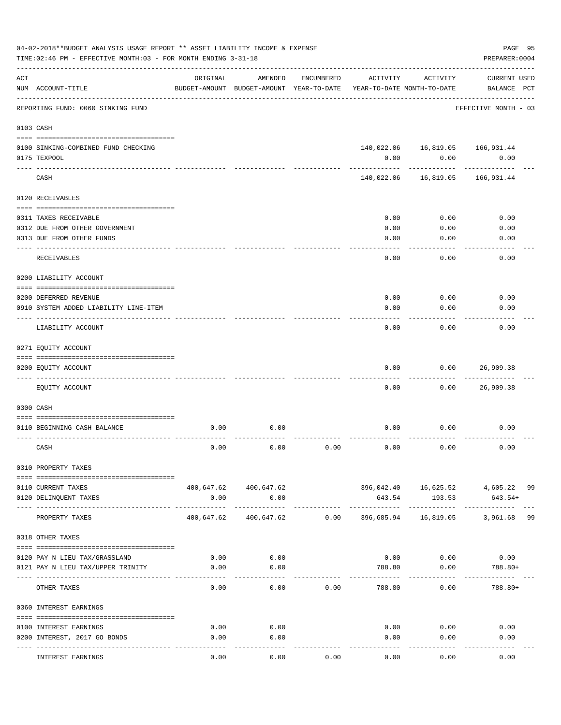|     | 04-02-2018**BUDGET ANALYSIS USAGE REPORT ** ASSET LIABILITY INCOME & EXPENSE<br>TIME: 02:46 PM - EFFECTIVE MONTH: 03 - FOR MONTH ENDING 3-31-18 |                         |                                                                                |            |                            |                                   | PAGE 95<br>PREPARER: 0004                      |
|-----|-------------------------------------------------------------------------------------------------------------------------------------------------|-------------------------|--------------------------------------------------------------------------------|------------|----------------------------|-----------------------------------|------------------------------------------------|
| ACT | NUM ACCOUNT-TITLE                                                                                                                               | ORIGINAL                | AMENDED<br>BUDGET-AMOUNT BUDGET-AMOUNT YEAR-TO-DATE YEAR-TO-DATE MONTH-TO-DATE | ENCUMBERED | ACTIVITY                   | ACTIVITY                          | <b>CURRENT USED</b><br>BALANCE PCT             |
|     | -----------------------------------<br>REPORTING FUND: 0060 SINKING FUND                                                                        |                         |                                                                                |            |                            |                                   | EFFECTIVE MONTH - 03                           |
|     | 0103 CASH                                                                                                                                       |                         |                                                                                |            |                            |                                   |                                                |
|     | 0100 SINKING-COMBINED FUND CHECKING                                                                                                             |                         |                                                                                |            |                            | 140,022.06  16,819.05  166,931.44 |                                                |
|     | 0175 TEXPOOL                                                                                                                                    |                         |                                                                                |            | 0.00                       | 0.00                              | 0.00                                           |
|     | CASH                                                                                                                                            |                         |                                                                                |            |                            | 140,022.06 16,819.05              | 166,931.44                                     |
|     | 0120 RECEIVABLES                                                                                                                                |                         |                                                                                |            |                            |                                   |                                                |
|     | 0311 TAXES RECEIVABLE                                                                                                                           |                         |                                                                                |            | 0.00                       | 0.00                              | 0.00                                           |
|     | 0312 DUE FROM OTHER GOVERNMENT                                                                                                                  |                         |                                                                                |            | 0.00                       | 0.00                              | 0.00                                           |
|     | 0313 DUE FROM OTHER FUNDS                                                                                                                       |                         |                                                                                |            | 0.00                       | 0.00                              | 0.00                                           |
|     | RECEIVABLES                                                                                                                                     |                         |                                                                                |            | 0.00                       | 0.00                              | 0.00                                           |
|     | 0200 LIABILITY ACCOUNT                                                                                                                          |                         |                                                                                |            |                            |                                   |                                                |
|     | 0200 DEFERRED REVENUE                                                                                                                           |                         |                                                                                |            | 0.00                       | 0.00                              | 0.00                                           |
|     | 0910 SYSTEM ADDED LIABILITY LINE-ITEM                                                                                                           |                         |                                                                                |            | 0.00                       | 0.00                              | 0.00                                           |
|     | LIABILITY ACCOUNT                                                                                                                               |                         |                                                                                |            | 0.00                       | 0.00                              | 0.00                                           |
|     | 0271 EQUITY ACCOUNT                                                                                                                             |                         |                                                                                |            |                            |                                   |                                                |
|     | 0200 EQUITY ACCOUNT                                                                                                                             |                         |                                                                                |            | 0.00                       | 0.00                              | 26,909.38                                      |
|     | EQUITY ACCOUNT                                                                                                                                  |                         |                                                                                |            | 0.00                       | 0.00                              | 26,909.38                                      |
|     | 0300 CASH                                                                                                                                       |                         |                                                                                |            |                            |                                   |                                                |
|     | 0110 BEGINNING CASH BALANCE                                                                                                                     | 0.00                    | 0.00                                                                           |            | 0.00                       | 0.00                              | 0.00                                           |
|     | CASH                                                                                                                                            | 0.00                    | 0.00                                                                           | 0.00       | 0.00                       | 0.00                              | 0.00                                           |
|     | 0310 PROPERTY TAXES                                                                                                                             |                         |                                                                                |            |                            |                                   |                                                |
|     |                                                                                                                                                 |                         |                                                                                |            |                            |                                   |                                                |
|     | 0110 CURRENT TAXES<br>0120 DELINQUENT TAXES                                                                                                     | 0.00                    | 400,647.62 400,647.62<br>0.00                                                  |            | 643.54                     | 193.53                            | 396,042.40  16,625.52  4,605.22  99<br>643.54+ |
|     | PROPERTY TAXES                                                                                                                                  | ---------<br>400,647.62 | -----------<br>400,647.62                                                      | 0.00       | . <u>.</u> .<br>396,685.94 | ------------<br>16,819.05         | 99<br>3,961.68                                 |
|     | 0318 OTHER TAXES                                                                                                                                |                         |                                                                                |            |                            |                                   |                                                |
|     |                                                                                                                                                 |                         |                                                                                |            |                            |                                   |                                                |
|     | 0120 PAY N LIEU TAX/GRASSLAND                                                                                                                   | 0.00                    | 0.00                                                                           |            |                            | $0.00$ 0.00                       | 0.00                                           |
|     | 0121 PAY N LIEU TAX/UPPER TRINITY                                                                                                               | 0.00                    | 0.00                                                                           |            | 788.80                     | 0.00                              | 788.80+                                        |
|     | OTHER TAXES                                                                                                                                     | 0.00                    | 0.00                                                                           | 0.00       | 788.80                     | 0.00                              | 788.80+                                        |
|     | 0360 INTEREST EARNINGS                                                                                                                          |                         |                                                                                |            |                            |                                   |                                                |
|     | 0100 INTEREST EARNINGS                                                                                                                          | 0.00                    | 0.00                                                                           |            | 0.00                       | 0.00                              | 0.00                                           |
|     | 0200 INTEREST, 2017 GO BONDS                                                                                                                    | 0.00                    | 0.00                                                                           |            | 0.00                       | 0.00                              | 0.00                                           |
|     | INTEREST EARNINGS                                                                                                                               | 0.00                    | 0.00                                                                           | 0.00       | 0.00                       | 0.00                              | 0.00                                           |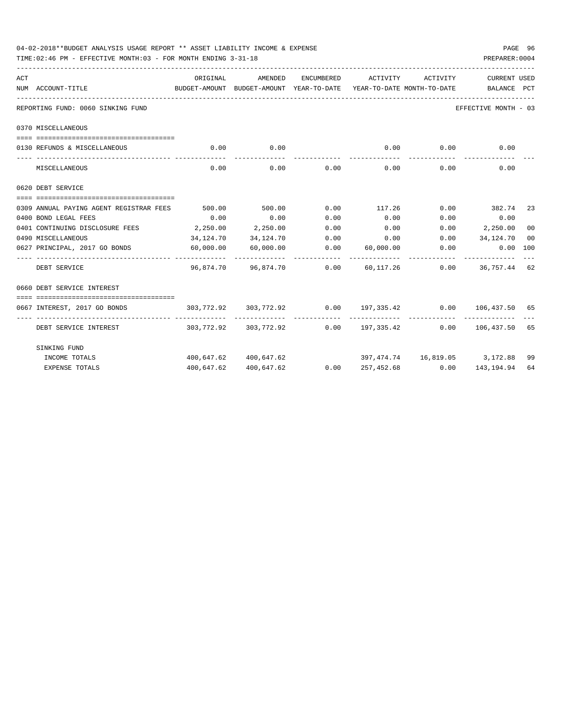|     | TIME:02:46 PM - EFFECTIVE MONTH:03 - FOR MONTH ENDING 3-31-18                                                                              |             |                                       |            |                                           |          | PREPARER: 0004                                                            |    |
|-----|--------------------------------------------------------------------------------------------------------------------------------------------|-------------|---------------------------------------|------------|-------------------------------------------|----------|---------------------------------------------------------------------------|----|
| ACT |                                                                                                                                            | ORIGINAL    | AMENDED                               | ENCUMBERED | ACTIVITY                                  | ACTIVITY | CURRENT USED                                                              |    |
|     | NUM ACCOUNT-TITLE<br>BUDGET-AMOUNT BUDGET-AMOUNT YEAR-TO-DATE YEAR-TO-DATE MONTH-TO-DATE   BALANCE PCT<br>________________________________ |             |                                       |            |                                           |          |                                                                           |    |
|     | REPORTING FUND: 0060 SINKING FUND                                                                                                          |             |                                       |            |                                           |          | EFFECTIVE MONTH - 03                                                      |    |
|     | 0370 MISCELLANEOUS                                                                                                                         |             |                                       |            |                                           |          |                                                                           |    |
|     |                                                                                                                                            |             |                                       |            |                                           |          |                                                                           |    |
|     | 0130 REFUNDS & MISCELLANEOUS                                                                                                               | $\sim 0.00$ | 0.00                                  |            |                                           |          | $0.00$ $0.00$ $0.00$ $0.00$                                               |    |
|     | MISCELLANEOUS                                                                                                                              | 0.00        |                                       |            | $0.00$ $0.00$ $0.00$ $0.00$ $0.00$ $0.00$ |          | 0.00                                                                      |    |
|     | 0620 DEBT SERVICE                                                                                                                          |             |                                       |            |                                           |          |                                                                           |    |
|     | 0309 ANNUAL PAYING AGENT REGISTRAR FEES                                                                                                    |             |                                       |            |                                           |          | 500.00     500.00      0.00     117.26      0.00     382.74  23           |    |
|     | 0400 BOND LEGAL FEES                                                                                                                       | 0.00        | 0.00                                  | 0.00       | 0.00                                      | 0.00     | 0.00                                                                      |    |
|     | 0401 CONTINUING DISCLOSURE FEES 2,250.00                                                                                                   |             | 2,250.00                              | 0.00       | 0.00                                      |          | $0.00$ 2,250.00                                                           | 00 |
|     | 0490 MISCELLANEOUS                                                                                                                         |             | 34, 124, 70 34, 124, 70               |            |                                           |          | $0.00$ $0.00$ $0.00$ $34,124.70$                                          | 00 |
|     | 0627 PRINCIPAL, 2017 GO BONDS 60,000.00 60,000.00                                                                                          |             |                                       |            | 0.00 60,000.00                            | 0.00     | $0.00$ 100                                                                |    |
|     | DEBT SERVICE                                                                                                                               |             | 96,874.70  96,874.70  0.00  60,117.26 |            |                                           |          | $0.00$ 36,757.44 62                                                       |    |
|     | 0660 DEBT SERVICE INTEREST                                                                                                                 |             |                                       |            |                                           |          |                                                                           |    |
|     |                                                                                                                                            |             |                                       |            |                                           |          |                                                                           |    |
|     | 0667 INTEREST, 2017 GO BONDS                                                                                                               |             |                                       |            |                                           |          | $303,772.92$ $303,772.92$ $0.00$ $197,335.42$ $0.00$ $106,437.50$ 65      |    |
|     | DEBT SERVICE INTEREST                                                                                                                      |             |                                       |            |                                           |          | 303,772.92   303,772.92      0.00   197,335.42      0.00   106,437.50  65 |    |
|     | SINKING FUND                                                                                                                               |             |                                       |            |                                           |          |                                                                           |    |
|     | INCOME TOTALS                                                                                                                              |             | 400,647.62 400,647.62                 |            |                                           |          | $397,474.74$ $16,819.05$ $3,172.88$ 99                                    |    |
|     | <b>EXPENSE TOTALS</b>                                                                                                                      |             | 400,647.62 400,647.62                 |            |                                           |          | $0.00 \qquad 257,452.68 \qquad 0.00 \qquad 143,194.94$                    | 64 |

04-02-2018\*\*BUDGET ANALYSIS USAGE REPORT \*\* ASSET LIABILITY INCOME & EXPENSE PAGE 96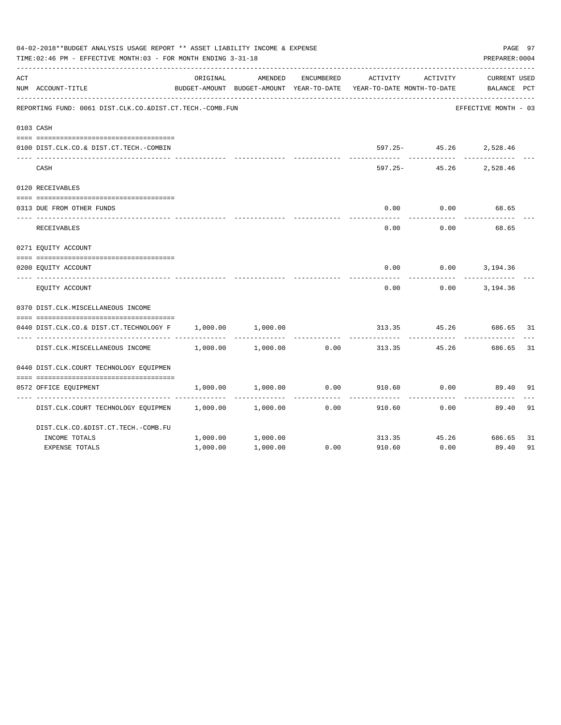|     | 04-02-2018**BUDGET ANALYSIS USAGE REPORT ** ASSET LIABILITY INCOME & EXPENSE<br>PAGE 97<br>PREPARER: 0004<br>TIME: 02:46 PM - EFFECTIVE MONTH: 03 - FOR MONTH ENDING 3-31-18<br>ORIGINAL<br>AMENDED<br>ENCUMBERED<br>ACTIVITY<br>ACTIVITY<br>BUDGET-AMOUNT BUDGET-AMOUNT YEAR-TO-DATE<br>YEAR-TO-DATE MONTH-TO-DATE<br>REPORTING FUND: 0061 DIST.CLK.CO.&DIST.CT.TECH.-COMB.FUN<br>597.25- 45.26 2,528.46<br>$597.25 -$<br>45.26<br>0.00<br>0.00<br>0.00<br>0.00 |          |          |      |        |       |                                    |     |  |  |
|-----|------------------------------------------------------------------------------------------------------------------------------------------------------------------------------------------------------------------------------------------------------------------------------------------------------------------------------------------------------------------------------------------------------------------------------------------------------------------|----------|----------|------|--------|-------|------------------------------------|-----|--|--|
| ACT | NUM ACCOUNT-TITLE                                                                                                                                                                                                                                                                                                                                                                                                                                                |          |          |      |        |       | <b>CURRENT USED</b><br>BALANCE PCT |     |  |  |
|     |                                                                                                                                                                                                                                                                                                                                                                                                                                                                  |          |          |      |        |       | EFFECTIVE MONTH - 03               |     |  |  |
|     | 0103 CASH                                                                                                                                                                                                                                                                                                                                                                                                                                                        |          |          |      |        |       |                                    |     |  |  |
|     | 0100 DIST.CLK.CO.& DIST.CT.TECH.-COMBIN                                                                                                                                                                                                                                                                                                                                                                                                                          |          |          |      |        |       |                                    |     |  |  |
|     | CASH                                                                                                                                                                                                                                                                                                                                                                                                                                                             |          |          |      |        |       | 2,528.46                           |     |  |  |
|     | 0120 RECEIVABLES                                                                                                                                                                                                                                                                                                                                                                                                                                                 |          |          |      |        |       |                                    |     |  |  |
|     | 0313 DUE FROM OTHER FUNDS                                                                                                                                                                                                                                                                                                                                                                                                                                        |          |          |      |        |       | 68.65                              |     |  |  |
|     | RECEIVABLES                                                                                                                                                                                                                                                                                                                                                                                                                                                      |          |          |      |        |       | 68.65                              |     |  |  |
|     | 0271 EQUITY ACCOUNT                                                                                                                                                                                                                                                                                                                                                                                                                                              |          |          |      |        |       |                                    |     |  |  |
|     | 0200 EQUITY ACCOUNT                                                                                                                                                                                                                                                                                                                                                                                                                                              |          |          |      | 0.00   |       | $0.00$ 3, 194.36                   |     |  |  |
|     | EQUITY ACCOUNT                                                                                                                                                                                                                                                                                                                                                                                                                                                   |          |          |      | 0.00   | 0.00  | 3,194.36                           |     |  |  |
|     | 0370 DIST.CLK.MISCELLANEOUS INCOME                                                                                                                                                                                                                                                                                                                                                                                                                               |          |          |      |        |       |                                    |     |  |  |
|     | 0440 DIST.CLK.CO.& DIST.CT.TECHNOLOGY F                                                                                                                                                                                                                                                                                                                                                                                                                          | 1,000.00 | 1,000.00 |      | 313.35 | 45.26 | 686.65                             | -31 |  |  |
|     | DIST.CLK.MISCELLANEOUS INCOME                                                                                                                                                                                                                                                                                                                                                                                                                                    | 1,000.00 | 1,000.00 | 0.00 | 313.35 | 45.26 | 686.65                             | 31  |  |  |
|     | 0440 DIST.CLK.COURT TECHNOLOGY EOUIPMEN                                                                                                                                                                                                                                                                                                                                                                                                                          |          |          |      |        |       |                                    |     |  |  |
|     | 0572 OFFICE EQUIPMENT                                                                                                                                                                                                                                                                                                                                                                                                                                            | 1,000.00 | 1,000.00 | 0.00 | 910.60 | 0.00  | 89.40                              | 91  |  |  |
|     | DIST.CLK.COURT TECHNOLOGY EQUIPMEN                                                                                                                                                                                                                                                                                                                                                                                                                               | 1,000.00 | 1,000.00 | 0.00 | 910.60 | 0.00  | 89.40                              | 91  |  |  |
|     | DIST.CLK.CO.&DIST.CT.TECH.-COMB.FU                                                                                                                                                                                                                                                                                                                                                                                                                               |          |          |      |        |       |                                    |     |  |  |
|     | INCOME TOTALS                                                                                                                                                                                                                                                                                                                                                                                                                                                    | 1,000.00 | 1,000.00 |      | 313.35 | 45.26 | 686.65                             | 31  |  |  |
|     | <b>EXPENSE TOTALS</b>                                                                                                                                                                                                                                                                                                                                                                                                                                            | 1,000.00 | 1,000.00 | 0.00 | 910.60 | 0.00  | 89.40                              | 91  |  |  |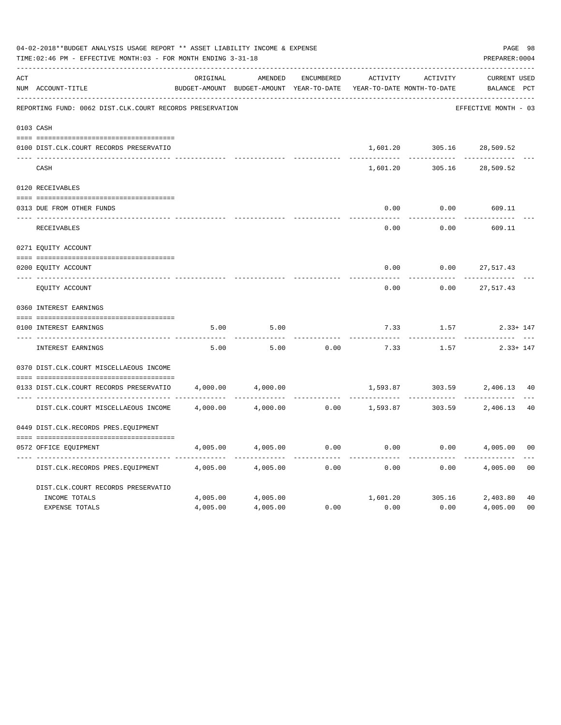|     | 04-02-2018**BUDGET ANALYSIS USAGE REPORT ** ASSET LIABILITY INCOME & EXPENSE<br>TIME: 02:46 PM - EFFECTIVE MONTH: 03 - FOR MONTH ENDING 3-31-18 |          |                                                                     |            |          |          |                                 |                |  |  |
|-----|-------------------------------------------------------------------------------------------------------------------------------------------------|----------|---------------------------------------------------------------------|------------|----------|----------|---------------------------------|----------------|--|--|
| ACT |                                                                                                                                                 | ORIGINAL | AMENDED                                                             | ENCUMBERED | ACTIVITY | ACTIVITY | CURRENT USED                    |                |  |  |
|     | NUM ACCOUNT-TITLE                                                                                                                               |          | BUDGET-AMOUNT BUDGET-AMOUNT YEAR-TO-DATE YEAR-TO-DATE MONTH-TO-DATE |            |          |          | BALANCE PCT                     |                |  |  |
|     | REPORTING FUND: 0062 DIST.CLK.COURT RECORDS PRESERVATION                                                                                        |          |                                                                     |            |          |          | EFFECTIVE MONTH - 03            |                |  |  |
|     | 0103 CASH                                                                                                                                       |          |                                                                     |            |          |          |                                 |                |  |  |
|     | 0100 DIST.CLK.COURT RECORDS PRESERVATIO                                                                                                         |          |                                                                     |            | 1,601.20 |          | 305.16 28,509.52                |                |  |  |
|     | CASH                                                                                                                                            |          |                                                                     |            | 1,601.20 |          | 305.16 28,509.52                |                |  |  |
|     | 0120 RECEIVABLES                                                                                                                                |          |                                                                     |            |          |          |                                 |                |  |  |
|     | 0313 DUE FROM OTHER FUNDS                                                                                                                       |          |                                                                     |            | 0.00     | 0.00     | 609.11                          |                |  |  |
|     | RECEIVABLES                                                                                                                                     |          |                                                                     |            | 0.00     | 0.00     | 609.11                          |                |  |  |
|     | 0271 EQUITY ACCOUNT                                                                                                                             |          |                                                                     |            |          |          |                                 |                |  |  |
|     | 0200 EQUITY ACCOUNT                                                                                                                             |          |                                                                     |            | 0.00     | 0.00     | 27,517.43                       |                |  |  |
|     | ---- ----------------<br>EQUITY ACCOUNT                                                                                                         |          |                                                                     |            | 0.00     | 0.00     | 27,517.43                       |                |  |  |
|     | 0360 INTEREST EARNINGS                                                                                                                          |          |                                                                     |            |          |          |                                 |                |  |  |
|     | 0100 INTEREST EARNINGS                                                                                                                          | 5.00     | 5.00                                                                |            | 7.33     | 1.57     | $2.33 + 147$                    |                |  |  |
|     | ---- --------------<br>INTEREST EARNINGS                                                                                                        | 5.00     | 5.00                                                                | 0.00       | 7.33     | 1.57     | $2.33 + 147$                    |                |  |  |
|     | 0370 DIST.CLK.COURT MISCELLAEOUS INCOME                                                                                                         |          |                                                                     |            |          |          |                                 |                |  |  |
|     | 0133 DIST.CLK.COURT RECORDS PRESERVATIO                                                                                                         | 4,000.00 | 4,000.00                                                            |            | 1,593.87 |          | 303.59 2,406.13                 | 40             |  |  |
|     | DIST.CLK.COURT MISCELLAEOUS INCOME                                                                                                              |          | 4,000.00 4,000.00                                                   |            |          |          | $0.00$ 1,593.87 303.59 2,406.13 | 40             |  |  |
|     | 0449 DIST.CLK.RECORDS PRES.EOUIPMENT                                                                                                            |          |                                                                     |            |          |          |                                 |                |  |  |
|     | 0572 OFFICE EQUIPMENT                                                                                                                           | 4,005.00 | 4,005.00                                                            | 0.00       | 0.00     | 0.00     | 4,005.00                        | 0 <sub>0</sub> |  |  |
|     | DIST.CLK.RECORDS PRES.EQUIPMENT                                                                                                                 | 4,005.00 | 4,005.00                                                            | 0.00       | 0.00     | 0.00     | 4,005.00                        | 0 <sub>0</sub> |  |  |
|     | DIST.CLK.COURT RECORDS PRESERVATIO                                                                                                              |          |                                                                     |            |          |          |                                 |                |  |  |
|     | INCOME TOTALS                                                                                                                                   | 4,005.00 | 4,005.00                                                            |            |          |          | 1,601.20 305.16 2,403.80        | 40             |  |  |
|     | <b>EXPENSE TOTALS</b>                                                                                                                           | 4,005.00 | 4,005.00                                                            | 0.00       | 0.00     | 0.00     | 4,005.00                        | 0 <sup>0</sup> |  |  |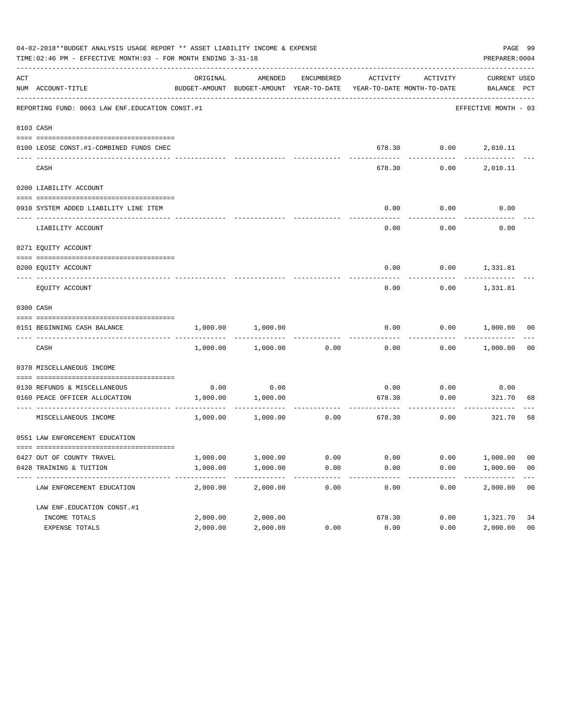|     | 04-02-2018**BUDGET ANALYSIS USAGE REPORT ** ASSET LIABILITY INCOME & EXPENSE<br>TIME: 02:46 PM - EFFECTIVE MONTH: 03 - FOR MONTH ENDING 3-31-18 |          |                                                     |            |                                       |                                                 | PREPARER: 0004              | PAGE 99        |
|-----|-------------------------------------------------------------------------------------------------------------------------------------------------|----------|-----------------------------------------------------|------------|---------------------------------------|-------------------------------------------------|-----------------------------|----------------|
| ACT | NUM ACCOUNT-TITLE                                                                                                                               | ORIGINAL | AMENDED<br>BUDGET-AMOUNT BUDGET-AMOUNT YEAR-TO-DATE | ENCUMBERED |                                       | ACTIVITY ACTIVITY<br>YEAR-TO-DATE MONTH-TO-DATE | CURRENT USED<br>BALANCE PCT |                |
|     | REPORTING FUND: 0063 LAW ENF. EDUCATION CONST.#1                                                                                                |          |                                                     |            |                                       |                                                 | EFFECTIVE MONTH - 03        |                |
|     | 0103 CASH                                                                                                                                       |          |                                                     |            |                                       |                                                 |                             |                |
|     | 0100 LEOSE CONST.#1-COMBINED FUNDS CHEC                                                                                                         |          |                                                     |            |                                       |                                                 | 678.30   0.00   2,010.11    |                |
|     | CASH                                                                                                                                            |          |                                                     |            | 678.30                                | 0.00                                            | 2,010.11                    |                |
|     | 0200 LIABILITY ACCOUNT                                                                                                                          |          |                                                     |            |                                       |                                                 |                             |                |
|     | 0910 SYSTEM ADDED LIABILITY LINE ITEM                                                                                                           |          |                                                     |            | 0.00                                  | 0.00                                            | 0.00                        |                |
|     | LIABILITY ACCOUNT                                                                                                                               |          |                                                     |            | 0.00                                  | 0.00                                            | 0.00                        |                |
|     | 0271 EQUITY ACCOUNT                                                                                                                             |          |                                                     |            |                                       |                                                 |                             |                |
|     | 0200 EQUITY ACCOUNT                                                                                                                             |          |                                                     |            |                                       |                                                 | $0.00$ $0.00$ $1,331.81$    |                |
|     | EQUITY ACCOUNT                                                                                                                                  |          |                                                     |            | 0.00                                  |                                                 | $0.00$ 1,331.81             |                |
|     | 0300 CASH                                                                                                                                       |          |                                                     |            |                                       |                                                 |                             |                |
|     | 0151 BEGINNING CASH BALANCE                                                                                                                     | 1,000.00 | 1,000.00                                            |            | 0.00                                  |                                                 | $0.00$ $1,000.00$ 00        |                |
|     | CASH                                                                                                                                            |          | 1,000.00 1,000.00                                   | 0.00       | 0.00                                  |                                                 | $0.00$ 1,000.00             | 0 <sub>0</sub> |
|     | 0370 MISCELLANEOUS INCOME                                                                                                                       |          |                                                     |            |                                       |                                                 |                             |                |
|     | 0130 REFUNDS & MISCELLANEOUS                                                                                                                    |          | $0.00$ 0.00                                         |            | 0.00                                  | 0.00                                            | 0.00                        |                |
|     | 0160 PEACE OFFICER ALLOCATION                                                                                                                   |          | 1,000.00 1,000.00                                   |            | 678.30<br>------------- ------------- | 0.00<br>. <u>.</u> .                            | 321.70                      | 68             |
|     | MISCELLANEOUS INCOME                                                                                                                            |          | 1,000.00 1,000.00                                   | 0.00       |                                       | 678.30<br>0.00                                  | 321.70                      | 68             |
|     | 0551 LAW ENFORCEMENT EDUCATION                                                                                                                  |          |                                                     |            |                                       |                                                 |                             |                |
|     | 0427 OUT OF COUNTY TRAVEL                                                                                                                       | 1,000.00 | 1,000.00                                            | 0.00       | 0.00                                  | 0.00                                            | 1,000.00                    | 00             |
|     | 0428 TRAINING & TUITION                                                                                                                         | 1,000.00 | 1,000.00                                            | 0.00       | 0.00                                  | 0.00                                            | 1,000.00                    | 0 <sub>0</sub> |
|     | LAW ENFORCEMENT EDUCATION                                                                                                                       | 2,000.00 | 2,000.00                                            | 0.00       | 0.00                                  | 0.00                                            | 2,000.00                    | 0 <sub>0</sub> |
|     | LAW ENF. EDUCATION CONST. #1                                                                                                                    |          |                                                     |            |                                       |                                                 |                             |                |
|     | INCOME TOTALS                                                                                                                                   | 2,000.00 | 2,000.00                                            |            | 678.30                                | 0.00                                            | 1,321.70                    | 34             |
|     | EXPENSE TOTALS                                                                                                                                  | 2,000.00 | 2,000.00                                            | 0.00       | 0.00                                  | 0.00                                            | 2,000.00                    | 0 <sub>0</sub> |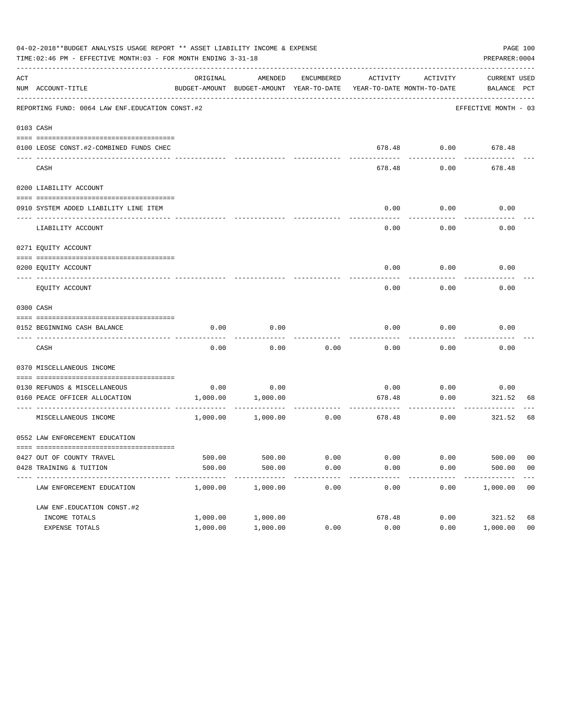|                              |                                                                                                                                                                                                                                                                                                                                                                                                                                                            |                                                                                                        |                                                                                                               |                                                                                                                                                       |                                                     |                                                             | PAGE 100                                                                                                                                                                                                                                                                                                                       |
|------------------------------|------------------------------------------------------------------------------------------------------------------------------------------------------------------------------------------------------------------------------------------------------------------------------------------------------------------------------------------------------------------------------------------------------------------------------------------------------------|--------------------------------------------------------------------------------------------------------|---------------------------------------------------------------------------------------------------------------|-------------------------------------------------------------------------------------------------------------------------------------------------------|-----------------------------------------------------|-------------------------------------------------------------|--------------------------------------------------------------------------------------------------------------------------------------------------------------------------------------------------------------------------------------------------------------------------------------------------------------------------------|
|                              | ORIGINAL                                                                                                                                                                                                                                                                                                                                                                                                                                                   | AMENDED                                                                                                | ENCUMBERED                                                                                                    |                                                                                                                                                       |                                                     |                                                             |                                                                                                                                                                                                                                                                                                                                |
|                              |                                                                                                                                                                                                                                                                                                                                                                                                                                                            |                                                                                                        |                                                                                                               |                                                                                                                                                       |                                                     |                                                             |                                                                                                                                                                                                                                                                                                                                |
|                              |                                                                                                                                                                                                                                                                                                                                                                                                                                                            |                                                                                                        |                                                                                                               |                                                                                                                                                       |                                                     |                                                             |                                                                                                                                                                                                                                                                                                                                |
|                              |                                                                                                                                                                                                                                                                                                                                                                                                                                                            |                                                                                                        |                                                                                                               |                                                                                                                                                       |                                                     |                                                             |                                                                                                                                                                                                                                                                                                                                |
|                              |                                                                                                                                                                                                                                                                                                                                                                                                                                                            |                                                                                                        |                                                                                                               |                                                                                                                                                       |                                                     |                                                             |                                                                                                                                                                                                                                                                                                                                |
|                              |                                                                                                                                                                                                                                                                                                                                                                                                                                                            |                                                                                                        |                                                                                                               |                                                                                                                                                       |                                                     |                                                             |                                                                                                                                                                                                                                                                                                                                |
|                              |                                                                                                                                                                                                                                                                                                                                                                                                                                                            |                                                                                                        |                                                                                                               | 0.00                                                                                                                                                  | 0.00                                                |                                                             |                                                                                                                                                                                                                                                                                                                                |
|                              |                                                                                                                                                                                                                                                                                                                                                                                                                                                            |                                                                                                        |                                                                                                               | 0.00                                                                                                                                                  | 0.00                                                |                                                             |                                                                                                                                                                                                                                                                                                                                |
|                              |                                                                                                                                                                                                                                                                                                                                                                                                                                                            |                                                                                                        |                                                                                                               |                                                                                                                                                       |                                                     |                                                             |                                                                                                                                                                                                                                                                                                                                |
|                              |                                                                                                                                                                                                                                                                                                                                                                                                                                                            |                                                                                                        |                                                                                                               |                                                                                                                                                       |                                                     |                                                             |                                                                                                                                                                                                                                                                                                                                |
|                              |                                                                                                                                                                                                                                                                                                                                                                                                                                                            |                                                                                                        |                                                                                                               | 0.00                                                                                                                                                  |                                                     |                                                             |                                                                                                                                                                                                                                                                                                                                |
|                              |                                                                                                                                                                                                                                                                                                                                                                                                                                                            |                                                                                                        |                                                                                                               |                                                                                                                                                       |                                                     |                                                             |                                                                                                                                                                                                                                                                                                                                |
|                              | 0.00                                                                                                                                                                                                                                                                                                                                                                                                                                                       | 0.00                                                                                                   |                                                                                                               | 0.00                                                                                                                                                  | 0.00                                                |                                                             |                                                                                                                                                                                                                                                                                                                                |
| CASH                         | 0.00                                                                                                                                                                                                                                                                                                                                                                                                                                                       | 0.00                                                                                                   |                                                                                                               | 0.00                                                                                                                                                  | 0.00                                                |                                                             |                                                                                                                                                                                                                                                                                                                                |
|                              |                                                                                                                                                                                                                                                                                                                                                                                                                                                            |                                                                                                        |                                                                                                               |                                                                                                                                                       |                                                     |                                                             |                                                                                                                                                                                                                                                                                                                                |
|                              |                                                                                                                                                                                                                                                                                                                                                                                                                                                            |                                                                                                        |                                                                                                               |                                                                                                                                                       |                                                     |                                                             |                                                                                                                                                                                                                                                                                                                                |
|                              |                                                                                                                                                                                                                                                                                                                                                                                                                                                            |                                                                                                        |                                                                                                               |                                                                                                                                                       |                                                     | ---------                                                   | 68                                                                                                                                                                                                                                                                                                                             |
|                              |                                                                                                                                                                                                                                                                                                                                                                                                                                                            |                                                                                                        |                                                                                                               |                                                                                                                                                       | 0.00                                                |                                                             | 68                                                                                                                                                                                                                                                                                                                             |
|                              |                                                                                                                                                                                                                                                                                                                                                                                                                                                            |                                                                                                        |                                                                                                               |                                                                                                                                                       |                                                     |                                                             |                                                                                                                                                                                                                                                                                                                                |
|                              |                                                                                                                                                                                                                                                                                                                                                                                                                                                            |                                                                                                        |                                                                                                               |                                                                                                                                                       |                                                     |                                                             | 00                                                                                                                                                                                                                                                                                                                             |
|                              | 500.00                                                                                                                                                                                                                                                                                                                                                                                                                                                     | 500.00                                                                                                 | 0.00                                                                                                          | 0.00                                                                                                                                                  | 0.00                                                |                                                             | 0 <sub>0</sub>                                                                                                                                                                                                                                                                                                                 |
| LAW ENFORCEMENT EDUCATION    | 1,000.00                                                                                                                                                                                                                                                                                                                                                                                                                                                   | 1,000.00                                                                                               | 0.00                                                                                                          | 0.00                                                                                                                                                  | 0.00                                                |                                                             | 00                                                                                                                                                                                                                                                                                                                             |
| LAW ENF. EDUCATION CONST. #2 |                                                                                                                                                                                                                                                                                                                                                                                                                                                            |                                                                                                        |                                                                                                               |                                                                                                                                                       |                                                     |                                                             |                                                                                                                                                                                                                                                                                                                                |
| INCOME TOTALS                | 1,000.00                                                                                                                                                                                                                                                                                                                                                                                                                                                   | 1,000.00                                                                                               |                                                                                                               | 678.48                                                                                                                                                | 0.00                                                |                                                             | 68                                                                                                                                                                                                                                                                                                                             |
| EXPENSE TOTALS               | 1,000.00                                                                                                                                                                                                                                                                                                                                                                                                                                                   | 1,000.00                                                                                               | 0.00                                                                                                          | 0.00                                                                                                                                                  | 0.00                                                |                                                             | 0 <sub>0</sub>                                                                                                                                                                                                                                                                                                                 |
|                              | NUM ACCOUNT-TITLE<br>0103 CASH<br>CASH<br>0200 LIABILITY ACCOUNT<br>0910 SYSTEM ADDED LIABILITY LINE ITEM<br>LIABILITY ACCOUNT<br>0271 EQUITY ACCOUNT<br>0200 EQUITY ACCOUNT<br>EQUITY ACCOUNT<br>0300 CASH<br>0152 BEGINNING CASH BALANCE<br>0370 MISCELLANEOUS INCOME<br>0130 REFUNDS & MISCELLANEOUS<br>0160 PEACE OFFICER ALLOCATION<br>MISCELLANEOUS INCOME<br>0552 LAW ENFORCEMENT EDUCATION<br>0427 OUT OF COUNTY TRAVEL<br>0428 TRAINING & TUITION | REPORTING FUND: 0064 LAW ENF. EDUCATION CONST. #2<br>0100 LEOSE CONST.#2-COMBINED FUNDS CHEC<br>500.00 | TIME: 02:46 PM - EFFECTIVE MONTH: 03 - FOR MONTH ENDING 3-31-18<br>$0.00$ 0.00<br>1,000.00 1,000.00<br>500.00 | 04-02-2018**BUDGET ANALYSIS USAGE REPORT ** ASSET LIABILITY INCOME & EXPENSE<br>BUDGET-AMOUNT BUDGET-AMOUNT YEAR-TO-DATE<br>1,000.00 1,000.00<br>0.00 | 0.00<br>------------- -------------<br>0.00<br>0.00 | ACTIVITY<br>678.48<br>0.00<br>678.48<br>.<br>678.48<br>0.00 | PREPARER: 0004<br>ACTIVITY<br>CURRENT USED<br>YEAR-TO-DATE MONTH-TO-DATE BALANCE PCT<br>EFFECTIVE MONTH - 03<br>678.48 0.00 678.48<br>0.00<br>678.48<br>0.00<br>0.00<br>$0.00$ $0.00$ $0.00$<br>0.00<br>0.00<br>0.00<br>0.00<br>0.00<br>0.00<br>321.52<br>0.00<br>321.52<br>500.00<br>500.00<br>1,000.00<br>321.52<br>1,000.00 |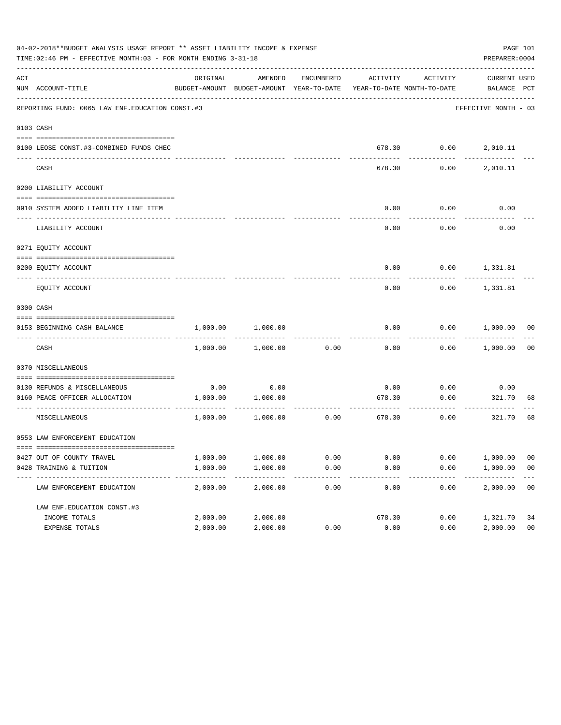|     | 04-02-2018**BUDGET ANALYSIS USAGE REPORT ** ASSET LIABILITY INCOME & EXPENSE<br>TIME: 02:46 PM - EFFECTIVE MONTH: 03 - FOR MONTH ENDING 3-31-18 |          |                                                     |            |          |                                        | PREPARER: 0004              | PAGE 101       |
|-----|-------------------------------------------------------------------------------------------------------------------------------------------------|----------|-----------------------------------------------------|------------|----------|----------------------------------------|-----------------------------|----------------|
| ACT | NUM ACCOUNT-TITLE                                                                                                                               | ORIGINAL | AMENDED<br>BUDGET-AMOUNT BUDGET-AMOUNT YEAR-TO-DATE | ENCUMBERED | ACTIVITY | ACTIVITY<br>YEAR-TO-DATE MONTH-TO-DATE | CURRENT USED<br>BALANCE PCT |                |
|     | REPORTING FUND: 0065 LAW ENF. EDUCATION CONST.#3                                                                                                |          |                                                     |            |          |                                        | EFFECTIVE MONTH - 03        |                |
|     | 0103 CASH                                                                                                                                       |          |                                                     |            |          |                                        |                             |                |
|     | 0100 LEOSE CONST.#3-COMBINED FUNDS CHEC                                                                                                         |          |                                                     |            |          | 678.30   0.00   2,010.11               |                             |                |
|     | CASH                                                                                                                                            |          |                                                     |            | 678.30   | 0.00                                   | 2,010.11                    |                |
|     | 0200 LIABILITY ACCOUNT                                                                                                                          |          |                                                     |            |          |                                        |                             |                |
|     | 0910 SYSTEM ADDED LIABILITY LINE ITEM                                                                                                           |          |                                                     |            | 0.00     | 0.00                                   | 0.00                        |                |
|     | LIABILITY ACCOUNT                                                                                                                               |          |                                                     |            | 0.00     | 0.00                                   | 0.00                        |                |
|     | 0271 EQUITY ACCOUNT                                                                                                                             |          |                                                     |            |          |                                        |                             |                |
|     | 0200 EQUITY ACCOUNT                                                                                                                             |          |                                                     |            |          | $0.00$ $0.00$ $1,331.81$               |                             |                |
|     | EQUITY ACCOUNT                                                                                                                                  |          |                                                     |            | 0.00     |                                        | $0.00$ 1,331.81             |                |
|     | 0300 CASH                                                                                                                                       |          |                                                     |            |          |                                        |                             |                |
|     | 0153 BEGINNING CASH BALANCE                                                                                                                     | 1,000.00 | 1,000.00                                            |            | 0.00     |                                        | $0.00$ $1,000.00$ 00        |                |
|     | CASH                                                                                                                                            |          | 1,000.00 1,000.00                                   | 0.00       | 0.00     |                                        | $0.00$ 1,000.00             | 00             |
|     | 0370 MISCELLANEOUS                                                                                                                              |          |                                                     |            |          |                                        |                             |                |
|     | 0130 REFUNDS & MISCELLANEOUS                                                                                                                    |          | $0.00$ 0.00                                         |            | 0.00     | 0.00                                   | 0.00                        |                |
|     | 0160 PEACE OFFICER ALLOCATION                                                                                                                   |          | 1,000.00 1,000.00<br>-----------                    |            | 678.30   | 0.00<br>.                              | 321.70<br>----------        | 68             |
|     | MISCELLANEOUS                                                                                                                                   |          | 1,000.00 1,000.00                                   | 0.00       |          | 678.30<br>0.00                         | 321.70                      | 68             |
|     | 0553 LAW ENFORCEMENT EDUCATION                                                                                                                  |          |                                                     |            |          |                                        |                             |                |
|     | 0427 OUT OF COUNTY TRAVEL                                                                                                                       | 1,000.00 | 1,000.00                                            | 0.00       | 0.00     | 0.00                                   | 1,000.00                    | 00             |
|     | 0428 TRAINING & TUITION                                                                                                                         | 1,000.00 | 1,000.00                                            | 0.00       | 0.00     | 0.00                                   | 1,000.00                    | 0 <sub>0</sub> |
|     | LAW ENFORCEMENT EDUCATION                                                                                                                       | 2,000.00 | 2,000.00                                            | 0.00       | 0.00     | 0.00                                   | 2,000.00                    | 0 <sub>0</sub> |
|     | LAW ENF. EDUCATION CONST. #3                                                                                                                    |          |                                                     |            |          |                                        |                             |                |
|     | INCOME TOTALS                                                                                                                                   | 2,000.00 | 2,000.00                                            |            | 678.30   | 0.00                                   | 1,321.70                    | 34             |
|     | EXPENSE TOTALS                                                                                                                                  | 2,000.00 | 2,000.00                                            | 0.00       | 0.00     | 0.00                                   | 2,000.00                    | 0 <sub>0</sub> |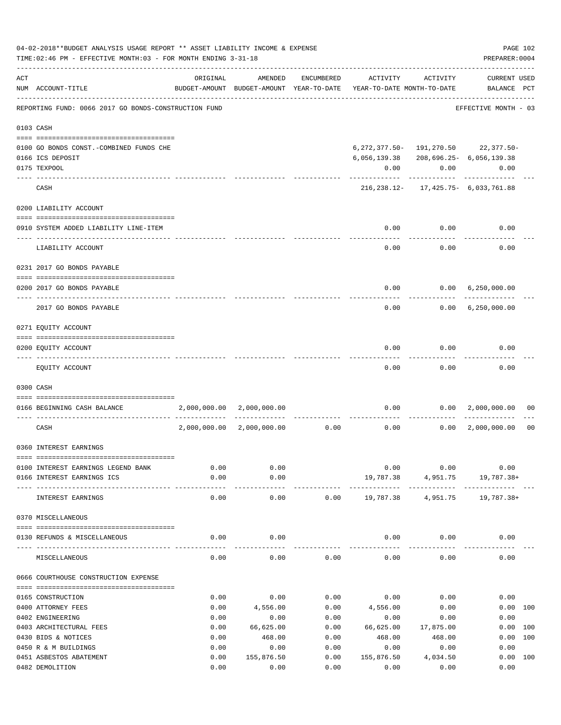|     | 04-02-2018**BUDGET ANALYSIS USAGE REPORT ** ASSET LIABILITY INCOME & EXPENSE<br>TIME: 02:46 PM - EFFECTIVE MONTH: 03 - FOR MONTH ENDING 3-31-18 |              |                           |              |                                                                                 |              | PAGE 102<br>PREPARER: 0004                |                |
|-----|-------------------------------------------------------------------------------------------------------------------------------------------------|--------------|---------------------------|--------------|---------------------------------------------------------------------------------|--------------|-------------------------------------------|----------------|
| ACT | NUM ACCOUNT-TITLE                                                                                                                               | ORIGINAL     | AMENDED                   | ENCUMBERED   | ACTIVITY<br>BUDGET-AMOUNT BUDGET-AMOUNT YEAR-TO-DATE YEAR-TO-DATE MONTH-TO-DATE | ACTIVITY     | <b>CURRENT USED</b><br>BALANCE PCT        |                |
|     | REPORTING FUND: 0066 2017 GO BONDS-CONSTRUCTION FUND                                                                                            |              |                           |              |                                                                                 |              | EFFECTIVE MONTH - 03                      |                |
|     | 0103 CASH                                                                                                                                       |              |                           |              |                                                                                 |              |                                           |                |
|     | 0100 GO BONDS CONST. - COMBINED FUNDS CHE<br>0166 ICS DEPOSIT                                                                                   |              |                           |              | 6, 056, 139.38 208, 696.25 - 6, 056, 139.38                                     |              | 6, 272, 377.50 - 191, 270.50 22, 377.50 - |                |
|     | 0175 TEXPOOL                                                                                                                                    |              |                           |              | 0.00                                                                            | 0.00         | 0.00                                      |                |
|     | CASH                                                                                                                                            |              |                           |              |                                                                                 |              | 216, 238.12- 17, 425.75- 6, 033, 761.88   |                |
|     | 0200 LIABILITY ACCOUNT                                                                                                                          |              |                           |              |                                                                                 |              |                                           |                |
|     | 0910 SYSTEM ADDED LIABILITY LINE-ITEM                                                                                                           |              |                           |              | 0.00                                                                            | 0.00         | 0.00                                      |                |
|     | LIABILITY ACCOUNT                                                                                                                               |              |                           |              | 0.00                                                                            | 0.00         | 0.00                                      |                |
|     | 0231 2017 GO BONDS PAYABLE                                                                                                                      |              |                           |              |                                                                                 |              |                                           |                |
|     | 0200 2017 GO BONDS PAYABLE                                                                                                                      |              |                           |              | 0.00                                                                            |              | 0.00 6,250,000.00                         |                |
|     | 2017 GO BONDS PAYABLE                                                                                                                           |              |                           |              |                                                                                 | 0.00         | $0.00 \quad 6,250,000.00$                 |                |
|     | 0271 EQUITY ACCOUNT                                                                                                                             |              |                           |              |                                                                                 |              |                                           |                |
|     | 0200 EQUITY ACCOUNT                                                                                                                             |              |                           |              | 0.00                                                                            | 0.00         | 0.00                                      |                |
|     | EQUITY ACCOUNT                                                                                                                                  |              |                           |              | 0.00                                                                            | 0.00         | 0.00                                      |                |
|     | 0300 CASH                                                                                                                                       |              |                           |              |                                                                                 |              |                                           |                |
|     | 0166 BEGINNING CASH BALANCE                                                                                                                     |              | 2,000,000.00 2,000,000.00 |              |                                                                                 |              | $0.00$ $0.00$ $2,000,000.00$              | 00             |
|     | CASH                                                                                                                                            | 2,000,000.00 | 2,000,000.00              |              | $0.00$ 0.00                                                                     |              | 0.00 2,000,000.00                         | 0 <sub>0</sub> |
|     | 0360 INTEREST EARNINGS                                                                                                                          |              |                           |              |                                                                                 |              |                                           |                |
|     | 0100 INTEREST EARNINGS LEGEND BANK                                                                                                              | 0.00         | 0.00                      |              |                                                                                 | 0.00<br>0.00 | 0.00                                      |                |
|     | 0166 INTEREST EARNINGS ICS                                                                                                                      | 0.00         | 0.00                      |              |                                                                                 |              | 19,787.38 4,951.75 19,787.38+             |                |
|     | INTEREST EARNINGS                                                                                                                               | 0.00         | 0.00                      | 0.00         |                                                                                 |              | 19,787.38 4,951.75 19,787.38+             |                |
|     | 0370 MISCELLANEOUS                                                                                                                              |              |                           |              |                                                                                 |              |                                           |                |
|     | 0130 REFUNDS & MISCELLANEOUS                                                                                                                    | 0.00         | 0.00                      |              |                                                                                 | $0.00$ 0.00  | 0.00                                      |                |
|     | MISCELLANEOUS                                                                                                                                   | 0.00         | 0.00                      | 0.00         | 0.00                                                                            | 0.00         | 0.00                                      |                |
|     | 0666 COURTHOUSE CONSTRUCTION EXPENSE                                                                                                            |              |                           |              |                                                                                 |              |                                           |                |
|     |                                                                                                                                                 |              |                           |              |                                                                                 |              |                                           |                |
|     | 0165 CONSTRUCTION                                                                                                                               | 0.00         | 0.00                      | 0.00         | 0.00                                                                            | 0.00         | 0.00                                      |                |
|     | 0400 ATTORNEY FEES<br>0402 ENGINEERING                                                                                                          | 0.00<br>0.00 | 4,556.00<br>0.00          | 0.00<br>0.00 | 4,556.00<br>0.00                                                                | 0.00<br>0.00 | 0.00 100<br>0.00                          |                |
|     | 0403 ARCHITECTURAL FEES                                                                                                                         | 0.00         | 66,625.00                 | 0.00         | 66,625.00                                                                       | 17,875.00    | 0.00 100                                  |                |
|     | 0430 BIDS & NOTICES                                                                                                                             | 0.00         | 468.00                    | 0.00         | 468.00                                                                          | 468.00       | 0.00                                      | 100            |
|     | 0450 R & M BUILDINGS                                                                                                                            | 0.00         | 0.00                      | 0.00         | 0.00                                                                            | 0.00         | 0.00                                      |                |
|     | 0451 ASBESTOS ABATEMENT                                                                                                                         | 0.00         | 155,876.50                | 0.00         | 155,876.50                                                                      | 4,034.50     | 0.00 100                                  |                |
|     | 0482 DEMOLITION                                                                                                                                 | 0.00         | 0.00                      | 0.00         | 0.00                                                                            | 0.00         | 0.00                                      |                |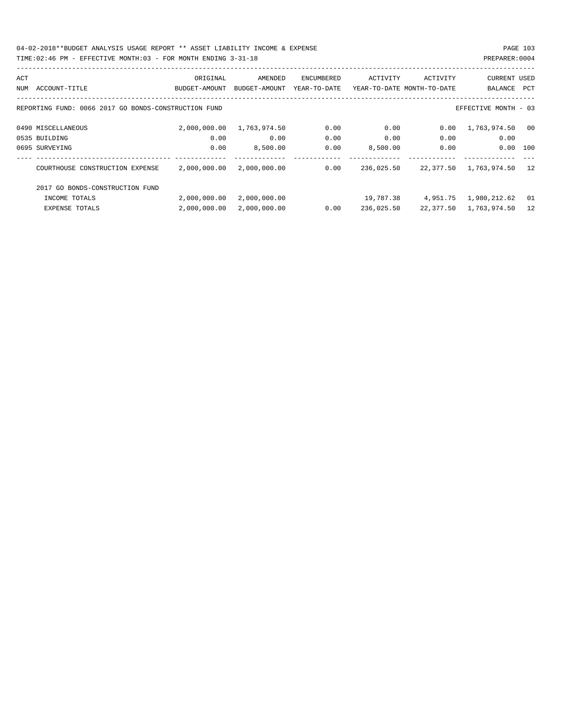04-02-2018\*\*BUDGET ANALYSIS USAGE REPORT \*\* ASSET LIABILITY INCOME & EXPENSE PAGE 103

## TIME:02:46 PM - EFFECTIVE MONTH:03 - FOR MONTH ENDING 3-31-18 PREPARER:0004

| ACT |                                                      | ORIGINAL      | AMENDED       | ENCUMBERED   | ACTIVITY                   | ACTIVITY | <b>CURRENT USED</b>       |      |
|-----|------------------------------------------------------|---------------|---------------|--------------|----------------------------|----------|---------------------------|------|
| NUM | ACCOUNT-TITLE                                        | BUDGET-AMOUNT | BUDGET-AMOUNT | YEAR-TO-DATE | YEAR-TO-DATE MONTH-TO-DATE |          | BALANCE                   | PCT  |
|     |                                                      |               |               |              |                            |          |                           |      |
|     | REPORTING FUND: 0066 2017 GO BONDS-CONSTRUCTION FUND |               |               |              |                            |          | EFFECTIVE MONTH - 03      |      |
|     | 0490 MISCELLANEOUS                                   | 2,000,000.00  | 1,763,974.50  | 0.00         | 0.00                       | 0.00     | 1,763,974.50              | - 00 |
|     | 0535 BUILDING                                        | 0.00          | 0.00          | 0.00         | 0.00                       | 0.00     | 0.00                      |      |
|     | 0695 SURVEYING                                       | 0.00          | 8,500.00      | 0.00         | 8,500.00                   | 0.00     | 0.00                      | 100  |
|     |                                                      |               |               |              |                            |          |                           |      |
|     | COURTHOUSE CONSTRUCTION EXPENSE                      | 2,000,000.00  | 2,000,000.00  | 0.00         | 236,025.50                 |          | 22,377.50 1,763,974.50    | 12   |
|     | 2017 GO BONDS-CONSTRUCTION FUND                      |               |               |              |                            |          |                           |      |
|     | INCOME TOTALS                                        | 2,000,000.00  | 2,000,000.00  |              | 19,787.38                  |          | 4,951.75 1,980,212.62     | - 01 |
|     | <b>EXPENSE TOTALS</b>                                | 2,000,000.00  | 2,000,000.00  | 0.00         | 236,025.50                 |          | 22, 377.50 1, 763, 974.50 | 12   |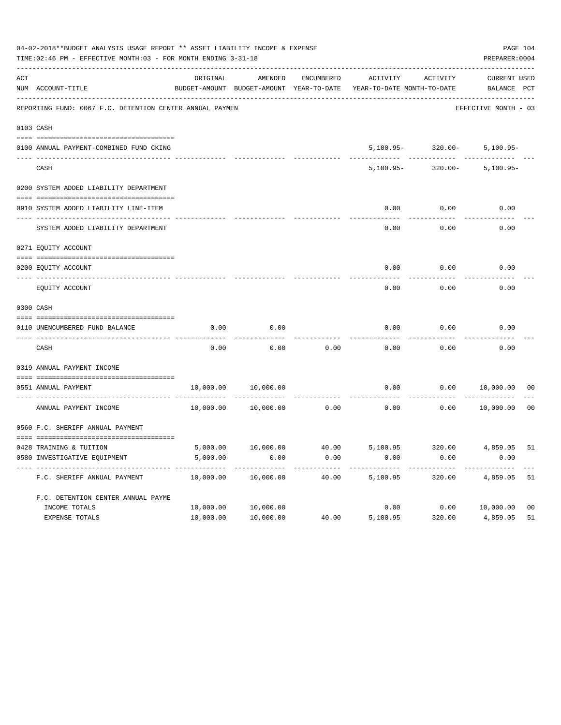|                | 04-02-2018**BUDGET ANALYSIS USAGE REPORT ** ASSET LIABILITY INCOME & EXPENSE<br>TIME: 02:46 PM - EFFECTIVE MONTH: 03 - FOR MONTH ENDING 3-31-18 |           |                                          |                   |                            |                       | PAGE 104<br>PREPARER: 0004 |                |
|----------------|-------------------------------------------------------------------------------------------------------------------------------------------------|-----------|------------------------------------------|-------------------|----------------------------|-----------------------|----------------------------|----------------|
| $\mathtt{ACT}$ |                                                                                                                                                 | ORIGINAL  | AMENDED                                  | <b>ENCUMBERED</b> | <b>ACTIVITY</b>            | ACTIVITY              | <b>CURRENT USED</b>        |                |
|                | NUM ACCOUNT-TITLE                                                                                                                               |           | BUDGET-AMOUNT BUDGET-AMOUNT YEAR-TO-DATE |                   | YEAR-TO-DATE MONTH-TO-DATE |                       | BALANCE PCT                |                |
|                | REPORTING FUND: 0067 F.C. DETENTION CENTER ANNUAL PAYMEN                                                                                        |           |                                          |                   |                            |                       | EFFECTIVE MONTH - 03       |                |
| 0103 CASH      |                                                                                                                                                 |           |                                          |                   |                            |                       |                            |                |
|                | 0100 ANNUAL PAYMENT-COMBINED FUND CKING                                                                                                         |           |                                          |                   |                            | $5,100.95 - 320.00 -$ | $5,100.95 -$               |                |
|                | CASH                                                                                                                                            |           |                                          |                   | $5,100.95 -$               | $320.00 -$            | $5,100.95 -$               |                |
|                | 0200 SYSTEM ADDED LIABILITY DEPARTMENT                                                                                                          |           |                                          |                   |                            |                       |                            |                |
|                | 0910 SYSTEM ADDED LIABILITY LINE-ITEM<br>---- --------------------------                                                                        |           |                                          |                   | 0.00                       | 0.00                  | 0.00                       |                |
|                | SYSTEM ADDED LIABILITY DEPARTMENT                                                                                                               |           |                                          |                   | 0.00                       | 0.00                  | 0.00                       |                |
|                | 0271 EQUITY ACCOUNT                                                                                                                             |           |                                          |                   |                            |                       |                            |                |
|                | 0200 EQUITY ACCOUNT                                                                                                                             |           |                                          |                   | 0.00                       | 0.00                  | 0.00                       |                |
|                | EQUITY ACCOUNT                                                                                                                                  |           |                                          |                   | 0.00                       | 0.00                  | 0.00                       |                |
|                | 0300 CASH                                                                                                                                       |           |                                          |                   |                            |                       |                            |                |
|                | 0110 UNENCUMBERED FUND BALANCE                                                                                                                  | 0.00      | 0.00                                     |                   | 0.00                       | 0.00                  | 0.00                       |                |
|                | CASH                                                                                                                                            | 0.00      | 0.00                                     | 0.00              | 0.00                       | 0.00                  | 0.00                       |                |
|                |                                                                                                                                                 |           |                                          |                   |                            |                       |                            |                |
|                | 0319 ANNUAL PAYMENT INCOME                                                                                                                      |           |                                          |                   |                            |                       |                            |                |
|                | 0551 ANNUAL PAYMENT                                                                                                                             | 10,000.00 | 10,000.00                                |                   | 0.00                       | 0.00                  | 10,000.00                  | 0 <sub>0</sub> |
|                | ---- ----------------<br>ANNUAL PAYMENT INCOME                                                                                                  | 10,000.00 | 10,000.00                                | 0.00              | 0.00                       | 0.00                  | 10,000.00                  | 0 <sub>0</sub> |
|                | 0560 F.C. SHERIFF ANNUAL PAYMENT                                                                                                                |           |                                          |                   |                            |                       |                            |                |
|                |                                                                                                                                                 |           |                                          |                   |                            |                       |                            |                |
|                | 0428 TRAINING & TUITION                                                                                                                         | 5,000.00  | 10,000.00                                | 40.00             | 5,100.95                   | 320.00                | 4,859.05                   | 51             |
|                | 0580 INVESTIGATIVE EQUIPMENT                                                                                                                    | 5,000.00  | 0.00                                     | 0.00              | 0.00                       | 0.00                  | 0.00                       |                |
|                | F.C. SHERIFF ANNUAL PAYMENT                                                                                                                     | 10,000.00 | 10,000.00                                | 40.00             | 5,100.95                   | 320.00                | 4,859.05                   | 51             |
|                | F.C. DETENTION CENTER ANNUAL PAYME                                                                                                              |           |                                          |                   |                            |                       |                            |                |
|                | INCOME TOTALS                                                                                                                                   | 10,000.00 | 10,000.00                                |                   | 0.00                       |                       | 0.00 10,000.00             | 0 <sub>0</sub> |
|                | EXPENSE TOTALS                                                                                                                                  | 10,000.00 | 10,000.00                                | 40.00             | 5,100.95                   | 320.00                | 4,859.05                   | 51             |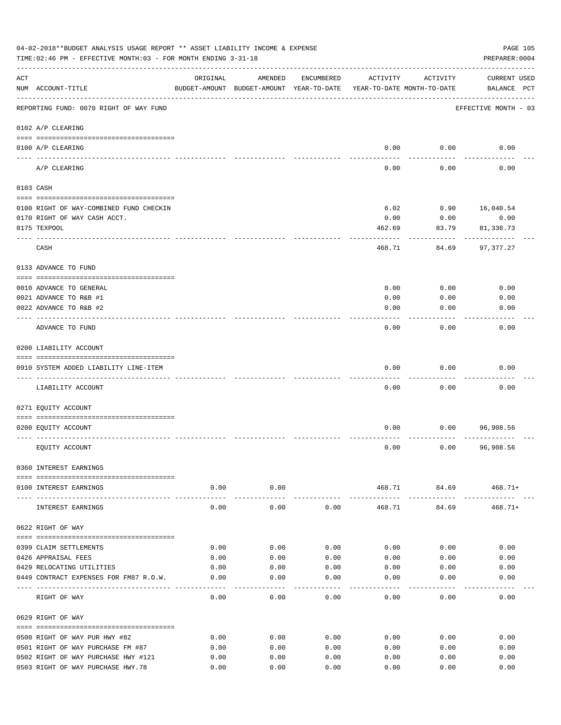|     | 04-02-2018**BUDGET ANALYSIS USAGE REPORT ** ASSET LIABILITY INCOME & EXPENSE<br>TIME:02:46 PM - EFFECTIVE MONTH:03 - FOR MONTH ENDING 3-31-18 |          |                                                     |            |                                        |                                     | PAGE 105<br>PREPARER: 0004         |
|-----|-----------------------------------------------------------------------------------------------------------------------------------------------|----------|-----------------------------------------------------|------------|----------------------------------------|-------------------------------------|------------------------------------|
| ACT | NUM ACCOUNT-TITLE                                                                                                                             | ORIGINAL | AMENDED<br>BUDGET-AMOUNT BUDGET-AMOUNT YEAR-TO-DATE | ENCUMBERED | ACTIVITY<br>YEAR-TO-DATE MONTH-TO-DATE | ACTIVITY                            | <b>CURRENT USED</b><br>BALANCE PCT |
|     | REPORTING FUND: 0070 RIGHT OF WAY FUND                                                                                                        |          |                                                     |            |                                        |                                     | EFFECTIVE MONTH - 03               |
|     | 0102 A/P CLEARING                                                                                                                             |          |                                                     |            |                                        |                                     |                                    |
|     | 0100 A/P CLEARING<br>---- ---------                                                                                                           |          |                                                     |            | 0.00                                   | 0.00                                | 0.00                               |
|     | A/P CLEARING                                                                                                                                  |          |                                                     |            | 0.00                                   | 0.00                                | 0.00                               |
|     | 0103 CASH                                                                                                                                     |          |                                                     |            |                                        |                                     |                                    |
|     | 0100 RIGHT OF WAY-COMBINED FUND CHECKIN                                                                                                       |          |                                                     |            | 6.02                                   | 0.90                                | 16,040.54                          |
|     | 0170 RIGHT OF WAY CASH ACCT.                                                                                                                  |          |                                                     |            | 0.00                                   | 0.00                                | 0.00                               |
|     | 0175 TEXPOOL                                                                                                                                  |          |                                                     |            | 462.69                                 | 83.79                               | 81,336.73                          |
|     | CASH                                                                                                                                          |          |                                                     |            | 468.71                                 | 84.69                               | 97,377.27                          |
|     | 0133 ADVANCE TO FUND                                                                                                                          |          |                                                     |            |                                        |                                     |                                    |
|     |                                                                                                                                               |          |                                                     |            |                                        |                                     |                                    |
|     | 0010 ADVANCE TO GENERAL                                                                                                                       |          |                                                     |            | 0.00                                   | 0.00                                | 0.00                               |
|     | 0021 ADVANCE TO R&B #1                                                                                                                        |          |                                                     |            | 0.00                                   | 0.00                                | 0.00                               |
|     | 0022 ADVANCE TO R&B #2                                                                                                                        |          |                                                     |            | 0.00                                   | 0.00                                | 0.00                               |
|     | ADVANCE TO FUND                                                                                                                               |          |                                                     |            | 0.00                                   | 0.00                                | 0.00                               |
|     | 0200 LIABILITY ACCOUNT                                                                                                                        |          |                                                     |            |                                        |                                     |                                    |
|     |                                                                                                                                               |          |                                                     |            |                                        |                                     |                                    |
|     | 0910 SYSTEM ADDED LIABILITY LINE-ITEM                                                                                                         |          |                                                     |            | 0.00                                   | 0.00                                | 0.00                               |
|     | LIABILITY ACCOUNT                                                                                                                             |          |                                                     |            | 0.00                                   | 0.00                                | 0.00                               |
|     | 0271 EQUITY ACCOUNT                                                                                                                           |          |                                                     |            |                                        |                                     |                                    |
|     |                                                                                                                                               |          |                                                     |            |                                        |                                     |                                    |
|     | 0200 EQUITY ACCOUNT                                                                                                                           |          |                                                     |            | 0.00                                   | 0.00                                | 96,908.56                          |
|     |                                                                                                                                               |          |                                                     |            |                                        |                                     |                                    |
|     | EQUITY ACCOUNT                                                                                                                                |          |                                                     |            | 0.00                                   | 0.00                                | 96,908.56                          |
|     | 0360 INTEREST EARNINGS                                                                                                                        |          |                                                     |            |                                        |                                     |                                    |
|     |                                                                                                                                               |          |                                                     |            |                                        |                                     |                                    |
|     | 0100 INTEREST EARNINGS                                                                                                                        | 0.00     | 0.00<br>-----------                                 |            | ------------                           | 468.71 84.69 468.71+<br>----------- | . <u>.</u>                         |
|     | INTEREST EARNINGS                                                                                                                             | 0.00     | 0.00                                                | 0.00       | 468.71                                 | 84.69                               | $468.71+$                          |
|     | 0622 RIGHT OF WAY                                                                                                                             |          |                                                     |            |                                        |                                     |                                    |
|     | 0399 CLAIM SETTLEMENTS                                                                                                                        | 0.00     | 0.00                                                | 0.00       | 0.00                                   | 0.00                                | 0.00                               |
|     | 0426 APPRAISAL FEES                                                                                                                           | 0.00     | 0.00                                                | 0.00       | 0.00                                   | 0.00                                | 0.00                               |
|     | 0429 RELOCATING UTILITIES                                                                                                                     | 0.00     | 0.00                                                | 0.00       | 0.00                                   | 0.00                                | 0.00                               |
|     | 0449 CONTRACT EXPENSES FOR FM87 R.O.W.                                                                                                        | 0.00     | 0.00                                                | 0.00       | 0.00                                   | 0.00                                | 0.00                               |
|     | RIGHT OF WAY                                                                                                                                  | 0.00     | 0.00                                                | 0.00       | 0.00                                   | 0.00                                | 0.00                               |
|     | 0629 RIGHT OF WAY                                                                                                                             |          |                                                     |            |                                        |                                     |                                    |
|     |                                                                                                                                               |          |                                                     |            |                                        |                                     |                                    |
|     | 0500 RIGHT OF WAY PUR HWY #82                                                                                                                 | 0.00     | 0.00                                                | 0.00       | 0.00                                   | 0.00                                | 0.00                               |
|     | 0501 RIGHT OF WAY PURCHASE FM #87                                                                                                             | 0.00     | 0.00                                                | 0.00       | 0.00                                   | 0.00                                | 0.00                               |
|     | 0502 RIGHT OF WAY PURCHASE HWY #121                                                                                                           | 0.00     | 0.00                                                | 0.00       | 0.00                                   | 0.00                                | 0.00                               |
|     | 0503 RIGHT OF WAY PURCHASE HWY.78                                                                                                             | 0.00     | 0.00                                                | 0.00       | 0.00                                   | 0.00                                | 0.00                               |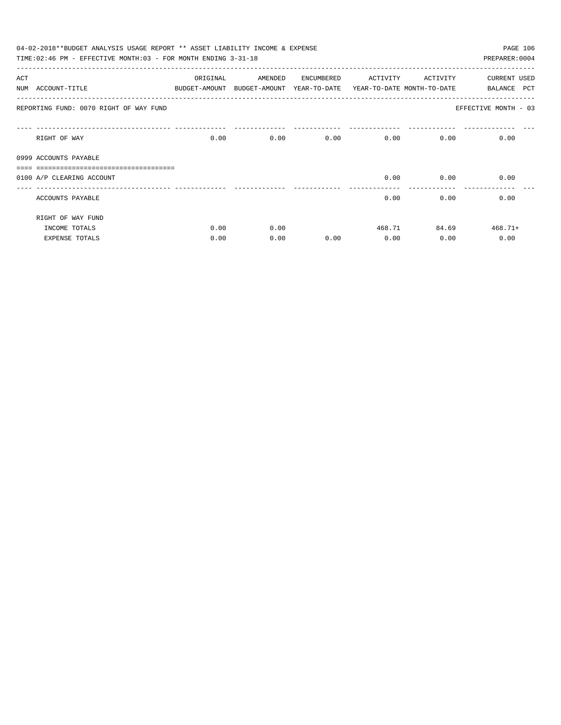|     | 04-02-2018**BUDGET ANALYSIS USAGE REPORT ** ASSET LIABILITY INCOME & EXPENSE<br>PAGE 106 |          |                                                                     |            |          |          |                      |  |  |  |  |
|-----|------------------------------------------------------------------------------------------|----------|---------------------------------------------------------------------|------------|----------|----------|----------------------|--|--|--|--|
|     | TIME: 02:46 PM - EFFECTIVE MONTH: 03 - FOR MONTH ENDING 3-31-18                          |          |                                                                     |            |          |          | PREPARER: 0004       |  |  |  |  |
| ACT |                                                                                          | ORIGINAL | AMENDED                                                             | ENCUMBERED | ACTIVITY | ACTIVITY | <b>CURRENT USED</b>  |  |  |  |  |
|     | NUM ACCOUNT-TITLE                                                                        |          | BUDGET-AMOUNT BUDGET-AMOUNT YEAR-TO-DATE YEAR-TO-DATE MONTH-TO-DATE |            |          |          | PCT<br>BALANCE       |  |  |  |  |
|     | REPORTING FUND: 0070 RIGHT OF WAY FUND                                                   |          |                                                                     |            |          |          | EFFECTIVE MONTH - 03 |  |  |  |  |
|     | RIGHT OF WAY                                                                             | 0.00     |                                                                     | 0.00       | 0.00     | 0.00     | 0.00<br>0.00         |  |  |  |  |
|     | 0999 ACCOUNTS PAYABLE                                                                    |          |                                                                     |            |          |          |                      |  |  |  |  |
|     |                                                                                          |          |                                                                     |            |          |          |                      |  |  |  |  |
|     | 0100 A/P CLEARING ACCOUNT                                                                |          |                                                                     |            | 0.00     | 0.00     | 0.00                 |  |  |  |  |
|     | ACCOUNTS PAYABLE                                                                         |          |                                                                     |            | 0.00     | 0.00     | 0.00                 |  |  |  |  |
|     | RIGHT OF WAY FUND                                                                        |          |                                                                     |            |          |          |                      |  |  |  |  |
|     | INCOME TOTALS                                                                            | 0.00     | 0.00                                                                |            |          | 468.71   | 84.69<br>$468.71+$   |  |  |  |  |
|     | <b>EXPENSE TOTALS</b>                                                                    | 0.00     | 0.00                                                                | 0.00       | 0.00     | 0.00     | 0.00                 |  |  |  |  |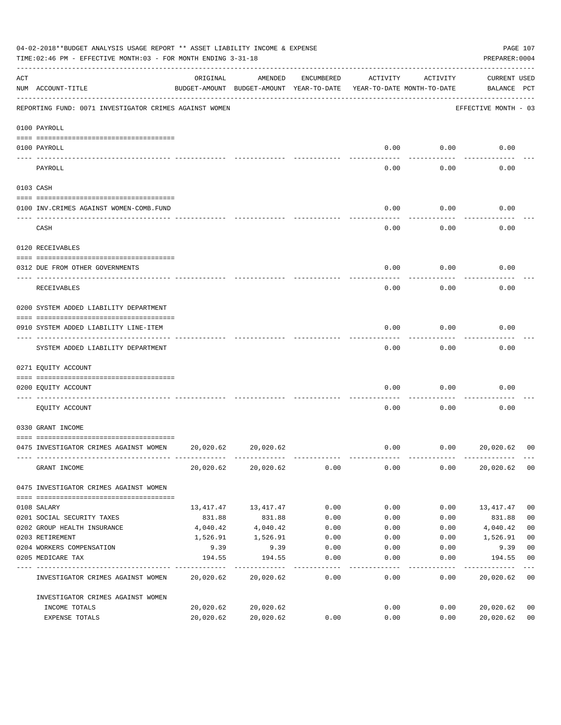| 04-02-2018**BUDGET ANALYSIS USAGE REPORT ** ASSET LIABILITY INCOME & EXPENSE<br>TIME:02:46 PM - EFFECTIVE MONTH:03 - FOR MONTH ENDING 3-31-18 |                                                        |                                                                                 |           |            |          |          |                                    | PAGE 107<br>PREPARER: 0004 |  |
|-----------------------------------------------------------------------------------------------------------------------------------------------|--------------------------------------------------------|---------------------------------------------------------------------------------|-----------|------------|----------|----------|------------------------------------|----------------------------|--|
| ACT                                                                                                                                           | NUM ACCOUNT-TITLE                                      | ORIGINAL<br>BUDGET-AMOUNT BUDGET-AMOUNT YEAR-TO-DATE YEAR-TO-DATE MONTH-TO-DATE | AMENDED   | ENCUMBERED | ACTIVITY | ACTIVITY | <b>CURRENT USED</b><br>BALANCE PCT |                            |  |
|                                                                                                                                               | REPORTING FUND: 0071 INVESTIGATOR CRIMES AGAINST WOMEN |                                                                                 |           |            |          |          | EFFECTIVE MONTH - 03               |                            |  |
|                                                                                                                                               | 0100 PAYROLL                                           |                                                                                 |           |            |          |          |                                    |                            |  |
| ---- -------                                                                                                                                  | 0100 PAYROLL                                           |                                                                                 |           |            | 0.00     | 0.00     | 0.00                               |                            |  |
|                                                                                                                                               | PAYROLL                                                |                                                                                 |           |            | 0.00     | 0.00     | 0.00                               |                            |  |
|                                                                                                                                               | 0103 CASH                                              |                                                                                 |           |            |          |          |                                    |                            |  |
|                                                                                                                                               | 0100 INV. CRIMES AGAINST WOMEN-COMB. FUND              |                                                                                 |           |            | 0.00     | 0.00     | 0.00                               |                            |  |
|                                                                                                                                               | CASH                                                   |                                                                                 |           |            | 0.00     | 0.00     | 0.00                               |                            |  |
|                                                                                                                                               | 0120 RECEIVABLES                                       |                                                                                 |           |            |          |          |                                    |                            |  |
|                                                                                                                                               | 0312 DUE FROM OTHER GOVERNMENTS                        |                                                                                 |           |            | 0.00     | 0.00     | 0.00                               |                            |  |
|                                                                                                                                               | RECEIVABLES                                            |                                                                                 |           |            | 0.00     | 0.00     | 0.00                               |                            |  |
|                                                                                                                                               | 0200 SYSTEM ADDED LIABILITY DEPARTMENT                 |                                                                                 |           |            |          |          |                                    |                            |  |
|                                                                                                                                               | 0910 SYSTEM ADDED LIABILITY LINE-ITEM                  |                                                                                 |           |            | 0.00     | 0.00     | 0.00                               |                            |  |
|                                                                                                                                               | SYSTEM ADDED LIABILITY DEPARTMENT                      |                                                                                 |           |            | 0.00     | 0.00     | 0.00                               |                            |  |
|                                                                                                                                               | 0271 EQUITY ACCOUNT                                    |                                                                                 |           |            |          |          |                                    |                            |  |
|                                                                                                                                               | 0200 EQUITY ACCOUNT                                    |                                                                                 |           |            | 0.00     | 0.00     | 0.00                               |                            |  |
|                                                                                                                                               | EQUITY ACCOUNT                                         |                                                                                 |           |            | 0.00     | 0.00     | 0.00                               |                            |  |
|                                                                                                                                               | 0330 GRANT INCOME                                      |                                                                                 |           |            |          |          |                                    |                            |  |
|                                                                                                                                               | 0475 INVESTIGATOR CRIMES AGAINST WOMEN                 | 20,020.62                                                                       | 20,020.62 |            | 0.00     | 0.00     | 20,020.62                          | 00                         |  |
|                                                                                                                                               | GRANT INCOME                                           | 20,020.62                                                                       | 20,020.62 | 0.00       | 0.00     | 0.00     | 20,020.62                          | 0 <sub>0</sub>             |  |
|                                                                                                                                               | 0475 INVESTIGATOR CRIMES AGAINST WOMEN                 |                                                                                 |           |            |          |          |                                    |                            |  |
|                                                                                                                                               | 0108 SALARY                                            | 13,417.47                                                                       | 13,417.47 | 0.00       | 0.00     | 0.00     | 13,417.47                          | 0 <sub>0</sub>             |  |
|                                                                                                                                               | 0201 SOCIAL SECURITY TAXES                             | 831.88                                                                          | 831.88    | 0.00       | 0.00     | 0.00     | 831.88                             | 0 <sub>0</sub>             |  |
|                                                                                                                                               | 0202 GROUP HEALTH INSURANCE                            | 4,040.42                                                                        | 4,040.42  | 0.00       | 0.00     | 0.00     | 4,040.42                           | 0 <sub>0</sub>             |  |
|                                                                                                                                               | 0203 RETIREMENT                                        | 1,526.91                                                                        | 1,526.91  | 0.00       | 0.00     | 0.00     | 1,526.91                           | 0 <sub>0</sub>             |  |
|                                                                                                                                               | 0204 WORKERS COMPENSATION                              | 9.39                                                                            | 9.39      | 0.00       | 0.00     | 0.00     | 9.39                               | 0 <sub>0</sub>             |  |
|                                                                                                                                               | 0205 MEDICARE TAX                                      | 194.55                                                                          | 194.55    | 0.00       | 0.00     | 0.00     | 194.55                             | 0 <sub>0</sub>             |  |
|                                                                                                                                               | INVESTIGATOR CRIMES AGAINST WOMEN                      | 20,020.62                                                                       | 20,020.62 | 0.00       | 0.00     | 0.00     | 20,020.62                          | 0 <sub>0</sub>             |  |
|                                                                                                                                               | INVESTIGATOR CRIMES AGAINST WOMEN                      |                                                                                 |           |            |          |          |                                    |                            |  |
|                                                                                                                                               | INCOME TOTALS                                          | 20,020.62                                                                       | 20,020.62 |            | 0.00     | 0.00     | 20,020.62                          | 00                         |  |
|                                                                                                                                               | EXPENSE TOTALS                                         | 20,020.62                                                                       | 20,020.62 | 0.00       | 0.00     | 0.00     | 20,020.62                          | 0 <sub>0</sub>             |  |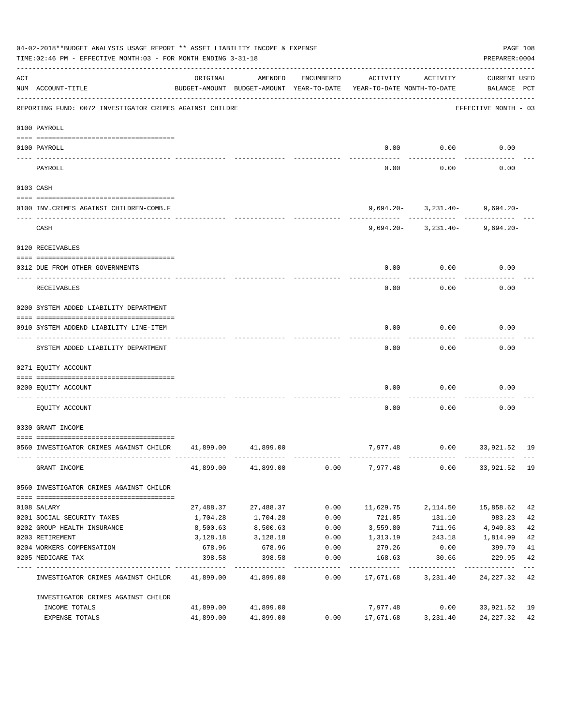|             | 04-02-2018**BUDGET ANALYSIS USAGE REPORT ** ASSET LIABILITY INCOME & EXPENSE<br>TIME: 02:46 PM - EFFECTIVE MONTH: 03 - FOR MONTH ENDING 3-31-18 |           |                     |                   |                                                                                 |                                    |                             |    |  |  |
|-------------|-------------------------------------------------------------------------------------------------------------------------------------------------|-----------|---------------------|-------------------|---------------------------------------------------------------------------------|------------------------------------|-----------------------------|----|--|--|
| ACT         | NUM ACCOUNT-TITLE                                                                                                                               | ORIGINAL  | AMENDED             | ENCUMBERED        | ACTIVITY<br>BUDGET-AMOUNT BUDGET-AMOUNT YEAR-TO-DATE YEAR-TO-DATE MONTH-TO-DATE | ACTIVITY                           | CURRENT USED<br>BALANCE PCT |    |  |  |
|             | REPORTING FUND: 0072 INVESTIGATOR CRIMES AGAINST CHILDRE                                                                                        |           |                     |                   |                                                                                 |                                    | EFFECTIVE MONTH - 03        |    |  |  |
|             | 0100 PAYROLL                                                                                                                                    |           |                     |                   |                                                                                 |                                    |                             |    |  |  |
|             | 0100 PAYROLL                                                                                                                                    |           |                     |                   |                                                                                 | $0.00$ $0.00$                      | 0.00                        |    |  |  |
| $- - - - -$ | PAYROLL                                                                                                                                         |           |                     |                   | 0.00                                                                            | 0.00                               | 0.00                        |    |  |  |
|             | 0103 CASH                                                                                                                                       |           |                     |                   |                                                                                 |                                    |                             |    |  |  |
|             | 0100 INV.CRIMES AGAINST CHILDREN-COMB.F                                                                                                         |           |                     |                   |                                                                                 | $9,694.20 - 3,231.40 - 9,694.20 -$ |                             |    |  |  |
|             | CASH                                                                                                                                            |           |                     |                   |                                                                                 | $9,694.20 - 3,231.40 - 9,694.20 -$ |                             |    |  |  |
|             | 0120 RECEIVABLES                                                                                                                                |           |                     |                   |                                                                                 |                                    |                             |    |  |  |
|             | 0312 DUE FROM OTHER GOVERNMENTS                                                                                                                 |           |                     |                   | 0.00                                                                            | 0.00                               | 0.00                        |    |  |  |
|             | RECEIVABLES                                                                                                                                     |           |                     |                   | 0.00                                                                            | 0.00                               | 0.00                        |    |  |  |
|             | 0200 SYSTEM ADDED LIABILITY DEPARTMENT                                                                                                          |           |                     |                   |                                                                                 |                                    |                             |    |  |  |
|             | 0910 SYSTEM ADDEND LIABILITY LINE-ITEM                                                                                                          |           |                     |                   | 0.00                                                                            | 0.00                               | 0.00                        |    |  |  |
|             | SYSTEM ADDED LIABILITY DEPARTMENT                                                                                                               |           |                     |                   | 0.00                                                                            | 0.00                               | 0.00                        |    |  |  |
|             | 0271 EQUITY ACCOUNT                                                                                                                             |           |                     |                   |                                                                                 |                                    |                             |    |  |  |
|             | 0200 EQUITY ACCOUNT                                                                                                                             |           |                     |                   | 0.00                                                                            | 0.00                               | 0.00                        |    |  |  |
|             | EQUITY ACCOUNT                                                                                                                                  |           |                     |                   | 0.00                                                                            | 0.00                               | 0.00                        |    |  |  |
|             | 0330 GRANT INCOME                                                                                                                               |           |                     |                   |                                                                                 |                                    |                             |    |  |  |
|             | 0560 INVESTIGATOR CRIMES AGAINST CHILDR 41,899.00 41,899.00                                                                                     |           |                     |                   |                                                                                 | 7,977.48   0.00   33,921.52   19   |                             |    |  |  |
|             | GRANT INCOME                                                                                                                                    |           | 41,899.00 41,899.00 |                   | $0.00$ $7,977.48$ $0.00$ $33,921.52$ 19                                         |                                    |                             |    |  |  |
|             | 0560 INVESTIGATOR CRIMES AGAINST CHILDR                                                                                                         |           |                     |                   |                                                                                 |                                    |                             |    |  |  |
|             | 0108 SALARY                                                                                                                                     | 27,488.37 | 27,488.37           | 0.00              | 11,629.75                                                                       | 2,114.50                           | 15,858.62                   | 42 |  |  |
|             | 0201 SOCIAL SECURITY TAXES                                                                                                                      | 1,704.28  | 1,704.28            | 0.00              | 721.05                                                                          | 131.10                             | 983.23                      | 42 |  |  |
|             | 0202 GROUP HEALTH INSURANCE                                                                                                                     | 8,500.63  | 8,500.63            | 0.00              | 3,559.80                                                                        | 711.96                             | 4,940.83                    | 42 |  |  |
|             | 0203 RETIREMENT                                                                                                                                 | 3,128.18  | 3,128.18            | 0.00              | 1,313.19                                                                        | 243.18                             | 1,814.99                    | 42 |  |  |
|             | 0204 WORKERS COMPENSATION                                                                                                                       | 678.96    | 678.96              | 0.00              | 279.26                                                                          | 0.00                               | 399.70                      | 41 |  |  |
|             | 0205 MEDICARE TAX                                                                                                                               | 398.58    | 398.58              | 0.00<br>--------- | 168.63                                                                          | 30.66                              | 229.95<br>----------        | 42 |  |  |
|             | INVESTIGATOR CRIMES AGAINST CHILDR                                                                                                              |           | 41,899.00 41,899.00 | 0.00              | 17,671.68                                                                       | 3,231.40                           | 24,227.32 42                |    |  |  |
|             | INVESTIGATOR CRIMES AGAINST CHILDR                                                                                                              |           |                     |                   |                                                                                 |                                    |                             |    |  |  |
|             | INCOME TOTALS                                                                                                                                   |           | 41,899.00 41,899.00 |                   | 7,977.48                                                                        | 0.00                               | 33,921.52 19                |    |  |  |
|             | EXPENSE TOTALS                                                                                                                                  | 41,899.00 | 41,899.00           | 0.00              | 17,671.68                                                                       | 3,231.40                           | 24, 227. 32 42              |    |  |  |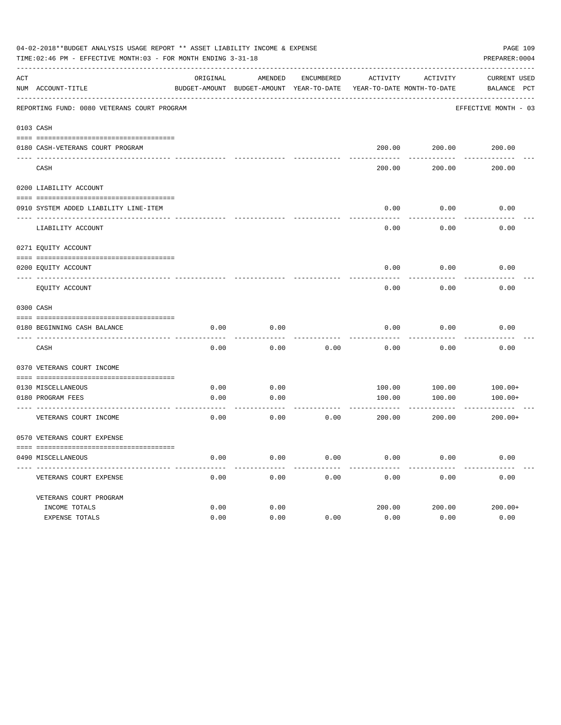|     | 04-02-2018**BUDGET ANALYSIS USAGE REPORT ** ASSET LIABILITY INCOME & EXPENSE<br>TIME: 02:46 PM - EFFECTIVE MONTH: 03 - FOR MONTH ENDING 3-31-18 |          |                                                     |            |                                        |                        | PAGE 109<br>PREPARER: 0004  |
|-----|-------------------------------------------------------------------------------------------------------------------------------------------------|----------|-----------------------------------------------------|------------|----------------------------------------|------------------------|-----------------------------|
| ACT | NUM ACCOUNT-TITLE                                                                                                                               | ORIGINAL | AMENDED<br>BUDGET-AMOUNT BUDGET-AMOUNT YEAR-TO-DATE | ENCUMBERED | ACTIVITY<br>YEAR-TO-DATE MONTH-TO-DATE | ACTIVITY               | CURRENT USED<br>BALANCE PCT |
|     | REPORTING FUND: 0080 VETERANS COURT PROGRAM                                                                                                     |          |                                                     |            |                                        |                        | EFFECTIVE MONTH - 03        |
|     | 0103 CASH                                                                                                                                       |          |                                                     |            |                                        |                        |                             |
|     |                                                                                                                                                 |          |                                                     |            |                                        |                        |                             |
|     | 0180 CASH-VETERANS COURT PROGRAM                                                                                                                |          |                                                     |            |                                        | 200.00 200.00          | 200.00                      |
|     | CASH                                                                                                                                            |          |                                                     |            | 200.00                                 | 200.00                 | 200.00                      |
|     | 0200 LIABILITY ACCOUNT                                                                                                                          |          |                                                     |            |                                        |                        |                             |
|     |                                                                                                                                                 |          |                                                     |            |                                        |                        |                             |
|     | 0910 SYSTEM ADDED LIABILITY LINE-ITEM                                                                                                           |          |                                                     |            | 0.00                                   | 0.00                   | 0.00                        |
|     | LIABILITY ACCOUNT                                                                                                                               |          |                                                     |            | 0.00                                   | 0.00                   | 0.00                        |
|     | 0271 EQUITY ACCOUNT                                                                                                                             |          |                                                     |            |                                        |                        |                             |
|     | 0200 EOUITY ACCOUNT                                                                                                                             |          |                                                     |            | 0.00                                   | 0.00                   | 0.00                        |
|     | EQUITY ACCOUNT                                                                                                                                  |          |                                                     |            | 0.00                                   | 0.00                   | 0.00                        |
|     | 0300 CASH                                                                                                                                       |          |                                                     |            |                                        |                        |                             |
|     |                                                                                                                                                 |          |                                                     |            |                                        |                        |                             |
|     | 0180 BEGINNING CASH BALANCE                                                                                                                     | 0.00     | 0.00                                                |            | 0.00                                   | 0.00                   | 0.00                        |
|     | CASH                                                                                                                                            | 0.00     | 0.00                                                | 0.00       | 0.00                                   | 0.00                   | 0.00                        |
|     | 0370 VETERANS COURT INCOME                                                                                                                      |          |                                                     |            |                                        |                        |                             |
|     | 0130 MISCELLANEOUS                                                                                                                              | 0.00     | 0.00                                                |            |                                        | 100.00<br>100.00       | $100.00+$                   |
|     | 0180 PROGRAM FEES                                                                                                                               | 0.00     | 0.00                                                |            | 100.00                                 | 100.00                 | $100.00+$                   |
|     | ----------------------------- ---<br>VETERANS COURT INCOME                                                                                      | 0.00     | 0.00                                                | 0.00       | 200.00                                 | ------------<br>200.00 | $200.00+$                   |
|     | 0570 VETERANS COURT EXPENSE                                                                                                                     |          |                                                     |            |                                        |                        |                             |
|     | 0490 MISCELLANEOUS                                                                                                                              | 0.00     | 0.00                                                | 0.00       | 0.00                                   | 0.00                   | 0.00                        |
|     | VETERANS COURT EXPENSE                                                                                                                          | 0.00     | 0.00                                                | 0.00       | 0.00                                   | 0.00                   | 0.00                        |
|     | VETERANS COURT PROGRAM                                                                                                                          |          |                                                     |            |                                        |                        |                             |
|     | INCOME TOTALS                                                                                                                                   | 0.00     | 0.00                                                |            | 200.00                                 | 200.00                 | $200.00+$                   |
|     | EXPENSE TOTALS                                                                                                                                  | 0.00     | 0.00                                                | 0.00       | 0.00                                   | 0.00                   | 0.00                        |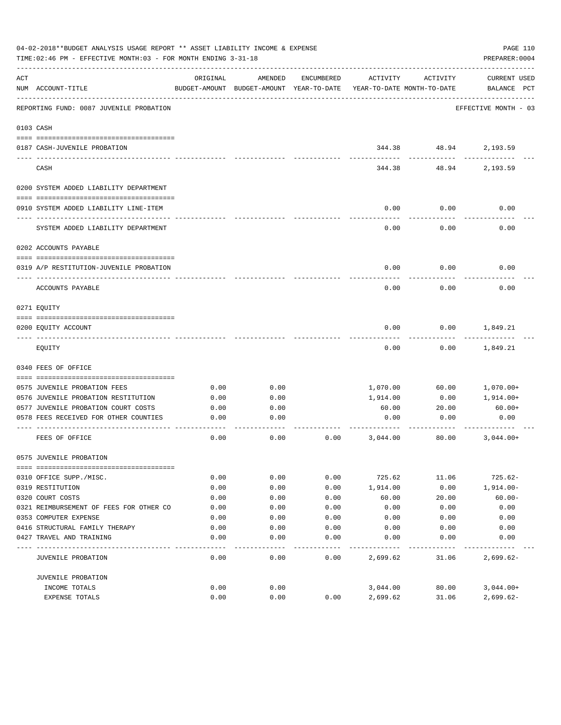|     | 04-02-2018**BUDGET ANALYSIS USAGE REPORT ** ASSET LIABILITY INCOME & EXPENSE<br>TIME: 02:46 PM - EFFECTIVE MONTH: 03 - FOR MONTH ENDING 3-31-18 |              |                                                     |              |                                        |                      | PAGE 110<br>PREPARER: 0004         |
|-----|-------------------------------------------------------------------------------------------------------------------------------------------------|--------------|-----------------------------------------------------|--------------|----------------------------------------|----------------------|------------------------------------|
| ACT | NUM ACCOUNT-TITLE                                                                                                                               | ORIGINAL     | AMENDED<br>BUDGET-AMOUNT BUDGET-AMOUNT YEAR-TO-DATE | ENCUMBERED   | ACTIVITY<br>YEAR-TO-DATE MONTH-TO-DATE | ACTIVITY             | <b>CURRENT USED</b><br>BALANCE PCT |
|     | REPORTING FUND: 0087 JUVENILE PROBATION                                                                                                         |              |                                                     |              |                                        |                      | EFFECTIVE MONTH - 03               |
|     | 0103 CASH                                                                                                                                       |              |                                                     |              |                                        |                      |                                    |
|     | 0187 CASH-JUVENILE PROBATION                                                                                                                    |              |                                                     |              |                                        |                      | 344.38 48.94 2,193.59              |
|     | CASH                                                                                                                                            |              |                                                     |              | 344.38                                 | -----------<br>48.94 | 2,193.59                           |
|     | 0200 SYSTEM ADDED LIABILITY DEPARTMENT                                                                                                          |              |                                                     |              |                                        |                      |                                    |
|     |                                                                                                                                                 |              |                                                     |              |                                        |                      |                                    |
|     | 0910 SYSTEM ADDED LIABILITY LINE-ITEM                                                                                                           |              |                                                     |              | 0.00                                   | 0.00                 | 0.00                               |
|     | SYSTEM ADDED LIABILITY DEPARTMENT                                                                                                               |              |                                                     |              | 0.00                                   | 0.00                 | 0.00                               |
|     | 0202 ACCOUNTS PAYABLE                                                                                                                           |              |                                                     |              |                                        |                      |                                    |
|     | 0319 A/P RESTITUTION-JUVENILE PROBATION                                                                                                         |              |                                                     |              | 0.00                                   | 0.00                 | 0.00                               |
|     |                                                                                                                                                 |              |                                                     |              |                                        |                      |                                    |
|     | ACCOUNTS PAYABLE                                                                                                                                |              |                                                     |              | 0.00                                   | 0.00                 | 0.00                               |
|     | 0271 EQUITY                                                                                                                                     |              |                                                     |              |                                        |                      |                                    |
|     | 0200 EQUITY ACCOUNT                                                                                                                             |              |                                                     |              | 0.00                                   | 0.00                 | 1,849.21                           |
|     | EQUITY                                                                                                                                          |              |                                                     |              | 0.00                                   | 0.00                 | 1,849.21                           |
|     | 0340 FEES OF OFFICE                                                                                                                             |              |                                                     |              |                                        |                      |                                    |
|     |                                                                                                                                                 |              |                                                     |              |                                        |                      |                                    |
|     | 0575 JUVENILE PROBATION FEES<br>0576 JUVENILE PROBATION RESTITUTION                                                                             | 0.00         | 0.00<br>0.00                                        |              | 1,070.00<br>1,914.00                   | 60.00<br>0.00        | 1,070.00+<br>1,914.00+             |
|     | 0577 JUVENILE PROBATION COURT COSTS                                                                                                             | 0.00<br>0.00 | 0.00                                                |              | 60.00                                  | 20.00                | $60.00+$                           |
|     | 0578 FEES RECEIVED FOR OTHER COUNTIES                                                                                                           | 0.00         | 0.00                                                |              | 0.00                                   | 0.00                 | 0.00                               |
|     |                                                                                                                                                 |              |                                                     |              |                                        |                      |                                    |
|     | FEES OF OFFICE                                                                                                                                  | 0.00         | 0.00                                                | 0.00         | 3,044.00                               | 80.00                | $3,044.00+$                        |
|     | 0575 JUVENILE PROBATION                                                                                                                         |              |                                                     |              |                                        |                      |                                    |
|     |                                                                                                                                                 |              |                                                     |              |                                        |                      |                                    |
|     | 0310 OFFICE SUPP./MISC.                                                                                                                         | 0.00         | 0.00                                                | 0.00         | 725.62                                 | 11.06                | $725.62-$                          |
|     | 0319 RESTITUTION                                                                                                                                | 0.00         | 0.00                                                | 0.00         | 1,914.00                               | 0.00                 | $1,914.00-$                        |
|     | 0320 COURT COSTS                                                                                                                                | 0.00         | 0.00                                                | 0.00         | 60.00                                  | 20.00                | $60.00 -$                          |
|     | 0321 REIMBURSEMENT OF FEES FOR OTHER CO<br>0353 COMPUTER EXPENSE                                                                                | 0.00<br>0.00 | 0.00<br>0.00                                        | 0.00<br>0.00 | 0.00<br>0.00                           | 0.00<br>0.00         | 0.00<br>0.00                       |
|     | 0416 STRUCTURAL FAMILY THERAPY                                                                                                                  | 0.00         | 0.00                                                |              |                                        |                      | 0.00                               |
|     | 0427 TRAVEL AND TRAINING                                                                                                                        | 0.00         | 0.00                                                | 0.00<br>0.00 | 0.00<br>0.00                           | 0.00<br>0.00         | 0.00                               |
|     |                                                                                                                                                 |              |                                                     |              |                                        |                      |                                    |
|     | JUVENILE PROBATION                                                                                                                              | 0.00         | 0.00                                                | 0.00         | 2,699.62                               | 31.06                | $2,699.62-$                        |
|     | JUVENILE PROBATION                                                                                                                              |              |                                                     |              |                                        |                      |                                    |
|     | INCOME TOTALS                                                                                                                                   | 0.00         | 0.00                                                |              | 3,044.00                               | 80.00                | $3,044.00+$                        |
|     | EXPENSE TOTALS                                                                                                                                  | 0.00         | 0.00                                                | 0.00         | 2,699.62                               | 31.06                | $2,699.62-$                        |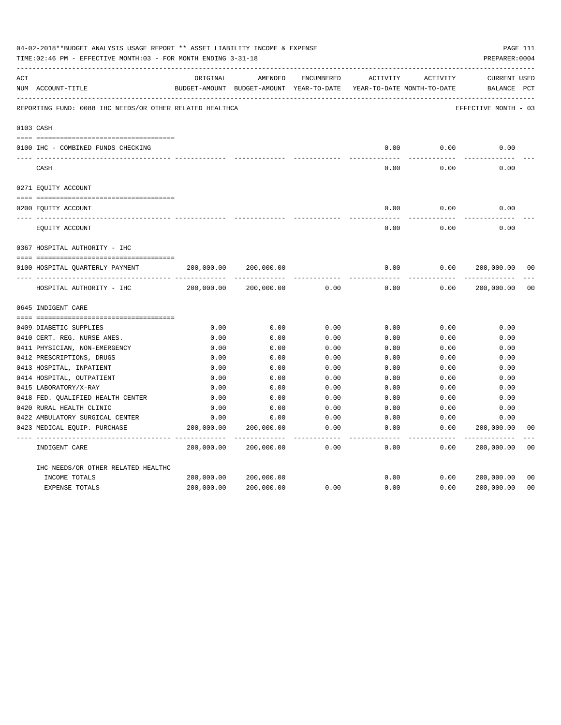|     | 04-02-2018**BUDGET ANALYSIS USAGE REPORT ** ASSET LIABILITY INCOME & EXPENSE<br>TIME: 02:46 PM - EFFECTIVE MONTH: 03 - FOR MONTH ENDING 3-31-18 |                          |                                                                                |               |                     |                     | PREPARER: 0004                     | PAGE 111       |
|-----|-------------------------------------------------------------------------------------------------------------------------------------------------|--------------------------|--------------------------------------------------------------------------------|---------------|---------------------|---------------------|------------------------------------|----------------|
| ACT | NUM ACCOUNT-TITLE                                                                                                                               | ORIGINAL                 | AMENDED<br>BUDGET-AMOUNT BUDGET-AMOUNT YEAR-TO-DATE YEAR-TO-DATE MONTH-TO-DATE | ENCUMBERED    | ACTIVITY            | ACTIVITY            | <b>CURRENT USED</b><br>BALANCE PCT |                |
|     | REPORTING FUND: 0088 IHC NEEDS/OR OTHER RELATED HEALTHCA                                                                                        |                          |                                                                                |               |                     |                     | EFFECTIVE MONTH - 03               |                |
|     | 0103 CASH                                                                                                                                       |                          |                                                                                |               |                     |                     |                                    |                |
|     | 0100 IHC - COMBINED FUNDS CHECKING                                                                                                              |                          |                                                                                |               | 0.00                | 0.00                | 0.00                               |                |
|     | CASH                                                                                                                                            |                          |                                                                                |               | -----<br>0.00       | --------<br>0.00    | 0.00                               |                |
|     | 0271 EQUITY ACCOUNT                                                                                                                             |                          |                                                                                |               |                     |                     |                                    |                |
|     | 0200 EQUITY ACCOUNT                                                                                                                             |                          |                                                                                |               | 0.00                | 0.00                | 0.00                               |                |
|     | EQUITY ACCOUNT                                                                                                                                  |                          |                                                                                |               | 0.00                | 0.00                | 0.00                               |                |
|     | 0367 HOSPITAL AUTHORITY - IHC                                                                                                                   |                          |                                                                                |               |                     |                     |                                    |                |
|     |                                                                                                                                                 |                          |                                                                                |               |                     |                     |                                    |                |
|     | 0100 HOSPITAL QUARTERLY PAYMENT                                                                                                                 | 200,000.00               | 200,000.00                                                                     |               | 0.00                | 0.00                | 200,000.00                         | 0 <sub>0</sub> |
|     |                                                                                                                                                 |                          |                                                                                |               | $- - - - -$         |                     |                                    |                |
|     | HOSPITAL AUTHORITY - IHC                                                                                                                        | 200,000.00               | 200,000.00                                                                     | 0.00          | 0.00                | 0.00                | 200,000.00                         | 0 <sub>0</sub> |
|     | 0645 INDIGENT CARE                                                                                                                              |                          |                                                                                |               |                     |                     |                                    |                |
|     |                                                                                                                                                 |                          |                                                                                |               |                     |                     |                                    |                |
|     | 0409 DIABETIC SUPPLIES                                                                                                                          | 0.00                     | 0.00                                                                           | 0.00          | 0.00                | 0.00                | 0.00                               |                |
|     | 0410 CERT. REG. NURSE ANES.                                                                                                                     | 0.00                     | 0.00                                                                           | 0.00          | 0.00                | 0.00                | 0.00                               |                |
|     | 0411 PHYSICIAN, NON-EMERGENCY                                                                                                                   | 0.00                     | 0.00                                                                           | 0.00          | 0.00                | 0.00                | 0.00                               |                |
|     | 0412 PRESCRIPTIONS, DRUGS                                                                                                                       | 0.00                     | 0.00                                                                           | 0.00          | 0.00                | 0.00                | 0.00                               |                |
|     | 0413 HOSPITAL, INPATIENT                                                                                                                        | 0.00                     | 0.00                                                                           | 0.00          | 0.00                | 0.00                | 0.00                               |                |
|     | 0414 HOSPITAL, OUTPATIENT                                                                                                                       | 0.00                     | 0.00                                                                           | 0.00          | 0.00                | 0.00                | 0.00                               |                |
|     | 0415 LABORATORY/X-RAY                                                                                                                           | 0.00                     | 0.00                                                                           | 0.00          | 0.00                | 0.00                | 0.00                               |                |
|     | 0418 FED. QUALIFIED HEALTH CENTER                                                                                                               | 0.00                     | 0.00                                                                           | 0.00          | 0.00                | 0.00                | 0.00                               |                |
|     | 0420 RURAL HEALTH CLINIC                                                                                                                        | 0.00                     | 0.00                                                                           | 0.00          | 0.00                | 0.00                | 0.00                               |                |
|     | 0422 AMBULATORY SURGICAL CENTER                                                                                                                 | 0.00                     | 0.00                                                                           | 0.00          | 0.00                | 0.00                | 0.00                               |                |
|     | 0423 MEDICAL EQUIP. PURCHASE                                                                                                                    | 200,000.00<br>---------- | 200,000.00<br>--------------                                                   | 0.00<br>----- | 0.00<br>$- - - - -$ | 0.00<br>$- - - - -$ | 200,000.00<br>. <u>.</u>           | 0 <sub>0</sub> |
|     | INDIGENT CARE                                                                                                                                   | 200,000.00               | 200,000.00                                                                     | 0.00          | 0.00                | 0.00                | 200,000.00                         | 0 <sub>0</sub> |
|     | IHC NEEDS/OR OTHER RELATED HEALTHC                                                                                                              |                          |                                                                                |               |                     |                     |                                    |                |
|     | INCOME TOTALS                                                                                                                                   | 200,000.00               | 200,000.00                                                                     |               | 0.00                | 0.00                | 200,000.00                         | 0 <sub>0</sub> |
|     | EXPENSE TOTALS                                                                                                                                  | 200,000.00               | 200,000.00                                                                     | 0.00          | 0.00                | 0.00                | 200,000.00                         | 0 <sub>0</sub> |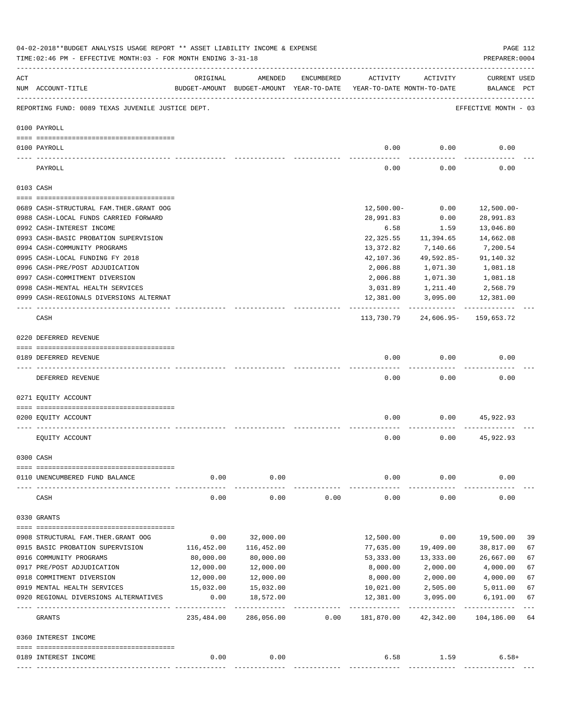|     | 04-02-2018**BUDGET ANALYSIS USAGE REPORT ** ASSET LIABILITY INCOME & EXPENSE<br>TIME: 02:46 PM - EFFECTIVE MONTH: 03 - FOR MONTH ENDING 3-31-18 |            |                                                                                |            |               |                           | PREPARER: 0004                     | PAGE 112 |
|-----|-------------------------------------------------------------------------------------------------------------------------------------------------|------------|--------------------------------------------------------------------------------|------------|---------------|---------------------------|------------------------------------|----------|
| ACT | NUM ACCOUNT-TITLE                                                                                                                               | ORIGINAL   | AMENDED<br>BUDGET-AMOUNT BUDGET-AMOUNT YEAR-TO-DATE YEAR-TO-DATE MONTH-TO-DATE | ENCUMBERED | ACTIVITY      | ACTIVITY                  | <b>CURRENT USED</b><br>BALANCE PCT |          |
|     | REPORTING FUND: 0089 TEXAS JUVENILE JUSTICE DEPT.                                                                                               |            |                                                                                |            |               |                           | EFFECTIVE MONTH - 03               |          |
|     | 0100 PAYROLL                                                                                                                                    |            |                                                                                |            |               |                           |                                    |          |
|     |                                                                                                                                                 |            |                                                                                |            |               |                           |                                    |          |
|     | 0100 PAYROLL                                                                                                                                    |            |                                                                                |            | 0.00          | 0.00                      | 0.00                               |          |
|     | PAYROLL                                                                                                                                         |            |                                                                                |            | 0.00          | 0.00                      | 0.00                               |          |
|     | 0103 CASH                                                                                                                                       |            |                                                                                |            |               |                           |                                    |          |
|     | 0689 CASH-STRUCTURAL FAM.THER.GRANT OOG                                                                                                         |            |                                                                                |            | $12,500.00 -$ | 0.00                      | 12,500.00-                         |          |
|     | 0988 CASH-LOCAL FUNDS CARRIED FORWARD                                                                                                           |            |                                                                                |            | 28,991.83     | 0.00                      | 28,991.83                          |          |
|     | 0992 CASH-INTEREST INCOME                                                                                                                       |            |                                                                                |            |               |                           | 13,046.80                          |          |
|     |                                                                                                                                                 |            |                                                                                |            | 6.58          | 1.59                      |                                    |          |
|     | 0993 CASH-BASIC PROBATION SUPERVISION                                                                                                           |            |                                                                                |            | 22,325.55     | 11,394.65                 | 14,662.08                          |          |
|     | 0994 CASH-COMMUNITY PROGRAMS                                                                                                                    |            |                                                                                |            | 13,372.82     | 7,140.66                  | 7,200.54                           |          |
|     | 0995 CASH-LOCAL FUNDING FY 2018                                                                                                                 |            |                                                                                |            | 42,107.36     | 49,592.85-                | 91,140.32                          |          |
|     | 0996 CASH-PRE/POST ADJUDICATION                                                                                                                 |            |                                                                                |            | 2,006.88      | 1,071.30                  | 1,081.18                           |          |
|     | 0997 CASH-COMMITMENT DIVERSION                                                                                                                  |            |                                                                                |            | 2,006.88      | 1,071.30                  | 1,081.18                           |          |
|     | 0998 CASH-MENTAL HEALTH SERVICES                                                                                                                |            |                                                                                |            | 3,031.89      | 1,211.40                  | 2,568.79                           |          |
|     | 0999 CASH-REGIONALS DIVERSIONS ALTERNAT                                                                                                         |            |                                                                                |            | 12,381.00     | 3,095.00<br>------------- | 12,381.00                          |          |
|     | CASH                                                                                                                                            |            |                                                                                |            | 113,730.79    |                           | 24,606.95- 159,653.72              |          |
|     | 0220 DEFERRED REVENUE                                                                                                                           |            |                                                                                |            |               |                           |                                    |          |
|     |                                                                                                                                                 |            |                                                                                |            |               |                           |                                    |          |
|     | 0189 DEFERRED REVENUE<br>---- -------------                                                                                                     |            |                                                                                |            | 0.00          | 0.00                      | 0.00                               |          |
|     | DEFERRED REVENUE                                                                                                                                |            |                                                                                |            | 0.00          | 0.00                      | 0.00                               |          |
|     | 0271 EQUITY ACCOUNT                                                                                                                             |            |                                                                                |            |               |                           |                                    |          |
|     | 0200 EQUITY ACCOUNT                                                                                                                             |            |                                                                                |            | 0.00          | 0.00                      | 45,922.93                          |          |
|     |                                                                                                                                                 |            |                                                                                |            |               |                           |                                    |          |
|     | EQUITY ACCOUNT                                                                                                                                  |            |                                                                                |            | 0.00          | 0.00                      | 45,922.93                          |          |
|     | 0300 CASH                                                                                                                                       |            |                                                                                |            |               |                           |                                    |          |
|     | 0110 UNENCUMBERED FUND BALANCE                                                                                                                  | 0.00       | 0.00                                                                           |            | 0.00          | 0.00                      | 0.00                               |          |
|     |                                                                                                                                                 | 0.00       | 0.00                                                                           | 0.00       | 0.00          | 0.00                      | 0.00                               |          |
|     | CASH                                                                                                                                            |            |                                                                                |            |               |                           |                                    |          |
|     | 0330 GRANTS                                                                                                                                     |            |                                                                                |            |               |                           |                                    |          |
|     | 0908 STRUCTURAL FAM.THER.GRANT OOG                                                                                                              | 0.00       | 32,000.00                                                                      |            | 12,500.00     | 0.00                      | 19,500.00                          | 39       |
|     | 0915 BASIC PROBATION SUPERVISION                                                                                                                | 116,452.00 | 116,452.00                                                                     |            | 77,635.00     | 19,409.00                 | 38,817.00                          | 67       |
|     | 0916 COMMUNITY PROGRAMS                                                                                                                         | 80,000.00  | 80,000.00                                                                      |            | 53,333.00     | 13,333.00                 | 26,667.00                          | 67       |
|     | 0917 PRE/POST ADJUDICATION                                                                                                                      | 12,000.00  | 12,000.00                                                                      |            | 8,000.00      | 2,000.00                  | 4,000.00                           | 67       |
|     | 0918 COMMITMENT DIVERSION                                                                                                                       | 12,000.00  | 12,000.00                                                                      |            | 8,000.00      | 2,000.00                  | 4,000.00                           | 67       |
|     | 0919 MENTAL HEALTH SERVICES                                                                                                                     | 15,032.00  | 15,032.00                                                                      |            | 10,021.00     | 2,505.00                  | 5,011.00                           | 67       |
|     | 0920 REGIONAL DIVERSIONS ALTERNATIVES                                                                                                           | 0.00       | 18,572.00                                                                      |            | 12,381.00     | 3,095.00                  | 6,191.00                           | 67       |
|     |                                                                                                                                                 | ---------- |                                                                                |            |               |                           |                                    |          |
|     | GRANTS                                                                                                                                          | 235,484.00 | 286,056.00                                                                     | 0.00       | 181,870.00    | 42,342.00                 | 104,186.00                         | 64       |
|     | 0360 INTEREST INCOME                                                                                                                            |            |                                                                                |            |               |                           |                                    |          |
|     |                                                                                                                                                 |            |                                                                                |            |               |                           |                                    |          |
|     | 0189 INTEREST INCOME                                                                                                                            | 0.00       | 0.00                                                                           |            | 6.58          | 1.59                      | $6.58+$                            |          |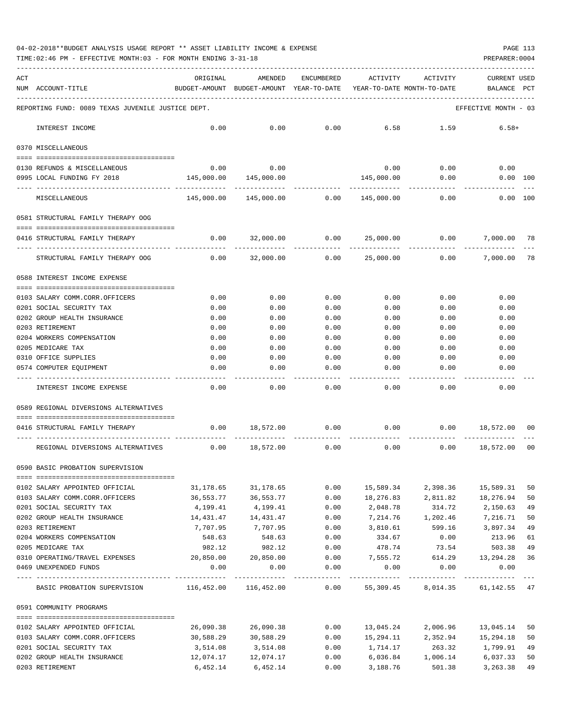04-02-2018\*\*BUDGET ANALYSIS USAGE REPORT \*\* ASSET LIABILITY INCOME & EXPENSE PAGE 113

TIME:02:46 PM - EFFECTIVE MONTH:03 - FOR MONTH ENDING 3-31-18 PREPARER:0004

| ACT<br>NUM ACCOUNT-TITLE                                                                                                                                                                                                                                                                                                                                                                                                                | ORIGINAL<br>BUDGET-AMOUNT BUDGET-AMOUNT YEAR-TO-DATE YEAR-TO-DATE MONTH-TO-DATE BALANCE PCT | AMENDED                      | ENCUMBERED    | ACTIVITY              | ACTIVITY                           | <b>CURRENT USED</b>             |          |
|-----------------------------------------------------------------------------------------------------------------------------------------------------------------------------------------------------------------------------------------------------------------------------------------------------------------------------------------------------------------------------------------------------------------------------------------|---------------------------------------------------------------------------------------------|------------------------------|---------------|-----------------------|------------------------------------|---------------------------------|----------|
| REPORTING FUND: 0089 TEXAS JUVENILE JUSTICE DEPT.                                                                                                                                                                                                                                                                                                                                                                                       |                                                                                             |                              |               |                       |                                    | EFFECTIVE MONTH - 03            |          |
| INTEREST INCOME                                                                                                                                                                                                                                                                                                                                                                                                                         | 0.00                                                                                        | 0.00                         | 0.00          | 6.58                  | 1.59                               | $6.58+$                         |          |
| 0370 MISCELLANEOUS                                                                                                                                                                                                                                                                                                                                                                                                                      |                                                                                             |                              |               |                       |                                    |                                 |          |
| 0130 REFUNDS & MISCELLANEOUS                                                                                                                                                                                                                                                                                                                                                                                                            |                                                                                             | $0.00$ 0.00                  |               | 0.00                  | 0.00                               | 0.00                            |          |
| 0995 LOCAL FUNDING FY 2018                                                                                                                                                                                                                                                                                                                                                                                                              |                                                                                             |                              |               | 145,000.00            | 0.00                               | 0.00 100                        |          |
| MISCELLANEOUS                                                                                                                                                                                                                                                                                                                                                                                                                           |                                                                                             | 145,000.00  145,000.00  0.00 |               | 145,000.00            | 0.00                               | $0.00$ 100                      |          |
| 0581 STRUCTURAL FAMILY THERAPY OOG                                                                                                                                                                                                                                                                                                                                                                                                      |                                                                                             |                              |               |                       |                                    |                                 |          |
| 0416 STRUCTURAL FAMILY THERAPY                                                                                                                                                                                                                                                                                                                                                                                                          |                                                                                             | $0.00$ 32,000.00 0.00        |               |                       | 25,000.00 0.00                     | 7,000.00                        | 78       |
| STRUCTURAL FAMILY THERAPY OOG                                                                                                                                                                                                                                                                                                                                                                                                           | 0.00                                                                                        | 32,000.00                    | ------------- | 0.00 25,000.00        | ------------- ------------<br>0.00 | -------------<br>7,000.00       | 78       |
| 0588 INTEREST INCOME EXPENSE                                                                                                                                                                                                                                                                                                                                                                                                            |                                                                                             |                              |               |                       |                                    |                                 |          |
| 0103 SALARY COMM.CORR.OFFICERS                                                                                                                                                                                                                                                                                                                                                                                                          | 0.00                                                                                        | 0.00                         | 0.00          | 0.00                  | 0.00                               | 0.00                            |          |
| 0201 SOCIAL SECURITY TAX                                                                                                                                                                                                                                                                                                                                                                                                                | 0.00                                                                                        | 0.00                         | 0.00          | 0.00                  | 0.00                               | 0.00                            |          |
| 0202 GROUP HEALTH INSURANCE                                                                                                                                                                                                                                                                                                                                                                                                             | 0.00                                                                                        | 0.00                         | 0.00          | 0.00                  | 0.00                               | 0.00                            |          |
| 0203 RETIREMENT                                                                                                                                                                                                                                                                                                                                                                                                                         | 0.00                                                                                        | 0.00                         | 0.00          | 0.00                  | 0.00                               | 0.00                            |          |
| 0204 WORKERS COMPENSATION                                                                                                                                                                                                                                                                                                                                                                                                               | 0.00                                                                                        | 0.00                         | 0.00          | 0.00                  | 0.00                               | 0.00                            |          |
| 0205 MEDICARE TAX                                                                                                                                                                                                                                                                                                                                                                                                                       | 0.00                                                                                        | 0.00                         | 0.00          | 0.00                  | 0.00                               | 0.00                            |          |
| 0310 OFFICE SUPPLIES                                                                                                                                                                                                                                                                                                                                                                                                                    | 0.00                                                                                        | 0.00                         | 0.00          | 0.00                  | 0.00                               | 0.00                            |          |
| 0574 COMPUTER EQUIPMENT                                                                                                                                                                                                                                                                                                                                                                                                                 | 0.00                                                                                        | 0.00                         | 0.00          | 0.00                  | 0.00                               | 0.00                            |          |
| INTEREST INCOME EXPENSE                                                                                                                                                                                                                                                                                                                                                                                                                 | 0.00                                                                                        | 0.00                         | 0.00          | 0.00                  | 0.00                               | 0.00                            |          |
| 0589 REGIONAL DIVERSIONS ALTERNATIVES                                                                                                                                                                                                                                                                                                                                                                                                   |                                                                                             |                              |               |                       |                                    |                                 |          |
|                                                                                                                                                                                                                                                                                                                                                                                                                                         |                                                                                             |                              |               |                       |                                    |                                 |          |
| 0416 STRUCTURAL FAMILY THERAPY                                                                                                                                                                                                                                                                                                                                                                                                          |                                                                                             | $0.00$ 18,572.00 0.00        |               |                       | $0.00$ $0.00$ $18,572.00$          |                                 | 00       |
| REGIONAL DIVERSIONS ALTERNATIVES                                                                                                                                                                                                                                                                                                                                                                                                        |                                                                                             | $0.00$ 18,572.00             | 0.00          | 0.00                  | 0.00                               | 18,572.00                       | 00       |
| 0590 BASIC PROBATION SUPERVISION                                                                                                                                                                                                                                                                                                                                                                                                        |                                                                                             |                              |               |                       |                                    |                                 |          |
|                                                                                                                                                                                                                                                                                                                                                                                                                                         |                                                                                             |                              |               | 15,589.34             |                                    |                                 |          |
| 0102 SALARY APPOINTED OFFICIAL<br>0103 SALARY COMM.CORR.OFFICERS                                                                                                                                                                                                                                                                                                                                                                        | 31,178.65<br>36,553.77                                                                      | 31,178.65<br>36,553.77       | 0.00<br>0.00  | 18,276.83             | 2,811.82                           | 2,398.36 15,589.31<br>18,276.94 | 50<br>50 |
| 0201 SOCIAL SECURITY TAX                                                                                                                                                                                                                                                                                                                                                                                                                | 4,199.41                                                                                    | 4,199.41                     | 0.00          | 2,048.78              | 314.72                             | 2,150.63                        | 49       |
| 0202 GROUP HEALTH INSURANCE                                                                                                                                                                                                                                                                                                                                                                                                             | 14,431.47                                                                                   | 14, 431. 47                  | 0.00          | 7,214.76              | 1,202.46 7,216.71                  |                                 | 50       |
| 0203 RETIREMENT                                                                                                                                                                                                                                                                                                                                                                                                                         | 7,707.95                                                                                    | 7,707.95                     | 0.00          | 3,810.61              | 599.16 3,897.34                    |                                 | 49       |
| 0204 WORKERS COMPENSATION                                                                                                                                                                                                                                                                                                                                                                                                               | 548.63                                                                                      | 548.63                       | 0.00          | 334.67                | 0.00                               | 213.96                          | 61       |
| 0205 MEDICARE TAX                                                                                                                                                                                                                                                                                                                                                                                                                       | 982.12                                                                                      | 982.12                       | 0.00          | 478.74                | 73.54                              | 503.38                          | 49       |
| 0310 OPERATING/TRAVEL EXPENSES                                                                                                                                                                                                                                                                                                                                                                                                          |                                                                                             | 20,850.00 20,850.00          | 0.00          | 7,555.72              |                                    | 614.29 13,294.28                | 36       |
| 0469 UNEXPENDED FUNDS                                                                                                                                                                                                                                                                                                                                                                                                                   | 0.00                                                                                        | 0.00                         | 0.00          | 0.00<br>------------- | 0.00<br>-------------              | 0.00<br>-------------           |          |
| BASIC PROBATION SUPERVISION 116,452.00 116,452.00 0.00 55,309.45 8,014.35 61,142.55 47                                                                                                                                                                                                                                                                                                                                                  |                                                                                             |                              |               |                       |                                    |                                 |          |
| 0591 COMMUNITY PROGRAMS                                                                                                                                                                                                                                                                                                                                                                                                                 |                                                                                             |                              |               |                       |                                    |                                 |          |
| $\begin{minipage}{0.03\textwidth} \centering \begin{tabular}{ l l l } \hline \textbf{1} & \textbf{2} & \textbf{2} & \textbf{2} & \textbf{2} & \textbf{2} & \textbf{2} & \textbf{2} & \textbf{2} & \textbf{2} & \textbf{2} & \textbf{2} & \textbf{2} & \textbf{2} & \textbf{2} & \textbf{2} & \textbf{2} & \textbf{2} & \textbf{2} & \textbf{2} & \textbf{2} & \textbf{2} & \textbf{2} & \textbf{2} & \textbf{2} & \textbf{2} & \textbf$ | 26,090.38                                                                                   | 26,090.38                    | 0.00          |                       | 13,045.24 2,006.96 13,045.14       |                                 | 50       |
| 0102 SALARY APPOINTED OFFICIAL<br>0103 SALARY COMM.CORR.OFFICERS                                                                                                                                                                                                                                                                                                                                                                        | 30,588.29                                                                                   | 30,588.29                    | 0.00          |                       | 15,294.11 2,352.94 15,294.18       |                                 | 50       |
| 0201 SOCIAL SECURITY TAX                                                                                                                                                                                                                                                                                                                                                                                                                | 3,514.08                                                                                    | 3,514.08                     | 0.00          |                       | 1,714.17 263.32 1,799.91           |                                 | 49       |
| 0202 GROUP HEALTH INSURANCE                                                                                                                                                                                                                                                                                                                                                                                                             |                                                                                             |                              | 0.00          |                       | 6,036.84 1,006.14 6,037.33         |                                 | 50       |

0203 RETIREMENT 6,452.14 6,452.14 0.00 3,188.76 501.38 3,263.38 49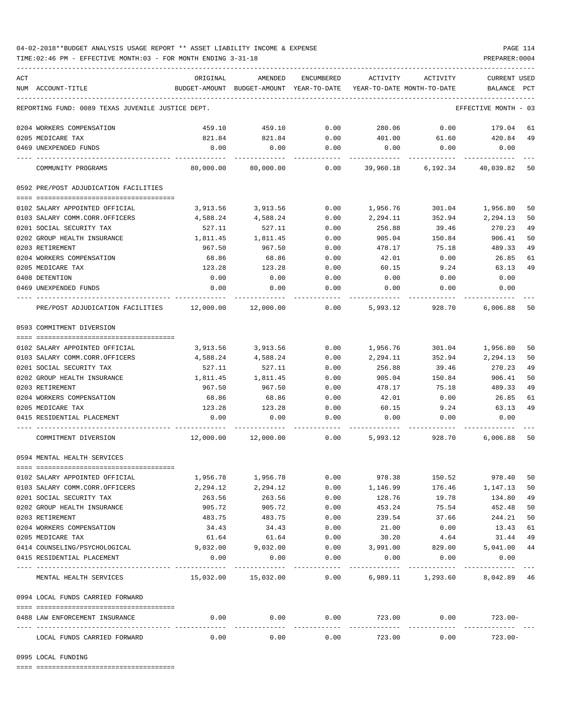## 04-02-2018\*\*BUDGET ANALYSIS USAGE REPORT \*\* ASSET LIABILITY INCOME & EXPENSE PAGE 114

TIME:02:46 PM - EFFECTIVE MONTH:03 - FOR MONTH ENDING 3-31-18 PREPARER:0004

| ACT |                                                   | ORIGINAL                 | AMENDED                                                             | ENCUMBERED           | ACTIVITY  | ACTIVITY          | <b>CURRENT USED</b>  |    |
|-----|---------------------------------------------------|--------------------------|---------------------------------------------------------------------|----------------------|-----------|-------------------|----------------------|----|
|     | NUM ACCOUNT-TITLE                                 |                          | BUDGET-AMOUNT BUDGET-AMOUNT YEAR-TO-DATE YEAR-TO-DATE MONTH-TO-DATE |                      |           |                   | BALANCE PCT          |    |
|     | REPORTING FUND: 0089 TEXAS JUVENILE JUSTICE DEPT. |                          |                                                                     |                      |           |                   | EFFECTIVE MONTH - 03 |    |
|     | 0204 WORKERS COMPENSATION                         | 459.10                   | 459.10                                                              | 0.00                 | 280.06    | 0.00              | 179.04               | 61 |
|     | 0205 MEDICARE TAX                                 | 821.84                   | 821.84                                                              | 0.00                 | 401.00    | 61.60             | 420.84               | 49 |
|     | 0469 UNEXPENDED FUNDS                             | 0.00                     | 0.00                                                                | 0.00                 | 0.00      | 0.00              | 0.00                 |    |
|     | COMMUNITY PROGRAMS                                | 80,000.00                | 80,000.00                                                           | 0.00                 | 39,960.18 | 6,192.34          | 40,039.82            | 50 |
|     | 0592 PRE/POST ADJUDICATION FACILITIES             |                          |                                                                     |                      |           |                   |                      |    |
|     |                                                   |                          |                                                                     |                      |           |                   |                      |    |
|     | 0102 SALARY APPOINTED OFFICIAL                    | 3,913.56                 | 3,913.56                                                            | 0.00                 | 1,956.76  | 301.04            | 1,956.80             | 50 |
|     | 0103 SALARY COMM.CORR.OFFICERS                    | 4,588.24                 | 4,588.24                                                            | 0.00                 | 2,294.11  | 352.94            | 2,294.13             | 50 |
|     | 0201 SOCIAL SECURITY TAX                          | 527.11                   | 527.11                                                              | 0.00                 | 256.88    | 39.46             | 270.23               | 49 |
|     | 0202 GROUP HEALTH INSURANCE                       | 1,811.45                 | 1,811.45                                                            | 0.00                 | 905.04    | 150.84            | 906.41               | 50 |
|     | 0203 RETIREMENT                                   | 967.50                   | 967.50                                                              | 0.00                 | 478.17    | 75.18             | 489.33               | 49 |
|     | 0204 WORKERS COMPENSATION                         | 68.86                    | 68.86                                                               | 0.00                 | 42.01     | 0.00              | 26.85                | 61 |
|     | 0205 MEDICARE TAX                                 | 123.28                   | 123.28                                                              | 0.00                 | 60.15     | 9.24              | 63.13                | 49 |
|     | 0408 DETENTION                                    | 0.00                     | 0.00                                                                | 0.00                 | 0.00      | 0.00              | 0.00                 |    |
|     | 0469 UNEXPENDED FUNDS                             | 0.00                     | 0.00                                                                | 0.00                 | 0.00      | 0.00              | 0.00                 |    |
|     | PRE/POST ADJUDICATION FACILITIES 12,000.00        |                          | 12,000.00                                                           | 0.00                 | 5,993.12  | 928.70            | 6,006.88             | 50 |
|     | 0593 COMMITMENT DIVERSION                         |                          |                                                                     |                      |           |                   |                      |    |
|     |                                                   |                          |                                                                     |                      |           |                   |                      |    |
|     | 0102 SALARY APPOINTED OFFICIAL                    | 3,913.56                 | 3,913.56                                                            | 0.00                 | 1,956.76  | 301.04            | 1,956.80             | 50 |
|     | 0103 SALARY COMM.CORR.OFFICERS                    | 4,588.24                 | 4,588.24                                                            | 0.00                 | 2,294.11  | 352.94            | 2,294.13             | 50 |
|     | 0201 SOCIAL SECURITY TAX                          | 527.11                   | 527.11                                                              | 0.00                 | 256.88    | 39.46             | 270.23               | 49 |
|     | 0202 GROUP HEALTH INSURANCE                       | 1,811.45                 | 1,811.45                                                            | 0.00                 | 905.04    | 150.84            | 906.41               | 50 |
|     | 0203 RETIREMENT                                   | 967.50                   | 967.50                                                              | 0.00                 | 478.17    | 75.18             | 489.33               | 49 |
|     | 0204 WORKERS COMPENSATION                         | 68.86                    | 68.86                                                               | 0.00                 | 42.01     | 0.00              | 26.85                | 61 |
|     | 0205 MEDICARE TAX                                 | 123.28                   | 123.28                                                              | 0.00                 | 60.15     | 9.24              | 63.13                | 49 |
|     | 0415 RESIDENTIAL PLACEMENT                        | 0.00                     | 0.00                                                                | 0.00                 | 0.00      | 0.00              | 0.00                 |    |
|     | COMMITMENT DIVERSION                              |                          | $12,000.00$ $12,000.00$ 0.00                                        |                      |           | 5,993.12 928.70   | 6,006.88             | 50 |
|     | 0594 MENTAL HEALTH SERVICES                       |                          |                                                                     |                      |           |                   |                      |    |
|     |                                                   |                          |                                                                     |                      |           |                   |                      |    |
|     | 0102 SALARY APPOINTED OFFICIAL                    | 1,956.78                 | 1,956.78                                                            | 0.00                 | 978.38    | 150.52            | 978.40               | 50 |
|     | 0103 SALARY COMM.CORR.OFFICERS                    | 2,294.12                 | 2,294.12                                                            | 0.00                 | 1,146.99  | 176.46            | 1,147.13             | 50 |
|     | 0201 SOCIAL SECURITY TAX                          | 263.56                   | 263.56                                                              | 0.00                 | 128.76    | 19.78             | 134.80               | 49 |
|     |                                                   |                          |                                                                     |                      |           |                   |                      | 50 |
|     | 0202 GROUP HEALTH INSURANCE                       | 905.72                   | 905.72                                                              | 0.00                 | 453.24    | 75.54             | 452.48               |    |
|     | 0203 RETIREMENT                                   | 483.75                   | 483.75                                                              | 0.00                 | 239.54    | 37.66             | 244.21               | 50 |
|     | 0204 WORKERS COMPENSATION                         | 34.43                    | 34.43                                                               | 0.00                 | 21.00     | 0.00              | 13.43                | 61 |
|     | 0205 MEDICARE TAX                                 | 61.64                    | 61.64                                                               | 0.00                 | 30.20     | 4.64              | 31.44                | 49 |
|     | 0414 COUNSELING/PSYCHOLOGICAL                     | 9,032.00                 | 9,032.00                                                            | 0.00                 | 3,991.00  | 829.00            | 5,041.00             | 44 |
|     | 0415 RESIDENTIAL PLACEMENT                        | 0.00                     | 0.00                                                                | 0.00<br>------------ | 0.00      | 0.00<br>--------- | 0.00                 |    |
|     | MENTAL HEALTH SERVICES                            | $15,032.00$ $15,032.00$  |                                                                     | 0.00                 |           | 6,989.11 1,293.60 | 8,042.89 46          |    |
|     | 0994 LOCAL FUNDS CARRIED FORWARD                  |                          |                                                                     |                      |           |                   |                      |    |
|     | 0488 LAW ENFORCEMENT INSURANCE                    | 0.00                     | 0.00                                                                | 0.00                 | 723.00    | 0.00              | $723.00-$            |    |
|     |                                                   | ________________________ |                                                                     |                      |           | ------------      |                      |    |
|     | LOCAL FUNDS CARRIED FORWARD                       | 0.00                     | 0.00                                                                | 0.00                 | 723.00    | 0.00              | $723.00 -$           |    |

0995 LOCAL FUNDING

==== ===================================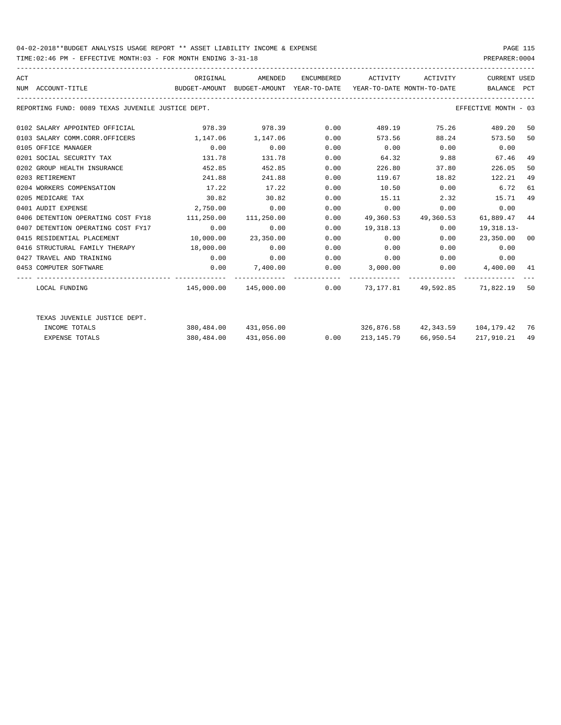## 04-02-2018\*\*BUDGET ANALYSIS USAGE REPORT \*\* ASSET LIABILITY INCOME & EXPENSE PAGE 115

TIME:02:46 PM - EFFECTIVE MONTH:03 - FOR MONTH ENDING 3-31-18 PREPARER:0004

| ACT | NUM ACCOUNT-TITLE                                 | ORIGINAL<br>BUDGET-AMOUNT BUDGET-AMOUNT YEAR-TO-DATE YEAR-TO-DATE MONTH-TO-DATE | AMENDED               |      | ENCUMBERED ACTIVITY ACTIVITY                                        |                                  | CURRENT USED<br>BALANCE PCT                                                                                                                                                                                                         |    |
|-----|---------------------------------------------------|---------------------------------------------------------------------------------|-----------------------|------|---------------------------------------------------------------------|----------------------------------|-------------------------------------------------------------------------------------------------------------------------------------------------------------------------------------------------------------------------------------|----|
|     | REPORTING FUND: 0089 TEXAS JUVENILE JUSTICE DEPT. |                                                                                 |                       |      |                                                                     |                                  | EFFECTIVE MONTH - 03                                                                                                                                                                                                                |    |
|     | 0102 SALARY APPOINTED OFFICIAL                    |                                                                                 | 978.39 978.39 0.00    |      |                                                                     | 489.19 75.26                     | 489.20 50                                                                                                                                                                                                                           |    |
|     | 0103 SALARY COMM.CORR.OFFICERS                    | 1, 147, 06 1, 147, 06                                                           |                       | 0.00 |                                                                     | 573.56 88.24                     | 573.50                                                                                                                                                                                                                              | 50 |
|     | 0105 OFFICE MANAGER                               | 0.00                                                                            | 0.00                  | 0.00 | $0.00$ $0.00$ $0.00$ $0.00$                                         |                                  |                                                                                                                                                                                                                                     |    |
|     | 0201 SOCIAL SECURITY TAX                          | 131.78                                                                          | 131.78                | 0.00 |                                                                     | 64.32 9.88                       | 67.46                                                                                                                                                                                                                               | 49 |
|     | 0202 GROUP HEALTH INSURANCE                       | 452.85                                                                          | 452.85                | 0.00 | 226.80                                                              | 37.80                            | 226.05                                                                                                                                                                                                                              | 50 |
|     | 0203 RETIREMENT                                   | 241.88                                                                          | 241.88                | 0.00 | 119.67                                                              | 18.82                            | 122.21                                                                                                                                                                                                                              | 49 |
|     | 0204 WORKERS COMPENSATION                         | 17.22                                                                           | 17.22                 | 0.00 | 10.50                                                               | $0.00$ 6.72                      |                                                                                                                                                                                                                                     | 61 |
|     | 0205 MEDICARE TAX                                 | 30.82                                                                           | 30.82                 | 0.00 | 15.11                                                               | 2.32                             | 15.71                                                                                                                                                                                                                               | 49 |
|     | 0401 AUDIT EXPENSE                                | 2,750.00                                                                        | 0.00                  | 0.00 | 0.00                                                                |                                  | 0.00<br>0.00                                                                                                                                                                                                                        |    |
|     | 0406 DETENTION OPERATING COST FY18                | 111,250.00 111,250.00                                                           |                       | 0.00 |                                                                     | 49,360.53 49,360.53 61,889.47 44 |                                                                                                                                                                                                                                     |    |
|     | 0407 DETENTION OPERATING COST FY17                | 0.00                                                                            | 0.00                  | 0.00 |                                                                     | 19,318.13 0.00                   | 19,318.13-                                                                                                                                                                                                                          |    |
|     | 0415 RESIDENTIAL PLACEMENT                        |                                                                                 | 10,000.00 23,350.00   | 0.00 | 0.00                                                                | 0.00                             | 23,350.00 00                                                                                                                                                                                                                        |    |
|     | 0416 STRUCTURAL FAMILY THERAPY 18,000.00          |                                                                                 | 0.00                  | 0.00 | 0.00                                                                |                                  | 0.00<br>$0.00$ and $0.00$ and $0.00$ and $0.00$ and $0.00$ and $0.00$ and $0.00$ and $0.00$ and $0.00$ and $0.00$ and $0.00$ and $0.00$ and $0.00$ and $0.00$ and $0.00$ and $0.00$ and $0.00$ and $0.00$ and $0.00$ and $0.00$ and |    |
|     | 0427 TRAVEL AND TRAINING                          | 0.00                                                                            | 0.00                  | 0.00 | $0.00$ $0.00$ $0.00$ $0.00$                                         |                                  |                                                                                                                                                                                                                                     |    |
|     | 0453 COMPUTER SOFTWARE                            |                                                                                 |                       |      | $0.00$ $7,400.00$ $0.00$ $3,000.00$ $0.00$ $4,400.00$ $41$          |                                  |                                                                                                                                                                                                                                     |    |
|     |                                                   |                                                                                 |                       |      | -------------- ------------ ----------                              |                                  |                                                                                                                                                                                                                                     |    |
|     | LOCAL FUNDING                                     |                                                                                 |                       |      | $145,000.00$ $145,000.00$ 0.00 $73,177.81$ $49,592.85$ 71,822.19 50 |                                  |                                                                                                                                                                                                                                     |    |
|     | TEXAS JUVENILE JUSTICE DEPT.                      |                                                                                 |                       |      |                                                                     |                                  |                                                                                                                                                                                                                                     |    |
|     | INCOME TOTALS                                     |                                                                                 | 380,484.00 431,056.00 |      | 326,876.58 42,343.59 104,179.42 76                                  |                                  |                                                                                                                                                                                                                                     |    |
|     | <b>EXPENSE TOTALS</b>                             |                                                                                 | 380,484.00 431,056.00 | 0.00 |                                                                     | 213, 145.79 66, 950.54           | 217,910.21                                                                                                                                                                                                                          | 49 |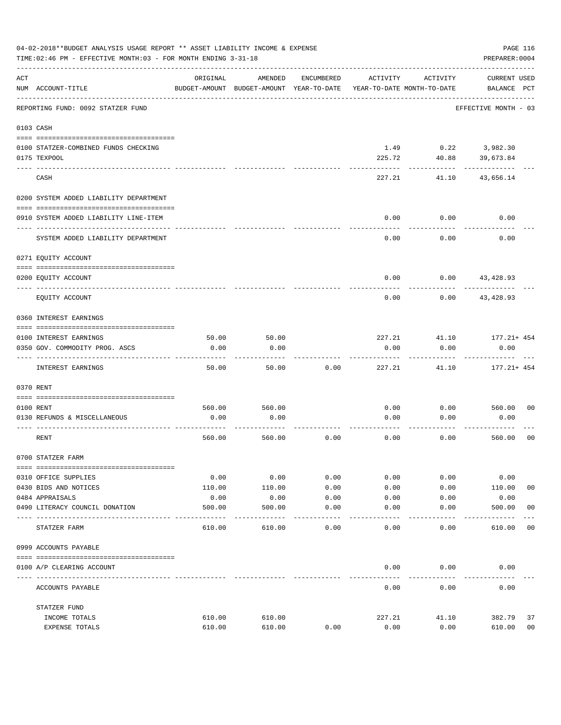|     | 04-02-2018**BUDGET ANALYSIS USAGE REPORT ** ASSET LIABILITY INCOME & EXPENSE<br>PAGE 116<br>TIME: 02:46 PM - EFFECTIVE MONTH: 03 - FOR MONTH ENDING 3-31-18<br>PREPARER: 0004 |               |                                                     |            |                                        |               |                                    |                |  |  |
|-----|-------------------------------------------------------------------------------------------------------------------------------------------------------------------------------|---------------|-----------------------------------------------------|------------|----------------------------------------|---------------|------------------------------------|----------------|--|--|
| ACT | NUM ACCOUNT-TITLE                                                                                                                                                             | ORIGINAL      | AMENDED<br>BUDGET-AMOUNT BUDGET-AMOUNT YEAR-TO-DATE | ENCUMBERED | ACTIVITY<br>YEAR-TO-DATE MONTH-TO-DATE | ACTIVITY      | <b>CURRENT USED</b><br>BALANCE PCT |                |  |  |
|     | REPORTING FUND: 0092 STATZER FUND                                                                                                                                             |               |                                                     |            |                                        |               | EFFECTIVE MONTH - 03               |                |  |  |
|     | 0103 CASH                                                                                                                                                                     |               |                                                     |            |                                        |               |                                    |                |  |  |
|     | 0100 STATZER-COMBINED FUNDS CHECKING<br>0175 TEXPOOL                                                                                                                          |               |                                                     |            | 1.49<br>225.72                         | 40.88         | $0.22$ 3,982.30<br>39,673.84       |                |  |  |
|     | CASH                                                                                                                                                                          |               |                                                     |            | 227.21                                 | 41.10         | 43,656.14                          |                |  |  |
|     | 0200 SYSTEM ADDED LIABILITY DEPARTMENT                                                                                                                                        |               |                                                     |            |                                        |               |                                    |                |  |  |
|     | 0910 SYSTEM ADDED LIABILITY LINE-ITEM                                                                                                                                         |               |                                                     |            | 0.00                                   | 0.00          | 0.00                               |                |  |  |
|     | SYSTEM ADDED LIABILITY DEPARTMENT                                                                                                                                             |               |                                                     |            | 0.00                                   | 0.00          | 0.00                               |                |  |  |
|     | 0271 EQUITY ACCOUNT                                                                                                                                                           |               |                                                     |            |                                        |               |                                    |                |  |  |
|     | 0200 EQUITY ACCOUNT                                                                                                                                                           |               |                                                     |            | 0.00                                   |               | $0.00$ 43,428.93                   |                |  |  |
|     | EQUITY ACCOUNT                                                                                                                                                                |               |                                                     |            | 0.00                                   | 0.00          | 43,428.93                          |                |  |  |
|     | 0360 INTEREST EARNINGS                                                                                                                                                        |               |                                                     |            |                                        |               |                                    |                |  |  |
|     |                                                                                                                                                                               |               |                                                     |            |                                        |               |                                    |                |  |  |
|     | 0100 INTEREST EARNINGS<br>0350 GOV. COMMODITY PROG. ASCS                                                                                                                      | 50.00<br>0.00 | 50.00<br>0.00                                       |            | 227.21<br>0.00                         | 41.10<br>0.00 | $177.21 + 454$<br>0.00             |                |  |  |
|     | INTEREST EARNINGS                                                                                                                                                             | 50.00         | 50.00                                               | 0.00       | 227.21                                 | 41.10         | $177.21 + 454$                     |                |  |  |
|     | 0370 RENT                                                                                                                                                                     |               |                                                     |            |                                        |               |                                    |                |  |  |
|     |                                                                                                                                                                               |               |                                                     |            |                                        |               |                                    |                |  |  |
|     | 0100 RENT                                                                                                                                                                     | 560.00        | 560.00                                              |            | 0.00                                   | 0.00          | 560.00                             | 0 <sub>0</sub> |  |  |
|     | 0130 REFUNDS & MISCELLANEOUS                                                                                                                                                  | 0.00          | 0.00                                                |            | 0.00                                   | 0.00          | 0.00                               |                |  |  |
|     | RENT                                                                                                                                                                          | 560.00        | 560.00                                              | 0.00       | 0.00                                   | 0.00          | 560.00                             | 0 <sub>0</sub> |  |  |
|     | 0700 STATZER FARM                                                                                                                                                             |               |                                                     |            |                                        |               |                                    |                |  |  |
|     | 0310 OFFICE SUPPLIES                                                                                                                                                          | 0.00          | 0.00                                                | 0.00       | 0.00                                   | 0.00          | 0.00                               |                |  |  |
|     | 0430 BIDS AND NOTICES                                                                                                                                                         | 110.00        | 110.00                                              | 0.00       | 0.00                                   | 0.00          | 110.00                             | 0 <sub>0</sub> |  |  |
|     | 0484 APPRAISALS                                                                                                                                                               | 0.00          | 0.00                                                | 0.00       | 0.00                                   | 0.00          | 0.00                               |                |  |  |
|     | 0490 LITERACY COUNCIL DONATION                                                                                                                                                | 500.00        | 500.00                                              | 0.00       | 0.00                                   | 0.00          | 500.00                             | 0 <sub>0</sub> |  |  |
|     | ---- ----<br>STATZER FARM                                                                                                                                                     | 610.00        | 610.00                                              | 0.00       | 0.00                                   | 0.00          | 610.00                             | 0 <sub>0</sub> |  |  |
|     | 0999 ACCOUNTS PAYABLE                                                                                                                                                         |               |                                                     |            |                                        |               |                                    |                |  |  |
|     | 0100 A/P CLEARING ACCOUNT                                                                                                                                                     |               |                                                     |            | 0.00                                   | 0.00          | 0.00                               |                |  |  |
|     | ACCOUNTS PAYABLE                                                                                                                                                              |               |                                                     |            | 0.00                                   | 0.00          | 0.00                               |                |  |  |
|     | STATZER FUND                                                                                                                                                                  |               |                                                     |            |                                        |               |                                    |                |  |  |
|     | INCOME TOTALS                                                                                                                                                                 | 610.00        | 610.00                                              |            | 227.21                                 | 41.10         | 382.79                             | 37             |  |  |
|     | EXPENSE TOTALS                                                                                                                                                                | 610.00        | 610.00                                              | 0.00       | 0.00                                   | 0.00          | 610.00                             | 0 <sub>0</sub> |  |  |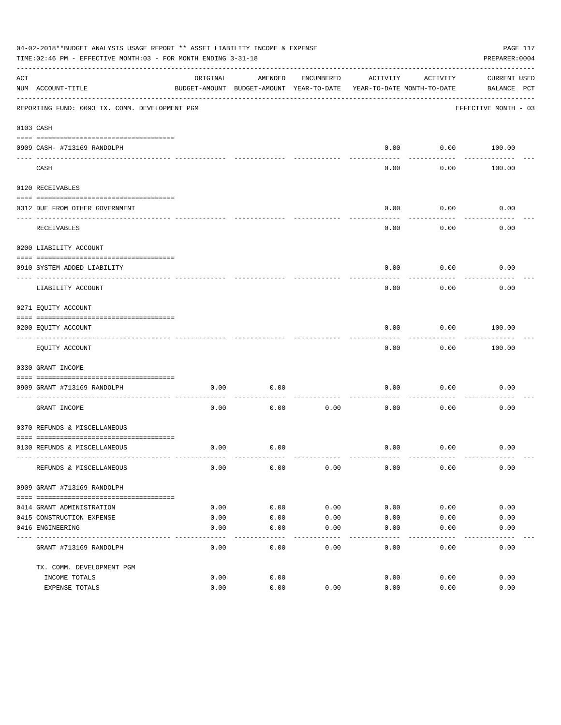|     | 04-02-2018**BUDGET ANALYSIS USAGE REPORT ** ASSET LIABILITY INCOME & EXPENSE<br>PAGE 117<br>TIME: 02:46 PM - EFFECTIVE MONTH: 03 - FOR MONTH ENDING 3-31-18<br>PREPARER: 0004 |              |                                                     |              |                                        |                   |                             |  |  |
|-----|-------------------------------------------------------------------------------------------------------------------------------------------------------------------------------|--------------|-----------------------------------------------------|--------------|----------------------------------------|-------------------|-----------------------------|--|--|
| ACT | NUM ACCOUNT-TITLE                                                                                                                                                             | ORIGINAL     | AMENDED<br>BUDGET-AMOUNT BUDGET-AMOUNT YEAR-TO-DATE | ENCUMBERED   | ACTIVITY<br>YEAR-TO-DATE MONTH-TO-DATE | ACTIVITY          | CURRENT USED<br>BALANCE PCT |  |  |
|     | REPORTING FUND: 0093 TX. COMM. DEVELOPMENT PGM                                                                                                                                |              |                                                     |              |                                        |                   | EFFECTIVE MONTH - 03        |  |  |
|     | 0103 CASH                                                                                                                                                                     |              |                                                     |              |                                        |                   |                             |  |  |
|     | 0909 CASH- #713169 RANDOLPH                                                                                                                                                   |              |                                                     |              | 0.00                                   |                   | $0.00$ 100.00               |  |  |
|     | CASH                                                                                                                                                                          |              |                                                     |              | $- - - -$<br>0.00                      | ---------<br>0.00 | 100.00                      |  |  |
|     | 0120 RECEIVABLES                                                                                                                                                              |              |                                                     |              |                                        |                   |                             |  |  |
|     | 0312 DUE FROM OTHER GOVERNMENT                                                                                                                                                |              |                                                     |              | 0.00                                   | 0.00              | 0.00                        |  |  |
|     | RECEIVABLES                                                                                                                                                                   |              |                                                     |              | 0.00                                   | ---------<br>0.00 | 0.00                        |  |  |
|     | 0200 LIABILITY ACCOUNT                                                                                                                                                        |              |                                                     |              |                                        |                   |                             |  |  |
|     | 0910 SYSTEM ADDED LIABILITY<br>---- ---------------                                                                                                                           |              |                                                     |              | 0.00                                   | 0.00              | 0.00                        |  |  |
|     | LIABILITY ACCOUNT                                                                                                                                                             |              |                                                     |              | 0.00                                   | 0.00              | 0.00                        |  |  |
|     | 0271 EQUITY ACCOUNT                                                                                                                                                           |              |                                                     |              |                                        |                   |                             |  |  |
|     | 0200 EQUITY ACCOUNT<br>-------------------------------                                                                                                                        |              |                                                     |              | 0.00                                   | 0.00<br>--------- | 100.00<br>. <u>.</u> .      |  |  |
|     | EQUITY ACCOUNT                                                                                                                                                                |              |                                                     |              | 0.00                                   | 0.00              | 100.00                      |  |  |
|     | 0330 GRANT INCOME                                                                                                                                                             |              |                                                     |              |                                        |                   |                             |  |  |
|     | 0909 GRANT #713169 RANDOLPH                                                                                                                                                   | 0.00         | 0.00                                                |              | 0.00                                   | 0.00              | 0.00                        |  |  |
|     | GRANT INCOME                                                                                                                                                                  | 0.00         | 0.00                                                | 0.00         | 0.00                                   | 0.00              | 0.00                        |  |  |
|     | 0370 REFUNDS & MISCELLANEOUS                                                                                                                                                  |              |                                                     |              |                                        |                   |                             |  |  |
|     | 0130 REFUNDS & MISCELLANEOUS                                                                                                                                                  | 0.00         | 0.00                                                |              | 0.00                                   | 0.00              | 0.00                        |  |  |
|     | REFUNDS & MISCELLANEOUS                                                                                                                                                       | 0.00         | 0.00                                                | 0.00         | 0.00                                   | 0.00              | 0.00                        |  |  |
|     | 0909 GRANT #713169 RANDOLPH                                                                                                                                                   |              |                                                     |              |                                        |                   |                             |  |  |
|     |                                                                                                                                                                               |              |                                                     |              |                                        |                   |                             |  |  |
|     | 0414 GRANT ADMINISTRATION                                                                                                                                                     | 0.00         | 0.00                                                | 0.00         | 0.00                                   | 0.00              | 0.00                        |  |  |
|     | 0415 CONSTRUCTION EXPENSE<br>0416 ENGINEERING                                                                                                                                 | 0.00<br>0.00 | 0.00<br>0.00                                        | 0.00<br>0.00 | 0.00<br>0.00                           | 0.00<br>0.00      | 0.00<br>0.00                |  |  |
|     | GRANT #713169 RANDOLPH                                                                                                                                                        | 0.00         | 0.00                                                | 0.00         | -----<br>0.00                          | 0.00              | 0.00                        |  |  |
|     |                                                                                                                                                                               |              |                                                     |              |                                        |                   |                             |  |  |
|     | TX. COMM. DEVELOPMENT PGM<br>INCOME TOTALS                                                                                                                                    | 0.00         | 0.00                                                |              | 0.00                                   | 0.00              | 0.00                        |  |  |
|     | EXPENSE TOTALS                                                                                                                                                                | 0.00         | 0.00                                                | 0.00         | 0.00                                   | 0.00              | 0.00                        |  |  |
|     |                                                                                                                                                                               |              |                                                     |              |                                        |                   |                             |  |  |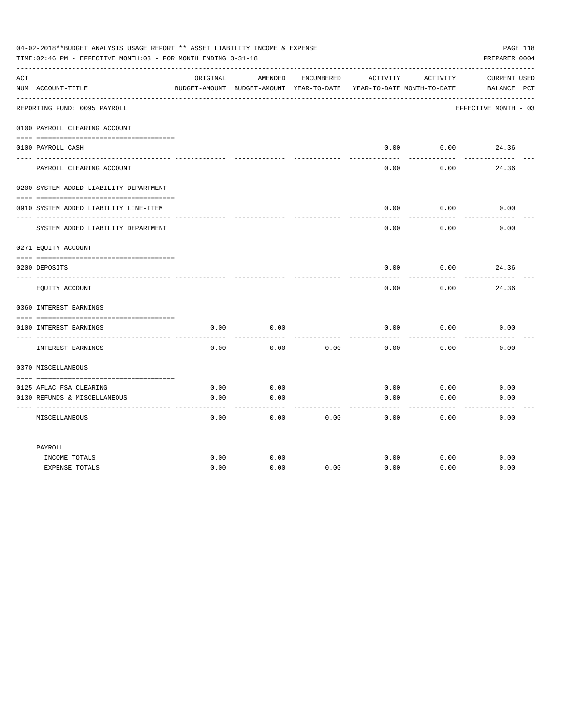|     | 04-02-2018**BUDGET ANALYSIS USAGE REPORT ** ASSET LIABILITY INCOME & EXPENSE<br>PAGE 118<br>TIME: 02:46 PM - EFFECTIVE MONTH: 03 - FOR MONTH ENDING 3-31-18<br>PREPARER: 0004 |          |                                                     |            |                 |                                        |                                    |  |  |
|-----|-------------------------------------------------------------------------------------------------------------------------------------------------------------------------------|----------|-----------------------------------------------------|------------|-----------------|----------------------------------------|------------------------------------|--|--|
| ACT | NUM ACCOUNT-TITLE                                                                                                                                                             | ORIGINAL | AMENDED<br>BUDGET-AMOUNT BUDGET-AMOUNT YEAR-TO-DATE | ENCUMBERED | ACTIVITY        | ACTIVITY<br>YEAR-TO-DATE MONTH-TO-DATE | <b>CURRENT USED</b><br>BALANCE PCT |  |  |
|     | REPORTING FUND: 0095 PAYROLL                                                                                                                                                  |          |                                                     |            |                 |                                        | EFFECTIVE MONTH - 03               |  |  |
|     | 0100 PAYROLL CLEARING ACCOUNT                                                                                                                                                 |          |                                                     |            |                 |                                        |                                    |  |  |
|     | 0100 PAYROLL CASH                                                                                                                                                             |          |                                                     |            | 0.00<br>------- | 0.00<br>-------                        | 24.36                              |  |  |
|     | PAYROLL CLEARING ACCOUNT                                                                                                                                                      |          |                                                     |            | 0.00            | 0.00                                   | 24.36                              |  |  |
|     | 0200 SYSTEM ADDED LIABILITY DEPARTMENT                                                                                                                                        |          |                                                     |            |                 |                                        |                                    |  |  |
|     | 0910 SYSTEM ADDED LIABILITY LINE-ITEM                                                                                                                                         |          |                                                     |            | 0.00            | 0.00<br>-------                        | 0.00                               |  |  |
|     | SYSTEM ADDED LIABILITY DEPARTMENT                                                                                                                                             |          |                                                     |            | 0.00            | 0.00                                   | 0.00                               |  |  |
|     | 0271 EQUITY ACCOUNT                                                                                                                                                           |          |                                                     |            |                 |                                        |                                    |  |  |
|     | 0200 DEPOSITS                                                                                                                                                                 |          |                                                     |            | 0.00            | 0.00                                   | 24.36                              |  |  |
|     | EQUITY ACCOUNT                                                                                                                                                                |          |                                                     |            | 0.00            | 0.00                                   | 24.36                              |  |  |
|     | 0360 INTEREST EARNINGS                                                                                                                                                        |          |                                                     |            |                 |                                        |                                    |  |  |
|     | 0100 INTEREST EARNINGS                                                                                                                                                        | 0.00     | 0.00                                                |            | 0.00            | 0.00                                   | 0.00                               |  |  |
|     | ---- --------------<br>INTEREST EARNINGS                                                                                                                                      | 0.00     | 0.00                                                | 0.00       | 0.00            | 0.00                                   | 0.00                               |  |  |
|     | 0370 MISCELLANEOUS                                                                                                                                                            |          |                                                     |            |                 |                                        |                                    |  |  |
|     | 0125 AFLAC FSA CLEARING                                                                                                                                                       | 0.00     | 0.00                                                |            | 0.00            | 0.00                                   | 0.00                               |  |  |
|     | 0130 REFUNDS & MISCELLANEOUS                                                                                                                                                  | 0.00     | 0.00                                                |            | 0.00            | 0.00                                   | 0.00                               |  |  |
|     | MISCELLANEOUS                                                                                                                                                                 | 0.00     | 0.00                                                | 0.00       | 0.00            | 0.00                                   | 0.00                               |  |  |
|     | PAYROLL                                                                                                                                                                       |          |                                                     |            |                 |                                        |                                    |  |  |
|     | INCOME TOTALS                                                                                                                                                                 | 0.00     | 0.00                                                |            | 0.00            | 0.00                                   | 0.00                               |  |  |
|     | <b>EXPENSE TOTALS</b>                                                                                                                                                         | 0.00     | 0.00                                                | 0.00       | 0.00            | 0.00                                   | 0.00                               |  |  |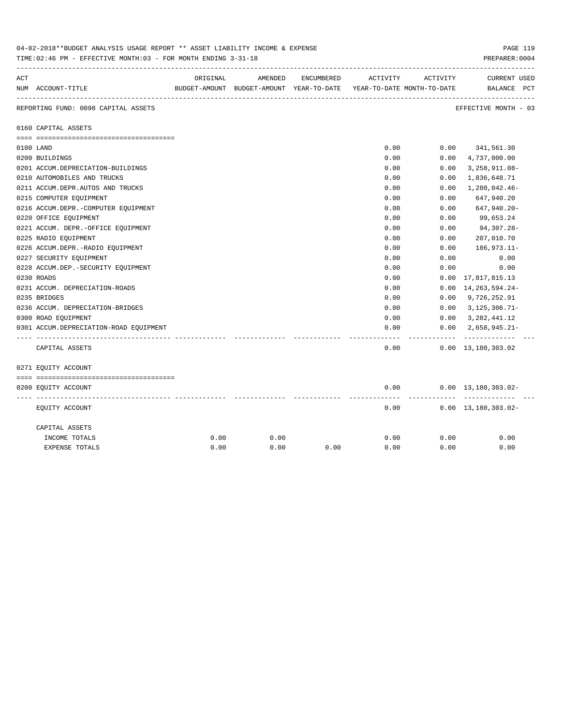|     | 04-02-2018**BUDGET ANALYSIS USAGE REPORT ** ASSET LIABILITY INCOME & EXPENSE<br>PAGE 119<br>PREPARER: 0004<br>TIME: 02:46 PM - EFFECTIVE MONTH: 03 - FOR MONTH ENDING 3-31-18 |          |                                                                                |            |          |          |                                    |  |  |  |
|-----|-------------------------------------------------------------------------------------------------------------------------------------------------------------------------------|----------|--------------------------------------------------------------------------------|------------|----------|----------|------------------------------------|--|--|--|
| ACT | NUM ACCOUNT-TITLE                                                                                                                                                             | ORIGINAL | AMENDED<br>BUDGET-AMOUNT BUDGET-AMOUNT YEAR-TO-DATE YEAR-TO-DATE MONTH-TO-DATE | ENCUMBERED | ACTIVITY | ACTIVITY | <b>CURRENT USED</b><br>BALANCE PCT |  |  |  |
|     | REPORTING FUND: 0098 CAPITAL ASSETS                                                                                                                                           |          |                                                                                |            |          |          | EFFECTIVE MONTH - 03               |  |  |  |
|     | 0160 CAPITAL ASSETS                                                                                                                                                           |          |                                                                                |            |          |          |                                    |  |  |  |
|     |                                                                                                                                                                               |          |                                                                                |            |          |          |                                    |  |  |  |
|     | 0100 LAND                                                                                                                                                                     |          |                                                                                |            | 0.00     |          | $0.00$ $341,561.30$                |  |  |  |
|     | 0200 BUILDINGS                                                                                                                                                                |          |                                                                                |            | 0.00     | 0.00     | 4,737,000.00                       |  |  |  |
|     | 0201 ACCUM.DEPRECIATION-BUILDINGS                                                                                                                                             |          |                                                                                |            | 0.00     | 0.00     | $3,258,911.08-$                    |  |  |  |
|     | 0210 AUTOMOBILES AND TRUCKS                                                                                                                                                   |          |                                                                                |            | 0.00     | 0.00     | 1,836,648.71                       |  |  |  |
|     | 0211 ACCUM.DEPR.AUTOS AND TRUCKS                                                                                                                                              |          |                                                                                |            | 0.00     | 0.00     | 1,280,042.46-                      |  |  |  |
|     | 0215 COMPUTER EQUIPMENT                                                                                                                                                       |          |                                                                                |            | 0.00     | 0.00     | 647,940.20                         |  |  |  |
|     | 0216 ACCUM.DEPR.-COMPUTER EQUIPMENT                                                                                                                                           |          |                                                                                |            | 0.00     | 0.00     | 647,940.20-                        |  |  |  |
|     | 0220 OFFICE EQUIPMENT                                                                                                                                                         |          |                                                                                |            | 0.00     | 0.00     | 99,653.24                          |  |  |  |
|     | 0221 ACCUM. DEPR.-OFFICE EQUIPMENT                                                                                                                                            |          |                                                                                |            | 0.00     | 0.00     | 94,307.28-                         |  |  |  |
|     | 0225 RADIO EQUIPMENT                                                                                                                                                          |          |                                                                                |            | 0.00     | 0.00     | 207,010.70                         |  |  |  |
|     | 0226 ACCUM.DEPR.-RADIO EQUIPMENT                                                                                                                                              |          |                                                                                |            | 0.00     | 0.00     | $186,973.11-$                      |  |  |  |
|     | 0227 SECURITY EQUIPMENT                                                                                                                                                       |          |                                                                                |            | 0.00     | 0.00     | 0.00                               |  |  |  |
|     | 0228 ACCUM.DEP. - SECURITY EQUIPMENT                                                                                                                                          |          |                                                                                |            | 0.00     | 0.00     | 0.00                               |  |  |  |
|     | 0230 ROADS                                                                                                                                                                    |          |                                                                                |            | 0.00     |          | $0.00 \quad 17,817,815.13$         |  |  |  |
|     | 0231 ACCUM. DEPRECIATION-ROADS                                                                                                                                                |          |                                                                                |            | 0.00     | 0.00     | 14, 263, 594. 24-                  |  |  |  |
|     | 0235 BRIDGES                                                                                                                                                                  |          |                                                                                |            | 0.00     | 0.00     | 9,726,252.91                       |  |  |  |
|     | 0236 ACCUM. DEPRECIATION-BRIDGES                                                                                                                                              |          |                                                                                |            | 0.00     | 0.00     | $3,125,306.71-$                    |  |  |  |
|     | 0300 ROAD EQUIPMENT                                                                                                                                                           |          |                                                                                |            | 0.00     | 0.00     | 3, 282, 441.12                     |  |  |  |
|     | 0301 ACCUM.DEPRECIATION-ROAD EQUIPMENT                                                                                                                                        |          |                                                                                |            | 0.00     | 0.00     | $2,658,945.21-$<br>------------    |  |  |  |
|     | CAPITAL ASSETS                                                                                                                                                                |          |                                                                                |            | 0.00     |          | $0.00 \quad 13,180,303.02$         |  |  |  |
|     | 0271 EQUITY ACCOUNT                                                                                                                                                           |          |                                                                                |            |          |          |                                    |  |  |  |
|     |                                                                                                                                                                               |          |                                                                                |            |          |          |                                    |  |  |  |
|     | 0200 EQUITY ACCOUNT                                                                                                                                                           |          |                                                                                |            | 0.00     |          | $0.00 \quad 13,180,303.02 -$       |  |  |  |
|     | EQUITY ACCOUNT                                                                                                                                                                |          |                                                                                |            | 0.00     |          | $0.00 \quad 13,180,303.02 -$       |  |  |  |
|     | CAPITAL ASSETS                                                                                                                                                                |          |                                                                                |            |          |          |                                    |  |  |  |
|     | INCOME TOTALS                                                                                                                                                                 | 0.00     | 0.00                                                                           |            | 0.00     | 0.00     | 0.00                               |  |  |  |
|     | <b>EXPENSE TOTALS</b>                                                                                                                                                         | 0.00     | 0.00                                                                           | 0.00       | 0.00     | 0.00     | 0.00                               |  |  |  |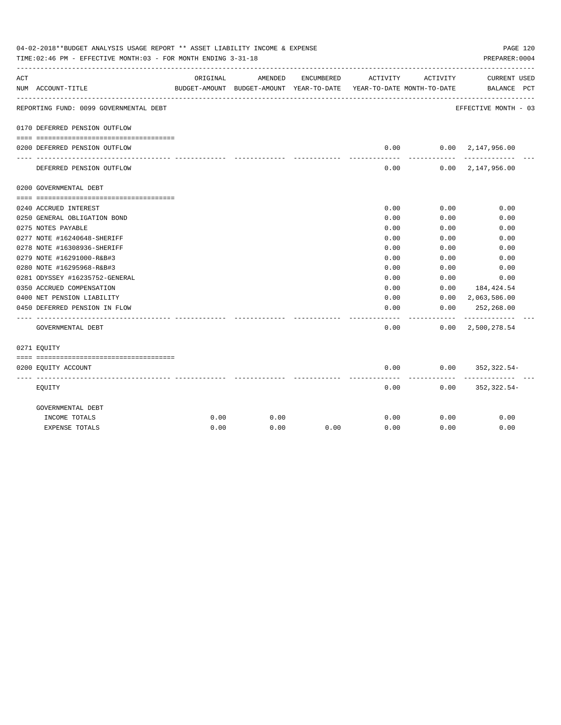| 04-02-2018**BUDGET ANALYSIS USAGE REPORT ** ASSET LIABILITY INCOME & EXPENSE<br>PAGE 120<br>TIME: 02:46 PM - EFFECTIVE MONTH: 03 - FOR MONTH ENDING 3-31-18<br>PREPARER: 0004 |                                                             |          |         |            |                                                                                 |              |                                            |  |
|-------------------------------------------------------------------------------------------------------------------------------------------------------------------------------|-------------------------------------------------------------|----------|---------|------------|---------------------------------------------------------------------------------|--------------|--------------------------------------------|--|
| ACT                                                                                                                                                                           | NUM ACCOUNT-TITLE                                           | ORIGINAL | AMENDED | ENCUMBERED | ACTIVITY<br>BUDGET-AMOUNT BUDGET-AMOUNT YEAR-TO-DATE YEAR-TO-DATE MONTH-TO-DATE | ACTIVITY     | CURRENT USED<br>BALANCE PCT                |  |
|                                                                                                                                                                               | REPORTING FUND: 0099 GOVERNMENTAL DEBT                      |          |         |            |                                                                                 |              | EFFECTIVE MONTH - 03                       |  |
|                                                                                                                                                                               | 0170 DEFERRED PENSION OUTFLOW                               |          |         |            |                                                                                 |              |                                            |  |
|                                                                                                                                                                               | 0200 DEFERRED PENSION OUTFLOW                               |          |         |            | 0.00                                                                            |              | $0.00 \quad 2.147.956.00$                  |  |
|                                                                                                                                                                               | DEFERRED PENSION OUTFLOW                                    |          |         |            | ---------<br>0.00                                                               | ---------    | -------------<br>$0.00 \quad 2.147.956.00$ |  |
|                                                                                                                                                                               | 0200 GOVERNMENTAL DEBT                                      |          |         |            |                                                                                 |              |                                            |  |
|                                                                                                                                                                               |                                                             |          |         |            |                                                                                 |              |                                            |  |
|                                                                                                                                                                               | 0240 ACCRUED INTEREST                                       |          |         |            | 0.00                                                                            | 0.00         | 0.00                                       |  |
|                                                                                                                                                                               | 0250 GENERAL OBLIGATION BOND                                |          |         |            | 0.00                                                                            | 0.00         | 0.00                                       |  |
|                                                                                                                                                                               | 0275 NOTES PAYABLE                                          |          |         |            | 0.00                                                                            | 0.00         | 0.00                                       |  |
|                                                                                                                                                                               | 0277 NOTE #16240648-SHERIFF                                 |          |         |            | 0.00                                                                            | 0.00         | 0.00                                       |  |
|                                                                                                                                                                               | 0278 NOTE #16308936-SHERIFF                                 |          |         |            | 0.00                                                                            | 0.00         | 0.00                                       |  |
|                                                                                                                                                                               | 0279 NOTE #16291000-R&B#3                                   |          |         |            | 0.00                                                                            | 0.00         | 0.00                                       |  |
|                                                                                                                                                                               | 0280 NOTE #16295968-R&B#3<br>0281 ODYSSEY #16235752-GENERAL |          |         |            | 0.00<br>0.00                                                                    | 0.00<br>0.00 | 0.00<br>0.00                               |  |
|                                                                                                                                                                               | 0350 ACCRUED COMPENSATION                                   |          |         |            | 0.00                                                                            | 0.00         | 184,424.54                                 |  |
|                                                                                                                                                                               | 0400 NET PENSION LIABILITY                                  |          |         |            | 0.00                                                                            |              | $0.00 \quad 2,063,586.00$                  |  |
|                                                                                                                                                                               | 0450 DEFERRED PENSION IN FLOW                               |          |         |            | 0.00                                                                            | 0.00         | 252,268.00                                 |  |
|                                                                                                                                                                               | GOVERNMENTAL DEBT                                           |          |         |            | 0.00                                                                            | --------     | $0.00 \quad 2,500,278.54$                  |  |
|                                                                                                                                                                               | 0271 EQUITY                                                 |          |         |            |                                                                                 |              |                                            |  |
|                                                                                                                                                                               |                                                             |          |         |            |                                                                                 |              |                                            |  |
|                                                                                                                                                                               | 0200 EQUITY ACCOUNT                                         |          |         |            | 0.00                                                                            |              | $0.00$ $352,322.54$ -                      |  |
|                                                                                                                                                                               | EQUITY                                                      |          |         |            | 0.00                                                                            |              | $0.00$ $352,322.54-$                       |  |
|                                                                                                                                                                               | GOVERNMENTAL DEBT                                           |          |         |            |                                                                                 |              |                                            |  |
|                                                                                                                                                                               | INCOME TOTALS                                               | 0.00     | 0.00    |            | 0.00                                                                            | 0.00         | 0.00                                       |  |
|                                                                                                                                                                               | <b>EXPENSE TOTALS</b>                                       | 0.00     | 0.00    | 0.00       | 0.00                                                                            | 0.00         | 0.00                                       |  |